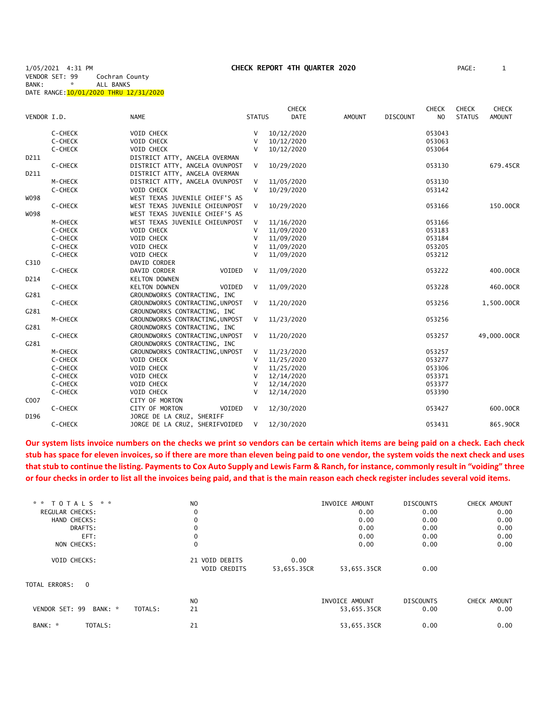1/05/2021 4:31 PM **CHECK REPORT 4TH QUARTER 2020** PAGE: 1

VENDOR SET: 99 Cochran County<br>BANK: \* ALL BANKS ALL BANKS

DATE RANGE: 10/01/2020 THRU 12/31/2020

|             |         |                                 |               | <b>CHECK</b> |               |                 | <b>CHECK</b>   | <b>CHECK</b>  | <b>CHECK</b>  |
|-------------|---------|---------------------------------|---------------|--------------|---------------|-----------------|----------------|---------------|---------------|
| VENDOR I.D. |         | <b>NAME</b>                     | <b>STATUS</b> | <b>DATE</b>  | <b>AMOUNT</b> | <b>DISCOUNT</b> | N <sub>O</sub> | <b>STATUS</b> | <b>AMOUNT</b> |
|             | C-CHECK | VOID CHECK                      | V             | 10/12/2020   |               |                 | 053043         |               |               |
|             | C-CHECK | <b>VOID CHECK</b>               | V             | 10/12/2020   |               |                 | 053063         |               |               |
|             | C-CHECK | VOID CHECK                      | $\mathsf{V}$  | 10/12/2020   |               |                 | 053064         |               |               |
| D211        |         | DISTRICT ATTY, ANGELA OVERMAN   |               |              |               |                 |                |               |               |
|             | C-CHECK | DISTRICT ATTY, ANGELA OVUNPOST  | $\vee$        | 10/29/2020   |               |                 | 053130         |               | 679.45CR      |
| D211        |         | DISTRICT ATTY, ANGELA OVERMAN   |               |              |               |                 |                |               |               |
|             | M-CHECK | DISTRICT ATTY, ANGELA OVUNPOST  | $\vee$        | 11/05/2020   |               |                 | 053130         |               |               |
|             | C-CHECK | VOID CHECK                      | $\vee$        | 10/29/2020   |               |                 | 053142         |               |               |
| W098        |         | WEST TEXAS JUVENILE CHIEF'S AS  |               |              |               |                 |                |               |               |
|             | C-CHECK | WEST TEXAS JUVENILE CHIEUNPOST  | V             | 10/29/2020   |               |                 | 053166         |               | 150.00CR      |
| W098        |         | WEST TEXAS JUVENILE CHIEF'S AS  |               |              |               |                 |                |               |               |
|             | M-CHECK | WEST TEXAS JUVENILE CHIEUNPOST  | V             | 11/16/2020   |               |                 | 053166         |               |               |
|             | C-CHECK | VOID CHECK                      | $\vee$        | 11/09/2020   |               |                 | 053183         |               |               |
|             | C-CHECK | VOID CHECK                      | V             | 11/09/2020   |               |                 | 053184         |               |               |
|             | C-CHECK | VOID CHECK                      | $\vee$        | 11/09/2020   |               |                 | 053205         |               |               |
|             | C-CHECK | VOID CHECK                      | $\mathsf{V}$  | 11/09/2020   |               |                 | 053212         |               |               |
| C310        |         | DAVID CORDER                    |               |              |               |                 |                |               |               |
|             | C-CHECK | DAVID CORDER<br>VOIDED          | V             | 11/09/2020   |               |                 | 053222         |               | 400,00CR      |
| D214        |         | <b>KELTON DOWNEN</b>            |               |              |               |                 |                |               |               |
|             | C-CHECK | VOIDED<br><b>KELTON DOWNEN</b>  | V             | 11/09/2020   |               |                 | 053228         |               | 460.00CR      |
| G281        |         | GROUNDWORKS CONTRACTING, INC    |               |              |               |                 |                |               |               |
|             | C-CHECK | GROUNDWORKS CONTRACTING, UNPOST | V             | 11/20/2020   |               |                 | 053256         |               | 1,500.00CR    |
| G281        |         | GROUNDWORKS CONTRACTING, INC    |               |              |               |                 |                |               |               |
|             | M-CHECK | GROUNDWORKS CONTRACTING, UNPOST | V             | 11/23/2020   |               |                 | 053256         |               |               |
| G281        |         | GROUNDWORKS CONTRACTING, INC    |               |              |               |                 |                |               |               |
|             | C-CHECK | GROUNDWORKS CONTRACTING, UNPOST | V             | 11/20/2020   |               |                 | 053257         |               | 49,000.00CR   |
| G281        |         | GROUNDWORKS CONTRACTING, INC    |               |              |               |                 |                |               |               |
|             | M-CHECK | GROUNDWORKS CONTRACTING, UNPOST | V             | 11/23/2020   |               |                 | 053257         |               |               |
|             | C-CHECK | VOID CHECK                      | $\vee$        | 11/25/2020   |               |                 | 053277         |               |               |
|             | C-CHECK | <b>VOID CHECK</b>               | V             | 11/25/2020   |               |                 | 053306         |               |               |
|             | C-CHECK | VOID CHECK                      | $\vee$        | 12/14/2020   |               |                 | 053371         |               |               |
|             | C-CHECK | VOID CHECK                      | $\vee$        | 12/14/2020   |               |                 | 053377         |               |               |
|             | C-CHECK | VOID CHECK                      | $\vee$        | 12/14/2020   |               |                 | 053390         |               |               |
| C007        |         | CITY OF MORTON                  |               |              |               |                 |                |               |               |
|             | C-CHECK | CITY OF MORTON<br>VOIDED        | $\vee$        | 12/30/2020   |               |                 | 053427         |               | 600.00CR      |
| D196        |         | JORGE DE LA CRUZ, SHERIFF       |               |              |               |                 |                |               |               |
|             | C-CHECK | JORGE DE LA CRUZ, SHERIFVOIDED  | V             | 12/30/2020   |               |                 | 053431         |               | 865.90CR      |
|             |         |                                 |               |              |               |                 |                |               |               |

**Our system lists invoice numbers on the checks we print so vendors can be certain which items are being paid on a check. Each check stub has space for eleven invoices, so if there are more than eleven being paid to one vendor, the system voids the next check and uses that stub to continue the listing. Payments to Cox Auto Supply and Lewis Farm & Ranch, for instance, commonly result in "voiding" three or four checks in order to list all the invoices being paid, and that is the main reason each check register includes several void items.**

|         | N <sub>O</sub>      |             | INVOICE AMOUNT | <b>DISCOUNTS</b> | CHECK AMOUNT |
|---------|---------------------|-------------|----------------|------------------|--------------|
|         | 0                   |             | 0.00           | 0.00             | 0.00         |
|         | 0                   |             | 0.00           | 0.00             | 0.00         |
|         | 0                   |             | 0.00           | 0.00             | 0.00         |
|         | 0                   |             | 0.00           | 0.00             | 0.00         |
|         | 0                   |             | 0.00           | 0.00             | 0.00         |
|         | 21 VOID DEBITS      | 0.00        |                |                  |              |
|         | <b>VOID CREDITS</b> | 53,655.35CR | 53,655.35CR    | 0.00             |              |
|         |                     |             |                |                  |              |
|         | N <sub>O</sub>      |             | INVOICE AMOUNT | <b>DISCOUNTS</b> | CHECK AMOUNT |
| TOTALS: | 21                  |             | 53,655.35CR    | 0.00             | 0.00         |
|         | 21                  |             | 53,655.35CR    | 0.00             | 0.00         |
|         |                     |             |                |                  |              |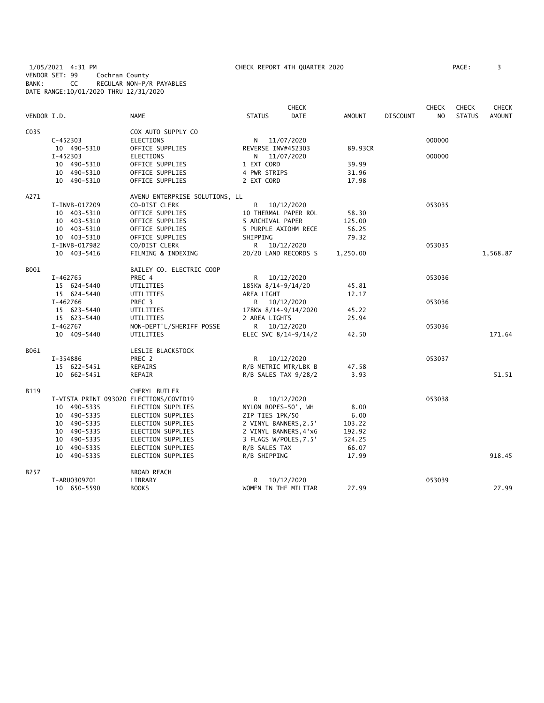1/05/2021 4:31 PM CHECK REPORT 4TH QUARTER 2020 PAGE: 3 VENDOR SET: 99 Cochran County BANK: CC REGULAR NON-P/R PAYABLES DATE RANGE:10/01/2020 THRU 12/31/2020

| VENDOR I.D. |               | <b>NAME</b>                            | <b>STATUS</b>         | <b>CHECK</b><br><b>DATE</b> | <b>AMOUNT</b> | <b>DISCOUNT</b> | <b>CHECK</b><br>N <sub>O</sub> | <b>CHECK</b><br><b>STATUS</b> | <b>CHECK</b><br>AMOUNT |
|-------------|---------------|----------------------------------------|-----------------------|-----------------------------|---------------|-----------------|--------------------------------|-------------------------------|------------------------|
| C035        |               | COX AUTO SUPPLY CO                     |                       |                             |               |                 |                                |                               |                        |
|             | $C - 452303$  | <b>ELECTIONS</b>                       |                       | N 11/07/2020                |               |                 | 000000                         |                               |                        |
|             | 10 490-5310   | OFFICE SUPPLIES                        | REVERSE INV#452303    |                             | 89.93CR       |                 |                                |                               |                        |
|             | $I - 452303$  | <b>ELECTIONS</b>                       | N                     | 11/07/2020                  |               |                 | 000000                         |                               |                        |
|             | 10 490-5310   | OFFICE SUPPLIES                        | 1 EXT CORD            |                             | 39.99         |                 |                                |                               |                        |
|             | 10 490-5310   | OFFICE SUPPLIES                        | 4 PWR STRIPS          |                             | 31.96         |                 |                                |                               |                        |
|             | 10 490-5310   | OFFICE SUPPLIES                        | 2 EXT CORD            |                             | 17.98         |                 |                                |                               |                        |
| A271        |               | AVENU ENTERPRISE SOLUTIONS, LL         |                       |                             |               |                 |                                |                               |                        |
|             | I-INVB-017209 | CO-DIST CLERK                          | R                     | 10/12/2020                  |               |                 | 053035                         |                               |                        |
|             | 10 403-5310   | OFFICE SUPPLIES                        |                       | 10 THERMAL PAPER ROL        | 58.30         |                 |                                |                               |                        |
|             | 10 403-5310   | OFFICE SUPPLIES                        | 5 ARCHIVAL PAPER      |                             | 125.00        |                 |                                |                               |                        |
|             | 10 403-5310   | OFFICE SUPPLIES                        |                       | 5 PURPLE AXIOHM RECE        | 56.25         |                 |                                |                               |                        |
|             | 10 403-5310   | OFFICE SUPPLIES                        | SHIPPING              |                             | 79.32         |                 |                                |                               |                        |
|             | I-INVB-017982 | CO/DIST CLERK                          |                       | R 10/12/2020                |               |                 | 053035                         |                               |                        |
|             | 10 403-5416   | FILMING & INDEXING                     |                       | 20/20 LAND RECORDS S        | 1,250.00      |                 |                                |                               | 1,568.87               |
| B001        |               | BAILEY CO. ELECTRIC COOP               |                       |                             |               |                 |                                |                               |                        |
|             | I-462765      | PREC 4                                 | R                     | 10/12/2020                  |               |                 | 053036                         |                               |                        |
|             | 15 624-5440   | UTILITIES                              | 185KW 8/14-9/14/20    |                             | 45.81         |                 |                                |                               |                        |
|             | 15 624-5440   | UTILITIES                              | AREA LIGHT            |                             | 12.17         |                 |                                |                               |                        |
|             | I-462766      | PREC 3                                 |                       | R 10/12/2020                |               |                 | 053036                         |                               |                        |
|             | 15 623-5440   | UTILITIES                              |                       | 178KW 8/14-9/14/2020        | 45.22         |                 |                                |                               |                        |
|             | 15 623-5440   | UTILITIES                              | 2 AREA LIGHTS         |                             | 25.94         |                 |                                |                               |                        |
|             | I-462767      | NON-DEPT'L/SHERIFF POSSE               |                       | R 10/12/2020                |               |                 | 053036                         |                               |                        |
|             | 10 409-5440   | UTILITIES                              |                       | ELEC SVC 8/14-9/14/2        | 42.50         |                 |                                |                               | 171.64                 |
| B061        |               | LESLIE BLACKSTOCK                      |                       |                             |               |                 |                                |                               |                        |
|             | I-354886      | PREC 2                                 |                       | R 10/12/2020                |               |                 | 053037                         |                               |                        |
|             | 15 622-5451   | REPAIRS                                |                       | R/B METRIC MTR/LBK B        | 47.58         |                 |                                |                               |                        |
|             | 10 662-5451   | REPAIR                                 |                       | $R/B$ SALES TAX $9/28/2$    | 3.93          |                 |                                |                               | 51.51                  |
| <b>B119</b> |               | CHERYL BUTLER                          |                       |                             |               |                 |                                |                               |                        |
|             |               | I-VISTA PRINT 093020 ELECTIONS/COVID19 |                       | R 10/12/2020                |               |                 | 053038                         |                               |                        |
|             | 10 490-5335   | ELECTION SUPPLIES                      | NYLON ROPES-50', WH   |                             | 8.00          |                 |                                |                               |                        |
|             | 10 490-5335   | ELECTION SUPPLIES                      | ZIP TIES 1PK/50       |                             | 6.00          |                 |                                |                               |                        |
|             | 10 490-5335   | ELECTION SUPPLIES                      | 2 VINYL BANNERS, 2.5' |                             | 103.22        |                 |                                |                               |                        |
|             | 10 490-5335   | ELECTION SUPPLIES                      |                       | 2 VINYL BANNERS, 4'x6       | 192.92        |                 |                                |                               |                        |
|             | 10 490-5335   | ELECTION SUPPLIES                      | 3 FLAGS W/POLES, 7.5' |                             | 524.25        |                 |                                |                               |                        |
|             | 10 490-5335   | ELECTION SUPPLIES                      | R/B SALES TAX         |                             | 66.07         |                 |                                |                               |                        |
|             | 10 490-5335   | ELECTION SUPPLIES                      | R/B SHIPPING          |                             | 17.99         |                 |                                |                               | 918.45                 |
| B257        |               | BROAD REACH                            |                       |                             |               |                 |                                |                               |                        |
|             | I-ARU0309701  | LIBRARY                                | R                     | 10/12/2020                  |               |                 | 053039                         |                               |                        |
|             | 10 650-5590   | <b>BOOKS</b>                           |                       | WOMEN IN THE MILITAR        | 27.99         |                 |                                |                               | 27.99                  |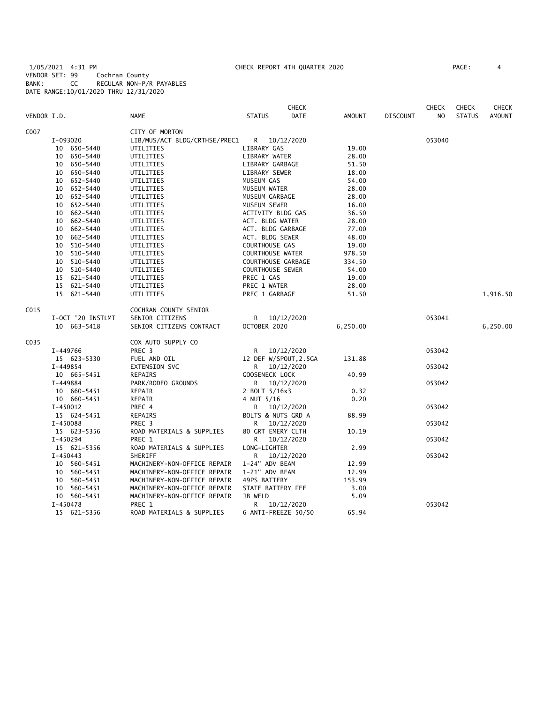1/05/2021 4:31 PM CHECK REPORT 4TH QUARTER 2020 PAGE: 4 VENDOR SET: 99 Cochran County BANK: CC REGULAR NON-P/R PAYABLES DATE RANGE:10/01/2020 THRU 12/31/2020

|             |                   |                               |                         | <b>CHECK</b> |               |                 | <b>CHECK</b> | <b>CHECK</b>  | CHECK         |
|-------------|-------------------|-------------------------------|-------------------------|--------------|---------------|-----------------|--------------|---------------|---------------|
| VENDOR I.D. |                   | NAME                          | <b>STATUS</b>           | DATE         | <b>AMOUNT</b> | <b>DISCOUNT</b> | NO.          | <b>STATUS</b> | <b>AMOUNT</b> |
| C007        |                   | CITY OF MORTON                |                         |              |               |                 |              |               |               |
|             | I-093020          | LIB/MUS/ACT BLDG/CRTHSE/PREC1 | R 10/12/2020            |              |               |                 | 053040       |               |               |
|             | 10 650-5440       | UTILITIES                     | LIBRARY GAS             |              | 19.00         |                 |              |               |               |
|             | 10 650-5440       | UTILITIES                     | LIBRARY WATER           |              | 28.00         |                 |              |               |               |
|             | 10 650-5440       | UTILITIES                     | LIBRARY GARBAGE         |              | 51.50         |                 |              |               |               |
|             | 10 650-5440       | UTILITIES                     | LIBRARY SEWER           |              | 18.00         |                 |              |               |               |
|             | 10 652-5440       | UTILITIES                     | MUSEUM GAS              |              | 54.00         |                 |              |               |               |
|             | 10 652-5440       | UTILITIES                     | MUSEUM WATER            |              | 28.00         |                 |              |               |               |
|             | 10 652-5440       | UTILITIES                     | MUSEUM GARBAGE          |              | 28.00         |                 |              |               |               |
|             | 10 652-5440       | UTILITIES                     | MUSEUM SEWER            |              | 16.00         |                 |              |               |               |
|             | 10 662-5440       | UTILITIES                     | ACTIVITY BLDG GAS       |              | 36.50         |                 |              |               |               |
|             | 10 662-5440       | UTILITIES                     | ACT. BLDG WATER         |              | 28.00         |                 |              |               |               |
|             | 10 662-5440       | UTILITIES                     | ACT. BLDG GARBAGE       |              | 77.00         |                 |              |               |               |
|             | 10 662-5440       | UTILITIES                     | ACT. BLDG SEWER         |              | 48.00         |                 |              |               |               |
|             | 10 510-5440       | UTILITIES                     | COURTHOUSE GAS          |              | 19.00         |                 |              |               |               |
|             | 10 510-5440       | UTILITIES                     | <b>COURTHOUSE WATER</b> |              | 978.50        |                 |              |               |               |
|             | 10 510-5440       | UTILITIES                     | COURTHOUSE GARBAGE      |              | 334.50        |                 |              |               |               |
|             | 10 510-5440       | UTILITIES                     | <b>COURTHOUSE SEWER</b> |              | 54.00         |                 |              |               |               |
|             | 15 621-5440       | UTILITIES                     | PREC 1 GAS              |              | 19.00         |                 |              |               |               |
|             | 15 621-5440       | UTILITIES                     | PREC 1 WATER            |              | 28.00         |                 |              |               |               |
|             | 15 621-5440       | UTILITIES                     | PREC 1 GARBAGE          |              | 51.50         |                 |              |               | 1,916.50      |
| C015        |                   | COCHRAN COUNTY SENIOR         |                         |              |               |                 |              |               |               |
|             | I-OCT '20 INSTLMT | SENIOR CITIZENS               | R 10/12/2020            |              |               |                 | 053041       |               |               |
|             | 10 663-5418       | SENIOR CITIZENS CONTRACT      | OCTOBER 2020            |              | 6,250.00      |                 |              |               | 6,250.00      |
| C035        |                   | COX AUTO SUPPLY CO            |                         |              |               |                 |              |               |               |
|             | I-449766          | PREC 3                        | R.                      | 10/12/2020   |               |                 | 053042       |               |               |
|             | 15 623-5330       | FUEL AND OIL                  | 12 DEF W/SPOUT, 2.5GA   |              | 131.88        |                 |              |               |               |
|             | I-449854          | EXTENSION SVC                 | R —                     | 10/12/2020   |               |                 | 053042       |               |               |
|             | 10 665-5451       | REPAIRS                       | GOOSENECK LOCK          |              | 40.99         |                 |              |               |               |
|             | I-449884          | PARK/RODEO GROUNDS            | R 10/12/2020            |              |               |                 | 053042       |               |               |
|             | 10 660-5451       | REPAIR                        | 2 BOLT 5/16x3           |              | 0.32          |                 |              |               |               |
|             | 10 660-5451       | REPAIR                        | 4 NUT 5/16              |              | 0.20          |                 |              |               |               |
|             | I-450012          | PREC 4                        | R 10/12/2020            |              |               |                 | 053042       |               |               |
|             | 15 624-5451       | REPAIRS                       | BOLTS & NUTS GRD A      |              | 88.99         |                 |              |               |               |
|             | I-450088          | PREC <sub>3</sub>             | R                       | 10/12/2020   |               |                 | 053042       |               |               |
|             | 15 623-5356       | ROAD MATERIALS & SUPPLIES     | 80 GRT EMERY CLTH       |              | 10.19         |                 |              |               |               |
|             | I-450294          | PREC 1                        | R                       | 10/12/2020   |               |                 | 053042       |               |               |
|             | 15 621-5356       | ROAD MATERIALS & SUPPLIES     | LONG-LIGHTER            |              | 2.99          |                 |              |               |               |
|             | $I - 450443$      | SHERIFF                       | R                       | 10/12/2020   |               |                 | 053042       |               |               |
|             | 10 560-5451       | MACHINERY-NON-OFFICE REPAIR   | 1-24" ADV BEAM          |              | 12.99         |                 |              |               |               |
|             | 10 560-5451       | MACHINERY-NON-OFFICE REPAIR   | 1-21" ADV BEAM          |              | 12.99         |                 |              |               |               |
|             | 10 560-5451       | MACHINERY-NON-OFFICE REPAIR   | 49PS BATTERY            |              | 153.99        |                 |              |               |               |
|             | 560-5451<br>10    | MACHINERY-NON-OFFICE REPAIR   | STATE BATTERY FEE       |              | 3.00          |                 |              |               |               |
|             | 10 560-5451       | MACHINERY-NON-OFFICE REPAIR   | JB WELD                 |              | 5.09          |                 |              |               |               |
|             | I-450478          | PREC 1                        | R 10/12/2020            |              |               |                 | 053042       |               |               |
|             | 15 621-5356       | ROAD MATERIALS & SUPPLIES     | 6 ANTI-FREEZE 50/50     |              | 65.94         |                 |              |               |               |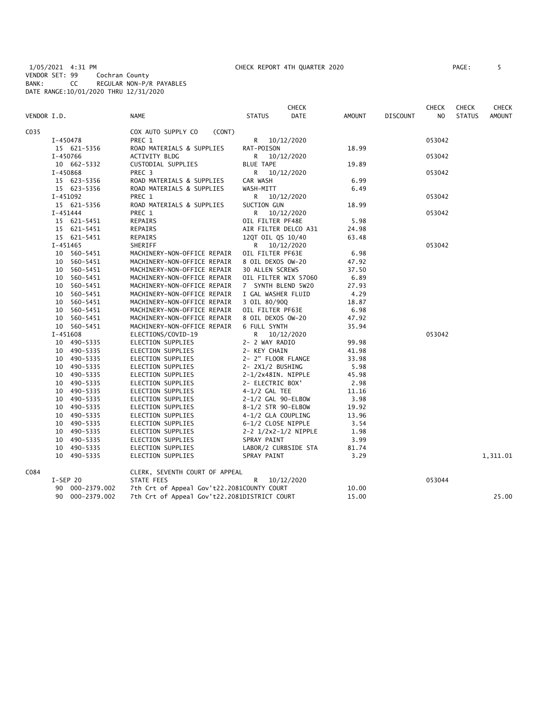1/05/2021 4:31 PM CHECK REPORT 4TH QUARTER 2020 PAGE: 5 VENDOR SET: 99 Cochran County BANK: CC REGULAR NON-P/R PAYABLES DATE RANGE:10/01/2020 THRU 12/31/2020

| AGE : |  |
|-------|--|
|       |  |

|             |            |                 |                                              |                        | <b>CHECK</b>         |        |                 | <b>CHECK</b> | <b>CHECK</b>  | CHECK    |
|-------------|------------|-----------------|----------------------------------------------|------------------------|----------------------|--------|-----------------|--------------|---------------|----------|
| VENDOR I.D. |            |                 | NAME                                         | <b>STATUS</b>          | DATE                 | AMOUNT | <b>DISCOUNT</b> | NO.          | <b>STATUS</b> | AMOUNT   |
| C035        |            |                 | COX AUTO SUPPLY CO<br>(CONT)                 |                        |                      |        |                 |              |               |          |
|             |            | I-450478        | PREC 1                                       | R.                     | 10/12/2020           |        |                 | 053042       |               |          |
|             |            | 15 621-5356     | ROAD MATERIALS & SUPPLIES                    | RAT-POISON             |                      | 18.99  |                 |              |               |          |
|             |            | I-450766        | ACTIVITY BLDG                                | R                      | 10/12/2020           |        |                 | 053042       |               |          |
|             |            | 10 662-5332     | CUSTODIAL SUPPLIES                           | <b>BLUE TAPE</b>       |                      | 19.89  |                 |              |               |          |
|             | I-450868   |                 | PREC 3                                       | R                      | 10/12/2020           |        |                 | 053042       |               |          |
|             |            | 15 623-5356     | ROAD MATERIALS & SUPPLIES                    | CAR WASH               |                      | 6.99   |                 |              |               |          |
|             |            | 15 623-5356     | ROAD MATERIALS & SUPPLIES                    | WASH-MITT              |                      | 6.49   |                 |              |               |          |
|             |            | I-451092        | PREC 1                                       |                        | R 10/12/2020         |        |                 | 053042       |               |          |
|             |            | 15 621-5356     | ROAD MATERIALS & SUPPLIES                    | SUCTION GUN            |                      | 18.99  |                 |              |               |          |
|             | I-451444   |                 | PREC 1                                       | R                      | 10/12/2020           |        |                 | 053042       |               |          |
|             |            | 15 621-5451     | REPAIRS                                      | OIL FILTER PF48E       |                      | 5.98   |                 |              |               |          |
|             |            | 15 621-5451     | REPAIRS                                      |                        | AIR FILTER DELCO A31 | 24.98  |                 |              |               |          |
|             |            | 15 621-5451     | REPAIRS                                      | 12QT OIL QS 10/40      |                      | 63.48  |                 |              |               |          |
|             | $I-451465$ |                 | SHERIFF                                      |                        | R 10/12/2020         |        |                 | 053042       |               |          |
|             |            | 10 560-5451     | MACHINERY-NON-OFFICE REPAIR                  | OIL FILTER PF63E       |                      | 6.98   |                 |              |               |          |
|             |            | 10 560-5451     | MACHINERY-NON-OFFICE REPAIR                  | 8 OIL DEXOS OW-20      |                      | 47.92  |                 |              |               |          |
|             |            | 10 560-5451     | MACHINERY-NON-OFFICE REPAIR                  | <b>30 ALLEN SCREWS</b> |                      | 37.50  |                 |              |               |          |
|             |            | 10 560-5451     | MACHINERY-NON-OFFICE REPAIR                  |                        | OIL FILTER WIX 57060 | 6.89   |                 |              |               |          |
|             |            | 10 560-5451     | MACHINERY-NON-OFFICE REPAIR                  | 7 SYNTH BLEND 5W20     |                      | 27.93  |                 |              |               |          |
|             |            | 10 560-5451     | MACHINERY-NON-OFFICE REPAIR                  | I GAL WASHER FLUID     |                      | 4.29   |                 |              |               |          |
|             |            | 10 560-5451     | MACHINERY-NON-OFFICE REPAIR                  | 3 OIL 80/90Q           |                      | 18.87  |                 |              |               |          |
|             |            | 10 560-5451     | MACHINERY-NON-OFFICE REPAIR                  | OIL FILTER PF63E       |                      | 6.98   |                 |              |               |          |
|             |            | 10 560-5451     | MACHINERY-NON-OFFICE REPAIR                  | 8 OIL DEXOS OW-20      |                      | 47.92  |                 |              |               |          |
|             |            | 10 560-5451     | MACHINERY-NON-OFFICE REPAIR                  | 6 FULL SYNTH           |                      | 35.94  |                 |              |               |          |
|             |            | $I-451608$      | ELECTIONS/COVID-19                           | R <sub>a</sub>         | 10/12/2020           |        |                 | 053042       |               |          |
|             |            | 10 490-5335     | ELECTION SUPPLIES                            | 2- 2 WAY RADIO         |                      | 99.98  |                 |              |               |          |
|             |            | 10 490-5335     | ELECTION SUPPLIES                            | 2- KEY CHAIN           |                      | 41.98  |                 |              |               |          |
|             |            | 10 490-5335     | ELECTION SUPPLIES                            | 2- 2" FLOOR FLANGE     |                      | 33.98  |                 |              |               |          |
|             |            | 10 490-5335     | ELECTION SUPPLIES                            | 2- 2X1/2 BUSHING       |                      | 5.98   |                 |              |               |          |
|             |            | 10 490-5335     | ELECTION SUPPLIES                            | 2-1/2x48IN. NIPPLE     |                      | 45.98  |                 |              |               |          |
|             |            | 10 490-5335     | ELECTION SUPPLIES                            | 2- ELECTRIC BOX'       |                      | 2.98   |                 |              |               |          |
|             |            | 10 490-5335     | ELECTION SUPPLIES                            | $4-1/2$ GAL TEE        |                      | 11.16  |                 |              |               |          |
|             |            | 10 490-5335     | ELECTION SUPPLIES                            | 2-1/2 GAL 90-ELBOW     |                      | 3.98   |                 |              |               |          |
|             |            | 10 490-5335     | ELECTION SUPPLIES                            | 8-1/2 STR 90-ELBOW     |                      | 19.92  |                 |              |               |          |
|             |            | 10 490-5335     | ELECTION SUPPLIES                            | 4-1/2 GLA COUPLING     |                      | 13.96  |                 |              |               |          |
|             |            | 10 490-5335     | ELECTION SUPPLIES                            | 6-1/2 CLOSE NIPPLE     |                      | 3.54   |                 |              |               |          |
|             |            | 10 490-5335     | ELECTION SUPPLIES                            |                        | 2-2 1/2x2-1/2 NIPPLE | 1.98   |                 |              |               |          |
|             |            | 10 490-5335     | ELECTION SUPPLIES                            | SPRAY PAINT            |                      | 3.99   |                 |              |               |          |
|             |            | 10 490-5335     | ELECTION SUPPLIES                            |                        | LABOR/2 CURBSIDE STA | 81.74  |                 |              |               |          |
|             |            | 10 490-5335     | ELECTION SUPPLIES                            | 3.29<br>SPRAY PAINT    |                      |        |                 |              |               | 1,311.01 |
| C084        |            |                 | CLERK, SEVENTH COURT OF APPEAL               |                        |                      |        |                 |              |               |          |
|             |            | $I-SEP$ 20      | <b>STATE FEES</b>                            | R                      | 10/12/2020           |        |                 | 053044       |               |          |
|             |            | 90 000-2379.002 | 7th Crt of Appeal Gov't22.2081COUNTY COURT   |                        |                      | 10.00  |                 |              |               |          |
|             |            | 90 000-2379.002 | 7th Crt of Appeal Gov't22.2081DISTRICT COURT |                        |                      | 15.00  |                 |              |               | 25.00    |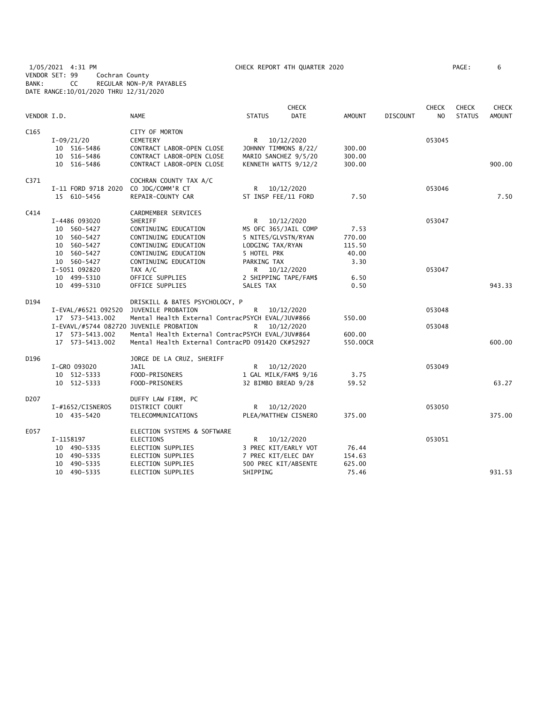1/05/2021 4:31 PM CHECK REPORT 4TH QUARTER 2020 PAGE: 6 VENDOR SET: 99 Cochran County BANK: CC REGULAR NON-P/R PAYABLES DATE RANGE:10/01/2020 THRU 12/31/2020

| VENDOR I.D.       |                                         | <b>NAME</b>                                      | <b>STATUS</b>         | <b>CHECK</b><br><b>DATE</b> | <b>AMOUNT</b> | <b>DISCOUNT</b> | <b>CHECK</b><br>N <sub>O</sub> | CHECK<br><b>STATUS</b> | <b>CHECK</b><br><b>AMOUNT</b> |
|-------------------|-----------------------------------------|--------------------------------------------------|-----------------------|-----------------------------|---------------|-----------------|--------------------------------|------------------------|-------------------------------|
| C <sub>165</sub>  |                                         | CITY OF MORTON                                   |                       |                             |               |                 |                                |                        |                               |
|                   | $I-09/21/20$                            | <b>CEMETERY</b>                                  | R.                    | 10/12/2020                  |               |                 | 053045                         |                        |                               |
|                   | 10 516-5486                             | CONTRACT LABOR-OPEN CLOSE                        |                       | JOHNNY TIMMONS 8/22/        | 300.00        |                 |                                |                        |                               |
|                   | 10 516-5486                             | CONTRACT LABOR-OPEN CLOSE                        |                       | MARIO SANCHEZ 9/5/20        | 300.00        |                 |                                |                        |                               |
|                   | 10 516-5486                             | CONTRACT LABOR-OPEN CLOSE                        |                       | KENNETH WATTS 9/12/2        | 300.00        |                 |                                |                        | 900.00                        |
| C371              |                                         | COCHRAN COUNTY TAX A/C                           |                       |                             |               |                 |                                |                        |                               |
|                   | I-11 FORD 9718 2020                     | CO JDG/COMM'R CT                                 | R                     | 10/12/2020                  |               |                 | 053046                         |                        |                               |
|                   | 15 610-5456                             | REPAIR-COUNTY CAR                                | ST INSP FEE/11 FORD   |                             | 7.50          |                 |                                |                        | 7.50                          |
| C414              |                                         | CARDMEMBER SERVICES                              |                       |                             |               |                 |                                |                        |                               |
|                   | I-4486 093020                           | SHERIFF                                          | R 10/12/2020          |                             |               |                 | 053047                         |                        |                               |
|                   | 10 560-5427                             | CONTINUING EDUCATION                             | MS OFC 365/JAIL COMP  |                             | 7.53          |                 |                                |                        |                               |
|                   | 10 560-5427                             | CONTINUING EDUCATION                             | 5 NITES/GLVSTN/RYAN   |                             | 770.00        |                 |                                |                        |                               |
|                   | 10 560-5427                             | CONTINUING EDUCATION                             | LODGING TAX/RYAN      |                             | 115.50        |                 |                                |                        |                               |
|                   | 10 560-5427                             | CONTINUING EDUCATION                             | 5 HOTEL PRK           |                             | 40.00         |                 |                                |                        |                               |
|                   | 10 560-5427                             | CONTINUING EDUCATION                             | PARKING TAX           |                             | 3.30          |                 |                                |                        |                               |
|                   | I-5051 092820                           | TAX A/C                                          | R 10/12/2020          |                             |               |                 | 053047                         |                        |                               |
|                   | 10 499-5310                             | OFFICE SUPPLIES                                  | 2 SHIPPING TAPE/FAM\$ |                             | 6.50          |                 |                                |                        |                               |
|                   | 10 499-5310                             | OFFICE SUPPLIES                                  | SALES TAX             |                             | 0.50          |                 |                                |                        | 943.33                        |
| D194              |                                         | DRISKILL & BATES PSYCHOLOGY, P                   |                       |                             |               |                 |                                |                        |                               |
|                   | I-EVAL/#6521 092520 JUVENILE PROBATION  |                                                  | $\mathsf{R}$          | 10/12/2020                  |               |                 | 053048                         |                        |                               |
|                   | 17  573-5413.002                        | Mental Health External ContracPSYCH EVAL/JUV#866 |                       |                             | 550.00        |                 |                                |                        |                               |
|                   | I-EVAVL/#5744 082720 JUVENILE PROBATION |                                                  | R                     | 10/12/2020                  |               |                 | 053048                         |                        |                               |
|                   | 17 573-5413.002                         | Mental Health External ContracPSYCH EVAL/JUV#864 |                       |                             | 600.00        |                 |                                |                        |                               |
|                   | 17  573-5413.002                        | Mental Health External ContracPD 091420 CK#52927 |                       |                             | 550.00CR      |                 |                                |                        | 600.00                        |
| D196              |                                         | JORGE DE LA CRUZ, SHERIFF                        |                       |                             |               |                 |                                |                        |                               |
|                   | I-GRO 093020                            | JAIL                                             | R 10/12/2020          |                             |               |                 | 053049                         |                        |                               |
|                   | 10 512-5333                             | FOOD-PRISONERS                                   | 1 GAL MILK/FAM\$ 9/16 |                             | 3.75          |                 |                                |                        |                               |
|                   | 10 512-5333                             | FOOD-PRISONERS                                   | 32 BIMBO BREAD 9/28   |                             | 59.52         |                 |                                |                        | 63.27                         |
| D <sub>2</sub> 07 |                                         | DUFFY LAW FIRM, PC                               |                       |                             |               |                 |                                |                        |                               |
|                   | I-#1652/CISNEROS                        | DISTRICT COURT                                   | R 10/12/2020          |                             |               |                 | 053050                         |                        |                               |
|                   | 10 435-5420                             | TELECOMMUNICATIONS                               |                       | PLEA/MATTHEW CISNERO        | 375.00        |                 |                                |                        | 375.00                        |
| E057              |                                         | ELECTION SYSTEMS & SOFTWARE                      |                       |                             |               |                 |                                |                        |                               |
|                   | I-1158197                               | ELECTIONS                                        | $\mathsf{R}$          | 10/12/2020                  |               |                 | 053051                         |                        |                               |
|                   | 10 490-5335                             | ELECTION SUPPLIES                                |                       | 3 PREC KIT/EARLY VOT        | 76.44         |                 |                                |                        |                               |
|                   | 10 490-5335                             | ELECTION SUPPLIES                                | 7 PREC KIT/ELEC DAY   |                             | 154.63        |                 |                                |                        |                               |
|                   | 10 490-5335                             | ELECTION SUPPLIES                                |                       | 500 PREC KIT/ABSENTE        | 625.00        |                 |                                |                        |                               |
|                   | 10 490-5335                             | ELECTION SUPPLIES                                | SHIPPING              |                             | 75.46         |                 |                                |                        | 931.53                        |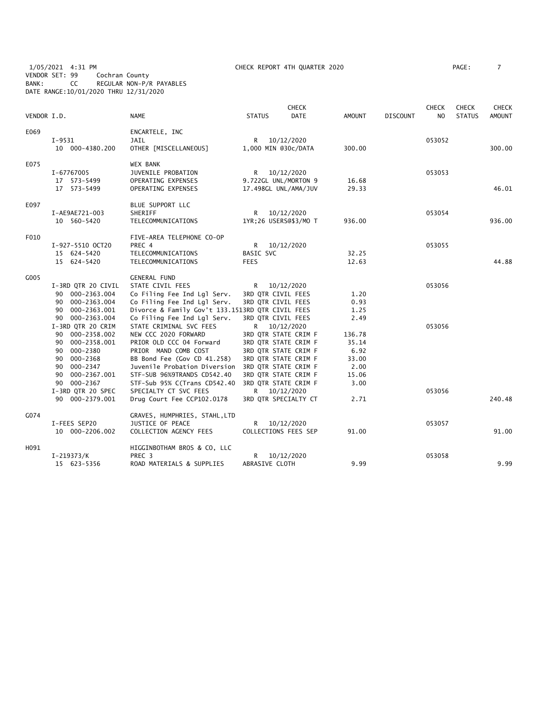1/05/2021 4:31 PM CHECK REPORT 4TH QUARTER 2020 PAGE: 7 VENDOR SET: 99 Cochran County BANK: CC REGULAR NON-P/R PAYABLES DATE RANGE:10/01/2020 THRU 12/31/2020

| VENDOR I.D. |                    | <b>NAME</b>                                      | <b>STATUS</b>       | <b>CHECK</b><br><b>DATE</b> | <b>AMOUNT</b> | <b>DISCOUNT</b> | <b>CHECK</b><br>N <sub>O</sub> | <b>CHECK</b><br><b>STATUS</b> | <b>CHECK</b><br><b>AMOUNT</b> |
|-------------|--------------------|--------------------------------------------------|---------------------|-----------------------------|---------------|-----------------|--------------------------------|-------------------------------|-------------------------------|
| E069        |                    | ENCARTELE, INC                                   |                     |                             |               |                 |                                |                               |                               |
|             | $I-9531$           | JAIL                                             | R —                 | 10/12/2020                  |               |                 | 053052                         |                               |                               |
|             | 10 000-4380.200    | OTHER [MISCELLANEOUS]                            | 1,000 MIN @30c/DATA |                             | 300.00        |                 |                                |                               | 300.00                        |
|             |                    |                                                  |                     |                             |               |                 |                                |                               |                               |
| E075        |                    | <b>WEX BANK</b>                                  |                     |                             |               |                 |                                |                               |                               |
|             | I-67767005         | JUVENILE PROBATION                               | R.                  | 10/12/2020                  |               |                 | 053053                         |                               |                               |
|             | 17 573-5499        | OPERATING EXPENSES                               |                     | 9.722GL UNL/MORTON 9        | 16.68         |                 |                                |                               |                               |
|             | 17 573-5499        | OPERATING EXPENSES                               |                     | 17.498GL UNL/AMA/JUV        | 29.33         |                 |                                |                               | 46.01                         |
| E097        |                    | BLUE SUPPORT LLC                                 |                     |                             |               |                 |                                |                               |                               |
|             | I-AE9AE721-003     | SHERIFF                                          | R.                  | 10/12/2020                  |               |                 | 053054                         |                               |                               |
|             | 10 560-5420        | TELECOMMUNICATIONS                               |                     | 1YR;26 USERS@\$3/MO T       | 936.00        |                 |                                |                               | 936.00                        |
| F010        |                    | FIVE-AREA TELEPHONE CO-OP                        |                     |                             |               |                 |                                |                               |                               |
|             | I-927-5510 OCT20   | PREC 4                                           | R <sub>a</sub>      | 10/12/2020                  |               |                 | 053055                         |                               |                               |
|             | 15 624-5420        | TELECOMMUNICATIONS                               | BASIC SVC           |                             | 32.25         |                 |                                |                               |                               |
|             | 15 624-5420        | TELECOMMUNICATIONS                               | <b>FEES</b>         |                             | 12.63         |                 |                                |                               | 44.88                         |
| G005        |                    | <b>GENERAL FUND</b>                              |                     |                             |               |                 |                                |                               |                               |
|             | I-3RD QTR 20 CIVIL | STATE CIVIL FEES                                 | R —                 | 10/12/2020                  |               |                 | 053056                         |                               |                               |
|             | 90 000-2363.004    | Co Filing Fee Ind Lgl Serv.                      | 3RD QTR CIVIL FEES  |                             | 1.20          |                 |                                |                               |                               |
|             | 90 000-2363.004    | Co Filing Fee Ind Lgl Serv.                      | 3RD QTR CIVIL FEES  |                             | 0.93          |                 |                                |                               |                               |
|             | 90 000-2363.001    | Divorce & Family Gov't 133.1513RD QTR CIVIL FEES |                     |                             | 1.25          |                 |                                |                               |                               |
|             | 90 000-2363.004    | Co Filing Fee Ind Lgl Serv.                      | 3RD QTR CIVIL FEES  |                             | 2.49          |                 |                                |                               |                               |
|             | I-3RD QTR 20 CRIM  | STATE CRIMINAL SVC FEES                          |                     | R 10/12/2020                |               |                 | 053056                         |                               |                               |
|             | 90 000-2358.002    | NEW CCC 2020 FORWARD                             |                     | 3RD QTR STATE CRIM F        | 136.78        |                 |                                |                               |                               |
|             | 90 000-2358.001    | PRIOR OLD CCC 04 Forward                         |                     | 3RD QTR STATE CRIM F        | 35.14         |                 |                                |                               |                               |
|             | 90 000-2380        | PRIOR MAND COMB COST                             |                     | 3RD QTR STATE CRIM F        | 6.92          |                 |                                |                               |                               |
|             | 90 000-2368        | BB Bond Fee (Gov CD 41.258)                      |                     | 3RD QTR STATE CRIM F        | 33.00         |                 |                                |                               |                               |
|             | 90 000-2347        | Juvenile Probation Diversion                     |                     | 3RD QTR STATE CRIM F        | 2.00          |                 |                                |                               |                               |
|             | 90 000-2367.001    | STF-SUB 96%9TRANDS CD542.40                      |                     | 3RD QTR STATE CRIM F        | 15.06         |                 |                                |                               |                               |
|             | 90 000-2367        | STF-Sub 95% C(Trans CD542.40                     |                     | 3RD QTR STATE CRIM F        | 3.00          |                 |                                |                               |                               |
|             | I-3RD QTR 20 SPEC  | SPECIALTY CT SVC FEES                            |                     | R 10/12/2020                |               |                 | 053056                         |                               |                               |
|             | 90 000-2379.001    | Drug Court Fee CCP102.0178                       |                     | 3RD QTR SPECIALTY CT        | 2.71          |                 |                                |                               | 240.48                        |
| G074        |                    | GRAVES, HUMPHRIES, STAHL, LTD                    |                     |                             |               |                 |                                |                               |                               |
|             | I-FEES SEP20       | JUSTICE OF PEACE                                 | R.                  | 10/12/2020                  |               |                 | 053057                         |                               |                               |
|             | 10 000-2206.002    | COLLECTION AGENCY FEES                           |                     | COLLECTIONS FEES SEP        | 91.00         |                 |                                |                               | 91.00                         |
| H091        |                    | HIGGINBOTHAM BROS & CO, LLC                      |                     |                             |               |                 |                                |                               |                               |
|             | I-219373/K         | PREC <sub>3</sub>                                | R                   | 10/12/2020                  |               |                 | 053058                         |                               |                               |
|             | 15 623-5356        | ROAD MATERIALS & SUPPLIES                        | ABRASIVE CLOTH      |                             | 9.99          |                 |                                |                               | 9.99                          |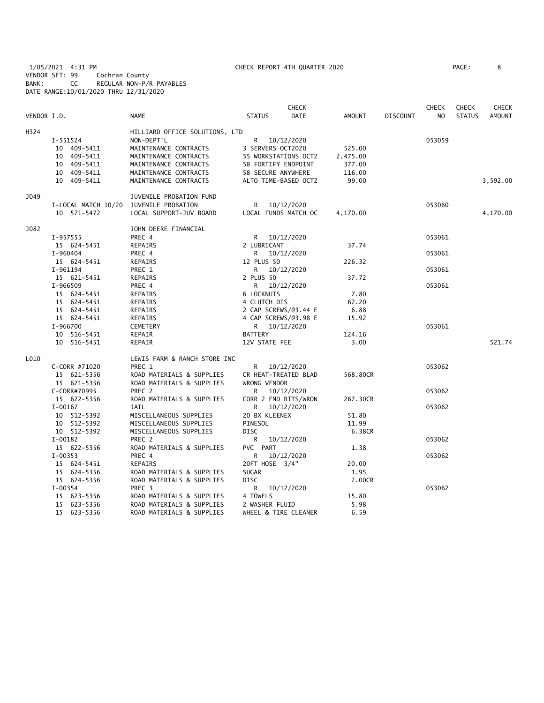1/05/2021 4:31 PM CHECK REPORT 4TH QUARTER 2020 PAGE: 8 VENDOR SET: 99 Cochran County BANK: CC REGULAR NON-P/R PAYABLES DATE RANGE:10/01/2020 THRU 12/31/2020

|             |                     |                                |                      | <b>CHECK</b>         |               |                 | <b>CHECK</b> | <b>CHECK</b>  | <b>CHECK</b> |
|-------------|---------------------|--------------------------------|----------------------|----------------------|---------------|-----------------|--------------|---------------|--------------|
| VENDOR I.D. |                     | <b>NAME</b>                    | <b>STATUS</b>        | DATE                 | <b>AMOUNT</b> | <b>DISCOUNT</b> | NO           | <b>STATUS</b> | AMOUNT       |
| H324        |                     | HILLIARD OFFICE SOLUTIONS, LTD |                      |                      |               |                 |              |               |              |
|             | I-551524            | NON-DEPT'L                     | R                    | 10/12/2020           |               |                 | 053059       |               |              |
|             | 10 409-5411         | MAINTENANCE CONTRACTS          | 3 SERVERS OCT2020    |                      | 525.00        |                 |              |               |              |
|             | 10 409-5411         | MAINTENANCE CONTRACTS          | 55 WORKSTATIONS OCT2 |                      | 2,475.00      |                 |              |               |              |
|             | 10 409-5411         | MAINTENANCE CONTRACTS          | 58 FORTIFY ENDPOINT  |                      | 377.00        |                 |              |               |              |
|             | 10 409-5411         | MAINTENANCE CONTRACTS          | 58 SECURE ANYWHERE   |                      | 116.00        |                 |              |               |              |
|             | 10 409-5411         | MAINTENANCE CONTRACTS          | ALTO TIME-BASED OCT2 |                      | 99.00         |                 |              |               | 3,592.00     |
| J049        |                     | JUVENILE PROBATION FUND        |                      |                      |               |                 |              |               |              |
|             | I-LOCAL MATCH 10/20 | JUVENILE PROBATION             | R                    | 10/12/2020           |               |                 | 053060       |               |              |
|             | 10 571-5472         | LOCAL SUPPORT-JUV BOARD        |                      | LOCAL FUNDS MATCH OC | 4,170.00      |                 |              |               | 4,170.00     |
| J082        |                     | JOHN DEERE FINANCIAL           |                      |                      |               |                 |              |               |              |
|             | I-957555            | PREC 4                         | R.                   | 10/12/2020           |               |                 | 053061       |               |              |
|             | 15 624-5451         | REPAIRS                        | 2 LUBRICANT          |                      | 37.74         |                 |              |               |              |
|             | I-960404            | PREC 4                         | R.                   | 10/12/2020           |               |                 | 053061       |               |              |
|             | 15 624-5451         | REPAIRS                        | 12 PLUS 50           |                      | 226.32        |                 |              |               |              |
|             | I-961194            | PREC 1                         | R                    | 10/12/2020           |               |                 | 053061       |               |              |
|             | 15 621-5451         | REPAIRS                        | 2 PLUS 50            |                      | 37.72         |                 |              |               |              |
|             | I-966509            | PREC 4                         | R.                   | 10/12/2020           |               |                 | 053061       |               |              |
|             | 15 624-5451         | REPAIRS                        | 6 LOCKNUTS           |                      | 7.80          |                 |              |               |              |
|             | 15 624-5451         | REPAIRS                        | 4 CLUTCH DIS         |                      | 62.20         |                 |              |               |              |
|             | 15 624-5451         | REPAIRS                        | 2 CAP SCREWS/03.44 E |                      | 6.88          |                 |              |               |              |
|             | 15 624-5451         | REPAIRS                        | 4 CAP SCREWS/@3.98 E |                      | 15.92         |                 |              |               |              |
|             | I-966700            | CEMETERY                       | R <sub>a</sub>       | 10/12/2020           |               |                 | 053061       |               |              |
|             | 10 516-5451         | REPAIR                         | <b>BATTERY</b>       |                      | 124.16        |                 |              |               |              |
|             | 10 516-5451         | REPAIR                         | 12V STATE FEE        |                      | 3.00          |                 |              |               | 521.74       |
| L010        |                     | LEWIS FARM & RANCH STORE INC   |                      |                      |               |                 |              |               |              |
|             | C-CORR #71020       | PREC 1                         | R.                   | 10/12/2020           |               |                 | 053062       |               |              |
|             | 15 621-5356         | ROAD MATERIALS & SUPPLIES      | CR HEAT-TREATED BLAD |                      | 568.80CR      |                 |              |               |              |
|             | 15 621-5356         | ROAD MATERIALS & SUPPLIES      | WRONG VENDOR         |                      |               |                 |              |               |              |
|             | C-CORR#70995        | PREC 2                         | R                    | 10/12/2020           |               |                 | 053062       |               |              |
|             | 15 622-5356         | ROAD MATERIALS & SUPPLIES      | CORR 2 END BITS/WRON |                      | 267.30CR      |                 |              |               |              |
|             | $I-00167$           | JAIL                           | R                    | 10/12/2020           |               |                 | 053062       |               |              |
|             | 10 512-5392         | MISCELLANEOUS SUPPLIES         | 20 BX KLEENEX        |                      | 51.80         |                 |              |               |              |
|             | 10 512-5392         | MISCELLANEOUS SUPPLIES         | PINESOL              |                      | 11.99         |                 |              |               |              |
|             | 10 512-5392         | MISCELLANEOUS SUPPLIES         | <b>DISC</b>          |                      | 6.38CR        |                 |              |               |              |
|             | $I-00182$           | PREC <sub>2</sub>              | R                    | 10/12/2020           |               |                 | 053062       |               |              |
|             | 15 622-5356         | ROAD MATERIALS & SUPPLIES      | PVC PART             |                      | 1.38          |                 |              |               |              |
|             | $I-00353$           | PREC 4                         | R                    | 10/12/2020           |               |                 | 053062       |               |              |
|             | 15 624-5451         | REPAIRS                        | 20FT HOSE 3/4"       |                      | 20.00         |                 |              |               |              |
|             | 15 624-5356         | ROAD MATERIALS & SUPPLIES      | <b>SUGAR</b>         |                      | 1.95          |                 |              |               |              |
|             | 15 624-5356         | ROAD MATERIALS & SUPPLIES      | <b>DISC</b>          |                      | 2.00CR        |                 |              |               |              |
|             | $I-00354$           | PREC 3                         | R                    | 10/12/2020           |               |                 | 053062       |               |              |
|             | 15 623-5356         | ROAD MATERIALS & SUPPLIES      | 4 TOWELS             |                      | 15.80         |                 |              |               |              |
|             | 15 623-5356         | ROAD MATERIALS & SUPPLIES      | 2 WASHER FLUID       |                      | 5.98          |                 |              |               |              |
|             | 15 623-5356         | ROAD MATERIALS & SUPPLIES      | WHEEL & TIRE CLEANER |                      | 6.59          |                 |              |               |              |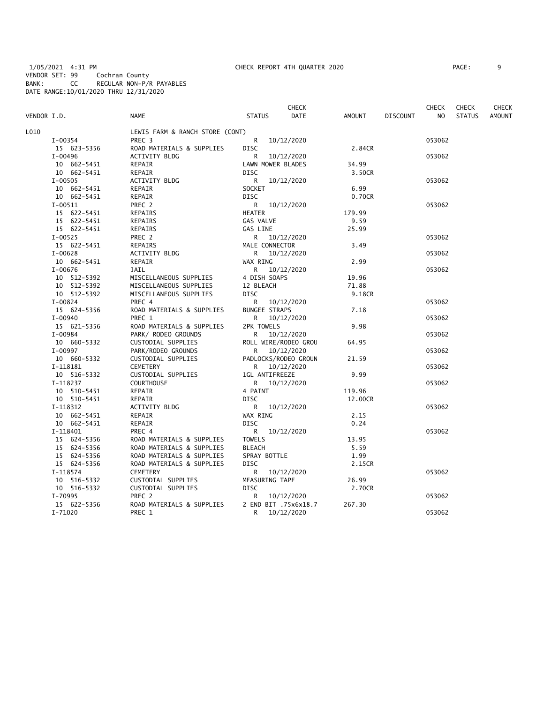1/05/2021 4:31 PM CHECK REPORT 4TH QUARTER 2020 PAGE: 9 VENDOR SET: 99 Cochran County BANK: CC REGULAR NON-P/R PAYABLES DATE RANGE:10/01/2020 THRU 12/31/2020

| AGE: |  |
|------|--|
|      |  |

|             |             |                                 |                      | <b>CHECK</b>         |               |                 | <b>CHECK</b>   | <b>CHECK</b>  | CHECK         |
|-------------|-------------|---------------------------------|----------------------|----------------------|---------------|-----------------|----------------|---------------|---------------|
| VENDOR I.D. |             | <b>NAME</b>                     | <b>STATUS</b>        | DATE                 | <b>AMOUNT</b> | <b>DISCOUNT</b> | N <sub>O</sub> | <b>STATUS</b> | <b>AMOUNT</b> |
| L010        |             | LEWIS FARM & RANCH STORE (CONT) |                      |                      |               |                 |                |               |               |
|             | I-00354     | PREC <sub>3</sub>               | R                    | 10/12/2020           |               |                 | 053062         |               |               |
|             | 15 623-5356 | ROAD MATERIALS & SUPPLIES       | <b>DISC</b>          |                      | 2.84CR        |                 |                |               |               |
|             | $I-00496$   | ACTIVITY BLDG                   | R                    | 10/12/2020           |               |                 | 053062         |               |               |
|             | 10 662-5451 | REPAIR                          | LAWN MOWER BLADES    |                      | 34.99         |                 |                |               |               |
|             | 10 662-5451 | REPAIR                          | <b>DISC</b>          |                      | 3.50CR        |                 |                |               |               |
|             | $I-00505$   | ACTIVITY BLDG                   | R                    | 10/12/2020           |               |                 | 053062         |               |               |
|             | 10 662-5451 | REPAIR                          | SOCKET               |                      | 6.99          |                 |                |               |               |
|             | 10 662-5451 | REPAIR                          | <b>DISC</b>          |                      | 0.70CR        |                 |                |               |               |
|             | I-00511     | PREC 2                          |                      | R 10/12/2020         |               |                 | 053062         |               |               |
|             | 15 622-5451 | <b>REPAIRS</b>                  | <b>HEATER</b>        |                      | 179.99        |                 |                |               |               |
|             | 15 622-5451 | REPAIRS                         | GAS VALVE            |                      | 9.59          |                 |                |               |               |
|             | 15 622-5451 | <b>REPAIRS</b>                  | GAS LINE             |                      | 25.99         |                 |                |               |               |
|             | $I-00525$   | PREC 2                          |                      | R 10/12/2020         |               |                 | 053062         |               |               |
|             | 15 622-5451 | REPAIRS                         | MALE CONNECTOR       |                      | 3.49          |                 |                |               |               |
|             | $I-00628$   | ACTIVITY BLDG                   |                      | R 10/12/2020         |               |                 | 053062         |               |               |
|             | 10 662-5451 | REPAIR                          | WAX RING             |                      | 2.99          |                 |                |               |               |
|             | $I-00676$   | JAIL                            | R.                   | 10/12/2020           |               |                 | 053062         |               |               |
|             | 10 512-5392 | MISCELLANEOUS SUPPLIES          | 4 DISH SOAPS         |                      | 19.96         |                 |                |               |               |
|             | 10 512-5392 | MISCELLANEOUS SUPPLIES          | 12 BLEACH            |                      | 71.88         |                 |                |               |               |
|             | 10 512-5392 | MISCELLANEOUS SUPPLIES          | <b>DISC</b>          |                      | 9.18CR        |                 |                |               |               |
|             | $I-00824$   | PREC 4                          | R                    | 10/12/2020           |               |                 | 053062         |               |               |
|             | 15 624-5356 | ROAD MATERIALS & SUPPLIES       | <b>BUNGEE STRAPS</b> |                      | 7.18          |                 |                |               |               |
|             | I-00940     | PREC 1                          | R                    | 10/12/2020           |               |                 | 053062         |               |               |
|             | 15 621-5356 | ROAD MATERIALS & SUPPLIES       | 2PK TOWELS           |                      | 9.98          |                 |                |               |               |
|             | I-00984     | PARK/ RODEO GROUNDS             |                      | R 10/12/2020         |               |                 | 053062         |               |               |
|             | 10 660-5332 | CUSTODIAL SUPPLIES              |                      | ROLL WIRE/RODEO GROU | 64.95         |                 |                |               |               |
|             | I-00997     | PARK/RODEO GROUNDS              |                      | R 10/12/2020         |               |                 | 053062         |               |               |
|             | 10 660-5332 | CUSTODIAL SUPPLIES              |                      | PADLOCKS/RODEO GROUN | 21.59         |                 |                |               |               |
|             | I-118181    | <b>CEMETERY</b>                 |                      | R 10/12/2020         |               |                 | 053062         |               |               |
|             | 10 516-5332 | CUSTODIAL SUPPLIES              | 1GL ANTIFREEZE       |                      | 9.99          |                 |                |               |               |
|             | I-118237    | <b>COURTHOUSE</b>               |                      | R 10/12/2020         |               |                 | 053062         |               |               |
|             | 10 510-5451 | REPAIR                          | 4 PAINT              |                      | 119.96        |                 |                |               |               |
|             | 10 510-5451 | REPAIR                          | <b>DISC</b>          |                      | 12.00CR       |                 |                |               |               |
|             | I-118312    | ACTIVITY BLDG                   | R                    | 10/12/2020           |               |                 | 053062         |               |               |
|             | 10 662-5451 | REPAIR                          | WAX RING             |                      | 2.15          |                 |                |               |               |
|             | 10 662-5451 | REPAIR                          | <b>DISC</b>          |                      | 0.24          |                 |                |               |               |
|             | I-118401    | PREC 4                          | R                    | 10/12/2020           |               |                 | 053062         |               |               |
|             | 15 624-5356 | ROAD MATERIALS & SUPPLIES       | <b>TOWELS</b>        |                      | 13.95         |                 |                |               |               |
|             | 15 624-5356 | ROAD MATERIALS & SUPPLIES       | <b>BLEACH</b>        |                      | 5.59          |                 |                |               |               |
|             | 15 624-5356 | ROAD MATERIALS & SUPPLIES       | SPRAY BOTTLE         |                      | 1.99          |                 |                |               |               |
|             | 15 624-5356 | ROAD MATERIALS & SUPPLIES       | <b>DISC</b>          |                      | 2.15CR        |                 |                |               |               |
|             | I-118574    | <b>CEMETERY</b>                 | R                    | 10/12/2020           |               |                 | 053062         |               |               |
|             | 10 516-5332 | CUSTODIAL SUPPLIES              | MEASURING TAPE       |                      | 26.99         |                 |                |               |               |
|             | 10 516-5332 | CUSTODIAL SUPPLIES              | <b>DISC</b>          |                      | 2.70CR        |                 |                |               |               |
|             | I-70995     | PREC 2                          | R                    | 10/12/2020           |               |                 | 053062         |               |               |
|             | 15 622-5356 | ROAD MATERIALS & SUPPLIES       |                      | 2 END BIT .75x6x18.7 | 267.30        |                 |                |               |               |
|             | $I - 71020$ | PREC 1                          | R.                   | 10/12/2020           |               |                 | 053062         |               |               |
|             |             |                                 |                      |                      |               |                 |                |               |               |
|             |             |                                 |                      |                      |               |                 |                |               |               |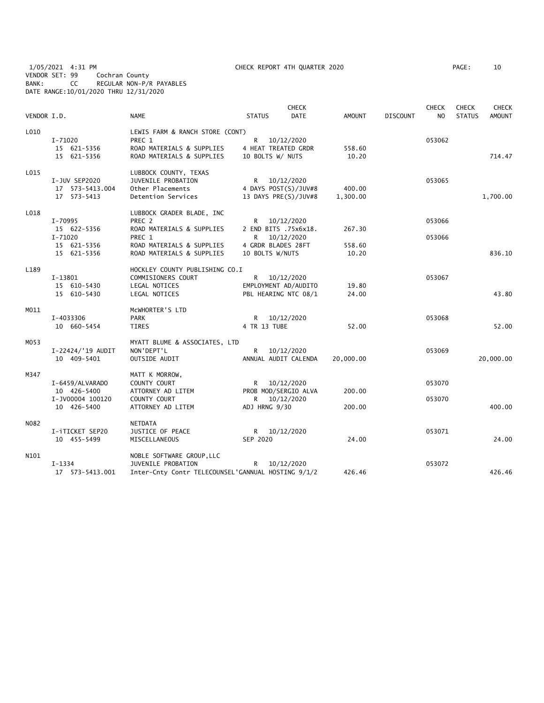1/05/2021 4:31 PM CHECK REPORT 4TH QUARTER 2020 PAGE: 10 VENDOR SET: 99 Cochran County BANK: CC REGULAR NON-P/R PAYABLES DATE RANGE:10/01/2020 THRU 12/31/2020

| VENDOR I.D. |                                                      | <b>NAME</b>                                                                                             | <b>STATUS</b>                                 | <b>CHECK</b><br><b>DATE</b>                                  | AMOUNT             | <b>DISCOUNT</b> | <b>CHECK</b><br>N <sub>O</sub> | <b>CHECK</b><br><b>STATUS</b> | <b>CHECK</b><br><b>AMOUNT</b> |
|-------------|------------------------------------------------------|---------------------------------------------------------------------------------------------------------|-----------------------------------------------|--------------------------------------------------------------|--------------------|-----------------|--------------------------------|-------------------------------|-------------------------------|
| L010        | $I - 71020$<br>15 621-5356<br>15 621-5356            | LEWIS FARM & RANCH STORE (CONT)<br>PREC 1<br>ROAD MATERIALS & SUPPLIES<br>ROAD MATERIALS & SUPPLIES     | R.<br>4 HEAT TREATED GRDR<br>10 BOLTS W/ NUTS | 10/12/2020                                                   | 558.60<br>10.20    |                 | 053062                         |                               | 714.47                        |
| L015        | I-JUV SEP2020<br>17  573-5413.004<br>17 573-5413     | LUBBOCK COUNTY, TEXAS<br><b>JUVENILE PROBATION</b><br>Other Placements<br>Detention Services            |                                               | R 10/12/2020<br>4 DAYS POST(S)/JUV#8<br>13 DAYS PRE(S)/JUV#8 | 400.00<br>1,300.00 |                 | 053065                         |                               | 1,700.00                      |
| L018        | I-70995<br>15 622-5356<br>$I - 71020$<br>15 621-5356 | LUBBOCK GRADER BLADE, INC<br>PREC 2<br>ROAD MATERIALS & SUPPLIES<br>PREC 1<br>ROAD MATERIALS & SUPPLIES | R<br>4 GRDR BLADES 28FT                       | R 10/12/2020<br>2 END BITS .75x6x18.<br>10/12/2020           | 267.30<br>558.60   |                 | 053066<br>053066               |                               |                               |
|             | 15 621-5356                                          | ROAD MATERIALS & SUPPLIES                                                                               | 10 BOLTS W/NUTS                               |                                                              | 10.20              |                 |                                |                               | 836.10                        |
| L189        | I-13801<br>15 610-5430<br>15 610-5430                | HOCKLEY COUNTY PUBLISHING CO.I<br>COMMISIONERS COURT<br>LEGAL NOTICES<br>LEGAL NOTICES                  |                                               | R 10/12/2020<br>EMPLOYMENT AD/AUDITO<br>PBL HEARING NTC 08/1 | 19.80<br>24.00     |                 | 053067                         |                               | 43.80                         |
| M011        | I-4033306<br>10 660-5454                             | MCWHORTER'S LTD<br><b>PARK</b><br><b>TIRES</b>                                                          | R<br>4 TR 13 TUBE                             | 10/12/2020                                                   | 52.00              |                 | 053068                         |                               | 52.00                         |
| MO53        | I-22424/'19 AUDIT<br>10 409-5401                     | MYATT BLUME & ASSOCIATES, LTD<br>NON'DEPT'L<br>OUTSIDE AUDIT                                            |                                               | R 10/12/2020<br>ANNUAL AUDIT CALENDA                         | 20,000.00          |                 | 053069                         |                               | 20,000.00                     |
| M347        | I-6459/ALVARADO<br>10 426-5400<br>I-JV00004 100120   | MATT K MORROW,<br>COUNTY COURT<br>ATTORNEY AD LITEM<br>COUNTY COURT                                     |                                               | R 10/12/2020<br>PROB MOD/SERGIO ALVA<br>R 10/12/2020         | 200.00             |                 | 053070<br>053070               |                               |                               |
|             | 10 426-5400                                          | ATTORNEY AD LITEM                                                                                       | ADJ HRNG 9/30                                 |                                                              | 200.00             |                 |                                |                               | 400.00                        |
| N082        | I-iTICKET SEP20<br>10 455-5499                       | NETDATA<br>JUSTICE OF PEACE<br>MISCELLANEOUS                                                            | SEP 2020                                      | R 10/12/2020                                                 | 24.00              |                 | 053071                         |                               | 24.00                         |
| N101        | $I - 1334$<br>17  573-5413.001                       | NOBLE SOFTWARE GROUP, LLC<br>JUVENILE PROBATION<br>Inter-Cnty Contr TELECOUNSEL'GANNUAL HOSTING 9/1/2   |                                               | R 10/12/2020                                                 | 426.46             |                 | 053072                         |                               | 426.46                        |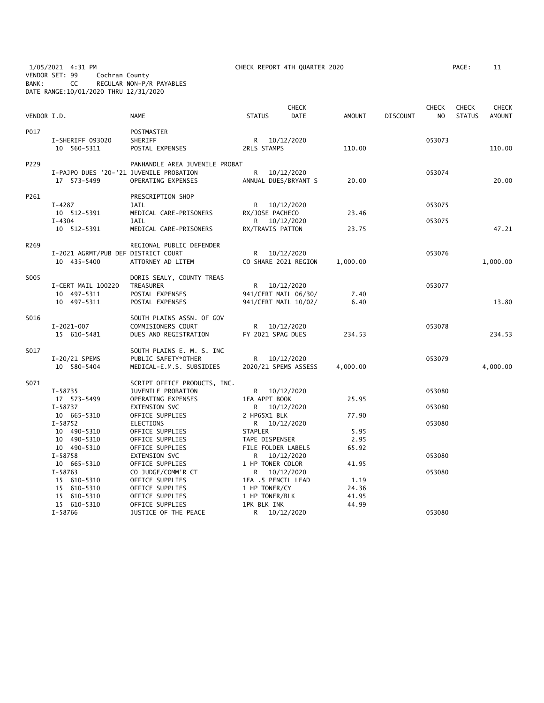1/05/2021 4:31 PM CHECK REPORT 4TH QUARTER 2020 PAGE: 11 VENDOR SET: 99 Cochran County BANK: CC REGULAR NON-P/R PAYABLES DATE RANGE:10/01/2020 THRU 12/31/2020

| AGE : |  |  |
|-------|--|--|
|       |  |  |

| VENDOR I.D.      |                                                        | <b>NAME</b>                                                                  | <b>STATUS</b>                                           | <b>CHECK</b><br><b>DATE</b>                                  | AMOUNT                 | <b>DISCOUNT</b> | <b>CHECK</b><br>NO. | <b>CHECK</b><br><b>STATUS</b> | <b>CHECK</b><br>AMOUNT |
|------------------|--------------------------------------------------------|------------------------------------------------------------------------------|---------------------------------------------------------|--------------------------------------------------------------|------------------------|-----------------|---------------------|-------------------------------|------------------------|
| P017             | I-SHERIFF 093020<br>10 560-5311                        | POSTMASTER<br>SHERIFF<br>POSTAL EXPENSES                                     | 2RLS STAMPS                                             | R 10/12/2020                                                 | 110.00                 |                 | 053073              |                               | 110.00                 |
| P229             | I-PAJPO DUES '20-'21 JUVENILE PROBATION<br>17 573-5499 | PANHANDLE AREA JUVENILE PROBAT<br>OPERATING EXPENSES                         | $R_{\perp}$                                             | 10/12/2020<br>ANNUAL DUES/BRYANT S                           | 20.00                  |                 | 053074              |                               | 20.00                  |
| P261             | $I-4287$                                               | PRESCRIPTION SHOP<br>JAIL                                                    |                                                         | R 10/12/2020                                                 |                        |                 | 053075              |                               |                        |
|                  | 10 512-5391<br>$I - 4304$                              | MEDICAL CARE-PRISONERS<br>JAIL                                               | RX/JOSE PACHECO                                         | R 10/12/2020                                                 | 23.46                  |                 | 053075              |                               |                        |
|                  | 10 512-5391                                            | MEDICAL CARE-PRISONERS                                                       | RX/TRAVIS PATTON                                        |                                                              | 23.75                  |                 |                     |                               | 47.21                  |
| R <sub>269</sub> | I-2021 AGRMT/PUB DEF DISTRICT COURT<br>10 435-5400     | REGIONAL PUBLIC DEFENDER<br>ATTORNEY AD LITEM                                |                                                         | R 10/12/2020<br>CO SHARE 2021 REGION                         | 1,000.00               |                 | 053076              |                               | 1,000.00               |
| S005             | I-CERT MAIL 100220<br>10 497-5311<br>10 497-5311       | DORIS SEALY, COUNTY TREAS<br>TREASURER<br>POSTAL EXPENSES<br>POSTAL EXPENSES |                                                         | R 10/12/2020<br>941/CERT MAIL 06/30/<br>941/CERT MAIL 10/02/ | 7.40<br>6.40           |                 | 053077              |                               | 13.80                  |
| S016             | $I-2021-007$<br>15 610-5481                            | SOUTH PLAINS ASSN. OF GOV<br>COMMISIONERS COURT<br>DUES AND REGISTRATION     | FY 2021 SPAG DUES                                       | R 10/12/2020                                                 | 234.53                 |                 | 053078              |                               | 234.53                 |
| S017             | I-20/21 SPEMS<br>10 580-5404                           | SOUTH PLAINS E. M. S. INC<br>PUBLIC SAFETY*OTHER<br>MEDICAL-E.M.S. SUBSIDIES |                                                         | R 10/12/2020<br>2020/21 SPEMS ASSESS                         | 4,000.00               |                 | 053079              |                               | 4,000.00               |
| S071             |                                                        | SCRIPT OFFICE PRODUCTS, INC.                                                 |                                                         |                                                              |                        |                 |                     |                               |                        |
|                  | I-58735<br>17 573-5499                                 | JUVENILE PROBATION<br>OPERATING EXPENSES                                     | 1EA APPT BOOK                                           | R 10/12/2020                                                 | 25.95                  |                 | 053080              |                               |                        |
|                  | $I-58737$<br>10 665-5310                               | EXTENSION SVC<br>OFFICE SUPPLIES                                             | 2 HP65X1 BLK                                            | R 10/12/2020                                                 | 77.90                  |                 | 053080              |                               |                        |
|                  | $I - 58752$<br>10 490-5310<br>10 490-5310              | ELECTIONS<br>OFFICE SUPPLIES<br>OFFICE SUPPLIES                              | <b>STAPLER</b><br>TAPE DISPENSER                        | R 10/12/2020                                                 | 5.95<br>2.95           |                 | 053080              |                               |                        |
|                  | 10 490-5310<br>$I - 58758$                             | OFFICE SUPPLIES<br><b>EXTENSION SVC</b>                                      | FILE FOLDER LABELS                                      | R 10/12/2020                                                 | 65.92                  |                 | 053080              |                               |                        |
|                  | 10 665-5310<br>$I-58763$<br>15 610-5310<br>15 610-5310 | OFFICE SUPPLIES<br>CO JUDGE/COMM'R CT<br>OFFICE SUPPLIES<br>OFFICE SUPPLIES  | 1 HP TONER COLOR<br>1EA .5 PENCIL LEAD<br>1 HP TONER/CY | R 10/12/2020                                                 | 41.95<br>1.19<br>24.36 |                 | 053080              |                               |                        |
|                  | 15 610-5310<br>15 610-5310                             | OFFICE SUPPLIES<br>OFFICE SUPPLIES                                           | 1 HP TONER/BLK<br>1PK BLK INK                           |                                                              | 41.95<br>44.99         |                 |                     |                               |                        |
|                  | $I - 58766$                                            | JUSTICE OF THE PEACE                                                         |                                                         | R 10/12/2020                                                 |                        |                 | 053080              |                               |                        |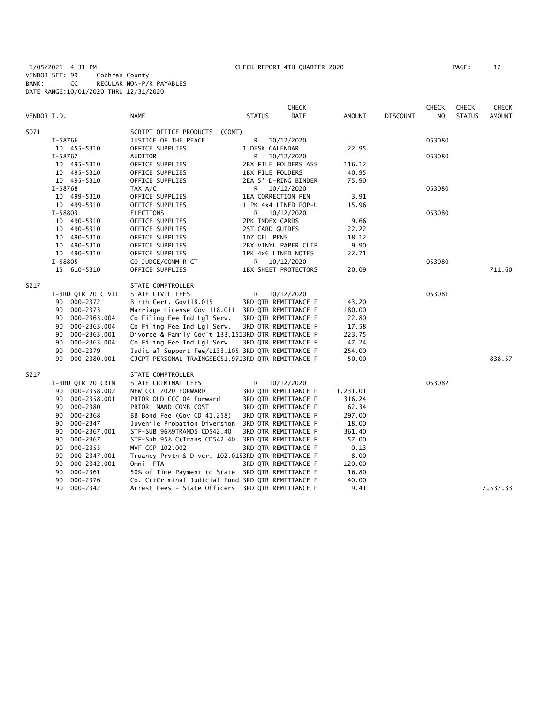1/05/2021 4:31 PM CHECK REPORT 4TH QUARTER 2020 PAGE: 12 VENDOR SET: 99 Cochran County BANK: CC REGULAR NON-P/R PAYABLES DATE RANGE:10/01/2020 THRU 12/31/2020

|             |                    |                                                    |                  | <b>CHECK</b>         |          |                 | <b>CHECK</b> | <b>CHECK</b>  | <b>CHECK</b>  |
|-------------|--------------------|----------------------------------------------------|------------------|----------------------|----------|-----------------|--------------|---------------|---------------|
| VENDOR I.D. |                    | NAME                                               | <b>STATUS</b>    | DATE                 | AMOUNT   | <b>DISCOUNT</b> | NO.          | <b>STATUS</b> | <b>AMOUNT</b> |
| S071        |                    | SCRIPT OFFICE PRODUCTS (CONT)                      |                  |                      |          |                 |              |               |               |
|             | I-58766            | JUSTICE OF THE PEACE                               | R                | 10/12/2020           |          |                 | 053080       |               |               |
|             | 10 455-5310        | OFFICE SUPPLIES                                    | 1 DESK CALENDAR  |                      | 22.95    |                 |              |               |               |
|             | I-58767            | AUDITOR                                            | R.               | 10/12/2020           |          |                 | 053080       |               |               |
|             | 10 495-5310        | OFFICE SUPPLIES                                    |                  | 2BX FILE FOLDERS ASS | 116.12   |                 |              |               |               |
|             | 10 495-5310        | OFFICE SUPPLIES                                    | 1BX FILE FOLDERS |                      | 40.95    |                 |              |               |               |
|             | 10 495-5310        | OFFICE SUPPLIES                                    |                  | 2EA 5' D-RING BINDER | 75.90    |                 |              |               |               |
|             | I-58768            | TAX A/C                                            | R <sub>a</sub>   | 10/12/2020           |          |                 | 053080       |               |               |
|             | 10 499-5310        | OFFICE SUPPLIES                                    |                  | 1EA CORRECTION PEN   | 3.91     |                 |              |               |               |
|             | 10 499-5310        | OFFICE SUPPLIES                                    |                  | 1 PK 4x4 LINED POP-U | 15.96    |                 |              |               |               |
|             | $I - 58803$        | ELECTIONS                                          |                  | R 10/12/2020         |          |                 | 053080       |               |               |
|             | 10 490-5310        | OFFICE SUPPLIES                                    | 2PK INDEX CARDS  |                      | 9.66     |                 |              |               |               |
|             | 10 490-5310        | OFFICE SUPPLIES                                    | 2ST CARD GUIDES  |                      | 22.22    |                 |              |               |               |
|             | 10 490-5310        | OFFICE SUPPLIES                                    | 1DZ GEL PENS     |                      | 18.12    |                 |              |               |               |
|             | 10 490-5310        | OFFICE SUPPLIES                                    |                  | 2BX VINYL PAPER CLIP | 9.90     |                 |              |               |               |
|             | 10 490-5310        | OFFICE SUPPLIES                                    |                  | 1PK 4x6 LINED NOTES  | 22.71    |                 |              |               |               |
|             | I-58805            | CO JUDGE/COMM'R CT                                 |                  | R 10/12/2020         |          |                 | 053080       |               |               |
|             | 15 610-5310        | OFFICE SUPPLIES                                    |                  | 1BX SHEET PROTECTORS | 20.09    |                 |              |               | 711.60        |
| S217        |                    | STATE COMPTROLLER                                  |                  |                      |          |                 |              |               |               |
|             | I-3RD QTR 20 CIVIL | STATE CIVIL FEES                                   | R                | 10/12/2020           |          |                 | 053081       |               |               |
|             | 90 000-2372        | Birth Cert. Gov118.015                             |                  | 3RD QTR REMITTANCE F | 43.20    |                 |              |               |               |
|             | 000-2373<br>90     | Marriage License Gov 118.011 3RD QTR REMITTANCE F  |                  |                      | 180.00   |                 |              |               |               |
|             | 000-2363.004<br>90 | Co Filing Fee Ind Lgl Serv.                        |                  | 3RD QTR REMITTANCE F | 22.80    |                 |              |               |               |
|             | 000-2363.004<br>90 | Co Filing Fee Ind Lgl Serv.                        |                  | 3RD QTR REMITTANCE F | 17.58    |                 |              |               |               |
|             | 000-2363.001<br>90 | Divorce & Family Gov't 133.1513RD QTR REMITTANCE F |                  |                      | 223.75   |                 |              |               |               |
|             | 000-2363.004<br>90 | Co Filing Fee Ind Lgl Serv.                        |                  | 3RD QTR REMITTANCE F | 47.24    |                 |              |               |               |
|             | 90<br>000-2379     | Judicial Support Fee/L133.105 3RD QTR REMITTANCE F |                  |                      | 254.00   |                 |              |               |               |
|             | 000-2380.001<br>90 | CJCPT PERSONAL TRAINGSEC51.9713RD QTR REMITTANCE F |                  |                      | 50.00    |                 |              |               | 838.57        |
| S217        |                    | STATE COMPTROLLER                                  |                  |                      |          |                 |              |               |               |
|             | I-3RD QTR 20 CRIM  | STATE CRIMINAL FEES                                | R                | 10/12/2020           |          |                 | 053082       |               |               |
|             | 90 000-2358.002    | NEW CCC 2020 FORWARD                               |                  | 3RD QTR REMITTANCE F | 1,231.01 |                 |              |               |               |
|             | 000-2358.001<br>90 | PRIOR OLD CCC 04 Forward                           |                  | 3RD QTR REMITTANCE F | 316.24   |                 |              |               |               |
|             | 000-2380<br>90     | PRIOR MAND COMB COST                               |                  | 3RD QTR REMITTANCE F | 62.34    |                 |              |               |               |
|             | 000-2368<br>90     | BB Bond Fee (Gov CD 41.258)                        |                  | 3RD QTR REMITTANCE F | 297.00   |                 |              |               |               |
|             | 000-2347<br>90     | Juvenile Probation Diversion                       |                  | 3RD QTR REMITTANCE F | 18.00    |                 |              |               |               |
|             | 000-2367.001<br>90 | STF-SUB 96%9TRANDS CD542.40                        |                  | 3RD QTR REMITTANCE F | 361.40   |                 |              |               |               |
|             | $000 - 2367$<br>90 | STF-Sub 95% C(Trans CD542.40                       |                  | 3RD QTR REMITTANCE F | 57.00    |                 |              |               |               |
|             | 90<br>$000 - 2355$ | MVF CCP 102.002                                    |                  | 3RD QTR REMITTANCE F | 0.13     |                 |              |               |               |
|             | 90<br>000-2347.001 | Truancy Prvtn & Diver. 102.0153RD QTR REMITTANCE F |                  |                      | 8.00     |                 |              |               |               |
|             | 000-2342.001<br>90 | Omni FTA                                           |                  | 3RD QTR REMITTANCE F | 120.00   |                 |              |               |               |
|             | 000-2361<br>90     | 50% of Time Payment to State 3RD QTR REMITTANCE F  |                  |                      | 16.80    |                 |              |               |               |
|             | 000-2376<br>90     | Co. CrtCriminal Judicial Fund 3RD QTR REMITTANCE F |                  |                      | 40.00    |                 |              |               |               |
|             | $000 - 2342$<br>90 | Arrest Fees - State Officers 3RD QTR REMITTANCE F  |                  |                      | 9.41     |                 |              |               | 2,537.33      |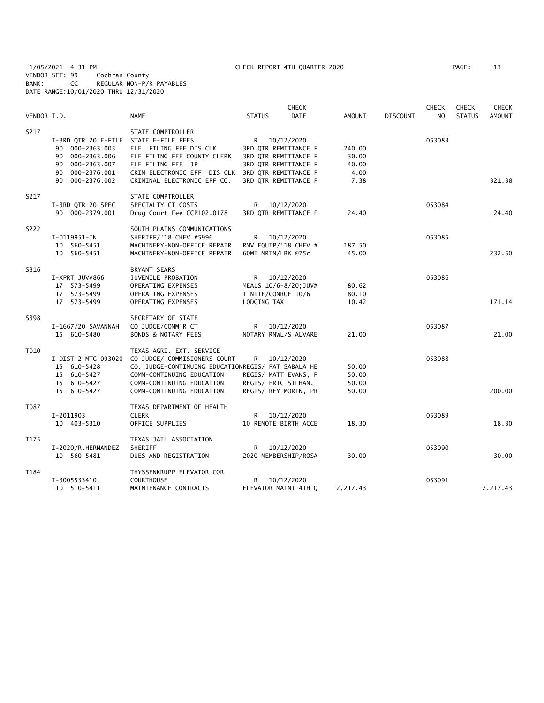1/05/2021 4:31 PM CHECK REPORT 4TH QUARTER 2020 PAGE: 13 VENDOR SET: 99 Cochran County BANK: CC REGULAR NON-P/R PAYABLES DATE RANGE:10/01/2020 THRU 12/31/2020

| VENDOR I.D. |                                                                                                                                         | <b>NAME</b>                                                                                                                                                                                           | <b>STATUS</b>                                                                                                                        | <b>CHECK</b><br><b>DATE</b> | <b>AMOUNT</b>                            | <b>DISCOUNT</b> | <b>CHECK</b><br>N <sub>O</sub> | <b>CHECK</b><br><b>STATUS</b> | <b>CHECK</b><br><b>AMOUNT</b> |
|-------------|-----------------------------------------------------------------------------------------------------------------------------------------|-------------------------------------------------------------------------------------------------------------------------------------------------------------------------------------------------------|--------------------------------------------------------------------------------------------------------------------------------------|-----------------------------|------------------------------------------|-----------------|--------------------------------|-------------------------------|-------------------------------|
| S217        | I-3RD QTR 20 E-FILE STATE E-FILE FEES<br>90 000-2363.005<br>90 000-2363.006<br>90 000-2363.007<br>000-2376.001<br>90<br>90 000-2376.002 | STATE COMPTROLLER<br>ELE. FILING FEE DIS CLK<br>ELE FILING FEE COUNTY CLERK<br>ELE FILING FEE JP<br>CRIM ELECTRONIC EFF DIS CLK<br>CRIMINAL ELECTRONIC EFF CO.                                        | R 10/12/2020<br>3RD QTR REMITTANCE F<br>3RD QTR REMITTANCE F<br>3RD QTR REMITTANCE F<br>3RD QTR REMITTANCE F<br>3RD QTR REMITTANCE F |                             | 240.00<br>30.00<br>40.00<br>4.00<br>7.38 |                 | 053083                         |                               | 321.38                        |
| S217        | I-3RD QTR 20 SPEC<br>90 000-2379.001                                                                                                    | STATE COMPTROLLER<br>SPECIALTY CT COSTS<br>Drug Court Fee CCP102.0178                                                                                                                                 | R 10/12/2020<br>3RD QTR REMITTANCE F                                                                                                 |                             | 24.40                                    |                 | 053084                         |                               | 24.40                         |
| S222        | I-0119951-IN<br>10 560-5451<br>10 560-5451                                                                                              | SOUTH PLAINS COMMUNICATIONS<br>SHERIFF/'18 CHEV #5996<br>MACHINERY-NON-OFFICE REPAIR<br>MACHINERY-NON-OFFICE REPAIR                                                                                   | R 10/12/2020<br>RMV EQUIP/'18 CHEV #<br>60MI MRTN/LBK @75c                                                                           |                             | 187.50<br>45.00                          |                 | 053085                         |                               | 232.50                        |
| S316        | I-XPRT JUV#866<br>17 573-5499<br>17 573-5499<br>17 573-5499                                                                             | BRYANT SEARS<br>JUVENILE PROBATION<br>OPERATING EXPENSES<br>OPERATING EXPENSES<br>OPERATING EXPENSES                                                                                                  | R 10/12/2020<br>MEALS 10/6-8/20; JUV#<br>1 NITE/CONROE 10/6<br>LODGING TAX                                                           |                             | 80.62<br>80.10<br>10.42                  |                 | 053086                         |                               | 171.14                        |
| S398        | I-1667/20 SAVANNAH<br>15 610-5480                                                                                                       | SECRETARY OF STATE<br>CO JUDGE/COMM'R CT<br><b>BONDS &amp; NOTARY FEES</b>                                                                                                                            | R<br>NOTARY RNWL/S ALVARE                                                                                                            | 10/12/2020                  | 21.00                                    |                 | 053087                         |                               | 21.00                         |
| T010        | I-DIST 2 MTG 093020<br>15 610-5428<br>15 610-5427<br>15 610-5427<br>15 610-5427                                                         | TEXAS AGRI. EXT. SERVICE<br>CO JUDGE/ COMMISIONERS COURT<br>CO. JUDGE-CONTINUING EDUCATIONREGIS/ PAT SABALA HE<br>COMM-CONTINUING EDUCATION<br>COMM-CONTINUING EDUCATION<br>COMM-CONTINUING EDUCATION | R <sub>a</sub><br>REGIS/ MATT EVANS, P<br>REGIS/ ERIC SILHAN,<br>REGIS/ REY MORIN, PR                                                | 10/12/2020                  | 50.00<br>50.00<br>50.00<br>50.00         |                 | 053088                         |                               | 200.00                        |
| T087        | I-2011903<br>10 403-5310                                                                                                                | TEXAS DEPARTMENT OF HEALTH<br><b>CLERK</b><br>OFFICE SUPPLIES                                                                                                                                         | R —<br>10 REMOTE BIRTH ACCE                                                                                                          | 10/12/2020                  | 18.30                                    |                 | 053089                         |                               | 18.30                         |
| T175        | I-2020/R.HERNANDEZ<br>10 560-5481                                                                                                       | TEXAS JAIL ASSOCIATION<br>SHERIFF<br>DUES AND REGISTRATION                                                                                                                                            | R<br>2020 MEMBERSHIP/ROSA                                                                                                            | 10/12/2020                  | 30.00                                    |                 | 053090                         |                               | 30.00                         |
| T184        | I-3005533410<br>10 510-5411                                                                                                             | THYSSENKRUPP ELEVATOR COR<br><b>COURTHOUSE</b><br>MAINTENANCE CONTRACTS                                                                                                                               | R<br>ELEVATOR MAINT 4TH Q                                                                                                            | 10/12/2020                  | 2,217.43                                 |                 | 053091                         |                               | 2,217.43                      |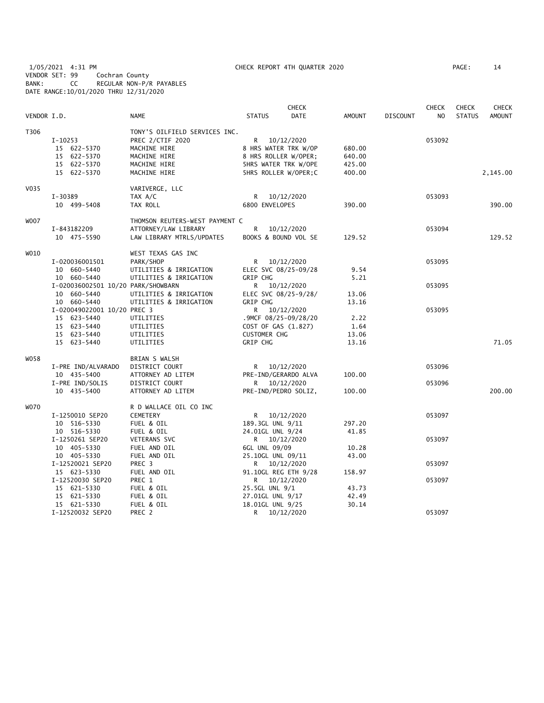1/05/2021 4:31 PM CHECK REPORT 4TH QUARTER 2020 PAGE: 14 VENDOR SET: 99 Cochran County BANK: CC REGULAR NON-P/R PAYABLES DATE RANGE:10/01/2020 THRU 12/31/2020

|             |                                    |                                |                             | <b>CHECK</b> |               |                 | <b>CHECK</b>   | <b>CHECK</b>  | <b>CHECK</b>  |
|-------------|------------------------------------|--------------------------------|-----------------------------|--------------|---------------|-----------------|----------------|---------------|---------------|
| VENDOR I.D. |                                    | <b>NAME</b>                    | <b>STATUS</b>               | <b>DATE</b>  | <b>AMOUNT</b> | <b>DISCOUNT</b> | N <sub>O</sub> | <b>STATUS</b> | <b>AMOUNT</b> |
| T306        |                                    | TONY'S OILFIELD SERVICES INC.  |                             |              |               |                 |                |               |               |
|             | $I-10253$                          | PREC 2/CTIF 2020               | R 10/12/2020                |              |               |                 | 053092         |               |               |
|             | 15 622-5370                        | MACHINE HIRE                   | 8 HRS WATER TRK W/OP        |              | 680.00        |                 |                |               |               |
|             | 15 622-5370                        | MACHINE HIRE                   | 8 HRS ROLLER W/OPER;        |              | 640.00        |                 |                |               |               |
|             | 15 622-5370                        | MACHINE HIRE                   | <b>5HRS WATER TRK W/OPE</b> |              | 425.00        |                 |                |               |               |
|             | 15 622-5370                        | MACHINE HIRE                   | 5HRS ROLLER W/OPER;C        |              | 400.00        |                 |                |               | 2,145.00      |
| V035        |                                    | VARIVERGE, LLC                 |                             |              |               |                 |                |               |               |
|             | I-30389                            | TAX A/C                        | R 10/12/2020                |              |               |                 | 053093         |               |               |
|             | 10 499-5408                        | TAX ROLL                       | 6800 ENVELOPES              |              | 390.00        |                 |                |               | 390.00        |
| <b>WOO7</b> |                                    | THOMSON REUTERS-WEST PAYMENT C |                             |              |               |                 |                |               |               |
|             | I-843182209                        | ATTORNEY/LAW LIBRARY           | R                           | 10/12/2020   |               |                 | 053094         |               |               |
|             | 10 475-5590                        | LAW LIBRARY MTRLS/UPDATES      | BOOKS & BOUND VOL SE        |              | 129.52        |                 |                |               | 129.52        |
| W010        |                                    | WEST TEXAS GAS INC             |                             |              |               |                 |                |               |               |
|             | I-020036001501                     | PARK/SHOP                      | R                           | 10/12/2020   |               |                 | 053095         |               |               |
|             | 10 660-5440                        | UTILITIES & IRRIGATION         | ELEC SVC 08/25-09/28        |              | 9.54          |                 |                |               |               |
|             | 10 660-5440                        | UTILITIES & IRRIGATION         | GRIP CHG                    |              | 5.21          |                 |                |               |               |
|             | I-020036002501 10/20 PARK/SHOWBARN |                                | R 10/12/2020                |              |               |                 | 053095         |               |               |
|             | 10 660-5440                        | UTILITIES & IRRIGATION         | ELEC SVC 08/25-9/28/        |              | 13.06         |                 |                |               |               |
|             | 10 660-5440                        | UTILITIES & IRRIGATION         | <b>GRIP CHG</b>             |              | 13.16         |                 |                |               |               |
|             | I-020049022001 10/20 PREC 3        |                                | R 10/12/2020                |              |               |                 | 053095         |               |               |
|             | 15 623-5440                        | UTILITIES                      | .9MCF 08/25-09/28/20        |              | 2.22          |                 |                |               |               |
|             | 15 623-5440                        | UTILITIES                      | COST OF GAS (1.827)         |              | 1.64          |                 |                |               |               |
|             | 15 623-5440                        | UTILITIES                      | <b>CUSTOMER CHG</b>         |              | 13.06         |                 |                |               |               |
|             | 15 623-5440                        | UTILITIES                      | GRIP CHG                    |              | 13.16         |                 |                |               | 71.05         |
| WO 58       |                                    | BRIAN S WALSH                  |                             |              |               |                 |                |               |               |
|             | I-PRE IND/ALVARADO                 | DISTRICT COURT                 | R 10/12/2020                |              |               |                 | 053096         |               |               |
|             | 10 435-5400                        | ATTORNEY AD LITEM              | PRE-IND/GERARDO ALVA        |              | 100.00        |                 |                |               |               |
|             | I-PRE IND/SOLIS                    | DISTRICT COURT                 | R 10/12/2020                |              |               |                 | 053096         |               |               |
|             | 10 435-5400                        | ATTORNEY AD LITEM              | PRE-IND/PEDRO SOLIZ,        |              | 100.00        |                 |                |               | 200.00        |
| <b>WO70</b> |                                    | R D WALLACE OIL CO INC         |                             |              |               |                 |                |               |               |
|             | I-1250010 SEP20                    | <b>CEMETERY</b>                | R 10/12/2020                |              |               |                 | 053097         |               |               |
|             | 10 516-5330                        | FUEL & OIL                     | 189.3GL UNL 9/11            |              | 297.20        |                 |                |               |               |
|             | 10 516-5330                        | FUEL & OIL                     | 24.01GL UNL 9/24            |              | 41.85         |                 |                |               |               |
|             | I-1250261 SEP20                    | <b>VETERANS SVC</b>            | R 10/12/2020                |              |               |                 | 053097         |               |               |
|             | 10 405-5330                        | FUEL AND OIL                   | 6GL UNL 09/09               |              | 10.28         |                 |                |               |               |
|             | 10 405-5330                        | FUEL AND OIL                   | 25.10GL UNL 09/11           |              | 43.00         |                 |                |               |               |
|             | I-12520021 SEP20                   | PREC 3                         | R 10/12/2020                |              |               |                 | 053097         |               |               |
|             | 15 623-5330                        | FUEL AND OIL                   | 91.10GL REG ETH 9/28        |              | 158.97        |                 |                |               |               |
|             | I-12520030 SEP20                   | PREC 1                         | R 10/12/2020                |              |               |                 | 053097         |               |               |
|             | 15 621-5330                        | FUEL & OIL                     | 25.5GL UNL 9/1              |              | 43.73         |                 |                |               |               |
|             | 15 621-5330                        | FUEL & OIL                     | 27.01GL UNL 9/17            |              | 42.49         |                 |                |               |               |
|             | 15 621-5330<br>I-12520032 SEP20    | FUEL & OIL<br>PREC 2           | 18.01GL UNL 9/25<br>R       | 10/12/2020   | 30.14         |                 | 053097         |               |               |
|             |                                    |                                |                             |              |               |                 |                |               |               |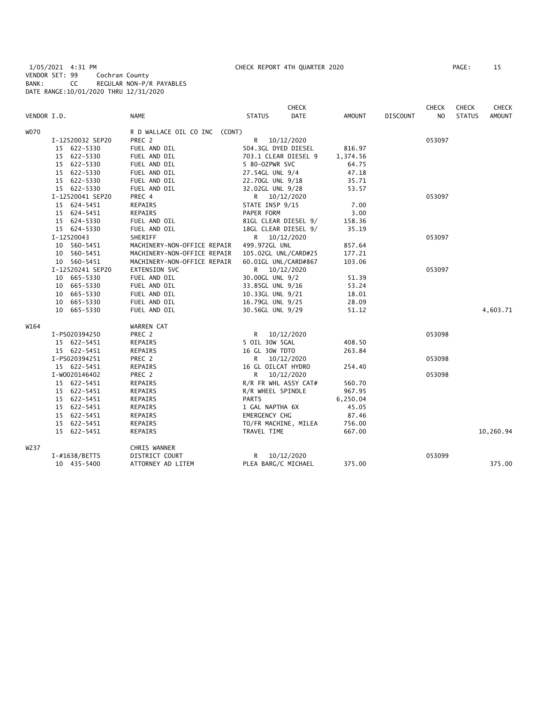1/05/2021 4:31 PM CHECK REPORT 4TH QUARTER 2020 PAGE: 15 VENDOR SET: 99 Cochran County BANK: CC REGULAR NON-P/R PAYABLES DATE RANGE:10/01/2020 THRU 12/31/2020

|             |                  |                               | CHECK                        |               |                 | <b>CHECK</b> | <b>CHECK</b>  | CHECK         |
|-------------|------------------|-------------------------------|------------------------------|---------------|-----------------|--------------|---------------|---------------|
| VENDOR I.D. |                  | <b>NAME</b>                   | <b>DATE</b><br><b>STATUS</b> | <b>AMOUNT</b> | <b>DISCOUNT</b> | NO.          | <b>STATUS</b> | <b>AMOUNT</b> |
| W070        |                  | R D WALLACE OIL CO INC (CONT) |                              |               |                 |              |               |               |
|             | I-12520032 SEP20 | PREC 2                        | R<br>10/12/2020              |               |                 | 053097       |               |               |
|             | 15 622-5330      | FUEL AND OIL                  | 504.3GL DYED DIESEL          | 816.97        |                 |              |               |               |
|             | 15 622-5330      | FUEL AND OIL                  | 703.1 CLEAR DIESEL 9         | 1,374.56      |                 |              |               |               |
|             | 15 622-5330      | FUEL AND OIL                  | 5 80-OZPWR SVC               | 64.75         |                 |              |               |               |
|             | 15 622-5330      | FUEL AND OIL                  | 27.54GL UNL 9/4              | 47.18         |                 |              |               |               |
|             | 15 622-5330      | FUEL AND OIL                  | 22.70GL UNL 9/18             | 35.71         |                 |              |               |               |
|             | 15 622-5330      | FUEL AND OIL                  | 32.02GL UNL 9/28             | 53.57         |                 |              |               |               |
|             | I-12520041 SEP20 | PREC 4                        | R 10/12/2020                 |               |                 | 053097       |               |               |
|             | 15 624-5451      | REPAIRS                       | STATE INSP 9/15              | 7.00          |                 |              |               |               |
|             | 15 624-5451      | REPAIRS                       | PAPER FORM                   | 3.00          |                 |              |               |               |
|             | 15 624-5330      | FUEL AND OIL                  | 81GL CLEAR DIESEL 9/         | 158.36        |                 |              |               |               |
|             | 15 624-5330      | FUEL AND OIL                  | 18GL CLEAR DIESEL 9/         | 35.19         |                 |              |               |               |
|             | I-12520043       | SHERIFF                       | 10/12/2020<br>R.             |               |                 | 053097       |               |               |
|             | 10 560-5451      | MACHINERY-NON-OFFICE REPAIR   | 499.972GL UNL                | 857.64        |                 |              |               |               |
|             | 10 560-5451      | MACHINERY-NON-OFFICE REPAIR   | 105.02GL UNL/CARD#25         | 177.21        |                 |              |               |               |
|             | 10 560-5451      | MACHINERY-NON-OFFICE REPAIR   | 60.01GL UNL/CARD#867         | 103.06        |                 |              |               |               |
|             | I-12520241 SEP20 | EXTENSION SVC                 | R 10/12/2020                 |               |                 | 053097       |               |               |
|             | 10 665-5330      | FUEL AND OIL                  | 30.00GL UNL 9/2              | 51.39         |                 |              |               |               |
|             | 10 665-5330      | FUEL AND OIL                  | 33.85GL UNL 9/16             | 53.24         |                 |              |               |               |
|             | 10 665-5330      | FUEL AND OIL                  | 10.33GL UNL 9/21             | 18.01         |                 |              |               |               |
|             | 10 665-5330      | FUEL AND OIL                  | 16.79GL UNL 9/25             | 28.09         |                 |              |               |               |
|             | 10 665-5330      | FUEL AND OIL                  | 30.56GL UNL 9/29             | 51.12         |                 |              |               | 4,603.71      |
| W164        |                  | WARREN CAT                    |                              |               |                 |              |               |               |
|             | I-PS020394250    | PREC 2                        | R<br>10/12/2020              |               |                 | 053098       |               |               |
|             | 15 622-5451      | REPAIRS                       | 5 OIL 30W 5GAL               | 408.50        |                 |              |               |               |
|             | 15 622-5451      | REPAIRS                       | 16 GL 30W TDTO               | 263.84        |                 |              |               |               |
|             | I-PS020394251    | PREC 2                        | R —<br>10/12/2020            |               |                 | 053098       |               |               |
|             | 15 622-5451      | REPAIRS                       | 16 GL OILCAT HYDRO           | 254.40        |                 |              |               |               |
|             | I-W0020146402    | PREC 2                        | R 10/12/2020                 |               |                 | 053098       |               |               |
|             | 15 622-5451      | REPAIRS                       | R/R FR WHL ASSY CAT#         | 560.70        |                 |              |               |               |
|             | 15 622-5451      | REPAIRS                       | R/R WHEEL SPINDLE            | 967.95        |                 |              |               |               |
|             | 15 622-5451      | REPAIRS                       | <b>PARTS</b>                 | 6,250.04      |                 |              |               |               |
|             | 15 622-5451      | REPAIRS                       | 1 GAL NAPTHA 6X              | 45.05         |                 |              |               |               |
|             | 15 622-5451      | REPAIRS                       | EMERGENCY CHG                | 87.46         |                 |              |               |               |
|             | 15 622-5451      | REPAIRS                       | TO/FR MACHINE, MILEA         | 756.00        |                 |              |               |               |
|             | 15 622-5451      | REPAIRS                       | TRAVEL TIME                  | 667.00        |                 |              |               | 10,260.94     |
| W237        |                  | CHRIS WANNER                  |                              |               |                 |              |               |               |
|             | I-#1638/BETTS    | DISTRICT COURT                | R<br>10/12/2020              |               |                 | 053099       |               |               |
|             | 10 435-5400      | ATTORNEY AD LITEM             | PLEA BARG/C MICHAEL          | 375.00        |                 |              |               | 375.00        |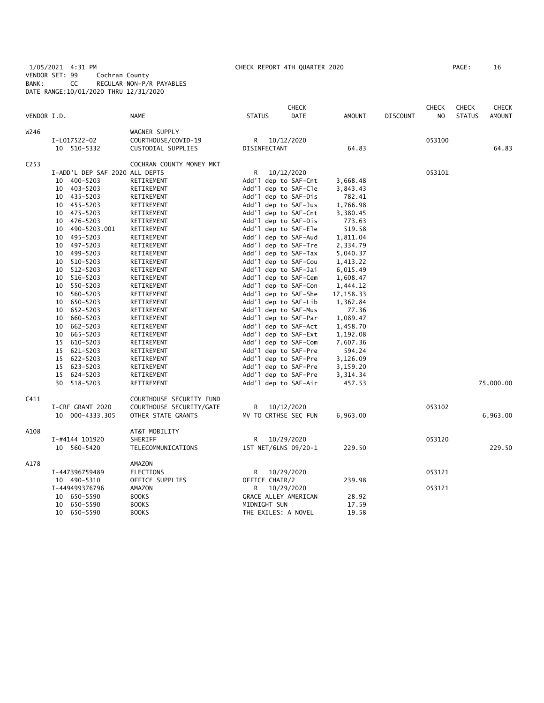1/05/2021 4:31 PM CHECK REPORT 4TH QUARTER 2020 PAGE: 16 VENDOR SET: 99 Cochran County BANK: CC REGULAR NON-P/R PAYABLES DATE RANGE:10/01/2020 THRU 12/31/2020

|                  |                                |                          |                      | <b>CHECK</b> |               |                 | <b>CHECK</b>   | <b>CHECK</b>  | <b>CHECK</b>  |
|------------------|--------------------------------|--------------------------|----------------------|--------------|---------------|-----------------|----------------|---------------|---------------|
| VENDOR I.D.      |                                | <b>NAME</b>              | <b>STATUS</b>        | <b>DATE</b>  | <b>AMOUNT</b> | <b>DISCOUNT</b> | N <sub>O</sub> | <b>STATUS</b> | <b>AMOUNT</b> |
| W246             |                                | WAGNER SUPPLY            |                      |              |               |                 |                |               |               |
|                  | I-L017522-02                   | COURTHOUSE/COVID-19      | R 10/12/2020         |              |               |                 | 053100         |               |               |
|                  | 10 510-5332                    | CUSTODIAL SUPPLIES       | DISINFECTANT         |              | 64.83         |                 |                |               | 64.83         |
| C <sub>253</sub> |                                | COCHRAN COUNTY MONEY MKT |                      |              |               |                 |                |               |               |
|                  | I-ADD'L DEP SAF 2020 ALL DEPTS |                          | R.                   | 10/12/2020   |               |                 | 053101         |               |               |
|                  | 400-5203<br>10                 | RETIREMENT               | Add'l dep to SAF-Cnt |              | 3,668.48      |                 |                |               |               |
|                  | 10 403-5203                    | RETIREMENT               | Add'l dep to SAF-Cle |              | 3,843.43      |                 |                |               |               |
|                  | 10 435-5203                    | RETIREMENT               | Add'l dep to SAF-Dis |              | 782.41        |                 |                |               |               |
|                  | 455-5203<br>10                 | RETIREMENT               | Add'l dep to SAF-Jus |              | 1,766.98      |                 |                |               |               |
|                  | 10 475-5203                    | RETIREMENT               | Add'l dep to SAF-Cnt |              | 3,380.45      |                 |                |               |               |
|                  | 10 476-5203                    | RETIREMENT               | Add'l dep to SAF-Dis |              | 773.63        |                 |                |               |               |
|                  | 10 490-5203.001                | RETIREMENT               | Add'l dep to SAF-Ele |              | 519.58        |                 |                |               |               |
|                  | 495–5203<br>10                 | RETIREMENT               | Add'l dep to SAF-Aud |              | 1,811.04      |                 |                |               |               |
|                  | 497-5203<br>10                 | RETIREMENT               | Add'l dep to SAF-Tre |              | 2,334.79      |                 |                |               |               |
|                  | 499-5203<br>10                 | RETIREMENT               | Add'l dep to SAF-Tax |              | 5,040.37      |                 |                |               |               |
|                  | 510-5203<br>10                 | RETIREMENT               | Add'l dep to SAF-Cou |              | 1,413.22      |                 |                |               |               |
|                  | 512-5203<br>10                 | RETIREMENT               | Add'l dep to SAF-Jai |              | 6,015.49      |                 |                |               |               |
|                  | 10<br>516-5203                 | RETIREMENT               | Add'l dep to SAF-Cem |              | 1,608.47      |                 |                |               |               |
|                  | 10<br>550-5203                 | RETIREMENT               | Add'l dep to SAF-Con |              | 1,444.12      |                 |                |               |               |
|                  | 560-5203<br>10                 | RETIREMENT               | Add'l dep to SAF-She |              | 17, 158.33    |                 |                |               |               |
|                  | 650-5203<br>10                 | RETIREMENT               | Add'l dep to SAF-Lib |              | 1,362.84      |                 |                |               |               |
|                  | 652-5203<br>10                 | RETIREMENT               | Add'l dep to SAF-Mus |              | 77.36         |                 |                |               |               |
|                  | 660-5203<br>10                 | RETIREMENT               | Add'l dep to SAF-Par |              | 1,089.47      |                 |                |               |               |
|                  | 10<br>662-5203                 | RETIREMENT               | Add'l dep to SAF-Act |              | 1,458.70      |                 |                |               |               |
|                  | 10<br>665–5203                 | RETIREMENT               | Add'l dep to SAF-Ext |              | 1,192.08      |                 |                |               |               |
|                  | 15 610-5203                    | RETIREMENT               | Add'l dep to SAF-Com |              | 7,607.36      |                 |                |               |               |
|                  | 15 621-5203                    | RETIREMENT               | Add'l dep to SAF-Pre |              | 594.24        |                 |                |               |               |
|                  | 622-5203<br>15                 | RETIREMENT               | Add'l dep to SAF-Pre |              | 3,126.09      |                 |                |               |               |
|                  | 15 623-5203                    | RETIREMENT               | Add'l dep to SAF-Pre |              | 3,159.20      |                 |                |               |               |
|                  | 15<br>624-5203                 | RETIREMENT               | Add'l dep to SAF-Pre |              | 3,314.34      |                 |                |               |               |
|                  | 30 518-5203                    | RETIREMENT               | Add'l dep to SAF-Air |              | 457.53        |                 |                |               | 75,000.00     |
| C411             |                                | COURTHOUSE SECURITY FUND |                      |              |               |                 |                |               |               |
|                  | I-CRF GRANT 2020               | COURTHOUSE SECURITY/GATE | R                    | 10/12/2020   |               |                 | 053102         |               |               |
|                  | 10 000-4333.305                | OTHER STATE GRANTS       | MV TO CRTHSE SEC FUN |              | 6,963.00      |                 |                |               | 6,963.00      |
| A108             |                                | AT&T MOBILITY            |                      |              |               |                 |                |               |               |
|                  | I-#4144 101920                 | SHERIFF                  | R 10/29/2020         |              |               |                 | 053120         |               |               |
|                  | 10 560-5420                    | TELECOMMUNICATIONS       | 1ST NET/6LNS 09/20-1 |              | 229.50        |                 |                |               | 229.50        |
| A178             |                                | AMAZON                   |                      |              |               |                 |                |               |               |
|                  | I-447396759489                 | ELECTIONS                | R.                   | 10/29/2020   |               |                 | 053121         |               |               |
|                  | 10 490-5310                    | OFFICE SUPPLIES          | OFFICE CHAIR/2       |              | 239.98        |                 |                |               |               |
|                  | I-449499376796                 | AMAZON                   | R                    | 10/29/2020   |               |                 | 053121         |               |               |
|                  | 10 650-5590                    | <b>BOOKS</b>             | GRACE ALLEY AMERICAN |              | 28.92         |                 |                |               |               |
|                  | 650-5590<br>10                 | <b>BOOKS</b>             | MIDNIGHT SUN         |              | 17.59         |                 |                |               |               |
|                  | 10 650-5590                    | <b>BOOKS</b>             | THE EXILES: A NOVEL  |              | 19.58         |                 |                |               |               |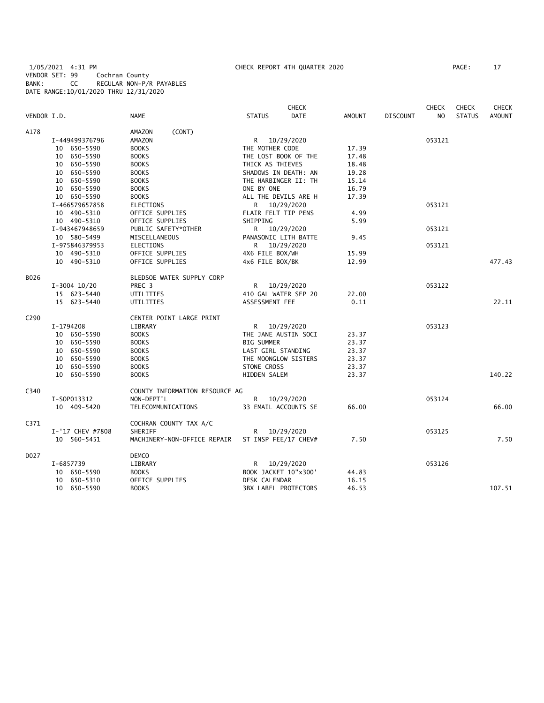1/05/2021 4:31 PM CHECK REPORT 4TH QUARTER 2020 PAGE: 17 VENDOR SET: 99 Cochran County BANK: CC REGULAR NON-P/R PAYABLES DATE RANGE:10/01/2020 THRU 12/31/2020

|                  |                  |                                |                             | <b>CHECK</b>         |               |                 | <b>CHECK</b>   | <b>CHECK</b>  | <b>CHECK</b>  |
|------------------|------------------|--------------------------------|-----------------------------|----------------------|---------------|-----------------|----------------|---------------|---------------|
| VENDOR I.D.      |                  | <b>NAME</b>                    | <b>STATUS</b>               | <b>DATE</b>          | <b>AMOUNT</b> | <b>DISCOUNT</b> | N <sub>O</sub> | <b>STATUS</b> | <b>AMOUNT</b> |
| A178             |                  | (CONT)<br>AMAZON               |                             |                      |               |                 |                |               |               |
|                  | I-449499376796   | AMAZON                         | R 10/29/2020                |                      |               |                 | 053121         |               |               |
|                  | 10 650-5590      | <b>BOOKS</b>                   | THE MOTHER CODE             |                      | 17.39         |                 |                |               |               |
|                  | 10 650-5590      | <b>BOOKS</b>                   | THE LOST BOOK OF THE        |                      | 17.48         |                 |                |               |               |
|                  | 10 650-5590      | <b>BOOKS</b>                   | THICK AS THIEVES            |                      | 18.48         |                 |                |               |               |
|                  | 10 650-5590      | <b>BOOKS</b>                   | SHADOWS IN DEATH: AN        |                      | 19.28         |                 |                |               |               |
|                  | 10 650-5590      | <b>BOOKS</b>                   | THE HARBINGER II: TH        |                      | 15.14         |                 |                |               |               |
|                  | 10 650-5590      | <b>BOOKS</b>                   | ONE BY ONE                  |                      | 16.79         |                 |                |               |               |
|                  | 10 650-5590      | <b>BOOKS</b>                   | ALL THE DEVILS ARE H        |                      | 17.39         |                 |                |               |               |
|                  | I-466579657858   | <b>ELECTIONS</b>               | R 10/29/2020                |                      |               |                 | 053121         |               |               |
|                  | 10 490-5310      | OFFICE SUPPLIES                | FLAIR FELT TIP PENS         |                      | 4.99          |                 |                |               |               |
|                  | 10 490-5310      | OFFICE SUPPLIES                | SHIPPING                    |                      | 5.99          |                 |                |               |               |
|                  | I-943467948659   | PUBLIC SAFETY*OTHER            | R                           | 10/29/2020           |               |                 | 053121         |               |               |
|                  | 10 580-5499      | MISCELLANEOUS                  | PANASONIC LITH BATTE        |                      | 9.45          |                 |                |               |               |
|                  | I-975846379953   | <b>ELECTIONS</b>               | R 10/29/2020                |                      |               |                 | 053121         |               |               |
|                  | 10 490-5310      | OFFICE SUPPLIES                | 4X6 FILE BOX/WH             |                      | 15.99         |                 |                |               |               |
|                  | 10 490-5310      | OFFICE SUPPLIES                | 4x6 FILE BOX/BK             |                      | 12.99         |                 |                |               | 477.43        |
| B026             |                  | BLEDSOE WATER SUPPLY CORP      |                             |                      |               |                 |                |               |               |
|                  | $I-3004$ 10/20   | PREC <sub>3</sub>              | R 10/29/2020                |                      |               |                 | 053122         |               |               |
|                  | 15 623-5440      | UTILITIES                      | 410 GAL WATER SEP 20        |                      | 22.00         |                 |                |               |               |
|                  | 15 623-5440      | UTILITIES                      | ASSESSMENT FEE              |                      | 0.11          |                 |                |               | 22.11         |
| C <sub>290</sub> |                  | CENTER POINT LARGE PRINT       |                             |                      |               |                 |                |               |               |
|                  | I-1794208        | LIBRARY                        | R 10/29/2020                |                      |               |                 | 053123         |               |               |
|                  | 10 650-5590      | <b>BOOKS</b>                   | THE JANE AUSTIN SOCI        |                      | 23.37         |                 |                |               |               |
|                  | 10 650-5590      | <b>BOOKS</b>                   | <b>BIG SUMMER</b>           |                      | 23.37         |                 |                |               |               |
|                  | 10 650-5590      | <b>BOOKS</b>                   | LAST GIRL STANDING          |                      | 23.37         |                 |                |               |               |
|                  | 10 650-5590      | <b>BOOKS</b>                   | THE MOONGLOW SISTERS        |                      | 23.37         |                 |                |               |               |
|                  | 10 650-5590      | <b>BOOKS</b>                   | STONE CROSS                 |                      | 23.37         |                 |                |               |               |
|                  | 10 650-5590      | <b>BOOKS</b>                   | HIDDEN SALEM                |                      | 23.37         |                 |                |               | 140.22        |
| C340             |                  | COUNTY INFORMATION RESOURCE AG |                             |                      |               |                 |                |               |               |
|                  | I-S0P013312      | NON-DEPT'L                     |                             |                      |               |                 | 053124         |               |               |
|                  | 10 409-5420      | TELECOMMUNICATIONS             | R 10/29/2020                | 33 EMAIL ACCOUNTS SE | 66.00         |                 |                |               | 66.00         |
|                  |                  |                                |                             |                      |               |                 |                |               |               |
| C371             |                  | COCHRAN COUNTY TAX A/C         |                             |                      |               |                 |                |               |               |
|                  | I-'17 CHEV #7808 | SHERIFF                        | R                           | 10/29/2020           |               |                 | 053125         |               |               |
|                  | 10 560-5451      | MACHINERY-NON-OFFICE REPAIR    | ST INSP FEE/17 CHEV#        |                      | 7.50          |                 |                |               | 7.50          |
| D027             |                  | DEMCO                          |                             |                      |               |                 |                |               |               |
|                  | I-6857739        | LIBRARY                        | R                           | 10/29/2020           |               |                 | 053126         |               |               |
|                  | 10 650-5590      | <b>BOOKS</b>                   | BOOK JACKET 10"x300'        |                      | 44.83         |                 |                |               |               |
|                  | 10 650-5310      | OFFICE SUPPLIES                | DESK CALENDAR               |                      | 16.15         |                 |                |               |               |
|                  | 10 650-5590      | <b>BOOKS</b>                   | <b>3BX LABEL PROTECTORS</b> |                      | 46.53         |                 |                |               | 107.51        |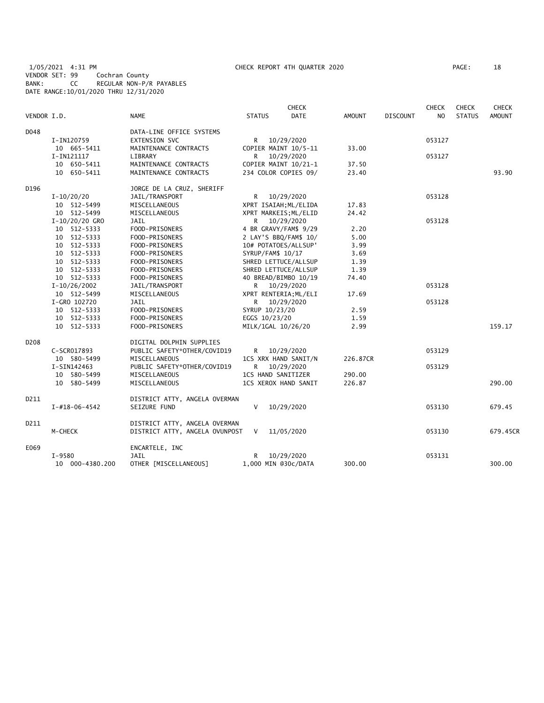1/05/2021 4:31 PM CHECK REPORT 4TH QUARTER 2020 PAGE: 18 VENDOR SET: 99 Cochran County BANK: CC REGULAR NON-P/R PAYABLES DATE RANGE:10/01/2020 THRU 12/31/2020

|                  |                       |                                |                     | <b>CHECK</b>          |               |                 | <b>CHECK</b>   | <b>CHECK</b>  | <b>CHECK</b>  |
|------------------|-----------------------|--------------------------------|---------------------|-----------------------|---------------|-----------------|----------------|---------------|---------------|
| VENDOR I.D.      |                       | <b>NAME</b>                    | <b>STATUS</b>       | <b>DATE</b>           | <b>AMOUNT</b> | <b>DISCOUNT</b> | N <sub>O</sub> | <b>STATUS</b> | <b>AMOUNT</b> |
| D048             |                       | DATA-LINE OFFICE SYSTEMS       |                     |                       |               |                 |                |               |               |
|                  | I-IN120759            | <b>EXTENSION SVC</b>           | R.                  | 10/29/2020            |               |                 | 053127         |               |               |
|                  | 10 665-5411           | MAINTENANCE CONTRACTS          |                     | COPIER MAINT 10/5-11  | 33.00         |                 |                |               |               |
|                  | I-IN121117            | LIBRARY                        | R.                  | 10/29/2020            |               |                 | 053127         |               |               |
|                  | 10 650-5411           | MAINTENANCE CONTRACTS          |                     | COPIER MAINT 10/21-1  | 37.50         |                 |                |               |               |
|                  | 10 650-5411           | MAINTENANCE CONTRACTS          |                     | 234 COLOR COPIES 09/  | 23.40         |                 |                |               | 93.90         |
| D196             |                       | JORGE DE LA CRUZ, SHERIFF      |                     |                       |               |                 |                |               |               |
|                  | $I-10/20/20$          | JAIL/TRANSPORT                 | R                   | 10/29/2020            |               |                 | 053128         |               |               |
|                  | 10 512-5499           | MISCELLANEOUS                  |                     | XPRT ISAIAH; ML/ELIDA | 17.83         |                 |                |               |               |
|                  | 10 512-5499           | MISCELLANEOUS                  |                     | XPRT MARKEIS; ML/ELID | 24.42         |                 |                |               |               |
|                  | $I-10/20/20$ GRO      | JAIL                           | R                   | 10/29/2020            |               |                 | 053128         |               |               |
|                  | 10 512-5333           | FOOD-PRISONERS                 |                     | 4 BR GRAVY/FAM\$ 9/29 | 2.20          |                 |                |               |               |
|                  | 10 512-5333           | FOOD-PRISONERS                 |                     | 2 LAY'S BBQ/FAM\$ 10/ | 5.00          |                 |                |               |               |
|                  | 10 512-5333           | FOOD-PRISONERS                 |                     | 10# POTATOES/ALLSUP'  | 3.99          |                 |                |               |               |
|                  | 10 512-5333           | FOOD-PRISONERS                 | SYRUP/FAM\$ 10/17   |                       | 3.69          |                 |                |               |               |
|                  | 10 512-5333           | FOOD-PRISONERS                 |                     | SHRED LETTUCE/ALLSUP  | 1.39          |                 |                |               |               |
|                  | 10 512-5333           | FOOD-PRISONERS                 |                     | SHRED LETTUCE/ALLSUP  | 1.39          |                 |                |               |               |
|                  | 10 512-5333           | FOOD-PRISONERS                 |                     | 40 BREAD/BIMBO 10/19  | 74.40         |                 |                |               |               |
|                  | $I-10/26/2002$        | JAIL/TRANSPORT                 |                     | R 10/29/2020          |               |                 | 053128         |               |               |
|                  | 10 512-5499           | MISCELLANEOUS                  |                     | XPRT RENTERIA; ML/ELI | 17.69         |                 |                |               |               |
|                  | I-GRO 102720          | JAIL                           |                     | R 10/29/2020          |               |                 | 053128         |               |               |
|                  | 10 512-5333           | FOOD-PRISONERS                 | SYRUP 10/23/20      |                       | 2.59          |                 |                |               |               |
|                  | 10 512-5333           | FOOD-PRISONERS                 | EGGS 10/23/20       |                       | 1.59          |                 |                |               |               |
|                  | 10 512-5333           | FOOD-PRISONERS                 | MILK/1GAL 10/26/20  |                       | 2.99          |                 |                |               | 159.17        |
| D <sub>208</sub> |                       | DIGITAL DOLPHIN SUPPLIES       |                     |                       |               |                 |                |               |               |
|                  | C-SCR017893           | PUBLIC SAFETY*OTHER/COVID19    | R.                  | 10/29/2020            |               |                 | 053129         |               |               |
|                  | 10 580-5499           | MISCELLANEOUS                  |                     | 1CS XRX HAND SANIT/N  | 226.87CR      |                 |                |               |               |
|                  | I-SIN142463           | PUBLIC SAFETY*OTHER/COVID19    | R.                  | 10/29/2020            |               |                 | 053129         |               |               |
|                  | 10 580-5499           | MISCELLANEOUS                  | 1CS HAND SANITIZER  |                       | 290.00        |                 |                |               |               |
|                  | 10 580-5499           | MISCELLANEOUS                  |                     | 1CS XEROX HAND SANIT  | 226.87        |                 |                |               | 290.00        |
| D211             |                       | DISTRICT ATTY, ANGELA OVERMAN  |                     |                       |               |                 |                |               |               |
|                  | $I - #18 - 06 - 4542$ | SEIZURE FUND                   | V                   | 10/29/2020            |               |                 | 053130         |               | 679.45        |
| D211             |                       | DISTRICT ATTY, ANGELA OVERMAN  |                     |                       |               |                 |                |               |               |
|                  | M-CHECK               | DISTRICT ATTY, ANGELA OVUNPOST | V                   | 11/05/2020            |               |                 | 053130         |               | 679.45CR      |
| E069             |                       | ENCARTELE, INC                 |                     |                       |               |                 |                |               |               |
|                  | I-9580                | JAIL                           | R                   | 10/29/2020            |               |                 | 053131         |               |               |
|                  | 10 000-4380.200       | OTHER [MISCELLANEOUS]          | 1,000 MIN @30c/DATA |                       | 300.00        |                 |                |               | 300.00        |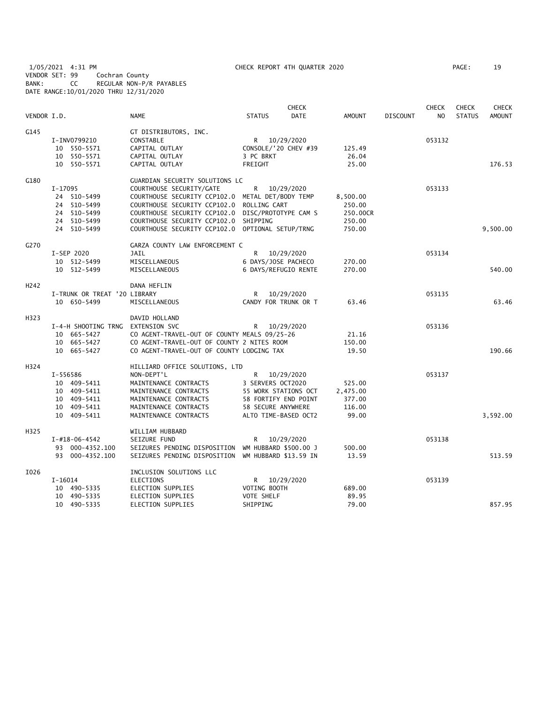1/05/2021 4:31 PM CHECK REPORT 4TH QUARTER 2020 PAGE: 19 VENDOR SET: 99 Cochran County BANK: CC REGULAR NON-P/R PAYABLES DATE RANGE:10/01/2020 THRU 12/31/2020

| VENDOR I.D.      |                              | <b>NAME</b>                                      | <b>STATUS</b>       | <b>CHECK</b><br><b>DATE</b> | <b>AMOUNT</b> | <b>DISCOUNT</b> | <b>CHECK</b><br>N <sub>O</sub> | <b>CHECK</b><br><b>STATUS</b> | <b>CHECK</b><br><b>AMOUNT</b> |
|------------------|------------------------------|--------------------------------------------------|---------------------|-----------------------------|---------------|-----------------|--------------------------------|-------------------------------|-------------------------------|
| G145             |                              | GT DISTRIBUTORS, INC.                            |                     |                             |               |                 |                                |                               |                               |
|                  | I-INV0799210                 | CONSTABLE                                        |                     | R 10/29/2020                |               |                 | 053132                         |                               |                               |
|                  | 10 550-5571                  | CAPITAL OUTLAY                                   |                     | CONSOLE/'20 CHEV #39        | 125.49        |                 |                                |                               |                               |
|                  | 10 550-5571                  | CAPITAL OUTLAY                                   | 3 PC BRKT           |                             | 26.04         |                 |                                |                               |                               |
|                  | 10 550-5571                  | CAPITAL OUTLAY                                   | FREIGHT             |                             | 25.00         |                 |                                |                               | 176.53                        |
| G180             |                              | GUARDIAN SECURITY SOLUTIONS LC                   |                     |                             |               |                 |                                |                               |                               |
|                  | I-17095                      | COURTHOUSE SECURITY/GATE                         | R                   | 10/29/2020                  |               |                 | 053133                         |                               |                               |
|                  | 24 510-5499                  | COURTHOUSE SECURITY CCP102.0 METAL DET/BODY TEMP |                     |                             | 8,500.00      |                 |                                |                               |                               |
|                  | 24 510-5499                  | COURTHOUSE SECURITY CCP102.0                     | ROLLING CART        |                             | 250.00        |                 |                                |                               |                               |
|                  | 24 510-5499                  | COURTHOUSE SECURITY CCP102.0                     |                     | DISC/PROTOTYPE CAM S        | 250.00CR      |                 |                                |                               |                               |
|                  | 24 510-5499                  | COURTHOUSE SECURITY CCP102.0                     | SHIPPING            |                             | 250.00        |                 |                                |                               |                               |
|                  | 24 510-5499                  | COURTHOUSE SECURITY CCP102.0 OPTIONAL SETUP/TRNG |                     |                             | 750.00        |                 |                                |                               | 9,500.00                      |
| G270             |                              | GARZA COUNTY LAW ENFORCEMENT C                   |                     |                             |               |                 |                                |                               |                               |
|                  | I-SEP 2020                   | JAIL                                             | R                   | 10/29/2020                  |               |                 | 053134                         |                               |                               |
|                  | 10 512-5499                  | MISCELLANEOUS                                    | 6 DAYS/JOSE PACHECO |                             | 270.00        |                 |                                |                               |                               |
|                  | 10 512-5499                  | MISCELLANEOUS                                    |                     | 6 DAYS/REFUGIO RENTE        | 270.00        |                 |                                |                               | 540.00                        |
| H <sub>242</sub> |                              | DANA HEFLIN                                      |                     |                             |               |                 |                                |                               |                               |
|                  | I-TRUNK OR TREAT '20 LIBRARY |                                                  | R                   | 10/29/2020                  |               |                 | 053135                         |                               |                               |
|                  | 10 650-5499                  | MISCELLANEOUS                                    |                     | CANDY FOR TRUNK OR T        | 63.46         |                 |                                |                               | 63.46                         |
| H323             |                              | DAVID HOLLAND                                    |                     |                             |               |                 |                                |                               |                               |
|                  | I-4-H SHOOTING TRNG          | EXTENSION SVC                                    | R                   | 10/29/2020                  |               |                 | 053136                         |                               |                               |
|                  | 10 665-5427                  | CO AGENT-TRAVEL-OUT OF COUNTY MEALS 09/25-26     |                     |                             | 21.16         |                 |                                |                               |                               |
|                  | 10 665-5427                  | CO AGENT-TRAVEL-OUT OF COUNTY 2 NITES ROOM       |                     |                             | 150.00        |                 |                                |                               |                               |
|                  | 10 665-5427                  | CO AGENT-TRAVEL-OUT OF COUNTY LODGING TAX        |                     |                             | 19.50         |                 |                                |                               | 190.66                        |
| H324             |                              | HILLIARD OFFICE SOLUTIONS, LTD                   |                     |                             |               |                 |                                |                               |                               |
|                  | I-556586                     | NON-DEPT'L                                       | R                   | 10/29/2020                  |               |                 | 053137                         |                               |                               |
|                  | 10 409-5411                  | MAINTENANCE CONTRACTS                            | 3 SERVERS OCT2020   |                             | 525.00        |                 |                                |                               |                               |
|                  | 10 409-5411                  | MAINTENANCE CONTRACTS                            |                     | 55 WORK STATIONS OCT        | 2,475.00      |                 |                                |                               |                               |
|                  | 10 409-5411                  | MAINTENANCE CONTRACTS                            |                     | 58 FORTIFY END POINT        | 377.00        |                 |                                |                               |                               |
|                  | 10 409-5411                  | MAINTENANCE CONTRACTS                            | 58 SECURE ANYWHERE  |                             | 116.00        |                 |                                |                               |                               |
|                  | 10 409-5411                  | MAINTENANCE CONTRACTS                            |                     | ALTO TIME-BASED OCT2        | 99.00         |                 |                                |                               | 3,592.00                      |
| H325             |                              | WILLIAM HUBBARD                                  |                     |                             |               |                 |                                |                               |                               |
|                  | $I - #18 - 06 - 4542$        | SEIZURE FUND                                     | R                   | 10/29/2020                  |               |                 | 053138                         |                               |                               |
|                  | 93 000-4352.100              | SEIZURES PENDING DISPOSITION                     |                     | WM HUBBARD \$500.00 J       | 500.00        |                 |                                |                               |                               |
|                  | 93 000-4352.100              | SEIZURES PENDING DISPOSITION                     |                     | WM HUBBARD \$13.59 IN       | 13.59         |                 |                                |                               | 513.59                        |
| I026             |                              | INCLUSION SOLUTIONS LLC                          |                     |                             |               |                 |                                |                               |                               |
|                  | $I-16014$                    | <b>ELECTIONS</b>                                 | R.                  | 10/29/2020                  |               |                 | 053139                         |                               |                               |
|                  | 10 490-5335                  | ELECTION SUPPLIES                                | VOTING BOOTH        |                             | 689.00        |                 |                                |                               |                               |
|                  | 10 490-5335                  | ELECTION SUPPLIES                                | VOTE SHELF          |                             | 89.95         |                 |                                |                               |                               |
|                  | 10 490-5335                  | ELECTION SUPPLIES                                | SHIPPING            |                             | 79.00         |                 |                                |                               | 857.95                        |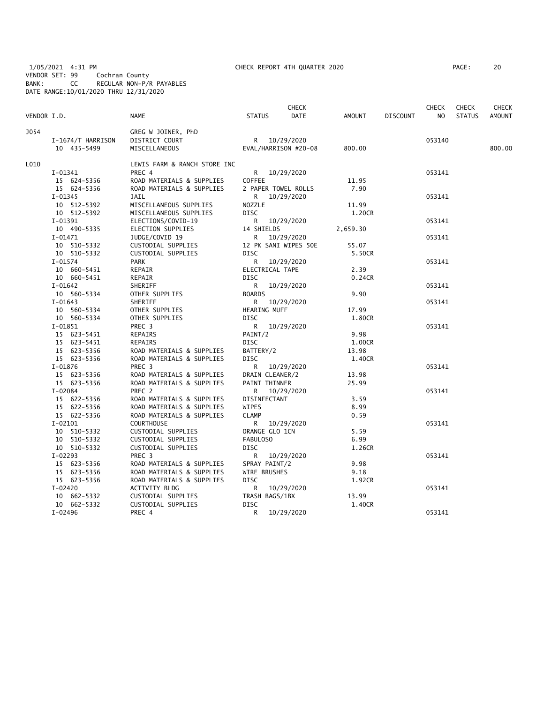1/05/2021 4:31 PM CHECK REPORT 4TH QUARTER 2020 PAGE: 20 VENDOR SET: 99 Cochran County BANK: CC REGULAR NON-P/R PAYABLES DATE RANGE:10/01/2020 THRU 12/31/2020

| PAGE : |  | 20 |
|--------|--|----|
|        |  |    |

| VENDOR I.D. |                            | <b>NAME</b>                              | <b>STATUS</b>                 | <b>CHECK</b><br>DATE | <b>AMOUNT</b>   | <b>DISCOUNT</b> | <b>CHECK</b><br>NO. | <b>CHECK</b><br><b>STATUS</b> | CHECK<br><b>AMOUNT</b> |
|-------------|----------------------------|------------------------------------------|-------------------------------|----------------------|-----------------|-----------------|---------------------|-------------------------------|------------------------|
| <b>J054</b> |                            | GREG W JOINER, PhD                       |                               |                      |                 |                 |                     |                               |                        |
|             | I-1674/T HARRISON          | DISTRICT COURT                           | R 10/29/2020                  |                      |                 |                 | 053140              |                               |                        |
|             | 10 435-5499                | MISCELLANEOUS                            |                               | EVAL/HARRISON #20-08 | 800.00          |                 |                     |                               | 800.00                 |
| L010        |                            | LEWIS FARM & RANCH STORE INC             |                               |                      |                 |                 |                     |                               |                        |
|             | $I-01341$                  | PREC 4                                   | R.                            | 10/29/2020           |                 |                 | 053141              |                               |                        |
|             | 15 624-5356                | ROAD MATERIALS & SUPPLIES                | <b>COFFEE</b>                 |                      | 11.95           |                 |                     |                               |                        |
|             | 15 624-5356                | ROAD MATERIALS & SUPPLIES                | 2 PAPER TOWEL ROLLS           |                      | 7.90            |                 |                     |                               |                        |
|             | I-01345                    | JAIL                                     | R.                            | 10/29/2020           |                 |                 | 053141              |                               |                        |
|             | 10 512-5392                | MISCELLANEOUS SUPPLIES                   | NOZZLE                        |                      | 11.99           |                 |                     |                               |                        |
|             | 10 512-5392                | MISCELLANEOUS SUPPLIES                   | <b>DISC</b>                   |                      | 1.20CR          |                 |                     |                               |                        |
|             | $I-01391$                  | ELECTIONS/COVID-19                       | R                             | 10/29/2020           |                 |                 | 053141              |                               |                        |
|             | 10 490-5335                | ELECTION SUPPLIES                        | 14 SHIELDS                    |                      | 2,659.30        |                 |                     |                               |                        |
|             | $I-01471$                  | JUDGE/COVID 19                           | R                             | 10/29/2020           |                 |                 | 053141              |                               |                        |
|             | 10 510-5332                | CUSTODIAL SUPPLIES                       | <b>DISC</b>                   | 12 PK SANI WIPES 50E | 55.07           |                 |                     |                               |                        |
|             | 10 510-5332<br>$I-01574$   | CUSTODIAL SUPPLIES<br><b>PARK</b>        | R.                            |                      | 5.50CR          |                 | 053141              |                               |                        |
|             | 10 660-5451                | REPAIR                                   | ELECTRICAL TAPE               | 10/29/2020           | 2.39            |                 |                     |                               |                        |
|             | 10 660-5451                | REPAIR                                   | DISC                          |                      | 0.24CR          |                 |                     |                               |                        |
|             | $I-01642$                  | SHERIFF                                  | R                             | 10/29/2020           |                 |                 | 053141              |                               |                        |
|             | 10 560-5334                | OTHER SUPPLIES                           | <b>BOARDS</b>                 |                      | 9.90            |                 |                     |                               |                        |
|             | $I-01643$                  | SHERIFF                                  | R                             | 10/29/2020           |                 |                 | 053141              |                               |                        |
|             | 10 560-5334                | OTHER SUPPLIES                           | HEARING MUFF                  |                      | 17.99           |                 |                     |                               |                        |
|             | 10 560-5334                | OTHER SUPPLIES                           | <b>DISC</b>                   |                      | 1.80CR          |                 |                     |                               |                        |
|             | $I-01851$                  | PREC <sub>3</sub>                        | R                             | 10/29/2020           |                 |                 | 053141              |                               |                        |
|             | 15 623-5451                | REPAIRS                                  | PAINT/2                       |                      | 9.98            |                 |                     |                               |                        |
|             | 15 623-5451                | REPAIRS                                  | DISC                          |                      | 1.00CR          |                 |                     |                               |                        |
|             | 15 623-5356                | ROAD MATERIALS & SUPPLIES                | BATTERY/2                     |                      | 13.98           |                 |                     |                               |                        |
|             | 15 623-5356                | ROAD MATERIALS & SUPPLIES                | DISC                          |                      | 1.40CR          |                 |                     |                               |                        |
|             | $I-01876$                  | PREC 3                                   | R                             | 10/29/2020           |                 |                 | 053141              |                               |                        |
|             | 15 623-5356                | ROAD MATERIALS & SUPPLIES                | DRAIN CLEANER/2               |                      | 13.98           |                 |                     |                               |                        |
|             | 15 623-5356                | ROAD MATERIALS & SUPPLIES                | PAINT THINNER                 |                      | 25.99           |                 |                     |                               |                        |
|             | $I-02084$                  | PREC 2                                   | R                             | 10/29/2020           |                 |                 | 053141              |                               |                        |
|             | 15 622-5356                | ROAD MATERIALS & SUPPLIES                | DISINFECTANT                  |                      | 3.59            |                 |                     |                               |                        |
|             | 15 622-5356                | ROAD MATERIALS & SUPPLIES                | WIPES                         |                      | 8.99            |                 |                     |                               |                        |
|             | 15 622-5356                | ROAD MATERIALS & SUPPLIES                | <b>CLAMP</b>                  |                      | 0.59            |                 |                     |                               |                        |
|             | $I-02101$                  | <b>COURTHOUSE</b>                        | R                             | 10/29/2020           |                 |                 | 053141              |                               |                        |
|             | 10 510-5332                | CUSTODIAL SUPPLIES                       | ORANGE GLO 1CN                |                      | 5.59            |                 |                     |                               |                        |
|             | 10 510-5332                | CUSTODIAL SUPPLIES                       | FABULOSO                      |                      | 6.99            |                 |                     |                               |                        |
|             | 10 510-5332                | CUSTODIAL SUPPLIES                       | DISC                          |                      | 1.26CR          |                 |                     |                               |                        |
|             | $I-02293$                  | PREC <sub>3</sub>                        | R                             | 10/29/2020           |                 |                 | 053141              |                               |                        |
|             | 15 623-5356                | ROAD MATERIALS & SUPPLIES                | SPRAY PAINT/2                 |                      | 9.98            |                 |                     |                               |                        |
|             | 15 623-5356                | ROAD MATERIALS & SUPPLIES                | WIRE BRUSHES                  |                      | 9.18            |                 |                     |                               |                        |
|             | 15 623-5356                | ROAD MATERIALS & SUPPLIES                | <b>DISC</b>                   |                      | 1.92CR          |                 |                     |                               |                        |
|             | $I - 02420$                | ACTIVITY BLDG                            | R                             | 10/29/2020           |                 |                 | 053141              |                               |                        |
|             | 10 662-5332<br>10 662-5332 | CUSTODIAL SUPPLIES<br>CUSTODIAL SUPPLIES | TRASH BAGS/1BX<br><b>DISC</b> |                      | 13.99<br>1.40CR |                 |                     |                               |                        |
|             | $I - 02496$                | PREC 4                                   | R                             | 10/29/2020           |                 |                 | 053141              |                               |                        |
|             |                            |                                          |                               |                      |                 |                 |                     |                               |                        |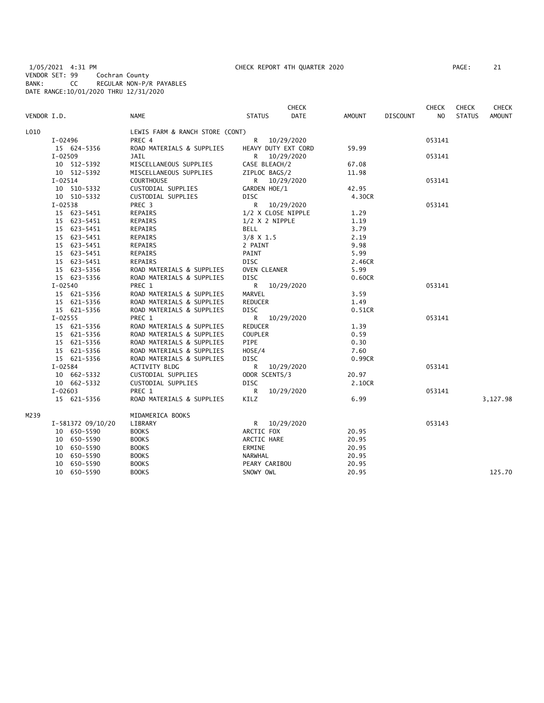1/05/2021 4:31 PM CHECK REPORT 4TH QUARTER 2020 PAGE: 21 VENDOR SET: 99 Cochran County BANK: CC REGULAR NON-P/R PAYABLES DATE RANGE:10/01/2020 THRU 12/31/2020

| PAGE : | 21 |
|--------|----|
|        |    |

|             |                   |                                 |                     | <b>CHECK</b> |        |                 | <b>CHECK</b> | <b>CHECK</b>  | CHECK         |
|-------------|-------------------|---------------------------------|---------------------|--------------|--------|-----------------|--------------|---------------|---------------|
| VENDOR I.D. |                   | <b>NAME</b>                     | <b>STATUS</b>       | DATE         | AMOUNT | <b>DISCOUNT</b> | NO           | <b>STATUS</b> | <b>AMOUNT</b> |
| L010        |                   | LEWIS FARM & RANCH STORE (CONT) |                     |              |        |                 |              |               |               |
|             | I-02496           | PREC 4                          | R                   | 10/29/2020   |        |                 | 053141       |               |               |
|             | 15 624-5356       | ROAD MATERIALS & SUPPLIES       | HEAVY DUTY EXT CORD |              | 59.99  |                 |              |               |               |
|             | $I-02509$         | JAIL                            | R                   | 10/29/2020   |        |                 | 053141       |               |               |
|             | 10 512-5392       | MISCELLANEOUS SUPPLIES          | CASE BLEACH/2       |              | 67.08  |                 |              |               |               |
|             | 10 512-5392       | MISCELLANEOUS SUPPLIES          | ZIPLOC BAGS/2       |              | 11.98  |                 |              |               |               |
|             | $I-02514$         | <b>COURTHOUSE</b>               | R                   | 10/29/2020   |        |                 | 053141       |               |               |
|             | 10 510-5332       | CUSTODIAL SUPPLIES              | GARDEN HOE/1        |              | 42.95  |                 |              |               |               |
|             | 10 510-5332       | CUSTODIAL SUPPLIES              | <b>DISC</b>         |              | 4.30CR |                 |              |               |               |
|             | $I-02538$         | PREC 3                          | R.                  | 10/29/2020   |        |                 | 053141       |               |               |
|             | 15 623-5451       | REPAIRS                         | 1/2 X CLOSE NIPPLE  |              | 1.29   |                 |              |               |               |
|             | 15 623-5451       | REPAIRS                         | $1/2$ X 2 NIPPLE    |              | 1.19   |                 |              |               |               |
|             | 15 623-5451       | REPAIRS                         | BELL                |              | 3.79   |                 |              |               |               |
|             | 15 623-5451       | REPAIRS                         | $3/8$ X 1.5         |              | 2.19   |                 |              |               |               |
|             | 15 623-5451       | REPAIRS                         | 2 PAINT             |              | 9.98   |                 |              |               |               |
|             | 15 623-5451       | REPAIRS                         | PAINT               |              | 5.99   |                 |              |               |               |
|             | 15 623-5451       | REPAIRS                         | <b>DISC</b>         |              | 2.46CR |                 |              |               |               |
|             | 15 623-5356       | ROAD MATERIALS & SUPPLIES       | OVEN CLEANER        |              | 5.99   |                 |              |               |               |
|             | 15 623-5356       | ROAD MATERIALS & SUPPLIES       | <b>DISC</b>         |              | 0.60CR |                 |              |               |               |
|             | $I - 02540$       | PREC 1                          | R                   | 10/29/2020   |        |                 | 053141       |               |               |
|             | 15 621-5356       | ROAD MATERIALS & SUPPLIES       | MARVEL              |              | 3.59   |                 |              |               |               |
|             | 15 621-5356       | ROAD MATERIALS & SUPPLIES       | <b>REDUCER</b>      |              | 1.49   |                 |              |               |               |
|             | 15 621-5356       | ROAD MATERIALS & SUPPLIES       | <b>DISC</b>         |              | 0.51CR |                 |              |               |               |
|             | $I - 02555$       | PREC 1                          | R                   | 10/29/2020   |        |                 | 053141       |               |               |
|             | 15 621-5356       | ROAD MATERIALS & SUPPLIES       | REDUCER             |              | 1.39   |                 |              |               |               |
|             | 15 621-5356       | ROAD MATERIALS & SUPPLIES       | <b>COUPLER</b>      |              | 0.59   |                 |              |               |               |
|             | 15 621-5356       | ROAD MATERIALS & SUPPLIES       | PIPE                |              | 0.30   |                 |              |               |               |
|             | 15 621-5356       | ROAD MATERIALS & SUPPLIES       | HOSE/4              |              | 7.60   |                 |              |               |               |
|             | 15 621-5356       | ROAD MATERIALS & SUPPLIES       | <b>DISC</b>         |              | 0.99CR |                 |              |               |               |
|             | $I-02584$         | ACTIVITY BLDG                   | R                   | 10/29/2020   |        |                 | 053141       |               |               |
|             | 10 662-5332       | CUSTODIAL SUPPLIES              | ODOR SCENTS/3       |              | 20.97  |                 |              |               |               |
|             | 10 662-5332       | CUSTODIAL SUPPLIES              | <b>DISC</b>         |              | 2.10CR |                 |              |               |               |
|             | $I-02603$         | PREC 1                          | R                   | 10/29/2020   |        |                 | 053141       |               |               |
|             | 15 621-5356       | ROAD MATERIALS & SUPPLIES       | KILZ                |              | 6.99   |                 |              |               | 3,127.98      |
| M239        |                   | MIDAMERICA BOOKS                |                     |              |        |                 |              |               |               |
|             | I-581372 09/10/20 | LIBRARY                         | R.                  | 10/29/2020   |        |                 | 053143       |               |               |
|             | 10 650-5590       | <b>BOOKS</b>                    | ARCTIC FOX          |              | 20.95  |                 |              |               |               |
|             | 10 650-5590       | <b>BOOKS</b>                    | ARCTIC HARE         |              | 20.95  |                 |              |               |               |
|             | 10 650-5590       | <b>BOOKS</b>                    | ERMINE              |              | 20.95  |                 |              |               |               |
|             | 10 650-5590       | <b>BOOKS</b>                    | NARWHAL             |              | 20.95  |                 |              |               |               |
|             | 10 650-5590       | <b>BOOKS</b>                    | PEARY CARIBOU       |              | 20.95  |                 |              |               |               |
|             | 10 650-5590       | <b>BOOKS</b>                    | SNOWY OWL           |              | 20.95  |                 |              |               | 125.70        |
|             |                   |                                 |                     |              |        |                 |              |               |               |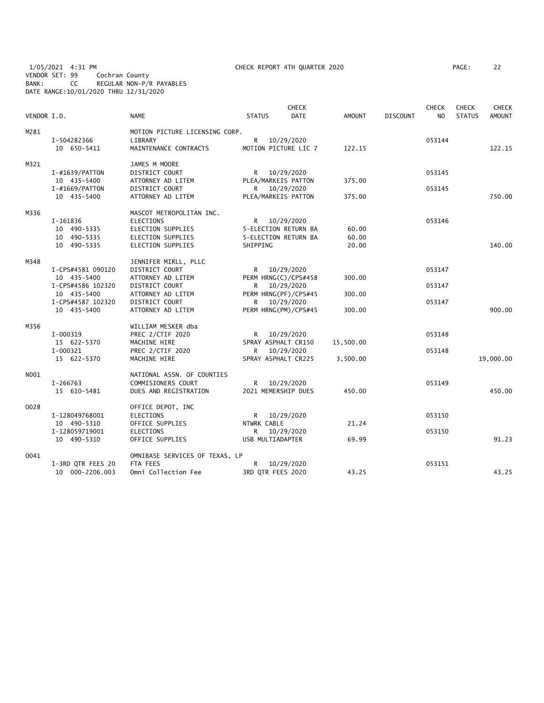1/05/2021 4:31 PM CHECK REPORT 4TH QUARTER 2020 PAGE: 22 VENDOR SET: 99 Cochran County BANK: CC REGULAR NON-P/R PAYABLES DATE RANGE:10/01/2020 THRU 12/31/2020

| AGE: | 22 |
|------|----|
|      |    |

| VENDOR I.D. |                   | <b>NAME</b>                    | <b>STATUS</b>               | <b>CHECK</b><br><b>DATE</b> | AMOUNT    | <b>DISCOUNT</b> | <b>CHECK</b><br>N <sub>O</sub> | <b>CHECK</b><br><b>STATUS</b> | <b>CHECK</b><br><b>AMOUNT</b> |
|-------------|-------------------|--------------------------------|-----------------------------|-----------------------------|-----------|-----------------|--------------------------------|-------------------------------|-------------------------------|
| M281        |                   | MOTION PICTURE LICENSING CORP. |                             |                             |           |                 |                                |                               |                               |
|             | I-504282366       | LIBRARY                        | R —                         | 10/29/2020                  |           |                 | 053144                         |                               |                               |
|             | 10 650-5411       | MAINTENANCE CONTRACTS          | MOTION PICTURE LIC 7        |                             | 122.15    |                 |                                |                               | 122.15                        |
|             |                   |                                |                             |                             |           |                 |                                |                               |                               |
| M321        |                   | JAMES M MOORE                  |                             |                             |           |                 |                                |                               |                               |
|             | $I$ -#1639/PATTON | DISTRICT COURT                 | R <sub>a</sub>              | 10/29/2020                  |           |                 | 053145                         |                               |                               |
|             | 10 435-5400       | ATTORNEY AD LITEM              | PLEA/MARKEIS PATTON         |                             | 375.00    |                 |                                |                               |                               |
|             | $I$ -#1669/PATTON | DISTRICT COURT                 | R —                         | 10/29/2020                  |           |                 | 053145                         |                               |                               |
|             | 10 435-5400       | ATTORNEY AD LITEM              | PLEA/MARKEIS PATTON         |                             | 375.00    |                 |                                |                               | 750.00                        |
| M336        |                   | MASCOT METROPOLITAN INC.       |                             |                             |           |                 |                                |                               |                               |
|             | I-161836          | ELECTIONS                      | R —                         | 10/29/2020                  |           |                 | 053146                         |                               |                               |
|             | 10 490-5335       | ELECTION SUPPLIES              | 5-ELECTION RETURN BA        |                             | 60.00     |                 |                                |                               |                               |
|             | 10 490-5335       | <b>ELECTION SUPPLIES</b>       | <b>5-ELECTION RETURN BA</b> |                             | 60.00     |                 |                                |                               |                               |
|             |                   |                                |                             |                             |           |                 |                                |                               |                               |
|             | 10 490-5335       | ELECTION SUPPLIES              | SHIPPING                    |                             | 20.00     |                 |                                |                               | 140.00                        |
| M348        |                   | JENNIFER MIRLL, PLLC           |                             |                             |           |                 |                                |                               |                               |
|             | I-CPS#4581 090120 | DISTRICT COURT                 | R 10/29/2020                |                             |           |                 | 053147                         |                               |                               |
|             | 10 435-5400       | ATTORNEY AD LITEM              | PERM HRNG(C)/CPS#458        |                             | 300.00    |                 |                                |                               |                               |
|             | I-CPS#4586 102320 | DISTRICT COURT                 | R 10/29/2020                |                             |           |                 | 053147                         |                               |                               |
|             | 10 435-5400       | ATTORNEY AD LITEM              | PERM HRNG(PF)/CPS#45        |                             | 300.00    |                 |                                |                               |                               |
|             | I-CPS#4587 102320 | DISTRICT COURT                 | R                           | 10/29/2020                  |           |                 | 053147                         |                               |                               |
|             | 10 435-5400       | ATTORNEY AD LITEM              | PERM HRNG(PM)/CPS#45        |                             | 300.00    |                 |                                |                               | 900.00                        |
| M356        |                   | WILLIAM MESKER dba             |                             |                             |           |                 |                                |                               |                               |
|             |                   |                                |                             |                             |           |                 |                                |                               |                               |
|             | I-000319          | PREC 2/CTIF 2020               | R                           | 10/29/2020                  |           |                 | 053148                         |                               |                               |
|             | 15 622-5370       | MACHINE HIRE                   | SPRAY ASPHALT CR150         |                             | 15,500.00 |                 |                                |                               |                               |
|             | I-000321          | PREC 2/CTIF 2020               | R                           | 10/29/2020                  |           |                 | 053148                         |                               |                               |
|             | 15 622-5370       | MACHINE HIRE                   | SPRAY ASPHALT CR225         |                             | 3,500.00  |                 |                                |                               | 19,000.00                     |
| N001        |                   | NATIONAL ASSN. OF COUNTIES     |                             |                             |           |                 |                                |                               |                               |
|             | I-266763          | COMMISIONERS COURT             | R.                          | 10/29/2020                  |           |                 | 053149                         |                               |                               |
|             | 15 610-5481       | DUES AND REGISTRATION          | 2021 MEMERSHIP DUES         |                             | 450.00    |                 |                                |                               | 450.00                        |
| 0028        |                   | OFFICE DEPOT, INC              |                             |                             |           |                 |                                |                               |                               |
|             | I-128049768001    | <b>ELECTIONS</b>               | R <sub>a</sub>              | 10/29/2020                  |           |                 | 053150                         |                               |                               |
|             | 10 490-5310       | OFFICE SUPPLIES                | NTWRK CABLE                 |                             | 21.24     |                 |                                |                               |                               |
|             |                   |                                | R                           |                             |           |                 |                                |                               |                               |
|             | I-128059719001    | ELECTIONS                      |                             | 10/29/2020                  |           |                 | 053150                         |                               |                               |
|             | 10 490-5310       | OFFICE SUPPLIES                | USB MULTIADAPTER            |                             | 69.99     |                 |                                |                               | 91.23                         |
| 0041        |                   | OMNIBASE SERVICES OF TEXAS, LP |                             |                             |           |                 |                                |                               |                               |
|             | I-3RD QTR FEES 20 | FTA FEES                       | R                           | 10/29/2020                  |           |                 | 053151                         |                               |                               |
|             | 10 000-2206.003   | Omni Collection Fee            | 3RD QTR FEES 2020           |                             | 43.25     |                 |                                |                               | 43.25                         |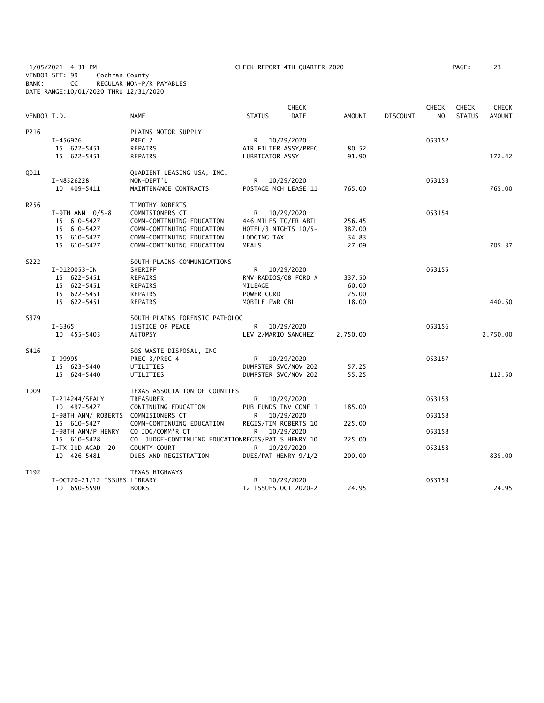1/05/2021 4:31 PM CHECK REPORT 4TH QUARTER 2020 PAGE: 23 VENDOR SET: 99 Cochran County BANK: CC REGULAR NON-P/R PAYABLES DATE RANGE:10/01/2020 THRU 12/31/2020

| VENDOR I.D. |                              | <b>NAME</b>                                        | <b>STATUS</b>        | <b>CHECK</b><br><b>DATE</b> | AMOUNT   | <b>DISCOUNT</b> | <b>CHECK</b><br>N <sub>O</sub> | <b>CHECK</b><br><b>STATUS</b> | <b>CHECK</b><br><b>AMOUNT</b> |
|-------------|------------------------------|----------------------------------------------------|----------------------|-----------------------------|----------|-----------------|--------------------------------|-------------------------------|-------------------------------|
| P216        |                              | PLAINS MOTOR SUPPLY                                |                      |                             |          |                 |                                |                               |                               |
|             | I-456976                     | PREC 2                                             |                      | R 10/29/2020                |          |                 | 053152                         |                               |                               |
|             | 15 622-5451                  | REPAIRS                                            |                      | AIR FILTER ASSY/PREC        | 80.52    |                 |                                |                               |                               |
|             | 15 622-5451                  | REPAIRS                                            | LUBRICATOR ASSY      |                             | 91.90    |                 |                                |                               | 172.42                        |
|             |                              |                                                    |                      |                             |          |                 |                                |                               |                               |
| 0011        |                              | QUADIENT LEASING USA, INC.                         |                      |                             |          |                 |                                |                               |                               |
|             | I-N8526228                   | NON-DEPT'L                                         |                      | R 10/29/2020                |          |                 | 053153                         |                               |                               |
|             | 10 409-5411                  | MAINTENANCE CONTRACTS                              |                      | POSTAGE MCH LEASE 11        | 765.00   |                 |                                |                               | 765.00                        |
| R256        |                              | TIMOTHY ROBERTS                                    |                      |                             |          |                 |                                |                               |                               |
|             | $I-9TH$ ANN $10/5-8$         | COMMISIONERS CT                                    |                      | R 10/29/2020                |          |                 | 053154                         |                               |                               |
|             | 15 610-5427                  | COMM-CONTINUING EDUCATION                          |                      | 446 MILES TO/FR ABIL        | 256.45   |                 |                                |                               |                               |
|             | 15 610-5427                  | COMM-CONTINUING EDUCATION                          | HOTEL/3 NIGHTS 10/5- |                             | 387.00   |                 |                                |                               |                               |
|             | 15 610-5427                  | COMM-CONTINUING EDUCATION                          | LODGING TAX          |                             | 34.83    |                 |                                |                               |                               |
|             | 15 610-5427                  | COMM-CONTINUING EDUCATION                          | MEALS                |                             | 27.09    |                 |                                |                               | 705.37                        |
| S222        |                              | SOUTH PLAINS COMMUNICATIONS                        |                      |                             |          |                 |                                |                               |                               |
|             | I-0120053-IN                 | SHERIFF                                            |                      | R 10/29/2020                |          |                 | 053155                         |                               |                               |
|             | 15 622-5451                  | REPAIRS                                            |                      | RMV RADIOS/08 FORD #        | 337.50   |                 |                                |                               |                               |
|             | 15 622-5451                  | REPAIRS                                            | MILEAGE              |                             | 60.00    |                 |                                |                               |                               |
|             | 15 622-5451                  | REPAIRS                                            | POWER CORD           |                             | 25.00    |                 |                                |                               |                               |
|             | 15 622-5451                  | REPAIRS                                            | MOBILE PWR CBL       |                             | 18.00    |                 |                                |                               | 440.50                        |
| S379        |                              | SOUTH PLAINS FORENSIC PATHOLOG                     |                      |                             |          |                 |                                |                               |                               |
|             | I-6365                       | JUSTICE OF PEACE                                   |                      | R 10/29/2020                |          |                 | 053156                         |                               |                               |
|             |                              | <b>AUTOPSY</b>                                     |                      |                             |          |                 |                                |                               |                               |
|             | 10 455-5405                  |                                                    | LEV 2/MARIO SANCHEZ  |                             | 2,750.00 |                 |                                |                               | 2,750.00                      |
| S416        |                              | SOS WASTE DISPOSAL, INC                            |                      |                             |          |                 |                                |                               |                               |
|             | I-99995                      | PREC 3/PREC 4                                      |                      | R 10/29/2020                |          |                 | 053157                         |                               |                               |
|             | 15 623-5440                  | UTILITIES                                          |                      | DUMPSTER SVC/NOV 202        | 57.25    |                 |                                |                               |                               |
|             | 15 624-5440                  | UTILITIES                                          | DUMPSTER SVC/NOV 202 |                             | 55.25    |                 |                                |                               | 112.50                        |
| T009        |                              | TEXAS ASSOCIATION OF COUNTIES                      |                      |                             |          |                 |                                |                               |                               |
|             | I-214244/SEALY               | TREASURER                                          | R 10/29/2020         |                             |          |                 | 053158                         |                               |                               |
|             | 10 497-5427                  | CONTINUING EDUCATION                               |                      | PUB FUNDS INV CONF 1        | 185.00   |                 |                                |                               |                               |
|             | I-98TH ANN/ ROBERTS          | COMMISIONERS CT                                    | R 10/29/2020         |                             |          |                 | 053158                         |                               |                               |
|             | 15 610-5427                  | COMM-CONTINUING EDUCATION                          | REGIS/TIM ROBERTS 10 |                             | 225.00   |                 |                                |                               |                               |
|             | I-98TH ANN/P HENRY           | CO JDG/COMM'R CT                                   | R 10/29/2020         |                             |          |                 | 053158                         |                               |                               |
|             | 15 610-5428                  | CO. JUDGE-CONTINUING EDUCATIONREGIS/PAT S HENRY 10 |                      |                             | 225.00   |                 |                                |                               |                               |
|             | I-TX JUD ACAD '20            | COUNTY COURT                                       | R 10/29/2020         |                             |          |                 | 053158                         |                               |                               |
|             | 10 426-5481                  | DUES AND REGISTRATION                              |                      | DUES/PAT HENRY 9/1/2        | 200.00   |                 |                                |                               | 835.00                        |
| T192        |                              | TEXAS HIGHWAYS                                     |                      |                             |          |                 |                                |                               |                               |
|             | I-OCT20-21/12 ISSUES LIBRARY |                                                    |                      | R 10/29/2020                |          |                 | 053159                         |                               |                               |
|             | 10 650-5590                  | <b>BOOKS</b>                                       | 12 ISSUES OCT 2020-2 |                             | 24.95    |                 |                                |                               | 24.95                         |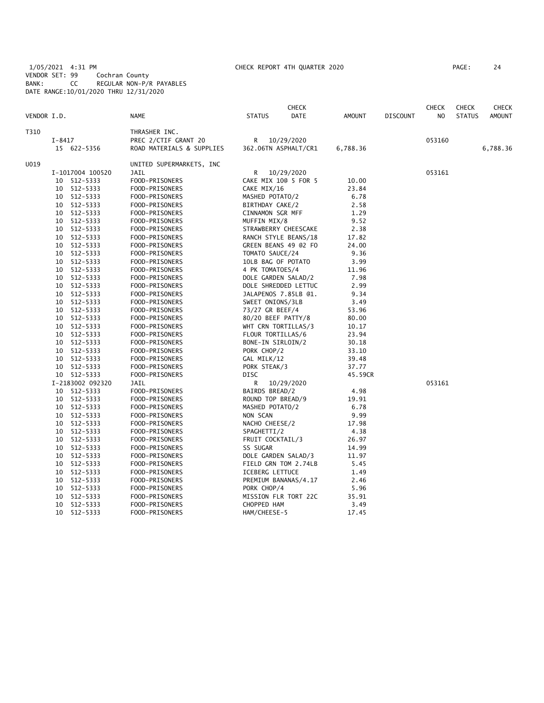1/05/2021 4:31 PM CHECK REPORT 4TH QUARTER 2020 PAGE: 24 VENDOR SET: 99 Cochran County BANK: CC REGULAR NON-P/R PAYABLES DATE RANGE:10/01/2020 THRU 12/31/2020

| PAGE : | 24 |
|--------|----|
|--------|----|

|             |            |                  |                           |                     | <b>CHECK</b>         |          |                 | <b>CHECK</b> | <b>CHECK</b>  | CHECK         |
|-------------|------------|------------------|---------------------------|---------------------|----------------------|----------|-----------------|--------------|---------------|---------------|
| VENDOR I.D. |            |                  | <b>NAME</b>               | <b>STATUS</b>       | DATE                 | AMOUNT   | <b>DISCOUNT</b> | NO           | <b>STATUS</b> | <b>AMOUNT</b> |
| T310        |            |                  | THRASHER INC.             |                     |                      |          |                 |              |               |               |
|             | $I - 8417$ |                  | PREC 2/CTIF GRANT 20      | R                   | 10/29/2020           |          |                 | 053160       |               |               |
|             |            | 15 622-5356      | ROAD MATERIALS & SUPPLIES |                     | 362.06TN ASPHALT/CR1 | 6,788.36 |                 |              |               | 6,788.36      |
| U019        |            |                  | UNITED SUPERMARKETS, INC  |                     |                      |          |                 |              |               |               |
|             |            | I-1017004 100520 | JAIL                      | R                   | 10/29/2020           |          |                 | 053161       |               |               |
|             |            | 10 512-5333      | FOOD-PRISONERS            |                     | CAKE MIX 100 5 FOR 5 | 10.00    |                 |              |               |               |
|             | 10         | 512-5333         | FOOD-PRISONERS            | CAKE MIX/16         |                      | 23.84    |                 |              |               |               |
|             | 10         | 512-5333         | FOOD-PRISONERS            | MASHED POTATO/2     |                      | 6.78     |                 |              |               |               |
|             | 10         | 512-5333         | FOOD-PRISONERS            | BIRTHDAY CAKE/2     |                      | 2.58     |                 |              |               |               |
|             | 10         | 512-5333         | FOOD-PRISONERS            | CINNAMON SGR MFF    |                      | 1.29     |                 |              |               |               |
|             | 10         | 512-5333         | FOOD-PRISONERS            | MUFFIN MIX/8        |                      | 9.52     |                 |              |               |               |
|             | 10         | 512-5333         | FOOD-PRISONERS            |                     | STRAWBERRY CHEESCAKE | 2.38     |                 |              |               |               |
|             | 10         | 512-5333         | FOOD-PRISONERS            |                     | RANCH STYLE BEANS/18 | 17.82    |                 |              |               |               |
|             |            | 10 512-5333      | FOOD-PRISONERS            |                     | GREEN BEANS 49 @2 FO | 24.00    |                 |              |               |               |
|             | 10         | 512-5333         | FOOD-PRISONERS            | TOMATO SAUCE/24     |                      | 9.36     |                 |              |               |               |
|             |            | 10 512-5333      | FOOD-PRISONERS            | 10LB BAG OF POTATO  |                      | 3.99     |                 |              |               |               |
|             | 10         | 512-5333         | FOOD-PRISONERS            | 4 PK TOMATOES/4     |                      | 11.96    |                 |              |               |               |
|             |            | 10 512-5333      | FOOD-PRISONERS            | DOLE GARDEN SALAD/2 |                      | 7.98     |                 |              |               |               |
|             | 10         | 512-5333         | FOOD-PRISONERS            |                     | DOLE SHREDDED LETTUC | 2.99     |                 |              |               |               |
|             |            | 10 512-5333      | FOOD-PRISONERS            |                     | JALAPENOS 7.85LB @1. | 9.34     |                 |              |               |               |
|             | 10         | 512-5333         | FOOD-PRISONERS            | SWEET ONIONS/3LB    |                      | 3.49     |                 |              |               |               |
|             | 10         | 512-5333         | FOOD-PRISONERS            | 73/27 GR BEEF/4     |                      | 53.96    |                 |              |               |               |
|             | 10         | 512-5333         | FOOD-PRISONERS            | 80/20 BEEF PATTY/8  |                      | 80.00    |                 |              |               |               |
|             | 10         | 512-5333         | FOOD-PRISONERS            | WHT CRN TORTILLAS/3 |                      | 10.17    |                 |              |               |               |
|             | 10         | 512-5333         | FOOD-PRISONERS            | FLOUR TORTILLAS/6   |                      | 23.94    |                 |              |               |               |
|             | 10         | 512-5333         | FOOD-PRISONERS            | BONE-IN SIRLOIN/2   |                      | 30.18    |                 |              |               |               |
|             |            | 10 512-5333      | FOOD-PRISONERS            | PORK CHOP/2         |                      | 33.10    |                 |              |               |               |
|             | 10         | 512-5333         | FOOD-PRISONERS            | GAL MILK/12         |                      | 39.48    |                 |              |               |               |
|             |            | 10 512-5333      | FOOD-PRISONERS            | PORK STEAK/3        |                      | 37.77    |                 |              |               |               |
|             |            | 10 512-5333      | FOOD-PRISONERS            | DISC                |                      | 45.59CR  |                 |              |               |               |
|             |            | I-2183002 092320 | JAIL                      | R                   | 10/29/2020           |          |                 | 053161       |               |               |
|             | 10         | 512-5333         | FOOD-PRISONERS            | BAIRDS BREAD/2      |                      | 4.98     |                 |              |               |               |
|             |            | 10 512-5333      | FOOD-PRISONERS            | ROUND TOP BREAD/9   |                      | 19.91    |                 |              |               |               |
|             |            | 10 512-5333      | FOOD-PRISONERS            | MASHED POTATO/2     |                      | 6.78     |                 |              |               |               |
|             |            | 10 512-5333      | FOOD-PRISONERS            | NON SCAN            |                      | 9.99     |                 |              |               |               |
|             | 10         | 512-5333         | FOOD-PRISONERS            | NACHO CHEESE/2      |                      | 17.98    |                 |              |               |               |
|             | 10         | 512-5333         | FOOD-PRISONERS            | SPAGHETTI/2         |                      | 4.38     |                 |              |               |               |
|             | 10         | 512-5333         | FOOD-PRISONERS            | FRUIT COCKTAIL/3    |                      | 26.97    |                 |              |               |               |
|             | 10         | 512-5333         | FOOD-PRISONERS            | SS SUGAR            |                      | 14.99    |                 |              |               |               |
|             |            | 10 512-5333      | FOOD-PRISONERS            | DOLE GARDEN SALAD/3 |                      | 11.97    |                 |              |               |               |
|             | 10         | 512-5333         | FOOD-PRISONERS            |                     | FIELD GRN TOM 2.74LB | 5.45     |                 |              |               |               |
|             | 10         | 512-5333         | FOOD-PRISONERS            | ICEBERG LETTUCE     |                      | 1.49     |                 |              |               |               |
|             | 10         | 512-5333         | FOOD-PRISONERS            |                     | PREMIUM BANANAS/4.17 | 2.46     |                 |              |               |               |
|             | 10         | 512-5333         | FOOD-PRISONERS            | PORK CHOP/4         |                      | 5.96     |                 |              |               |               |
|             | 10         | 512-5333         | FOOD-PRISONERS            |                     | MISSION FLR TORT 22C | 35.91    |                 |              |               |               |
|             | 10         | 512-5333         | FOOD-PRISONERS            | CHOPPED HAM         |                      | 3.49     |                 |              |               |               |
|             | 10         | 512-5333         | FOOD-PRISONERS            | HAM/CHEESE-5        |                      | 17.45    |                 |              |               |               |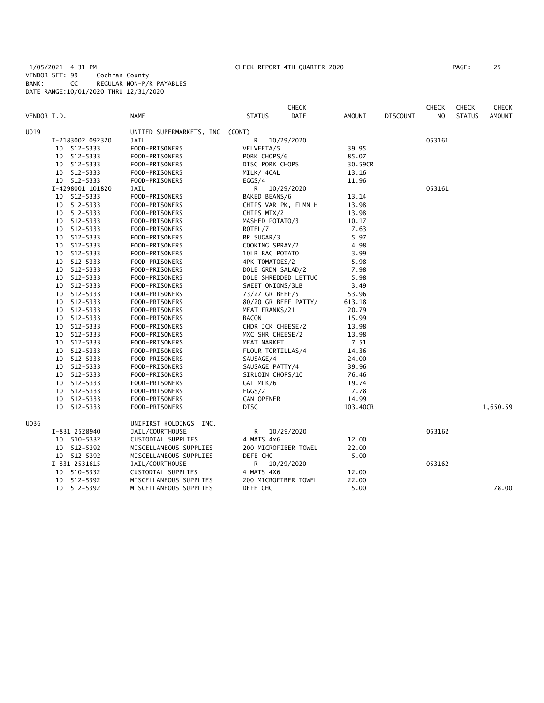1/05/2021 4:31 PM CHECK REPORT 4TH QUARTER 2020 PAGE: 25 VENDOR SET: 99 Cochran County BANK: CC REGULAR NON-P/R PAYABLES DATE RANGE:10/01/2020 THRU 12/31/2020

|             |                  |                                 |                   | <b>CHECK</b>         |               |                 | <b>CHECK</b>   | <b>CHECK</b>  | <b>CHECK</b>  |
|-------------|------------------|---------------------------------|-------------------|----------------------|---------------|-----------------|----------------|---------------|---------------|
| VENDOR I.D. |                  | <b>NAME</b>                     | <b>STATUS</b>     | DATE                 | <b>AMOUNT</b> | <b>DISCOUNT</b> | N <sub>O</sub> | <b>STATUS</b> | <b>AMOUNT</b> |
| U019        |                  | UNITED SUPERMARKETS, INC (CONT) |                   |                      |               |                 |                |               |               |
|             | I-2183002 092320 | <b>JAIL</b>                     | R                 | 10/29/2020           |               |                 | 053161         |               |               |
|             | 10 512-5333      | FOOD-PRISONERS                  | VELVEETA/5        |                      | 39.95         |                 |                |               |               |
|             | 10 512-5333      | FOOD-PRISONERS                  | PORK CHOPS/6      |                      | 85.07         |                 |                |               |               |
|             | 10 512-5333      | FOOD-PRISONERS                  | DISC PORK CHOPS   |                      | 30.59CR       |                 |                |               |               |
|             | 10 512-5333      | FOOD-PRISONERS                  | MILK/ 4GAL        |                      | 13.16         |                 |                |               |               |
|             | 10 512-5333      | FOOD-PRISONERS                  | EGGS/4            |                      | 11.96         |                 |                |               |               |
|             | I-4298001 101820 | JAIL                            | R                 | 10/29/2020           |               |                 | 053161         |               |               |
|             | 10 512-5333      | FOOD-PRISONERS                  | BAKED BEANS/6     |                      | 13.14         |                 |                |               |               |
|             | 10 512-5333      | FOOD-PRISONERS                  |                   | CHIPS VAR PK, FLMN H | 13.98         |                 |                |               |               |
| 10 512-5333 |                  | FOOD-PRISONERS                  | CHIPS MIX/2       |                      | 13.98         |                 |                |               |               |
|             | 10 512-5333      | FOOD-PRISONERS                  | MASHED POTATO/3   |                      | 10.17         |                 |                |               |               |
|             | 10 512-5333      | FOOD-PRISONERS                  | ROTEL/7           |                      | 7.63          |                 |                |               |               |
|             | 10 512-5333      | FOOD-PRISONERS                  | BR SUGAR/3        |                      | 5.97          |                 |                |               |               |
|             | 10 512-5333      | FOOD-PRISONERS                  | COOKING SPRAY/2   |                      | 4.98          |                 |                |               |               |
|             | 10 512-5333      | FOOD-PRISONERS                  | 10LB BAG POTATO   |                      | 3.99          |                 |                |               |               |
|             | 10 512-5333      | FOOD-PRISONERS                  | 4PK TOMATOES/2    |                      | 5.98          |                 |                |               |               |
|             | 10 512-5333      | FOOD-PRISONERS                  | DOLE GRDN SALAD/2 |                      | 7.98          |                 |                |               |               |
|             | 10 512-5333      | FOOD-PRISONERS                  |                   | DOLE SHREDDED LETTUC | 5.98          |                 |                |               |               |
|             | 10 512-5333      | FOOD-PRISONERS                  | SWEET ONIONS/3LB  |                      | 3.49          |                 |                |               |               |
|             | 10 512-5333      | FOOD-PRISONERS                  | 73/27 GR BEEF/5   |                      | 53.96         |                 |                |               |               |
|             | 10 512-5333      | FOOD-PRISONERS                  |                   | 80/20 GR BEEF PATTY/ | 613.18        |                 |                |               |               |
|             | 10 512-5333      | FOOD-PRISONERS                  | MEAT FRANKS/21    |                      | 20.79         |                 |                |               |               |
|             | 10 512-5333      | FOOD-PRISONERS                  | <b>BACON</b>      |                      | 15.99         |                 |                |               |               |
|             | 10 512-5333      | FOOD-PRISONERS                  | CHDR JCK CHEESE/2 |                      | 13.98         |                 |                |               |               |
|             | 10 512-5333      | FOOD-PRISONERS                  | MXC SHR CHEESE/2  |                      | 13.98         |                 |                |               |               |
|             | 10 512-5333      | FOOD-PRISONERS                  | MEAT MARKET       |                      | 7.51          |                 |                |               |               |
|             | 10 512-5333      | FOOD-PRISONERS                  | FLOUR TORTILLAS/4 |                      | 14.36         |                 |                |               |               |
|             | 10 512-5333      | FOOD-PRISONERS                  | SAUSAGE/4         |                      | 24.00         |                 |                |               |               |
|             | 10 512-5333      | FOOD-PRISONERS                  | SAUSAGE PATTY/4   |                      | 39.96         |                 |                |               |               |
|             | 10 512-5333      | FOOD-PRISONERS                  | SIRLOIN CHOPS/10  |                      | 76.46         |                 |                |               |               |
|             | 10 512-5333      | FOOD-PRISONERS                  | GAL MLK/6         |                      | 19.74         |                 |                |               |               |
|             | 10 512-5333      | FOOD-PRISONERS                  | EGGS/2            |                      | 7.78          |                 |                |               |               |
|             | 10 512-5333      | FOOD-PRISONERS                  | CAN OPENER        |                      | 14.99         |                 |                |               |               |
|             | 10 512-5333      | FOOD-PRISONERS                  | DISC              |                      | 103.40CR      |                 |                |               | 1,650.59      |
| U036        |                  | UNIFIRST HOLDINGS, INC.         |                   |                      |               |                 |                |               |               |
|             | I-831 2528940    | JAIL/COURTHOUSE                 | R                 | 10/29/2020           |               |                 | 053162         |               |               |
|             | 10 510-5332      | CUSTODIAL SUPPLIES              | 4 MATS 4x6        |                      | 12.00         |                 |                |               |               |
|             | 10 512-5392      | MISCELLANEOUS SUPPLIES          |                   | 200 MICROFIBER TOWEL | 22.00         |                 |                |               |               |
|             | 10 512-5392      | MISCELLANEOUS SUPPLIES          | DEFE CHG          |                      | 5.00          |                 |                |               |               |
|             | I-831 2531615    | JAIL/COURTHOUSE                 | R                 | 10/29/2020           |               |                 | 053162         |               |               |
|             | 10 510-5332      | CUSTODIAL SUPPLIES              | 4 MATS 4X6        |                      | 12.00         |                 |                |               |               |
|             | 10 512-5392      | MISCELLANEOUS SUPPLIES          |                   | 200 MICROFIBER TOWEL | 22.00         |                 |                |               |               |
|             | 10 512-5392      | MISCELLANEOUS SUPPLIES          | DEFE CHG          |                      | 5.00          |                 |                |               | 78.00         |
|             |                  |                                 |                   |                      |               |                 |                |               |               |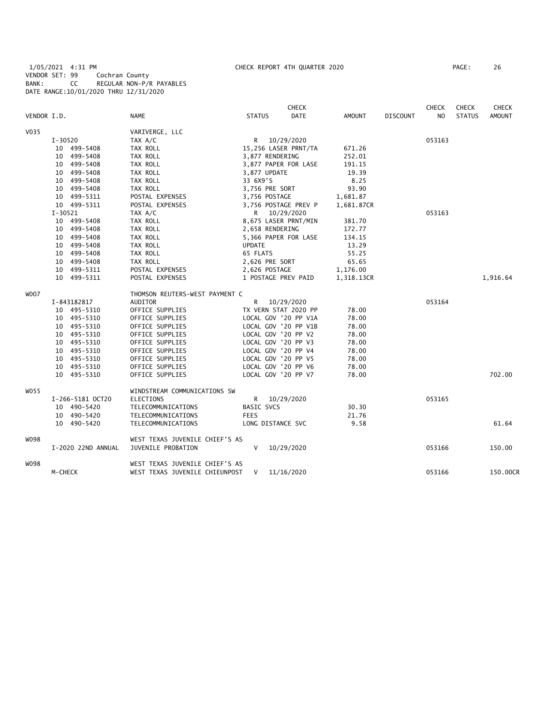1/05/2021 4:31 PM CHECK REPORT 4TH QUARTER 2020 PAGE: 26 VENDOR SET: 99 Cochran County BANK: CC REGULAR NON-P/R PAYABLES DATE RANGE:10/01/2020 THRU 12/31/2020

|             |             |                    |                                |                   | CHECK                |               |                 | <b>CHECK</b>   | <b>CHECK</b>  | CHECK         |
|-------------|-------------|--------------------|--------------------------------|-------------------|----------------------|---------------|-----------------|----------------|---------------|---------------|
| VENDOR I.D. |             |                    | <b>NAME</b>                    | <b>STATUS</b>     | DATE                 | <b>AMOUNT</b> | <b>DISCOUNT</b> | N <sub>O</sub> | <b>STATUS</b> | <b>AMOUNT</b> |
| V035        |             |                    | VARIVERGE, LLC                 |                   |                      |               |                 |                |               |               |
|             | $I - 30520$ |                    | TAX A/C                        | R.                | 10/29/2020           |               |                 | 053163         |               |               |
|             |             | 10 499-5408        | TAX ROLL                       |                   | 15,256 LASER PRNT/TA | 671.26        |                 |                |               |               |
|             |             | 10 499-5408        | TAX ROLL                       | 3,877 RENDERING   |                      | 252.01        |                 |                |               |               |
|             |             | 10 499-5408        | TAX ROLL                       |                   | 3,877 PAPER FOR LASE | 191.15        |                 |                |               |               |
|             |             | 10 499-5408        | TAX ROLL                       | 3,877 UPDATE      |                      | 19.39         |                 |                |               |               |
|             |             | 10 499-5408        | TAX ROLL                       | 33 6X9'S          |                      | 8.25          |                 |                |               |               |
|             |             | 10 499-5408        | TAX ROLL                       | 3,756 PRE SORT    |                      | 93.90         |                 |                |               |               |
|             |             | 10 499-5311        | POSTAL EXPENSES                | 3,756 POSTAGE     |                      | 1,681.87      |                 |                |               |               |
|             |             | 10 499-5311        | POSTAL EXPENSES                |                   | 3,756 POSTAGE PREV P | 1,681.87CR    |                 |                |               |               |
|             | I-30521     |                    | TAX A/C                        |                   | R 10/29/2020         |               |                 | 053163         |               |               |
|             |             | 10 499-5408        | TAX ROLL                       |                   | 8,675 LASER PRNT/MIN | 381.70        |                 |                |               |               |
|             |             | 10 499-5408        | TAX ROLL                       | 2,658 RENDERING   |                      | 172.77        |                 |                |               |               |
|             |             | 10 499-5408        | TAX ROLL                       |                   | 5,366 PAPER FOR LASE | 134.15        |                 |                |               |               |
|             |             | 10 499-5408        | TAX ROLL                       | <b>UPDATE</b>     |                      | 13.29         |                 |                |               |               |
|             |             | 10 499-5408        | TAX ROLL                       | 65 FLATS          |                      | 55.25         |                 |                |               |               |
|             |             | 10 499-5408        | TAX ROLL                       | 2,626 PRE SORT    |                      | 65.65         |                 |                |               |               |
|             |             | 10 499-5311        | POSTAL EXPENSES                | 2,626 POSTAGE     |                      | 1,176.00      |                 |                |               |               |
|             |             | 10 499-5311        | POSTAL EXPENSES                |                   | 1 POSTAGE PREV PAID  | 1,318.13CR    |                 |                |               | 1,916.64      |
| W007        |             |                    | THOMSON REUTERS-WEST PAYMENT C |                   |                      |               |                 |                |               |               |
|             |             | I-843182817        | AUDITOR                        |                   | R 10/29/2020         |               |                 | 053164         |               |               |
|             |             | 10 495-5310        | OFFICE SUPPLIES                |                   | TX VERN STAT 2020 PP | 78.00         |                 |                |               |               |
|             |             | 10 495-5310        | OFFICE SUPPLIES                |                   | LOCAL GOV '20 PP V1A | 78.00         |                 |                |               |               |
|             |             | 10 495-5310        | OFFICE SUPPLIES                |                   | LOCAL GOV '20 PP V1B | 78.00         |                 |                |               |               |
|             |             | 10 495-5310        | OFFICE SUPPLIES                |                   | LOCAL GOV '20 PP V2  | 78.00         |                 |                |               |               |
|             |             | 10 495-5310        | OFFICE SUPPLIES                |                   | LOCAL GOV '20 PP V3  | 78.00         |                 |                |               |               |
|             |             | 10 495-5310        | OFFICE SUPPLIES                |                   | LOCAL GOV '20 PP V4  | 78.00         |                 |                |               |               |
|             |             | 10 495-5310        | OFFICE SUPPLIES                |                   | LOCAL GOV '20 PP V5  | 78.00         |                 |                |               |               |
|             |             | 10 495-5310        | OFFICE SUPPLIES                |                   | LOCAL GOV '20 PP V6  | 78.00         |                 |                |               |               |
|             |             | 10 495-5310        | OFFICE SUPPLIES                |                   | LOCAL GOV '20 PP V7  | 78.00         |                 |                |               | 702.00        |
| W055        |             |                    | WINDSTREAM COMMUNICATIONS SW   |                   |                      |               |                 |                |               |               |
|             |             | I-266-5181 OCT20   | ELECTIONS                      | R.                | 10/29/2020           |               |                 | 053165         |               |               |
|             |             | 10 490-5420        | TELECOMMUNICATIONS             | BASIC SVCS        |                      | 30.30         |                 |                |               |               |
|             |             | 10 490-5420        | TELECOMMUNICATIONS             | <b>FEES</b>       |                      | 21.76         |                 |                |               |               |
|             |             | 10 490-5420        | TELECOMMUNICATIONS             | LONG DISTANCE SVC |                      | 9.58          |                 |                |               | 61.64         |
| W098        |             |                    | WEST TEXAS JUVENILE CHIEF'S AS |                   |                      |               |                 |                |               |               |
|             |             | I-2020 22ND ANNUAL | JUVENILE PROBATION             | V                 | 10/29/2020           |               |                 | 053166         |               | 150.00        |
| W098        |             |                    | WEST TEXAS JUVENILE CHIEF'S AS |                   |                      |               |                 |                |               |               |
|             | M-CHECK     |                    | WEST TEXAS JUVENILE CHIEUNPOST | V                 | 11/16/2020           |               |                 | 053166         |               | 150.00CR      |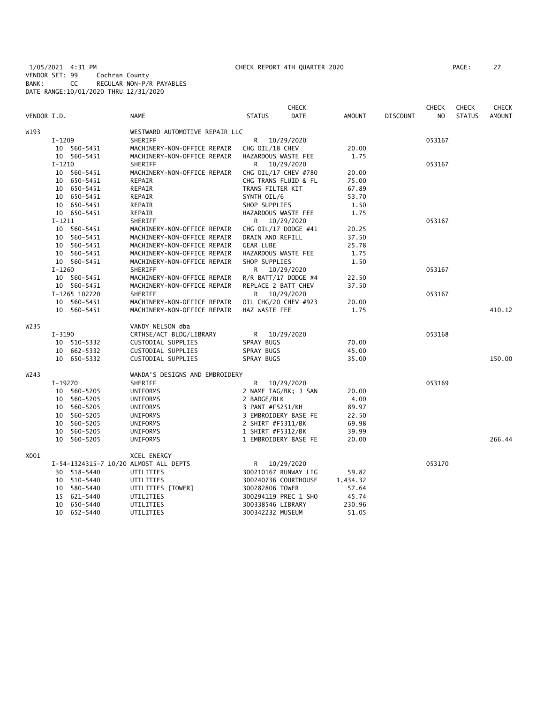1/05/2021 4:31 PM CHECK REPORT 4TH QUARTER 2020 PAGE: 27 VENDOR SET: 99 Cochran County BANK: CC REGULAR NON-P/R PAYABLES DATE RANGE:10/01/2020 THRU 12/31/2020

|                  |            |               |                                       |                     | <b>CHECK</b>           |               |                 | <b>CHECK</b>   | <b>CHECK</b>  | CHECK         |
|------------------|------------|---------------|---------------------------------------|---------------------|------------------------|---------------|-----------------|----------------|---------------|---------------|
| VENDOR I.D.      |            |               | <b>NAME</b>                           | <b>STATUS</b>       | <b>DATE</b>            | <b>AMOUNT</b> | <b>DISCOUNT</b> | N <sub>O</sub> | <b>STATUS</b> | <b>AMOUNT</b> |
| W193             |            |               | WESTWARD AUTOMOTIVE REPAIR LLC        |                     |                        |               |                 |                |               |               |
|                  | I-1209     |               | SHERIFF                               | R                   | 10/29/2020             |               |                 | 053167         |               |               |
|                  |            | 10 560-5451   | MACHINERY-NON-OFFICE REPAIR           | CHG OIL/18 CHEV     |                        | 20.00         |                 |                |               |               |
|                  |            | 10 560-5451   | MACHINERY-NON-OFFICE REPAIR           | HAZARDOUS WASTE FEE |                        | 1.75          |                 |                |               |               |
|                  | $I-1210$   |               | SHERIFF                               |                     | R 10/29/2020           |               |                 | 053167         |               |               |
|                  |            | 10 560-5451   | MACHINERY-NON-OFFICE REPAIR           |                     | CHG OIL/17 CHEV #780   | 20.00         |                 |                |               |               |
|                  |            | 10 650-5451   | REPAIR                                |                     | CHG TRANS FLUID & FL   | 75.00         |                 |                |               |               |
|                  |            | 10 650-5451   | REPAIR                                | TRANS FILTER KIT    |                        | 67.89         |                 |                |               |               |
|                  |            | 10 650-5451   | REPAIR                                | SYNTH OIL/6         |                        | 53.70         |                 |                |               |               |
|                  |            | 10 650-5451   | REPAIR                                | SHOP SUPPLIES       |                        | 1.50          |                 |                |               |               |
|                  |            | 10 650-5451   | REPAIR                                | HAZARDOUS WASTE FEE |                        | 1.75          |                 |                |               |               |
|                  | I-1211     |               | SHERIFF                               |                     | R 10/29/2020           |               |                 | 053167         |               |               |
|                  |            | 10 560-5451   | MACHINERY-NON-OFFICE REPAIR           |                     | CHG OIL/17 DODGE #41   | 20.25         |                 |                |               |               |
|                  |            | 10 560-5451   | MACHINERY-NON-OFFICE REPAIR           | DRAIN AND REFILL    |                        | 37.50         |                 |                |               |               |
|                  |            | 10 560-5451   | MACHINERY-NON-OFFICE REPAIR           | <b>GEAR LUBE</b>    |                        | 25.78         |                 |                |               |               |
|                  |            | 10 560-5451   | MACHINERY-NON-OFFICE REPAIR           | HAZARDOUS WASTE FEE |                        | 1.75          |                 |                |               |               |
|                  |            | 10 560-5451   | MACHINERY-NON-OFFICE REPAIR           | SHOP SUPPLIES       |                        | 1.50          |                 |                |               |               |
|                  | $I-1260$   |               | SHERIFF                               |                     | R 10/29/2020           |               |                 | 053167         |               |               |
|                  |            | 10 560-5451   | MACHINERY-NON-OFFICE REPAIR           |                     | $R/R$ BATT/17 DODGE #4 | 22.50         |                 |                |               |               |
|                  |            | 10 560-5451   | MACHINERY-NON-OFFICE REPAIR           | REPLACE 2 BATT CHEV |                        | 37.50         |                 |                |               |               |
|                  |            | I-1265 102720 | SHERIFF                               |                     | R 10/29/2020           |               |                 | 053167         |               |               |
|                  |            | 10 560-5451   | MACHINERY-NON-OFFICE REPAIR           |                     | OIL CHG/20 CHEV #923   | 20.00         |                 |                |               |               |
|                  |            | 10 560-5451   | MACHINERY-NON-OFFICE REPAIR           | HAZ WASTE FEE       |                        | 1.75          |                 |                |               | 410.12        |
| W <sub>235</sub> |            |               | VANDY NELSON dba                      |                     |                        |               |                 |                |               |               |
|                  | $I - 3190$ |               | CRTHSE/ACT BLDG/LIBRARY               | R                   | 10/29/2020             |               |                 | 053168         |               |               |
|                  |            | 10 510-5332   | CUSTODIAL SUPPLIES                    | SPRAY BUGS          |                        | 70.00         |                 |                |               |               |
|                  |            | 10 662-5332   | CUSTODIAL SUPPLIES                    | SPRAY BUGS          |                        | 45.00         |                 |                |               |               |
|                  |            | 10 650-5332   | CUSTODIAL SUPPLIES                    | SPRAY BUGS          |                        | 35.00         |                 |                |               | 150.00        |
| W243             |            |               | WANDA'S DESIGNS AND EMBROIDERY        |                     |                        |               |                 |                |               |               |
|                  | $I-19270$  |               | SHERIFF                               | R                   | 10/29/2020             |               |                 | 053169         |               |               |
|                  |            | 10 560-5205   | UNIFORMS                              |                     | 2 NAME TAG/BK; J SAN   | 20.00         |                 |                |               |               |
|                  |            | 10 560-5205   | UNIFORMS                              | 2 BADGE/BLK         |                        | 4.00          |                 |                |               |               |
|                  |            | 10 560-5205   | UNIFORMS                              | 3 PANT #F5251/KH    |                        | 89.97         |                 |                |               |               |
|                  |            | 10 560-5205   | UNIFORMS                              |                     | 3 EMBROIDERY BASE FE   | 22.50         |                 |                |               |               |
|                  |            | 10 560-5205   | UNIFORMS                              | 2 SHIRT #F5311/BK   |                        | 69.98         |                 |                |               |               |
|                  | 10         | 560-5205      | UNIFORMS                              | 1 SHIRT #F5312/BK   |                        | 39.99         |                 |                |               |               |
|                  |            | 10 560-5205   | UNIFORMS                              |                     | 1 EMBROIDERY BASE FE   | 20.00         |                 |                |               | 266.44        |
| X001             |            |               | XCEL ENERGY                           |                     |                        |               |                 |                |               |               |
|                  |            |               | I-54-1324315-7 10/20 ALMOST ALL DEPTS | R                   | 10/29/2020             |               |                 | 053170         |               |               |
|                  |            | 30 518-5440   | UTILITIES                             |                     | 300210167 RUNWAY LIG   | 59.82         |                 |                |               |               |
|                  |            | 10 510-5440   | UTILITIES                             |                     | 300240736 COURTHOUSE   | 1,434.32      |                 |                |               |               |
|                  |            | 10 580-5440   | UTILITIES [TOWER]                     | 300282806 TOWER     |                        | 57.64         |                 |                |               |               |
|                  |            | 15 621-5440   | UTILITIES                             |                     | 300294119 PREC 1 SHO   | 45.74         |                 |                |               |               |
|                  |            | 10 650-5440   | UTILITIES                             | 300338546 LIBRARY   |                        | 230.96        |                 |                |               |               |
|                  |            | 10 652-5440   | UTILITIES                             | 300342232 MUSEUM    |                        | 51.05         |                 |                |               |               |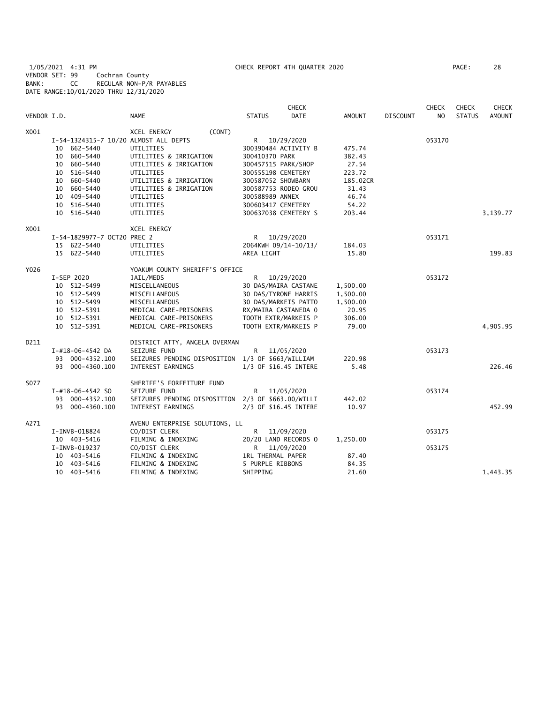1/05/2021 4:31 PM CHECK REPORT 4TH QUARTER 2020 PAGE: 28 VENDOR SET: 99 Cochran County BANK: CC REGULAR NON-P/R PAYABLES DATE RANGE:10/01/2020 THRU 12/31/2020

|             |                                       |                                                    | <b>CHECK</b>                 |               |                 | <b>CHECK</b>   | <b>CHECK</b>  | <b>CHECK</b>  |
|-------------|---------------------------------------|----------------------------------------------------|------------------------------|---------------|-----------------|----------------|---------------|---------------|
| VENDOR I.D. |                                       | <b>NAME</b>                                        | <b>STATUS</b><br><b>DATE</b> | <b>AMOUNT</b> | <b>DISCOUNT</b> | N <sub>O</sub> | <b>STATUS</b> | <b>AMOUNT</b> |
| X001        |                                       | (CONT)<br>XCEL ENERGY                              |                              |               |                 |                |               |               |
|             | I-54-1324315-7 10/20 ALMOST ALL DEPTS |                                                    | R 10/29/2020                 |               |                 | 053170         |               |               |
|             | 10 662-5440                           | UTILITIES                                          | 300390484 ACTIVITY B         | 475.74        |                 |                |               |               |
|             | 10 660-5440                           | UTILITIES & IRRIGATION                             | 300410370 PARK               | 382.43        |                 |                |               |               |
|             | 10 660-5440                           | UTILITIES & IRRIGATION                             | 300457515 PARK/SHOP          | 27.54         |                 |                |               |               |
|             | 10 516-5440                           | UTILITIES                                          | 300555198 CEMETERY           | 223.72        |                 |                |               |               |
|             | 10 660-5440                           | UTILITIES & IRRIGATION                             | 300587052 SHOWBARN           | 185.02CR      |                 |                |               |               |
|             | 10 660-5440                           | UTILITIES & IRRIGATION                             | 300587753 RODEO GROU         | 31.43         |                 |                |               |               |
|             | 10 409-5440                           | UTILITIES                                          | 300588989 ANNEX              | 46.74         |                 |                |               |               |
|             | 10 516-5440                           | UTILITIES                                          | 300603417 CEMETERY           | 54.22         |                 |                |               |               |
|             | 10 516-5440                           | UTILITIES                                          | 300637038 CEMETERY S         | 203.44        |                 |                |               | 3,139.77      |
| X001        |                                       | <b>XCEL ENERGY</b>                                 |                              |               |                 |                |               |               |
|             | I-54-1829977-7 OCT20 PREC 2           |                                                    | R 10/29/2020                 |               |                 | 053171         |               |               |
|             | 15 622-5440                           | UTILITIES                                          | 2064KWH 09/14-10/13/         | 184.03        |                 |                |               |               |
|             | 15 622-5440                           | UTILITIES                                          | AREA LIGHT                   | 15.80         |                 |                |               | 199.83        |
| Y026        |                                       | YOAKUM COUNTY SHERIFF'S OFFICE                     |                              |               |                 |                |               |               |
|             | I-SEP 2020                            | JAIL/MEDS                                          | R<br>10/29/2020              |               |                 | 053172         |               |               |
|             | 10 512-5499                           | MISCELLANEOUS                                      | 30 DAS/MAIRA CASTANE         | 1,500.00      |                 |                |               |               |
|             | 10 512-5499                           | MISCELLANEOUS                                      | 30 DAS/TYRONE HARRIS         | 1,500.00      |                 |                |               |               |
|             | 10 512-5499                           | MISCELLANEOUS                                      | 30 DAS/MARKEIS PATTO         | 1,500.00      |                 |                |               |               |
|             | 10 512-5391                           | MEDICAL CARE-PRISONERS                             | RX/MAIRA CASTANEDA 0         | 20.95         |                 |                |               |               |
|             | 10 512-5391                           | MEDICAL CARE-PRISONERS                             | TOOTH EXTR/MARKEIS P         | 306.00        |                 |                |               |               |
|             | 10 512-5391                           | MEDICAL CARE-PRISONERS                             | TOOTH EXTR/MARKEIS P         | 79.00         |                 |                |               | 4,905.95      |
| D211        |                                       | DISTRICT ATTY, ANGELA OVERMAN                      |                              |               |                 |                |               |               |
|             | I-#18-06-4542 DA                      | SEIZURE FUND                                       | R 11/05/2020                 |               |                 | 053173         |               |               |
|             | 93 000-4352.100                       | SEIZURES PENDING DISPOSITION 1/3 OF \$663/WILLIAM  |                              | 220.98        |                 |                |               |               |
|             | 93 000-4360.100                       | INTEREST EARNINGS                                  | 1/3 OF \$16.45 INTERE        | 5.48          |                 |                |               | 226.46        |
| S077        |                                       | SHERIFF'S FORFEITURE FUND                          |                              |               |                 |                |               |               |
|             | $I - #18 - 06 - 4542$ SO              | SEIZURE FUND                                       | R<br>11/05/2020              |               |                 | 053174         |               |               |
|             | 93 000-4352.100                       | SEIZURES PENDING DISPOSITION 2/3 OF \$663.00/WILLI |                              | 442.02        |                 |                |               |               |
|             | 93 000-4360.100                       | INTEREST EARNINGS                                  | 2/3 OF \$16.45 INTERE        | 10.97         |                 |                |               | 452.99        |
| A271        |                                       | AVENU ENTERPRISE SOLUTIONS, LL                     |                              |               |                 |                |               |               |
|             | I-INVB-018824                         | CO/DIST CLERK                                      | R.<br>11/09/2020             |               |                 | 053175         |               |               |
|             | 10 403-5416                           | FILMING & INDEXING                                 | 20/20 LAND RECORDS O         | 1,250.00      |                 |                |               |               |
|             | $I-INVB-019237$                       | CO/DIST CLERK                                      | R.<br>11/09/2020             |               |                 | 053175         |               |               |
|             | 10 403-5416                           | FILMING & INDEXING                                 | <b>1RL THERMAL PAPER</b>     | 87.40         |                 |                |               |               |
|             | 10 403-5416                           | FILMING & INDEXING                                 | 5 PURPLE RIBBONS             | 84.35         |                 |                |               |               |
|             | 10 403-5416                           | FILMING & INDEXING                                 | SHIPPING                     | 21.60         |                 |                |               | 1,443.35      |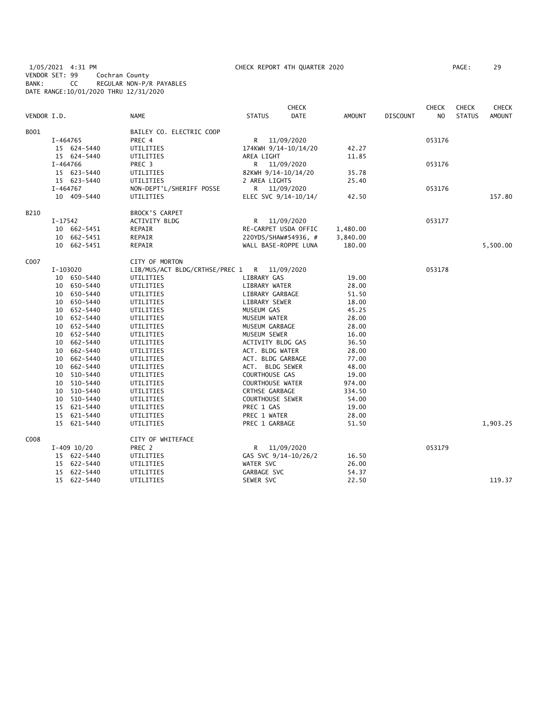1/05/2021 4:31 PM CHECK REPORT 4TH QUARTER 2020 PAGE: 29 VENDOR SET: 99 Cochran County BANK: CC REGULAR NON-P/R PAYABLES DATE RANGE:10/01/2020 THRU 12/31/2020

|             |            |               |                                |                         | CHECK                |               |                 | <b>CHECK</b>   | <b>CHECK</b>  | <b>CHECK</b>  |
|-------------|------------|---------------|--------------------------------|-------------------------|----------------------|---------------|-----------------|----------------|---------------|---------------|
| VENDOR I.D. |            |               | <b>NAME</b>                    | <b>STATUS</b>           | <b>DATE</b>          | <b>AMOUNT</b> | <b>DISCOUNT</b> | N <sub>O</sub> | <b>STATUS</b> | <b>AMOUNT</b> |
| B001        |            |               | BAILEY CO. ELECTRIC COOP       |                         |                      |               |                 |                |               |               |
|             | I-464765   |               | PREC 4                         | R                       | 11/09/2020           |               |                 | 053176         |               |               |
|             |            | 15 624-5440   | UTILITIES                      | 174KWH 9/14-10/14/20    |                      | 42.27         |                 |                |               |               |
|             |            | 15 624-5440   | UTILITIES                      | AREA LIGHT              |                      | 11.85         |                 |                |               |               |
|             | I-464766   |               | PREC <sub>3</sub>              | R                       | 11/09/2020           |               |                 | 053176         |               |               |
|             |            | 15 623-5440   | UTILITIES                      | 82KWH 9/14-10/14/20     |                      | 35.78         |                 |                |               |               |
|             |            | 15 623-5440   | UTILITIES                      | 2 AREA LIGHTS           |                      | 25.40         |                 |                |               |               |
|             | $I-464767$ |               | NON-DEPT'L/SHERIFF POSSE       | $\mathsf{R}$            | 11/09/2020           |               |                 | 053176         |               |               |
|             |            | 10 409-5440   | UTILITIES                      |                         | ELEC SVC 9/14-10/14/ | 42.50         |                 |                |               | 157.80        |
| B210        |            |               | BROCK'S CARPET                 |                         |                      |               |                 |                |               |               |
|             | I-17542    |               | ACTIVITY BLDG                  | R                       | 11/09/2020           |               |                 | 053177         |               |               |
|             |            | 10 662-5451   | REPAIR                         | RE-CARPET USDA OFFIC    |                      | 1,480.00      |                 |                |               |               |
|             | 10         | 662-5451      | REPAIR                         | 220YDS/SHAW#54936, #    |                      | 3,840.00      |                 |                |               |               |
|             |            | 10 662-5451   | REPAIR                         | WALL BASE-ROPPE LUNA    |                      | 180.00        |                 |                |               | 5,500.00      |
| C007        |            |               | CITY OF MORTON                 |                         |                      |               |                 |                |               |               |
|             | I-103020   |               | LIB/MUS/ACT BLDG/CRTHSE/PREC 1 | R                       | 11/09/2020           |               |                 | 053178         |               |               |
|             |            | 10 650-5440   | UTILITIES                      | LIBRARY GAS             |                      | 19.00         |                 |                |               |               |
|             |            | 10 650-5440   | UTILITIES                      | LIBRARY WATER           |                      | 28.00         |                 |                |               |               |
|             | 10         | 650-5440      | UTILITIES                      | LIBRARY GARBAGE         |                      | 51.50         |                 |                |               |               |
|             |            | 10 650-5440   | UTILITIES                      | LIBRARY SEWER           |                      | 18.00         |                 |                |               |               |
|             |            | 10 652-5440   | UTILITIES                      | MUSEUM GAS              |                      | 45.25         |                 |                |               |               |
|             |            | 10 652-5440   | UTILITIES                      | MUSEUM WATER            |                      | 28.00         |                 |                |               |               |
|             |            | 10 652-5440   | UTILITIES                      | MUSEUM GARBAGE          |                      | 28.00         |                 |                |               |               |
|             | 10         | 652-5440      | UTILITIES                      | MUSEUM SEWER            |                      | 16.00         |                 |                |               |               |
|             | 10         | 662-5440      | UTILITIES                      | ACTIVITY BLDG GAS       |                      | 36.50         |                 |                |               |               |
|             | 10         | 662-5440      | UTILITIES                      | ACT. BLDG WATER         |                      | 28.00         |                 |                |               |               |
|             | 10         | 662-5440      | UTILITIES                      | ACT. BLDG GARBAGE       |                      | 77.00         |                 |                |               |               |
|             | 10         | 662-5440      | UTILITIES                      | ACT. BLDG SEWER         |                      | 48.00         |                 |                |               |               |
|             | 10         | 510-5440      | UTILITIES                      | COURTHOUSE GAS          |                      | 19.00         |                 |                |               |               |
|             |            | 10 510-5440   | UTILITIES                      | <b>COURTHOUSE WATER</b> |                      | 974.00        |                 |                |               |               |
|             | 10         | 510-5440      | UTILITIES                      | <b>CRTHSE GARBAGE</b>   |                      | 334.50        |                 |                |               |               |
|             | 10         | 510-5440      | UTILITIES                      | <b>COURTHOUSE SEWER</b> |                      | 54.00         |                 |                |               |               |
|             | 15         | 621-5440      | UTILITIES                      | PREC 1 GAS              |                      | 19.00         |                 |                |               |               |
|             | 15         | 621-5440      | UTILITIES                      | PREC 1 WATER            |                      | 28.00         |                 |                |               |               |
|             |            | 15 621-5440   | UTILITIES                      | PREC 1 GARBAGE          |                      | 51.50         |                 |                |               | 1,903.25      |
| C008        |            |               | CITY OF WHITEFACE              |                         |                      |               |                 |                |               |               |
|             |            | $I-409$ 10/20 | PREC 2                         | R.                      | 11/09/2020           |               |                 | 053179         |               |               |
|             |            | 15 622-5440   | UTILITIES                      | GAS SVC 9/14-10/26/2    |                      | 16.50         |                 |                |               |               |
|             |            | 15 622-5440   | UTILITIES                      | WATER SVC               |                      | 26.00         |                 |                |               |               |
|             |            | 15 622-5440   | UTILITIES                      | GARBAGE SVC             |                      | 54.37         |                 |                |               |               |
|             |            | 15 622-5440   | UTILITIES                      | SEWER SVC               |                      | 22.50         |                 |                |               | 119.37        |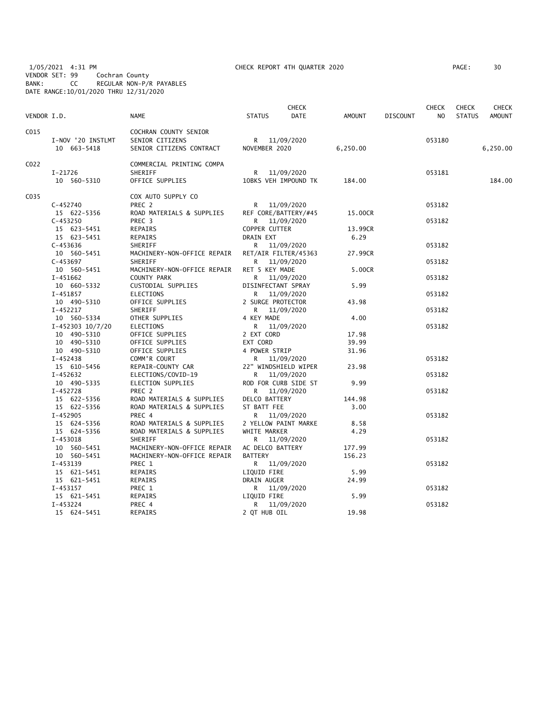1/05/2021 4:31 PM CHECK REPORT 4TH QUARTER 2020 PAGE: 30 VENDOR SET: 99 Cochran County BANK: CC REGULAR NON-P/R PAYABLES DATE RANGE:10/01/2020 THRU 12/31/2020

| PAGE : | 30 |
|--------|----|
|        |    |

| C015<br>COCHRAN COUNTY SENIOR<br>I-NOV '20 INSTLMT<br>SENIOR CITIZENS<br>053180<br>R 11/09/2020<br>10 663-5418<br>SENIOR CITIZENS CONTRACT<br>NOVEMBER 2020<br>6,250.00<br>6,250.00<br>C <sub>022</sub><br>COMMERCIAL PRINTING COMPA<br>I-21726<br>SHERIFF<br>11/09/2020<br>053181<br>R<br>OFFICE SUPPLIES<br>10BKS VEH IMPOUND TK<br>184.00<br>10 560-5310<br>184.00<br>C <sub>0</sub> 35<br>COX AUTO SUPPLY CO<br>$C - 452740$<br>PREC <sub>2</sub><br>R 11/09/2020<br>053182<br>15 622-5356<br>ROAD MATERIALS & SUPPLIES<br>REF CORE/BATTERY/#45<br>15.00CR<br>$C - 453250$<br>PREC <sub>3</sub><br>11/09/2020<br>053182<br>R<br>15 623-5451<br>REPAIRS<br>COPPER CUTTER<br>13.99CR<br>15 623-5451<br><b>DRAIN EXT</b><br>6.29<br>REPAIRS<br>$C - 453636$<br>SHERIFF<br>053182<br>R<br>11/09/2020<br>10 560-5451<br>MACHINERY-NON-OFFICE REPAIR<br>RET/AIR FILTER/45363<br>27.99CR<br>$C-453697$<br>SHERIFF<br>11/09/2020<br>053182<br>R<br>10 560-5451<br>MACHINERY-NON-OFFICE REPAIR<br>RET 5 KEY MADE<br>5.00CR<br>$I-451662$<br>COUNTY PARK<br>053182<br>R<br>11/09/2020<br>10 660-5332<br>CUSTODIAL SUPPLIES<br>DISINFECTANT SPRAY<br>5.99<br>$I-451857$<br><b>ELECTIONS</b><br>R.<br>11/09/2020<br>053182<br>10 490-5310<br>OFFICE SUPPLIES<br>2 SURGE PROTECTOR<br>43.98<br>I-452217<br>SHERIFF<br>R<br>11/09/2020<br>053182<br>10 560-5334<br>OTHER SUPPLIES<br>4.00<br>4 KEY MADE<br>I-452303 10/7/20<br>ELECTIONS<br>R<br>11/09/2020<br>053182<br>2 EXT CORD<br>10 490-5310<br>OFFICE SUPPLIES<br>17.98<br>10 490-5310<br>EXT CORD<br>OFFICE SUPPLIES<br>39.99<br>OFFICE SUPPLIES<br>4 POWER STRIP<br>31.96<br>10 490-5310<br>I-452438<br>COMM'R COURT<br>R 11/09/2020<br>053182<br>22" WINDSHIELD WIPER<br>15 610-5456<br>REPAIR-COUNTY CAR<br>23.98<br>I-452632<br>ELECTIONS/COVID-19<br>R 11/09/2020<br>053182<br>ROD FOR CURB SIDE ST<br>9.99<br>10 490-5335<br>ELECTION SUPPLIES<br>$I-452728$<br>PREC <sub>2</sub><br>11/09/2020<br>053182<br>R<br>ROAD MATERIALS & SUPPLIES<br>DELCO BATTERY<br>144.98<br>15 622-5356<br>15 622-5356<br>ROAD MATERIALS & SUPPLIES<br>ST BATT FEE<br>3.00<br>$I-452905$<br>PREC 4<br>R<br>11/09/2020<br>053182<br>15 624-5356<br>ROAD MATERIALS & SUPPLIES<br>2 YELLOW PAINT MARKE<br>8.58<br>15 624-5356<br>ROAD MATERIALS & SUPPLIES<br>4.29<br>WHITE MARKER<br>$I-453018$<br>SHERIFF<br>R.<br>11/09/2020<br>053182<br>10 560-5451<br>MACHINERY-NON-OFFICE REPAIR<br>AC DELCO BATTERY<br>177.99<br>10 560-5451<br>MACHINERY-NON-OFFICE REPAIR<br><b>BATTERY</b><br>156.23<br>I-453139<br>PREC 1<br>11/09/2020<br>053182<br>R<br>15 621-5451<br>REPAIRS<br>LIQUID FIRE<br>5.99<br>15 621-5451<br>DRAIN AUGER<br>24.99<br>REPAIRS<br>I-453157<br>PREC 1<br>R<br>11/09/2020<br>053182<br>5.99<br>REPAIRS<br>LIQUID FIRE<br>15 621-5451<br>$I - 453224$<br>PREC 4<br>11/09/2020<br>R.<br>053182<br>REPAIRS<br>2 QT HUB OIL<br>19.98<br>15 624-5451 | VENDOR I.D. | <b>NAME</b> | <b>STATUS</b> | <b>CHECK</b><br>DATE | AMOUNT | <b>DISCOUNT</b> | <b>CHECK</b><br>NO. | <b>CHECK</b><br><b>STATUS</b> | CHECK<br><b>AMOUNT</b> |
|-----------------------------------------------------------------------------------------------------------------------------------------------------------------------------------------------------------------------------------------------------------------------------------------------------------------------------------------------------------------------------------------------------------------------------------------------------------------------------------------------------------------------------------------------------------------------------------------------------------------------------------------------------------------------------------------------------------------------------------------------------------------------------------------------------------------------------------------------------------------------------------------------------------------------------------------------------------------------------------------------------------------------------------------------------------------------------------------------------------------------------------------------------------------------------------------------------------------------------------------------------------------------------------------------------------------------------------------------------------------------------------------------------------------------------------------------------------------------------------------------------------------------------------------------------------------------------------------------------------------------------------------------------------------------------------------------------------------------------------------------------------------------------------------------------------------------------------------------------------------------------------------------------------------------------------------------------------------------------------------------------------------------------------------------------------------------------------------------------------------------------------------------------------------------------------------------------------------------------------------------------------------------------------------------------------------------------------------------------------------------------------------------------------------------------------------------------------------------------------------------------------------------------------------------------------------------------------------------------------------------------------------------------------------------------------------------------------------------------------------------------------------------------------------------------------------------------------------------------------------------------------------------------|-------------|-------------|---------------|----------------------|--------|-----------------|---------------------|-------------------------------|------------------------|
|                                                                                                                                                                                                                                                                                                                                                                                                                                                                                                                                                                                                                                                                                                                                                                                                                                                                                                                                                                                                                                                                                                                                                                                                                                                                                                                                                                                                                                                                                                                                                                                                                                                                                                                                                                                                                                                                                                                                                                                                                                                                                                                                                                                                                                                                                                                                                                                                                                                                                                                                                                                                                                                                                                                                                                                                                                                                                                     |             |             |               |                      |        |                 |                     |                               |                        |
|                                                                                                                                                                                                                                                                                                                                                                                                                                                                                                                                                                                                                                                                                                                                                                                                                                                                                                                                                                                                                                                                                                                                                                                                                                                                                                                                                                                                                                                                                                                                                                                                                                                                                                                                                                                                                                                                                                                                                                                                                                                                                                                                                                                                                                                                                                                                                                                                                                                                                                                                                                                                                                                                                                                                                                                                                                                                                                     |             |             |               |                      |        |                 |                     |                               |                        |
|                                                                                                                                                                                                                                                                                                                                                                                                                                                                                                                                                                                                                                                                                                                                                                                                                                                                                                                                                                                                                                                                                                                                                                                                                                                                                                                                                                                                                                                                                                                                                                                                                                                                                                                                                                                                                                                                                                                                                                                                                                                                                                                                                                                                                                                                                                                                                                                                                                                                                                                                                                                                                                                                                                                                                                                                                                                                                                     |             |             |               |                      |        |                 |                     |                               |                        |
|                                                                                                                                                                                                                                                                                                                                                                                                                                                                                                                                                                                                                                                                                                                                                                                                                                                                                                                                                                                                                                                                                                                                                                                                                                                                                                                                                                                                                                                                                                                                                                                                                                                                                                                                                                                                                                                                                                                                                                                                                                                                                                                                                                                                                                                                                                                                                                                                                                                                                                                                                                                                                                                                                                                                                                                                                                                                                                     |             |             |               |                      |        |                 |                     |                               |                        |
|                                                                                                                                                                                                                                                                                                                                                                                                                                                                                                                                                                                                                                                                                                                                                                                                                                                                                                                                                                                                                                                                                                                                                                                                                                                                                                                                                                                                                                                                                                                                                                                                                                                                                                                                                                                                                                                                                                                                                                                                                                                                                                                                                                                                                                                                                                                                                                                                                                                                                                                                                                                                                                                                                                                                                                                                                                                                                                     |             |             |               |                      |        |                 |                     |                               |                        |
|                                                                                                                                                                                                                                                                                                                                                                                                                                                                                                                                                                                                                                                                                                                                                                                                                                                                                                                                                                                                                                                                                                                                                                                                                                                                                                                                                                                                                                                                                                                                                                                                                                                                                                                                                                                                                                                                                                                                                                                                                                                                                                                                                                                                                                                                                                                                                                                                                                                                                                                                                                                                                                                                                                                                                                                                                                                                                                     |             |             |               |                      |        |                 |                     |                               |                        |
|                                                                                                                                                                                                                                                                                                                                                                                                                                                                                                                                                                                                                                                                                                                                                                                                                                                                                                                                                                                                                                                                                                                                                                                                                                                                                                                                                                                                                                                                                                                                                                                                                                                                                                                                                                                                                                                                                                                                                                                                                                                                                                                                                                                                                                                                                                                                                                                                                                                                                                                                                                                                                                                                                                                                                                                                                                                                                                     |             |             |               |                      |        |                 |                     |                               |                        |
|                                                                                                                                                                                                                                                                                                                                                                                                                                                                                                                                                                                                                                                                                                                                                                                                                                                                                                                                                                                                                                                                                                                                                                                                                                                                                                                                                                                                                                                                                                                                                                                                                                                                                                                                                                                                                                                                                                                                                                                                                                                                                                                                                                                                                                                                                                                                                                                                                                                                                                                                                                                                                                                                                                                                                                                                                                                                                                     |             |             |               |                      |        |                 |                     |                               |                        |
|                                                                                                                                                                                                                                                                                                                                                                                                                                                                                                                                                                                                                                                                                                                                                                                                                                                                                                                                                                                                                                                                                                                                                                                                                                                                                                                                                                                                                                                                                                                                                                                                                                                                                                                                                                                                                                                                                                                                                                                                                                                                                                                                                                                                                                                                                                                                                                                                                                                                                                                                                                                                                                                                                                                                                                                                                                                                                                     |             |             |               |                      |        |                 |                     |                               |                        |
|                                                                                                                                                                                                                                                                                                                                                                                                                                                                                                                                                                                                                                                                                                                                                                                                                                                                                                                                                                                                                                                                                                                                                                                                                                                                                                                                                                                                                                                                                                                                                                                                                                                                                                                                                                                                                                                                                                                                                                                                                                                                                                                                                                                                                                                                                                                                                                                                                                                                                                                                                                                                                                                                                                                                                                                                                                                                                                     |             |             |               |                      |        |                 |                     |                               |                        |
|                                                                                                                                                                                                                                                                                                                                                                                                                                                                                                                                                                                                                                                                                                                                                                                                                                                                                                                                                                                                                                                                                                                                                                                                                                                                                                                                                                                                                                                                                                                                                                                                                                                                                                                                                                                                                                                                                                                                                                                                                                                                                                                                                                                                                                                                                                                                                                                                                                                                                                                                                                                                                                                                                                                                                                                                                                                                                                     |             |             |               |                      |        |                 |                     |                               |                        |
|                                                                                                                                                                                                                                                                                                                                                                                                                                                                                                                                                                                                                                                                                                                                                                                                                                                                                                                                                                                                                                                                                                                                                                                                                                                                                                                                                                                                                                                                                                                                                                                                                                                                                                                                                                                                                                                                                                                                                                                                                                                                                                                                                                                                                                                                                                                                                                                                                                                                                                                                                                                                                                                                                                                                                                                                                                                                                                     |             |             |               |                      |        |                 |                     |                               |                        |
|                                                                                                                                                                                                                                                                                                                                                                                                                                                                                                                                                                                                                                                                                                                                                                                                                                                                                                                                                                                                                                                                                                                                                                                                                                                                                                                                                                                                                                                                                                                                                                                                                                                                                                                                                                                                                                                                                                                                                                                                                                                                                                                                                                                                                                                                                                                                                                                                                                                                                                                                                                                                                                                                                                                                                                                                                                                                                                     |             |             |               |                      |        |                 |                     |                               |                        |
|                                                                                                                                                                                                                                                                                                                                                                                                                                                                                                                                                                                                                                                                                                                                                                                                                                                                                                                                                                                                                                                                                                                                                                                                                                                                                                                                                                                                                                                                                                                                                                                                                                                                                                                                                                                                                                                                                                                                                                                                                                                                                                                                                                                                                                                                                                                                                                                                                                                                                                                                                                                                                                                                                                                                                                                                                                                                                                     |             |             |               |                      |        |                 |                     |                               |                        |
|                                                                                                                                                                                                                                                                                                                                                                                                                                                                                                                                                                                                                                                                                                                                                                                                                                                                                                                                                                                                                                                                                                                                                                                                                                                                                                                                                                                                                                                                                                                                                                                                                                                                                                                                                                                                                                                                                                                                                                                                                                                                                                                                                                                                                                                                                                                                                                                                                                                                                                                                                                                                                                                                                                                                                                                                                                                                                                     |             |             |               |                      |        |                 |                     |                               |                        |
|                                                                                                                                                                                                                                                                                                                                                                                                                                                                                                                                                                                                                                                                                                                                                                                                                                                                                                                                                                                                                                                                                                                                                                                                                                                                                                                                                                                                                                                                                                                                                                                                                                                                                                                                                                                                                                                                                                                                                                                                                                                                                                                                                                                                                                                                                                                                                                                                                                                                                                                                                                                                                                                                                                                                                                                                                                                                                                     |             |             |               |                      |        |                 |                     |                               |                        |
|                                                                                                                                                                                                                                                                                                                                                                                                                                                                                                                                                                                                                                                                                                                                                                                                                                                                                                                                                                                                                                                                                                                                                                                                                                                                                                                                                                                                                                                                                                                                                                                                                                                                                                                                                                                                                                                                                                                                                                                                                                                                                                                                                                                                                                                                                                                                                                                                                                                                                                                                                                                                                                                                                                                                                                                                                                                                                                     |             |             |               |                      |        |                 |                     |                               |                        |
|                                                                                                                                                                                                                                                                                                                                                                                                                                                                                                                                                                                                                                                                                                                                                                                                                                                                                                                                                                                                                                                                                                                                                                                                                                                                                                                                                                                                                                                                                                                                                                                                                                                                                                                                                                                                                                                                                                                                                                                                                                                                                                                                                                                                                                                                                                                                                                                                                                                                                                                                                                                                                                                                                                                                                                                                                                                                                                     |             |             |               |                      |        |                 |                     |                               |                        |
|                                                                                                                                                                                                                                                                                                                                                                                                                                                                                                                                                                                                                                                                                                                                                                                                                                                                                                                                                                                                                                                                                                                                                                                                                                                                                                                                                                                                                                                                                                                                                                                                                                                                                                                                                                                                                                                                                                                                                                                                                                                                                                                                                                                                                                                                                                                                                                                                                                                                                                                                                                                                                                                                                                                                                                                                                                                                                                     |             |             |               |                      |        |                 |                     |                               |                        |
|                                                                                                                                                                                                                                                                                                                                                                                                                                                                                                                                                                                                                                                                                                                                                                                                                                                                                                                                                                                                                                                                                                                                                                                                                                                                                                                                                                                                                                                                                                                                                                                                                                                                                                                                                                                                                                                                                                                                                                                                                                                                                                                                                                                                                                                                                                                                                                                                                                                                                                                                                                                                                                                                                                                                                                                                                                                                                                     |             |             |               |                      |        |                 |                     |                               |                        |
|                                                                                                                                                                                                                                                                                                                                                                                                                                                                                                                                                                                                                                                                                                                                                                                                                                                                                                                                                                                                                                                                                                                                                                                                                                                                                                                                                                                                                                                                                                                                                                                                                                                                                                                                                                                                                                                                                                                                                                                                                                                                                                                                                                                                                                                                                                                                                                                                                                                                                                                                                                                                                                                                                                                                                                                                                                                                                                     |             |             |               |                      |        |                 |                     |                               |                        |
|                                                                                                                                                                                                                                                                                                                                                                                                                                                                                                                                                                                                                                                                                                                                                                                                                                                                                                                                                                                                                                                                                                                                                                                                                                                                                                                                                                                                                                                                                                                                                                                                                                                                                                                                                                                                                                                                                                                                                                                                                                                                                                                                                                                                                                                                                                                                                                                                                                                                                                                                                                                                                                                                                                                                                                                                                                                                                                     |             |             |               |                      |        |                 |                     |                               |                        |
|                                                                                                                                                                                                                                                                                                                                                                                                                                                                                                                                                                                                                                                                                                                                                                                                                                                                                                                                                                                                                                                                                                                                                                                                                                                                                                                                                                                                                                                                                                                                                                                                                                                                                                                                                                                                                                                                                                                                                                                                                                                                                                                                                                                                                                                                                                                                                                                                                                                                                                                                                                                                                                                                                                                                                                                                                                                                                                     |             |             |               |                      |        |                 |                     |                               |                        |
|                                                                                                                                                                                                                                                                                                                                                                                                                                                                                                                                                                                                                                                                                                                                                                                                                                                                                                                                                                                                                                                                                                                                                                                                                                                                                                                                                                                                                                                                                                                                                                                                                                                                                                                                                                                                                                                                                                                                                                                                                                                                                                                                                                                                                                                                                                                                                                                                                                                                                                                                                                                                                                                                                                                                                                                                                                                                                                     |             |             |               |                      |        |                 |                     |                               |                        |
|                                                                                                                                                                                                                                                                                                                                                                                                                                                                                                                                                                                                                                                                                                                                                                                                                                                                                                                                                                                                                                                                                                                                                                                                                                                                                                                                                                                                                                                                                                                                                                                                                                                                                                                                                                                                                                                                                                                                                                                                                                                                                                                                                                                                                                                                                                                                                                                                                                                                                                                                                                                                                                                                                                                                                                                                                                                                                                     |             |             |               |                      |        |                 |                     |                               |                        |
|                                                                                                                                                                                                                                                                                                                                                                                                                                                                                                                                                                                                                                                                                                                                                                                                                                                                                                                                                                                                                                                                                                                                                                                                                                                                                                                                                                                                                                                                                                                                                                                                                                                                                                                                                                                                                                                                                                                                                                                                                                                                                                                                                                                                                                                                                                                                                                                                                                                                                                                                                                                                                                                                                                                                                                                                                                                                                                     |             |             |               |                      |        |                 |                     |                               |                        |
|                                                                                                                                                                                                                                                                                                                                                                                                                                                                                                                                                                                                                                                                                                                                                                                                                                                                                                                                                                                                                                                                                                                                                                                                                                                                                                                                                                                                                                                                                                                                                                                                                                                                                                                                                                                                                                                                                                                                                                                                                                                                                                                                                                                                                                                                                                                                                                                                                                                                                                                                                                                                                                                                                                                                                                                                                                                                                                     |             |             |               |                      |        |                 |                     |                               |                        |
|                                                                                                                                                                                                                                                                                                                                                                                                                                                                                                                                                                                                                                                                                                                                                                                                                                                                                                                                                                                                                                                                                                                                                                                                                                                                                                                                                                                                                                                                                                                                                                                                                                                                                                                                                                                                                                                                                                                                                                                                                                                                                                                                                                                                                                                                                                                                                                                                                                                                                                                                                                                                                                                                                                                                                                                                                                                                                                     |             |             |               |                      |        |                 |                     |                               |                        |
|                                                                                                                                                                                                                                                                                                                                                                                                                                                                                                                                                                                                                                                                                                                                                                                                                                                                                                                                                                                                                                                                                                                                                                                                                                                                                                                                                                                                                                                                                                                                                                                                                                                                                                                                                                                                                                                                                                                                                                                                                                                                                                                                                                                                                                                                                                                                                                                                                                                                                                                                                                                                                                                                                                                                                                                                                                                                                                     |             |             |               |                      |        |                 |                     |                               |                        |
|                                                                                                                                                                                                                                                                                                                                                                                                                                                                                                                                                                                                                                                                                                                                                                                                                                                                                                                                                                                                                                                                                                                                                                                                                                                                                                                                                                                                                                                                                                                                                                                                                                                                                                                                                                                                                                                                                                                                                                                                                                                                                                                                                                                                                                                                                                                                                                                                                                                                                                                                                                                                                                                                                                                                                                                                                                                                                                     |             |             |               |                      |        |                 |                     |                               |                        |
|                                                                                                                                                                                                                                                                                                                                                                                                                                                                                                                                                                                                                                                                                                                                                                                                                                                                                                                                                                                                                                                                                                                                                                                                                                                                                                                                                                                                                                                                                                                                                                                                                                                                                                                                                                                                                                                                                                                                                                                                                                                                                                                                                                                                                                                                                                                                                                                                                                                                                                                                                                                                                                                                                                                                                                                                                                                                                                     |             |             |               |                      |        |                 |                     |                               |                        |
|                                                                                                                                                                                                                                                                                                                                                                                                                                                                                                                                                                                                                                                                                                                                                                                                                                                                                                                                                                                                                                                                                                                                                                                                                                                                                                                                                                                                                                                                                                                                                                                                                                                                                                                                                                                                                                                                                                                                                                                                                                                                                                                                                                                                                                                                                                                                                                                                                                                                                                                                                                                                                                                                                                                                                                                                                                                                                                     |             |             |               |                      |        |                 |                     |                               |                        |
|                                                                                                                                                                                                                                                                                                                                                                                                                                                                                                                                                                                                                                                                                                                                                                                                                                                                                                                                                                                                                                                                                                                                                                                                                                                                                                                                                                                                                                                                                                                                                                                                                                                                                                                                                                                                                                                                                                                                                                                                                                                                                                                                                                                                                                                                                                                                                                                                                                                                                                                                                                                                                                                                                                                                                                                                                                                                                                     |             |             |               |                      |        |                 |                     |                               |                        |
|                                                                                                                                                                                                                                                                                                                                                                                                                                                                                                                                                                                                                                                                                                                                                                                                                                                                                                                                                                                                                                                                                                                                                                                                                                                                                                                                                                                                                                                                                                                                                                                                                                                                                                                                                                                                                                                                                                                                                                                                                                                                                                                                                                                                                                                                                                                                                                                                                                                                                                                                                                                                                                                                                                                                                                                                                                                                                                     |             |             |               |                      |        |                 |                     |                               |                        |
|                                                                                                                                                                                                                                                                                                                                                                                                                                                                                                                                                                                                                                                                                                                                                                                                                                                                                                                                                                                                                                                                                                                                                                                                                                                                                                                                                                                                                                                                                                                                                                                                                                                                                                                                                                                                                                                                                                                                                                                                                                                                                                                                                                                                                                                                                                                                                                                                                                                                                                                                                                                                                                                                                                                                                                                                                                                                                                     |             |             |               |                      |        |                 |                     |                               |                        |
|                                                                                                                                                                                                                                                                                                                                                                                                                                                                                                                                                                                                                                                                                                                                                                                                                                                                                                                                                                                                                                                                                                                                                                                                                                                                                                                                                                                                                                                                                                                                                                                                                                                                                                                                                                                                                                                                                                                                                                                                                                                                                                                                                                                                                                                                                                                                                                                                                                                                                                                                                                                                                                                                                                                                                                                                                                                                                                     |             |             |               |                      |        |                 |                     |                               |                        |
|                                                                                                                                                                                                                                                                                                                                                                                                                                                                                                                                                                                                                                                                                                                                                                                                                                                                                                                                                                                                                                                                                                                                                                                                                                                                                                                                                                                                                                                                                                                                                                                                                                                                                                                                                                                                                                                                                                                                                                                                                                                                                                                                                                                                                                                                                                                                                                                                                                                                                                                                                                                                                                                                                                                                                                                                                                                                                                     |             |             |               |                      |        |                 |                     |                               |                        |
|                                                                                                                                                                                                                                                                                                                                                                                                                                                                                                                                                                                                                                                                                                                                                                                                                                                                                                                                                                                                                                                                                                                                                                                                                                                                                                                                                                                                                                                                                                                                                                                                                                                                                                                                                                                                                                                                                                                                                                                                                                                                                                                                                                                                                                                                                                                                                                                                                                                                                                                                                                                                                                                                                                                                                                                                                                                                                                     |             |             |               |                      |        |                 |                     |                               |                        |
|                                                                                                                                                                                                                                                                                                                                                                                                                                                                                                                                                                                                                                                                                                                                                                                                                                                                                                                                                                                                                                                                                                                                                                                                                                                                                                                                                                                                                                                                                                                                                                                                                                                                                                                                                                                                                                                                                                                                                                                                                                                                                                                                                                                                                                                                                                                                                                                                                                                                                                                                                                                                                                                                                                                                                                                                                                                                                                     |             |             |               |                      |        |                 |                     |                               |                        |
|                                                                                                                                                                                                                                                                                                                                                                                                                                                                                                                                                                                                                                                                                                                                                                                                                                                                                                                                                                                                                                                                                                                                                                                                                                                                                                                                                                                                                                                                                                                                                                                                                                                                                                                                                                                                                                                                                                                                                                                                                                                                                                                                                                                                                                                                                                                                                                                                                                                                                                                                                                                                                                                                                                                                                                                                                                                                                                     |             |             |               |                      |        |                 |                     |                               |                        |
|                                                                                                                                                                                                                                                                                                                                                                                                                                                                                                                                                                                                                                                                                                                                                                                                                                                                                                                                                                                                                                                                                                                                                                                                                                                                                                                                                                                                                                                                                                                                                                                                                                                                                                                                                                                                                                                                                                                                                                                                                                                                                                                                                                                                                                                                                                                                                                                                                                                                                                                                                                                                                                                                                                                                                                                                                                                                                                     |             |             |               |                      |        |                 |                     |                               |                        |
|                                                                                                                                                                                                                                                                                                                                                                                                                                                                                                                                                                                                                                                                                                                                                                                                                                                                                                                                                                                                                                                                                                                                                                                                                                                                                                                                                                                                                                                                                                                                                                                                                                                                                                                                                                                                                                                                                                                                                                                                                                                                                                                                                                                                                                                                                                                                                                                                                                                                                                                                                                                                                                                                                                                                                                                                                                                                                                     |             |             |               |                      |        |                 |                     |                               |                        |
|                                                                                                                                                                                                                                                                                                                                                                                                                                                                                                                                                                                                                                                                                                                                                                                                                                                                                                                                                                                                                                                                                                                                                                                                                                                                                                                                                                                                                                                                                                                                                                                                                                                                                                                                                                                                                                                                                                                                                                                                                                                                                                                                                                                                                                                                                                                                                                                                                                                                                                                                                                                                                                                                                                                                                                                                                                                                                                     |             |             |               |                      |        |                 |                     |                               |                        |
|                                                                                                                                                                                                                                                                                                                                                                                                                                                                                                                                                                                                                                                                                                                                                                                                                                                                                                                                                                                                                                                                                                                                                                                                                                                                                                                                                                                                                                                                                                                                                                                                                                                                                                                                                                                                                                                                                                                                                                                                                                                                                                                                                                                                                                                                                                                                                                                                                                                                                                                                                                                                                                                                                                                                                                                                                                                                                                     |             |             |               |                      |        |                 |                     |                               |                        |
|                                                                                                                                                                                                                                                                                                                                                                                                                                                                                                                                                                                                                                                                                                                                                                                                                                                                                                                                                                                                                                                                                                                                                                                                                                                                                                                                                                                                                                                                                                                                                                                                                                                                                                                                                                                                                                                                                                                                                                                                                                                                                                                                                                                                                                                                                                                                                                                                                                                                                                                                                                                                                                                                                                                                                                                                                                                                                                     |             |             |               |                      |        |                 |                     |                               |                        |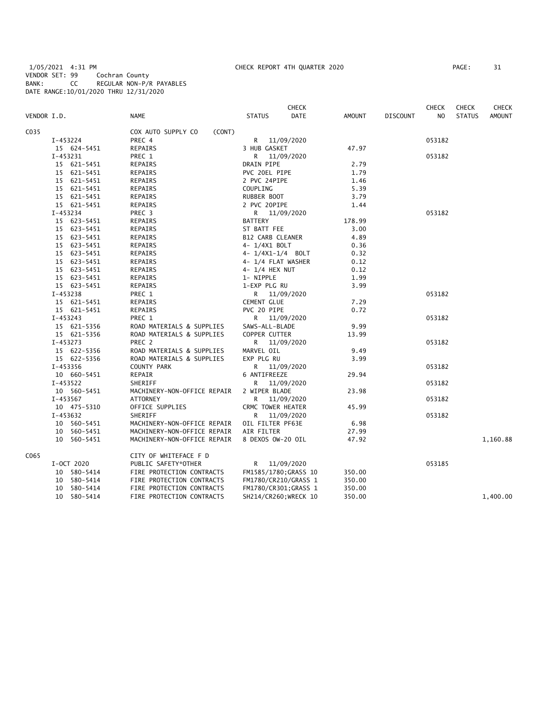1/05/2021 4:31 PM CHECK REPORT 4TH QUARTER 2020 PAGE: 31 VENDOR SET: 99 Cochran County BANK: CC REGULAR NON-P/R PAYABLES DATE RANGE:10/01/2020 THRU 12/31/2020

| VENDOR I.D.    | <b>NAME</b>                  | <b>CHECK</b><br><b>DATE</b> | AMOUNT | <b>DISCOUNT</b> | <b>CHECK</b><br>N <sub>O</sub> | <b>CHECK</b><br><b>STATUS</b> | CHECK<br><b>AMOUNT</b> |
|----------------|------------------------------|-----------------------------|--------|-----------------|--------------------------------|-------------------------------|------------------------|
|                |                              | <b>STATUS</b>               |        |                 |                                |                               |                        |
| C035           | COX AUTO SUPPLY CO<br>(CONT) |                             |        |                 |                                |                               |                        |
| I-453224       | PREC 4                       | R<br>11/09/2020             |        |                 | 053182                         |                               |                        |
| 15 624-5451    | REPAIRS                      | 3 HUB GASKET                | 47.97  |                 |                                |                               |                        |
| I-453231       | PREC 1                       | R<br>11/09/2020             |        |                 | 053182                         |                               |                        |
| 15 621-5451    | REPAIRS                      | DRAIN PIPE                  | 2.79   |                 |                                |                               |                        |
| 15 621-5451    | REPAIRS                      | PVC 20EL PIPE               | 1.79   |                 |                                |                               |                        |
| 15 621-5451    | <b>REPAIRS</b>               | 2 PVC 24PIPE                | 1.46   |                 |                                |                               |                        |
| 15 621-5451    | <b>REPAIRS</b>               | COUPLING                    | 5.39   |                 |                                |                               |                        |
| 15 621-5451    | <b>REPAIRS</b>               | RUBBER BOOT                 | 3.79   |                 |                                |                               |                        |
| 15 621-5451    | REPAIRS                      | 2 PVC 20PIPE                | 1.44   |                 |                                |                               |                        |
| I-453234       | PREC 3                       | R 11/09/2020                |        |                 | 053182                         |                               |                        |
| 15 623-5451    | REPAIRS                      | <b>BATTERY</b>              | 178.99 |                 |                                |                               |                        |
| 15 623-5451    | REPAIRS                      | ST BATT FEE                 | 3.00   |                 |                                |                               |                        |
| 15 623-5451    | <b>REPAIRS</b>               | <b>B12 CARB CLEANER</b>     | 4.89   |                 |                                |                               |                        |
| 15 623-5451    | <b>REPAIRS</b>               | 4- 1/4X1 BOLT               | 0.36   |                 |                                |                               |                        |
| 15 623-5451    | REPAIRS                      | 4- 1/4X1-1/4 BOLT           | 0.32   |                 |                                |                               |                        |
| 15 623-5451    | REPAIRS                      | 4- 1/4 FLAT WASHER          | 0.12   |                 |                                |                               |                        |
| 15 623-5451    | REPAIRS                      | 4- 1/4 HEX NUT              | 0.12   |                 |                                |                               |                        |
| 15 623-5451    | REPAIRS                      | 1- NIPPLE                   | 1.99   |                 |                                |                               |                        |
| 15 623-5451    | <b>REPAIRS</b>               | 1-EXP PLG RU                | 3.99   |                 |                                |                               |                        |
| I-453238       | PREC 1                       | R 11/09/2020                |        |                 | 053182                         |                               |                        |
| 15 621-5451    | REPAIRS                      | <b>CEMENT GLUE</b>          | 7.29   |                 |                                |                               |                        |
| 15 621-5451    | REPAIRS                      | PVC 20 PIPE                 | 0.72   |                 |                                |                               |                        |
| I-453243       | PREC 1                       | R 11/09/2020                |        |                 | 053182                         |                               |                        |
| 15 621-5356    | ROAD MATERIALS & SUPPLIES    | SAWS-ALL-BLADE              | 9.99   |                 |                                |                               |                        |
| 15 621-5356    | ROAD MATERIALS & SUPPLIES    | COPPER CUTTER               | 13.99  |                 |                                |                               |                        |
| I-453273       | PREC <sub>2</sub>            | R<br>11/09/2020             |        |                 | 053182                         |                               |                        |
| 15 622-5356    | ROAD MATERIALS & SUPPLIES    | MARVEL OIL                  | 9.49   |                 |                                |                               |                        |
| 15 622-5356    | ROAD MATERIALS & SUPPLIES    | EXP PLG RU                  | 3.99   |                 |                                |                               |                        |
| I-453356       | COUNTY PARK                  | R<br>11/09/2020             |        |                 | 053182                         |                               |                        |
| 10 660-5451    | REPAIR                       | 6 ANTIFREEZE                | 29.94  |                 |                                |                               |                        |
| I-453522       | SHERIFF                      | 11/09/2020<br>R             |        |                 | 053182                         |                               |                        |
| 10 560-5451    | MACHINERY-NON-OFFICE REPAIR  | 2 WIPER BLADE               | 23.98  |                 |                                |                               |                        |
| I-453567       | <b>ATTORNEY</b>              | R.<br>11/09/2020            |        |                 | 053182                         |                               |                        |
| 10 475-5310    | OFFICE SUPPLIES              | CRMC TOWER HEATER           | 45.99  |                 |                                |                               |                        |
| I-453632       | SHERIFF                      | 11/09/2020<br>R             |        |                 | 053182                         |                               |                        |
| 10 560-5451    | MACHINERY-NON-OFFICE REPAIR  | OIL FILTER PF63E            | 6.98   |                 |                                |                               |                        |
| 10 560-5451    | MACHINERY-NON-OFFICE REPAIR  | AIR FILTER                  | 27.99  |                 |                                |                               |                        |
| 10 560-5451    | MACHINERY-NON-OFFICE REPAIR  | 8 DEXOS OW-20 OIL           | 47.92  |                 |                                |                               | 1,160.88               |
| C065           | CITY OF WHITEFACE F D        |                             |        |                 |                                |                               |                        |
|                |                              |                             |        |                 |                                |                               |                        |
| I-OCT 2020     | PUBLIC SAFETY*OTHER          | R 11/09/2020                |        |                 | 053185                         |                               |                        |
| 10 580-5414    | FIRE PROTECTION CONTRACTS    | FM1585/1780; GRASS 10       | 350.00 |                 |                                |                               |                        |
| 10 580-5414    | FIRE PROTECTION CONTRACTS    | FM1780/CR210/GRASS 1        | 350.00 |                 |                                |                               |                        |
| 580-5414<br>10 | FIRE PROTECTION CONTRACTS    | FM1780/CR301; GRASS 1       | 350.00 |                 |                                |                               |                        |
| 580-5414<br>10 | FIRE PROTECTION CONTRACTS    | SH214/CR260; WRECK 10       | 350.00 |                 |                                |                               | 1,400.00               |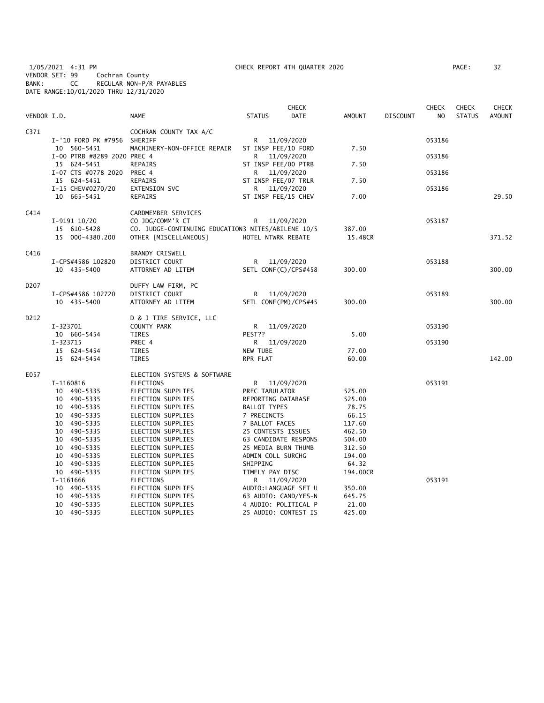1/05/2021 4:31 PM CHECK REPORT 4TH QUARTER 2020 PAGE: 32 VENDOR SET: 99 Cochran County BANK: CC REGULAR NON-P/R PAYABLES DATE RANGE:10/01/2020 THRU 12/31/2020

| VENDOR I.D.      |                                  | <b>NAME</b>                                        | <b>STATUS</b>                               | <b>CHECK</b><br>DATE | <b>AMOUNT</b>    | <b>DISCOUNT</b> | <b>CHECK</b><br>N <sub>O</sub> | <b>CHECK</b><br><b>STATUS</b> | CHECK<br><b>AMOUNT</b> |
|------------------|----------------------------------|----------------------------------------------------|---------------------------------------------|----------------------|------------------|-----------------|--------------------------------|-------------------------------|------------------------|
|                  |                                  |                                                    |                                             |                      |                  |                 |                                |                               |                        |
| C <sub>371</sub> | I-'10 FORD PK #7956              | COCHRAN COUNTY TAX A/C<br>SHERIFF                  | R                                           | 11/09/2020           |                  |                 | 053186                         |                               |                        |
|                  | 10 560-5451                      | MACHINERY-NON-OFFICE REPAIR                        | ST INSP FEE/10 FORD                         |                      | 7.50             |                 |                                |                               |                        |
|                  | I-00 PTRB #8289 2020 PREC 4      |                                                    | R                                           | 11/09/2020           |                  |                 | 053186                         |                               |                        |
|                  | 15 624-5451                      | REPAIRS                                            | ST INSP FEE/00 PTRB                         |                      | 7.50             |                 |                                |                               |                        |
|                  | I-07 CTS #0778 2020              | PREC 4                                             | R —                                         | 11/09/2020           |                  |                 | 053186                         |                               |                        |
|                  | 15 624-5451                      | REPAIRS                                            | ST INSP FEE/07 TRLR                         |                      | 7.50             |                 |                                |                               |                        |
|                  | I-15 CHEV#0270/20<br>10 665-5451 | EXTENSION SVC                                      | R                                           | 11/09/2020           |                  |                 | 053186                         |                               | 29.50                  |
|                  |                                  | <b>REPAIRS</b>                                     | ST INSP FEE/15 CHEV                         |                      | 7.00             |                 |                                |                               |                        |
| C414             |                                  | CARDMEMBER SERVICES                                |                                             |                      |                  |                 |                                |                               |                        |
|                  | $I-9191$ $10/20$                 | CO JDG/COMM'R CT                                   | R                                           | 11/09/2020           |                  |                 | 053187                         |                               |                        |
|                  | 15 610-5428                      | CO. JUDGE-CONTINUING EDUCATION3 NITES/ABILENE 10/5 |                                             |                      | 387.00           |                 |                                |                               |                        |
|                  | 15 000-4380.200                  | OTHER [MISCELLANEOUS]                              | HOTEL NTWRK REBATE                          |                      | 15.48CR          |                 |                                |                               | 371.52                 |
| C416             |                                  | BRANDY CRISWELL                                    |                                             |                      |                  |                 |                                |                               |                        |
|                  | I-CPS#4586 102820                | DISTRICT COURT                                     | R 11/09/2020                                |                      |                  |                 | 053188                         |                               |                        |
|                  | 10 435-5400                      | ATTORNEY AD LITEM                                  | SETL CONF(C)/CPS#458                        |                      | 300.00           |                 |                                |                               | 300.00                 |
| D207             |                                  | DUFFY LAW FIRM, PC                                 |                                             |                      |                  |                 |                                |                               |                        |
|                  | I-CPS#4586 102720                | DISTRICT COURT                                     | R                                           | 11/09/2020           |                  |                 | 053189                         |                               |                        |
|                  | 10 435-5400                      | ATTORNEY AD LITEM                                  | SETL CONF(PM)/CPS#45                        |                      | 300.00           |                 |                                |                               | 300.00                 |
| D <sub>212</sub> |                                  | D & J TIRE SERVICE, LLC                            |                                             |                      |                  |                 |                                |                               |                        |
|                  | I-323701                         | COUNTY PARK                                        | R.                                          | 11/09/2020           |                  |                 | 053190                         |                               |                        |
|                  | 10 660-5454                      | TIRES                                              | PEST??                                      |                      | 5.00             |                 |                                |                               |                        |
|                  | I-323715                         | PREC 4                                             | R 11/09/2020                                |                      |                  |                 | 053190                         |                               |                        |
|                  | 15 624-5454                      | TIRES                                              | NEW TUBE                                    |                      | 77.00            |                 |                                |                               |                        |
|                  | 15 624-5454                      | <b>TIRES</b>                                       | RPR FLAT                                    |                      | 60.00            |                 |                                |                               | 142.00                 |
| E057             |                                  | ELECTION SYSTEMS & SOFTWARE                        |                                             |                      |                  |                 |                                |                               |                        |
|                  | I-1160816                        | <b>ELECTIONS</b>                                   | R 11/09/2020                                |                      |                  |                 | 053191                         |                               |                        |
|                  | 10 490-5335                      | ELECTION SUPPLIES                                  | PREC TABULATOR                              |                      | 525.00           |                 |                                |                               |                        |
|                  | 10 490-5335                      | ELECTION SUPPLIES                                  | REPORTING DATABASE                          |                      | 525.00           |                 |                                |                               |                        |
|                  | 10 490-5335                      | ELECTION SUPPLIES                                  | <b>BALLOT TYPES</b>                         |                      | 78.75            |                 |                                |                               |                        |
|                  | 10 490-5335                      | ELECTION SUPPLIES                                  | 7 PRECINCTS                                 |                      | 66.15            |                 |                                |                               |                        |
|                  | 10 490-5335                      | ELECTION SUPPLIES                                  | 7 BALLOT FACES                              |                      | 117.60           |                 |                                |                               |                        |
|                  | 10 490-5335                      | ELECTION SUPPLIES                                  | 25 CONTESTS ISSUES                          |                      | 462.50           |                 |                                |                               |                        |
|                  | 10 490-5335<br>10 490-5335       | ELECTION SUPPLIES<br>ELECTION SUPPLIES             | 63 CANDIDATE RESPONS<br>25 MEDIA BURN THUMB |                      | 504.00<br>312.50 |                 |                                |                               |                        |
|                  | 10 490-5335                      | ELECTION SUPPLIES                                  | ADMIN COLL SURCHG                           |                      | 194.00           |                 |                                |                               |                        |
|                  | 10 490-5335                      | ELECTION SUPPLIES                                  | SHIPPING                                    |                      | 64.32            |                 |                                |                               |                        |
|                  | 10 490-5335                      | ELECTION SUPPLIES                                  | TIMELY PAY DISC                             |                      | 194.00CR         |                 |                                |                               |                        |
|                  | I-1161666                        | <b>ELECTIONS</b>                                   | R                                           | 11/09/2020           |                  |                 | 053191                         |                               |                        |
|                  | 10 490-5335                      | ELECTION SUPPLIES                                  | AUDIO:LANGUAGE SET U                        |                      | 350.00           |                 |                                |                               |                        |
|                  | 10 490-5335                      | ELECTION SUPPLIES                                  | 63 AUDIO: CAND/YES-N                        |                      | 645.75           |                 |                                |                               |                        |
|                  | 10 490-5335                      | ELECTION SUPPLIES                                  | 4 AUDIO: POLITICAL P                        |                      | 21.00            |                 |                                |                               |                        |
|                  | 10 490-5335                      | ELECTION SUPPLIES                                  | 25 AUDIO: CONTEST IS                        |                      | 425.00           |                 |                                |                               |                        |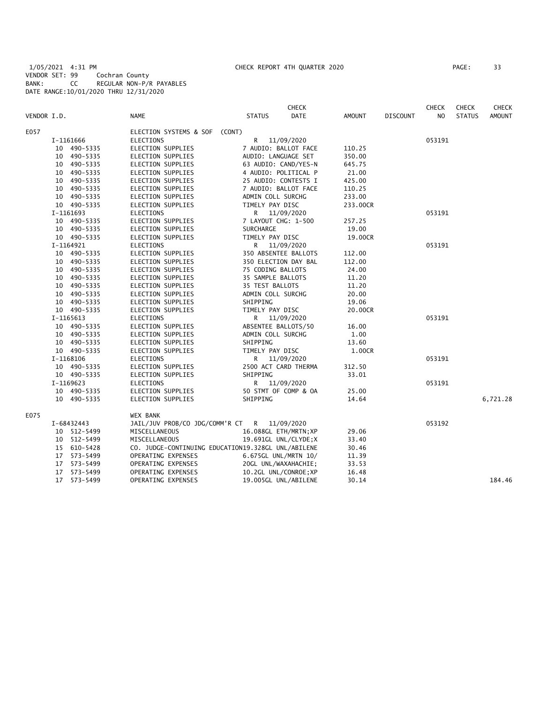1/05/2021 4:31 PM CHECK REPORT 4TH QUARTER 2020 PAGE: 33 VENDOR SET: 99 Cochran County BANK: CC REGULAR NON-P/R PAYABLES DATE RANGE:10/01/2020 THRU 12/31/2020

|             |                |                               | <b>CHECK</b>                                       |               |                 | <b>CHECK</b>   | <b>CHECK</b>  | <b>CHECK</b>  |
|-------------|----------------|-------------------------------|----------------------------------------------------|---------------|-----------------|----------------|---------------|---------------|
| VENDOR I.D. |                | <b>NAME</b>                   | <b>STATUS</b><br><b>DATE</b>                       | <b>AMOUNT</b> | <b>DISCOUNT</b> | N <sub>O</sub> | <b>STATUS</b> | <b>AMOUNT</b> |
| E057        |                | ELECTION SYSTEMS & SOF (CONT) |                                                    |               |                 |                |               |               |
|             | I-1161666      | <b>ELECTIONS</b>              | R<br>11/09/2020                                    |               |                 | 053191         |               |               |
|             | 10 490-5335    | ELECTION SUPPLIES             | 7 AUDIO: BALLOT FACE                               | 110.25        |                 |                |               |               |
|             | 490-5335<br>10 | <b>ELECTION SUPPLIES</b>      | AUDIO: LANGUAGE SET                                | 350.00        |                 |                |               |               |
|             | 490-5335<br>10 | ELECTION SUPPLIES             | 63 AUDIO: CAND/YES-N                               | 645.75        |                 |                |               |               |
|             | 10 490-5335    | ELECTION SUPPLIES             | 4 AUDIO: POLITICAL P                               | 21.00         |                 |                |               |               |
|             | 490-5335<br>10 | ELECTION SUPPLIES             | 25 AUDIO: CONTESTS I                               | 425.00        |                 |                |               |               |
|             | 490-5335<br>10 | ELECTION SUPPLIES             | 7 AUDIO: BALLOT FACE                               | 110.25        |                 |                |               |               |
|             | 10 490-5335    | ELECTION SUPPLIES             | ADMIN COLL SURCHG                                  | 233.00        |                 |                |               |               |
|             | 10 490-5335    | ELECTION SUPPLIES             | TIMELY PAY DISC                                    | 233.00CR      |                 |                |               |               |
|             | I-1161693      | <b>ELECTIONS</b>              | 11/09/2020<br>R.                                   |               |                 | 053191         |               |               |
|             | 10 490-5335    | ELECTION SUPPLIES             | 7 LAYOUT CHG: 1-500                                | 257.25        |                 |                |               |               |
|             | 10 490-5335    | ELECTION SUPPLIES             | <b>SURCHARGE</b>                                   | 19.00         |                 |                |               |               |
|             | 10 490-5335    | ELECTION SUPPLIES             | TIMELY PAY DISC                                    | 19.00CR       |                 |                |               |               |
|             | I-1164921      | ELECTIONS                     | 11/09/2020<br>R                                    |               |                 | 053191         |               |               |
|             | 10 490-5335    | ELECTION SUPPLIES             | 350 ABSENTEE BALLOTS                               | 112.00        |                 |                |               |               |
|             | 10 490-5335    | ELECTION SUPPLIES             | 350 ELECTION DAY BAL                               | 112.00        |                 |                |               |               |
|             | 10 490-5335    | ELECTION SUPPLIES             | 75 CODING BALLOTS                                  | 24.00         |                 |                |               |               |
|             | 490-5335<br>10 | ELECTION SUPPLIES             | 35 SAMPLE BALLOTS                                  | 11.20         |                 |                |               |               |
|             | 10 490-5335    | ELECTION SUPPLIES             | 35 TEST BALLOTS                                    | 11.20         |                 |                |               |               |
|             | 10 490-5335    | ELECTION SUPPLIES             | ADMIN COLL SURCHG                                  | 20.00         |                 |                |               |               |
|             | 10 490-5335    | ELECTION SUPPLIES             | SHIPPING                                           | 19.06         |                 |                |               |               |
|             | 10 490-5335    | ELECTION SUPPLIES             | TIMELY PAY DISC                                    | 20.00CR       |                 |                |               |               |
|             | I-1165613      | <b>ELECTIONS</b>              | 11/09/2020<br>R.                                   |               |                 | 053191         |               |               |
|             | 10 490-5335    | ELECTION SUPPLIES             | ABSENTEE BALLOTS/50                                | 16.00         |                 |                |               |               |
|             | 10 490-5335    | ELECTION SUPPLIES             | ADMIN COLL SURCHG                                  | 1.00          |                 |                |               |               |
|             | 10 490-5335    | ELECTION SUPPLIES             | SHIPPING                                           | 13.60         |                 |                |               |               |
|             | 10 490-5335    | ELECTION SUPPLIES             | TIMELY PAY DISC                                    | 1.00CR        |                 |                |               |               |
|             | I-1168106      | <b>ELECTIONS</b>              | 11/09/2020<br>R                                    |               |                 | 053191         |               |               |
|             | 10 490-5335    | ELECTION SUPPLIES             | 2500 ACT CARD THERMA                               | 312.50        |                 |                |               |               |
|             | 10 490-5335    | ELECTION SUPPLIES             | SHIPPING                                           | 33.01         |                 |                |               |               |
|             | I-1169623      | <b>ELECTIONS</b>              | R 11/09/2020                                       |               |                 | 053191         |               |               |
|             | 10 490-5335    | ELECTION SUPPLIES             | 50 STMT OF COMP & OA                               | 25.00         |                 |                |               |               |
|             | 10 490-5335    | ELECTION SUPPLIES             | SHIPPING                                           | 14.64         |                 |                |               | 6,721.28      |
| E075        |                | <b>WEX BANK</b>               |                                                    |               |                 |                |               |               |
|             | I-68432443     |                               | JAIL/JUV PROB/CO JDG/COMM'R CT R 11/09/2020        |               |                 | 053192         |               |               |
|             | 10 512-5499    | MISCELLANEOUS                 | 16.088GL ETH/MRTN; XP                              | 29.06         |                 |                |               |               |
|             | 10 512-5499    | MISCELLANEOUS                 | 19.691GL UNL/CLYDE;X                               | 33.40         |                 |                |               |               |
|             | 15 610-5428    |                               | CO. JUDGE-CONTINUING EDUCATION19.328GL UNL/ABILENE | 30.46         |                 |                |               |               |
|             | 573-5499<br>17 | OPERATING EXPENSES            | 6.675GL UNL/MRTN 10/                               | 11.39         |                 |                |               |               |
|             | 17 573-5499    | OPERATING EXPENSES            | 20GL UNL/WAXAHACHIE;                               | 33.53         |                 |                |               |               |
|             | 573-5499<br>17 | OPERATING EXPENSES            | 10.2GL UNL/CONROE; XP                              | 16.48         |                 |                |               |               |
|             | 17<br>573-5499 | OPERATING EXPENSES            | 19.005GL UNL/ABILENE                               | 30.14         |                 |                |               | 184.46        |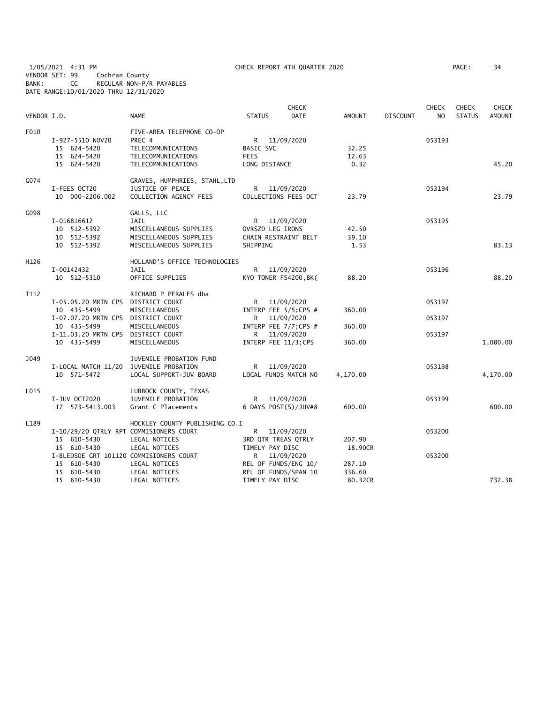1/05/2021 4:31 PM CHECK REPORT 4TH QUARTER 2020 PAGE: 34 VENDOR SET: 99 Cochran County BANK: CC REGULAR NON-P/R PAYABLES DATE RANGE:10/01/2020 THRU 12/31/2020

| VENDOR I.D. |                                         | <b>NAME</b>                    | <b>STATUS</b>         | <b>CHECK</b><br><b>DATE</b> | <b>AMOUNT</b> | <b>DISCOUNT</b> | <b>CHECK</b><br>N <sub>O</sub> | <b>CHECK</b><br><b>STATUS</b> | <b>CHECK</b><br><b>AMOUNT</b> |
|-------------|-----------------------------------------|--------------------------------|-----------------------|-----------------------------|---------------|-----------------|--------------------------------|-------------------------------|-------------------------------|
| F010        |                                         | FIVE-AREA TELEPHONE CO-OP      |                       |                             |               |                 |                                |                               |                               |
|             | I-927-5510 NOV20                        | PREC 4                         | R 11/09/2020          |                             |               |                 | 053193                         |                               |                               |
|             | 15 624-5420                             | TELECOMMUNICATIONS             | BASIC SVC             |                             | 32.25         |                 |                                |                               |                               |
|             | 15 624-5420                             | TELECOMMUNICATIONS             | <b>FEES</b>           |                             | 12.63         |                 |                                |                               |                               |
|             | 15 624-5420                             | TELECOMMUNICATIONS             | LONG DISTANCE         |                             | 0.32          |                 |                                |                               | 45.20                         |
| G074        |                                         | GRAVES, HUMPHRIES, STAHL, LTD  |                       |                             |               |                 |                                |                               |                               |
|             | I-FEES OCT20                            | JUSTICE OF PEACE               | R 11/09/2020          |                             |               |                 | 053194                         |                               |                               |
|             | 10 000-2206.002                         | COLLECTION AGENCY FEES         | COLLECTIONS FEES OCT  |                             | 23.79         |                 |                                |                               | 23.79                         |
| G098        |                                         | GALLS, LLC                     |                       |                             |               |                 |                                |                               |                               |
|             | I-016816612                             | JAIL                           | R 11/09/2020          |                             |               |                 | 053195                         |                               |                               |
|             | 10 512-5392                             | MISCELLANEOUS SUPPLIES         | OVRSZD LEG IRONS      |                             | 42.50         |                 |                                |                               |                               |
|             | 10 512-5392                             | MISCELLANEOUS SUPPLIES         | CHAIN RESTRAINT BELT  |                             | 39.10         |                 |                                |                               |                               |
|             | 10 512-5392                             | MISCELLANEOUS SUPPLIES         | SHIPPING              |                             | 1.53          |                 |                                |                               | 83.13                         |
| H126        |                                         | HOLLAND'S OFFICE TECHNOLOGIES  |                       |                             |               |                 |                                |                               |                               |
|             | I-00142432                              | JAIL                           | R 11/09/2020          |                             |               |                 | 053196                         |                               |                               |
|             | 10 512-5310                             | OFFICE SUPPLIES                | KYO TONER FS4200, BK( |                             | 88.20         |                 |                                |                               | 88.20                         |
| I112        |                                         | RICHARD P PERALES dba          |                       |                             |               |                 |                                |                               |                               |
|             | I-05.05.20 MRTN CPS                     | DISTRICT COURT                 | R                     | 11/09/2020                  |               |                 | 053197                         |                               |                               |
|             | 10 435-5499                             | MISCELLANEOUS                  | INTERP FEE 5/5;CPS #  |                             | 360.00        |                 |                                |                               |                               |
|             | I-07.07.20 MRTN CPS DISTRICT COURT      |                                | R                     | 11/09/2020                  |               |                 | 053197                         |                               |                               |
|             | 10 435-5499                             | MISCELLANEOUS                  | INTERP FEE 7/7;CPS #  |                             | 360.00        |                 |                                |                               |                               |
|             | I-11.03.20 MRTN CPS DISTRICT COURT      |                                | $\mathsf{R}$          | 11/09/2020                  |               |                 | 053197                         |                               |                               |
|             | 10 435-5499                             | MISCELLANEOUS                  | INTERP FEE 11/3; CPS  |                             | 360.00        |                 |                                |                               | 1,080.00                      |
| J049        |                                         | JUVENILE PROBATION FUND        |                       |                             |               |                 |                                |                               |                               |
|             | I-LOCAL MATCH 11/20 JUVENILE PROBATION  |                                | R 11/09/2020          |                             |               |                 | 053198                         |                               |                               |
|             | 10 571-5472                             | LOCAL SUPPORT-JUV BOARD        | LOCAL FUNDS MATCH NO  |                             | 4,170.00      |                 |                                |                               | 4,170.00                      |
| L015        |                                         | LUBBOCK COUNTY, TEXAS          |                       |                             |               |                 |                                |                               |                               |
|             | I-JUV OCT2020                           | JUVENILE PROBATION             | R 11/09/2020          |                             |               |                 | 053199                         |                               |                               |
|             | 17  573-5413.003                        | Grant C Placements             | 6 DAYS POST(S)/JUV#8  |                             | 600.00        |                 |                                |                               | 600.00                        |
| L189        |                                         | HOCKLEY COUNTY PUBLISHING CO.I |                       |                             |               |                 |                                |                               |                               |
|             | I-10/29/20 QTRLY RPT COMMISIONERS COURT |                                | R 11/09/2020          |                             |               |                 | 053200                         |                               |                               |
|             | 15 610-5430                             | LEGAL NOTICES                  | 3RD QTR TREAS QTRLY   |                             | 207.90        |                 |                                |                               |                               |
|             | 15 610-5430                             | LEGAL NOTICES                  | TIMELY PAY DISC       |                             | 18.90CR       |                 |                                |                               |                               |
|             | I-BLEDSOE GRT 101120 COMMISIONERS COURT |                                | R <sub>a</sub>        | 11/09/2020                  |               |                 | 053200                         |                               |                               |
|             | 15 610-5430                             | LEGAL NOTICES                  | REL OF FUNDS/ENG 10/  |                             | 287.10        |                 |                                |                               |                               |
|             | 15 610-5430                             | LEGAL NOTICES                  | REL OF FUNDS/SPAN 10  |                             | 336.60        |                 |                                |                               |                               |
|             | 15 610-5430                             | LEGAL NOTICES                  | TIMELY PAY DISC       |                             | 80.32CR       |                 |                                |                               | 732.38                        |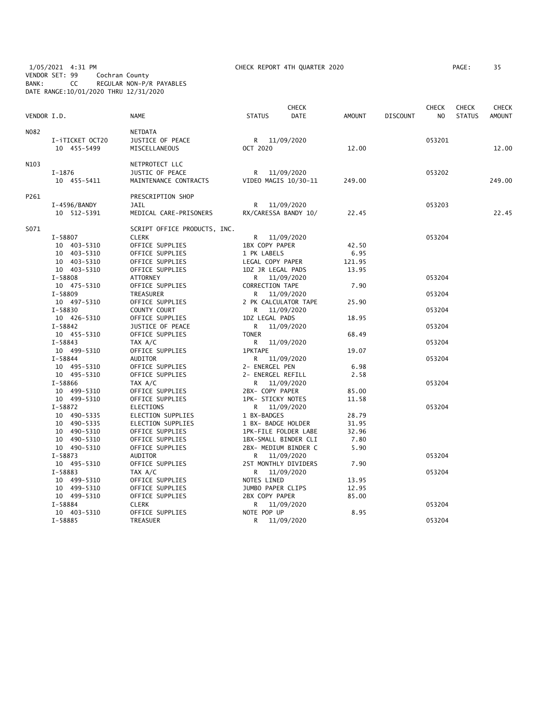| 1/05/2021 4:31 PM<br>VENDOR SET: 99<br>BANK: |             | CC                             | Cochran County | REGULAR NON-P/R PAYABLES<br>DATE RANGE: 10/01/2020 THRU 12/31/2020 |                                      | CHECK REPORT 4TH QUARTER 2020 |                |                 |                                | PAGE:                         | 35                     |
|----------------------------------------------|-------------|--------------------------------|----------------|--------------------------------------------------------------------|--------------------------------------|-------------------------------|----------------|-----------------|--------------------------------|-------------------------------|------------------------|
| VENDOR I.D.                                  |             |                                |                | <b>NAME</b>                                                        | <b>STATUS</b>                        | <b>CHECK</b><br><b>DATE</b>   | <b>AMOUNT</b>  | <b>DISCOUNT</b> | <b>CHECK</b><br>N <sub>O</sub> | <b>CHECK</b><br><b>STATUS</b> | CHECK<br><b>AMOUNT</b> |
|                                              |             |                                |                |                                                                    |                                      |                               |                |                 |                                |                               |                        |
| N082                                         |             | I-iTICKET OCT20<br>10 455-5499 |                | <b>NETDATA</b><br>JUSTICE OF PEACE<br>MISCELLANEOUS                | R 11/09/2020<br>OCT 2020             |                               | 12.00          |                 | 053201                         |                               | 12.00                  |
| N103                                         |             |                                |                | NETPROTECT LLC                                                     |                                      |                               |                |                 |                                |                               |                        |
|                                              | $I-1876$    | 10 455-5411                    |                | JUSTIC OF PEACE<br>MAINTENANCE CONTRACTS                           | R 11/09/2020<br>VIDEO MAGIS 10/30-11 |                               | 249.00         |                 | 053202                         |                               | 249.00                 |
| P261                                         |             |                                |                | PRESCRIPTION SHOP                                                  |                                      |                               |                |                 |                                |                               |                        |
|                                              |             | I-4596/BANDY<br>10 512-5391    |                | JAIL<br>MEDICAL CARE-PRISONERS                                     | R<br>RX/CARESSA BANDY 10/            | 11/09/2020                    | 22.45          |                 | 053203                         |                               | 22.45                  |
| S071                                         |             |                                |                | SCRIPT OFFICE PRODUCTS, INC.                                       |                                      |                               |                |                 |                                |                               |                        |
|                                              | I-58807     |                                |                | <b>CLERK</b>                                                       | R 11/09/2020                         |                               |                |                 | 053204                         |                               |                        |
|                                              |             | 10 403-5310                    |                | OFFICE SUPPLIES                                                    | 1BX COPY PAPER                       |                               | 42.50          |                 |                                |                               |                        |
|                                              |             | 10 403-5310                    |                | OFFICE SUPPLIES                                                    | 1 PK LABELS                          |                               | 6.95           |                 |                                |                               |                        |
|                                              |             | 10 403-5310                    |                | OFFICE SUPPLIES                                                    | LEGAL COPY PAPER                     |                               | 121.95         |                 |                                |                               |                        |
|                                              |             | 10 403-5310                    |                | OFFICE SUPPLIES                                                    | 1DZ JR LEGAL PADS                    |                               | 13.95          |                 |                                |                               |                        |
|                                              | I-58808     |                                |                | <b>ATTORNEY</b>                                                    | R 11/09/2020                         |                               |                |                 | 053204                         |                               |                        |
|                                              |             | 10 475-5310                    |                | OFFICE SUPPLIES                                                    | CORRECTION TAPE                      |                               | 7.90           |                 |                                |                               |                        |
|                                              | $I - 58809$ |                                |                | TREASURER                                                          | R                                    | 11/09/2020                    |                |                 | 053204                         |                               |                        |
|                                              |             | 10 497-5310                    |                | OFFICE SUPPLIES                                                    | 2 PK CALCULATOR TAPE                 |                               | 25.90          |                 |                                |                               |                        |
|                                              | $I - 58830$ |                                |                | COUNTY COURT                                                       | R 11/09/2020                         |                               |                |                 | 053204                         |                               |                        |
|                                              |             | 10 426-5310                    |                | OFFICE SUPPLIES                                                    | 1DZ LEGAL PADS                       |                               | 18.95          |                 |                                |                               |                        |
|                                              | $I - 58842$ |                                |                | JUSTICE OF PEACE                                                   | R.                                   | 11/09/2020                    |                |                 | 053204                         |                               |                        |
|                                              |             | 10 455-5310                    |                | OFFICE SUPPLIES                                                    | <b>TONER</b>                         |                               | 68.49          |                 |                                |                               |                        |
|                                              | $I - 58843$ |                                |                | TAX A/C                                                            | R 11/09/2020                         |                               |                |                 | 053204                         |                               |                        |
|                                              |             | 10 499-5310                    |                | OFFICE SUPPLIES                                                    | <b>1PKTAPE</b>                       |                               | 19.07          |                 |                                |                               |                        |
|                                              | $I - 58844$ |                                |                | <b>AUDITOR</b>                                                     | R 11/09/2020                         |                               |                |                 | 053204                         |                               |                        |
|                                              |             | 10 495-5310                    |                | OFFICE SUPPLIES                                                    | 2- ENERGEL PEN                       |                               | 6.98           |                 |                                |                               |                        |
|                                              |             | 10 495-5310                    |                | OFFICE SUPPLIES                                                    | 2- ENERGEL REFILL                    |                               | 2.58           |                 |                                |                               |                        |
|                                              | I-58866     |                                |                | TAX A/C                                                            | R 11/09/2020                         |                               |                |                 | 053204                         |                               |                        |
|                                              |             | 10 499-5310<br>10 499-5310     |                | OFFICE SUPPLIES<br>OFFICE SUPPLIES                                 | 2BX- COPY PAPER<br>1PK- STICKY NOTES |                               | 85.00<br>11.58 |                 |                                |                               |                        |
|                                              | I-58872     |                                |                | ELECTIONS                                                          | R 11/09/2020                         |                               |                |                 | 053204                         |                               |                        |
|                                              |             | 10 490-5335                    |                | ELECTION SUPPLIES                                                  | 1 BX-BADGES                          |                               | 28.79          |                 |                                |                               |                        |
|                                              |             | 10 490-5335                    |                | ELECTION SUPPLIES                                                  | 1 BX- BADGE HOLDER                   |                               | 31.95          |                 |                                |                               |                        |
|                                              |             | 10 490-5310                    |                | OFFICE SUPPLIES                                                    | 1PK-FILE FOLDER LABE                 |                               | 32.96          |                 |                                |                               |                        |
|                                              |             | 10 490-5310                    |                | OFFICE SUPPLIES                                                    | 1BX-SMALL BINDER CLI                 |                               | 7.80           |                 |                                |                               |                        |
|                                              |             | 10 490-5310                    |                | OFFICE SUPPLIES                                                    | 2BX- MEDIUM BINDER C                 |                               | 5.90           |                 |                                |                               |                        |
|                                              | $I-58873$   |                                |                | AUDITOR                                                            | R 11/09/2020                         |                               |                |                 | 053204                         |                               |                        |
|                                              |             | 10 495-5310                    |                | OFFICE SUPPLIES                                                    | 2ST MONTHLY DIVIDERS                 |                               | 7.90           |                 |                                |                               |                        |
|                                              | I-58883     |                                |                | TAX A/C                                                            | R.                                   | 11/09/2020                    |                |                 | 053204                         |                               |                        |
|                                              |             | 10 499-5310                    |                | OFFICE SUPPLIES                                                    | NOTES LINED                          |                               | 13.95          |                 |                                |                               |                        |

 10 499-5310 OFFICE SUPPLIES JUMBO PAPER CLIPS 12.95 10 499-5310 OFFICE SUPPLIES 2BX COPY PAPER 85.00

10 403-5310 OFFICE SUPPLIES NOTE POP UP 8.95

I-58884 CLERK R 11/09/2020 053204

109/2020<br>
I-58884 CLERK R 11/09/2020<br>
I-58885 T-58885 TREASUER R 11/09/2020<br>
I-58885 TREASUER R 11/09/2020 8.95<br>
OS3204<br>
R 11/09/2020 8.95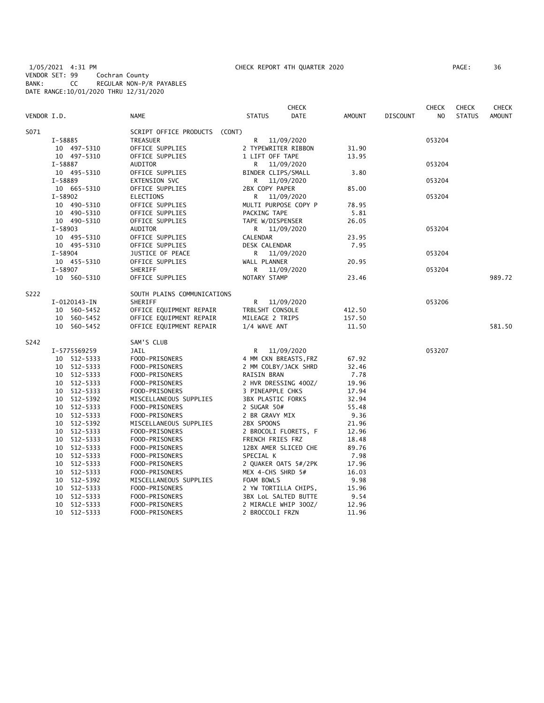1/05/2021 4:31 PM CHECK REPORT 4TH QUARTER 2020 PAGE: 36 VENDOR SET: 99 Cochran County BANK: CC REGULAR NON-P/R PAYABLES DATE RANGE:10/01/2020 THRU 12/31/2020

|             |                |                               |                          | <b>CHECK</b> |               |                 | <b>CHECK</b>   | <b>CHECK</b>  | <b>CHECK</b>  |
|-------------|----------------|-------------------------------|--------------------------|--------------|---------------|-----------------|----------------|---------------|---------------|
| VENDOR I.D. |                | NAME                          | <b>STATUS</b>            | <b>DATE</b>  | <b>AMOUNT</b> | <b>DISCOUNT</b> | N <sub>O</sub> | <b>STATUS</b> | <b>AMOUNT</b> |
| S071        |                | SCRIPT OFFICE PRODUCTS (CONT) |                          |              |               |                 |                |               |               |
|             | I-58885        | TREASUER                      | R                        | 11/09/2020   |               |                 | 053204         |               |               |
|             | 10 497-5310    | OFFICE SUPPLIES               | 2 TYPEWRITER RIBBON      |              | 31.90         |                 |                |               |               |
|             | 10 497-5310    | OFFICE SUPPLIES               | 1 LIFT OFF TAPE          |              | 13.95         |                 |                |               |               |
|             | I-58887        | <b>AUDITOR</b>                | R                        | 11/09/2020   |               |                 | 053204         |               |               |
|             | 10 495-5310    | OFFICE SUPPLIES               | BINDER CLIPS/SMALL       |              | 3.80          |                 |                |               |               |
|             | $I - 58889$    | EXTENSION SVC                 | 11/09/2020<br>R.         |              |               |                 | 053204         |               |               |
|             | 10 665-5310    | OFFICE SUPPLIES               | 2BX COPY PAPER           |              | 85.00         |                 |                |               |               |
|             | I-58902        | <b>ELECTIONS</b>              | R 11/09/2020             |              |               |                 | 053204         |               |               |
|             | 10 490-5310    | OFFICE SUPPLIES               | MULTI PURPOSE COPY P     |              | 78.95         |                 |                |               |               |
|             | 10 490-5310    | OFFICE SUPPLIES               | PACKING TAPE             |              | 5.81          |                 |                |               |               |
|             | 10 490-5310    | OFFICE SUPPLIES               | TAPE W/DISPENSER         |              | 26.05         |                 |                |               |               |
|             | $I - 58903$    | AUDITOR                       | R 11/09/2020             |              |               |                 | 053204         |               |               |
|             | 10 495-5310    | OFFICE SUPPLIES               | CALENDAR                 |              | 23.95         |                 |                |               |               |
|             | 10 495-5310    | OFFICE SUPPLIES               | DESK CALENDAR            |              | 7.95          |                 |                |               |               |
|             | $I - 58904$    | JUSTICE OF PEACE              | R 11/09/2020             |              |               |                 | 053204         |               |               |
|             | 10 455-5310    | OFFICE SUPPLIES               | WALL PLANNER             |              | 20.95         |                 |                |               |               |
|             | I-58907        | SHERIFF                       | R 11/09/2020             |              |               |                 | 053204         |               |               |
|             | 10 560-5310    | OFFICE SUPPLIES               | NOTARY STAMP             |              | 23.46         |                 |                |               | 989.72        |
| S222        |                | SOUTH PLAINS COMMUNICATIONS   |                          |              |               |                 |                |               |               |
|             | I-0120143-IN   | SHERIFF                       | R 11/09/2020             |              |               |                 | 053206         |               |               |
|             | 10 560-5452    | OFFICE EQUIPMENT REPAIR       | TRBLSHT CONSOLE          |              | 412.50        |                 |                |               |               |
|             | 10 560-5452    | OFFICE EQUIPMENT REPAIR       | MILEAGE 2 TRIPS          |              | 157.50        |                 |                |               |               |
|             | 10 560-5452    | OFFICE EQUIPMENT REPAIR       | 1/4 WAVE ANT             |              | 11.50         |                 |                |               | 581.50        |
| S242        |                | SAM'S CLUB                    |                          |              |               |                 |                |               |               |
|             | I-5775569259   | JAIL                          | R                        | 11/09/2020   |               |                 | 053207         |               |               |
|             | 10 512-5333    | FOOD-PRISONERS                | 4 MM CKN BREASTS, FRZ    |              | 67.92         |                 |                |               |               |
|             | 10 512-5333    | FOOD-PRISONERS                | 2 MM COLBY/JACK SHRD     |              | 32.46         |                 |                |               |               |
|             | 10 512-5333    | FOOD-PRISONERS                | RAISIN BRAN              |              | 7.78          |                 |                |               |               |
|             | 10 512-5333    | FOOD-PRISONERS                | 2 HVR DRESSING 400Z/     |              | 19.96         |                 |                |               |               |
|             | 10 512-5333    | FOOD-PRISONERS                | 3 PINEAPPLE CHKS         |              | 17.94         |                 |                |               |               |
|             | 10 512-5392    | MISCELLANEOUS SUPPLIES        | <b>3BX PLASTIC FORKS</b> |              | 32.94         |                 |                |               |               |
|             | 10 512-5333    | FOOD-PRISONERS                | 2 SUGAR 50#              |              | 55.48         |                 |                |               |               |
|             | 10 512-5333    | FOOD-PRISONERS                | 2 BR GRAVY MIX           |              | 9.36          |                 |                |               |               |
|             | 10 512-5392    | MISCELLANEOUS SUPPLIES        | 2BX SPOONS               |              | 21.96         |                 |                |               |               |
|             | 10 512-5333    | FOOD-PRISONERS                | 2 BROCOLI FLORETS, F     |              | 12.96         |                 |                |               |               |
|             | 10 512-5333    | FOOD-PRISONERS                | FRENCH FRIES FRZ         |              | 18.48         |                 |                |               |               |
|             | 10 512-5333    | FOOD-PRISONERS                | 12BX AMER SLICED CHE     |              | 89.76         |                 |                |               |               |
|             | 10 512-5333    | FOOD-PRISONERS                | SPECIAL K                |              | 7.98          |                 |                |               |               |
|             | 10 512-5333    | FOOD-PRISONERS                | 2 QUAKER OATS 5#/2PK     |              | 17.96         |                 |                |               |               |
|             | 10 512-5333    | FOOD-PRISONERS                | MEX 4-CHS SHRD 5#        |              | 16.03         |                 |                |               |               |
|             | 10 512-5392    | MISCELLANEOUS SUPPLIES        | FOAM BOWLS               |              | 9.98          |                 |                |               |               |
|             | 512-5333<br>10 | FOOD-PRISONERS                | 2 YW TORTILLA CHIPS,     |              | 15.96         |                 |                |               |               |
|             | 512-5333<br>10 | FOOD-PRISONERS                | 3BX LoL SALTED BUTTE     |              | 9.54          |                 |                |               |               |
|             | 512-5333<br>10 | FOOD-PRISONERS                | 2 MIRACLE WHIP 300Z/     |              | 12.96         |                 |                |               |               |
|             | 10 512-5333    | FOOD-PRISONERS                | 2 BROCCOLI FRZN          |              | 11.96         |                 |                |               |               |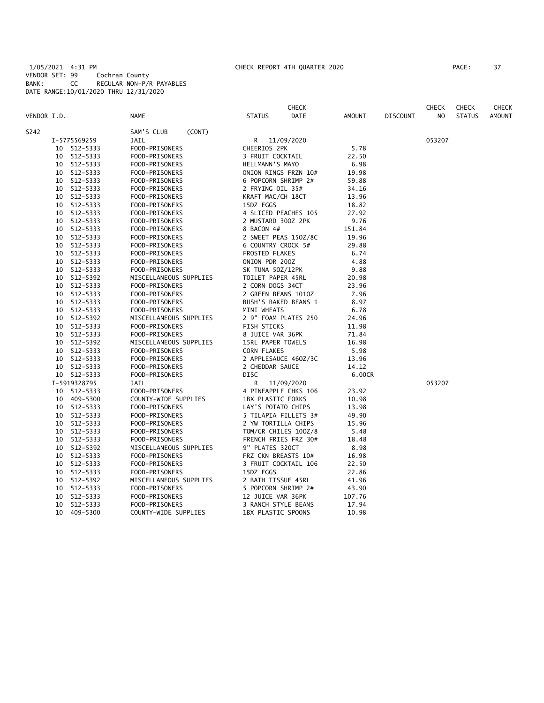1/05/2021 4:31 PM CHECK REPORT 4TH QUARTER 2020 PAGE: 37 VENDOR SET: 99 Cochran County BANK: CC REGULAR NON-P/R PAYABLES DATE RANGE:10/01/2020 THRU 12/31/2020

| PAGE : | 37 |
|--------|----|
|        |    |

|             |              |                        | <b>CHECK</b>             |               |                 | <b>CHECK</b> | <b>CHECK</b>  | <b>CHECK</b>  |
|-------------|--------------|------------------------|--------------------------|---------------|-----------------|--------------|---------------|---------------|
| VENDOR I.D. |              | <b>NAME</b>            | <b>STATUS</b><br>DATE    | <b>AMOUNT</b> | <b>DISCOUNT</b> | NO           | <b>STATUS</b> | <b>AMOUNT</b> |
| S242        |              | SAM'S CLUB<br>(CONT)   |                          |               |                 |              |               |               |
|             | I-5775569259 | JAIL                   | R 11/09/2020             |               |                 | 053207       |               |               |
| 10          | 512-5333     | FOOD-PRISONERS         | CHEERIOS 2PK             | 5.78          |                 |              |               |               |
| 10          | 512-5333     | FOOD-PRISONERS         | 3 FRUIT COCKTAIL         | 22.50         |                 |              |               |               |
| 10          | 512-5333     | FOOD-PRISONERS         | HELLMANN'S MAYO          | 6.98          |                 |              |               |               |
| 10          | 512-5333     | FOOD-PRISONERS         | ONION RINGS FRZN 10#     | 19.98         |                 |              |               |               |
| 10          | 512-5333     | FOOD-PRISONERS         | 6 POPCORN SHRIMP 2#      | 59.88         |                 |              |               |               |
| 10          | 512-5333     | FOOD-PRISONERS         | 2 FRYING OIL 35#         | 34.16         |                 |              |               |               |
| 10          | 512-5333     | FOOD-PRISONERS         | KRAFT MAC/CH 18CT        | 13.96         |                 |              |               |               |
| 10          | 512-5333     | FOOD-PRISONERS         | 15DZ EGGS                | 18.82         |                 |              |               |               |
| 10          | 512-5333     | FOOD-PRISONERS         | 4 SLICED PEACHES 105     | 27.92         |                 |              |               |               |
| 10          | 512-5333     | FOOD-PRISONERS         | 2 MUSTARD 300Z 2PK       | 9.76          |                 |              |               |               |
| 10          | 512-5333     | FOOD-PRISONERS         | 8 BACON 4#               | 151.84        |                 |              |               |               |
| 10          | 512-5333     | FOOD-PRISONERS         | 2 SWEET PEAS 150Z/8C     | 19.96         |                 |              |               |               |
| 10          | 512-5333     | FOOD-PRISONERS         | 6 COUNTRY CROCK 5#       | 29.88         |                 |              |               |               |
| 10          | 512-5333     | FOOD-PRISONERS         | <b>FROSTED FLAKES</b>    | 6.74          |                 |              |               |               |
| 10          | 512-5333     | FOOD-PRISONERS         | ONION PDR 200Z           | 4.88          |                 |              |               |               |
| 10          | 512-5333     | FOOD-PRISONERS         | SK TUNA 50Z/12PK         | 9.88          |                 |              |               |               |
| 10          | 512-5392     | MISCELLANEOUS SUPPLIES | TOILET PAPER 45RL        | 20.98         |                 |              |               |               |
| 10          | 512-5333     | FOOD-PRISONERS         | 2 CORN DOGS 34CT         | 23.96         |                 |              |               |               |
| 10          | 512-5333     | FOOD-PRISONERS         | 2 GREEN BEANS 1010Z      | 7.96          |                 |              |               |               |
| 10          | 512-5333     | FOOD-PRISONERS         | BUSH'S BAKED BEANS 1     | 8.97          |                 |              |               |               |
| 10          | 512-5333     | FOOD-PRISONERS         | MINI WHEATS              | 6.78          |                 |              |               |               |
| 10          | 512-5392     | MISCELLANEOUS SUPPLIES | 2 9" FOAM PLATES 250     | 24.96         |                 |              |               |               |
| 10          | 512-5333     | FOOD-PRISONERS         | FISH STICKS              | 11.98         |                 |              |               |               |
| 10          | 512-5333     | FOOD-PRISONERS         | 8 JUICE VAR 36PK         | 71.84         |                 |              |               |               |
| 10          | 512-5392     | MISCELLANEOUS SUPPLIES | 15RL PAPER TOWELS        | 16.98         |                 |              |               |               |
| 10          | 512-5333     | FOOD-PRISONERS         | CORN FLAKES              | 5.98          |                 |              |               |               |
| 10          | 512-5333     | FOOD-PRISONERS         | 2 APPLESAUCE 460Z/3C     | 13.96         |                 |              |               |               |
| 10          | 512-5333     | FOOD-PRISONERS         | 2 CHEDDAR SAUCE          | 14.12         |                 |              |               |               |
|             | 10 512-5333  | FOOD-PRISONERS         | <b>DISC</b>              | 6.00CR        |                 |              |               |               |
|             | I-5919328795 | <b>JAIL</b>            | R<br>11/09/2020          |               |                 | 053207       |               |               |
|             | 10 512-5333  | FOOD-PRISONERS         | 4 PINEAPPLE CHKS 106     | 23.92         |                 |              |               |               |
|             | 10 409-5300  | COUNTY-WIDE SUPPLIES   | <b>1BX PLASTIC FORKS</b> | 10.98         |                 |              |               |               |
|             | 10 512-5333  | FOOD-PRISONERS         | LAY'S POTATO CHIPS       | 13.98         |                 |              |               |               |
| 10          | 512-5333     | FOOD-PRISONERS         | 5 TILAPIA FILLETS 3#     | 49.90         |                 |              |               |               |
| 10          | 512-5333     | FOOD-PRISONERS         | 2 YW TORTILLA CHIPS      | 15.96         |                 |              |               |               |
| 10          | 512-5333     | FOOD-PRISONERS         | TOM/GR CHILES 100Z/8     | 5.48          |                 |              |               |               |
| 10          | 512-5333     | FOOD-PRISONERS         | FRENCH FRIES FRZ 30#     | 18.48         |                 |              |               |               |
| 10          | 512-5392     | MISCELLANEOUS SUPPLIES | 9" PLATES 320CT          | 8.98          |                 |              |               |               |
| 10          | 512-5333     | FOOD-PRISONERS         | FRZ CKN BREASTS 10#      | 16.98         |                 |              |               |               |
| 10          | 512-5333     | FOOD-PRISONERS         | 3 FRUIT COCKTAIL 106     | 22.50         |                 |              |               |               |
| 10          | 512-5333     | FOOD-PRISONERS         | 15DZ EGGS                | 22.86         |                 |              |               |               |
| 10          | 512-5392     | MISCELLANEOUS SUPPLIES | 2 BATH TISSUE 45RL       | 41.96         |                 |              |               |               |
| 10          | 512-5333     | FOOD-PRISONERS         | 5 POPCORN SHRIMP 2#      | 43.90         |                 |              |               |               |
| 10          | 512-5333     | FOOD-PRISONERS         | 12 JUICE VAR 36PK        | 107.76        |                 |              |               |               |
| 10          | 512-5333     | FOOD-PRISONERS         | 3 RANCH STYLE BEANS      | 17.94         |                 |              |               |               |
| 10          | 409-5300     | COUNTY-WIDE SUPPLIES   | 1BX PLASTIC SPOONS       | 10.98         |                 |              |               |               |
|             |              |                        |                          |               |                 |              |               |               |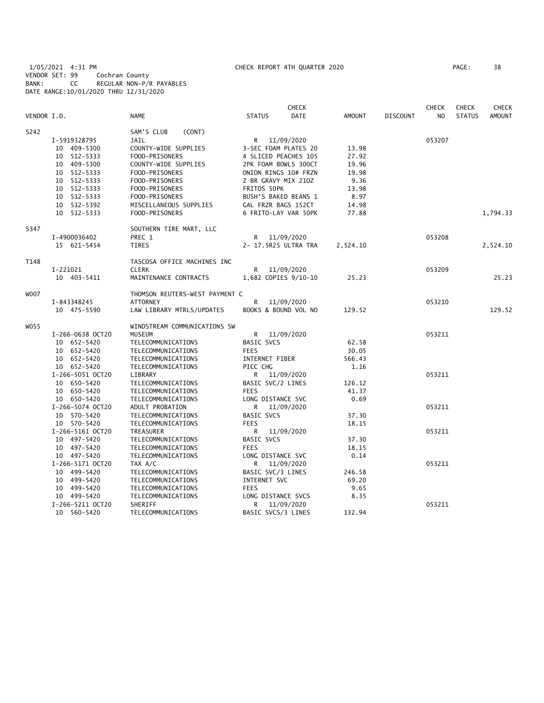# 1/05/2021 4:31 PM CHECK REPORT 4TH QUARTER 2020 PAGE: 38 VENDOR SET: 99 Cochran County BANK: CC REGULAR NON-P/R PAYABLES DATE RANGE:10/01/2020 THRU 12/31/2020

|             |                  |                                | <b>CHECK</b>                 |               | <b>CHECK</b>    |        | <b>CHECK</b><br>CHECK |               |
|-------------|------------------|--------------------------------|------------------------------|---------------|-----------------|--------|-----------------------|---------------|
| VENDOR I.D. |                  | <b>NAME</b>                    | <b>DATE</b><br><b>STATUS</b> | <b>AMOUNT</b> | <b>DISCOUNT</b> | NO     | <b>STATUS</b>         | <b>AMOUNT</b> |
| S242        |                  | SAM'S CLUB<br>(CONT)           |                              |               |                 |        |                       |               |
|             | I-5919328795     | JAIL                           | R<br>11/09/2020              |               |                 | 053207 |                       |               |
|             | 10 409-5300      | COUNTY-WIDE SUPPLIES           | 3-SEC FOAM PLATES 20         | 13.98         |                 |        |                       |               |
|             | 512-5333<br>10   | FOOD-PRISONERS                 | 4 SLICED PEACHES 105         | 27.92         |                 |        |                       |               |
|             | 10 409-5300      | COUNTY-WIDE SUPPLIES           | 2PK FOAM BOWLS 300CT         | 19.96         |                 |        |                       |               |
|             | 10 512-5333      | FOOD-PRISONERS                 | ONION RINGS 10# FRZN         | 19.98         |                 |        |                       |               |
|             | 10 512-5333      | FOOD-PRISONERS                 | 2 BR GRAVY MIX 210Z          | 9.36          |                 |        |                       |               |
|             | 10 512-5333      | FOOD-PRISONERS                 | FRITOS 50PK                  | 13.98         |                 |        |                       |               |
|             | 10 512-5333      | FOOD-PRISONERS                 | BUSH'S BAKED BEANS 1         | 8.97          |                 |        |                       |               |
|             | 10 512-5392      | MISCELLANEOUS SUPPLIES         | GAL FRZR BAGS 152CT          | 14.98         |                 |        |                       |               |
|             | 10 512-5333      | FOOD-PRISONERS                 | 6 FRITO-LAY VAR 50PK         | 77.88         |                 |        |                       | 1,794.33      |
| S347        |                  | SOUTHERN TIRE MART, LLC        |                              |               |                 |        |                       |               |
|             | I-4900036402     | PREC 1                         | 11/09/2020<br>R              |               |                 | 053208 |                       |               |
|             | 15 621-5454      | <b>TIRES</b>                   | 2- 17.5R25 ULTRA TRA         | 2,524.10      |                 |        |                       | 2,524.10      |
| T148        |                  | TASCOSA OFFICE MACHINES INC    |                              |               |                 |        |                       |               |
|             | I-221021         | <b>CLERK</b>                   | R<br>11/09/2020              |               |                 | 053209 |                       |               |
|             | 10 403-5411      | MAINTENANCE CONTRACTS          | 1,682 COPIES 9/10-10         | 25.23         |                 |        |                       | 25.23         |
| W007        |                  | THOMSON REUTERS-WEST PAYMENT C |                              |               |                 |        |                       |               |
|             | I-843348245      | ATTORNEY                       | R<br>11/09/2020              |               |                 | 053210 |                       |               |
|             | 10 475-5590      | LAW LIBRARY MTRLS/UPDATES      | BOOKS & BOUND VOL NO         | 129.52        |                 |        |                       | 129.52        |
| W055        |                  | WINDSTREAM COMMUNICATIONS SW   |                              |               |                 |        |                       |               |
|             | I-266-0638 OCT20 | MUSEUM                         | R.<br>11/09/2020             |               |                 | 053211 |                       |               |
|             | 10 652-5420      | TELECOMMUNICATIONS             | BASIC SVCS                   | 62.58         |                 |        |                       |               |
|             | 10 652-5420      | TELECOMMUNICATIONS             | <b>FEES</b>                  | 30.05         |                 |        |                       |               |
|             | 10 652-5420      | TELECOMMUNICATIONS             | INTERNET FIBER               | 566.43        |                 |        |                       |               |
|             | 10 652-5420      | TELECOMMUNICATIONS             | PICC CHG                     | 1.16          |                 |        |                       |               |
|             | I-266-5051 OCT20 | LIBRARY                        | R 11/09/2020                 |               |                 | 053211 |                       |               |
|             | 10 650-5420      | TELECOMMUNICATIONS             | BASIC SVC/2 LINES            | 126.12        |                 |        |                       |               |
|             | 10 650-5420      | TELECOMMUNICATIONS             | <b>FEES</b>                  | 41.37         |                 |        |                       |               |
|             | 10 650-5420      | TELECOMMUNICATIONS             | LONG DISTANCE SVC            | 0.69          |                 |        |                       |               |
|             | I-266-5074 OCT20 | ADULT PROBATION                | 11/09/2020<br>R.             |               |                 | 053211 |                       |               |
|             | 10 570-5420      | TELECOMMUNICATIONS             | BASIC SVCS                   | 37.30         |                 |        |                       |               |
|             | 10 570-5420      | TELECOMMUNICATIONS             | <b>FEES</b>                  | 18.15         |                 |        |                       |               |
|             | I-266-5161 OCT20 | TREASURER                      | R<br>11/09/2020              |               |                 | 053211 |                       |               |
|             | 10 497-5420      | TELECOMMUNICATIONS             | <b>BASIC SVCS</b>            | 37.30         |                 |        |                       |               |
|             | 10 497-5420      | TELECOMMUNICATIONS             | <b>FEES</b>                  | 18.15         |                 |        |                       |               |
|             | 10 497-5420      | TELECOMMUNICATIONS             | LONG DISTANCE SVC            | 0.14          |                 |        |                       |               |
|             | I-266-5171 OCT20 | TAX A/C                        | R.<br>11/09/2020             |               |                 | 053211 |                       |               |
|             | 10 499-5420      | TELECOMMUNICATIONS             | BASIC SVC/3 LINES            | 246.58        |                 |        |                       |               |
|             | 10 499-5420      | TELECOMMUNICATIONS             | INTERNET SVC                 | 69.20         |                 |        |                       |               |
|             | 10 499-5420      | TELECOMMUNICATIONS             | <b>FEES</b>                  | 9.65          |                 |        |                       |               |
|             | 10 499-5420      | TELECOMMUNICATIONS             | LONG DISTANCE SVCS           | 8.35          |                 |        |                       |               |
|             | I-266-5211 OCT20 | SHERIFF                        | 11/09/2020<br>R              |               |                 | 053211 |                       |               |
|             | 10 560-5420      | TELECOMMUNICATIONS             | BASIC SVCS/3 LINES           | 132.94        |                 |        |                       |               |
|             |                  |                                |                              |               |                 |        |                       |               |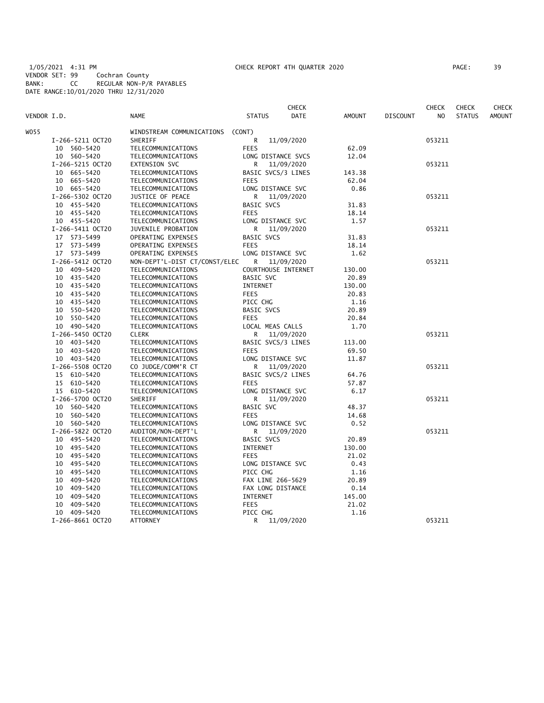1/05/2021 4:31 PM CHECK REPORT 4TH QUARTER 2020 PAGE: 39 VENDOR SET: 99 Cochran County BANK: CC REGULAR NON-P/R PAYABLES DATE RANGE:10/01/2020 THRU 12/31/2020

| AGE : |  | 39 |  |
|-------|--|----|--|
|       |  |    |  |

|             |                  |                               |                     | <b>CHECK</b> |               |                 | <b>CHECK</b>   | <b>CHECK</b>  | CHECK         |
|-------------|------------------|-------------------------------|---------------------|--------------|---------------|-----------------|----------------|---------------|---------------|
| VENDOR I.D. |                  | <b>NAME</b>                   | <b>STATUS</b>       | DATE         | <b>AMOUNT</b> | <b>DISCOUNT</b> | N <sub>O</sub> | <b>STATUS</b> | <b>AMOUNT</b> |
| W055        |                  | WINDSTREAM COMMUNICATIONS     | (CONT)              |              |               |                 |                |               |               |
|             | I-266-5211 OCT20 | SHERIFF                       | R                   | 11/09/2020   |               |                 | 053211         |               |               |
|             | 10 560-5420      | TELECOMMUNICATIONS            | <b>FEES</b>         |              | 62.09         |                 |                |               |               |
|             | 10 560-5420      | TELECOMMUNICATIONS            | LONG DISTANCE SVCS  |              | 12.04         |                 |                |               |               |
|             | I-266-5215 OCT20 | <b>EXTENSION SVC</b>          | R                   | 11/09/2020   |               |                 | 053211         |               |               |
|             | 665-5420<br>10   | TELECOMMUNICATIONS            | BASIC SVCS/3 LINES  |              | 143.38        |                 |                |               |               |
|             | 10 665-5420      | TELECOMMUNICATIONS            | <b>FEES</b>         |              | 62.04         |                 |                |               |               |
|             | 10 665-5420      | TELECOMMUNICATIONS            | LONG DISTANCE SVC   |              | 0.86          |                 |                |               |               |
|             | I-266-5302 OCT20 | JUSTICE OF PEACE              | R                   | 11/09/2020   |               |                 | 053211         |               |               |
|             | 10 455-5420      | TELECOMMUNICATIONS            | BASIC SVCS          |              | 31.83         |                 |                |               |               |
|             | 10 455-5420      | TELECOMMUNICATIONS            | <b>FEES</b>         |              | 18.14         |                 |                |               |               |
|             | 10 455-5420      |                               | LONG DISTANCE SVC   |              | 1.57          |                 |                |               |               |
|             |                  | TELECOMMUNICATIONS            |                     |              |               |                 |                |               |               |
|             | I-266-5411 OCT20 | JUVENILE PROBATION            | R                   | 11/09/2020   |               |                 | 053211         |               |               |
|             | 17 573-5499      | OPERATING EXPENSES            | <b>BASIC SVCS</b>   |              | 31.83         |                 |                |               |               |
|             | 17 573-5499      | OPERATING EXPENSES            | <b>FEES</b>         |              | 18.14         |                 |                |               |               |
|             | 17 573-5499      | OPERATING EXPENSES            | LONG DISTANCE SVC   |              | 1.62          |                 |                |               |               |
|             | I-266-5412 OCT20 | NON-DEPT'L-DIST CT/CONST/ELEC | R                   | 11/09/2020   |               |                 | 053211         |               |               |
|             | 10 409-5420      | TELECOMMUNICATIONS            | COURTHOUSE INTERNET |              | 130.00        |                 |                |               |               |
|             | 10 435-5420      | TELECOMMUNICATIONS            | <b>BASIC SVC</b>    |              | 20.89         |                 |                |               |               |
|             | 435-5420<br>10   | TELECOMMUNICATIONS            | INTERNET            |              | 130.00        |                 |                |               |               |
|             | 10 435-5420      | TELECOMMUNICATIONS            | <b>FEES</b>         |              | 20.83         |                 |                |               |               |
|             | 10 435-5420      | TELECOMMUNICATIONS            | PICC CHG            |              | 1.16          |                 |                |               |               |
|             | 10 550-5420      | TELECOMMUNICATIONS            | <b>BASIC SVCS</b>   |              | 20.89         |                 |                |               |               |
|             | 550-5420<br>10   | TELECOMMUNICATIONS            | <b>FEES</b>         |              | 20.84         |                 |                |               |               |
|             | 10 490-5420      | TELECOMMUNICATIONS            | LOCAL MEAS CALLS    |              | 1.70          |                 |                |               |               |
|             | I-266-5450 OCT20 | <b>CLERK</b>                  | R                   | 11/09/2020   |               |                 | 053211         |               |               |
|             | 10 403-5420      | TELECOMMUNICATIONS            | BASIC SVCS/3 LINES  |              | 113.00        |                 |                |               |               |
|             | 10 403-5420      | TELECOMMUNICATIONS            | <b>FEES</b>         |              | 69.50         |                 |                |               |               |
|             | 10 403-5420      | TELECOMMUNICATIONS            | LONG DISTANCE SVC   |              | 11.87         |                 |                |               |               |
|             | I-266-5508 OCT20 | CO JUDGE/COMM'R CT            | R                   | 11/09/2020   |               |                 | 053211         |               |               |
|             | 15 610-5420      | TELECOMMUNICATIONS            | BASIC SVCS/2 LINES  |              | 64.76         |                 |                |               |               |
|             | 15 610-5420      | TELECOMMUNICATIONS            | <b>FEES</b>         |              | 57.87         |                 |                |               |               |
|             | 15 610-5420      | TELECOMMUNICATIONS            | LONG DISTANCE SVC   |              | 6.17          |                 |                |               |               |
|             | I-266-5700 OCT20 | SHERIFF                       | R                   | 11/09/2020   |               |                 | 053211         |               |               |
|             | 560-5420<br>10   | TELECOMMUNICATIONS            | BASIC SVC           |              | 48.37         |                 |                |               |               |
|             | 10 560-5420      | TELECOMMUNICATIONS            | <b>FEES</b>         |              | 14.68         |                 |                |               |               |
|             | 10 560-5420      | TELECOMMUNICATIONS            | LONG DISTANCE SVC   |              | 0.52          |                 |                |               |               |
|             | I-266-5822 OCT20 | AUDITOR/NON-DEPT'L            | R                   | 11/09/2020   |               |                 | 053211         |               |               |
|             | 10 495-5420      | TELECOMMUNICATIONS            | <b>BASIC SVCS</b>   |              | 20.89         |                 |                |               |               |
|             | 10 495-5420      | TELECOMMUNICATIONS            | <b>INTERNET</b>     |              | 130.00        |                 |                |               |               |
|             | 495-5420<br>10   | TELECOMMUNICATIONS            | <b>FEES</b>         |              | 21.02         |                 |                |               |               |
|             | 495-5420<br>10   | TELECOMMUNICATIONS            | LONG DISTANCE SVC   |              | 0.43          |                 |                |               |               |
|             | 10<br>495-5420   | TELECOMMUNICATIONS            | PICC CHG            |              | 1.16          |                 |                |               |               |
|             | 10<br>409-5420   | TELECOMMUNICATIONS            | FAX LINE 266-5629   |              | 20.89         |                 |                |               |               |
|             | 10<br>409–5420   | TELECOMMUNICATIONS            | FAX LONG DISTANCE   |              | 0.14          |                 |                |               |               |
|             | 10               |                               |                     |              |               |                 |                |               |               |
|             | 409-5420         | TELECOMMUNICATIONS            | INTERNET            |              | 145.00        |                 |                |               |               |
|             | 409-5420<br>10   | TELECOMMUNICATIONS            | <b>FEES</b>         |              | 21.02         |                 |                |               |               |
|             | 10 409-5420      | TELECOMMUNICATIONS            | PICC CHG            |              | 1.16          |                 |                |               |               |
|             | I-266-8661 OCT20 | <b>ATTORNEY</b>               | R                   | 11/09/2020   |               |                 | 053211         |               |               |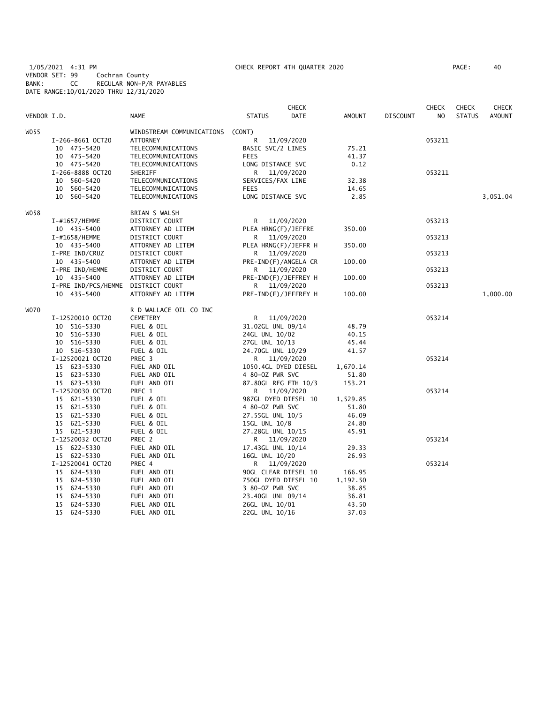1/05/2021 4:31 PM CHECK REPORT 4TH QUARTER 2020 PAGE: 40 VENDOR SET: 99 Cochran County BANK: CC REGULAR NON-P/R PAYABLES DATE RANGE:10/01/2020 THRU 12/31/2020

|             |                     |                           |                      | <b>CHECK</b>         |               |                 | <b>CHECK</b>   | <b>CHECK</b>  | CHECK         |
|-------------|---------------------|---------------------------|----------------------|----------------------|---------------|-----------------|----------------|---------------|---------------|
| VENDOR I.D. |                     | <b>NAME</b>               | <b>STATUS</b>        | DATE                 | <b>AMOUNT</b> | <b>DISCOUNT</b> | N <sub>O</sub> | <b>STATUS</b> | <b>AMOUNT</b> |
| W055        |                     | WINDSTREAM COMMUNICATIONS | (CONT)               |                      |               |                 |                |               |               |
|             | I-266-8661 OCT20    | ATTORNEY                  | R                    | 11/09/2020           |               |                 | 053211         |               |               |
|             | 10 475-5420         | TELECOMMUNICATIONS        | BASIC SVC/2 LINES    |                      | 75.21         |                 |                |               |               |
|             | 10 475-5420         | TELECOMMUNICATIONS        | <b>FEES</b>          |                      | 41.37         |                 |                |               |               |
|             | 10 475-5420         | TELECOMMUNICATIONS        | LONG DISTANCE SVC    |                      | 0.12          |                 |                |               |               |
|             | I-266-8888 OCT20    | SHERIFF                   | R                    | 11/09/2020           |               |                 | 053211         |               |               |
|             | 10 560-5420         | TELECOMMUNICATIONS        | SERVICES/FAX LINE    |                      | 32.38         |                 |                |               |               |
|             | 10 560-5420         | TELECOMMUNICATIONS        | <b>FEES</b>          |                      | 14.65         |                 |                |               |               |
|             | 10 560-5420         | TELECOMMUNICATIONS        | LONG DISTANCE SVC    |                      | 2.85          |                 |                |               | 3,051.04      |
| W058        |                     | BRIAN S WALSH             |                      |                      |               |                 |                |               |               |
|             | $I$ -#1657/HEMME    | DISTRICT COURT            | R                    | 11/09/2020           |               |                 | 053213         |               |               |
|             | 10 435-5400         | ATTORNEY AD LITEM         | PLEA HRNG(F)/JEFFRE  |                      | 350.00        |                 |                |               |               |
|             | I-#1658/HEMME       | DISTRICT COURT            | R                    | 11/09/2020           |               |                 | 053213         |               |               |
|             | 10 435-5400         | ATTORNEY AD LITEM         |                      | PLEA HRNG(F)/JEFFR H | 350.00        |                 |                |               |               |
|             | I-PRE IND/CRUZ      | DISTRICT COURT            | R                    | 11/09/2020           |               |                 | 053213         |               |               |
|             | 10 435-5400         | ATTORNEY AD LITEM         |                      | PRE-IND(F)/ANGELA CR | 100.00        |                 |                |               |               |
|             | I-PRE IND/HEMME     | DISTRICT COURT            |                      | R 11/09/2020         |               |                 | 053213         |               |               |
|             | 10 435-5400         | ATTORNEY AD LITEM         |                      | PRE-IND(F)/JEFFREY H | 100.00        |                 |                |               |               |
|             | I-PRE IND/PCS/HEMME | DISTRICT COURT            |                      | R 11/09/2020         |               |                 | 053213         |               |               |
|             | 10 435-5400         | ATTORNEY AD LITEM         | PRE-IND(F)/JEFFREY H |                      | 100.00        |                 |                |               | 1,000.00      |
|             |                     |                           |                      |                      |               |                 |                |               |               |
| <b>WO70</b> |                     | R D WALLACE OIL CO INC    |                      |                      |               |                 |                |               |               |
|             | I-12520010 OCT20    | <b>CEMETERY</b>           | R                    | 11/09/2020           |               |                 | 053214         |               |               |
|             | 10 516-5330         | FUEL & OIL                | 31.02GL UNL 09/14    |                      | 48.79         |                 |                |               |               |
|             | 10 516-5330         | FUEL & OIL                | 24GL UNL 10/02       |                      | 40.15         |                 |                |               |               |
|             | 10 516-5330         | FUEL & OIL                | 27GL UNL 10/13       |                      | 45.44         |                 |                |               |               |
|             | 10 516-5330         | FUEL & OIL                | 24.70GL UNL 10/29    |                      | 41.57         |                 |                |               |               |
|             | I-12520021 OCT20    | PREC 3                    | R.                   | 11/09/2020           |               |                 | 053214         |               |               |
|             | 15 623-5330         | FUEL AND OIL              |                      | 1050.4GL DYED DIESEL | 1,670.14      |                 |                |               |               |
|             | 15 623-5330         | FUEL AND OIL              | 4 80-02 PWR SVC      |                      | 51.80         |                 |                |               |               |
|             | 15 623-5330         | FUEL AND OIL              |                      | 87.80GL REG ETH 10/3 | 153.21        |                 |                |               |               |
|             | I-12520030 OCT20    | PREC 1                    | R                    | 11/09/2020           |               |                 | 053214         |               |               |
|             | 15 621-5330         | FUEL & OIL                |                      | 987GL DYED DIESEL 10 | 1,529.85      |                 |                |               |               |
|             | 15 621-5330         | FUEL & OIL                | 4 80-02 PWR SVC      |                      | 51.80         |                 |                |               |               |
|             | 15 621-5330         | FUEL & OIL                | 27.55GL UNL 10/5     |                      | 46.09         |                 |                |               |               |
|             | 15 621-5330         | FUEL & OIL                | 15GL UNL 10/8        |                      | 24.80         |                 |                |               |               |
|             | 15 621-5330         | FUEL & OIL                | 27.28GL UNL 10/15    |                      | 45.91         |                 |                |               |               |
|             | I-12520032 OCT20    | PREC 2                    |                      | R 11/09/2020         |               |                 | 053214         |               |               |
|             | 15 622-5330         | FUEL AND OIL              | 17.43GL UNL 10/14    |                      | 29.33         |                 |                |               |               |
|             | 15 622-5330         | FUEL AND OIL              | 16GL UNL 10/20       |                      | 26.93         |                 |                |               |               |
|             | I-12520041 OCT20    | PREC 4                    | R <sub>a</sub>       | 11/09/2020           |               |                 | 053214         |               |               |
|             | 15 624-5330         | FUEL AND OIL              |                      | 90GL CLEAR DIESEL 10 | 166.95        |                 |                |               |               |
|             | 15 624-5330         | FUEL AND OIL              |                      | 750GL DYED DIESEL 10 | 1,192.50      |                 |                |               |               |
|             | 15 624-5330         | FUEL AND OIL              | 3 80-0Z PWR SVC      |                      | 38.85         |                 |                |               |               |
|             | 15 624-5330         | FUEL AND OIL              | 23.40GL UNL 09/14    |                      | 36.81         |                 |                |               |               |
|             | 15 624-5330         | FUEL AND OIL              | 26GL UNL 10/01       |                      | 43.50         |                 |                |               |               |
|             | 15 624-5330         | FUEL AND OIL              | 22GL UNL 10/16       |                      | 37.03         |                 |                |               |               |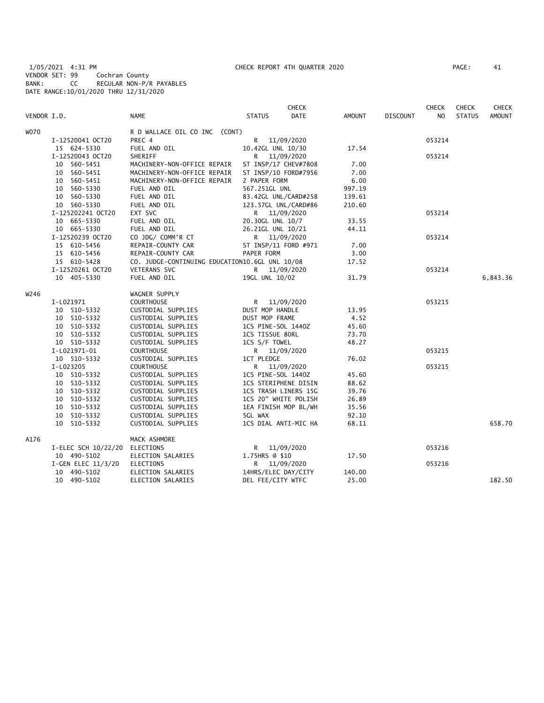1/05/2021 4:31 PM CHECK REPORT 4TH QUARTER 2020 PAGE: 41 VENDOR SET: 99 Cochran County BANK: CC REGULAR NON-P/R PAYABLES DATE RANGE:10/01/2020 THRU 12/31/2020

|             |                     |                                                |                     | <b>CHECK</b>         |               |                 | <b>CHECK</b>   | <b>CHECK</b>  | CHECK         |
|-------------|---------------------|------------------------------------------------|---------------------|----------------------|---------------|-----------------|----------------|---------------|---------------|
| VENDOR I.D. |                     | <b>NAME</b>                                    | <b>STATUS</b>       | <b>DATE</b>          | <b>AMOUNT</b> | <b>DISCOUNT</b> | N <sub>O</sub> | <b>STATUS</b> | <b>AMOUNT</b> |
| <b>WO70</b> |                     | R D WALLACE OIL CO INC (CONT)                  |                     |                      |               |                 |                |               |               |
|             | I-12520041 OCT20    | PREC 4                                         | R <sub>a</sub>      | 11/09/2020           |               |                 | 053214         |               |               |
|             | 15 624-5330         | FUEL AND OIL                                   | 10.42GL UNL 10/30   |                      | 17.54         |                 |                |               |               |
|             | I-12520043 OCT20    | SHERIFF                                        | R —                 | 11/09/2020           |               |                 | 053214         |               |               |
|             | 10 560-5451         | MACHINERY-NON-OFFICE REPAIR                    |                     | ST INSP/17 CHEV#7808 | 7.00          |                 |                |               |               |
|             | 10 560-5451         | MACHINERY-NON-OFFICE REPAIR                    |                     | ST INSP/10 FORD#7956 | 7.00          |                 |                |               |               |
|             | 10 560-5451         | MACHINERY-NON-OFFICE REPAIR                    | 2 PAPER FORM        |                      | 6.00          |                 |                |               |               |
|             | 10 560-5330         | FUEL AND OIL                                   | 567.251GL UNL       |                      | 997.19        |                 |                |               |               |
|             | 10 560-5330         | FUEL AND OIL                                   |                     | 83.42GL UNL/CARD#258 | 139.61        |                 |                |               |               |
|             | 10 560-5330         | FUEL AND OIL                                   |                     | 123.57GL UNL/CARD#86 | 210.60        |                 |                |               |               |
|             | I-125202241 OCT20   | EXT SVC                                        |                     | R 11/09/2020         |               |                 | 053214         |               |               |
|             | 10 665-5330         | FUEL AND OIL                                   | 20.30GL UNL 10/7    |                      | 33.55         |                 |                |               |               |
|             | 10 665-5330         | FUEL AND OIL                                   | 26.21GL UNL 10/21   |                      | 44.11         |                 |                |               |               |
|             | I-12520239 OCT20    | CO JDG/ COMM'R CT                              |                     | R 11/09/2020         |               |                 | 053214         |               |               |
|             | 15 610-5456         | REPAIR-COUNTY CAR                              |                     | ST INSP/11 FORD #971 | 7.00          |                 |                |               |               |
|             | 15 610-5456         | REPAIR-COUNTY CAR                              | PAPER FORM          |                      | 3.00          |                 |                |               |               |
|             | 15 610-5428         | CO. JUDGE-CONTINUING EDUCATION10.6GL UNL 10/08 |                     |                      | 17.52         |                 |                |               |               |
|             | I-12520261 OCT20    | <b>VETERANS SVC</b>                            |                     | R 11/09/2020         |               |                 | 053214         |               |               |
|             | 10 405-5330         | FUEL AND OIL                                   | 19GL UNL 10/02      |                      | 31.79         |                 |                |               | 6,843.36      |
| W246        |                     | WAGNER SUPPLY                                  |                     |                      |               |                 |                |               |               |
|             | I-L021971           | <b>COURTHOUSE</b>                              |                     | R 11/09/2020         |               |                 | 053215         |               |               |
|             | 10 510-5332         | CUSTODIAL SUPPLIES                             | DUST MOP HANDLE     |                      | 13.95         |                 |                |               |               |
|             | 10 510-5332         | CUSTODIAL SUPPLIES                             | DUST MOP FRAME      |                      | 4.52          |                 |                |               |               |
|             | 10 510-5332         | CUSTODIAL SUPPLIES                             | 1CS PINE-SOL 1440Z  |                      | 45.60         |                 |                |               |               |
|             | 10 510-5332         | CUSTODIAL SUPPLIES                             | 1CS TISSUE 80RL     |                      | 73.70         |                 |                |               |               |
|             | 10 510-5332         | CUSTODIAL SUPPLIES                             | 1CS S/F TOWEL       |                      | 48.27         |                 |                |               |               |
|             | I-L021971-01        | <b>COURTHOUSE</b>                              |                     | R 11/09/2020         |               |                 | 053215         |               |               |
|             | 10 510-5332         | CUSTODIAL SUPPLIES                             | 1CT PLEDGE          |                      | 76.02         |                 |                |               |               |
|             | I-L023205           | <b>COURTHOUSE</b>                              |                     | R 11/09/2020         |               |                 | 053215         |               |               |
|             | 10 510-5332         | CUSTODIAL SUPPLIES                             | 1CS PINE-SOL 1440Z  |                      | 45.60         |                 |                |               |               |
|             | 10 510-5332         | CUSTODIAL SUPPLIES                             |                     | 1CS STERIPHENE DISIN | 88.62         |                 |                |               |               |
|             | 10 510-5332         | CUSTODIAL SUPPLIES                             |                     | 1CS TRASH LINERS 15G | 39.76         |                 |                |               |               |
|             | 10 510-5332         | CUSTODIAL SUPPLIES                             |                     | 1CS 20" WHITE POLISH | 26.89         |                 |                |               |               |
|             | 10 510-5332         | CUSTODIAL SUPPLIES                             |                     | 1EA FINISH MOP BL/WH | 35.56         |                 |                |               |               |
|             | 10 510-5332         | CUSTODIAL SUPPLIES                             | 5GL WAX             |                      | 92.10         |                 |                |               |               |
|             | 10 510-5332         | CUSTODIAL SUPPLIES                             |                     | 1CS DIAL ANTI-MIC HA | 68.11         |                 |                |               | 658.70        |
| A176        |                     | MACK ASHMORE                                   |                     |                      |               |                 |                |               |               |
|             | I-ELEC SCH 10/22/20 | ELECTIONS                                      | R                   | 11/09/2020           |               |                 | 053216         |               |               |
|             | 10 490-5102         | ELECTION SALARIES                              | 1.75HRS @ \$10      |                      | 17.50         |                 |                |               |               |
|             | I-GEN ELEC 11/3/20  | <b>ELECTIONS</b>                               |                     | R 11/09/2020         |               |                 | 053216         |               |               |
|             | 10 490-5102         | ELECTION SALARIES                              | 14HRS/ELEC DAY/CITY |                      | 140.00        |                 |                |               |               |
|             | 10 490-5102         | ELECTION SALARIES                              | DEL FEE/CITY WTFC   |                      | 25.00         |                 |                |               | 182.50        |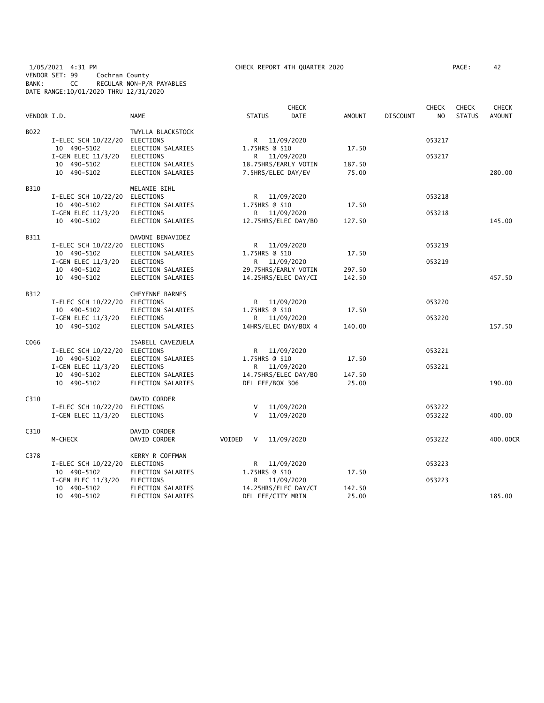## 1/05/2021 4:31 PM CHECK REPORT 4TH QUARTER 2020 PAGE: 42 VENDOR SET: 99 Cochran County BANK: CC REGULAR NON-P/R PAYABLES DATE RANGE:10/01/2020 THRU 12/31/2020

|             |                               |                   |                      | <b>CHECK</b> |               |                 | <b>CHECK</b>   | <b>CHECK</b>  | <b>CHECK</b>  |
|-------------|-------------------------------|-------------------|----------------------|--------------|---------------|-----------------|----------------|---------------|---------------|
| VENDOR I.D. |                               | <b>NAME</b>       | <b>STATUS</b>        | <b>DATE</b>  | <b>AMOUNT</b> | <b>DISCOUNT</b> | N <sub>O</sub> | <b>STATUS</b> | <b>AMOUNT</b> |
| B022        |                               | TWYLLA BLACKSTOCK |                      |              |               |                 |                |               |               |
|             | I-ELEC SCH 10/22/20           | <b>ELECTIONS</b>  | R 11/09/2020         |              |               |                 | 053217         |               |               |
|             | 10 490-5102                   | ELECTION SALARIES | 1.75HRS @ \$10       |              | 17.50         |                 |                |               |               |
|             | I-GEN ELEC 11/3/20            | <b>ELECTIONS</b>  | R 11/09/2020         |              |               |                 | 053217         |               |               |
|             | 10 490-5102                   | ELECTION SALARIES | 18.75HRS/EARLY VOTIN |              | 187.50        |                 |                |               |               |
|             | 10 490-5102                   | ELECTION SALARIES | 7.5HRS/ELEC DAY/EV   |              | 75.00         |                 |                |               | 280.00        |
| B310        |                               | MELANIE BIHL      |                      |              |               |                 |                |               |               |
|             | I-ELEC SCH 10/22/20 ELECTIONS |                   | R 11/09/2020         |              |               |                 | 053218         |               |               |
|             | 10 490-5102                   | ELECTION SALARIES | 1.75HRS @ \$10       |              | 17.50         |                 |                |               |               |
|             | I-GEN ELEC 11/3/20            | ELECTIONS         | R —                  | 11/09/2020   |               |                 | 053218         |               |               |
|             | 10 490-5102                   | ELECTION SALARIES | 12.75HRS/ELEC DAY/BO |              | 127.50        |                 |                |               | 145.00        |
| B311        |                               | DAVONI BENAVIDEZ  |                      |              |               |                 |                |               |               |
|             | I-ELEC SCH 10/22/20           | ELECTIONS         | R                    | 11/09/2020   |               |                 | 053219         |               |               |
|             | 10 490-5102                   | ELECTION SALARIES | 1.75HRS @ \$10       |              | 17.50         |                 |                |               |               |
|             | I-GEN ELEC 11/3/20            | <b>ELECTIONS</b>  | R 11/09/2020         |              |               |                 | 053219         |               |               |
|             | 10 490-5102                   | ELECTION SALARIES | 29.75HRS/EARLY VOTIN |              | 297.50        |                 |                |               |               |
|             | 10 490-5102                   | ELECTION SALARIES | 14.25HRS/ELEC DAY/CI |              | 142.50        |                 |                |               | 457.50        |
| B312        |                               | CHEYENNE BARNES   |                      |              |               |                 |                |               |               |
|             | I-ELEC SCH 10/22/20 ELECTIONS |                   | R —                  | 11/09/2020   |               |                 | 053220         |               |               |
|             | 10 490-5102                   | ELECTION SALARIES | 1.75HRS @ \$10       |              | 17.50         |                 |                |               |               |
|             | I-GEN ELEC 11/3/20            | <b>ELECTIONS</b>  | R.                   | 11/09/2020   |               |                 | 053220         |               |               |
|             | 10 490-5102                   | ELECTION SALARIES | 14HRS/ELEC DAY/BOX 4 |              | 140.00        |                 |                |               | 157.50        |
| C066        |                               | ISABELL CAVEZUELA |                      |              |               |                 |                |               |               |
|             | I-ELEC SCH 10/22/20           | ELECTIONS         | R.                   | 11/09/2020   |               |                 | 053221         |               |               |
|             | 10 490-5102                   | ELECTION SALARIES | 1.75HRS @ \$10       |              | 17.50         |                 |                |               |               |
|             | I-GEN ELEC 11/3/20            | ELECTIONS         | R 11/09/2020         |              |               |                 | 053221         |               |               |
|             | 10 490-5102                   | ELECTION SALARIES | 14.75HRS/ELEC DAY/BO |              | 147.50        |                 |                |               |               |
|             | 10 490-5102                   | ELECTION SALARIES | DEL FEE/BOX 306      |              | 25.00         |                 |                |               | 190.00        |
| C310        |                               | DAVID CORDER      |                      |              |               |                 |                |               |               |
|             | I-ELEC SCH 10/22/20           | ELECTIONS         | V<br>$\mathsf{V}$    | 11/09/2020   |               |                 | 053222         |               |               |
|             | I-GEN ELEC 11/3/20            | <b>ELECTIONS</b>  |                      | 11/09/2020   |               |                 | 053222         |               | 400.00        |
| C310        |                               | DAVID CORDER      |                      |              |               |                 |                |               |               |
|             | M-CHECK                       | DAVID CORDER      | VOIDED<br>V          | 11/09/2020   |               |                 | 053222         |               | 400.00CR      |
| C378        |                               | KERRY R COFFMAN   |                      |              |               |                 |                |               |               |
|             | I-ELEC SCH 10/22/20           | ELECTIONS         | R.                   | 11/09/2020   |               |                 | 053223         |               |               |
|             | 10 490-5102                   | ELECTION SALARIES | 1.75HRS @ \$10       |              | 17.50         |                 |                |               |               |
|             | I-GEN ELEC $11/3/20$          | ELECTIONS         | R 11/09/2020         |              |               |                 | 053223         |               |               |
|             | 10 490-5102                   | ELECTION SALARIES | 14.25HRS/ELEC DAY/CI |              | 142.50        |                 |                |               |               |
|             | 10 490-5102                   | ELECTION SALARIES | DEL FEE/CITY MRTN    |              | 25.00         |                 |                |               | 185.00        |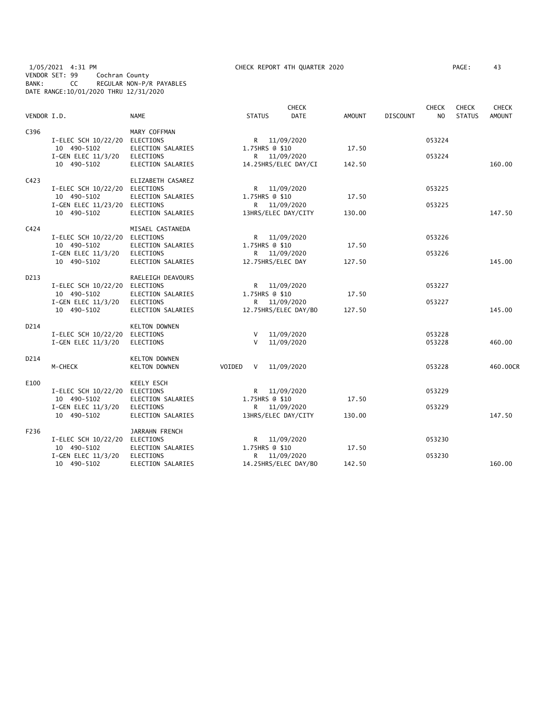# 1/05/2021 4:31 PM CHECK REPORT 4TH QUARTER 2020 PAGE: 43 VENDOR SET: 99 Cochran County BANK: CC REGULAR NON-P/R PAYABLES DATE RANGE:10/01/2020 THRU 12/31/2020

| VENDOR I.D.      |                                                                                              | <b>NAME</b>                                                                           | <b>STATUS</b>                                                          | <b>CHECK</b><br><b>DATE</b> | AMOUNT          | <b>DISCOUNT</b> | <b>CHECK</b><br>NO. | <b>CHECK</b><br><b>STATUS</b> | <b>CHECK</b><br><b>AMOUNT</b> |
|------------------|----------------------------------------------------------------------------------------------|---------------------------------------------------------------------------------------|------------------------------------------------------------------------|-----------------------------|-----------------|-----------------|---------------------|-------------------------------|-------------------------------|
| C396             | I-ELEC SCH 10/22/20<br>10 490-5102<br>I-GEN ELEC 11/3/20<br>10 490-5102                      | MARY COFFMAN<br>ELECTIONS<br>ELECTION SALARIES<br>ELECTIONS<br>ELECTION SALARIES      | R 11/09/2020<br>1.75HRS @ \$10<br>R 11/09/2020<br>14.25HRS/ELEC DAY/CI |                             | 17.50<br>142.50 |                 | 053224<br>053224    |                               | 160.00                        |
| C423             | I-ELEC SCH 10/22/20 ELECTIONS<br>10 490-5102<br>I-GEN ELEC 11/23/20 ELECTIONS<br>10 490-5102 | ELIZABETH CASAREZ<br>ELECTION SALARIES<br>ELECTION SALARIES                           | R <sub>a</sub><br>1.75HRS @ \$10<br>R<br>13HRS/ELEC DAY/CITY           | 11/09/2020<br>11/09/2020    | 17.50<br>130.00 |                 | 053225<br>053225    |                               | 147.50                        |
| C424             | I-ELEC SCH 10/22/20<br>10 490-5102<br>I-GEN ELEC $11/3/20$<br>10 490-5102                    | MISAEL CASTANEDA<br>ELECTIONS<br>ELECTION SALARIES<br>ELECTIONS<br>ELECTION SALARIES  | R <sub>a</sub><br>1.75HRS @ \$10<br>R.<br>12.75HRS/ELEC DAY            | 11/09/2020<br>11/09/2020    | 17.50<br>127.50 |                 | 053226<br>053226    |                               | 145.00                        |
| D213             | I-ELEC SCH 10/22/20<br>10 490-5102<br>I-GEN ELEC 11/3/20<br>10 490-5102                      | RAELEIGH DEAVOURS<br>ELECTIONS<br>ELECTION SALARIES<br>ELECTIONS<br>ELECTION SALARIES | R<br>1.75HRS @ \$10<br>R.<br>12.75HRS/ELEC DAY/BO                      | 11/09/2020<br>11/09/2020    | 17.50<br>127.50 |                 | 053227<br>053227    |                               | 145.00                        |
| D <sub>214</sub> | I-ELEC SCH 10/22/20<br>I-GEN ELEC 11/3/20                                                    | <b>KELTON DOWNEN</b><br>ELECTIONS<br>ELECTIONS                                        | V<br>$\vee$                                                            | 11/09/2020<br>11/09/2020    |                 |                 | 053228<br>053228    |                               | 460.00                        |
| D214             | M-CHECK                                                                                      | <b>KELTON DOWNEN</b><br><b>KELTON DOWNEN</b>                                          | VOIDED<br>V                                                            | 11/09/2020                  |                 |                 | 053228              |                               | 460.00CR                      |
| E100             | I-ELEC SCH 10/22/20<br>10 490-5102<br>I-GEN ELEC $11/3/20$<br>10 490-5102                    | KEELY ESCH<br>ELECTIONS<br>ELECTION SALARIES<br>ELECTIONS<br>ELECTION SALARIES        | R<br>1.75HRS @ \$10<br>R 11/09/2020<br>13HRS/ELEC DAY/CITY             | 11/09/2020                  | 17.50<br>130.00 |                 | 053229<br>053229    |                               | 147.50                        |
| F236             | I-ELEC SCH 10/22/20<br>10 490-5102<br>I-GEN ELEC 11/3/20<br>10 490-5102                      | JARRAHN FRENCH<br>ELECTIONS<br>ELECTION SALARIES<br>ELECTIONS<br>ELECTION SALARIES    | R.<br>1.75HRS @ \$10<br>R<br>14.25HRS/ELEC DAY/BO                      | 11/09/2020<br>11/09/2020    | 17.50<br>142.50 |                 | 053230<br>053230    |                               | 160.00                        |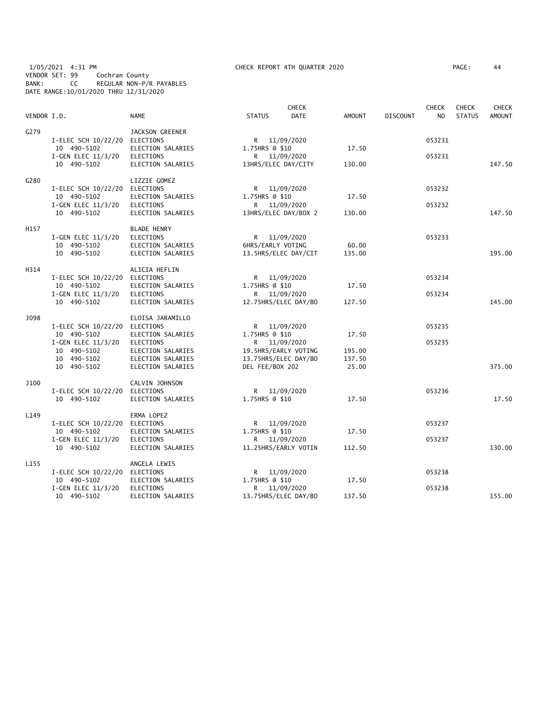# 1/05/2021 4:31 PM CHECK REPORT 4TH QUARTER 2020 PAGE: 44 VENDOR SET: 99 Cochran County BANK: CC REGULAR NON-P/R PAYABLES DATE RANGE:10/01/2020 THRU 12/31/2020

| PAGE : | 44 |
|--------|----|
|        |    |

| VENDOR I.D.      |                                   | <b>NAME</b>                            | <b>STATUS</b>         | <b>CHECK</b><br><b>DATE</b> | AMOUNT          | <b>DISCOUNT</b> | <b>CHECK</b><br>NO | <b>CHECK</b><br><b>STATUS</b> | <b>CHECK</b><br>AMOUNT |
|------------------|-----------------------------------|----------------------------------------|-----------------------|-----------------------------|-----------------|-----------------|--------------------|-------------------------------|------------------------|
| G279             |                                   | JACKSON GREENER                        |                       |                             |                 |                 |                    |                               |                        |
|                  | I-ELEC SCH 10/22/20               | <b>ELECTIONS</b>                       | R <sub>a</sub>        | 11/09/2020                  |                 |                 | 053231             |                               |                        |
|                  | 10 490-5102                       | ELECTION SALARIES                      | 1.75HRS @ \$10        |                             | 17.50           |                 |                    |                               |                        |
|                  | I-GEN ELEC 11/3/20                | <b>ELECTIONS</b>                       | R <sub>a</sub>        | 11/09/2020                  |                 |                 | 053231             |                               |                        |
|                  | 10 490-5102                       | ELECTION SALARIES                      | 13HRS/ELEC DAY/CITY   |                             | 130.00          |                 |                    |                               | 147.50                 |
| G280             |                                   | LIZZIE GOMEZ                           |                       |                             |                 |                 |                    |                               |                        |
|                  | I-ELEC SCH 10/22/20               | ELECTIONS                              | R <sub>a</sub>        | 11/09/2020                  |                 |                 | 053232             |                               |                        |
|                  | 10 490-5102                       | ELECTION SALARIES                      | 1.75HRS @ \$10        |                             | 17.50           |                 |                    |                               |                        |
|                  | I-GEN ELEC 11/3/20                | <b>ELECTIONS</b>                       | R                     | 11/09/2020                  |                 |                 | 053232             |                               |                        |
|                  | 10 490-5102                       | ELECTION SALARIES                      |                       | 13HRS/ELEC DAY/BOX 2        | 130.00          |                 |                    |                               | 147.50                 |
| H157             |                                   | <b>BLADE HENRY</b>                     |                       |                             |                 |                 |                    |                               |                        |
|                  | I-GEN ELEC 11/3/20                | <b>ELECTIONS</b>                       |                       | R 11/09/2020                |                 |                 | 053233             |                               |                        |
|                  | 10 490-5102                       | ELECTION SALARIES                      | 6HRS/EARLY VOTING     |                             | 60.00           |                 |                    |                               |                        |
|                  | 10 490-5102                       | ELECTION SALARIES                      |                       | 13.5HRS/ELEC DAY/CIT        | 135.00          |                 |                    |                               | 195.00                 |
| H314             |                                   | ALICIA HEFLIN                          |                       |                             |                 |                 |                    |                               |                        |
|                  | I-ELEC SCH 10/22/20               | ELECTIONS                              |                       | R 11/09/2020                |                 |                 | 053234             |                               |                        |
|                  | 10 490-5102<br>I-GEN ELEC 11/3/20 | ELECTION SALARIES<br>ELECTIONS         | 1.75HRS @ \$10        | R 11/09/2020                | 17.50           |                 | 053234             |                               |                        |
|                  | 10 490-5102                       | ELECTION SALARIES                      |                       | 12.75HRS/ELEC DAY/BO        | 127.50          |                 |                    |                               | 145.00                 |
|                  |                                   |                                        |                       |                             |                 |                 |                    |                               |                        |
| J098             |                                   | ELOISA JARAMILLO                       |                       |                             |                 |                 |                    |                               |                        |
|                  | I-ELEC SCH 10/22/20               | ELECTIONS                              |                       | R 11/09/2020                |                 |                 | 053235             |                               |                        |
|                  | 10 490-5102                       | ELECTION SALARIES                      | 1.75HRS @ \$10        |                             | 17.50           |                 |                    |                               |                        |
|                  | I-GEN ELEC 11/3/20                | <b>ELECTIONS</b>                       |                       | R 11/09/2020                |                 |                 | 053235             |                               |                        |
|                  | 10 490-5102                       | ELECTION SALARIES                      |                       | 19.5HRS/EARLY VOTING        | 195.00          |                 |                    |                               |                        |
|                  | 10 490-5102<br>10 490-5102        | ELECTION SALARIES<br>ELECTION SALARIES | DEL FEE/BOX 202       | 13.75HRS/ELEC DAY/BO        | 137.50<br>25.00 |                 |                    |                               | 375.00                 |
|                  |                                   |                                        |                       |                             |                 |                 |                    |                               |                        |
| J100             |                                   | CALVIN JOHNSON                         |                       |                             |                 |                 |                    |                               |                        |
|                  | I-ELEC SCH 10/22/20               | ELECTIONS                              | R <sub>a</sub>        | 11/09/2020                  |                 |                 | 053236             |                               |                        |
|                  | 10 490-5102                       | ELECTION SALARIES                      | 1.75HRS @ \$10        |                             | 17.50           |                 |                    |                               | 17.50                  |
| L149             |                                   | ERMA LOPEZ                             |                       |                             |                 |                 |                    |                               |                        |
|                  | I-ELEC SCH 10/22/20               | ELECTIONS                              | R                     | 11/09/2020                  |                 |                 | 053237             |                               |                        |
|                  | 10 490-5102                       | ELECTION SALARIES                      | 1.75HRS @ \$10        |                             | 17.50           |                 |                    |                               |                        |
|                  | I-GEN ELEC 11/3/20                | <b>ELECTIONS</b>                       | R                     | 11/09/2020                  |                 |                 | 053237             |                               | 130.00                 |
|                  | 10 490-5102                       | ELECTION SALARIES                      |                       | 11.25HRS/EARLY VOTIN        | 112.50          |                 |                    |                               |                        |
| L <sub>155</sub> |                                   | ANGELA LEWIS                           |                       |                             |                 |                 |                    |                               |                        |
|                  | I-ELEC SCH 10/22/20               | ELECTIONS                              | R                     | 11/09/2020                  |                 |                 | 053238             |                               |                        |
|                  | 10 490-5102<br>I-GEN ELEC 11/3/20 | ELECTION SALARIES<br><b>ELECTIONS</b>  | 1.75HRS @ \$10<br>R — | 11/09/2020                  | 17.50           |                 | 053238             |                               |                        |
|                  | 10 490-5102                       | ELECTION SALARIES                      |                       | 13.75HRS/ELEC DAY/BO        | 137.50          |                 |                    |                               | 155.00                 |
|                  |                                   |                                        |                       |                             |                 |                 |                    |                               |                        |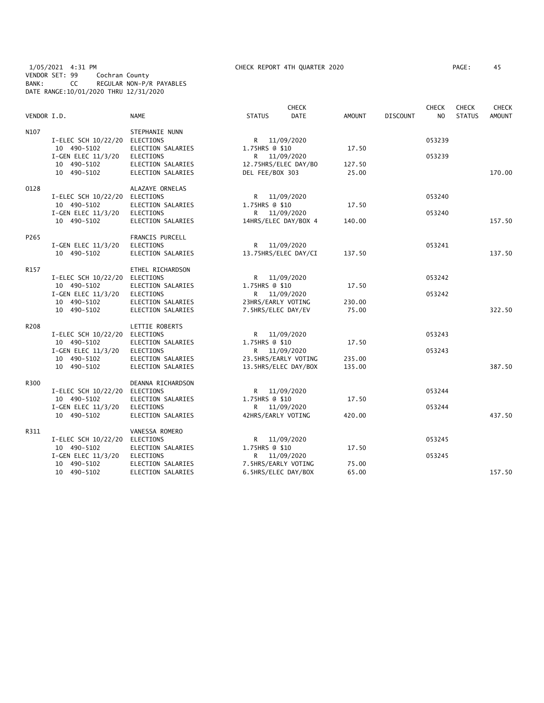## 1/05/2021 4:31 PM CHECK REPORT 4TH QUARTER 2020 PAGE: 45 VENDOR SET: 99 Cochran County BANK: CC REGULAR NON-P/R PAYABLES DATE RANGE:10/01/2020 THRU 12/31/2020

| VENDOR I.D.      |                               | <b>NAME</b>       | <b>STATUS</b>        | <b>CHECK</b><br><b>DATE</b> | <b>AMOUNT</b> | <b>DISCOUNT</b> | <b>CHECK</b><br>N <sub>O</sub> | <b>CHECK</b><br><b>STATUS</b> | <b>CHECK</b><br><b>AMOUNT</b> |
|------------------|-------------------------------|-------------------|----------------------|-----------------------------|---------------|-----------------|--------------------------------|-------------------------------|-------------------------------|
|                  |                               |                   |                      |                             |               |                 |                                |                               |                               |
| N107             |                               | STEPHANIE NUNN    |                      |                             |               |                 |                                |                               |                               |
|                  | I-ELEC SCH 10/22/20           | ELECTIONS         | R 11/09/2020         |                             |               |                 | 053239                         |                               |                               |
|                  | 10 490-5102                   | ELECTION SALARIES | 1.75HRS @ \$10       |                             | 17.50         |                 |                                |                               |                               |
|                  | I-GEN ELEC 11/3/20            | ELECTIONS         | R 11/09/2020         |                             |               |                 | 053239                         |                               |                               |
|                  | 10 490-5102                   | ELECTION SALARIES | 12.75HRS/ELEC DAY/BO |                             | 127.50        |                 |                                |                               |                               |
|                  | 10 490-5102                   | ELECTION SALARIES | DEL FEE/BOX 303      |                             | 25.00         |                 |                                |                               | 170.00                        |
| 0128             |                               | ALAZAYE ORNELAS   |                      |                             |               |                 |                                |                               |                               |
|                  | I-ELEC SCH 10/22/20 ELECTIONS |                   |                      | R 11/09/2020                |               |                 | 053240                         |                               |                               |
|                  | 10 490-5102                   | ELECTION SALARIES | 1.75HRS @ \$10       |                             | 17.50         |                 |                                |                               |                               |
|                  | I-GEN ELEC 11/3/20            | ELECTIONS         |                      | R 11/09/2020                |               |                 | 053240                         |                               |                               |
|                  | 10 490-5102                   | ELECTION SALARIES | 14HRS/ELEC DAY/BOX 4 |                             | 140.00        |                 |                                |                               | 157.50                        |
| P <sub>265</sub> |                               | FRANCIS PURCELL   |                      |                             |               |                 |                                |                               |                               |
|                  | I-GEN ELEC $11/3/20$          | ELECTIONS         | R 11/09/2020         |                             |               |                 | 053241                         |                               |                               |
|                  | 10 490-5102                   | ELECTION SALARIES |                      | 13.75HRS/ELEC DAY/CI        | 137.50        |                 |                                |                               | 137.50                        |
| R157             |                               | ETHEL RICHARDSON  |                      |                             |               |                 |                                |                               |                               |
|                  | I-ELEC SCH 10/22/20 ELECTIONS |                   | R 11/09/2020         |                             |               |                 | 053242                         |                               |                               |
|                  | 10 490-5102                   | ELECTION SALARIES | 1.75HRS @ \$10       |                             | 17.50         |                 |                                |                               |                               |
|                  | I-GEN ELEC 11/3/20            | ELECTIONS         |                      | R 11/09/2020                |               |                 | 053242                         |                               |                               |
|                  | 10 490-5102                   | ELECTION SALARIES | 23HRS/EARLY VOTING   |                             | 230.00        |                 |                                |                               |                               |
|                  | 10 490-5102                   | ELECTION SALARIES | 7.5HRS/ELEC DAY/EV   |                             | 75.00         |                 |                                |                               | 322.50                        |
|                  |                               |                   |                      |                             |               |                 |                                |                               |                               |
| R208             |                               | LETTIE ROBERTS    |                      |                             |               |                 |                                |                               |                               |
|                  | I-ELEC SCH 10/22/20 ELECTIONS |                   | R 11/09/2020         |                             |               |                 | 053243                         |                               |                               |
|                  | 10 490-5102                   | ELECTION SALARIES | 1.75HRS @ \$10       |                             | 17.50         |                 |                                |                               |                               |
|                  | I-GEN ELEC 11/3/20            | ELECTIONS         | R 11/09/2020         |                             |               |                 | 053243                         |                               |                               |
|                  | 10 490-5102                   | ELECTION SALARIES |                      | 23.5HRS/EARLY VOTING        | 235.00        |                 |                                |                               |                               |
|                  | 10 490-5102                   | ELECTION SALARIES |                      | 13.5HRS/ELEC DAY/BOX        | 135.00        |                 |                                |                               | 387.50                        |
|                  |                               |                   |                      |                             |               |                 |                                |                               |                               |
| R300             |                               | DEANNA RICHARDSON |                      |                             |               |                 |                                |                               |                               |
|                  | I-ELEC SCH 10/22/20 ELECTIONS |                   | R 11/09/2020         |                             |               |                 | 053244                         |                               |                               |
|                  | 10 490-5102                   | ELECTION SALARIES | 1.75HRS @ \$10       |                             | 17.50         |                 |                                |                               |                               |
|                  | I-GEN ELEC 11/3/20            | ELECTIONS         |                      | R 11/09/2020                |               |                 | 053244                         |                               |                               |
|                  | 10 490-5102                   | ELECTION SALARIES | 42HRS/EARLY VOTING   |                             | 420.00        |                 |                                |                               | 437.50                        |
| R311             |                               | VANESSA ROMERO    |                      |                             |               |                 |                                |                               |                               |
|                  | I-ELEC SCH 10/22/20 ELECTIONS |                   |                      | R 11/09/2020                |               |                 | 053245                         |                               |                               |
|                  | 10 490-5102                   | ELECTION SALARIES | 1.75HRS @ \$10       |                             | 17.50         |                 |                                |                               |                               |
|                  | I-GEN ELEC 11/3/20            | ELECTIONS         |                      | R 11/09/2020                |               |                 | 053245                         |                               |                               |
|                  | 10 490-5102                   | ELECTION SALARIES | 7.5HRS/EARLY VOTING  |                             | 75.00         |                 |                                |                               |                               |
|                  | 10 490-5102                   | ELECTION SALARIES | 6.5HRS/ELEC DAY/BOX  |                             | 65.00         |                 |                                |                               | 157.50                        |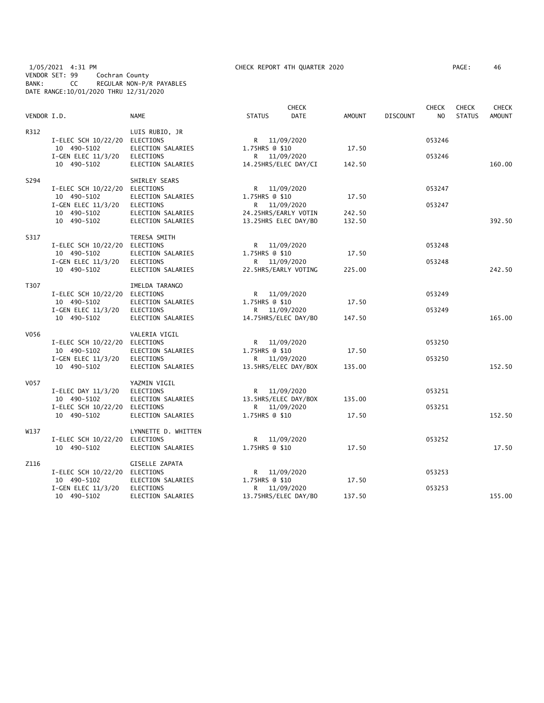#### 1/05/2021 4:31 PM CHECK REPORT 4TH QUARTER 2020 PAGE: 46 VENDOR SET: 99 Cochran County BANK: CC REGULAR NON-P/R PAYABLES DATE RANGE:10/01/2020 THRU 12/31/2020

| AGE: | 46 |  |
|------|----|--|
|      |    |  |

| VENDOR I.D. |                                              | <b>NAME</b>                            | <b>STATUS</b>  | <b>CHECK</b><br><b>DATE</b>                  | <b>AMOUNT</b>    | <b>DISCOUNT</b> | <b>CHECK</b><br>N <sub>O</sub> | <b>CHECK</b><br><b>STATUS</b> | <b>CHECK</b><br><b>AMOUNT</b> |
|-------------|----------------------------------------------|----------------------------------------|----------------|----------------------------------------------|------------------|-----------------|--------------------------------|-------------------------------|-------------------------------|
| R312        | I-ELEC SCH 10/22/20 ELECTIONS<br>10 490-5102 | LUIS RUBIO, JR<br>ELECTION SALARIES    | 1.75HRS @ \$10 | R 11/09/2020                                 | 17.50            |                 | 053246                         |                               |                               |
|             | I-GEN ELEC 11/3/20                           | <b>ELECTIONS</b><br>ELECTION SALARIES  |                | R 11/09/2020                                 |                  |                 | 053246                         |                               | 160.00                        |
|             | 10 490-5102                                  |                                        |                | 14.25HRS/ELEC DAY/CI                         | 142.50           |                 |                                |                               |                               |
| S294        | I-ELEC SCH 10/22/20                          | SHIRLEY SEARS<br>ELECTIONS             |                | R 11/09/2020                                 |                  |                 | 053247                         |                               |                               |
|             | 10 490-5102<br>I-GEN ELEC 11/3/20            | ELECTION SALARIES<br><b>ELECTIONS</b>  | 1.75HRS @ \$10 | R 11/09/2020                                 | 17.50            |                 | 053247                         |                               |                               |
|             | 10 490-5102<br>10 490-5102                   | ELECTION SALARIES<br>ELECTION SALARIES |                | 24.25HRS/EARLY VOTIN<br>13.25HRS ELEC DAY/BO | 242.50<br>132.50 |                 |                                |                               | 392.50                        |
| S317        |                                              | TERESA SMITH                           |                |                                              |                  |                 |                                |                               |                               |
|             | I-ELEC SCH 10/22/20 ELECTIONS<br>10 490-5102 | ELECTION SALARIES                      | 1.75HRS @ \$10 | R 11/09/2020                                 | 17.50            |                 | 053248                         |                               |                               |
|             | I-GEN ELEC 11/3/20                           | ELECTIONS                              |                | R 11/09/2020                                 |                  |                 | 053248                         |                               |                               |
|             | 10 490-5102                                  | ELECTION SALARIES                      |                | 22.5HRS/EARLY VOTING                         | 225.00           |                 |                                |                               | 242.50                        |
| T307        | I-ELEC SCH 10/22/20 ELECTIONS                | IMELDA TARANGO                         |                | R 11/09/2020                                 |                  |                 | 053249                         |                               |                               |
|             | 10 490-5102<br>I-GEN ELEC 11/3/20            | ELECTION SALARIES<br><b>ELECTIONS</b>  | 1.75HRS @ \$10 | R 11/09/2020                                 | 17.50            |                 | 053249                         |                               |                               |
|             | 10 490-5102                                  | ELECTION SALARIES                      |                | 14.75HRS/ELEC DAY/BO                         | 147.50           |                 |                                |                               | 165.00                        |
| V056        | I-ELEC SCH 10/22/20                          | VALERIA VIGIL<br>ELECTIONS             |                | R 11/09/2020                                 |                  |                 | 053250                         |                               |                               |
|             | 10 490-5102                                  | ELECTION SALARIES                      | 1.75HRS @ \$10 |                                              | 17.50            |                 |                                |                               |                               |
|             | I-GEN ELEC 11/3/20<br>10 490-5102            | <b>ELECTIONS</b><br>ELECTION SALARIES  |                | R 11/09/2020<br>13.5HRS/ELEC DAY/BOX         | 135.00           |                 | 053250                         |                               | 152.50                        |
| V057        |                                              | YAZMIN VIGIL                           |                |                                              |                  |                 |                                |                               |                               |
|             | I-ELEC DAY 11/3/20<br>10 490-5102            | <b>ELECTIONS</b><br>ELECTION SALARIES  |                | R 11/09/2020<br>13.5HRS/ELEC DAY/BOX         | 135.00           |                 | 053251                         |                               |                               |
|             | I-ELEC SCH 10/22/20 ELECTIONS<br>10 490-5102 | ELECTION SALARIES                      | 1.75HRS @ \$10 | R 11/09/2020                                 | 17.50            |                 | 053251                         |                               | 152.50                        |
| W137        |                                              | LYNNETTE D. WHITTEN                    |                |                                              |                  |                 |                                |                               |                               |
|             | I-ELEC SCH 10/22/20<br>10 490-5102           | ELECTIONS<br>ELECTION SALARIES         | 1.75HRS @ \$10 | R 11/09/2020                                 | 17.50            |                 | 053252                         |                               | 17.50                         |
| Z116        |                                              | <b>GISELLE ZAPATA</b>                  |                |                                              |                  |                 |                                |                               |                               |
|             | I-ELEC SCH 10/22/20 ELECTIONS                |                                        | R              | 11/09/2020                                   |                  |                 | 053253                         |                               |                               |
|             | 10 490-5102<br>I-GEN ELEC 11/3/20            | ELECTION SALARIES<br><b>ELECTIONS</b>  | 1.75HRS @ \$10 | R 11/09/2020                                 | 17.50            |                 | 053253                         |                               |                               |
|             | 10 490-5102                                  | ELECTION SALARIES                      |                | 13.75HRS/ELEC DAY/BO                         | 137.50           |                 |                                |                               | 155.00                        |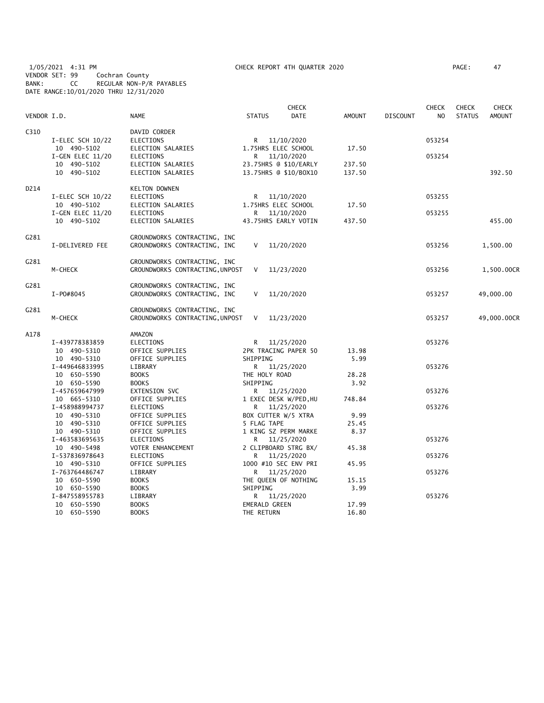1/05/2021 4:31 PM CHECK REPORT 4TH QUARTER 2020 PAGE: 47 VENDOR SET: 99 Cochran County BANK: CC REGULAR NON-P/R PAYABLES DATE RANGE:10/01/2020 THRU 12/31/2020

|                  |                               |                                     |                      | <b>CHECK</b>                        |               |                 | <b>CHECK</b> | <b>CHECK</b>  | <b>CHECK</b>  |
|------------------|-------------------------------|-------------------------------------|----------------------|-------------------------------------|---------------|-----------------|--------------|---------------|---------------|
| VENDOR I.D.      |                               | NAME                                | <b>STATUS</b>        | <b>DATE</b>                         | <b>AMOUNT</b> | <b>DISCOUNT</b> | NO.          | <b>STATUS</b> | <b>AMOUNT</b> |
| C310             |                               | DAVID CORDER                        |                      |                                     |               |                 |              |               |               |
|                  | I-ELEC SCH 10/22              | <b>ELECTIONS</b>                    |                      | R 11/10/2020                        |               |                 | 053254       |               |               |
|                  | 10 490-5102                   | ELECTION SALARIES                   |                      | 1.75HRS ELEC SCHOOL                 | 17.50         |                 |              |               |               |
|                  | $I-GEN$ ELEC $11/20$          | ELECTIONS                           |                      | R 11/10/2020                        |               |                 | 053254       |               |               |
|                  | 10 490-5102                   | ELECTION SALARIES                   |                      | 23.75HRS @ \$10/EARLY               | 237.50        |                 |              |               |               |
|                  | 10 490-5102                   | ELECTION SALARIES                   |                      | 13.75HRS @ \$10/BOX10               | 137.50        |                 |              |               | 392.50        |
| D214             |                               | <b>KELTON DOWNEN</b>                |                      |                                     |               |                 |              |               |               |
|                  | I-ELEC SCH 10/22              | ELECTIONS                           |                      | R 11/10/2020                        |               |                 | 053255       |               |               |
|                  | 10 490-5102                   | ELECTION SALARIES                   |                      | 1.75HRS ELEC SCHOOL                 | 17.50         |                 |              |               |               |
|                  | I-GEN ELEC 11/20              | ELECTIONS                           |                      | R 11/10/2020                        |               |                 | 053255       |               |               |
|                  | 10 490-5102                   | ELECTION SALARIES                   |                      | 43.75HRS EARLY VOTIN                | 437.50        |                 |              |               | 455.00        |
| C <sub>281</sub> |                               | GROUNDWORKS CONTRACTING, INC        |                      |                                     |               |                 |              |               |               |
|                  | I-DELIVERED FEE               | GROUNDWORKS CONTRACTING, INC        | V                    | 11/20/2020                          |               |                 | 053256       |               | 1,500.00      |
|                  |                               |                                     |                      |                                     |               |                 |              |               |               |
| G281             |                               | GROUNDWORKS CONTRACTING, INC        |                      |                                     |               |                 |              |               |               |
|                  | M-CHECK                       | GROUNDWORKS CONTRACTING, UNPOST     | V                    | 11/23/2020                          |               |                 | 053256       |               | 1,500.00CR    |
| G281             |                               | GROUNDWORKS CONTRACTING, INC        |                      |                                     |               |                 |              |               |               |
|                  | I-P0#8045                     | GROUNDWORKS CONTRACTING, INC        | V                    | 11/20/2020                          |               |                 | 053257       |               | 49,000.00     |
| G281             |                               | GROUNDWORKS CONTRACTING, INC        |                      |                                     |               |                 |              |               |               |
|                  | M-CHECK                       | GROUNDWORKS CONTRACTING, UNPOST     | V                    | 11/23/2020                          |               |                 | 053257       |               | 49,000.00CR   |
|                  |                               |                                     |                      |                                     |               |                 |              |               |               |
| A178             |                               | AMAZON                              |                      |                                     |               |                 |              |               |               |
|                  | I-439778383859                | ELECTIONS                           |                      | R 11/25/2020                        |               |                 | 053276       |               |               |
|                  | 10 490-5310                   | OFFICE SUPPLIES                     |                      | 2PK TRACING PAPER 50                | 13.98         |                 |              |               |               |
|                  | 10 490-5310                   | OFFICE SUPPLIES                     | SHIPPING             |                                     | 5.99          |                 |              |               |               |
|                  | I-449646833995                | LIBRARY                             |                      | R 11/25/2020                        |               |                 | 053276       |               |               |
|                  | 10 650-5590                   | <b>BOOKS</b>                        | THE HOLY ROAD        |                                     | 28.28         |                 |              |               |               |
|                  | 10 650-5590                   | <b>BOOKS</b>                        | SHIPPING             |                                     | 3.92          |                 |              |               |               |
|                  | I-457659647999                | EXTENSION SVC                       |                      | R 11/25/2020                        |               |                 | 053276       |               |               |
|                  | 10 665-5310<br>I-458988994737 | OFFICE SUPPLIES<br><b>ELECTIONS</b> |                      | 1 EXEC DESK W/PED, HU               | 748.84        |                 | 053276       |               |               |
|                  | 10 490-5310                   | OFFICE SUPPLIES                     |                      | R 11/25/2020<br>BOX CUTTER W/5 XTRA | 9.99          |                 |              |               |               |
|                  | 10 490-5310                   | OFFICE SUPPLIES                     | 5 FLAG TAPE          |                                     | 25.45         |                 |              |               |               |
|                  | 10 490-5310                   | OFFICE SUPPLIES                     |                      | 1 KING SZ PERM MARKE                | 8.37          |                 |              |               |               |
|                  | I-463583695635                | <b>ELECTIONS</b>                    | R                    | 11/25/2020                          |               |                 | 053276       |               |               |
|                  | 10 490-5498                   | VOTER ENHANCEMENT                   |                      | 2 CLIPBOARD STRG BX/                | 45.38         |                 |              |               |               |
|                  | I-537836978643                | ELECTIONS                           | R                    | 11/25/2020                          |               |                 | 053276       |               |               |
|                  | 10 490-5310                   | OFFICE SUPPLIES                     |                      | 1000 #10 SEC ENV PRI                | 45.95         |                 |              |               |               |
|                  | I-763764486747                | LIBRARY                             |                      | R 11/25/2020                        |               |                 | 053276       |               |               |
|                  | 10 650-5590                   | <b>BOOKS</b>                        |                      | THE QUEEN OF NOTHING                | 15.15         |                 |              |               |               |
|                  | 10 650-5590                   | <b>BOOKS</b>                        | SHIPPING             |                                     | 3.99          |                 |              |               |               |
|                  | I-847558955783                | LIBRARY                             |                      | R 11/25/2020                        |               |                 | 053276       |               |               |
|                  | 10 650-5590                   | <b>BOOKS</b>                        | <b>EMERALD GREEN</b> |                                     | 17.99         |                 |              |               |               |
|                  | 10 650-5590                   | <b>BOOKS</b>                        | THE RETURN           |                                     | 16.80         |                 |              |               |               |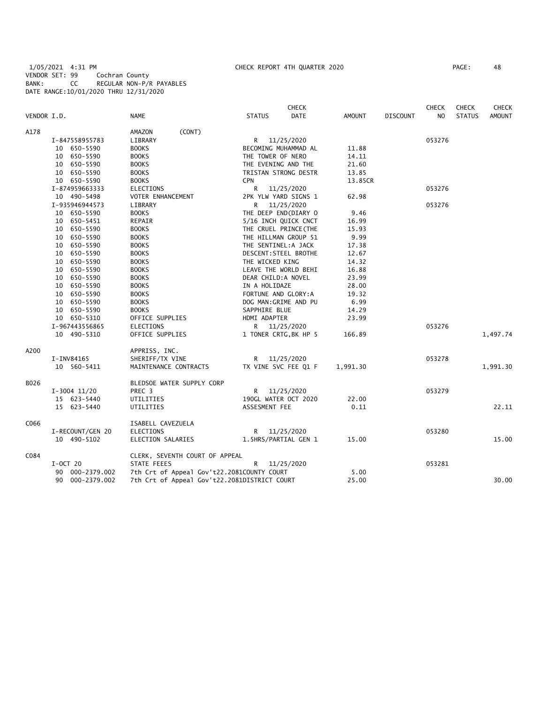# 1/05/2021 4:31 PM CHECK REPORT 4TH QUARTER 2020 PAGE: 48 VENDOR SET: 99 Cochran County BANK: CC REGULAR NON-P/R PAYABLES DATE RANGE:10/01/2020 THRU 12/31/2020

|             |                  |                                              | <b>CHECK</b>          |          |                 | <b>CHECK</b>   | <b>CHECK</b>  | CHECK         |
|-------------|------------------|----------------------------------------------|-----------------------|----------|-----------------|----------------|---------------|---------------|
| VENDOR I.D. |                  | NAME                                         | <b>STATUS</b><br>DATE | AMOUNT   | <b>DISCOUNT</b> | N <sub>O</sub> | <b>STATUS</b> | <b>AMOUNT</b> |
| A178        |                  | (CONT)<br>AMAZON                             |                       |          |                 |                |               |               |
|             | I-847558955783   | LIBRARY                                      | R 11/25/2020          |          |                 | 053276         |               |               |
|             | 10 650-5590      | <b>BOOKS</b>                                 | BECOMING MUHAMMAD AL  | 11.88    |                 |                |               |               |
|             | 10 650-5590      | <b>BOOKS</b>                                 | THE TOWER OF NERO     | 14.11    |                 |                |               |               |
|             | 10 650-5590      | <b>BOOKS</b>                                 | THE EVENING AND THE   | 21.60    |                 |                |               |               |
|             | 10 650-5590      | <b>BOOKS</b>                                 | TRISTAN STRONG DESTR  | 13.85    |                 |                |               |               |
|             | 10 650-5590      | <b>BOOKS</b>                                 | <b>CPN</b>            | 13.85CR  |                 |                |               |               |
|             | I-874959663333   | <b>ELECTIONS</b>                             | R 11/25/2020          |          |                 | 053276         |               |               |
|             | 10 490-5498      | VOTER ENHANCEMENT                            | 2PK YLW YARD SIGNS 1  | 62.98    |                 |                |               |               |
|             | I-935946944573   | LIBRARY                                      | R 11/25/2020          |          |                 | 053276         |               |               |
|             | 10 650-5590      | <b>BOOKS</b>                                 | THE DEEP END(DIARY 0  | 9.46     |                 |                |               |               |
|             | 10 650-5451      | REPAIR                                       | 5/16 INCH QUICK CNCT  | 16.99    |                 |                |               |               |
|             | 10 650-5590      | <b>BOOKS</b>                                 | THE CRUEL PRINCE (THE | 15.93    |                 |                |               |               |
|             | 10 650-5590      | <b>BOOKS</b>                                 | THE HILLMAN GROUP 51  | 9.99     |                 |                |               |               |
|             | 10 650-5590      | <b>BOOKS</b>                                 | THE SENTINEL:A JACK   | 17.38    |                 |                |               |               |
|             | 10 650-5590      | <b>BOOKS</b>                                 | DESCENT: STEEL BROTHE | 12.67    |                 |                |               |               |
|             | 10 650-5590      | <b>BOOKS</b>                                 | THE WICKED KING       | 14.32    |                 |                |               |               |
|             | 10 650-5590      | <b>BOOKS</b>                                 | LEAVE THE WORLD BEHI  | 16.88    |                 |                |               |               |
|             | 10 650-5590      | <b>BOOKS</b>                                 | DEAR CHILD:A NOVEL    | 23.99    |                 |                |               |               |
|             | 10 650-5590      | <b>BOOKS</b>                                 | IN A HOLIDAZE         | 28.00    |                 |                |               |               |
|             | 10 650-5590      | <b>BOOKS</b>                                 | FORTUNE AND GLORY: A  | 19.32    |                 |                |               |               |
|             | 10 650-5590      | <b>BOOKS</b>                                 | DOG MAN: GRIME AND PU | 6.99     |                 |                |               |               |
|             | 10 650-5590      | <b>BOOKS</b>                                 | SAPPHIRE BLUE         | 14.29    |                 |                |               |               |
|             | 10 650-5310      | OFFICE SUPPLIES                              | HDMI ADAPTER          | 23.99    |                 |                |               |               |
|             | I-967443556865   | <b>ELECTIONS</b>                             | R 11/25/2020          |          |                 | 053276         |               |               |
|             | 10 490-5310      | OFFICE SUPPLIES                              | 1 TONER CRTG, BK HP 5 | 166.89   |                 |                |               | 1,497.74      |
| A200        |                  | APPRISS, INC.                                |                       |          |                 |                |               |               |
|             | I-INV84165       | SHERIFF/TX VINE                              | R 11/25/2020          |          |                 | 053278         |               |               |
|             | 10 560-5411      | MAINTENANCE CONTRACTS                        | TX VINE SVC FEE Q1 F  | 1,991.30 |                 |                |               | 1,991.30      |
| B026        |                  | BLEDSOE WATER SUPPLY CORP                    |                       |          |                 |                |               |               |
|             | $I-3004$ 11/20   | PREC <sub>3</sub>                            | R 11/25/2020          |          |                 | 053279         |               |               |
|             | 15 623-5440      | UTILITIES                                    | 190GL WATER OCT 2020  | 22.00    |                 |                |               |               |
|             | 15 623-5440      | UTILITIES                                    | ASSESMENT FEE         | 0.11     |                 |                |               | 22.11         |
| C066        |                  | ISABELL CAVEZUELA                            |                       |          |                 |                |               |               |
|             | I-RECOUNT/GEN 20 | <b>ELECTIONS</b>                             | R 11/25/2020          |          |                 | 053280         |               |               |
|             | 10 490-5102      | ELECTION SALARIES                            | 1.5HRS/PARTIAL GEN 1  | 15.00    |                 |                |               | 15.00         |
| C084        |                  | CLERK, SEVENTH COURT OF APPEAL               |                       |          |                 |                |               |               |
|             | $I-0CT$ 20       | STATE FEEES                                  | R.<br>11/25/2020      |          |                 | 053281         |               |               |
|             | 90 000-2379.002  | 7th Crt of Appeal Gov't22.2081COUNTY COURT   |                       | 5.00     |                 |                |               |               |
|             | 90 000-2379.002  | 7th Crt of Appeal Gov't22.2081DISTRICT COURT |                       | 25.00    |                 |                |               | 30.00         |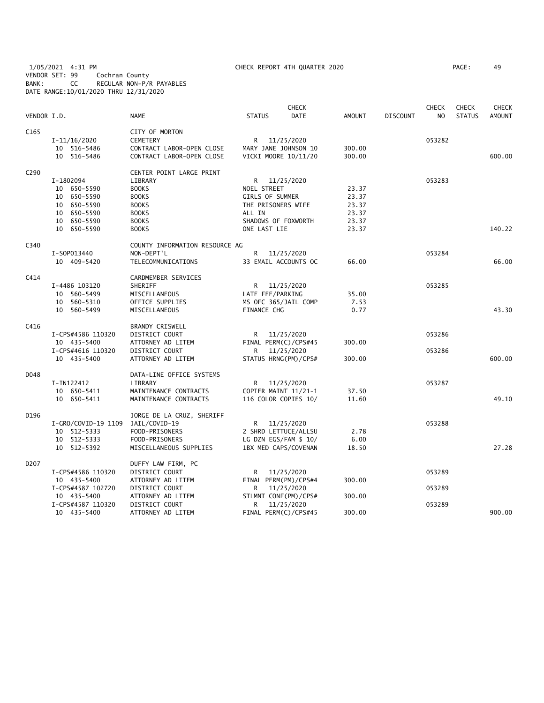1/05/2021 4:31 PM CHECK REPORT 4TH QUARTER 2020 PAGE: 49 VENDOR SET: 99 Cochran County BANK: CC REGULAR NON-P/R PAYABLES DATE RANGE:10/01/2020 THRU 12/31/2020

| VENDOR I.D. |                     | <b>NAME</b>                    | <b>STATUS</b>          | <b>CHECK</b><br>DATE | <b>AMOUNT</b> | <b>DISCOUNT</b> | <b>CHECK</b><br>N <sub>O</sub> | <b>CHECK</b><br><b>STATUS</b> | <b>CHECK</b><br><b>AMOUNT</b> |
|-------------|---------------------|--------------------------------|------------------------|----------------------|---------------|-----------------|--------------------------------|-------------------------------|-------------------------------|
| C165        |                     | CITY OF MORTON                 |                        |                      |               |                 |                                |                               |                               |
|             | $I-11/16/2020$      | <b>CEMETERY</b>                | R 11/25/2020           |                      |               |                 | 053282                         |                               |                               |
|             | 10 516-5486         | CONTRACT LABOR-OPEN CLOSE      | MARY JANE JOHNSON 10   |                      | 300.00        |                 |                                |                               |                               |
|             | 10 516-5486         | CONTRACT LABOR-OPEN CLOSE      | VICKI MOORE 10/11/20   |                      | 300.00        |                 |                                |                               | 600.00                        |
| C290        |                     | CENTER POINT LARGE PRINT       |                        |                      |               |                 |                                |                               |                               |
|             | I-1802094           | LIBRARY                        | R.                     | 11/25/2020           |               |                 | 053283                         |                               |                               |
|             | 10 650-5590         | <b>BOOKS</b>                   | NOEL STREET            |                      | 23.37         |                 |                                |                               |                               |
|             | 10 650-5590         | <b>BOOKS</b>                   | <b>GIRLS OF SUMMER</b> |                      | 23.37         |                 |                                |                               |                               |
|             | 10 650-5590         | <b>BOOKS</b>                   | THE PRISONERS WIFE     |                      | 23.37         |                 |                                |                               |                               |
|             | 10 650-5590         | <b>BOOKS</b>                   | ALL IN                 |                      | 23.37         |                 |                                |                               |                               |
|             | 10 650-5590         | <b>BOOKS</b>                   | SHADOWS OF FOXWORTH    |                      | 23.37         |                 |                                |                               |                               |
|             | 10 650-5590         | <b>BOOKS</b>                   | ONE LAST LIE           |                      | 23.37         |                 |                                |                               | 140.22                        |
| C340        |                     | COUNTY INFORMATION RESOURCE AG |                        |                      |               |                 |                                |                               |                               |
|             | I-S0P013440         | NON-DEPT'L                     | R                      | 11/25/2020           |               |                 | 053284                         |                               |                               |
|             | 10 409-5420         | TELECOMMUNICATIONS             |                        | 33 EMAIL ACCOUNTS OC | 66.00         |                 |                                |                               | 66.00                         |
| C414        |                     | CARDMEMBER SERVICES            |                        |                      |               |                 |                                |                               |                               |
|             | I-4486 103120       | SHERIFF                        |                        | R 11/25/2020         |               |                 | 053285                         |                               |                               |
|             | 10 560-5499         | MISCELLANEOUS                  | LATE FEE/PARKING       |                      | 35.00         |                 |                                |                               |                               |
|             | 10 560-5310         | OFFICE SUPPLIES                | MS OFC 365/JAIL COMP   |                      | 7.53          |                 |                                |                               |                               |
|             | 10 560-5499         | MISCELLANEOUS                  | <b>FINANCE CHG</b>     |                      | 0.77          |                 |                                |                               | 43.30                         |
| C416        |                     | <b>BRANDY CRISWELL</b>         |                        |                      |               |                 |                                |                               |                               |
|             | I-CPS#4586 110320   | DISTRICT COURT                 | R                      | 11/25/2020           |               |                 | 053286                         |                               |                               |
|             | 10 435-5400         | ATTORNEY AD LITEM              | FINAL PERM(C)/CPS#45   |                      | 300.00        |                 |                                |                               |                               |
|             | I-CPS#4616 110320   | DISTRICT COURT                 | R                      | 11/25/2020           |               |                 | 053286                         |                               |                               |
|             | 10 435-5400         | ATTORNEY AD LITEM              |                        | STATUS HRNG(PM)/CPS# | 300.00        |                 |                                |                               | 600.00                        |
| D048        |                     | DATA-LINE OFFICE SYSTEMS       |                        |                      |               |                 |                                |                               |                               |
|             | I-IN122412          | LIBRARY                        | R.                     | 11/25/2020           |               |                 | 053287                         |                               |                               |
|             | 10 650-5411         | MAINTENANCE CONTRACTS          |                        | COPIER MAINT 11/21-1 | 37.50         |                 |                                |                               |                               |
|             | 10 650-5411         | MAINTENANCE CONTRACTS          | 116 COLOR COPIES 10/   |                      | 11.60         |                 |                                |                               | 49.10                         |
| D196        |                     | JORGE DE LA CRUZ, SHERIFF      |                        |                      |               |                 |                                |                               |                               |
|             | I-GRO/COVID-19 1109 | JAIL/COVID-19                  | R                      | 11/25/2020           |               |                 | 053288                         |                               |                               |
|             | 10 512-5333         | FOOD-PRISONERS                 |                        | 2 SHRD LETTUCE/ALLSU | 2.78          |                 |                                |                               |                               |
|             | 10 512-5333         | FOOD-PRISONERS                 | LG DZN EGS/FAM \$ 10/  |                      | 6.00          |                 |                                |                               |                               |
|             | 10 512-5392         | MISCELLANEOUS SUPPLIES         |                        | 1BX MED CAPS/COVENAN | 18.50         |                 |                                |                               | 27.28                         |
| D207        |                     | DUFFY LAW FIRM, PC             |                        |                      |               |                 |                                |                               |                               |
|             | I-CPS#4586 110320   | DISTRICT COURT                 | R                      | 11/25/2020           |               |                 | 053289                         |                               |                               |
|             | 10 435-5400         | ATTORNEY AD LITEM              |                        | FINAL PERM(PM)/CPS#4 | 300.00        |                 |                                |                               |                               |
|             | I-CPS#4587 102720   | DISTRICT COURT                 | R                      | 11/25/2020           |               |                 | 053289                         |                               |                               |
|             | 10 435-5400         | ATTORNEY AD LITEM              |                        | STLMNT CONF(PM)/CPS# | 300.00        |                 |                                |                               |                               |
|             | I-CPS#4587 110320   | DISTRICT COURT                 | R                      | 11/25/2020           |               |                 | 053289                         |                               |                               |
|             | 10 435-5400         | ATTORNEY AD LITEM              | FINAL PERM(C)/CPS#45   |                      | 300.00        |                 |                                |                               | 900.00                        |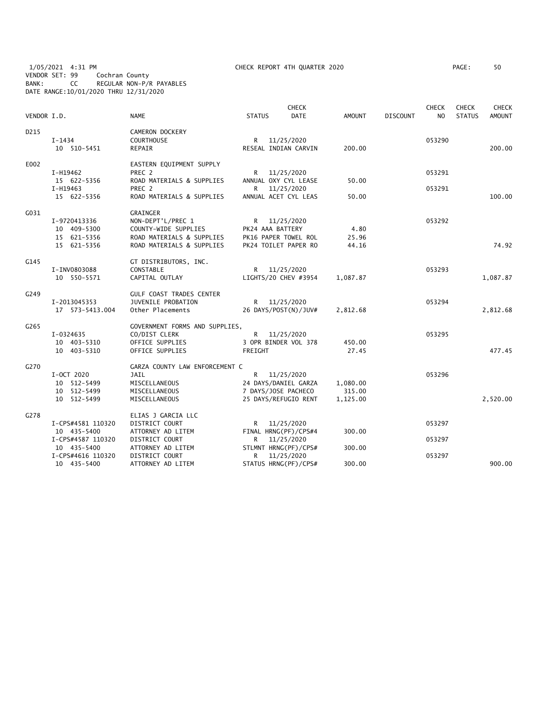1/05/2021 4:31 PM CHECK REPORT 4TH QUARTER 2020 PAGE: 50 VENDOR SET: 99 Cochran County BANK: CC REGULAR NON-P/R PAYABLES DATE RANGE:10/01/2020 THRU 12/31/2020

| PAGE : | 50 |
|--------|----|
|        |    |

| VENDOR I.D. |                         | <b>NAME</b>                                           | <b>STATUS</b>       | <b>CHECK</b><br><b>DATE</b>        | <b>AMOUNT</b> | <b>DISCOUNT</b> | <b>CHECK</b><br>NO. | <b>CHECK</b><br><b>STATUS</b> | <b>CHECK</b><br>AMOUNT |
|-------------|-------------------------|-------------------------------------------------------|---------------------|------------------------------------|---------------|-----------------|---------------------|-------------------------------|------------------------|
| D215        | I-1434<br>10 510-5451   | <b>CAMERON DOCKERY</b><br><b>COURTHOUSE</b><br>REPAIR | R                   | 11/25/2020<br>RESEAL INDIAN CARVIN | 200.00        |                 | 053290              |                               | 200.00                 |
| E002        |                         | EASTERN EQUIPMENT SUPPLY                              |                     |                                    |               |                 |                     |                               |                        |
|             | I-H19462                | PREC 2                                                |                     | R 11/25/2020                       |               |                 | 053291              |                               |                        |
|             | 15 622-5356<br>I-H19463 | ROAD MATERIALS & SUPPLIES<br>PREC 2                   | R                   | ANNUAL OXY CYL LEASE<br>11/25/2020 | 50.00         |                 | 053291              |                               |                        |
|             | 15 622-5356             | ROAD MATERIALS & SUPPLIES                             |                     | ANNUAL ACET CYL LEAS               | 50.00         |                 |                     |                               | 100.00                 |
| G031        |                         | GRAINGER                                              |                     |                                    |               |                 |                     |                               |                        |
|             | I-9720413336            | NON-DEPT'L/PREC 1                                     |                     | R 11/25/2020                       |               |                 | 053292              |                               |                        |
|             | 10 409-5300             | COUNTY-WIDE SUPPLIES                                  | PK24 AAA BATTERY    |                                    | 4.80          |                 |                     |                               |                        |
|             | 15 621-5356             | ROAD MATERIALS & SUPPLIES                             |                     | PK16 PAPER TOWEL ROL               | 25.96         |                 |                     |                               |                        |
|             | 15 621-5356             | ROAD MATERIALS & SUPPLIES                             |                     | PK24 TOILET PAPER RO               | 44.16         |                 |                     |                               | 74.92                  |
| G145        |                         | GT DISTRIBUTORS, INC.                                 |                     |                                    |               |                 |                     |                               |                        |
|             | I-INV0803088            | CONSTABLE                                             |                     | R 11/25/2020                       |               |                 | 053293              |                               |                        |
|             | 10 550-5571             | CAPITAL OUTLAY                                        |                     | LIGHTS/20 CHEV #3954               | 1,087.87      |                 |                     |                               | 1,087.87               |
| G249        |                         | GULF COAST TRADES CENTER                              |                     |                                    |               |                 |                     |                               |                        |
|             | I-2013045353            | JUVENILE PROBATION                                    | R <sub>a</sub>      | 11/25/2020                         |               |                 | 053294              |                               |                        |
|             | 17  573-5413.004        | Other Placements                                      |                     | 26 DAYS/POST(N)/JUV#               | 2,812.68      |                 |                     |                               | 2,812.68               |
| G265        |                         | GOVERNMENT FORMS AND SUPPLIES,                        |                     |                                    |               |                 |                     |                               |                        |
|             | I-0324635               | CO/DIST CLERK                                         |                     | R 11/25/2020                       |               |                 | 053295              |                               |                        |
|             | 10 403-5310             | OFFICE SUPPLIES                                       |                     | 3 OPR BINDER VOL 378               | 450.00        |                 |                     |                               |                        |
|             | 10 403-5310             | OFFICE SUPPLIES                                       | FREIGHT             |                                    | 27.45         |                 |                     |                               | 477.45                 |
| G270        |                         | GARZA COUNTY LAW ENFORCEMENT C                        |                     |                                    |               |                 |                     |                               |                        |
|             | I-OCT 2020              | JAIL                                                  |                     | R 11/25/2020                       |               |                 | 053296              |                               |                        |
|             | 10 512-5499             | MISCELLANEOUS                                         |                     | 24 DAYS/DANIEL GARZA               | 1,080.00      |                 |                     |                               |                        |
|             | 10 512-5499             | MISCELLANEOUS                                         | 7 DAYS/JOSE PACHECO |                                    | 315.00        |                 |                     |                               |                        |
|             | 10 512-5499             | MISCELLANEOUS                                         |                     | 25 DAYS/REFUGIO RENT               | 1,125.00      |                 |                     |                               | 2,520.00               |
| G278        |                         | ELIAS J GARCIA LLC                                    |                     |                                    |               |                 |                     |                               |                        |
|             | I-CPS#4581 110320       | DISTRICT COURT                                        | R                   | 11/25/2020                         |               |                 | 053297              |                               |                        |
|             | 10 435-5400             | ATTORNEY AD LITEM                                     |                     | FINAL HRNG(PF)/CPS#4               | 300.00        |                 |                     |                               |                        |
|             | I-CPS#4587 110320       | DISTRICT COURT                                        | R                   | 11/25/2020                         |               |                 | 053297              |                               |                        |
|             | 10 435-5400             | ATTORNEY AD LITEM                                     |                     | STLMNT HRNG(PF)/CPS#               | 300.00        |                 |                     |                               |                        |
|             | I-CPS#4616 110320       | DISTRICT COURT                                        | R.                  | 11/25/2020                         |               |                 | 053297              |                               |                        |
|             | 10 435-5400             | ATTORNEY AD LITEM                                     |                     | STATUS HRNG(PF)/CPS#               | 300.00        |                 |                     |                               | 900.00                 |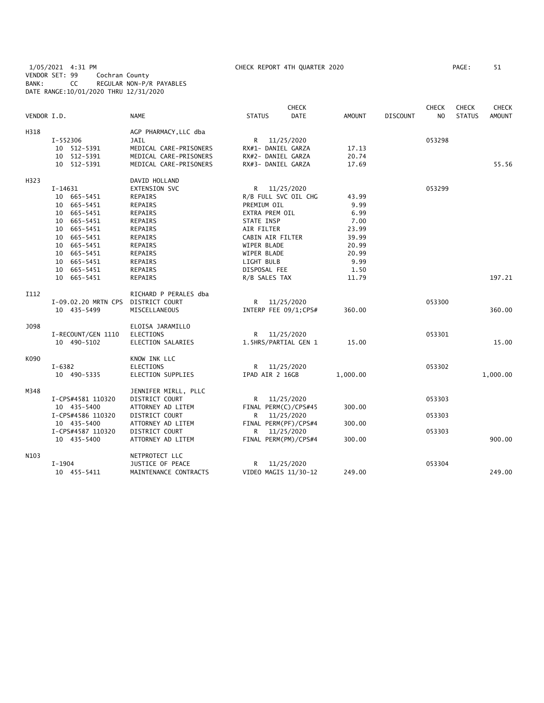1/05/2021 4:31 PM CHECK REPORT 4TH QUARTER 2020 PAGE: 51 VENDOR SET: 99 Cochran County BANK: CC REGULAR NON-P/R PAYABLES DATE RANGE:10/01/2020 THRU 12/31/2020

|                   |                     |                        |                    | <b>CHECK</b>         |               |                 | CHECK          | <b>CHECK</b>  | <b>CHECK</b>  |
|-------------------|---------------------|------------------------|--------------------|----------------------|---------------|-----------------|----------------|---------------|---------------|
| VENDOR I.D.       |                     | <b>NAME</b>            | <b>STATUS</b>      | <b>DATE</b>          | <b>AMOUNT</b> | <b>DISCOUNT</b> | N <sub>O</sub> | <b>STATUS</b> | <b>AMOUNT</b> |
| H318              |                     | AGP PHARMACY, LLC dba  |                    |                      |               |                 |                |               |               |
|                   | I-552306            | <b>JAIL</b>            |                    | R 11/25/2020         |               |                 | 053298         |               |               |
|                   | 10 512-5391         | MEDICAL CARE-PRISONERS | RX#1- DANIEL GARZA |                      | 17.13         |                 |                |               |               |
|                   | 10 512-5391         | MEDICAL CARE-PRISONERS | RX#2- DANIEL GARZA |                      | 20.74         |                 |                |               |               |
|                   | 10 512-5391         | MEDICAL CARE-PRISONERS | RX#3- DANIEL GARZA |                      | 17.69         |                 |                |               | 55.56         |
| H323              |                     | DAVID HOLLAND          |                    |                      |               |                 |                |               |               |
|                   | I-14631             | EXTENSION SVC          |                    | R 11/25/2020         |               |                 | 053299         |               |               |
|                   | 10 665-5451         | <b>REPAIRS</b>         |                    | R/B FULL SVC OIL CHG | 43.99         |                 |                |               |               |
|                   | 10 665-5451         | REPAIRS                | PREMIUM OIL        |                      | 9.99          |                 |                |               |               |
|                   | 10 665-5451         | REPAIRS                | EXTRA PREM OIL     |                      | 6.99          |                 |                |               |               |
|                   | 10 665-5451         | REPAIRS                | STATE INSP         |                      | 7.00          |                 |                |               |               |
|                   | 10 665-5451         | REPAIRS                | AIR FILTER         |                      | 23.99         |                 |                |               |               |
|                   | 10 665-5451         | <b>REPAIRS</b>         | CABIN AIR FILTER   |                      | 39.99         |                 |                |               |               |
|                   | 10 665-5451         | REPAIRS                | WIPER BLADE        |                      | 20.99         |                 |                |               |               |
|                   | 10 665-5451         | REPAIRS                | WIPER BLADE        |                      | 20.99         |                 |                |               |               |
|                   | 10 665-5451         | <b>REPAIRS</b>         | LIGHT BULB         |                      | 9.99          |                 |                |               |               |
|                   | 10 665-5451         | <b>REPAIRS</b>         | DISPOSAL FEE       |                      | 1.50          |                 |                |               |               |
|                   | 10 665-5451         | REPAIRS                | R/B SALES TAX      |                      | 11.79         |                 |                |               | 197.21        |
| I112              |                     | RICHARD P PERALES dba  |                    |                      |               |                 |                |               |               |
|                   | I-09.02.20 MRTN CPS | DISTRICT COURT         |                    | R 11/25/2020         |               |                 | 053300         |               |               |
|                   | 10 435-5499         | MISCELLANEOUS          |                    | INTERP FEE 09/1;CPS# | 360.00        |                 |                |               | 360.00        |
| J098              |                     | ELOISA JARAMILLO       |                    |                      |               |                 |                |               |               |
|                   | I-RECOUNT/GEN 1110  | <b>ELECTIONS</b>       |                    | R 11/25/2020         |               |                 | 053301         |               |               |
|                   | 10 490-5102         | ELECTION SALARIES      |                    | 1.5HRS/PARTIAL GEN 1 | 15.00         |                 |                |               | 15.00         |
| K090              |                     | KNOW INK LLC           |                    |                      |               |                 |                |               |               |
|                   | $I - 6382$          | <b>ELECTIONS</b>       |                    | R 11/25/2020         |               |                 | 053302         |               |               |
|                   | 10 490-5335         | ELECTION SUPPLIES      | IPAD AIR 2 16GB    |                      | 1,000.00      |                 |                |               | 1,000.00      |
| M348              |                     | JENNIFER MIRLL, PLLC   |                    |                      |               |                 |                |               |               |
|                   | I-CPS#4581 110320   | DISTRICT COURT         | R                  | 11/25/2020           |               |                 | 053303         |               |               |
|                   | 10 435-5400         | ATTORNEY AD LITEM      |                    | FINAL PERM(C)/CPS#45 | 300.00        |                 |                |               |               |
|                   | I-CPS#4586 110320   | DISTRICT COURT         |                    | R 11/25/2020         |               |                 | 053303         |               |               |
|                   | 10 435-5400         | ATTORNEY AD LITEM      |                    | FINAL PERM(PF)/CPS#4 | 300.00        |                 |                |               |               |
|                   | I-CPS#4587 110320   | DISTRICT COURT         | R                  | 11/25/2020           |               |                 | 053303         |               |               |
|                   | 10 435-5400         | ATTORNEY AD LITEM      |                    | FINAL PERM(PM)/CPS#4 | 300.00        |                 |                |               | 900.00        |
| N <sub>10</sub> 3 |                     | NETPROTECT LLC         |                    |                      |               |                 |                |               |               |
|                   | $I-1904$            | JUSTICE OF PEACE       | R                  | 11/25/2020           |               |                 | 053304         |               |               |
|                   | 10 455-5411         | MAINTENANCE CONTRACTS  |                    | VIDEO MAGIS 11/30-12 | 249.00        |                 |                |               | 249.00        |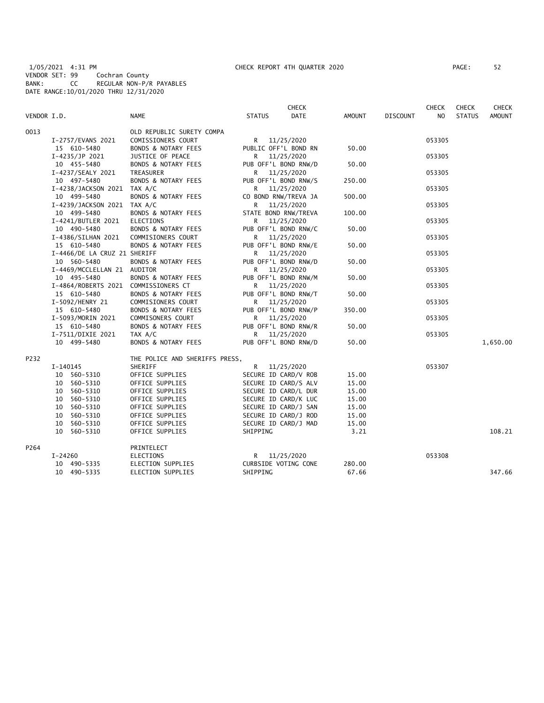1/05/2021 4:31 PM CHECK REPORT 4TH QUARTER 2020 PAGE: 52 VENDOR SET: 99 Cochran County BANK: CC REGULAR NON-P/R PAYABLES DATE RANGE:10/01/2020 THRU 12/31/2020

| PAGE :<br>52 |  |
|--------------|--|
|--------------|--|

|             |                                      |                                |                      | <b>CHECK</b>         |        |                 | <b>CHECK</b> | <b>CHECK</b>  | CHECK         |
|-------------|--------------------------------------|--------------------------------|----------------------|----------------------|--------|-----------------|--------------|---------------|---------------|
| VENDOR I.D. |                                      | NAME                           | <b>STATUS</b>        | <b>DATE</b>          | AMOUNT | <b>DISCOUNT</b> | NO.          | <b>STATUS</b> | <b>AMOUNT</b> |
| 0013        |                                      | OLD REPUBLIC SURETY COMPA      |                      |                      |        |                 |              |               |               |
|             | I-2757/EVANS 2021                    | COMISSIONERS COURT             | R 11/25/2020         |                      |        |                 | 053305       |               |               |
|             | 15 610-5480                          | BONDS & NOTARY FEES            | PUBLIC OFF'L BOND RN |                      | 50.00  |                 |              |               |               |
|             | I-4235/JP 2021                       | JUSTICE OF PEACE               | R                    | 11/25/2020           |        |                 | 053305       |               |               |
|             | 10 455-5480                          | BONDS & NOTARY FEES            | PUB OFF'L BOND RNW/D |                      | 50.00  |                 |              |               |               |
|             | I-4237/SEALY 2021                    | TREASURER                      | R 11/25/2020         |                      |        |                 | 053305       |               |               |
|             | 10 497-5480                          | <b>BONDS &amp; NOTARY FEES</b> | PUB OFF'L BOND RNW/S |                      | 250.00 |                 |              |               |               |
|             | I-4238/JACKSON 2021 TAX A/C          |                                | R 11/25/2020         |                      |        |                 | 053305       |               |               |
|             | 10 499-5480                          | <b>BONDS &amp; NOTARY FEES</b> | CO BOND RNW/TREVA JA |                      | 500.00 |                 |              |               |               |
|             | I-4239/JACKSON 2021 TAX A/C          |                                | R                    | 11/25/2020           |        |                 | 053305       |               |               |
|             | 10 499-5480                          | <b>BONDS &amp; NOTARY FEES</b> | STATE BOND RNW/TREVA |                      | 100.00 |                 |              |               |               |
|             | I-4241/BUTLER 2021                   | ELECTIONS                      | R <sub>a</sub>       | 11/25/2020           |        |                 | 053305       |               |               |
|             | 10 490-5480                          | <b>BONDS &amp; NOTARY FEES</b> | PUB OFF'L BOND RNW/C |                      | 50.00  |                 |              |               |               |
|             | I-4386/SILHAN 2021                   | COMMISIONERS COURT             | R 11/25/2020         |                      |        |                 | 053305       |               |               |
|             | 15 610-5480                          | <b>BONDS &amp; NOTARY FEES</b> | PUB OFF'L BOND RNW/E |                      | 50.00  |                 |              |               |               |
|             | I-4466/DE LA CRUZ 21 SHERIFF         |                                | R 11/25/2020         |                      |        |                 | 053305       |               |               |
|             | 10 560-5480                          | <b>BONDS &amp; NOTARY FEES</b> | PUB OFF'L BOND RNW/D |                      | 50.00  |                 |              |               |               |
|             | I-4469/MCCLELLAN 21 AUDITOR          |                                | R 11/25/2020         |                      |        |                 | 053305       |               |               |
|             | 10 495-5480                          | BONDS & NOTARY FEES            | PUB OFF'L BOND RNW/M |                      | 50.00  |                 |              |               |               |
|             | I-4864/ROBERTS 2021 COMMISSIONERS CT |                                | R 11/25/2020         |                      |        |                 | 053305       |               |               |
|             | 15 610-5480                          | <b>BONDS &amp; NOTARY FEES</b> | PUB OFF'L BOND RNW/T |                      | 50.00  |                 |              |               |               |
|             | I-5092/HENRY 21                      | COMMISIONERS COURT             | R 11/25/2020         |                      |        |                 | 053305       |               |               |
|             | 15 610-5480                          | BONDS & NOTARY FEES            | PUB OFF'L BOND RNW/P |                      | 350.00 |                 |              |               |               |
|             | I-5093/MORIN 2021                    | COMMISONERS COURT              | R 11/25/2020         |                      |        |                 | 053305       |               |               |
|             | 15 610-5480                          | <b>BONDS &amp; NOTARY FEES</b> | PUB OFF'L BOND RNW/R |                      | 50.00  |                 |              |               |               |
|             | I-7511/DIXIE 2021                    | TAX A/C                        | R 11/25/2020         |                      |        |                 | 053305       |               |               |
|             | 10 499-5480                          | BONDS & NOTARY FEES            | PUB OFF'L BOND RNW/D |                      | 50.00  |                 |              |               | 1,650.00      |
| P232        |                                      | THE POLICE AND SHERIFFS PRESS, |                      |                      |        |                 |              |               |               |
|             | I-140145                             | SHERIFF                        | R 11/25/2020         |                      |        |                 | 053307       |               |               |
|             | 10 560-5310                          | OFFICE SUPPLIES                | SECURE ID CARD/V ROB |                      | 15.00  |                 |              |               |               |
|             | 10 560-5310                          | OFFICE SUPPLIES                | SECURE ID CARD/S ALV |                      | 15.00  |                 |              |               |               |
|             | 10 560-5310                          | OFFICE SUPPLIES                | SECURE ID CARD/L DUR |                      | 15.00  |                 |              |               |               |
|             | 10 560-5310                          | OFFICE SUPPLIES                |                      | SECURE ID CARD/K LUC | 15.00  |                 |              |               |               |
|             | 10 560-5310                          | OFFICE SUPPLIES                | SECURE ID CARD/J SAN |                      | 15.00  |                 |              |               |               |
|             | 10 560-5310                          | OFFICE SUPPLIES                | SECURE ID CARD/J ROD |                      | 15.00  |                 |              |               |               |
|             | 10 560-5310                          | OFFICE SUPPLIES                | SECURE ID CARD/J MAD |                      | 15.00  |                 |              |               |               |
|             | 10 560-5310                          | OFFICE SUPPLIES                | SHIPPING             |                      | 3.21   |                 |              |               | 108.21        |
| P264        |                                      | PRINTELECT                     |                      |                      |        |                 |              |               |               |
|             | I-24260                              | <b>ELECTIONS</b>               | R 11/25/2020         |                      |        |                 | 053308       |               |               |
|             | 10 490-5335                          | ELECTION SUPPLIES              | CURBSIDE VOTING CONE |                      | 280.00 |                 |              |               |               |
|             | 10 490-5335                          | ELECTION SUPPLIES              | SHIPPING             |                      | 67.66  |                 |              |               | 347.66        |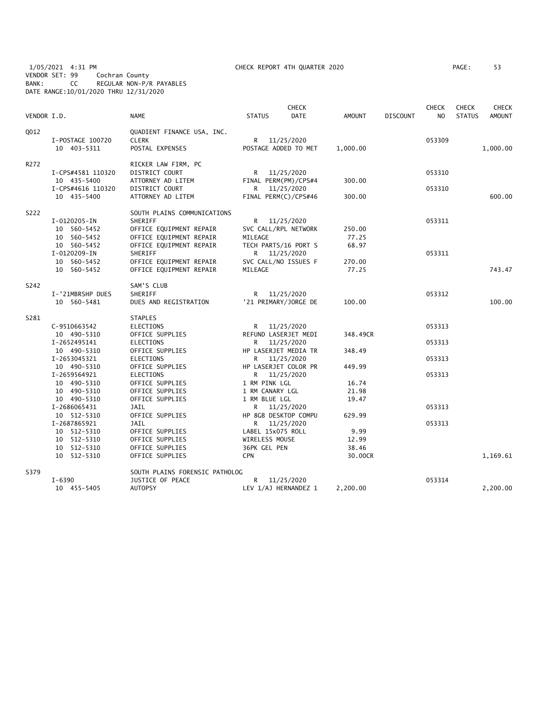1/05/2021 4:31 PM CHECK REPORT 4TH QUARTER 2020 PAGE: 53 VENDOR SET: 99 Cochran County BANK: CC REGULAR NON-P/R PAYABLES DATE RANGE:10/01/2020 THRU 12/31/2020

| VENDOR I.D. |                                            | <b>NAME</b>                                                                                  | <b>CHECK</b><br><b>DATE</b><br><b>STATUS</b>                 | <b>AMOUNT</b>    | <b>DISCOUNT</b> | <b>CHECK</b><br>N <sub>O</sub> | <b>CHECK</b><br><b>STATUS</b> | <b>CHECK</b><br><b>AMOUNT</b> |
|-------------|--------------------------------------------|----------------------------------------------------------------------------------------------|--------------------------------------------------------------|------------------|-----------------|--------------------------------|-------------------------------|-------------------------------|
| Q012        | I-POSTAGE 100720<br>10 403-5311            | QUADIENT FINANCE USA, INC.<br><b>CLERK</b><br>POSTAL EXPENSES                                | R 11/25/2020<br>POSTAGE ADDED TO MET                         | 1,000.00         |                 | 053309                         |                               | 1,000.00                      |
| R272        | I-CPS#4581 110320<br>10 435-5400           | RICKER LAW FIRM, PC<br>DISTRICT COURT<br>ATTORNEY AD LITEM                                   | R<br>11/25/2020<br>FINAL PERM(PM)/CPS#4                      | 300.00           |                 | 053310                         |                               |                               |
|             | I-CPS#4616 110320<br>10 435-5400           | <b>DISTRICT COURT</b><br>ATTORNEY AD LITEM                                                   | R.<br>11/25/2020<br>FINAL PERM(C)/CPS#46                     | 300.00           |                 | 053310                         |                               | 600.00                        |
| S222        | I-0120205-IN<br>10 560-5452<br>10 560-5452 | SOUTH PLAINS COMMUNICATIONS<br>SHERIFF<br>OFFICE EQUIPMENT REPAIR<br>OFFICE EQUIPMENT REPAIR | R 11/25/2020<br>SVC CALL/RPL NETWORK<br>MILEAGE              | 250.00<br>77.25  |                 | 053311                         |                               |                               |
|             | 10 560-5452<br>I-0120209-IN<br>10 560-5452 | OFFICE EQUIPMENT REPAIR<br>SHERIFF<br>OFFICE EQUIPMENT REPAIR                                | TECH PARTS/16 PORT S<br>R 11/25/2020<br>SVC CALL/NO ISSUES F | 68.97<br>270.00  |                 | 053311                         |                               |                               |
|             | 10 560-5452                                | OFFICE EQUIPMENT REPAIR                                                                      | MILEAGE                                                      | 77.25            |                 |                                |                               | 743.47                        |
| S242        | I-'21MBRSHP DUES<br>10 560-5481            | SAM'S CLUB<br>SHERIFF<br>DUES AND REGISTRATION                                               | R 11/25/2020<br>'21 PRIMARY/JORGE DE                         | 100.00           |                 | 053312                         |                               | 100.00                        |
| S281        |                                            | <b>STAPLES</b>                                                                               |                                                              |                  |                 |                                |                               |                               |
|             | C-9510663542<br>10 490-5310                | ELECTIONS<br>OFFICE SUPPLIES                                                                 | R <sub>a</sub><br>11/25/2020<br>REFUND LASERJET MEDI         | 348.49CR         |                 | 053313                         |                               |                               |
|             | I-2652495141<br>10 490-5310                | <b>ELECTIONS</b><br>OFFICE SUPPLIES                                                          | R 11/25/2020<br>HP LASERJET MEDIA TR                         | 348.49           |                 | 053313                         |                               |                               |
|             | I-2653045321<br>10 490-5310                | <b>ELECTIONS</b><br>OFFICE SUPPLIES                                                          | 11/25/2020<br>R.<br>HP LASERJET COLOR PR                     | 449.99           |                 | 053313                         |                               |                               |
|             | I-2659564921<br>10 490-5310<br>10 490-5310 | <b>ELECTIONS</b><br>OFFICE SUPPLIES<br>OFFICE SUPPLIES                                       | 11/25/2020<br>R —<br>1 RM PINK LGL<br>1 RM CANARY LGL        | 16.74<br>21.98   |                 | 053313                         |                               |                               |
|             | 10 490-5310<br>I-2686065431<br>10 512-5310 | OFFICE SUPPLIES<br><b>JAIL</b><br>OFFICE SUPPLIES                                            | 1 RM BLUE LGL<br>R 11/25/2020<br>HP 8GB DESKTOP COMPU        | 19.47<br>629.99  |                 | 053313                         |                               |                               |
|             | I-2687865921<br>10 512-5310<br>10 512-5310 | <b>JAIL</b><br>OFFICE SUPPLIES<br>OFFICE SUPPLIES                                            | R 11/25/2020<br>LABEL 15x075 ROLL<br>WIRELESS MOUSE          | 9.99<br>12.99    |                 | 053313                         |                               |                               |
|             | 10 512-5310<br>10 512-5310                 | OFFICE SUPPLIES<br>OFFICE SUPPLIES                                                           | 36PK GEL PEN<br><b>CPN</b>                                   | 38.46<br>30.00CR |                 |                                |                               | 1,169.61                      |
| S379        |                                            | SOUTH PLAINS FORENSIC PATHOLOG                                                               |                                                              |                  |                 |                                |                               |                               |
|             | $I - 6390$<br>10 455-5405                  | JUSTICE OF PEACE<br><b>AUTOPSY</b>                                                           | R<br>11/25/2020<br>LEV 1/AJ HERNANDEZ 1                      | 2,200.00         |                 | 053314                         |                               | 2,200.00                      |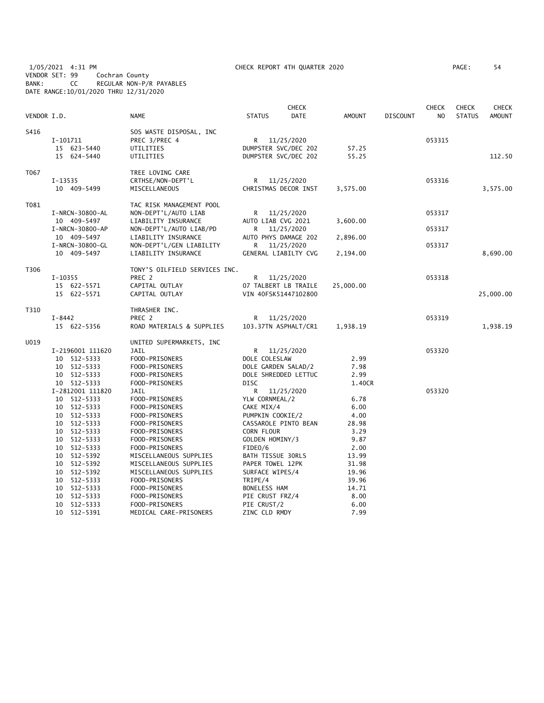1/05/2021 4:31 PM CHECK REPORT 4TH QUARTER 2020 PAGE: 54 VENDOR SET: 99 Cochran County BANK: CC REGULAR NON-P/R PAYABLES DATE RANGE:10/01/2020 THRU 12/31/2020

| VENDOR I.D. |                                                                                                                                        | <b>NAME</b>                                                                                                                                                                                    | <b>STATUS</b>                                                                                                                                            | <b>CHECK</b><br><b>DATE</b>                                | <b>AMOUNT</b>                                                             | <b>DISCOUNT</b> | <b>CHECK</b><br>NO. | <b>CHECK</b><br><b>STATUS</b> | <b>CHECK</b><br>AMOUNT |
|-------------|----------------------------------------------------------------------------------------------------------------------------------------|------------------------------------------------------------------------------------------------------------------------------------------------------------------------------------------------|----------------------------------------------------------------------------------------------------------------------------------------------------------|------------------------------------------------------------|---------------------------------------------------------------------------|-----------------|---------------------|-------------------------------|------------------------|
| S416        | I-101711<br>15 623-5440<br>15 624-5440                                                                                                 | SOS WASTE DISPOSAL, INC<br>PREC 3/PREC 4<br>UTILITIES<br>UTILITIES                                                                                                                             | R 11/25/2020<br>DUMPSTER SVC/DEC 202                                                                                                                     | DUMPSTER SVC/DEC 202                                       | 57.25<br>55.25                                                            |                 | 053315              |                               | 112.50                 |
| T067        | I-13535<br>10 409-5499                                                                                                                 | TREE LOVING CARE<br>CRTHSE/NON-DEPT'L<br>MISCELLANEOUS                                                                                                                                         | R.                                                                                                                                                       | 11/25/2020<br>CHRISTMAS DECOR INST                         | 3,575.00                                                                  |                 | 053316              |                               | 3,575.00               |
| T081        | I-NRCN-30800-AL<br>10 409-5497<br>I-NRCN-30800-AP                                                                                      | TAC RISK MANAGEMENT POOL<br>NON-DEPT'L/AUTO LIAB<br>LIABILITY INSURANCE<br>NON-DEPT'L/AUTO LIAB/PD                                                                                             | R.<br>AUTO LIAB CVG 2021<br>R.                                                                                                                           | 11/25/2020<br>11/25/2020                                   | 3,600.00                                                                  |                 | 053317<br>053317    |                               |                        |
|             | 10 409-5497<br>I-NRCN-30800-GL<br>10 409-5497                                                                                          | LIABILITY INSURANCE<br>NON-DEPT'L/GEN LIABILITY<br>LIABILITY INSURANCE                                                                                                                         | R                                                                                                                                                        | AUTO PHYS DAMAGE 202<br>11/25/2020<br>GENERAL LIABILTY CVG | 2,896.00<br>2,194.00                                                      |                 | 053317              |                               | 8,690.00               |
| T306        | $I-10355$<br>15 622-5571<br>15 622-5571                                                                                                | TONY'S OILFIELD SERVICES INC.<br>PREC 2<br>CAPITAL OUTLAY<br>CAPITAL OUTLAY                                                                                                                    | VIN 40FSK51447102800                                                                                                                                     | R 11/25/2020<br>07 TALBERT LB TRAILE                       | 25,000.00                                                                 |                 | 053318              |                               | 25,000.00              |
| T310        | I-8442<br>15 622-5356                                                                                                                  | THRASHER INC.<br>PREC <sub>2</sub><br>ROAD MATERIALS & SUPPLIES                                                                                                                                | R                                                                                                                                                        | 11/25/2020<br>103.37TN ASPHALT/CR1                         | 1,938.19                                                                  |                 | 053319              |                               | 1,938.19               |
| U019        | I-2196001 111620<br>10 512-5333<br>10 512-5333<br>10 512-5333<br>10 512-5333                                                           | UNITED SUPERMARKETS, INC<br>JAIL<br>FOOD-PRISONERS<br>FOOD-PRISONERS<br>FOOD-PRISONERS<br>FOOD-PRISONERS                                                                                       | DOLE COLESLAW<br>DOLE GARDEN SALAD/2<br><b>DISC</b>                                                                                                      | R 11/25/2020<br>DOLE SHREDDED LETTUC                       | 2.99<br>7.98<br>2.99<br>1.40CR                                            |                 | 053320              |                               |                        |
|             | I-2812001 111820<br>10 512-5333<br>10 512-5333<br>10 512-5333<br>10 512-5333<br>10 512-5333<br>10 512-5333                             | <b>JAIL</b><br>FOOD-PRISONERS<br>FOOD-PRISONERS<br>FOOD-PRISONERS<br>FOOD-PRISONERS<br>FOOD-PRISONERS<br>FOOD-PRISONERS                                                                        | R<br>YLW CORNMEAL/2<br>CAKE MIX/4<br>PUMPKIN COOKIE/2<br>CORN FLOUR<br>GOLDEN HOMINY/3                                                                   | 11/25/2020<br>CASSAROLE PINTO BEAN                         | 6.78<br>6.00<br>4.00<br>28.98<br>3.29<br>9.87                             |                 | 053320              |                               |                        |
|             | 10 512-5333<br>10 512-5392<br>10 512-5392<br>10 512-5392<br>10 512-5333<br>10<br>512-5333<br>10 512-5333<br>10 512-5333<br>10 512-5391 | FOOD-PRISONERS<br>MISCELLANEOUS SUPPLIES<br>MISCELLANEOUS SUPPLIES<br>MISCELLANEOUS SUPPLIES<br>FOOD-PRISONERS<br>FOOD-PRISONERS<br>FOOD-PRISONERS<br>FOOD-PRISONERS<br>MEDICAL CARE-PRISONERS | FIDEO/6<br>BATH TISSUE 30RLS<br>PAPER TOWEL 12PK<br>SURFACE WIPES/4<br>TRIPE/4<br><b>BONELESS HAM</b><br>PIE CRUST FRZ/4<br>PIE CRUST/2<br>ZINC CLD RMDY |                                                            | 2.00<br>13.99<br>31.98<br>19.96<br>39.96<br>14.71<br>8.00<br>6.00<br>7.99 |                 |                     |                               |                        |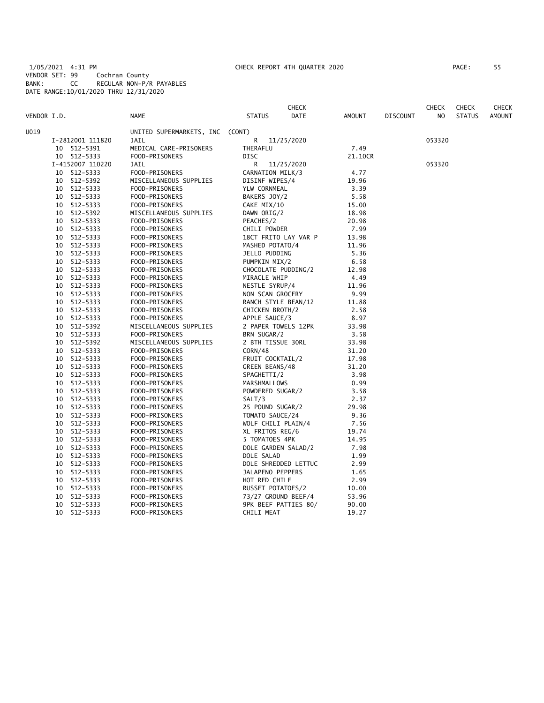1/05/2021 4:31 PM CHECK REPORT 4TH QUARTER 2020 PAGE: 55 VENDOR SET: 99 Cochran County BANK: CC REGULAR NON-P/R PAYABLES DATE RANGE:10/01/2020 THRU 12/31/2020

| PAGE : | 55 |
|--------|----|
|        |    |

|             |    |                      |                          |                      | <b>CHECK</b> |               |                 | <b>CHECK</b>   | <b>CHECK</b>  | <b>CHECK</b>  |
|-------------|----|----------------------|--------------------------|----------------------|--------------|---------------|-----------------|----------------|---------------|---------------|
| VENDOR I.D. |    |                      | <b>NAME</b>              | <b>STATUS</b>        | <b>DATE</b>  | <b>AMOUNT</b> | <b>DISCOUNT</b> | N <sub>O</sub> | <b>STATUS</b> | <b>AMOUNT</b> |
| U019        |    |                      | UNITED SUPERMARKETS, INC | (CONT)               |              |               |                 |                |               |               |
|             |    | I-2812001 111820     | JAIL                     | R                    | 11/25/2020   |               |                 | 053320         |               |               |
|             |    | 10 512-5391          | MEDICAL CARE-PRISONERS   | THERAFLU             |              | 7.49          |                 |                |               |               |
|             |    | 10 512-5333          | FOOD-PRISONERS           | <b>DISC</b>          |              | 21.10CR       |                 |                |               |               |
|             |    | I-4152007 110220     | JAIL                     | R                    | 11/25/2020   |               |                 | 053320         |               |               |
|             |    | 10 512-5333          | FOOD-PRISONERS           | CARNATION MILK/3     |              | 4.77          |                 |                |               |               |
|             | 10 | 512-5392             | MISCELLANEOUS SUPPLIES   | DISINF WIPES/4       |              | 19.96         |                 |                |               |               |
|             | 10 | 512-5333             | FOOD-PRISONERS           | YLW CORNMEAL         |              | 3.39          |                 |                |               |               |
|             | 10 | 512-5333             | FOOD-PRISONERS           | BAKERS JOY/2         |              | 5.58          |                 |                |               |               |
|             | 10 | 512-5333             | FOOD-PRISONERS           | CAKE MIX/10          |              | 15.00         |                 |                |               |               |
|             | 10 | 512-5392             | MISCELLANEOUS SUPPLIES   | DAWN ORIG/2          |              | 18.98         |                 |                |               |               |
|             | 10 | 512-5333             | FOOD-PRISONERS           | PEACHES/2            |              | 20.98         |                 |                |               |               |
|             | 10 | 512-5333             | FOOD-PRISONERS           | CHILI POWDER         |              | 7.99          |                 |                |               |               |
|             | 10 | 512-5333             | FOOD-PRISONERS           | 18CT FRITO LAY VAR P |              | 13.98         |                 |                |               |               |
|             | 10 | 512-5333             | FOOD-PRISONERS           | MASHED POTATO/4      |              | 11.96         |                 |                |               |               |
|             | 10 | 512-5333             | FOOD-PRISONERS           | JELLO PUDDING        |              | 5.36          |                 |                |               |               |
|             | 10 | 512-5333             | FOOD-PRISONERS           | PUMPKIN MIX/2        |              | 6.58          |                 |                |               |               |
|             | 10 | 512-5333             | FOOD-PRISONERS           | CHOCOLATE PUDDING/2  |              | 12.98         |                 |                |               |               |
|             | 10 | 512-5333             | FOOD-PRISONERS           | MIRACLE WHIP         |              | 4.49          |                 |                |               |               |
|             |    |                      | FOOD-PRISONERS           |                      |              |               |                 |                |               |               |
|             | 10 | 10 512-5333          | FOOD-PRISONERS           | NESTLE SYRUP/4       |              | 11.96<br>9.99 |                 |                |               |               |
|             | 10 | 512-5333<br>512-5333 |                          | NON SCAN GROCERY     |              |               |                 |                |               |               |
|             |    |                      | FOOD-PRISONERS           | RANCH STYLE BEAN/12  |              | 11.88         |                 |                |               |               |
|             | 10 | 512-5333             | FOOD-PRISONERS           | CHICKEN BROTH/2      |              | 2.58          |                 |                |               |               |
|             | 10 | 512-5333             | FOOD-PRISONERS           | APPLE SAUCE/3        |              | 8.97          |                 |                |               |               |
|             | 10 | 512-5392             | MISCELLANEOUS SUPPLIES   | 2 PAPER TOWELS 12PK  |              | 33.98         |                 |                |               |               |
|             | 10 | 512-5333             | FOOD-PRISONERS           | BRN SUGAR/2          |              | 3.58          |                 |                |               |               |
|             | 10 | 512-5392             | MISCELLANEOUS SUPPLIES   | 2 BTH TISSUE 30RL    |              | 33.98         |                 |                |               |               |
|             | 10 | 512-5333             | FOOD-PRISONERS           | CORN/48              |              | 31.20         |                 |                |               |               |
|             | 10 | 512-5333             | FOOD-PRISONERS           | FRUIT COCKTAIL/2     |              | 17.98         |                 |                |               |               |
|             | 10 | 512-5333             | FOOD-PRISONERS           | GREEN BEANS/48       |              | 31.20         |                 |                |               |               |
|             | 10 | 512-5333             | FOOD-PRISONERS           | SPAGHETTI/2          |              | 3.98          |                 |                |               |               |
|             | 10 | 512-5333             | FOOD-PRISONERS           | MARSHMALLOWS         |              | 0.99          |                 |                |               |               |
|             | 10 | 512-5333             | FOOD-PRISONERS           | POWDERED SUGAR/2     |              | 3.58          |                 |                |               |               |
|             | 10 | 512-5333             | FOOD-PRISONERS           | SALT/3               |              | 2.37          |                 |                |               |               |
|             | 10 | 512-5333             | FOOD-PRISONERS           | 25 POUND SUGAR/2     |              | 29.98         |                 |                |               |               |
|             | 10 | 512-5333             | FOOD-PRISONERS           | TOMATO SAUCE/24      |              | 9.36          |                 |                |               |               |
|             |    | 10 512-5333          | FOOD-PRISONERS           | WOLF CHILI PLAIN/4   |              | 7.56          |                 |                |               |               |
|             | 10 | 512-5333             | FOOD-PRISONERS           | XL FRITOS REG/6      |              | 19.74         |                 |                |               |               |
|             | 10 | 512-5333             | FOOD-PRISONERS           | 5 TOMATOES 4PK       |              | 14.95         |                 |                |               |               |
|             | 10 | 512-5333             | FOOD-PRISONERS           | DOLE GARDEN SALAD/2  |              | 7.98          |                 |                |               |               |
|             | 10 | 512-5333             | FOOD-PRISONERS           | DOLE SALAD           |              | 1.99          |                 |                |               |               |
|             | 10 | 512-5333             | FOOD-PRISONERS           | DOLE SHREDDED LETTUC |              | 2.99          |                 |                |               |               |
|             | 10 | 512-5333             | FOOD-PRISONERS           | JALAPENO PEPPERS     |              | 1.65          |                 |                |               |               |
|             | 10 | 512-5333             | FOOD-PRISONERS           | HOT RED CHILE        |              | 2.99          |                 |                |               |               |
|             | 10 | 512-5333             | FOOD-PRISONERS           | RUSSET POTATOES/2    |              | 10.00         |                 |                |               |               |
|             | 10 | 512-5333             | FOOD-PRISONERS           | 73/27 GROUND BEEF/4  |              | 53.96         |                 |                |               |               |
|             | 10 | 512-5333             | FOOD-PRISONERS           | 9PK BEEF PATTIES 80/ |              | 90.00         |                 |                |               |               |
|             | 10 | 512-5333             | FOOD-PRISONERS           | CHILI MEAT           |              | 19.27         |                 |                |               |               |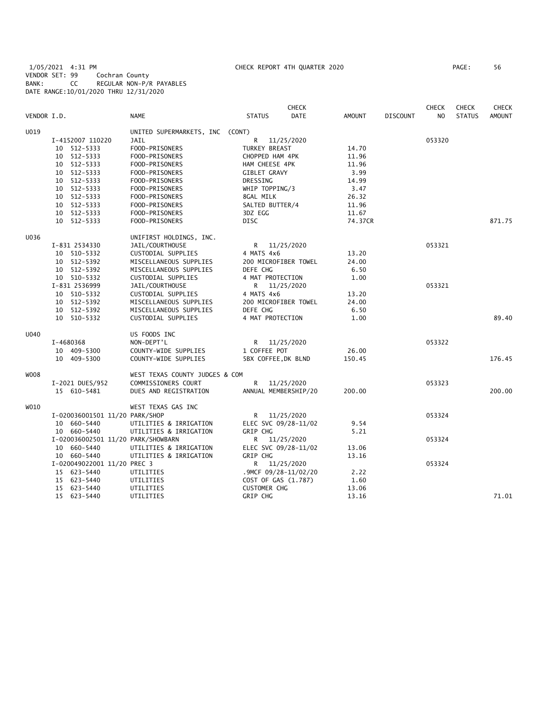1/05/2021 4:31 PM CHECK REPORT 4TH QUARTER 2020 PAGE: 56 VENDOR SET: 99 Cochran County BANK: CC REGULAR NON-P/R PAYABLES DATE RANGE:10/01/2020 THRU 12/31/2020

|             |                                    |                                 |                      | <b>CHECK</b> |               |                 | <b>CHECK</b>   | <b>CHECK</b>  | <b>CHECK</b>  |
|-------------|------------------------------------|---------------------------------|----------------------|--------------|---------------|-----------------|----------------|---------------|---------------|
| VENDOR I.D. |                                    | <b>NAME</b>                     | <b>STATUS</b>        | <b>DATE</b>  | <b>AMOUNT</b> | <b>DISCOUNT</b> | N <sub>O</sub> | <b>STATUS</b> | <b>AMOUNT</b> |
| U019        |                                    | UNITED SUPERMARKETS, INC (CONT) |                      |              |               |                 |                |               |               |
|             | I-4152007 110220                   | <b>JAIL</b>                     | R                    | 11/25/2020   |               |                 | 053320         |               |               |
|             | 10 512-5333                        | FOOD-PRISONERS                  | TURKEY BREAST        |              | 14.70         |                 |                |               |               |
|             | 10 512-5333                        | FOOD-PRISONERS                  | CHOPPED HAM 4PK      |              | 11.96         |                 |                |               |               |
|             | 10 512-5333                        | FOOD-PRISONERS                  | HAM CHEESE 4PK       |              | 11.96         |                 |                |               |               |
|             | 10 512-5333                        | FOOD-PRISONERS                  | <b>GIBLET GRAVY</b>  |              | 3.99          |                 |                |               |               |
|             | 10 512-5333                        | FOOD-PRISONERS                  | DRESSING             |              | 14.99         |                 |                |               |               |
|             | 10 512-5333                        | FOOD-PRISONERS                  | WHIP TOPPING/3       |              | 3.47          |                 |                |               |               |
|             | 10 512-5333                        | FOOD-PRISONERS                  | 8GAL MILK            |              | 26.32         |                 |                |               |               |
|             | 10 512-5333                        | FOOD-PRISONERS                  | SALTED BUTTER/4      |              | 11.96         |                 |                |               |               |
|             | 10 512-5333                        | FOOD-PRISONERS                  | 3DZ EGG              |              | 11.67         |                 |                |               |               |
|             | 10 512-5333                        | FOOD-PRISONERS                  | <b>DISC</b>          |              | 74.37CR       |                 |                |               | 871.75        |
| U036        |                                    | UNIFIRST HOLDINGS, INC.         |                      |              |               |                 |                |               |               |
|             | I-831 2534330                      | JAIL/COURTHOUSE                 | R.                   | 11/25/2020   |               |                 | 053321         |               |               |
|             | 10 510-5332                        | CUSTODIAL SUPPLIES              | 4 MATS 4x6           |              | 13.20         |                 |                |               |               |
|             | 10 512-5392                        | MISCELLANEOUS SUPPLIES          | 200 MICROFIBER TOWEL |              | 24.00         |                 |                |               |               |
|             | 10 512-5392                        | MISCELLANEOUS SUPPLIES          | DEFE CHG             |              | 6.50          |                 |                |               |               |
|             | 10 510-5332                        | CUSTODIAL SUPPLIES              | 4 MAT PROTECTION     |              | 1.00          |                 |                |               |               |
|             | I-831 2536999                      | JAIL/COURTHOUSE                 | R                    | 11/25/2020   |               |                 | 053321         |               |               |
|             | 10 510-5332                        | CUSTODIAL SUPPLIES              | 4 MATS 4x6           |              | 13.20         |                 |                |               |               |
|             | 10 512-5392                        | MISCELLANEOUS SUPPLIES          | 200 MICROFIBER TOWEL |              | 24.00         |                 |                |               |               |
|             | 10 512-5392                        | MISCELLANEOUS SUPPLIES          | DEFE CHG             |              | 6.50          |                 |                |               |               |
|             | 10 510-5332                        | CUSTODIAL SUPPLIES              | 4 MAT PROTECTION     |              | 1.00          |                 |                |               | 89.40         |
| U040        |                                    | US FOODS INC                    |                      |              |               |                 |                |               |               |
|             | I-4680368                          | NON-DEPT'L                      | R 11/25/2020         |              |               |                 | 053322         |               |               |
|             | 10 409-5300                        | COUNTY-WIDE SUPPLIES            | 1 COFFEE POT         |              | 26.00         |                 |                |               |               |
|             | 10 409-5300                        | COUNTY-WIDE SUPPLIES            | 5BX COFFEE, DK BLND  |              | 150.45        |                 |                |               | 176.45        |
| W008        |                                    | WEST TEXAS COUNTY JUDGES & COM  |                      |              |               |                 |                |               |               |
|             | I-2021 DUES/952                    | COMMISSIONERS COURT             | R.                   | 11/25/2020   |               |                 | 053323         |               |               |
|             | 15 610-5481                        | DUES AND REGISTRATION           | ANNUAL MEMBERSHIP/20 |              | 200.00        |                 |                |               | 200.00        |
| W010        |                                    | WEST TEXAS GAS INC              |                      |              |               |                 |                |               |               |
|             | I-020036001501 11/20 PARK/SHOP     |                                 | R                    | 11/25/2020   |               |                 | 053324         |               |               |
|             | 10 660-5440                        | UTILITIES & IRRIGATION          | ELEC SVC 09/28-11/02 |              | 9.54          |                 |                |               |               |
|             | 10 660-5440                        | UTILITIES & IRRIGATION          | <b>GRIP CHG</b>      |              | 5.21          |                 |                |               |               |
|             | I-020036002501 11/20 PARK/SHOWBARN |                                 | R 11/25/2020         |              |               |                 | 053324         |               |               |
|             | 10 660-5440                        | UTILITIES & IRRIGATION          | ELEC SVC 09/28-11/02 |              | 13.06         |                 |                |               |               |
|             | 10 660-5440                        | UTILITIES & IRRIGATION          | GRIP CHG             |              | 13.16         |                 |                |               |               |
|             | I-020049022001 11/20 PREC 3        |                                 | R.                   | 11/25/2020   |               |                 | 053324         |               |               |
|             | 15 623-5440                        | UTILITIES                       | .9MCF 09/28-11/02/20 |              | 2.22          |                 |                |               |               |
|             | 15 623-5440                        | UTILITIES                       | COST OF GAS (1.787)  |              | 1.60          |                 |                |               |               |
|             | 15 623-5440                        | UTILITIES                       | <b>CUSTOMER CHG</b>  |              | 13.06         |                 |                |               |               |
|             | 15 623-5440                        | UTILITIES                       | GRIP CHG             |              | 13.16         |                 |                |               | 71.01         |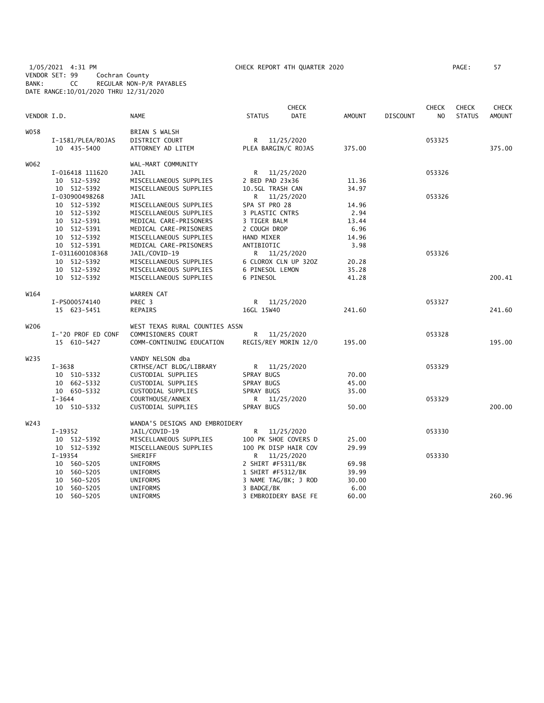1/05/2021 4:31 PM CHECK REPORT 4TH QUARTER 2020 PAGE: 57 VENDOR SET: 99 Cochran County BANK: CC REGULAR NON-P/R PAYABLES DATE RANGE:10/01/2020 THRU 12/31/2020

| PAGE : | 57 |  |
|--------|----|--|
|        |    |  |

| VENDOR I.D.      |                    | <b>NAME</b>                    | <b>STATUS</b>       | <b>CHECK</b><br><b>DATE</b> | AMOUNT | <b>DISCOUNT</b> | <b>CHECK</b><br>NO. | <b>CHECK</b><br><b>STATUS</b> | <b>CHECK</b><br><b>AMOUNT</b> |
|------------------|--------------------|--------------------------------|---------------------|-----------------------------|--------|-----------------|---------------------|-------------------------------|-------------------------------|
| W058             |                    | BRIAN S WALSH                  |                     |                             |        |                 |                     |                               |                               |
|                  | I-1581/PLEA/ROJAS  | DISTRICT COURT                 | R —                 | 11/25/2020                  |        |                 | 053325              |                               |                               |
|                  | 10 435-5400        | ATTORNEY AD LITEM              | PLEA BARGIN/C ROJAS |                             | 375.00 |                 |                     |                               | 375.00                        |
| W062             |                    | WAL-MART COMMUNITY             |                     |                             |        |                 |                     |                               |                               |
|                  | I-016418 111620    | JAIL                           | R                   | 11/25/2020                  |        |                 | 053326              |                               |                               |
|                  | 10 512-5392        | MISCELLANEOUS SUPPLIES         | 2 BED PAD 23x36     |                             | 11.36  |                 |                     |                               |                               |
|                  | 10 512-5392        | MISCELLANEOUS SUPPLIES         | 10.5GL TRASH CAN    |                             | 34.97  |                 |                     |                               |                               |
|                  | I-030900498268     | JAIL                           | R                   | 11/25/2020                  |        |                 | 053326              |                               |                               |
|                  | 10 512-5392        | MISCELLANEOUS SUPPLIES         | SPA ST PRO 28       |                             | 14.96  |                 |                     |                               |                               |
|                  | 10 512-5392        | MISCELLANEOUS SUPPLIES         | 3 PLASTIC CNTRS     |                             | 2.94   |                 |                     |                               |                               |
|                  | 10 512-5391        | MEDICAL CARE-PRISONERS         | 3 TIGER BALM        |                             | 13.44  |                 |                     |                               |                               |
|                  | 10 512-5391        | MEDICAL CARE-PRISONERS         | 2 COUGH DROP        |                             | 6.96   |                 |                     |                               |                               |
|                  | 10 512-5392        | MISCELLANEOUS SUPPLIES         | HAND MIXER          |                             | 14.96  |                 |                     |                               |                               |
|                  | 10 512-5391        | MEDICAL CARE-PRISONERS         | ANTIBIOTIC          |                             | 3.98   |                 |                     |                               |                               |
|                  | I-0311600108368    | JAIL/COVID-19                  | R.                  | 11/25/2020                  |        |                 | 053326              |                               |                               |
|                  | 10 512-5392        | MISCELLANEOUS SUPPLIES         |                     | 6 CLOROX CLN UP 320Z        | 20.28  |                 |                     |                               |                               |
|                  | 10 512-5392        | MISCELLANEOUS SUPPLIES         | 6 PINESOL LEMON     |                             | 35.28  |                 |                     |                               |                               |
|                  | 10 512-5392        | MISCELLANEOUS SUPPLIES         | 6 PINESOL           |                             | 41.28  |                 |                     |                               | 200.41                        |
| W164             |                    | WARREN CAT                     |                     |                             |        |                 |                     |                               |                               |
|                  | I-PS000574140      | PREC 3                         | R                   | 11/25/2020                  |        |                 | 053327              |                               |                               |
|                  | 15 623-5451        | REPAIRS                        | 16GL 15W40          |                             | 241.60 |                 |                     |                               | 241.60                        |
| W206             |                    | WEST TEXAS RURAL COUNTIES ASSN |                     |                             |        |                 |                     |                               |                               |
|                  | I-'20 PROF ED CONF | COMMISIONERS COURT             | R                   | 11/25/2020                  |        |                 | 053328              |                               |                               |
|                  | 15 610-5427        | COMM-CONTINUING EDUCATION      |                     | REGIS/REY MORIN 12/0        | 195.00 |                 |                     |                               | 195.00                        |
| W <sub>235</sub> |                    | VANDY NELSON dba               |                     |                             |        |                 |                     |                               |                               |
|                  | $I - 3638$         | CRTHSE/ACT BLDG/LIBRARY        | R.                  | 11/25/2020                  |        |                 | 053329              |                               |                               |
|                  | 10 510-5332        | CUSTODIAL SUPPLIES             | SPRAY BUGS          |                             | 70.00  |                 |                     |                               |                               |
|                  | 10 662-5332        | CUSTODIAL SUPPLIES             | SPRAY BUGS          |                             | 45.00  |                 |                     |                               |                               |
|                  | 10 650-5332        | CUSTODIAL SUPPLIES             | SPRAY BUGS          |                             | 35.00  |                 |                     |                               |                               |
|                  | $I - 3644$         | COURTHOUSE/ANNEX               | R                   | 11/25/2020                  |        |                 | 053329              |                               |                               |
|                  | 10 510-5332        | CUSTODIAL SUPPLIES             | SPRAY BUGS          |                             | 50.00  |                 |                     |                               | 200.00                        |
| W243             |                    | WANDA'S DESIGNS AND EMBROIDERY |                     |                             |        |                 |                     |                               |                               |
|                  | I-19352            | JAIL/COVID-19                  | R                   | 11/25/2020                  |        |                 | 053330              |                               |                               |
|                  | 10 512-5392        | MISCELLANEOUS SUPPLIES         |                     | 100 PK SHOE COVERS D        | 25.00  |                 |                     |                               |                               |
|                  | 10 512-5392        | MISCELLANEOUS SUPPLIES         |                     | 100 PK DISP HAIR COV        | 29.99  |                 |                     |                               |                               |
|                  | $I-19354$          | SHERIFF                        | R                   | 11/25/2020                  |        |                 | 053330              |                               |                               |
|                  | 10 560-5205        | UNIFORMS                       | 2 SHIRT #F5311/BK   |                             | 69.98  |                 |                     |                               |                               |
|                  | 10 560-5205        | UNIFORMS                       | 1 SHIRT #F5312/BK   |                             | 39.99  |                 |                     |                               |                               |
|                  | 10 560-5205        | UNIFORMS                       |                     | 3 NAME TAG/BK; J ROD        | 30.00  |                 |                     |                               |                               |
|                  | 10 560-5205        | <b>UNIFORMS</b>                | 3 BADGE/BK          |                             | 6.00   |                 |                     |                               |                               |
|                  | 10<br>560-5205     | <b>UNIFORMS</b>                |                     | 3 EMBROIDERY BASE FE        | 60.00  |                 |                     |                               | 260.96                        |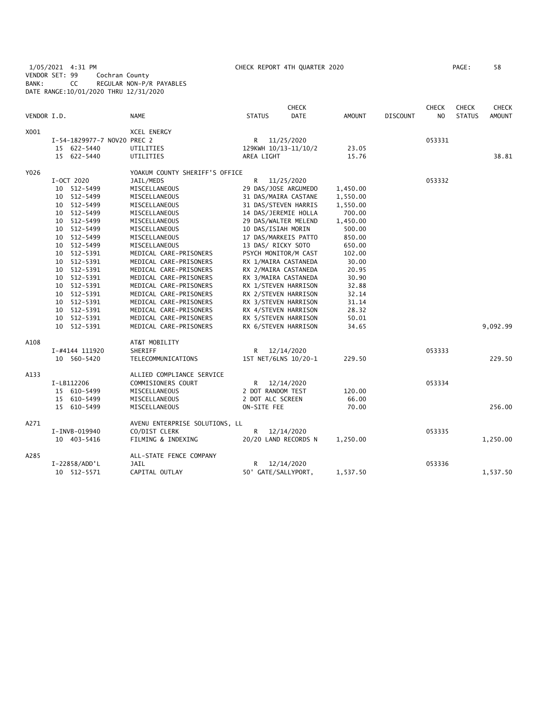1/05/2021 4:31 PM CHECK REPORT 4TH QUARTER 2020 PAGE: 58 VENDOR SET: 99 Cochran County BANK: CC REGULAR NON-P/R PAYABLES DATE RANGE:10/01/2020 THRU 12/31/2020

| VENDOR I.D. |                             | <b>NAME</b>                    | <b>STATUS</b>        | <b>CHECK</b><br><b>DATE</b> | <b>AMOUNT</b> | <b>DISCOUNT</b> | <b>CHECK</b><br>N <sub>O</sub> | <b>CHECK</b><br><b>STATUS</b> | <b>CHECK</b><br><b>AMOUNT</b> |
|-------------|-----------------------------|--------------------------------|----------------------|-----------------------------|---------------|-----------------|--------------------------------|-------------------------------|-------------------------------|
| X001        |                             | XCEL ENERGY                    |                      |                             |               |                 |                                |                               |                               |
|             | I-54-1829977-7 NOV20 PREC 2 |                                | R                    | 11/25/2020                  |               |                 | 053331                         |                               |                               |
|             | 15 622-5440                 | UTILITIES                      | 129KWH 10/13-11/10/2 |                             | 23.05         |                 |                                |                               |                               |
|             | 15 622-5440                 | UTILITIES                      | AREA LIGHT           |                             | 15.76         |                 |                                |                               | 38.81                         |
| Y026        |                             | YOAKUM COUNTY SHERIFF'S OFFICE |                      |                             |               |                 |                                |                               |                               |
|             | I-OCT 2020                  | JAIL/MEDS                      | R                    | 11/25/2020                  |               |                 | 053332                         |                               |                               |
|             | 10 512-5499                 | MISCELLANEOUS                  |                      | 29 DAS/JOSE ARGUMEDO        | 1,450.00      |                 |                                |                               |                               |
|             | 10 512-5499                 | MISCELLANEOUS                  |                      | 31 DAS/MAIRA CASTANE        | 1,550.00      |                 |                                |                               |                               |
|             | 10 512-5499                 | MISCELLANEOUS                  |                      | 31 DAS/STEVEN HARRIS        | 1,550.00      |                 |                                |                               |                               |
|             | 10 512-5499                 | MISCELLANEOUS                  |                      | 14 DAS/JEREMIE HOLLA        | 700.00        |                 |                                |                               |                               |
|             | 10 512-5499                 | MISCELLANEOUS                  |                      | 29 DAS/WALTER MELEND        | 1,450.00      |                 |                                |                               |                               |
|             | 10 512-5499                 | MISCELLANEOUS                  | 10 DAS/ISIAH MORIN   |                             | 500.00        |                 |                                |                               |                               |
|             | 10 512-5499                 | MISCELLANEOUS                  | 17 DAS/MARKEIS PATTO |                             | 850.00        |                 |                                |                               |                               |
|             | 10 512-5499                 | MISCELLANEOUS                  | 13 DAS/ RICKY SOTO   |                             | 650.00        |                 |                                |                               |                               |
|             | 512-5391<br>10              | MEDICAL CARE-PRISONERS         |                      | PSYCH MONITOR/M CAST        | 102.00        |                 |                                |                               |                               |
|             | 10 512-5391                 | MEDICAL CARE-PRISONERS         |                      | RX 1/MAIRA CASTANEDA        | 30.00         |                 |                                |                               |                               |
|             | 10 512-5391                 | MEDICAL CARE-PRISONERS         |                      | RX 2/MAIRA CASTANEDA        | 20.95         |                 |                                |                               |                               |
|             | 10 512-5391                 | MEDICAL CARE-PRISONERS         |                      | RX 3/MAIRA CASTANEDA        | 30.90         |                 |                                |                               |                               |
|             | 10 512-5391                 | MEDICAL CARE-PRISONERS         |                      | RX 1/STEVEN HARRISON        | 32.88         |                 |                                |                               |                               |
|             | 10 512-5391                 | MEDICAL CARE-PRISONERS         |                      | RX 2/STEVEN HARRISON        | 32.14         |                 |                                |                               |                               |
|             | 10 512-5391                 | MEDICAL CARE-PRISONERS         |                      | RX 3/STEVEN HARRISON        | 31.14         |                 |                                |                               |                               |
|             | 10 512-5391                 | MEDICAL CARE-PRISONERS         |                      | RX 4/STEVEN HARRISON        | 28.32         |                 |                                |                               |                               |
|             | 512-5391<br>10              | MEDICAL CARE-PRISONERS         |                      | RX 5/STEVEN HARRISON        | 50.01         |                 |                                |                               |                               |
|             | 10 512-5391                 | MEDICAL CARE-PRISONERS         |                      | RX 6/STEVEN HARRISON        | 34.65         |                 |                                |                               | 9,092.99                      |
| A108        |                             | AT&T MOBILITY                  |                      |                             |               |                 |                                |                               |                               |
|             | I-#4144 111920              | SHERIFF                        |                      | R 12/14/2020                |               |                 | 053333                         |                               |                               |
|             | 10 560-5420                 | TELECOMMUNICATIONS             |                      | 1ST NET/6LNS 10/20-1        | 229.50        |                 |                                |                               | 229.50                        |
| A133        |                             | ALLIED COMPLIANCE SERVICE      |                      |                             |               |                 |                                |                               |                               |
|             | I-LB112206                  | COMMISIONERS COURT             | R.                   | 12/14/2020                  |               |                 | 053334                         |                               |                               |
|             | 15 610-5499                 | MISCELLANEOUS                  | 2 DOT RANDOM TEST    |                             | 120.00        |                 |                                |                               |                               |
|             | 15 610-5499                 | MISCELLANEOUS                  | 2 DOT ALC SCREEN     |                             | 66.00         |                 |                                |                               |                               |
|             | 15 610-5499                 | MISCELLANEOUS                  | ON-SITE FEE          |                             | 70.00         |                 |                                |                               | 256.00                        |
| A271        |                             | AVENU ENTERPRISE SOLUTIONS, LL |                      |                             |               |                 |                                |                               |                               |
|             | I-INVB-019940               | CO/DIST CLERK                  | R                    | 12/14/2020                  |               |                 | 053335                         |                               |                               |
|             | 10 403-5416                 | FILMING & INDEXING             |                      | 20/20 LAND RECORDS N        | 1,250.00      |                 |                                |                               | 1,250.00                      |
| A285        |                             | ALL-STATE FENCE COMPANY        |                      |                             |               |                 |                                |                               |                               |
|             | I-22858/ADD'L               | <b>JAIL</b>                    | R                    | 12/14/2020                  |               |                 | 053336                         |                               |                               |
|             | 10 512-5571                 | CAPITAL OUTLAY                 | 50' GATE/SALLYPORT,  |                             | 1,537.50      |                 |                                |                               | 1,537.50                      |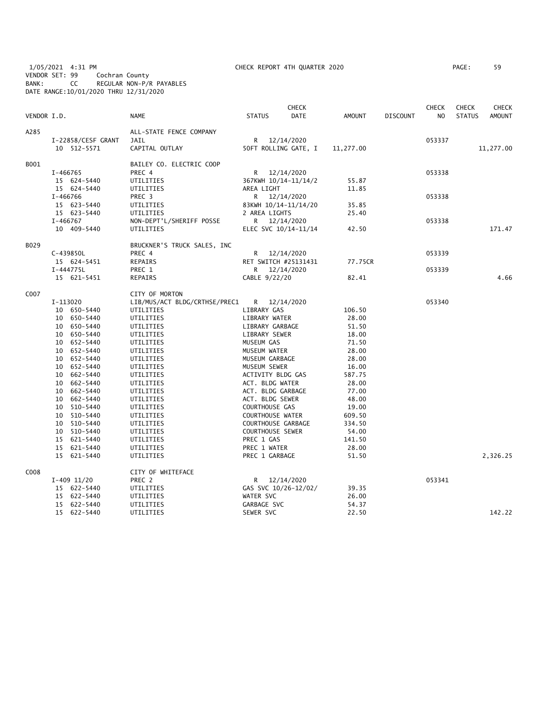1/05/2021 4:31 PM CHECK REPORT 4TH QUARTER 2020 PAGE: 59 VENDOR SET: 99 Cochran County BANK: CC REGULAR NON-P/R PAYABLES DATE RANGE:10/01/2020 THRU 12/31/2020

| PAGE : | 59 |
|--------|----|
|        |    |

| VENDOR I.D.      |                    | <b>NAME</b>                           | <b>STATUS</b> |                 | CHECK<br><b>DATE</b>                 | AMOUNT    | <b>DISCOUNT</b> | <b>CHECK</b><br>N <sub>O</sub> | <b>CHECK</b><br><b>STATUS</b> | <b>CHECK</b><br><b>AMOUNT</b> |
|------------------|--------------------|---------------------------------------|---------------|-----------------|--------------------------------------|-----------|-----------------|--------------------------------|-------------------------------|-------------------------------|
| A285             |                    | ALL-STATE FENCE COMPANY               |               |                 |                                      |           |                 |                                |                               |                               |
|                  | I-22858/CESF GRANT | <b>JAIL</b>                           |               |                 | R 12/14/2020                         |           |                 | 053337                         |                               |                               |
|                  | 10 512-5571        | CAPITAL OUTLAY                        |               |                 | 50FT ROLLING GATE, I                 | 11,277.00 |                 |                                |                               | 11,277.00                     |
| B001             |                    | BAILEY CO. ELECTRIC COOP              |               |                 |                                      |           |                 |                                |                               |                               |
|                  | I-466765           | PREC 4                                |               |                 | R 12/14/2020                         |           |                 | 053338                         |                               |                               |
|                  | 15 624-5440        | UTILITIES                             |               |                 | 367KWH 10/14-11/14/2                 | 55.87     |                 |                                |                               |                               |
|                  | 15 624-5440        | UTILITIES                             |               | AREA LIGHT      |                                      | 11.85     |                 |                                |                               |                               |
|                  | I-466766           | PREC 3                                |               |                 | R 12/14/2020                         |           |                 | 053338                         |                               |                               |
|                  | 15 623-5440        | UTILITIES                             |               |                 | 83KWH 10/14-11/14/20                 | 35.85     |                 |                                |                               |                               |
|                  | 15 623-5440        | UTILITIES                             |               | 2 AREA LIGHTS   |                                      | 25.40     |                 |                                |                               |                               |
|                  | I-466767           | NON-DEPT'L/SHERIFF POSSE              | R —           |                 | 12/14/2020                           |           |                 | 053338                         |                               |                               |
|                  | 10 409-5440        | UTILITIES                             |               |                 | ELEC SVC 10/14-11/14                 | 42.50     |                 |                                |                               | 171.47                        |
| B029             |                    |                                       |               |                 |                                      |           |                 |                                |                               |                               |
|                  | C-439850L          | BRUCKNER'S TRUCK SALES, INC<br>PREC 4 |               |                 |                                      |           |                 | 053339                         |                               |                               |
|                  | 15 624-5451        | REPAIRS                               |               |                 | R 12/14/2020<br>RET SWITCH #25131431 | 77.75CR   |                 |                                |                               |                               |
|                  | I-444775L          | PREC 1                                |               |                 | R 12/14/2020                         |           |                 | 053339                         |                               |                               |
|                  | 15 621-5451        | REPAIRS                               |               | CABLE 9/22/20   |                                      | 82.41     |                 |                                |                               | 4.66                          |
|                  |                    |                                       |               |                 |                                      |           |                 |                                |                               |                               |
| C <sub>007</sub> |                    | CITY OF MORTON                        |               |                 |                                      |           |                 |                                |                               |                               |
|                  | I-113020           | LIB/MUS/ACT BLDG/CRTHSE/PREC1         | R             |                 | 12/14/2020                           |           |                 | 053340                         |                               |                               |
|                  | 10 650-5440        | UTILITIES                             |               | LIBRARY GAS     |                                      | 106.50    |                 |                                |                               |                               |
|                  | 10 650-5440        | UTILITIES                             |               | LIBRARY WATER   |                                      | 28.00     |                 |                                |                               |                               |
|                  | 10 650-5440        | UTILITIES                             |               | LIBRARY GARBAGE |                                      | 51.50     |                 |                                |                               |                               |
|                  | 10 650-5440        | UTILITIES                             |               | LIBRARY SEWER   |                                      | 18.00     |                 |                                |                               |                               |
|                  | 10 652-5440        | UTILITIES                             |               | MUSEUM GAS      |                                      | 71.50     |                 |                                |                               |                               |
|                  | 10 652-5440        | UTILITIES                             |               | MUSEUM WATER    |                                      | 28.00     |                 |                                |                               |                               |
|                  | 10 652-5440        | UTILITIES                             |               | MUSEUM GARBAGE  |                                      | 28.00     |                 |                                |                               |                               |
|                  | 10 652-5440        | UTILITIES                             |               | MUSEUM SEWER    |                                      | 16.00     |                 |                                |                               |                               |
|                  | 10 662-5440        | UTILITIES                             |               |                 | ACTIVITY BLDG GAS                    | 587.75    |                 |                                |                               |                               |
|                  | 10 662-5440        | UTILITIES                             |               | ACT. BLDG WATER |                                      | 28.00     |                 |                                |                               |                               |
|                  | 10 662-5440        | UTILITIES                             |               |                 | ACT. BLDG GARBAGE                    | 77.00     |                 |                                |                               |                               |
|                  | 10 662-5440        | UTILITIES                             |               | ACT. BLDG SEWER |                                      | 48.00     |                 |                                |                               |                               |
|                  | 10 510-5440        | UTILITIES                             |               | COURTHOUSE GAS  |                                      | 19.00     |                 |                                |                               |                               |
|                  | 10 510-5440        | UTILITIES                             |               |                 | <b>COURTHOUSE WATER</b>              | 609.50    |                 |                                |                               |                               |
|                  | 10 510-5440        | UTILITIES                             |               |                 | COURTHOUSE GARBAGE                   | 334.50    |                 |                                |                               |                               |
|                  | 10 510-5440        | UTILITIES                             |               |                 | <b>COURTHOUSE SEWER</b>              | 54.00     |                 |                                |                               |                               |
|                  | 15 621-5440        | UTILITIES                             |               | PREC 1 GAS      |                                      | 141.50    |                 |                                |                               |                               |
|                  | 15 621-5440        | UTILITIES                             |               | PREC 1 WATER    |                                      | 28.00     |                 |                                |                               |                               |
|                  | 15 621-5440        | UTILITIES                             |               | PREC 1 GARBAGE  |                                      | 51.50     |                 |                                |                               | 2,326.25                      |
| C <sub>008</sub> |                    | CITY OF WHITEFACE                     |               |                 |                                      |           |                 |                                |                               |                               |
|                  | I-409 11/20        | PREC 2                                |               |                 | R 12/14/2020                         |           |                 | 053341                         |                               |                               |
|                  | 15 622-5440        | UTILITIES                             |               |                 | GAS SVC 10/26-12/02/                 | 39.35     |                 |                                |                               |                               |
|                  | 15 622-5440        | UTILITIES                             | WATER SVC     |                 |                                      | 26.00     |                 |                                |                               |                               |
|                  | 15 622-5440        | UTILITIES                             |               | GARBAGE SVC     |                                      | 54.37     |                 |                                |                               |                               |
|                  | 15 622-5440        | UTILITIES                             | SEWER SVC     |                 |                                      | 22.50     |                 |                                |                               | 142.22                        |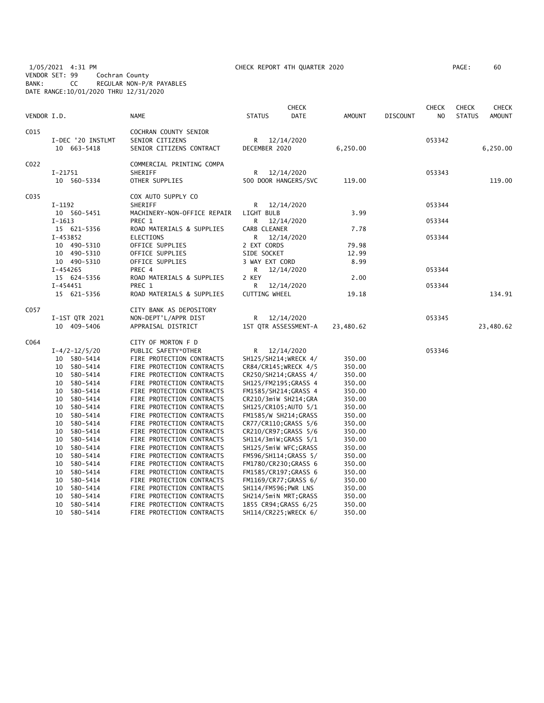1/05/2021 4:31 PM CHECK REPORT 4TH QUARTER 2020 PAGE: 60 VENDOR SET: 99 Cochran County BANK: CC REGULAR NON-P/R PAYABLES DATE RANGE:10/01/2020 THRU 12/31/2020

| PAGE : | 60 |
|--------|----|
|        |    |

| VENDOR I.D. |                                  | <b>NAME</b>                                                          | <b>STATUS</b>              | <b>CHECK</b><br><b>DATE</b>   | <b>AMOUNT</b>  | DISCOUNT | <b>CHECK</b><br>N <sub>O</sub> | <b>CHECK</b><br><b>STATUS</b> | <b>CHECK</b><br><b>AMOUNT</b> |
|-------------|----------------------------------|----------------------------------------------------------------------|----------------------------|-------------------------------|----------------|----------|--------------------------------|-------------------------------|-------------------------------|
| C015        | I-DEC '20 INSTLMT<br>10 663-5418 | COCHRAN COUNTY SENIOR<br>SENIOR CITIZENS<br>SENIOR CITIZENS CONTRACT |                            | R 12/14/2020<br>DECEMBER 2020 |                |          | 053342                         |                               | 6,250.00                      |
| C022        | I-21751<br>10 560-5334           | COMMERCIAL PRINTING COMPA<br>SHERIFF<br>OTHER SUPPLIES               | R<br>500 DOOR HANGERS/SVC  | 12/14/2020                    | 119.00         |          | 053343                         |                               | 119.00                        |
| C035        |                                  | COX AUTO SUPPLY CO                                                   |                            |                               |                |          |                                |                               |                               |
|             | I-1192<br>10 560-5451            | SHERIFF<br>MACHINERY-NON-OFFICE REPAIR                               | R<br>LIGHT BULB            | 12/14/2020                    | 3.99           |          | 053344                         |                               |                               |
|             | I-1613                           | PREC 1                                                               | R                          | 12/14/2020                    |                |          | 053344                         |                               |                               |
|             | 15 621-5356<br>I-453852          | ROAD MATERIALS & SUPPLIES<br>ELECTIONS                               | CARB CLEANER<br>R          | 12/14/2020                    | 7.78           |          | 053344                         |                               |                               |
|             | 10 490-5310<br>10 490-5310       | OFFICE SUPPLIES<br>OFFICE SUPPLIES                                   | 2 EXT CORDS<br>SIDE SOCKET |                               | 79.98<br>12.99 |          |                                |                               |                               |
|             | 10 490-5310                      | OFFICE SUPPLIES                                                      | 3 WAY EXT CORD             |                               | 8.99           |          |                                |                               |                               |
|             | I-454265                         | PREC 4                                                               | R                          | 12/14/2020                    |                |          | 053344                         |                               |                               |
|             | 15 624-5356                      | ROAD MATERIALS & SUPPLIES                                            | 2 KEY                      |                               | 2.00           |          |                                |                               |                               |
|             | $I-454451$                       | PREC 1                                                               | R                          | 12/14/2020                    |                |          | 053344                         |                               |                               |
|             | 15 621-5356                      | ROAD MATERIALS & SUPPLIES                                            | <b>CUTTING WHEEL</b>       |                               | 19.18          |          |                                |                               | 134.91                        |
| C057        |                                  | CITY BANK AS DEPOSITORY                                              |                            |                               |                |          |                                |                               |                               |
|             | I-1ST QTR 2021                   | NON-DEPT'L/APPR DIST                                                 | R                          | 12/14/2020                    |                |          | 053345                         |                               |                               |
|             | 10 409-5406                      | APPRAISAL DISTRICT                                                   | 1ST QTR ASSESSMENT-A       |                               | 23,480.62      |          |                                |                               | 23,480.62                     |
| C064        |                                  | CITY OF MORTON F D                                                   |                            |                               |                |          |                                |                               |                               |
|             | $I - 4/2 - 12/5/20$              | PUBLIC SAFETY*OTHER                                                  | R.                         | 12/14/2020                    |                |          | 053346                         |                               |                               |
|             | 10 580-5414                      | FIRE PROTECTION CONTRACTS                                            | SH125/SH214; WRECK 4/      |                               | 350.00         |          |                                |                               |                               |
|             | 10 580-5414                      | FIRE PROTECTION CONTRACTS                                            | CR84/CR145; WRECK 4/5      |                               | 350.00         |          |                                |                               |                               |
|             | 10 580-5414                      | FIRE PROTECTION CONTRACTS                                            | CR250/SH214; GRASS 4/      |                               | 350.00         |          |                                |                               |                               |
|             | 10 580-5414                      | FIRE PROTECTION CONTRACTS                                            | SH125/FM2195; GRASS 4      |                               | 350.00         |          |                                |                               |                               |
|             | 10 580-5414                      | FIRE PROTECTION CONTRACTS                                            | FM1585/SH214; GRASS 4      |                               | 350.00         |          |                                |                               |                               |
|             | 10 580-5414                      | FIRE PROTECTION CONTRACTS                                            | CR210/3miW SH214;GRA       |                               | 350.00         |          |                                |                               |                               |
|             | 10 580-5414                      | FIRE PROTECTION CONTRACTS                                            | SH125/CR105; AUTO 5/1      |                               | 350.00         |          |                                |                               |                               |
|             | 10 580-5414                      | FIRE PROTECTION CONTRACTS                                            | FM1585/W SH214; GRASS      |                               | 350.00         |          |                                |                               |                               |
|             | 10 580-5414                      | FIRE PROTECTION CONTRACTS                                            | CR77/CR110; GRASS 5/6      |                               | 350.00         |          |                                |                               |                               |
|             | 10 580-5414                      | FIRE PROTECTION CONTRACTS                                            | CR210/CR97; GRASS 5/6      |                               | 350.00         |          |                                |                               |                               |
|             | 10 580-5414                      | FIRE PROTECTION CONTRACTS                                            | SH114/3miW; GRASS 5/1      |                               | 350.00         |          |                                |                               |                               |
|             | 10 580-5414                      | FIRE PROTECTION CONTRACTS                                            | SH125/5miW WFC;GRASS       |                               | 350.00         |          |                                |                               |                               |
|             | 10 580-5414                      | FIRE PROTECTION CONTRACTS                                            | FM596/SH114; GRASS 5/      |                               | 350.00         |          |                                |                               |                               |
|             | 10 580-5414                      | FIRE PROTECTION CONTRACTS                                            | FM1780/CR230; GRASS 6      |                               | 350.00         |          |                                |                               |                               |
|             | 10 580-5414                      | FIRE PROTECTION CONTRACTS                                            | FM1585/CR197; GRASS 6      |                               | 350.00         |          |                                |                               |                               |
|             | 10 580-5414                      | FIRE PROTECTION CONTRACTS                                            | FM1169/CR77; GRASS 6/      |                               | 350.00         |          |                                |                               |                               |
|             | 10 580-5414                      | FIRE PROTECTION CONTRACTS                                            | SH114/FM596; PWR LNS       |                               | 350.00         |          |                                |                               |                               |
|             | 10 580-5414                      | FIRE PROTECTION CONTRACTS                                            | SH214/5miN MRT; GRASS      |                               | 350.00         |          |                                |                               |                               |
|             | 10 580-5414                      | FIRE PROTECTION CONTRACTS                                            | 1855 CR94; GRASS 6/25      |                               | 350.00         |          |                                |                               |                               |
|             | 10 580-5414                      | FIRE PROTECTION CONTRACTS                                            | SH114/CR225; WRECK 6/      |                               | 350.00         |          |                                |                               |                               |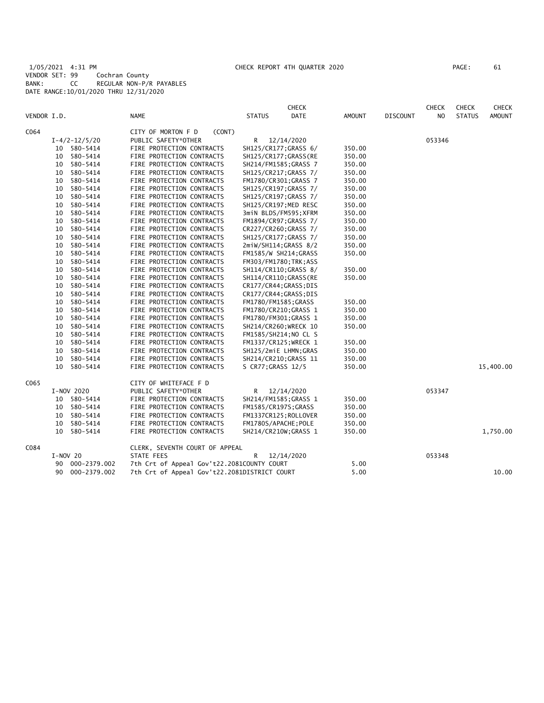1/05/2021 4:31 PM CHECK REPORT 4TH QUARTER 2020 PAGE: 61 VENDOR SET: 99 Cochran County BANK: CC REGULAR NON-P/R PAYABLES DATE RANGE:10/01/2020 THRU 12/31/2020

| PAGE : | 61 |
|--------|----|
|        |    |
|        |    |

|             |            |                     |                                              |                      | ${\sf CHECK}$          |        |                 | CHECK  | <b>CHECK</b>  | CHECK         |
|-------------|------------|---------------------|----------------------------------------------|----------------------|------------------------|--------|-----------------|--------|---------------|---------------|
| VENDOR I.D. |            |                     | <b>NAME</b>                                  | <b>STATUS</b>        | DATE                   | AMOUNT | <b>DISCOUNT</b> | NO     | <b>STATUS</b> | <b>AMOUNT</b> |
| C064        |            |                     | CITY OF MORTON F D<br>(CONT)                 |                      |                        |        |                 |        |               |               |
|             |            | $I - 4/2 - 12/5/20$ | PUBLIC SAFETY*OTHER                          | R                    | 12/14/2020             |        |                 | 053346 |               |               |
|             |            | 10 580-5414         | FIRE PROTECTION CONTRACTS                    |                      | SH125/CR177; GRASS 6/  | 350.00 |                 |        |               |               |
|             |            | 10 580-5414         | FIRE PROTECTION CONTRACTS                    |                      | SH125/CR177; GRASS (RE | 350.00 |                 |        |               |               |
|             | 10         | 580-5414            | FIRE PROTECTION CONTRACTS                    |                      | SH214/FM1585; GRASS 7  | 350.00 |                 |        |               |               |
|             | 10         | 580-5414            | FIRE PROTECTION CONTRACTS                    |                      | SH125/CR217; GRASS 7/  | 350.00 |                 |        |               |               |
|             | 10         | 580-5414            | FIRE PROTECTION CONTRACTS                    |                      | FM1780/CR301;GRASS 7   | 350.00 |                 |        |               |               |
|             | 10         | 580-5414            | FIRE PROTECTION CONTRACTS                    |                      | SH125/CR197; GRASS 7/  | 350.00 |                 |        |               |               |
|             | 10         | 580-5414            | FIRE PROTECTION CONTRACTS                    |                      | SH125/CR197; GRASS 7/  | 350.00 |                 |        |               |               |
|             | 10         | 580-5414            | FIRE PROTECTION CONTRACTS                    |                      | SH125/CR197;MED RESC   | 350.00 |                 |        |               |               |
|             | 10         | 580-5414            | FIRE PROTECTION CONTRACTS                    |                      | 3miN BLDS/FM595;XFRM   | 350.00 |                 |        |               |               |
|             | 10         | 580-5414            | FIRE PROTECTION CONTRACTS                    |                      | FM1894/CR97; GRASS 7/  | 350.00 |                 |        |               |               |
|             | 10         | 580-5414            | FIRE PROTECTION CONTRACTS                    |                      | CR227/CR260; GRASS 7/  | 350.00 |                 |        |               |               |
|             | 10         | 580-5414            | FIRE PROTECTION CONTRACTS                    |                      | SH125/CR177; GRASS 7/  | 350.00 |                 |        |               |               |
|             | 10         | 580-5414            | FIRE PROTECTION CONTRACTS                    |                      | 2miW/SH114;GRASS 8/2   | 350.00 |                 |        |               |               |
|             | 10         | 580-5414            | FIRE PROTECTION CONTRACTS                    |                      | FM1585/W SH214; GRASS  | 350.00 |                 |        |               |               |
|             | 10         | 580-5414            | FIRE PROTECTION CONTRACTS                    |                      | FM303/FM1780; TRK; ASS |        |                 |        |               |               |
|             | 10         | 580-5414            | FIRE PROTECTION CONTRACTS                    |                      | SH114/CR110; GRASS 8/  | 350.00 |                 |        |               |               |
|             | 10         | 580-5414            | FIRE PROTECTION CONTRACTS                    |                      | SH114/CR110;GRASS(RE   | 350.00 |                 |        |               |               |
|             | 10         | 580-5414            | FIRE PROTECTION CONTRACTS                    |                      | CR177/CR44; GRASS; DIS |        |                 |        |               |               |
|             | 10         | 580-5414            | FIRE PROTECTION CONTRACTS                    |                      | CR177/CR44; GRASS; DIS |        |                 |        |               |               |
|             | 10         | 580-5414            | FIRE PROTECTION CONTRACTS                    | FM1780/FM1585; GRASS |                        | 350.00 |                 |        |               |               |
|             | 10         | 580-5414            | FIRE PROTECTION CONTRACTS                    |                      | FM1780/CR210; GRASS 1  | 350.00 |                 |        |               |               |
|             | 10         | 580-5414            | FIRE PROTECTION CONTRACTS                    |                      | FM1780/FM301; GRASS 1  | 350.00 |                 |        |               |               |
|             | 10         | 580-5414            | FIRE PROTECTION CONTRACTS                    |                      | SH214/CR260; WRECK 10  | 350.00 |                 |        |               |               |
|             | 10         | 580-5414            | FIRE PROTECTION CONTRACTS                    |                      | FM1585/SH214;NO CL S   |        |                 |        |               |               |
|             | 10         | 580-5414            | FIRE PROTECTION CONTRACTS                    |                      | FM1337/CR125; WRECK 1  | 350.00 |                 |        |               |               |
|             | 10         | 580-5414            | FIRE PROTECTION CONTRACTS                    |                      | SH125/2miE LHMN; GRAS  | 350.00 |                 |        |               |               |
|             | 10         | 580-5414            | FIRE PROTECTION CONTRACTS                    |                      | SH214/CR210; GRASS 11  | 350.00 |                 |        |               |               |
|             |            | 10 580-5414         | FIRE PROTECTION CONTRACTS                    | S CR77; GRASS 12/5   |                        | 350.00 |                 |        |               | 15,400.00     |
| C065        |            |                     | CITY OF WHITEFACE F D                        |                      |                        |        |                 |        |               |               |
|             |            | I-NOV 2020          | PUBLIC SAFETY*OTHER                          | R                    | 12/14/2020             |        |                 | 053347 |               |               |
|             |            | 10 580-5414         | FIRE PROTECTION CONTRACTS                    |                      | SH214/FM1585; GRASS 1  | 350.00 |                 |        |               |               |
|             |            | 10 580-5414         | FIRE PROTECTION CONTRACTS                    | FM1585/CR197S; GRASS |                        | 350.00 |                 |        |               |               |
|             | 10         | 580-5414            | FIRE PROTECTION CONTRACTS                    |                      | FM1337CR125; ROLLOVER  | 350.00 |                 |        |               |               |
|             | 10         | 580-5414            | FIRE PROTECTION CONTRACTS                    | FM1780S/APACHE; POLE |                        | 350.00 |                 |        |               |               |
|             | 10         | 580-5414            | FIRE PROTECTION CONTRACTS                    |                      | SH214/CR210W; GRASS 1  | 350.00 |                 |        |               | 1,750.00      |
| C084        |            |                     | CLERK, SEVENTH COURT OF APPEAL               |                      |                        |        |                 |        |               |               |
|             | $I-NOV$ 20 |                     | STATE FEES                                   | R                    | 12/14/2020             |        |                 | 053348 |               |               |
|             | 90         | 000-2379.002        | 7th Crt of Appeal Gov't22.2081COUNTY COURT   |                      |                        | 5.00   |                 |        |               |               |
|             | 90         | 000-2379.002        | 7th Crt of Appeal Gov't22.2081DISTRICT COURT |                      |                        | 5.00   |                 |        |               | 10.00         |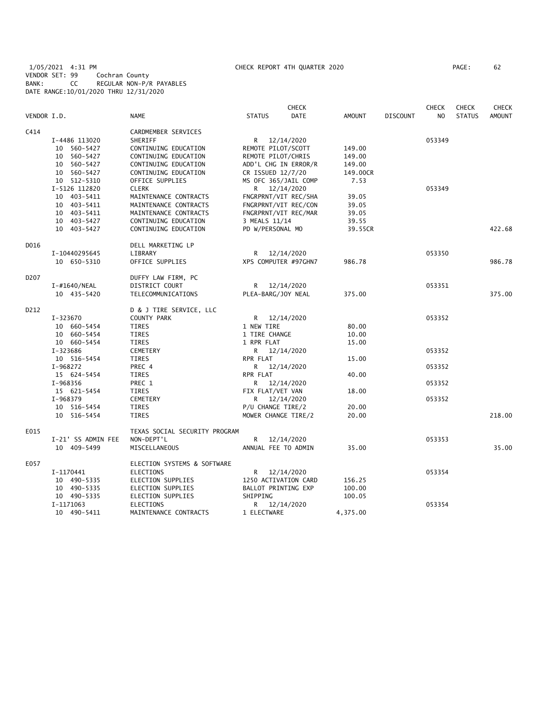1/05/2021 4:31 PM CHECK REPORT 4TH QUARTER 2020 PAGE: 62 VENDOR SET: 99 Cochran County BANK: CC REGULAR NON-P/R PAYABLES DATE RANGE:10/01/2020 THRU 12/31/2020

|             |                    |                               |                     | <b>CHECK</b>         |               |                 | <b>CHECK</b>   | <b>CHECK</b>  | <b>CHECK</b>  |
|-------------|--------------------|-------------------------------|---------------------|----------------------|---------------|-----------------|----------------|---------------|---------------|
| VENDOR I.D. |                    | <b>NAME</b>                   | <b>STATUS</b>       | <b>DATE</b>          | <b>AMOUNT</b> | <b>DISCOUNT</b> | N <sub>O</sub> | <b>STATUS</b> | <b>AMOUNT</b> |
| C414        |                    | CARDMEMBER SERVICES           |                     |                      |               |                 |                |               |               |
|             | I-4486 113020      | SHERIFF                       |                     | R 12/14/2020         |               |                 | 053349         |               |               |
|             | 10 560-5427        | CONTINUING EDUCATION          | REMOTE PILOT/SCOTT  |                      | 149.00        |                 |                |               |               |
|             | 10 560-5427        | CONTINUING EDUCATION          | REMOTE PILOT/CHRIS  |                      | 149.00        |                 |                |               |               |
|             | 10 560-5427        | CONTINUING EDUCATION          |                     | ADD'L CHG IN ERROR/R | 149.00        |                 |                |               |               |
|             | 10 560-5427        | CONTINUING EDUCATION          | CR ISSUED 12/7/20   |                      | 149.00CR      |                 |                |               |               |
|             | 10 512-5310        | OFFICE SUPPLIES               |                     | MS OFC 365/JAIL COMP | 7.53          |                 |                |               |               |
|             | I-5126 112820      | <b>CLERK</b>                  |                     | R 12/14/2020         |               |                 | 053349         |               |               |
|             | 10 403-5411        | MAINTENANCE CONTRACTS         |                     | FNGRPRNT/VIT REC/SHA | 39.05         |                 |                |               |               |
|             | 10 403-5411        | MAINTENANCE CONTRACTS         |                     | FNGRPRNT/VIT REC/CON | 39.05         |                 |                |               |               |
|             | 10 403-5411        | MAINTENANCE CONTRACTS         |                     | FNGRPRNT/VIT REC/MAR | 39.05         |                 |                |               |               |
|             | 10 403-5427        | CONTINUING EDUCATION          | 3 MEALS 11/14       |                      | 39.55         |                 |                |               |               |
|             | 10 403-5427        | CONTINUING EDUCATION          | PD W/PERSONAL MO    |                      | 39.55CR       |                 |                |               | 422.68        |
| D016        |                    | DELL MARKETING LP             |                     |                      |               |                 |                |               |               |
|             | I-10440295645      | LIBRARY                       |                     | R 12/14/2020         |               |                 | 053350         |               |               |
|             | 10 650-5310        | OFFICE SUPPLIES               |                     | XPS COMPUTER #97GHN7 | 986.78        |                 |                |               | 986.78        |
| D207        |                    | DUFFY LAW FIRM, PC            |                     |                      |               |                 |                |               |               |
|             | I-#1640/NEAL       | DISTRICT COURT                |                     | R 12/14/2020         |               |                 | 053351         |               |               |
|             | 10 435-5420        | TELECOMMUNICATIONS            | PLEA-BARG/JOY NEAL  |                      | 375.00        |                 |                |               | 375.00        |
| D212        |                    | D & J TIRE SERVICE, LLC       |                     |                      |               |                 |                |               |               |
|             | I-323670           | COUNTY PARK                   | R                   | 12/14/2020           |               |                 | 053352         |               |               |
|             | 10 660-5454        | TIRES                         | 1 NEW TIRE          |                      | 80.00         |                 |                |               |               |
|             | 10 660-5454        | <b>TIRES</b>                  | 1 TIRE CHANGE       |                      | 10.00         |                 |                |               |               |
|             | 10 660-5454        | TIRES                         | 1 RPR FLAT          |                      | 15.00         |                 |                |               |               |
|             | I-323686           | CEMETERY                      |                     | R 12/14/2020         |               |                 | 053352         |               |               |
|             | 10 516-5454        | TIRES                         | RPR FLAT            |                      | 15.00         |                 |                |               |               |
|             | I-968272           | PREC 4                        | R.                  | 12/14/2020           |               |                 | 053352         |               |               |
|             | 15 624-5454        | TIRES                         | RPR FLAT            |                      | 40.00         |                 |                |               |               |
|             | I-968356           | PREC 1                        |                     | R 12/14/2020         |               |                 | 053352         |               |               |
|             | 15 621-5454        | TIRES                         | FIX FLAT/VET VAN    |                      | 18.00         |                 |                |               |               |
|             | I-968379           | CEMETERY                      |                     | R 12/14/2020         |               |                 | 053352         |               |               |
|             | 10 516-5454        | TIRES                         | P/U CHANGE TIRE/2   |                      | 20.00         |                 |                |               |               |
|             | 10 516-5454        | <b>TIRES</b>                  | MOWER CHANGE TIRE/2 |                      | 20.00         |                 |                |               | 218.00        |
| E015        |                    | TEXAS SOCIAL SECURITY PROGRAM |                     |                      |               |                 |                |               |               |
|             | I-21' SS ADMIN FEE | NON-DEPT'L                    |                     | R 12/14/2020         |               |                 | 053353         |               |               |
|             | 10 409-5499        | MISCELLANEOUS                 | ANNUAL FEE TO ADMIN |                      | 35.00         |                 |                |               | 35.00         |
| E057        |                    | ELECTION SYSTEMS & SOFTWARE   |                     |                      |               |                 |                |               |               |
|             | I-1170441          | ELECTIONS                     | R                   | 12/14/2020           |               |                 | 053354         |               |               |
|             | 10 490-5335        | ELECTION SUPPLIES             |                     | 1250 ACTIVATION CARD | 156.25        |                 |                |               |               |
|             | 10 490-5335        | ELECTION SUPPLIES             | BALLOT PRINTING EXP |                      | 100.00        |                 |                |               |               |
|             | 10 490-5335        | ELECTION SUPPLIES             | SHIPPING            |                      | 100.05        |                 |                |               |               |
|             | I-1171063          | <b>ELECTIONS</b>              | R                   | 12/14/2020           |               |                 | 053354         |               |               |
|             | 10 490-5411        | MAINTENANCE CONTRACTS         | 1 ELECTWARE         |                      | 4,375.00      |                 |                |               |               |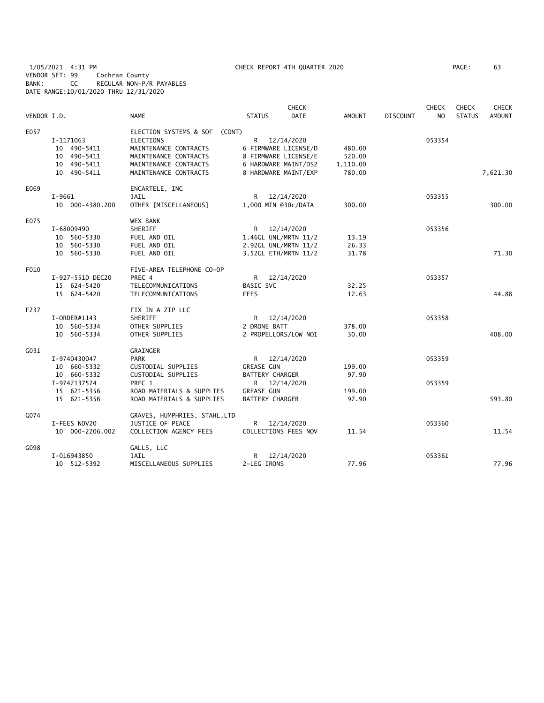1/05/2021 4:31 PM CHECK REPORT 4TH QUARTER 2020 PAGE: 63 VENDOR SET: 99 Cochran County BANK: CC REGULAR NON-P/R PAYABLES DATE RANGE:10/01/2020 THRU 12/31/2020

|             |                  |                                  |                        | <b>CHECK</b> |               |                 | <b>CHECK</b> | <b>CHECK</b>  | <b>CHECK</b>  |
|-------------|------------------|----------------------------------|------------------------|--------------|---------------|-----------------|--------------|---------------|---------------|
| VENDOR I.D. |                  | <b>NAME</b>                      | <b>STATUS</b>          | <b>DATE</b>  | <b>AMOUNT</b> | <b>DISCOUNT</b> | NO.          | <b>STATUS</b> | <b>AMOUNT</b> |
| E057        |                  | ELECTION SYSTEMS & SOF<br>(CONT) |                        |              |               |                 |              |               |               |
|             | I-1171063        | <b>ELECTIONS</b>                 | R                      | 12/14/2020   |               |                 | 053354       |               |               |
|             | 10 490-5411      | MAINTENANCE CONTRACTS            | 6 FIRMWARE LICENSE/D   |              | 480.00        |                 |              |               |               |
|             | 10 490-5411      | MAINTENANCE CONTRACTS            | 8 FIRMWARE LICENSE/E   |              | 520.00        |                 |              |               |               |
|             | 10 490-5411      | MAINTENANCE CONTRACTS            | 6 HARDWARE MAINT/DS2   |              | 1,110.00      |                 |              |               |               |
|             | 10 490-5411      | MAINTENANCE CONTRACTS            | 8 HARDWARE MAINT/EXP   |              | 780.00        |                 |              |               | 7,621.30      |
| E069        |                  | ENCARTELE, INC                   |                        |              |               |                 |              |               |               |
|             | I-9661           | JAIL                             | R                      | 12/14/2020   |               |                 | 053355       |               |               |
|             | 10 000-4380.200  | OTHER [MISCELLANEOUS]            | 1,000 MIN @30c/DATA    |              | 300.00        |                 |              |               | 300.00        |
| E075        |                  | WEX BANK                         |                        |              |               |                 |              |               |               |
|             | I-68009490       | SHERIFF                          | R 12/14/2020           |              |               |                 | 053356       |               |               |
|             | 10 560-5330      | FUEL AND OIL                     | 1.46GL UNL/MRTN 11/2   |              | 13.19         |                 |              |               |               |
|             | 10 560-5330      | FUEL AND OIL                     | 2.92GL UNL/MRTN 11/2   |              | 26.33         |                 |              |               |               |
|             | 10 560-5330      | FUEL AND OIL                     | 3.52GL ETH/MRTN 11/2   |              | 31.78         |                 |              |               | 71.30         |
| F010        |                  | FIVE-AREA TELEPHONE CO-OP        |                        |              |               |                 |              |               |               |
|             | I-927-5510 DEC20 | PREC 4                           | R.                     | 12/14/2020   |               |                 | 053357       |               |               |
|             | 15 624-5420      | TELECOMMUNICATIONS               | <b>BASIC SVC</b>       |              | 32.25         |                 |              |               |               |
|             | 15 624-5420      | TELECOMMUNICATIONS               | <b>FEES</b>            |              | 12.63         |                 |              |               | 44.88         |
| F237        |                  | FIX IN A ZIP LLC                 |                        |              |               |                 |              |               |               |
|             | I-ORDER#1143     | SHERIFF                          | R 12/14/2020           |              |               |                 | 053358       |               |               |
|             | 10 560-5334      | OTHER SUPPLIES                   | 2 DRONE BATT           |              | 378.00        |                 |              |               |               |
|             | 10 560-5334      | OTHER SUPPLIES                   | 2 PROPELLORS/LOW NOI   |              | 30.00         |                 |              |               | 408.00        |
| G031        |                  | GRAINGER                         |                        |              |               |                 |              |               |               |
|             | I-9740430047     | <b>PARK</b>                      | R 12/14/2020           |              |               |                 | 053359       |               |               |
|             | 10 660-5332      | CUSTODIAL SUPPLIES               | <b>GREASE GUN</b>      |              | 199.00        |                 |              |               |               |
|             | 10 660-5332      | CUSTODIAL SUPPLIES               | <b>BATTERY CHARGER</b> |              | 97.90         |                 |              |               |               |
|             | I-9742137574     | PREC 1                           | R                      | 12/14/2020   |               |                 | 053359       |               |               |
|             | 15 621-5356      | ROAD MATERIALS & SUPPLIES        | <b>GREASE GUN</b>      |              | 199.00        |                 |              |               |               |
|             | 15 621-5356      | ROAD MATERIALS & SUPPLIES        | <b>BATTERY CHARGER</b> |              | 97.90         |                 |              |               | 593.80        |
| G074        |                  | GRAVES, HUMPHRIES, STAHL, LTD    |                        |              |               |                 |              |               |               |
|             | I-FEES NOV20     | JUSTICE OF PEACE                 | R                      | 12/14/2020   |               |                 | 053360       |               |               |
|             | 10 000-2206.002  | COLLECTION AGENCY FEES           | COLLECTIONS FEES NOV   |              | 11.54         |                 |              |               | 11.54         |
| G098        |                  | GALLS, LLC                       |                        |              |               |                 |              |               |               |
|             | I-016943850      | JAIL                             | R                      | 12/14/2020   |               |                 | 053361       |               |               |
|             | 10 512-5392      | MISCELLANEOUS SUPPLIES           | 2-LEG IRONS            |              | 77.96         |                 |              |               | 77.96         |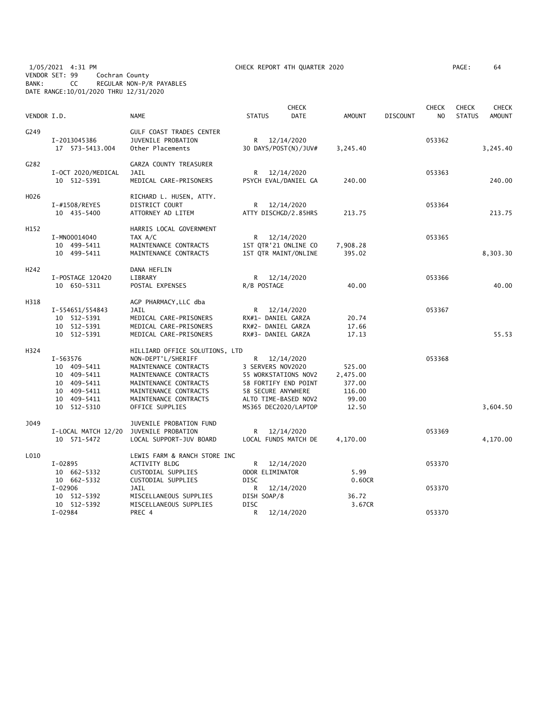1/05/2021 4:31 PM CHECK REPORT 4TH QUARTER 2020 PAGE: 64 VENDOR SET: 99 Cochran County BANK: CC REGULAR NON-P/R PAYABLES DATE RANGE:10/01/2020 THRU 12/31/2020

| PAGE : | 64 |
|--------|----|
|        |    |

| VENDOR I.D.      |                                                                                                    | <b>NAME</b>                                                                                                                                                                                          | <b>STATUS</b>                                                                                                                                | <b>CHECK</b><br><b>DATE</b> | <b>AMOUNT</b>                                            | <b>DISCOUNT</b> | <b>CHECK</b><br>NO | <b>CHECK</b><br><b>STATUS</b> | <b>CHECK</b><br>AMOUNT |
|------------------|----------------------------------------------------------------------------------------------------|------------------------------------------------------------------------------------------------------------------------------------------------------------------------------------------------------|----------------------------------------------------------------------------------------------------------------------------------------------|-----------------------------|----------------------------------------------------------|-----------------|--------------------|-------------------------------|------------------------|
| G249             | I-2013045386<br>17  573-5413.004                                                                   | <b>GULF COAST TRADES CENTER</b><br><b>JUVENILE PROBATION</b><br>Other Placements                                                                                                                     | R 12/14/2020                                                                                                                                 | 30 DAYS/POST(N)/JUV#        | 3,245.40                                                 |                 | 053362             |                               | 3,245.40               |
| G282             | I-OCT 2020/MEDICAL<br>10 512-5391                                                                  | GARZA COUNTY TREASURER<br>JAIL<br>MEDICAL CARE-PRISONERS                                                                                                                                             | R<br>PSYCH EVAL/DANIEL GA                                                                                                                    | 12/14/2020                  | 240.00                                                   |                 | 053363             |                               | 240.00                 |
| H026             | I-#1508/REYES<br>10 435-5400                                                                       | RICHARD L. HUSEN, ATTY.<br>DISTRICT COURT<br>ATTORNEY AD LITEM                                                                                                                                       | R<br>ATTY DISCHGD/2.85HRS                                                                                                                    | 12/14/2020                  | 213.75                                                   |                 | 053364             |                               | 213.75                 |
| H152             | I-MN00014040<br>10 499-5411<br>10 499-5411                                                         | HARRIS LOCAL GOVERNMENT<br>TAX A/C<br>MAINTENANCE CONTRACTS<br>MAINTENANCE CONTRACTS                                                                                                                 | R<br>1ST QTR'21 ONLINE CO<br>1ST QTR MAINT/ONLINE                                                                                            | 12/14/2020                  | 7,908.28<br>395.02                                       |                 | 053365             |                               | 8,303.30               |
| H <sub>242</sub> | I-POSTAGE 120420<br>10 650-5311                                                                    | DANA HEFLIN<br>LIBRARY<br>POSTAL EXPENSES                                                                                                                                                            | R 12/14/2020<br>R/B POSTAGE                                                                                                                  |                             | 40.00                                                    |                 | 053366             |                               | 40.00                  |
| H318             | I-554651/554843<br>10 512-5391<br>10 512-5391<br>10 512-5391                                       | AGP PHARMACY, LLC dba<br>JAIL<br>MEDICAL CARE-PRISONERS<br>MEDICAL CARE-PRISONERS<br>MEDICAL CARE-PRISONERS                                                                                          | R<br>RX#1- DANIEL GARZA<br>RX#2- DANIEL GARZA<br>RX#3- DANIEL GARZA                                                                          | 12/14/2020                  | 20.74<br>17.66<br>17.13                                  |                 | 053367             |                               | 55.53                  |
| H324             | I-563576<br>10 409-5411<br>10 409-5411<br>10 409-5411<br>10 409-5411<br>10 409-5411<br>10 512-5310 | HILLIARD OFFICE SOLUTIONS, LTD<br>NON-DEPT'L/SHERIFF<br>MAINTENANCE CONTRACTS<br>MAINTENANCE CONTRACTS<br>MAINTENANCE CONTRACTS<br>MAINTENANCE CONTRACTS<br>MAINTENANCE CONTRACTS<br>OFFICE SUPPLIES | R<br>3 SERVERS NOV2020<br>55 WORKSTATIONS NOV2<br>58 FORTIFY END POINT<br>58 SECURE ANYWHERE<br>ALTO TIME-BASED NOV2<br>MS365 DEC2020/LAPTOP | 12/14/2020                  | 525.00<br>2,475.00<br>377.00<br>116.00<br>99.00<br>12.50 |                 | 053368             |                               | 3,604.50               |
| J049             | I-LOCAL MATCH 12/20<br>10 571-5472                                                                 | JUVENILE PROBATION FUND<br>JUVENILE PROBATION<br>LOCAL SUPPORT-JUV BOARD                                                                                                                             | R<br>LOCAL FUNDS MATCH DE                                                                                                                    | 12/14/2020                  | 4,170.00                                                 |                 | 053369             |                               | 4,170.00               |
| L010             | $I-02895$<br>10 662-5332<br>10 662-5332                                                            | LEWIS FARM & RANCH STORE INC<br>ACTIVITY BLDG<br>CUSTODIAL SUPPLIES<br>CUSTODIAL SUPPLIES                                                                                                            | R<br>ODOR ELIMINATOR<br><b>DISC</b>                                                                                                          | 12/14/2020                  | 5.99<br>0.60CR                                           |                 | 053370             |                               |                        |
|                  | $I-02906$<br>10 512-5392<br>10 512-5392<br>$I-02984$                                               | <b>JAIL</b><br>MISCELLANEOUS SUPPLIES<br>MISCELLANEOUS SUPPLIES<br>PREC 4                                                                                                                            | R<br>DISH SOAP/8<br><b>DISC</b><br>R                                                                                                         | 12/14/2020<br>12/14/2020    | 36.72<br>3.67CR                                          |                 | 053370<br>053370   |                               |                        |
|                  |                                                                                                    |                                                                                                                                                                                                      |                                                                                                                                              |                             |                                                          |                 |                    |                               |                        |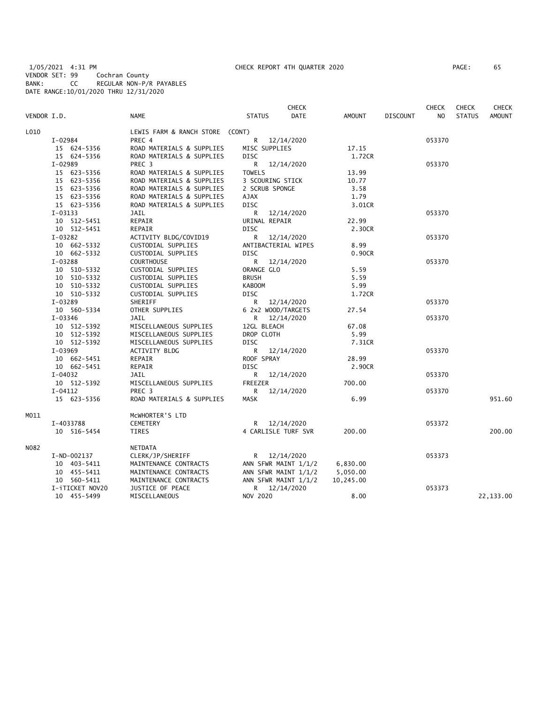1/05/2021 4:31 PM CHECK REPORT 4TH QUARTER 2020 PAGE: 65 VENDOR SET: 99 Cochran County BANK: CC REGULAR NON-P/R PAYABLES DATE RANGE:10/01/2020 THRU 12/31/2020

| PAGE : | 65 |  |
|--------|----|--|
|        |    |  |

|             |                 |                                 | <b>CHECK</b>                 |               |                 | <b>CHECK</b>   | <b>CHECK</b>  | CHECK         |
|-------------|-----------------|---------------------------------|------------------------------|---------------|-----------------|----------------|---------------|---------------|
| VENDOR I.D. |                 | <b>NAME</b>                     | <b>DATE</b><br><b>STATUS</b> | <b>AMOUNT</b> | <b>DISCOUNT</b> | N <sub>O</sub> | <b>STATUS</b> | <b>AMOUNT</b> |
| L010        |                 | LEWIS FARM & RANCH STORE (CONT) |                              |               |                 |                |               |               |
|             | I-02984         | PREC 4                          | R<br>12/14/2020              |               |                 | 053370         |               |               |
|             | 15 624-5356     | ROAD MATERIALS & SUPPLIES       | MISC SUPPLIES                | 17.15         |                 |                |               |               |
|             | 15 624-5356     | ROAD MATERIALS & SUPPLIES       | <b>DISC</b>                  | 1.72CR        |                 |                |               |               |
|             | $I-02989$       | PREC <sub>3</sub>               | R<br>12/14/2020              |               |                 | 053370         |               |               |
|             | 15 623-5356     | ROAD MATERIALS & SUPPLIES       | <b>TOWELS</b>                | 13.99         |                 |                |               |               |
|             | 15 623-5356     | ROAD MATERIALS & SUPPLIES       | 3 SCOURING STICK             | 10.77         |                 |                |               |               |
|             | 15 623-5356     | ROAD MATERIALS & SUPPLIES       | 2 SCRUB SPONGE               | 3.58          |                 |                |               |               |
|             | 15 623-5356     | ROAD MATERIALS & SUPPLIES       | <b>AJAX</b>                  | 1.79          |                 |                |               |               |
|             | 15 623-5356     | ROAD MATERIALS & SUPPLIES       | <b>DISC</b>                  | 3.01CR        |                 |                |               |               |
|             | $I-03133$       | JAIL                            | R<br>12/14/2020              |               |                 | 053370         |               |               |
|             | 10 512-5451     | REPAIR                          | URINAL REPAIR                | 22.99         |                 |                |               |               |
|             | 10 512-5451     | REPAIR                          | <b>DISC</b>                  | 2.30CR        |                 |                |               |               |
|             | $I-03282$       | ACTIVITY BLDG/COVID19           | R<br>12/14/2020              |               |                 | 053370         |               |               |
|             | 10 662-5332     | CUSTODIAL SUPPLIES              | ANTIBACTERIAL WIPES          | 8.99          |                 |                |               |               |
|             | 10 662-5332     | CUSTODIAL SUPPLIES              | <b>DISC</b>                  | 0.90CR        |                 |                |               |               |
|             | $I-03288$       | <b>COURTHOUSE</b>               | R<br>12/14/2020              |               |                 | 053370         |               |               |
|             | 10 510-5332     | CUSTODIAL SUPPLIES              | ORANGE GLO                   | 5.59          |                 |                |               |               |
|             | 10 510-5332     | CUSTODIAL SUPPLIES              | <b>BRUSH</b>                 | 5.59          |                 |                |               |               |
|             | 10 510-5332     | CUSTODIAL SUPPLIES              | <b>KABOOM</b>                | 5.99          |                 |                |               |               |
|             | 10 510-5332     | CUSTODIAL SUPPLIES              | DISC                         | 1.72CR        |                 |                |               |               |
|             | I-03289         | SHERIFF                         | R<br>12/14/2020              |               |                 | 053370         |               |               |
|             | 10 560-5334     | OTHER SUPPLIES                  | 6 2x2 WOOD/TARGETS           | 27.54         |                 |                |               |               |
|             | $I - 03346$     | JAIL                            | R<br>12/14/2020              |               |                 | 053370         |               |               |
|             | 10 512-5392     | MISCELLANEOUS SUPPLIES          | 12GL BLEACH                  | 67.08         |                 |                |               |               |
|             | 10 512-5392     | MISCELLANEOUS SUPPLIES          | DROP CLOTH                   | 5.99          |                 |                |               |               |
|             | 10 512-5392     | MISCELLANEOUS SUPPLIES          | <b>DISC</b>                  | 7.31CR        |                 |                |               |               |
|             | I-03969         | ACTIVITY BLDG                   | R<br>12/14/2020              |               |                 | 053370         |               |               |
|             | 10 662-5451     | REPAIR                          | ROOF SPRAY                   | 28.99         |                 |                |               |               |
|             | 10 662-5451     | REPAIR                          | <b>DISC</b>                  | 2.90CR        |                 |                |               |               |
|             | $I - 04032$     | JAIL                            | R<br>12/14/2020              |               |                 | 053370         |               |               |
|             | 10 512-5392     | MISCELLANEOUS SUPPLIES          | <b>FREEZER</b>               | 700.00        |                 |                |               |               |
|             | $I - 04112$     | PREC 3                          | R<br>12/14/2020              |               |                 | 053370         |               |               |
|             | 15 623-5356     | ROAD MATERIALS & SUPPLIES       | MASK                         | 6.99          |                 |                |               | 951.60        |
| M011        |                 | MCWHORTER'S LTD                 |                              |               |                 |                |               |               |
|             | I-4033788       | CEMETERY                        | R 12/14/2020                 |               |                 | 053372         |               |               |
|             | 10 516-5454     | TIRES                           | 4 CARLISLE TURF SVR          | 200.00        |                 |                |               | 200.00        |
| N082        |                 | NETDATA                         |                              |               |                 |                |               |               |
|             | I-ND-002137     | CLERK/JP/SHERIFF                | R 12/14/2020                 |               |                 | 053373         |               |               |
|             | 10 403-5411     | MAINTENANCE CONTRACTS           | ANN SFWR MAINT 1/1/2         | 6,830.00      |                 |                |               |               |
|             | 10 455-5411     | MAINTENANCE CONTRACTS           | ANN SFWR MAINT 1/1/2         | 5,050.00      |                 |                |               |               |
|             | 10 560-5411     | MAINTENANCE CONTRACTS           | ANN SFWR MAINT 1/1/2         | 10,245.00     |                 |                |               |               |
|             | I-iTICKET NOV20 | JUSTICE OF PEACE                | R 12/14/2020                 |               |                 | 053373         |               |               |
|             | 10 455-5499     | MISCELLANEOUS                   | NOV 2020                     | 8.00          |                 |                |               | 22,133.00     |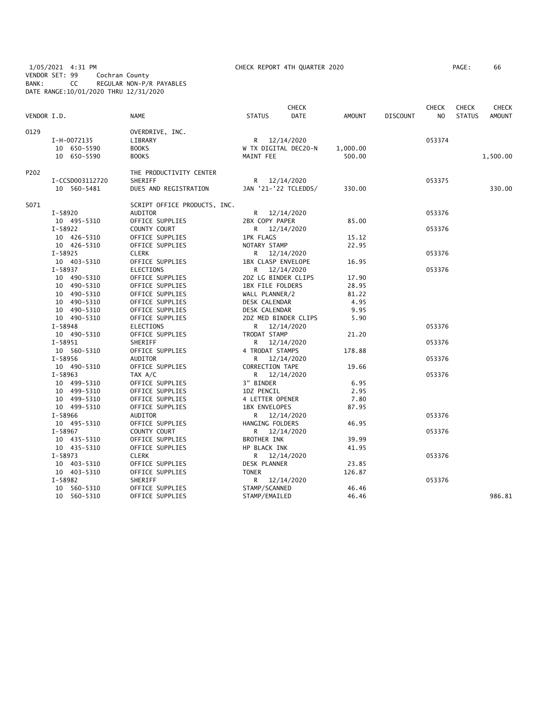1/05/2021 4:31 PM CHECK REPORT 4TH QUARTER 2020 PAGE: 66 VENDOR SET: 99 Cochran County BANK: CC REGULAR NON-P/R PAYABLES DATE RANGE:10/01/2020 THRU 12/31/2020

| PAGE : | 66 |  |
|--------|----|--|
|        |    |  |

| <b>DATE</b><br><b>NAME</b><br><b>STATUS</b><br><b>AMOUNT</b><br><b>DISCOUNT</b><br>N <sub>O</sub><br><b>STATUS</b><br><b>AMOUNT</b><br>0129<br>OVERDRIVE, INC.<br>I-H-0072135<br>LIBRARY<br>R<br>12/14/2020<br>053374<br>10 650-5590<br><b>BOOKS</b><br>W TX DIGITAL DEC20-N<br>1,000.00<br>10 650-5590<br><b>BOOKS</b><br>MAINT FEE<br>500.00<br>1,500.00<br>P202<br>THE PRODUCTIVITY CENTER<br>SHERIFF<br>I-CCSD003112720<br>R 12/14/2020<br>053375<br>330.00<br>10 560-5481<br>DUES AND REGISTRATION<br>JAN '21-'22 TCLEDDS/<br>330.00<br>S071<br>SCRIPT OFFICE PRODUCTS, INC.<br>$I - 58920$<br>AUDITOR<br>R 12/14/2020<br>053376<br>OFFICE SUPPLIES<br>2BX COPY PAPER<br>85.00<br>10 495-5310<br>$I - 58922$<br>COUNTY COURT<br>R 12/14/2020<br>053376<br>10 426-5310<br>OFFICE SUPPLIES<br><b>1PK FLAGS</b><br>15.12<br>10 426-5310<br>OFFICE SUPPLIES<br>NOTARY STAMP<br>22.95<br>$I - 58925$<br><b>CLERK</b><br>053376<br>R 12/14/2020<br>10 403-5310<br>OFFICE SUPPLIES<br>1BX CLASP ENVELOPE<br>16.95<br>$I-58937$<br><b>ELECTIONS</b><br>12/14/2020<br>053376<br>R.<br>10 490-5310<br>OFFICE SUPPLIES<br>2DZ LG BINDER CLIPS<br>17.90<br>10 490-5310<br>OFFICE SUPPLIES<br>1BX FILE FOLDERS<br>28.95<br>10 490-5310<br>OFFICE SUPPLIES<br>WALL PLANNER/2<br>81.22<br>10 490-5310<br>OFFICE SUPPLIES<br>DESK CALENDAR<br>4.95<br>10 490-5310<br>OFFICE SUPPLIES<br>DESK CALENDAR<br>9.95<br>10 490-5310<br>OFFICE SUPPLIES<br>2DZ MED BINDER CLIPS<br>5.90<br>I-58948<br>053376<br><b>ELECTIONS</b><br>R 12/14/2020<br>10 490-5310<br>OFFICE SUPPLIES<br>TRODAT STAMP<br>21.20<br>$I-58951$<br>SHERIFF<br>12/14/2020<br>053376<br>R.<br>10 560-5310<br>OFFICE SUPPLIES<br>178.88<br>4 TRODAT STAMPS<br>$I-58956$<br>AUDITOR<br>12/14/2020<br>053376<br>R.<br>10 490-5310<br>OFFICE SUPPLIES<br>CORRECTION TAPE<br>19.66<br>$I - 58963$<br>TAX A/C<br>R 12/14/2020<br>053376<br>10 499-5310<br>OFFICE SUPPLIES<br>3" BINDER<br>6.95<br>10 499-5310<br>1DZ PENCIL<br>2.95<br>OFFICE SUPPLIES<br>7.80<br>10 499-5310<br>OFFICE SUPPLIES<br>4 LETTER OPENER<br>87.95<br>10 499-5310<br>OFFICE SUPPLIES<br>1BX ENVELOPES<br>I-58966<br>AUDITOR<br>R 12/14/2020<br>053376<br>OFFICE SUPPLIES<br>10 495-5310<br>HANGING FOLDERS<br>46.95<br>I-58967<br>COUNTY COURT<br>12/14/2020<br>053376<br>R. | VENDOR I.D. |
|------------------------------------------------------------------------------------------------------------------------------------------------------------------------------------------------------------------------------------------------------------------------------------------------------------------------------------------------------------------------------------------------------------------------------------------------------------------------------------------------------------------------------------------------------------------------------------------------------------------------------------------------------------------------------------------------------------------------------------------------------------------------------------------------------------------------------------------------------------------------------------------------------------------------------------------------------------------------------------------------------------------------------------------------------------------------------------------------------------------------------------------------------------------------------------------------------------------------------------------------------------------------------------------------------------------------------------------------------------------------------------------------------------------------------------------------------------------------------------------------------------------------------------------------------------------------------------------------------------------------------------------------------------------------------------------------------------------------------------------------------------------------------------------------------------------------------------------------------------------------------------------------------------------------------------------------------------------------------------------------------------------------------------------------------------------------------------------------------------------------------------------------------------------------------------------------------------------------------------------------------------------------------------------------------|-------------|
|                                                                                                                                                                                                                                                                                                                                                                                                                                                                                                                                                                                                                                                                                                                                                                                                                                                                                                                                                                                                                                                                                                                                                                                                                                                                                                                                                                                                                                                                                                                                                                                                                                                                                                                                                                                                                                                                                                                                                                                                                                                                                                                                                                                                                                                                                                      |             |
|                                                                                                                                                                                                                                                                                                                                                                                                                                                                                                                                                                                                                                                                                                                                                                                                                                                                                                                                                                                                                                                                                                                                                                                                                                                                                                                                                                                                                                                                                                                                                                                                                                                                                                                                                                                                                                                                                                                                                                                                                                                                                                                                                                                                                                                                                                      |             |
|                                                                                                                                                                                                                                                                                                                                                                                                                                                                                                                                                                                                                                                                                                                                                                                                                                                                                                                                                                                                                                                                                                                                                                                                                                                                                                                                                                                                                                                                                                                                                                                                                                                                                                                                                                                                                                                                                                                                                                                                                                                                                                                                                                                                                                                                                                      |             |
|                                                                                                                                                                                                                                                                                                                                                                                                                                                                                                                                                                                                                                                                                                                                                                                                                                                                                                                                                                                                                                                                                                                                                                                                                                                                                                                                                                                                                                                                                                                                                                                                                                                                                                                                                                                                                                                                                                                                                                                                                                                                                                                                                                                                                                                                                                      |             |
|                                                                                                                                                                                                                                                                                                                                                                                                                                                                                                                                                                                                                                                                                                                                                                                                                                                                                                                                                                                                                                                                                                                                                                                                                                                                                                                                                                                                                                                                                                                                                                                                                                                                                                                                                                                                                                                                                                                                                                                                                                                                                                                                                                                                                                                                                                      |             |
|                                                                                                                                                                                                                                                                                                                                                                                                                                                                                                                                                                                                                                                                                                                                                                                                                                                                                                                                                                                                                                                                                                                                                                                                                                                                                                                                                                                                                                                                                                                                                                                                                                                                                                                                                                                                                                                                                                                                                                                                                                                                                                                                                                                                                                                                                                      |             |
|                                                                                                                                                                                                                                                                                                                                                                                                                                                                                                                                                                                                                                                                                                                                                                                                                                                                                                                                                                                                                                                                                                                                                                                                                                                                                                                                                                                                                                                                                                                                                                                                                                                                                                                                                                                                                                                                                                                                                                                                                                                                                                                                                                                                                                                                                                      |             |
|                                                                                                                                                                                                                                                                                                                                                                                                                                                                                                                                                                                                                                                                                                                                                                                                                                                                                                                                                                                                                                                                                                                                                                                                                                                                                                                                                                                                                                                                                                                                                                                                                                                                                                                                                                                                                                                                                                                                                                                                                                                                                                                                                                                                                                                                                                      |             |
|                                                                                                                                                                                                                                                                                                                                                                                                                                                                                                                                                                                                                                                                                                                                                                                                                                                                                                                                                                                                                                                                                                                                                                                                                                                                                                                                                                                                                                                                                                                                                                                                                                                                                                                                                                                                                                                                                                                                                                                                                                                                                                                                                                                                                                                                                                      |             |
|                                                                                                                                                                                                                                                                                                                                                                                                                                                                                                                                                                                                                                                                                                                                                                                                                                                                                                                                                                                                                                                                                                                                                                                                                                                                                                                                                                                                                                                                                                                                                                                                                                                                                                                                                                                                                                                                                                                                                                                                                                                                                                                                                                                                                                                                                                      |             |
|                                                                                                                                                                                                                                                                                                                                                                                                                                                                                                                                                                                                                                                                                                                                                                                                                                                                                                                                                                                                                                                                                                                                                                                                                                                                                                                                                                                                                                                                                                                                                                                                                                                                                                                                                                                                                                                                                                                                                                                                                                                                                                                                                                                                                                                                                                      |             |
|                                                                                                                                                                                                                                                                                                                                                                                                                                                                                                                                                                                                                                                                                                                                                                                                                                                                                                                                                                                                                                                                                                                                                                                                                                                                                                                                                                                                                                                                                                                                                                                                                                                                                                                                                                                                                                                                                                                                                                                                                                                                                                                                                                                                                                                                                                      |             |
|                                                                                                                                                                                                                                                                                                                                                                                                                                                                                                                                                                                                                                                                                                                                                                                                                                                                                                                                                                                                                                                                                                                                                                                                                                                                                                                                                                                                                                                                                                                                                                                                                                                                                                                                                                                                                                                                                                                                                                                                                                                                                                                                                                                                                                                                                                      |             |
|                                                                                                                                                                                                                                                                                                                                                                                                                                                                                                                                                                                                                                                                                                                                                                                                                                                                                                                                                                                                                                                                                                                                                                                                                                                                                                                                                                                                                                                                                                                                                                                                                                                                                                                                                                                                                                                                                                                                                                                                                                                                                                                                                                                                                                                                                                      |             |
|                                                                                                                                                                                                                                                                                                                                                                                                                                                                                                                                                                                                                                                                                                                                                                                                                                                                                                                                                                                                                                                                                                                                                                                                                                                                                                                                                                                                                                                                                                                                                                                                                                                                                                                                                                                                                                                                                                                                                                                                                                                                                                                                                                                                                                                                                                      |             |
|                                                                                                                                                                                                                                                                                                                                                                                                                                                                                                                                                                                                                                                                                                                                                                                                                                                                                                                                                                                                                                                                                                                                                                                                                                                                                                                                                                                                                                                                                                                                                                                                                                                                                                                                                                                                                                                                                                                                                                                                                                                                                                                                                                                                                                                                                                      |             |
|                                                                                                                                                                                                                                                                                                                                                                                                                                                                                                                                                                                                                                                                                                                                                                                                                                                                                                                                                                                                                                                                                                                                                                                                                                                                                                                                                                                                                                                                                                                                                                                                                                                                                                                                                                                                                                                                                                                                                                                                                                                                                                                                                                                                                                                                                                      |             |
|                                                                                                                                                                                                                                                                                                                                                                                                                                                                                                                                                                                                                                                                                                                                                                                                                                                                                                                                                                                                                                                                                                                                                                                                                                                                                                                                                                                                                                                                                                                                                                                                                                                                                                                                                                                                                                                                                                                                                                                                                                                                                                                                                                                                                                                                                                      |             |
|                                                                                                                                                                                                                                                                                                                                                                                                                                                                                                                                                                                                                                                                                                                                                                                                                                                                                                                                                                                                                                                                                                                                                                                                                                                                                                                                                                                                                                                                                                                                                                                                                                                                                                                                                                                                                                                                                                                                                                                                                                                                                                                                                                                                                                                                                                      |             |
|                                                                                                                                                                                                                                                                                                                                                                                                                                                                                                                                                                                                                                                                                                                                                                                                                                                                                                                                                                                                                                                                                                                                                                                                                                                                                                                                                                                                                                                                                                                                                                                                                                                                                                                                                                                                                                                                                                                                                                                                                                                                                                                                                                                                                                                                                                      |             |
|                                                                                                                                                                                                                                                                                                                                                                                                                                                                                                                                                                                                                                                                                                                                                                                                                                                                                                                                                                                                                                                                                                                                                                                                                                                                                                                                                                                                                                                                                                                                                                                                                                                                                                                                                                                                                                                                                                                                                                                                                                                                                                                                                                                                                                                                                                      |             |
|                                                                                                                                                                                                                                                                                                                                                                                                                                                                                                                                                                                                                                                                                                                                                                                                                                                                                                                                                                                                                                                                                                                                                                                                                                                                                                                                                                                                                                                                                                                                                                                                                                                                                                                                                                                                                                                                                                                                                                                                                                                                                                                                                                                                                                                                                                      |             |
|                                                                                                                                                                                                                                                                                                                                                                                                                                                                                                                                                                                                                                                                                                                                                                                                                                                                                                                                                                                                                                                                                                                                                                                                                                                                                                                                                                                                                                                                                                                                                                                                                                                                                                                                                                                                                                                                                                                                                                                                                                                                                                                                                                                                                                                                                                      |             |
|                                                                                                                                                                                                                                                                                                                                                                                                                                                                                                                                                                                                                                                                                                                                                                                                                                                                                                                                                                                                                                                                                                                                                                                                                                                                                                                                                                                                                                                                                                                                                                                                                                                                                                                                                                                                                                                                                                                                                                                                                                                                                                                                                                                                                                                                                                      |             |
|                                                                                                                                                                                                                                                                                                                                                                                                                                                                                                                                                                                                                                                                                                                                                                                                                                                                                                                                                                                                                                                                                                                                                                                                                                                                                                                                                                                                                                                                                                                                                                                                                                                                                                                                                                                                                                                                                                                                                                                                                                                                                                                                                                                                                                                                                                      |             |
|                                                                                                                                                                                                                                                                                                                                                                                                                                                                                                                                                                                                                                                                                                                                                                                                                                                                                                                                                                                                                                                                                                                                                                                                                                                                                                                                                                                                                                                                                                                                                                                                                                                                                                                                                                                                                                                                                                                                                                                                                                                                                                                                                                                                                                                                                                      |             |
|                                                                                                                                                                                                                                                                                                                                                                                                                                                                                                                                                                                                                                                                                                                                                                                                                                                                                                                                                                                                                                                                                                                                                                                                                                                                                                                                                                                                                                                                                                                                                                                                                                                                                                                                                                                                                                                                                                                                                                                                                                                                                                                                                                                                                                                                                                      |             |
|                                                                                                                                                                                                                                                                                                                                                                                                                                                                                                                                                                                                                                                                                                                                                                                                                                                                                                                                                                                                                                                                                                                                                                                                                                                                                                                                                                                                                                                                                                                                                                                                                                                                                                                                                                                                                                                                                                                                                                                                                                                                                                                                                                                                                                                                                                      |             |
|                                                                                                                                                                                                                                                                                                                                                                                                                                                                                                                                                                                                                                                                                                                                                                                                                                                                                                                                                                                                                                                                                                                                                                                                                                                                                                                                                                                                                                                                                                                                                                                                                                                                                                                                                                                                                                                                                                                                                                                                                                                                                                                                                                                                                                                                                                      |             |
|                                                                                                                                                                                                                                                                                                                                                                                                                                                                                                                                                                                                                                                                                                                                                                                                                                                                                                                                                                                                                                                                                                                                                                                                                                                                                                                                                                                                                                                                                                                                                                                                                                                                                                                                                                                                                                                                                                                                                                                                                                                                                                                                                                                                                                                                                                      |             |
|                                                                                                                                                                                                                                                                                                                                                                                                                                                                                                                                                                                                                                                                                                                                                                                                                                                                                                                                                                                                                                                                                                                                                                                                                                                                                                                                                                                                                                                                                                                                                                                                                                                                                                                                                                                                                                                                                                                                                                                                                                                                                                                                                                                                                                                                                                      |             |
|                                                                                                                                                                                                                                                                                                                                                                                                                                                                                                                                                                                                                                                                                                                                                                                                                                                                                                                                                                                                                                                                                                                                                                                                                                                                                                                                                                                                                                                                                                                                                                                                                                                                                                                                                                                                                                                                                                                                                                                                                                                                                                                                                                                                                                                                                                      |             |
|                                                                                                                                                                                                                                                                                                                                                                                                                                                                                                                                                                                                                                                                                                                                                                                                                                                                                                                                                                                                                                                                                                                                                                                                                                                                                                                                                                                                                                                                                                                                                                                                                                                                                                                                                                                                                                                                                                                                                                                                                                                                                                                                                                                                                                                                                                      |             |
|                                                                                                                                                                                                                                                                                                                                                                                                                                                                                                                                                                                                                                                                                                                                                                                                                                                                                                                                                                                                                                                                                                                                                                                                                                                                                                                                                                                                                                                                                                                                                                                                                                                                                                                                                                                                                                                                                                                                                                                                                                                                                                                                                                                                                                                                                                      |             |
|                                                                                                                                                                                                                                                                                                                                                                                                                                                                                                                                                                                                                                                                                                                                                                                                                                                                                                                                                                                                                                                                                                                                                                                                                                                                                                                                                                                                                                                                                                                                                                                                                                                                                                                                                                                                                                                                                                                                                                                                                                                                                                                                                                                                                                                                                                      |             |
|                                                                                                                                                                                                                                                                                                                                                                                                                                                                                                                                                                                                                                                                                                                                                                                                                                                                                                                                                                                                                                                                                                                                                                                                                                                                                                                                                                                                                                                                                                                                                                                                                                                                                                                                                                                                                                                                                                                                                                                                                                                                                                                                                                                                                                                                                                      |             |
|                                                                                                                                                                                                                                                                                                                                                                                                                                                                                                                                                                                                                                                                                                                                                                                                                                                                                                                                                                                                                                                                                                                                                                                                                                                                                                                                                                                                                                                                                                                                                                                                                                                                                                                                                                                                                                                                                                                                                                                                                                                                                                                                                                                                                                                                                                      |             |
| 10 435-5310<br>OFFICE SUPPLIES<br>BROTHER INK<br>39.99                                                                                                                                                                                                                                                                                                                                                                                                                                                                                                                                                                                                                                                                                                                                                                                                                                                                                                                                                                                                                                                                                                                                                                                                                                                                                                                                                                                                                                                                                                                                                                                                                                                                                                                                                                                                                                                                                                                                                                                                                                                                                                                                                                                                                                               |             |
| 10 435-5310<br>OFFICE SUPPLIES<br>HP BLACK INK<br>41.95                                                                                                                                                                                                                                                                                                                                                                                                                                                                                                                                                                                                                                                                                                                                                                                                                                                                                                                                                                                                                                                                                                                                                                                                                                                                                                                                                                                                                                                                                                                                                                                                                                                                                                                                                                                                                                                                                                                                                                                                                                                                                                                                                                                                                                              |             |
| $I-58973$<br><b>CLERK</b><br>053376<br>R 12/14/2020                                                                                                                                                                                                                                                                                                                                                                                                                                                                                                                                                                                                                                                                                                                                                                                                                                                                                                                                                                                                                                                                                                                                                                                                                                                                                                                                                                                                                                                                                                                                                                                                                                                                                                                                                                                                                                                                                                                                                                                                                                                                                                                                                                                                                                                  |             |
| 10 403-5310<br>OFFICE SUPPLIES<br>DESK PLANNER<br>23.85                                                                                                                                                                                                                                                                                                                                                                                                                                                                                                                                                                                                                                                                                                                                                                                                                                                                                                                                                                                                                                                                                                                                                                                                                                                                                                                                                                                                                                                                                                                                                                                                                                                                                                                                                                                                                                                                                                                                                                                                                                                                                                                                                                                                                                              |             |
| <b>TONER</b><br>10 403-5310<br>OFFICE SUPPLIES<br>126.87                                                                                                                                                                                                                                                                                                                                                                                                                                                                                                                                                                                                                                                                                                                                                                                                                                                                                                                                                                                                                                                                                                                                                                                                                                                                                                                                                                                                                                                                                                                                                                                                                                                                                                                                                                                                                                                                                                                                                                                                                                                                                                                                                                                                                                             |             |
| I-58982<br>SHERIFF<br>R 12/14/2020<br>053376                                                                                                                                                                                                                                                                                                                                                                                                                                                                                                                                                                                                                                                                                                                                                                                                                                                                                                                                                                                                                                                                                                                                                                                                                                                                                                                                                                                                                                                                                                                                                                                                                                                                                                                                                                                                                                                                                                                                                                                                                                                                                                                                                                                                                                                         |             |
| 10 560-5310<br>OFFICE SUPPLIES<br>STAMP/SCANNED<br>46.46                                                                                                                                                                                                                                                                                                                                                                                                                                                                                                                                                                                                                                                                                                                                                                                                                                                                                                                                                                                                                                                                                                                                                                                                                                                                                                                                                                                                                                                                                                                                                                                                                                                                                                                                                                                                                                                                                                                                                                                                                                                                                                                                                                                                                                             |             |
| 10 560-5310<br>OFFICE SUPPLIES<br>STAMP/EMAILED<br>46.46<br>986.81                                                                                                                                                                                                                                                                                                                                                                                                                                                                                                                                                                                                                                                                                                                                                                                                                                                                                                                                                                                                                                                                                                                                                                                                                                                                                                                                                                                                                                                                                                                                                                                                                                                                                                                                                                                                                                                                                                                                                                                                                                                                                                                                                                                                                                   |             |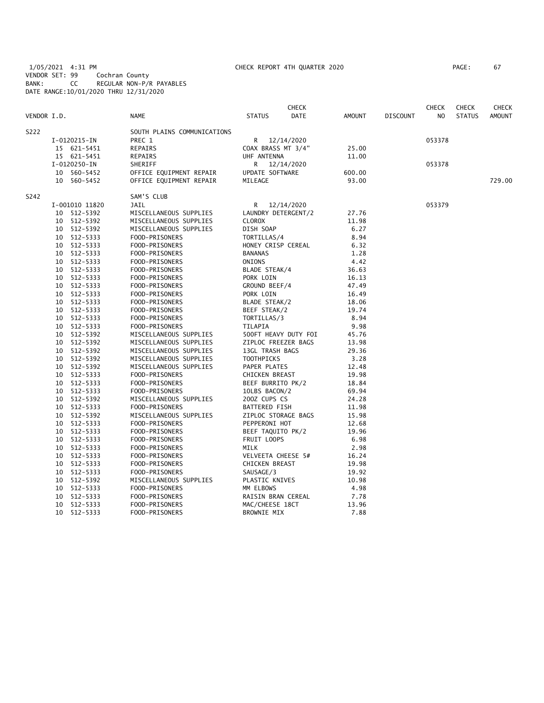1/05/2021 4:31 PM CHECK REPORT 4TH QUARTER 2020 PAGE: 67 VENDOR SET: 99 Cochran County BANK: CC REGULAR NON-P/R PAYABLES DATE RANGE:10/01/2020 THRU 12/31/2020

| PAGE : | 67 |
|--------|----|
|        |    |

| S222<br>SOUTH PLAINS COMMUNICATIONS<br>PREC 1<br>R<br>053378<br>I-0120215-IN<br>12/14/2020<br>15 621-5451<br>REPAIRS<br>COAX BRASS MT 3/4"<br>25.00<br>15 621-5451<br><b>REPAIRS</b><br>UHF ANTENNA<br>11.00<br>I-0120250-IN<br>SHERIFF<br>R 12/14/2020<br>053378<br>10 560-5452<br>OFFICE EQUIPMENT REPAIR<br>UPDATE SOFTWARE<br>600.00<br>729.00<br>10 560-5452<br>OFFICE EQUIPMENT REPAIR<br>MILEAGE<br>93.00<br>S242<br>SAM'S CLUB<br>I-001010 11820<br>JAIL<br>R<br>12/14/2020<br>053379<br>10 512-5392<br>MISCELLANEOUS SUPPLIES<br>LAUNDRY DETERGENT/2<br>27.76<br>10 512-5392<br>MISCELLANEOUS SUPPLIES<br><b>CLOROX</b><br>11.98<br>512-5392<br>6.27<br>MISCELLANEOUS SUPPLIES<br>DISH SOAP<br>10<br>10 512-5333<br>8.94<br>FOOD-PRISONERS<br>TORTILLAS/4<br>512-5333<br>HONEY CRISP CEREAL<br>10<br>FOOD-PRISONERS<br>6.32<br>10 512-5333<br>FOOD-PRISONERS<br><b>BANANAS</b><br>1.28<br>10 512-5333<br>ONIONS<br>4.42<br>FOOD-PRISONERS<br>36.63<br>10<br>512-5333<br>FOOD-PRISONERS<br>BLADE STEAK/4<br>512-5333<br>10<br>FOOD-PRISONERS<br>PORK LOIN<br>16.13<br>512-5333<br>10<br>FOOD-PRISONERS<br>GROUND BEEF/4<br>47.49<br>512-5333<br>10<br>FOOD-PRISONERS<br>PORK LOIN<br>16.49<br>10<br>512-5333<br>FOOD-PRISONERS<br>BLADE STEAK/2<br>18.06<br>10 512-5333<br>FOOD-PRISONERS<br>BEEF STEAK/2<br>19.74<br>512-5333<br>8.94<br>10<br>FOOD-PRISONERS<br>TORTILLAS/3<br>10 512-5333<br>TILAPIA<br>9.98<br>FOOD-PRISONERS<br>512-5392<br>MISCELLANEOUS SUPPLIES<br>500FT HEAVY DUTY FOI<br>45.76<br>10<br>10 512-5392<br>MISCELLANEOUS SUPPLIES<br>ZIPLOC FREEZER BAGS<br>13.98<br>10 512-5392<br>MISCELLANEOUS SUPPLIES<br>13GL TRASH BAGS<br>29.36<br>512-5392<br>MISCELLANEOUS SUPPLIES<br><b>TOOTHPICKS</b><br>3.28<br>10<br>512-5392<br>MISCELLANEOUS SUPPLIES<br>PAPER PLATES<br>12.48<br>10<br>512-5333<br>FOOD-PRISONERS<br>CHICKEN BREAST<br>19.98<br>10<br>512-5333<br>FOOD-PRISONERS<br>BEEF BURRITO PK/2<br>10<br>18.84<br>512-5333<br>FOOD-PRISONERS<br>10LBS BACON/2<br>10<br>69.94<br>10 512-5392<br>MISCELLANEOUS SUPPLIES<br>200Z CUPS CS<br>24.28<br>512-5333<br>FOOD-PRISONERS<br>11.98<br>10<br><b>BATTERED FISH</b><br>10 512-5392<br>MISCELLANEOUS SUPPLIES<br>ZIPLOC STORAGE BAGS<br>15.98<br>512-5333<br>FOOD-PRISONERS<br>PEPPERONI HOT<br>12.68<br>10<br>10 512-5333<br>FOOD-PRISONERS<br>BEEF TAQUITO PK/2<br>19.96<br>10 512-5333<br>FOOD-PRISONERS<br>FRUIT LOOPS<br>6.98<br>512-5333<br><b>MILK</b><br>2.98<br>10<br>FOOD-PRISONERS<br>512-5333<br>VELVEETA CHEESE 5#<br>16.24<br>10<br>FOOD-PRISONERS<br>10<br>512-5333<br>FOOD-PRISONERS<br><b>CHICKEN BREAST</b><br>19.98<br>10<br>512-5333<br>FOOD-PRISONERS<br>SAUSAGE/3<br>19.92<br>10<br>512-5392<br>MISCELLANEOUS SUPPLIES<br>PLASTIC KNIVES<br>10.98<br>10<br>512-5333<br>FOOD-PRISONERS<br>MM ELBOWS<br>4.98<br>512-5333<br>10<br>FOOD-PRISONERS<br>RAISIN BRAN CEREAL<br>7.78<br>10<br>512-5333<br>FOOD-PRISONERS<br>MAC/CHEESE 18CT<br>13.96<br>512-5333<br>7.88<br>10<br>FOOD-PRISONERS<br><b>BROWNIE MIX</b> | VENDOR I.D. | <b>NAME</b> | <b>STATUS</b> | <b>CHECK</b><br><b>DATE</b> | <b>AMOUNT</b> | <b>DISCOUNT</b> | <b>CHECK</b><br>N <sub>O</sub> | <b>CHECK</b><br><b>STATUS</b> | CHECK<br><b>AMOUNT</b> |
|--------------------------------------------------------------------------------------------------------------------------------------------------------------------------------------------------------------------------------------------------------------------------------------------------------------------------------------------------------------------------------------------------------------------------------------------------------------------------------------------------------------------------------------------------------------------------------------------------------------------------------------------------------------------------------------------------------------------------------------------------------------------------------------------------------------------------------------------------------------------------------------------------------------------------------------------------------------------------------------------------------------------------------------------------------------------------------------------------------------------------------------------------------------------------------------------------------------------------------------------------------------------------------------------------------------------------------------------------------------------------------------------------------------------------------------------------------------------------------------------------------------------------------------------------------------------------------------------------------------------------------------------------------------------------------------------------------------------------------------------------------------------------------------------------------------------------------------------------------------------------------------------------------------------------------------------------------------------------------------------------------------------------------------------------------------------------------------------------------------------------------------------------------------------------------------------------------------------------------------------------------------------------------------------------------------------------------------------------------------------------------------------------------------------------------------------------------------------------------------------------------------------------------------------------------------------------------------------------------------------------------------------------------------------------------------------------------------------------------------------------------------------------------------------------------------------------------------------------------------------------------------------------------------------------------------------------------------------------------------------------------------------------|-------------|-------------|---------------|-----------------------------|---------------|-----------------|--------------------------------|-------------------------------|------------------------|
|                                                                                                                                                                                                                                                                                                                                                                                                                                                                                                                                                                                                                                                                                                                                                                                                                                                                                                                                                                                                                                                                                                                                                                                                                                                                                                                                                                                                                                                                                                                                                                                                                                                                                                                                                                                                                                                                                                                                                                                                                                                                                                                                                                                                                                                                                                                                                                                                                                                                                                                                                                                                                                                                                                                                                                                                                                                                                                                                                                                                                          |             |             |               |                             |               |                 |                                |                               |                        |
|                                                                                                                                                                                                                                                                                                                                                                                                                                                                                                                                                                                                                                                                                                                                                                                                                                                                                                                                                                                                                                                                                                                                                                                                                                                                                                                                                                                                                                                                                                                                                                                                                                                                                                                                                                                                                                                                                                                                                                                                                                                                                                                                                                                                                                                                                                                                                                                                                                                                                                                                                                                                                                                                                                                                                                                                                                                                                                                                                                                                                          |             |             |               |                             |               |                 |                                |                               |                        |
|                                                                                                                                                                                                                                                                                                                                                                                                                                                                                                                                                                                                                                                                                                                                                                                                                                                                                                                                                                                                                                                                                                                                                                                                                                                                                                                                                                                                                                                                                                                                                                                                                                                                                                                                                                                                                                                                                                                                                                                                                                                                                                                                                                                                                                                                                                                                                                                                                                                                                                                                                                                                                                                                                                                                                                                                                                                                                                                                                                                                                          |             |             |               |                             |               |                 |                                |                               |                        |
|                                                                                                                                                                                                                                                                                                                                                                                                                                                                                                                                                                                                                                                                                                                                                                                                                                                                                                                                                                                                                                                                                                                                                                                                                                                                                                                                                                                                                                                                                                                                                                                                                                                                                                                                                                                                                                                                                                                                                                                                                                                                                                                                                                                                                                                                                                                                                                                                                                                                                                                                                                                                                                                                                                                                                                                                                                                                                                                                                                                                                          |             |             |               |                             |               |                 |                                |                               |                        |
|                                                                                                                                                                                                                                                                                                                                                                                                                                                                                                                                                                                                                                                                                                                                                                                                                                                                                                                                                                                                                                                                                                                                                                                                                                                                                                                                                                                                                                                                                                                                                                                                                                                                                                                                                                                                                                                                                                                                                                                                                                                                                                                                                                                                                                                                                                                                                                                                                                                                                                                                                                                                                                                                                                                                                                                                                                                                                                                                                                                                                          |             |             |               |                             |               |                 |                                |                               |                        |
|                                                                                                                                                                                                                                                                                                                                                                                                                                                                                                                                                                                                                                                                                                                                                                                                                                                                                                                                                                                                                                                                                                                                                                                                                                                                                                                                                                                                                                                                                                                                                                                                                                                                                                                                                                                                                                                                                                                                                                                                                                                                                                                                                                                                                                                                                                                                                                                                                                                                                                                                                                                                                                                                                                                                                                                                                                                                                                                                                                                                                          |             |             |               |                             |               |                 |                                |                               |                        |
|                                                                                                                                                                                                                                                                                                                                                                                                                                                                                                                                                                                                                                                                                                                                                                                                                                                                                                                                                                                                                                                                                                                                                                                                                                                                                                                                                                                                                                                                                                                                                                                                                                                                                                                                                                                                                                                                                                                                                                                                                                                                                                                                                                                                                                                                                                                                                                                                                                                                                                                                                                                                                                                                                                                                                                                                                                                                                                                                                                                                                          |             |             |               |                             |               |                 |                                |                               |                        |
|                                                                                                                                                                                                                                                                                                                                                                                                                                                                                                                                                                                                                                                                                                                                                                                                                                                                                                                                                                                                                                                                                                                                                                                                                                                                                                                                                                                                                                                                                                                                                                                                                                                                                                                                                                                                                                                                                                                                                                                                                                                                                                                                                                                                                                                                                                                                                                                                                                                                                                                                                                                                                                                                                                                                                                                                                                                                                                                                                                                                                          |             |             |               |                             |               |                 |                                |                               |                        |
|                                                                                                                                                                                                                                                                                                                                                                                                                                                                                                                                                                                                                                                                                                                                                                                                                                                                                                                                                                                                                                                                                                                                                                                                                                                                                                                                                                                                                                                                                                                                                                                                                                                                                                                                                                                                                                                                                                                                                                                                                                                                                                                                                                                                                                                                                                                                                                                                                                                                                                                                                                                                                                                                                                                                                                                                                                                                                                                                                                                                                          |             |             |               |                             |               |                 |                                |                               |                        |
|                                                                                                                                                                                                                                                                                                                                                                                                                                                                                                                                                                                                                                                                                                                                                                                                                                                                                                                                                                                                                                                                                                                                                                                                                                                                                                                                                                                                                                                                                                                                                                                                                                                                                                                                                                                                                                                                                                                                                                                                                                                                                                                                                                                                                                                                                                                                                                                                                                                                                                                                                                                                                                                                                                                                                                                                                                                                                                                                                                                                                          |             |             |               |                             |               |                 |                                |                               |                        |
|                                                                                                                                                                                                                                                                                                                                                                                                                                                                                                                                                                                                                                                                                                                                                                                                                                                                                                                                                                                                                                                                                                                                                                                                                                                                                                                                                                                                                                                                                                                                                                                                                                                                                                                                                                                                                                                                                                                                                                                                                                                                                                                                                                                                                                                                                                                                                                                                                                                                                                                                                                                                                                                                                                                                                                                                                                                                                                                                                                                                                          |             |             |               |                             |               |                 |                                |                               |                        |
|                                                                                                                                                                                                                                                                                                                                                                                                                                                                                                                                                                                                                                                                                                                                                                                                                                                                                                                                                                                                                                                                                                                                                                                                                                                                                                                                                                                                                                                                                                                                                                                                                                                                                                                                                                                                                                                                                                                                                                                                                                                                                                                                                                                                                                                                                                                                                                                                                                                                                                                                                                                                                                                                                                                                                                                                                                                                                                                                                                                                                          |             |             |               |                             |               |                 |                                |                               |                        |
|                                                                                                                                                                                                                                                                                                                                                                                                                                                                                                                                                                                                                                                                                                                                                                                                                                                                                                                                                                                                                                                                                                                                                                                                                                                                                                                                                                                                                                                                                                                                                                                                                                                                                                                                                                                                                                                                                                                                                                                                                                                                                                                                                                                                                                                                                                                                                                                                                                                                                                                                                                                                                                                                                                                                                                                                                                                                                                                                                                                                                          |             |             |               |                             |               |                 |                                |                               |                        |
|                                                                                                                                                                                                                                                                                                                                                                                                                                                                                                                                                                                                                                                                                                                                                                                                                                                                                                                                                                                                                                                                                                                                                                                                                                                                                                                                                                                                                                                                                                                                                                                                                                                                                                                                                                                                                                                                                                                                                                                                                                                                                                                                                                                                                                                                                                                                                                                                                                                                                                                                                                                                                                                                                                                                                                                                                                                                                                                                                                                                                          |             |             |               |                             |               |                 |                                |                               |                        |
|                                                                                                                                                                                                                                                                                                                                                                                                                                                                                                                                                                                                                                                                                                                                                                                                                                                                                                                                                                                                                                                                                                                                                                                                                                                                                                                                                                                                                                                                                                                                                                                                                                                                                                                                                                                                                                                                                                                                                                                                                                                                                                                                                                                                                                                                                                                                                                                                                                                                                                                                                                                                                                                                                                                                                                                                                                                                                                                                                                                                                          |             |             |               |                             |               |                 |                                |                               |                        |
|                                                                                                                                                                                                                                                                                                                                                                                                                                                                                                                                                                                                                                                                                                                                                                                                                                                                                                                                                                                                                                                                                                                                                                                                                                                                                                                                                                                                                                                                                                                                                                                                                                                                                                                                                                                                                                                                                                                                                                                                                                                                                                                                                                                                                                                                                                                                                                                                                                                                                                                                                                                                                                                                                                                                                                                                                                                                                                                                                                                                                          |             |             |               |                             |               |                 |                                |                               |                        |
|                                                                                                                                                                                                                                                                                                                                                                                                                                                                                                                                                                                                                                                                                                                                                                                                                                                                                                                                                                                                                                                                                                                                                                                                                                                                                                                                                                                                                                                                                                                                                                                                                                                                                                                                                                                                                                                                                                                                                                                                                                                                                                                                                                                                                                                                                                                                                                                                                                                                                                                                                                                                                                                                                                                                                                                                                                                                                                                                                                                                                          |             |             |               |                             |               |                 |                                |                               |                        |
|                                                                                                                                                                                                                                                                                                                                                                                                                                                                                                                                                                                                                                                                                                                                                                                                                                                                                                                                                                                                                                                                                                                                                                                                                                                                                                                                                                                                                                                                                                                                                                                                                                                                                                                                                                                                                                                                                                                                                                                                                                                                                                                                                                                                                                                                                                                                                                                                                                                                                                                                                                                                                                                                                                                                                                                                                                                                                                                                                                                                                          |             |             |               |                             |               |                 |                                |                               |                        |
|                                                                                                                                                                                                                                                                                                                                                                                                                                                                                                                                                                                                                                                                                                                                                                                                                                                                                                                                                                                                                                                                                                                                                                                                                                                                                                                                                                                                                                                                                                                                                                                                                                                                                                                                                                                                                                                                                                                                                                                                                                                                                                                                                                                                                                                                                                                                                                                                                                                                                                                                                                                                                                                                                                                                                                                                                                                                                                                                                                                                                          |             |             |               |                             |               |                 |                                |                               |                        |
|                                                                                                                                                                                                                                                                                                                                                                                                                                                                                                                                                                                                                                                                                                                                                                                                                                                                                                                                                                                                                                                                                                                                                                                                                                                                                                                                                                                                                                                                                                                                                                                                                                                                                                                                                                                                                                                                                                                                                                                                                                                                                                                                                                                                                                                                                                                                                                                                                                                                                                                                                                                                                                                                                                                                                                                                                                                                                                                                                                                                                          |             |             |               |                             |               |                 |                                |                               |                        |
|                                                                                                                                                                                                                                                                                                                                                                                                                                                                                                                                                                                                                                                                                                                                                                                                                                                                                                                                                                                                                                                                                                                                                                                                                                                                                                                                                                                                                                                                                                                                                                                                                                                                                                                                                                                                                                                                                                                                                                                                                                                                                                                                                                                                                                                                                                                                                                                                                                                                                                                                                                                                                                                                                                                                                                                                                                                                                                                                                                                                                          |             |             |               |                             |               |                 |                                |                               |                        |
|                                                                                                                                                                                                                                                                                                                                                                                                                                                                                                                                                                                                                                                                                                                                                                                                                                                                                                                                                                                                                                                                                                                                                                                                                                                                                                                                                                                                                                                                                                                                                                                                                                                                                                                                                                                                                                                                                                                                                                                                                                                                                                                                                                                                                                                                                                                                                                                                                                                                                                                                                                                                                                                                                                                                                                                                                                                                                                                                                                                                                          |             |             |               |                             |               |                 |                                |                               |                        |
|                                                                                                                                                                                                                                                                                                                                                                                                                                                                                                                                                                                                                                                                                                                                                                                                                                                                                                                                                                                                                                                                                                                                                                                                                                                                                                                                                                                                                                                                                                                                                                                                                                                                                                                                                                                                                                                                                                                                                                                                                                                                                                                                                                                                                                                                                                                                                                                                                                                                                                                                                                                                                                                                                                                                                                                                                                                                                                                                                                                                                          |             |             |               |                             |               |                 |                                |                               |                        |
|                                                                                                                                                                                                                                                                                                                                                                                                                                                                                                                                                                                                                                                                                                                                                                                                                                                                                                                                                                                                                                                                                                                                                                                                                                                                                                                                                                                                                                                                                                                                                                                                                                                                                                                                                                                                                                                                                                                                                                                                                                                                                                                                                                                                                                                                                                                                                                                                                                                                                                                                                                                                                                                                                                                                                                                                                                                                                                                                                                                                                          |             |             |               |                             |               |                 |                                |                               |                        |
|                                                                                                                                                                                                                                                                                                                                                                                                                                                                                                                                                                                                                                                                                                                                                                                                                                                                                                                                                                                                                                                                                                                                                                                                                                                                                                                                                                                                                                                                                                                                                                                                                                                                                                                                                                                                                                                                                                                                                                                                                                                                                                                                                                                                                                                                                                                                                                                                                                                                                                                                                                                                                                                                                                                                                                                                                                                                                                                                                                                                                          |             |             |               |                             |               |                 |                                |                               |                        |
|                                                                                                                                                                                                                                                                                                                                                                                                                                                                                                                                                                                                                                                                                                                                                                                                                                                                                                                                                                                                                                                                                                                                                                                                                                                                                                                                                                                                                                                                                                                                                                                                                                                                                                                                                                                                                                                                                                                                                                                                                                                                                                                                                                                                                                                                                                                                                                                                                                                                                                                                                                                                                                                                                                                                                                                                                                                                                                                                                                                                                          |             |             |               |                             |               |                 |                                |                               |                        |
|                                                                                                                                                                                                                                                                                                                                                                                                                                                                                                                                                                                                                                                                                                                                                                                                                                                                                                                                                                                                                                                                                                                                                                                                                                                                                                                                                                                                                                                                                                                                                                                                                                                                                                                                                                                                                                                                                                                                                                                                                                                                                                                                                                                                                                                                                                                                                                                                                                                                                                                                                                                                                                                                                                                                                                                                                                                                                                                                                                                                                          |             |             |               |                             |               |                 |                                |                               |                        |
|                                                                                                                                                                                                                                                                                                                                                                                                                                                                                                                                                                                                                                                                                                                                                                                                                                                                                                                                                                                                                                                                                                                                                                                                                                                                                                                                                                                                                                                                                                                                                                                                                                                                                                                                                                                                                                                                                                                                                                                                                                                                                                                                                                                                                                                                                                                                                                                                                                                                                                                                                                                                                                                                                                                                                                                                                                                                                                                                                                                                                          |             |             |               |                             |               |                 |                                |                               |                        |
|                                                                                                                                                                                                                                                                                                                                                                                                                                                                                                                                                                                                                                                                                                                                                                                                                                                                                                                                                                                                                                                                                                                                                                                                                                                                                                                                                                                                                                                                                                                                                                                                                                                                                                                                                                                                                                                                                                                                                                                                                                                                                                                                                                                                                                                                                                                                                                                                                                                                                                                                                                                                                                                                                                                                                                                                                                                                                                                                                                                                                          |             |             |               |                             |               |                 |                                |                               |                        |
|                                                                                                                                                                                                                                                                                                                                                                                                                                                                                                                                                                                                                                                                                                                                                                                                                                                                                                                                                                                                                                                                                                                                                                                                                                                                                                                                                                                                                                                                                                                                                                                                                                                                                                                                                                                                                                                                                                                                                                                                                                                                                                                                                                                                                                                                                                                                                                                                                                                                                                                                                                                                                                                                                                                                                                                                                                                                                                                                                                                                                          |             |             |               |                             |               |                 |                                |                               |                        |
|                                                                                                                                                                                                                                                                                                                                                                                                                                                                                                                                                                                                                                                                                                                                                                                                                                                                                                                                                                                                                                                                                                                                                                                                                                                                                                                                                                                                                                                                                                                                                                                                                                                                                                                                                                                                                                                                                                                                                                                                                                                                                                                                                                                                                                                                                                                                                                                                                                                                                                                                                                                                                                                                                                                                                                                                                                                                                                                                                                                                                          |             |             |               |                             |               |                 |                                |                               |                        |
|                                                                                                                                                                                                                                                                                                                                                                                                                                                                                                                                                                                                                                                                                                                                                                                                                                                                                                                                                                                                                                                                                                                                                                                                                                                                                                                                                                                                                                                                                                                                                                                                                                                                                                                                                                                                                                                                                                                                                                                                                                                                                                                                                                                                                                                                                                                                                                                                                                                                                                                                                                                                                                                                                                                                                                                                                                                                                                                                                                                                                          |             |             |               |                             |               |                 |                                |                               |                        |
|                                                                                                                                                                                                                                                                                                                                                                                                                                                                                                                                                                                                                                                                                                                                                                                                                                                                                                                                                                                                                                                                                                                                                                                                                                                                                                                                                                                                                                                                                                                                                                                                                                                                                                                                                                                                                                                                                                                                                                                                                                                                                                                                                                                                                                                                                                                                                                                                                                                                                                                                                                                                                                                                                                                                                                                                                                                                                                                                                                                                                          |             |             |               |                             |               |                 |                                |                               |                        |
|                                                                                                                                                                                                                                                                                                                                                                                                                                                                                                                                                                                                                                                                                                                                                                                                                                                                                                                                                                                                                                                                                                                                                                                                                                                                                                                                                                                                                                                                                                                                                                                                                                                                                                                                                                                                                                                                                                                                                                                                                                                                                                                                                                                                                                                                                                                                                                                                                                                                                                                                                                                                                                                                                                                                                                                                                                                                                                                                                                                                                          |             |             |               |                             |               |                 |                                |                               |                        |
|                                                                                                                                                                                                                                                                                                                                                                                                                                                                                                                                                                                                                                                                                                                                                                                                                                                                                                                                                                                                                                                                                                                                                                                                                                                                                                                                                                                                                                                                                                                                                                                                                                                                                                                                                                                                                                                                                                                                                                                                                                                                                                                                                                                                                                                                                                                                                                                                                                                                                                                                                                                                                                                                                                                                                                                                                                                                                                                                                                                                                          |             |             |               |                             |               |                 |                                |                               |                        |
|                                                                                                                                                                                                                                                                                                                                                                                                                                                                                                                                                                                                                                                                                                                                                                                                                                                                                                                                                                                                                                                                                                                                                                                                                                                                                                                                                                                                                                                                                                                                                                                                                                                                                                                                                                                                                                                                                                                                                                                                                                                                                                                                                                                                                                                                                                                                                                                                                                                                                                                                                                                                                                                                                                                                                                                                                                                                                                                                                                                                                          |             |             |               |                             |               |                 |                                |                               |                        |
|                                                                                                                                                                                                                                                                                                                                                                                                                                                                                                                                                                                                                                                                                                                                                                                                                                                                                                                                                                                                                                                                                                                                                                                                                                                                                                                                                                                                                                                                                                                                                                                                                                                                                                                                                                                                                                                                                                                                                                                                                                                                                                                                                                                                                                                                                                                                                                                                                                                                                                                                                                                                                                                                                                                                                                                                                                                                                                                                                                                                                          |             |             |               |                             |               |                 |                                |                               |                        |
|                                                                                                                                                                                                                                                                                                                                                                                                                                                                                                                                                                                                                                                                                                                                                                                                                                                                                                                                                                                                                                                                                                                                                                                                                                                                                                                                                                                                                                                                                                                                                                                                                                                                                                                                                                                                                                                                                                                                                                                                                                                                                                                                                                                                                                                                                                                                                                                                                                                                                                                                                                                                                                                                                                                                                                                                                                                                                                                                                                                                                          |             |             |               |                             |               |                 |                                |                               |                        |
|                                                                                                                                                                                                                                                                                                                                                                                                                                                                                                                                                                                                                                                                                                                                                                                                                                                                                                                                                                                                                                                                                                                                                                                                                                                                                                                                                                                                                                                                                                                                                                                                                                                                                                                                                                                                                                                                                                                                                                                                                                                                                                                                                                                                                                                                                                                                                                                                                                                                                                                                                                                                                                                                                                                                                                                                                                                                                                                                                                                                                          |             |             |               |                             |               |                 |                                |                               |                        |
|                                                                                                                                                                                                                                                                                                                                                                                                                                                                                                                                                                                                                                                                                                                                                                                                                                                                                                                                                                                                                                                                                                                                                                                                                                                                                                                                                                                                                                                                                                                                                                                                                                                                                                                                                                                                                                                                                                                                                                                                                                                                                                                                                                                                                                                                                                                                                                                                                                                                                                                                                                                                                                                                                                                                                                                                                                                                                                                                                                                                                          |             |             |               |                             |               |                 |                                |                               |                        |
|                                                                                                                                                                                                                                                                                                                                                                                                                                                                                                                                                                                                                                                                                                                                                                                                                                                                                                                                                                                                                                                                                                                                                                                                                                                                                                                                                                                                                                                                                                                                                                                                                                                                                                                                                                                                                                                                                                                                                                                                                                                                                                                                                                                                                                                                                                                                                                                                                                                                                                                                                                                                                                                                                                                                                                                                                                                                                                                                                                                                                          |             |             |               |                             |               |                 |                                |                               |                        |
|                                                                                                                                                                                                                                                                                                                                                                                                                                                                                                                                                                                                                                                                                                                                                                                                                                                                                                                                                                                                                                                                                                                                                                                                                                                                                                                                                                                                                                                                                                                                                                                                                                                                                                                                                                                                                                                                                                                                                                                                                                                                                                                                                                                                                                                                                                                                                                                                                                                                                                                                                                                                                                                                                                                                                                                                                                                                                                                                                                                                                          |             |             |               |                             |               |                 |                                |                               |                        |
|                                                                                                                                                                                                                                                                                                                                                                                                                                                                                                                                                                                                                                                                                                                                                                                                                                                                                                                                                                                                                                                                                                                                                                                                                                                                                                                                                                                                                                                                                                                                                                                                                                                                                                                                                                                                                                                                                                                                                                                                                                                                                                                                                                                                                                                                                                                                                                                                                                                                                                                                                                                                                                                                                                                                                                                                                                                                                                                                                                                                                          |             |             |               |                             |               |                 |                                |                               |                        |
|                                                                                                                                                                                                                                                                                                                                                                                                                                                                                                                                                                                                                                                                                                                                                                                                                                                                                                                                                                                                                                                                                                                                                                                                                                                                                                                                                                                                                                                                                                                                                                                                                                                                                                                                                                                                                                                                                                                                                                                                                                                                                                                                                                                                                                                                                                                                                                                                                                                                                                                                                                                                                                                                                                                                                                                                                                                                                                                                                                                                                          |             |             |               |                             |               |                 |                                |                               |                        |
|                                                                                                                                                                                                                                                                                                                                                                                                                                                                                                                                                                                                                                                                                                                                                                                                                                                                                                                                                                                                                                                                                                                                                                                                                                                                                                                                                                                                                                                                                                                                                                                                                                                                                                                                                                                                                                                                                                                                                                                                                                                                                                                                                                                                                                                                                                                                                                                                                                                                                                                                                                                                                                                                                                                                                                                                                                                                                                                                                                                                                          |             |             |               |                             |               |                 |                                |                               |                        |
|                                                                                                                                                                                                                                                                                                                                                                                                                                                                                                                                                                                                                                                                                                                                                                                                                                                                                                                                                                                                                                                                                                                                                                                                                                                                                                                                                                                                                                                                                                                                                                                                                                                                                                                                                                                                                                                                                                                                                                                                                                                                                                                                                                                                                                                                                                                                                                                                                                                                                                                                                                                                                                                                                                                                                                                                                                                                                                                                                                                                                          |             |             |               |                             |               |                 |                                |                               |                        |
|                                                                                                                                                                                                                                                                                                                                                                                                                                                                                                                                                                                                                                                                                                                                                                                                                                                                                                                                                                                                                                                                                                                                                                                                                                                                                                                                                                                                                                                                                                                                                                                                                                                                                                                                                                                                                                                                                                                                                                                                                                                                                                                                                                                                                                                                                                                                                                                                                                                                                                                                                                                                                                                                                                                                                                                                                                                                                                                                                                                                                          |             |             |               |                             |               |                 |                                |                               |                        |
|                                                                                                                                                                                                                                                                                                                                                                                                                                                                                                                                                                                                                                                                                                                                                                                                                                                                                                                                                                                                                                                                                                                                                                                                                                                                                                                                                                                                                                                                                                                                                                                                                                                                                                                                                                                                                                                                                                                                                                                                                                                                                                                                                                                                                                                                                                                                                                                                                                                                                                                                                                                                                                                                                                                                                                                                                                                                                                                                                                                                                          |             |             |               |                             |               |                 |                                |                               |                        |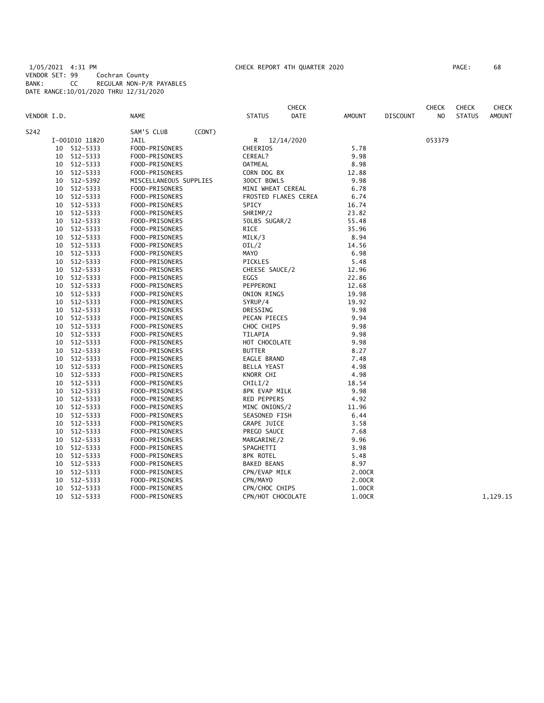1/05/2021 4:31 PM CHECK REPORT 4TH QUARTER 2020 PAGE: 68 VENDOR SET: 99 Cochran County BANK: CC REGULAR NON-P/R PAYABLES DATE RANGE:10/01/2020 THRU 12/31/2020

| PAGE : | 68 |
|--------|----|
|        |    |

|             |                |                        |        |                    | <b>CHECK</b>         |        |                 | <b>CHECK</b> | <b>CHECK</b>  | CHECK         |
|-------------|----------------|------------------------|--------|--------------------|----------------------|--------|-----------------|--------------|---------------|---------------|
| VENDOR I.D. |                | NAME                   |        | <b>STATUS</b>      | DATE                 | AMOUNT | <b>DISCOUNT</b> | NO           | <b>STATUS</b> | <b>AMOUNT</b> |
| S242        |                | SAM'S CLUB             | (CONT) |                    |                      |        |                 |              |               |               |
|             | I-001010 11820 | <b>JAIL</b>            |        | R                  | 12/14/2020           |        |                 | 053379       |               |               |
| 10          | 512-5333       | FOOD-PRISONERS         |        | CHEERIOS           |                      | 5.78   |                 |              |               |               |
| 10          | 512-5333       | FOOD-PRISONERS         |        | CEREAL?            |                      | 9.98   |                 |              |               |               |
| 10          | 512-5333       | FOOD-PRISONERS         |        | <b>OATMEAL</b>     |                      | 8.98   |                 |              |               |               |
| 10          | 512-5333       | FOOD-PRISONERS         |        | CORN DOG BX        |                      | 12.88  |                 |              |               |               |
| 10          | 512-5392       | MISCELLANEOUS SUPPLIES |        | 300CT BOWLS        |                      | 9.98   |                 |              |               |               |
| 10          | 512-5333       | FOOD-PRISONERS         |        | MINI WHEAT CEREAL  |                      | 6.78   |                 |              |               |               |
| 10          | 512-5333       | FOOD-PRISONERS         |        |                    | FROSTED FLAKES CEREA | 6.74   |                 |              |               |               |
| 10          | 512-5333       | FOOD-PRISONERS         |        | SPICY              |                      | 16.74  |                 |              |               |               |
| 10          | 512-5333       | FOOD-PRISONERS         |        | SHRIMP/2           |                      | 23.82  |                 |              |               |               |
| 10          | 512-5333       | FOOD-PRISONERS         |        | 50LBS SUGAR/2      |                      | 55.48  |                 |              |               |               |
| 10          | 512-5333       | FOOD-PRISONERS         |        | <b>RICE</b>        |                      | 35.96  |                 |              |               |               |
| 10          | 512-5333       | FOOD-PRISONERS         |        | MILK/3             |                      | 8.94   |                 |              |               |               |
| 10          | 512-5333       | FOOD-PRISONERS         |        | OIL/2              |                      | 14.56  |                 |              |               |               |
| 10          | 512-5333       | FOOD-PRISONERS         |        | MAYO               |                      | 6.98   |                 |              |               |               |
| 10          | 512-5333       | FOOD-PRISONERS         |        | PICKLES            |                      | 5.48   |                 |              |               |               |
| 10          | 512-5333       | FOOD-PRISONERS         |        | CHEESE SAUCE/2     |                      | 12.96  |                 |              |               |               |
| 10          | 512-5333       | FOOD-PRISONERS         |        | EGGS               |                      | 22.86  |                 |              |               |               |
| 10          | 512-5333       | FOOD-PRISONERS         |        | PEPPERONI          |                      | 12.68  |                 |              |               |               |
| 10          | 512-5333       | FOOD-PRISONERS         |        | ONION RINGS        |                      | 19.98  |                 |              |               |               |
| 10          | 512-5333       | FOOD-PRISONERS         |        | SYRUP/4            |                      | 19.92  |                 |              |               |               |
| 10          | 512-5333       | FOOD-PRISONERS         |        | DRESSING           |                      | 9.98   |                 |              |               |               |
| 10          | 512-5333       | FOOD-PRISONERS         |        | PECAN PIECES       |                      | 9.94   |                 |              |               |               |
| 10          | 512-5333       | FOOD-PRISONERS         |        | CHOC CHIPS         |                      | 9.98   |                 |              |               |               |
| 10          | 512-5333       | FOOD-PRISONERS         |        | TILAPIA            |                      | 9.98   |                 |              |               |               |
| 10          | 512-5333       | FOOD-PRISONERS         |        | HOT CHOCOLATE      |                      | 9.98   |                 |              |               |               |
| 10          | $512 - 5333$   | FOOD-PRISONERS         |        | <b>BUTTER</b>      |                      | 8.27   |                 |              |               |               |
| 10          | $512 - 5333$   | FOOD-PRISONERS         |        | EAGLE BRAND        |                      | 7.48   |                 |              |               |               |
| 10          | 512-5333       | FOOD-PRISONERS         |        | <b>BELLA YEAST</b> |                      | 4.98   |                 |              |               |               |
| 10          | 512-5333       | FOOD-PRISONERS         |        | KNORR CHI          |                      | 4.98   |                 |              |               |               |
| 10          | 512-5333       | FOOD-PRISONERS         |        | CHILI/2            |                      | 18.54  |                 |              |               |               |
| 10          | 512-5333       | FOOD-PRISONERS         |        | 8PK EVAP MILK      |                      | 9.98   |                 |              |               |               |
| 10          | 512-5333       | FOOD-PRISONERS         |        | RED PEPPERS        |                      | 4.92   |                 |              |               |               |
| 10          | 512-5333       | FOOD-PRISONERS         |        | MINC ONIONS/2      |                      | 11.96  |                 |              |               |               |
| 10          | 512-5333       | FOOD-PRISONERS         |        | SEASONED FISH      |                      | 6.44   |                 |              |               |               |
| 10          | 512-5333       | FOOD-PRISONERS         |        | <b>GRAPE JUICE</b> |                      | 3.58   |                 |              |               |               |
| 10          | 512-5333       | FOOD-PRISONERS         |        | PREGO SAUCE        |                      | 7.68   |                 |              |               |               |
| 10          | 512-5333       | FOOD-PRISONERS         |        | MARGARINE/2        |                      | 9.96   |                 |              |               |               |
| 10          | 512-5333       | FOOD-PRISONERS         |        | SPAGHETTI          |                      | 3.98   |                 |              |               |               |
| 10          | 512-5333       | FOOD-PRISONERS         |        | 8PK ROTEL          |                      | 5.48   |                 |              |               |               |
| 10          | 512-5333       | FOOD-PRISONERS         |        | <b>BAKED BEANS</b> |                      | 8.97   |                 |              |               |               |
| 10          | 512-5333       | FOOD-PRISONERS         |        | CPN/EVAP MILK      |                      | 2.00CR |                 |              |               |               |
| 10          | 512-5333       | FOOD-PRISONERS         |        | CPN/MAYO           |                      | 2.00CR |                 |              |               |               |
| 10          | 512-5333       | FOOD-PRISONERS         |        | CPN/CHOC CHIPS     |                      | 1.00CR |                 |              |               |               |
| 10          | 512-5333       | FOOD-PRISONERS         |        | CPN/HOT CHOCOLATE  |                      | 1.00CR |                 |              |               | 1,129.15      |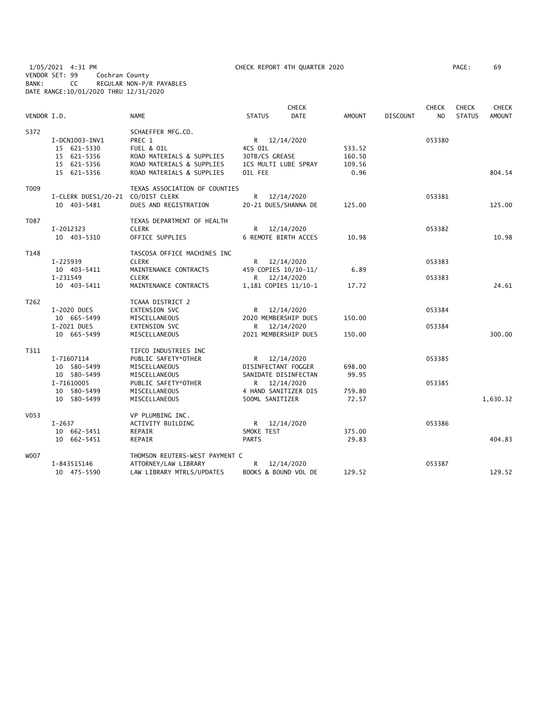1/05/2021 4:31 PM CHECK REPORT 4TH QUARTER 2020 PAGE: 69 VENDOR SET: 99 Cochran County BANK: CC REGULAR NON-P/R PAYABLES DATE RANGE:10/01/2020 THRU 12/31/2020

| PAGE : | 69 |
|--------|----|
|        |    |

| VENDOR I.D.       |                                              | <b>NAME</b>                                                            | <b>STATUS</b>                             | <b>CHECK</b><br><b>DATE</b> | <b>AMOUNT</b>    | <b>DISCOUNT</b> | <b>CHECK</b><br>N <sub>O</sub> | <b>CHECK</b><br><b>STATUS</b> | <b>CHECK</b><br><b>AMOUNT</b> |
|-------------------|----------------------------------------------|------------------------------------------------------------------------|-------------------------------------------|-----------------------------|------------------|-----------------|--------------------------------|-------------------------------|-------------------------------|
| S372              | I-DCN1003-INV1<br>15 621-5330<br>15 621-5356 | SCHAEFFER MFG.CO.<br>PREC 1<br>FUEL & OIL<br>ROAD MATERIALS & SUPPLIES | R 12/14/2020<br>4CS OIL<br>30TB/CS GREASE |                             | 533.52<br>160.50 |                 | 053380                         |                               |                               |
|                   | 15 621-5356<br>15 621-5356                   | ROAD MATERIALS & SUPPLIES<br>ROAD MATERIALS & SUPPLIES                 | 1CS MULTI LUBE SPRAY<br>OIL FEE           |                             | 109.56<br>0.96   |                 |                                |                               | 804.54                        |
| T009              | I-CLERK DUES1/20-21 CO/DIST CLERK            | TEXAS ASSOCIATION OF COUNTIES                                          | R 12/14/2020                              |                             |                  |                 | 053381                         |                               |                               |
|                   | 10 403-5481                                  | DUES AND REGISTRATION                                                  | 20-21 DUES/SHANNA DE                      |                             | 125.00           |                 |                                |                               | 125.00                        |
| T087              | I-2012323                                    | TEXAS DEPARTMENT OF HEALTH<br><b>CLERK</b>                             | R 12/14/2020                              |                             |                  |                 | 053382                         |                               |                               |
|                   | 10 403-5310                                  | OFFICE SUPPLIES                                                        | 6 REMOTE BIRTH ACCES                      |                             | 10.98            |                 |                                |                               | 10.98                         |
| T148              |                                              | TASCOSA OFFICE MACHINES INC                                            |                                           |                             |                  |                 |                                |                               |                               |
|                   | $I - 225939$<br>10 403-5411                  | <b>CLERK</b><br>MAINTENANCE CONTRACTS                                  | R 12/14/2020<br>459 COPIES 10/10-11/      |                             | 6.89             |                 | 053383                         |                               |                               |
|                   | I-231549                                     | <b>CLERK</b>                                                           | R 12/14/2020                              |                             |                  |                 | 053383                         |                               |                               |
|                   | 10 403-5411                                  | MAINTENANCE CONTRACTS                                                  | 1,181 COPIES 11/10-1                      |                             | 17.72            |                 |                                |                               | 24.61                         |
| T <sub>2</sub> 62 |                                              | TCAAA DISTRICT 2                                                       |                                           |                             |                  |                 |                                |                               |                               |
|                   | I-2020 DUES<br>10 665-5499                   | <b>EXTENSION SVC</b><br>MISCELLANEOUS                                  | R 12/14/2020<br>2020 MEMBERSHIP DUES      |                             | 150.00           |                 | 053384                         |                               |                               |
|                   | I-2021 DUES                                  | <b>EXTENSION SVC</b>                                                   | R 12/14/2020                              |                             |                  |                 | 053384                         |                               |                               |
|                   | 10 665-5499                                  | MISCELLANEOUS                                                          | 2021 MEMBERSHIP DUES                      |                             | 150.00           |                 |                                |                               | 300.00                        |
| T311              |                                              | TIFCO INDUSTRIES INC                                                   |                                           |                             |                  |                 |                                |                               |                               |
|                   | I-71607114                                   | PUBLIC SAFETY*OTHER                                                    | R 12/14/2020                              |                             |                  |                 | 053385                         |                               |                               |
|                   | 10 580-5499                                  | MISCELLANEOUS                                                          | DISINFECTANT FOGGER                       |                             | 698.00           |                 |                                |                               |                               |
|                   | 10 580-5499<br>I-71610005                    | MISCELLANEOUS<br>PUBLIC SAFETY*OTHER                                   | SANIDATE DISINFECTAN<br>R 12/14/2020      |                             | 99.95            |                 | 053385                         |                               |                               |
|                   | 10 580-5499                                  | MISCELLANEOUS                                                          | 4 HAND SANITIZER DIS                      |                             | 759.80           |                 |                                |                               |                               |
|                   | 10 580-5499                                  | MISCELLANEOUS                                                          | 500ML SANITIZER                           |                             | 72.57            |                 |                                |                               | 1,630.32                      |
| V053              |                                              | VP PLUMBING INC.                                                       |                                           |                             |                  |                 |                                |                               |                               |
|                   | $I-2637$                                     | ACTIVITY BUILDING                                                      | R 12/14/2020                              |                             |                  |                 | 053386                         |                               |                               |
|                   | 10 662-5451<br>10 662-5451                   | REPAIR<br>REPAIR                                                       | SMOKE TEST<br><b>PARTS</b>                |                             | 375.00<br>29.83  |                 |                                |                               | 404.83                        |
| W007              |                                              | THOMSON REUTERS-WEST PAYMENT C                                         |                                           |                             |                  |                 |                                |                               |                               |
|                   | I-843515146                                  | ATTORNEY/LAW LIBRARY                                                   | R                                         | 12/14/2020                  |                  |                 | 053387                         |                               |                               |
|                   | 10 475-5590                                  | LAW LIBRARY MTRLS/UPDATES                                              | BOOKS & BOUND VOL DE                      |                             | 129.52           |                 |                                |                               | 129.52                        |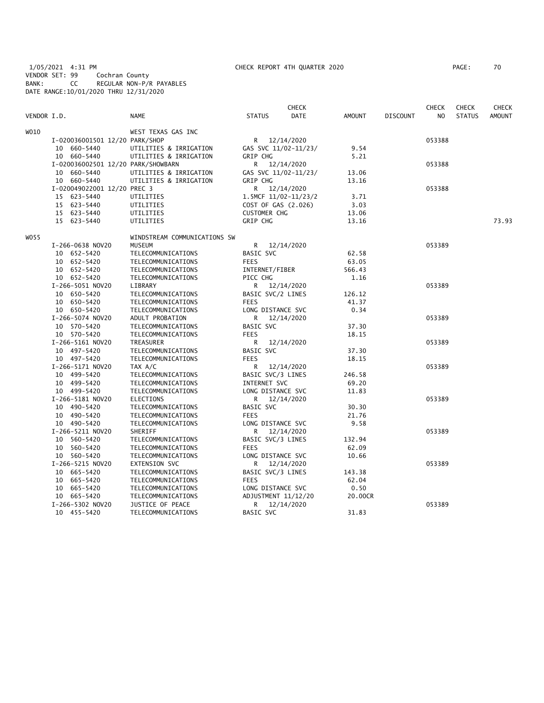1/05/2021 4:31 PM CHECK REPORT 4TH QUARTER 2020 PAGE: 70 VENDOR SET: 99 Cochran County BANK: CC REGULAR NON-P/R PAYABLES DATE RANGE:10/01/2020 THRU 12/31/2020

|             |                                    |                              |                      | <b>CHECK</b> |               |                 | <b>CHECK</b>   | <b>CHECK</b>  | CHECK         |
|-------------|------------------------------------|------------------------------|----------------------|--------------|---------------|-----------------|----------------|---------------|---------------|
| VENDOR I.D. |                                    | <b>NAME</b>                  | <b>STATUS</b>        | <b>DATE</b>  | <b>AMOUNT</b> | <b>DISCOUNT</b> | N <sub>O</sub> | <b>STATUS</b> | <b>AMOUNT</b> |
| WO10        |                                    | WEST TEXAS GAS INC           |                      |              |               |                 |                |               |               |
|             | I-020036001501 12/20 PARK/SHOP     |                              | R 12/14/2020         |              |               |                 | 053388         |               |               |
|             | 10 660-5440                        | UTILITIES & IRRIGATION       | GAS SVC 11/02-11/23/ |              | 9.54          |                 |                |               |               |
|             | 10 660-5440                        | UTILITIES & IRRIGATION       | <b>GRIP CHG</b>      |              | 5.21          |                 |                |               |               |
|             | I-020036002501 12/20 PARK/SHOWBARN |                              | R 12/14/2020         |              |               |                 | 053388         |               |               |
|             | 10 660-5440                        | UTILITIES & IRRIGATION       | GAS SVC 11/02-11/23/ |              | 13.06         |                 |                |               |               |
|             | 10 660-5440                        | UTILITIES & IRRIGATION       | GRIP CHG             |              | 13.16         |                 |                |               |               |
|             | I-020049022001 12/20 PREC 3        |                              | R 12/14/2020         |              |               |                 | 053388         |               |               |
|             | 15 623-5440                        | UTILITIES                    | 1.5MCF 11/02-11/23/2 |              | 3.71          |                 |                |               |               |
|             | 15 623-5440                        | UTILITIES                    | COST OF GAS (2.026)  |              | 3.03          |                 |                |               |               |
|             | 15 623-5440                        | UTILITIES                    | <b>CUSTOMER CHG</b>  |              | 13.06         |                 |                |               |               |
|             | 15 623-5440                        | UTILITIES                    | GRIP CHG             |              | 13.16         |                 |                |               | 73.93         |
| WO 55       |                                    | WINDSTREAM COMMUNICATIONS SW |                      |              |               |                 |                |               |               |
|             | I-266-0638 NOV20                   | <b>MUSEUM</b>                | R 12/14/2020         |              |               |                 | 053389         |               |               |
|             | 10 652-5420                        | TELECOMMUNICATIONS           | BASIC SVC            |              | 62.58         |                 |                |               |               |
|             | 10 652-5420                        | TELECOMMUNICATIONS           | <b>FEES</b>          |              | 63.05         |                 |                |               |               |
|             | 10 652-5420                        | TELECOMMUNICATIONS           | INTERNET/FIBER       |              | 566.43        |                 |                |               |               |
|             | 10 652-5420                        | TELECOMMUNICATIONS           | PICC CHG             |              | 1.16          |                 |                |               |               |
|             | I-266-5051 NOV20                   | LIBRARY                      | R 12/14/2020         |              |               |                 | 053389         |               |               |
|             | 10 650-5420                        | TELECOMMUNICATIONS           | BASIC SVC/2 LINES    |              | 126.12        |                 |                |               |               |
|             | 10 650-5420                        | TELECOMMUNICATIONS           | <b>FEES</b>          |              | 41.37         |                 |                |               |               |
|             | 10 650-5420                        | TELECOMMUNICATIONS           | LONG DISTANCE SVC    |              | 0.34          |                 |                |               |               |
|             | I-266-5074 NOV20                   | ADULT PROBATION              | R                    | 12/14/2020   |               |                 | 053389         |               |               |
|             | 10 570-5420                        | TELECOMMUNICATIONS           | BASIC SVC            |              | 37.30         |                 |                |               |               |
|             | 10 570-5420                        | TELECOMMUNICATIONS           | <b>FEES</b>          |              | 18.15         |                 |                |               |               |
|             | I-266-5161 NOV20                   | TREASURER                    | R 12/14/2020         |              |               |                 | 053389         |               |               |
|             | 10 497-5420                        | TELECOMMUNICATIONS           | BASIC SVC            |              | 37.30         |                 |                |               |               |
|             | 10 497-5420                        | TELECOMMUNICATIONS           | <b>FEES</b>          |              | 18.15         |                 |                |               |               |
|             | I-266-5171 NOV20                   | TAX A/C                      | R.                   | 12/14/2020   |               |                 | 053389         |               |               |
|             | 10 499-5420                        | TELECOMMUNICATIONS           | BASIC SVC/3 LINES    |              | 246.58        |                 |                |               |               |
|             | 10 499-5420                        | TELECOMMUNICATIONS           | INTERNET SVC         |              | 69.20         |                 |                |               |               |
|             | 10 499-5420                        | TELECOMMUNICATIONS           | LONG DISTANCE SVC    |              | 11.83         |                 |                |               |               |
|             | I-266-5181 NOV20                   | ELECTIONS                    | R 12/14/2020         |              |               |                 | 053389         |               |               |
|             | 10 490-5420                        | TELECOMMUNICATIONS           | BASIC SVC            |              | 30.30         |                 |                |               |               |
|             | 10 490-5420                        | TELECOMMUNICATIONS           | <b>FEES</b>          |              | 21.76         |                 |                |               |               |
|             | 10 490-5420                        | TELECOMMUNICATIONS           | LONG DISTANCE SVC    |              | 9.58          |                 |                |               |               |
|             | I-266-5211 NOV20                   | SHERIFF                      | R                    | 12/14/2020   |               |                 | 053389         |               |               |
|             | 10 560-5420                        | TELECOMMUNICATIONS           | BASIC SVC/3 LINES    |              | 132.94        |                 |                |               |               |
|             | 10 560-5420                        | TELECOMMUNICATIONS           | <b>FEES</b>          |              | 62.09         |                 |                |               |               |
|             | 10 560-5420                        | TELECOMMUNICATIONS           | LONG DISTANCE SVC    |              | 10.66         |                 |                |               |               |
|             | I-266-5215 NOV20                   | EXTENSION SVC                | R.                   | 12/14/2020   |               |                 | 053389         |               |               |
|             | 10 665-5420                        | TELECOMMUNICATIONS           | BASIC SVC/3 LINES    |              | 143.38        |                 |                |               |               |
|             | 10 665-5420                        | TELECOMMUNICATIONS           | <b>FEES</b>          |              | 62.04         |                 |                |               |               |
|             | 10 665-5420                        | TELECOMMUNICATIONS           | LONG DISTANCE SVC    |              | 0.50          |                 |                |               |               |
|             | 10 665-5420                        | TELECOMMUNICATIONS           | ADJUSTMENT 11/12/20  |              | 20.00CR       |                 |                |               |               |
|             | I-266-5302 NOV20                   | JUSTICE OF PEACE             | R.                   | 12/14/2020   |               |                 | 053389         |               |               |
|             | 10 455-5420                        | TELECOMMUNICATIONS           | BASIC SVC            |              | 31.83         |                 |                |               |               |
|             |                                    |                              |                      |              |               |                 |                |               |               |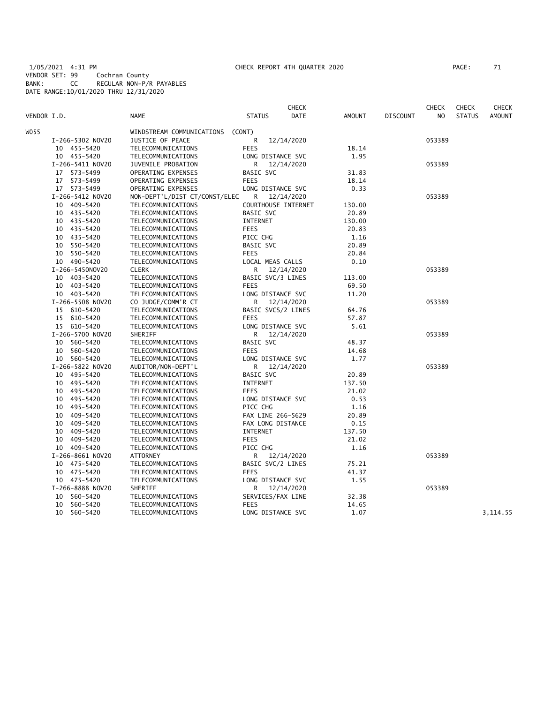1/05/2021 4:31 PM CHECK REPORT 4TH QUARTER 2020 PAGE: 71 VENDOR SET: 99 Cochran County BANK: CC REGULAR NON-P/R PAYABLES DATE RANGE:10/01/2020 THRU 12/31/2020

| PAGE : |  |
|--------|--|
|        |  |

|             |                  |                               |                     | <b>CHECK</b> |               |                 | <b>CHECK</b>   | <b>CHECK</b>  | CHECK         |
|-------------|------------------|-------------------------------|---------------------|--------------|---------------|-----------------|----------------|---------------|---------------|
| VENDOR I.D. |                  | <b>NAME</b>                   | <b>STATUS</b>       | DATE         | <b>AMOUNT</b> | <b>DISCOUNT</b> | N <sub>O</sub> | <b>STATUS</b> | <b>AMOUNT</b> |
| WO 55       |                  | WINDSTREAM COMMUNICATIONS     | (CONT)              |              |               |                 |                |               |               |
|             | I-266-5302 NOV20 | JUSTICE OF PEACE              | R                   | 12/14/2020   |               |                 | 053389         |               |               |
|             | 10 455-5420      | TELECOMMUNICATIONS            | <b>FEES</b>         |              | 18.14         |                 |                |               |               |
|             | 10 455-5420      | TELECOMMUNICATIONS            | LONG DISTANCE SVC   |              | 1.95          |                 |                |               |               |
|             | I-266-5411 NOV20 | JUVENILE PROBATION            | R                   | 12/14/2020   |               |                 | 053389         |               |               |
|             | 17 573-5499      | OPERATING EXPENSES            | BASIC SVC           |              | 31.83         |                 |                |               |               |
|             | 17 573-5499      | OPERATING EXPENSES            | <b>FEES</b>         |              | 18.14         |                 |                |               |               |
|             | 17 573-5499      | OPERATING EXPENSES            | LONG DISTANCE SVC   |              | 0.33          |                 |                |               |               |
|             | I-266-5412 NOV20 | NON-DEPT'L/DIST CT/CONST/ELEC | R                   | 12/14/2020   |               |                 | 053389         |               |               |
|             | 10 409-5420      | TELECOMMUNICATIONS            | COURTHOUSE INTERNET |              | 130.00        |                 |                |               |               |
|             | 10 435-5420      | TELECOMMUNICATIONS            | BASIC SVC           |              | 20.89         |                 |                |               |               |
|             | 10 435-5420      | TELECOMMUNICATIONS            | INTERNET            |              | 130.00        |                 |                |               |               |
|             | 10 435-5420      | TELECOMMUNICATIONS            | <b>FEES</b>         |              | 20.83         |                 |                |               |               |
|             | 10 435-5420      | TELECOMMUNICATIONS            | PICC CHG            |              | 1.16          |                 |                |               |               |
|             | 10 550-5420      | TELECOMMUNICATIONS            | BASIC SVC           |              | 20.89         |                 |                |               |               |
|             | 10 550-5420      | TELECOMMUNICATIONS            | <b>FEES</b>         |              | 20.84         |                 |                |               |               |
|             | 10 490-5420      | TELECOMMUNICATIONS            | LOCAL MEAS CALLS    |              | 0.10          |                 |                |               |               |
|             | I-266-5450NOV20  | <b>CLERK</b>                  | R                   | 12/14/2020   |               |                 | 053389         |               |               |
|             | 10 403-5420      | TELECOMMUNICATIONS            | BASIC SVC/3 LINES   |              | 113.00        |                 |                |               |               |
|             | 10 403-5420      | TELECOMMUNICATIONS            | <b>FEES</b>         |              | 69.50         |                 |                |               |               |
|             | 10 403-5420      | TELECOMMUNICATIONS            | LONG DISTANCE SVC   |              | 11.20         |                 |                |               |               |
|             | I-266-5508 NOV20 | CO JUDGE/COMM'R CT            | R                   | 12/14/2020   |               |                 | 053389         |               |               |
|             | 15 610-5420      | TELECOMMUNICATIONS            | BASIC SVCS/2 LINES  |              | 64.76         |                 |                |               |               |
|             | 15 610-5420      | TELECOMMUNICATIONS            | <b>FEES</b>         |              | 57.87         |                 |                |               |               |
|             | 15 610-5420      | TELECOMMUNICATIONS            | LONG DISTANCE SVC   |              | 5.61          |                 |                |               |               |
|             | I-266-5700 NOV20 | <b>SHERIFF</b>                | R.                  | 12/14/2020   |               |                 | 053389         |               |               |
|             | 10 560-5420      | TELECOMMUNICATIONS            | BASIC SVC           |              | 48.37         |                 |                |               |               |
|             | 10 560-5420      | TELECOMMUNICATIONS            | <b>FEES</b>         |              | 14.68         |                 |                |               |               |
|             | 10 560-5420      | TELECOMMUNICATIONS            | LONG DISTANCE SVC   |              | 1.77          |                 |                |               |               |
|             | I-266-5822 NOV20 | AUDITOR/NON-DEPT'L            | R                   | 12/14/2020   |               |                 | 053389         |               |               |
|             | 10 495-5420      | TELECOMMUNICATIONS            | BASIC SVC           |              | 20.89         |                 |                |               |               |
|             | 10 495-5420      | TELECOMMUNICATIONS            | <b>INTERNET</b>     |              | 137.50        |                 |                |               |               |
|             | 10 495-5420      | TELECOMMUNICATIONS            | FEES                |              | 21.02         |                 |                |               |               |
|             | 10 495-5420      | TELECOMMUNICATIONS            | LONG DISTANCE SVC   |              | 0.53          |                 |                |               |               |
|             | 10 495-5420      | TELECOMMUNICATIONS            | PICC CHG            |              | 1.16          |                 |                |               |               |
|             | 10 409-5420      | TELECOMMUNICATIONS            | FAX LINE 266-5629   |              | 20.89         |                 |                |               |               |
|             | 10<br>409-5420   | TELECOMMUNICATIONS            | FAX LONG DISTANCE   |              | 0.15          |                 |                |               |               |
|             | 10 409-5420      | TELECOMMUNICATIONS            | <b>INTERNET</b>     |              | 137.50        |                 |                |               |               |
|             | 10<br>409-5420   | TELECOMMUNICATIONS            | <b>FEES</b>         |              | 21.02         |                 |                |               |               |
|             | 10 409-5420      | TELECOMMUNICATIONS            | PICC CHG            |              | 1.16          |                 |                |               |               |
|             | I-266-8661 NOV20 | ATTORNEY                      | R                   | 12/14/2020   |               |                 | 053389         |               |               |
|             | 10 475-5420      | TELECOMMUNICATIONS            | BASIC SVC/2 LINES   |              | 75.21         |                 |                |               |               |
|             | 10 475-5420      | TELECOMMUNICATIONS            | <b>FEES</b>         |              | 41.37         |                 |                |               |               |
|             | 10 475-5420      | TELECOMMUNICATIONS            | LONG DISTANCE SVC   |              | 1.55          |                 |                |               |               |
|             | I-266-8888 NOV20 | SHERIFF                       | R                   | 12/14/2020   |               |                 | 053389         |               |               |
|             | 10 560-5420      | TELECOMMUNICATIONS            | SERVICES/FAX LINE   |              | 32.38         |                 |                |               |               |
|             | 10<br>560-5420   | TELECOMMUNICATIONS            | <b>FEES</b>         |              | 14.65         |                 |                |               |               |
|             | 10<br>560-5420   | TELECOMMUNICATIONS            | LONG DISTANCE SVC   |              | 1.07          |                 |                |               | 3,114.55      |
|             |                  |                               |                     |              |               |                 |                |               |               |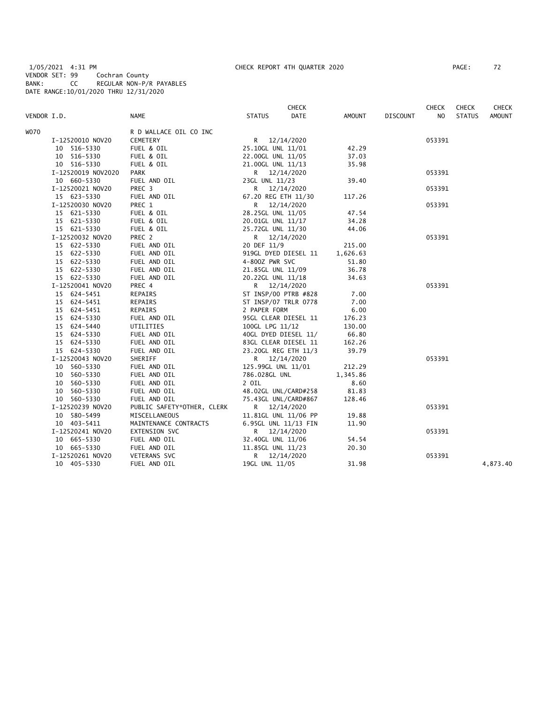1/05/2021 4:31 PM CHECK REPORT 4TH QUARTER 2020 PAGE: 72 VENDOR SET: 99 Cochran County BANK: CC REGULAR NON-P/R PAYABLES DATE RANGE:10/01/2020 THRU 12/31/2020

|             |                    |                            |                      | <b>CHECK</b> |          |                 | <b>CHECK</b>   | <b>CHECK</b>  | <b>CHECK</b>  |
|-------------|--------------------|----------------------------|----------------------|--------------|----------|-----------------|----------------|---------------|---------------|
| VENDOR I.D. |                    | <b>NAME</b>                | <b>STATUS</b>        | <b>DATE</b>  | AMOUNT   | <b>DISCOUNT</b> | N <sub>O</sub> | <b>STATUS</b> | <b>AMOUNT</b> |
| WO70        |                    | R D WALLACE OIL CO INC     |                      |              |          |                 |                |               |               |
|             | I-12520010 NOV20   | CEMETERY                   | R 12/14/2020         |              |          |                 | 053391         |               |               |
|             | 10 516-5330        | FUEL & OIL                 | 25.10GL UNL 11/01    |              | 42.29    |                 |                |               |               |
|             | 10 516-5330        | FUEL & OIL                 | 22.00GL UNL 11/05    |              | 37.03    |                 |                |               |               |
|             | 10 516-5330        | FUEL & OIL                 | 21.00GL UNL 11/13    |              | 35.98    |                 |                |               |               |
|             | I-12520019 NOV2020 | PARK                       | R 12/14/2020         |              |          |                 | 053391         |               |               |
|             | 10 660-5330        | FUEL AND OIL               | 23GL UNL 11/23       |              | 39.40    |                 |                |               |               |
|             | I-12520021 NOV20   | PREC 3                     | R 12/14/2020         |              |          |                 | 053391         |               |               |
|             | 15 623-5330        | FUEL AND OIL               | 67.20 REG ETH 11/30  |              | 117.26   |                 |                |               |               |
|             | I-12520030 NOV20   | PREC 1                     | R 12/14/2020         |              |          |                 | 053391         |               |               |
|             | 15 621-5330        | FUEL & OIL                 | 28.25GL UNL 11/05    |              | 47.54    |                 |                |               |               |
|             | 15 621-5330        | FUEL & OIL                 | 20.01GL UNL 11/17    |              | 34.28    |                 |                |               |               |
|             | 15 621-5330        | FUEL & OIL                 | 25.72GL UNL 11/30    |              | 44.06    |                 |                |               |               |
|             | I-12520032 NOV20   | PREC 2                     | R 12/14/2020         |              |          |                 | 053391         |               |               |
|             | 15 622-5330        | FUEL AND OIL               | 20 DEF 11/9          |              | 215.00   |                 |                |               |               |
|             | 15 622-5330        | FUEL AND OIL               | 919GL DYED DIESEL 11 |              | 1,626.63 |                 |                |               |               |
|             | 15 622-5330        | FUEL AND OIL               | 4-800Z PWR SVC       |              | 51.80    |                 |                |               |               |
|             | 15 622-5330        | FUEL AND OIL               | 21.85GL UNL 11/09    |              | 36.78    |                 |                |               |               |
|             | 15 622-5330        | FUEL AND OIL               | 20.22GL UNL 11/18    |              | 34.63    |                 |                |               |               |
|             | I-12520041 NOV20   | PREC 4                     | R 12/14/2020         |              |          |                 | 053391         |               |               |
|             | 15 624-5451        | REPAIRS                    | ST INSP/00 PTRB #828 |              | 7.00     |                 |                |               |               |
|             | 15 624-5451        | REPAIRS                    | ST INSP/07 TRLR 0778 |              | 7.00     |                 |                |               |               |
|             | 15 624-5451        | REPAIRS                    | 2 PAPER FORM         |              | 6.00     |                 |                |               |               |
|             | 15 624-5330        | FUEL AND OIL               | 95GL CLEAR DIESEL 11 |              | 176.23   |                 |                |               |               |
|             | 15 624-5440        | UTILITIES                  | 100GL LPG 11/12      |              | 130.00   |                 |                |               |               |
|             | 15 624-5330        | FUEL AND OIL               | 40GL DYED DIESEL 11/ |              | 66.80    |                 |                |               |               |
|             | 15 624-5330        | FUEL AND OIL               | 83GL CLEAR DIESEL 11 |              | 162.26   |                 |                |               |               |
|             | 15 624-5330        | FUEL AND OIL               | 23.20GL REG ETH 11/3 |              | 39.79    |                 |                |               |               |
|             | I-12520043 NOV20   | SHERIFF                    | R 12/14/2020         |              |          |                 | 053391         |               |               |
|             | 10 560-5330        | FUEL AND OIL               | 125.99GL UNL 11/01   |              | 212.29   |                 |                |               |               |
|             | 10 560-5330        | FUEL AND OIL               | 786.028GL UNL        |              | 1,345.86 |                 |                |               |               |
|             | 10 560-5330        | FUEL AND OIL               | 2 OIL                |              | 8.60     |                 |                |               |               |
|             | 10 560-5330        | FUEL AND OIL               | 48.02GL UNL/CARD#258 |              | 81.83    |                 |                |               |               |
|             | 10 560-5330        | FUEL AND OIL               | 75.43GL UNL/CARD#867 |              | 128.46   |                 |                |               |               |
|             | I-12520239 NOV20   | PUBLIC SAFETY*OTHER, CLERK | R 12/14/2020         |              |          |                 | 053391         |               |               |
|             | 10 580-5499        | MISCELLANEOUS              | 11.81GL UNL 11/06 PP |              | 19.88    |                 |                |               |               |
|             | 10 403-5411        | MAINTENANCE CONTRACTS      | 6.95GL UNL 11/13 FIN |              | 11.90    |                 |                |               |               |
|             | I-12520241 NOV20   | EXTENSION SVC              | R 12/14/2020         |              |          |                 | 053391         |               |               |
|             | 10 665-5330        | FUEL AND OIL               | 32.40GL UNL 11/06    |              | 54.54    |                 |                |               |               |
|             | 10 665-5330        | FUEL AND OIL               | 11.85GL UNL 11/23    |              | 20.30    |                 |                |               |               |
|             | I-12520261 NOV20   | VETERANS SVC               | R 12/14/2020         |              |          |                 | 053391         |               |               |
|             | 10 405-5330        | FUEL AND OIL               | 19GL UNL 11/05       |              | 31.98    |                 |                |               | 4,873.40      |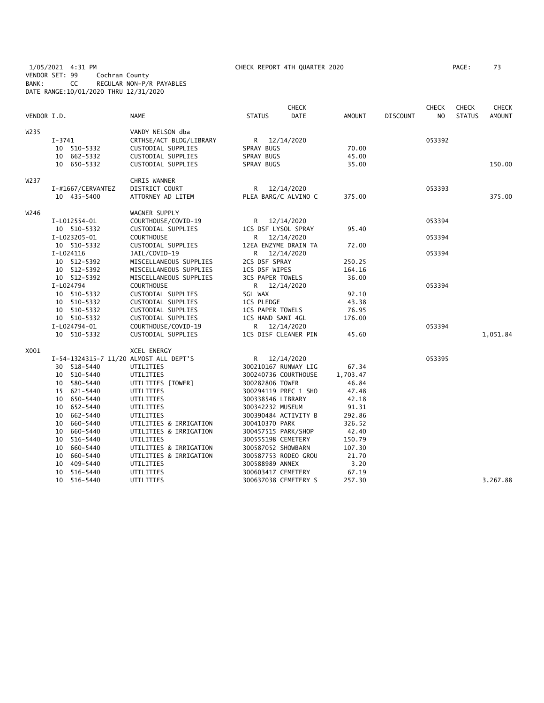1/05/2021 4:31 PM CHECK REPORT 4TH QUARTER 2020 PAGE: 73 VENDOR SET: 99 Cochran County BANK: CC REGULAR NON-P/R PAYABLES DATE RANGE:10/01/2020 THRU 12/31/2020

| VENDOR I.D. |                                        | <b>NAME</b>             | <b>STATUS</b>           | CHECK<br><b>DATE</b> | <b>AMOUNT</b> | <b>DISCOUNT</b> | <b>CHECK</b><br>NO | <b>CHECK</b><br><b>STATUS</b> | <b>CHECK</b><br><b>AMOUNT</b> |
|-------------|----------------------------------------|-------------------------|-------------------------|----------------------|---------------|-----------------|--------------------|-------------------------------|-------------------------------|
| W235        |                                        | VANDY NELSON dba        |                         |                      |               |                 |                    |                               |                               |
|             | I-3741                                 | CRTHSE/ACT BLDG/LIBRARY | R 12/14/2020            |                      |               |                 | 053392             |                               |                               |
|             | 10 510-5332                            | CUSTODIAL SUPPLIES      | SPRAY BUGS              |                      | 70.00         |                 |                    |                               |                               |
|             | 10 662-5332                            | CUSTODIAL SUPPLIES      | SPRAY BUGS              |                      | 45.00         |                 |                    |                               |                               |
|             | 10 650-5332                            | CUSTODIAL SUPPLIES      | SPRAY BUGS              |                      | 35.00         |                 |                    |                               | 150.00                        |
| W237        |                                        | CHRIS WANNER            |                         |                      |               |                 |                    |                               |                               |
|             | I-#1667/CERVANTEZ                      | DISTRICT COURT          | R 12/14/2020            |                      |               |                 | 053393             |                               |                               |
|             | 10 435-5400                            | ATTORNEY AD LITEM       | PLEA BARG/C ALVINO C    |                      | 375.00        |                 |                    |                               | 375.00                        |
| W246        |                                        | WAGNER SUPPLY           |                         |                      |               |                 |                    |                               |                               |
|             | I-L012554-01                           | COURTHOUSE/COVID-19     | R                       | 12/14/2020           |               |                 | 053394             |                               |                               |
|             | 10 510-5332                            | CUSTODIAL SUPPLIES      | 1CS DSF LYSOL SPRAY     |                      | 95.40         |                 |                    |                               |                               |
|             | I-L023205-01                           | <b>COURTHOUSE</b>       | R 12/14/2020            |                      |               |                 | 053394             |                               |                               |
|             | 10 510-5332                            | CUSTODIAL SUPPLIES      | 12EA ENZYME DRAIN TA    |                      | 72.00         |                 |                    |                               |                               |
|             | I-L024116                              | JAIL/COVID-19           | R 12/14/2020            |                      |               |                 | 053394             |                               |                               |
|             | 10 512-5392                            | MISCELLANEOUS SUPPLIES  | 2CS DSF SPRAY           |                      | 250.25        |                 |                    |                               |                               |
|             | 10 512-5392                            | MISCELLANEOUS SUPPLIES  | 1CS DSF WIPES           |                      | 164.16        |                 |                    |                               |                               |
|             | 10 512-5392                            | MISCELLANEOUS SUPPLIES  | <b>3CS PAPER TOWELS</b> |                      | 36.00         |                 |                    |                               |                               |
|             | I-L024794                              | <b>COURTHOUSE</b>       | R 12/14/2020            |                      |               |                 | 053394             |                               |                               |
|             | 10 510-5332                            | CUSTODIAL SUPPLIES      | 5GL WAX                 |                      | 92.10         |                 |                    |                               |                               |
|             | 10 510-5332                            | CUSTODIAL SUPPLIES      | <b>1CS PLEDGE</b>       |                      | 43.38         |                 |                    |                               |                               |
|             | 10 510-5332                            | CUSTODIAL SUPPLIES      | <b>1CS PAPER TOWELS</b> |                      | 76.95         |                 |                    |                               |                               |
|             | 10 510-5332                            | CUSTODIAL SUPPLIES      | 1CS HAND SANI 4GL       |                      | 176.00        |                 |                    |                               |                               |
|             | I-L024794-01                           | COURTHOUSE/COVID-19     | R 12/14/2020            |                      |               |                 | 053394             |                               |                               |
|             | 10 510-5332                            | CUSTODIAL SUPPLIES      | 1CS DISF CLEANER PIN    |                      | 45.60         |                 |                    |                               | 1,051.84                      |
| X001        |                                        | XCEL ENERGY             |                         |                      |               |                 |                    |                               |                               |
|             | I-54-1324315-7 11/20 ALMOST ALL DEPT'S |                         | R 12/14/2020            |                      |               |                 | 053395             |                               |                               |
|             | 30 518-5440                            | UTILITIES               | 300210167 RUNWAY LIG    |                      | 67.34         |                 |                    |                               |                               |
|             | 10 510-5440                            | UTILITIES               | 300240736 COURTHOUSE    |                      | 1,703.47      |                 |                    |                               |                               |
|             | 10 580-5440                            | UTILITIES [TOWER]       | 300282806 TOWER         |                      | 46.84         |                 |                    |                               |                               |
|             | 15 621-5440                            | UTILITIES               | 300294119 PREC 1 SHO    |                      | 47.48         |                 |                    |                               |                               |
|             | 10 650-5440                            | UTILITIES               | 300338546 LIBRARY       |                      | 42.18         |                 |                    |                               |                               |
|             | 10 652-5440                            | UTILITIES               | 300342232 MUSEUM        |                      | 91.31         |                 |                    |                               |                               |
|             | 10 662-5440                            | UTILITIES               | 300390484 ACTIVITY B    |                      | 292.86        |                 |                    |                               |                               |
|             | 10 660-5440                            | UTILITIES & IRRIGATION  | 300410370 PARK          |                      | 326.52        |                 |                    |                               |                               |
|             | 10 660-5440                            | UTILITIES & IRRIGATION  | 300457515 PARK/SHOP     |                      | 42.40         |                 |                    |                               |                               |
|             | 516-5440<br>10                         | UTILITIES               | 300555198 CEMETERY      |                      | 150.79        |                 |                    |                               |                               |
|             | 660-5440<br>10                         | UTILITIES & IRRIGATION  | 300587052 SHOWBARN      |                      | 107.30        |                 |                    |                               |                               |
|             | 10 660-5440                            | UTILITIES & IRRIGATION  | 300587753 RODEO GROU    |                      | 21.70         |                 |                    |                               |                               |
|             | 10 409-5440                            | UTILITIES               | 300588989 ANNEX         |                      | 3.20          |                 |                    |                               |                               |
|             | 10 516-5440                            | UTILITIES               | 300603417 CEMETERY      |                      | 67.19         |                 |                    |                               |                               |
|             | 10 516-5440                            | UTILITIES               | 300637038 CEMETERY S    |                      | 257.30        |                 |                    |                               | 3,267.88                      |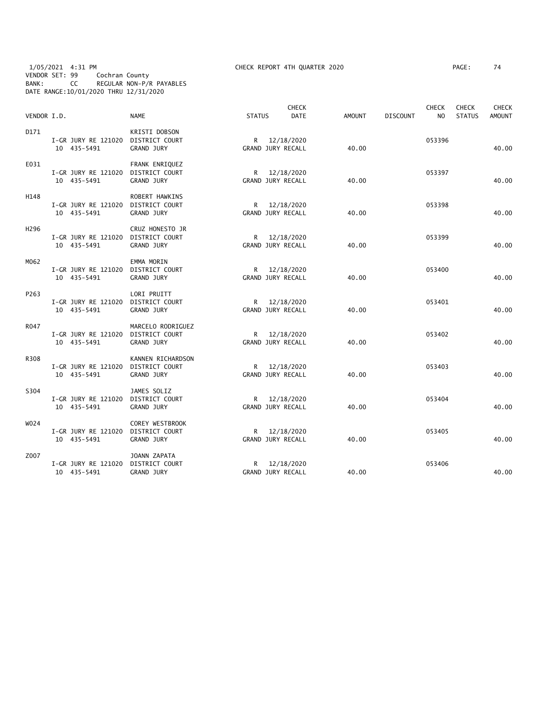#### 1/05/2021 4:31 PM CHECK REPORT 4TH QUARTER 2020 PAGE: 74 VENDOR SET: 99 Cochran County BANK: CC REGULAR NON-P/R PAYABLES DATE RANGE:10/01/2020 THRU 12/31/2020

| VENDOR I.D. |                                                   | <b>NAME</b>                                           | <b>STATUS</b>                     | <b>CHECK</b><br><b>DATE</b> | AMOUNT | <b>DISCOUNT</b> | <b>CHECK</b><br>N <sub>O</sub> | <b>CHECK</b><br><b>STATUS</b> | <b>CHECK</b><br><b>AMOUNT</b> |
|-------------|---------------------------------------------------|-------------------------------------------------------|-----------------------------------|-----------------------------|--------|-----------------|--------------------------------|-------------------------------|-------------------------------|
| D171        | I-GR JURY RE 121020 DISTRICT COURT<br>10 435-5491 | KRISTI DOBSON<br>GRAND JURY                           | R 12/18/2020<br>GRAND JURY RECALL |                             | 40.00  |                 | 053396                         |                               | 40.00                         |
| E031        | I-GR JURY RE 121020<br>10 435-5491                | FRANK ENRIQUEZ<br>DISTRICT COURT<br><b>GRAND JURY</b> | R 12/18/2020<br>GRAND JURY RECALL |                             | 40.00  |                 | 053397                         |                               | 40.00                         |
| H148        | I-GR JURY RE 121020 DISTRICT COURT<br>10 435-5491 | ROBERT HAWKINS<br>GRAND JURY                          | R 12/18/2020<br>GRAND JURY RECALL |                             | 40.00  |                 | 053398                         |                               | 40.00                         |
| H296        | I-GR JURY RE 121020 DISTRICT COURT<br>10 435-5491 | CRUZ HONESTO JR<br><b>GRAND JURY</b>                  | R<br>GRAND JURY RECALL            | 12/18/2020                  | 40.00  |                 | 053399                         |                               | 40.00                         |
| M062        | I-GR JURY RE 121020 DISTRICT COURT<br>10 435-5491 | EMMA MORIN<br><b>GRAND JURY</b>                       | GRAND JURY RECALL                 | R 12/18/2020                | 40.00  |                 | 053400                         |                               | 40.00                         |
| P263        | I-GR JURY RE 121020 DISTRICT COURT<br>10 435-5491 | LORI PRUITT<br><b>GRAND JURY</b>                      | R 12/18/2020<br>GRAND JURY RECALL |                             | 40.00  |                 | 053401                         |                               | 40.00                         |
| R047        | I-GR JURY RE 121020 DISTRICT COURT<br>10 435-5491 | MARCELO RODRIGUEZ<br>GRAND JURY                       | R 12/18/2020<br>GRAND JURY RECALL |                             | 40.00  |                 | 053402                         |                               | 40.00                         |
| R308        | I-GR JURY RE 121020 DISTRICT COURT<br>10 435-5491 | KANNEN RICHARDSON<br>GRAND JURY                       | R<br>GRAND JURY RECALL            | 12/18/2020                  | 40.00  |                 | 053403                         |                               | 40.00                         |
| S304        | I-GR JURY RE 121020<br>10 435-5491                | JAMES SOLIZ<br>DISTRICT COURT<br>GRAND JURY           | R 12/18/2020<br>GRAND JURY RECALL |                             | 40.00  |                 | 053404                         |                               | 40.00                         |
| W024        | I-GR JURY RE 121020 DISTRICT COURT<br>10 435-5491 | COREY WESTBROOK<br>GRAND JURY                         | GRAND JURY RECALL                 | R 12/18/2020                | 40.00  |                 | 053405                         |                               | 40.00                         |
| Z007        | I-GR JURY RE 121020<br>10 435-5491                | JOANN ZAPATA<br>DISTRICT COURT<br>GRAND JURY          | R 12/18/2020<br>GRAND JURY RECALL |                             | 40.00  |                 | 053406                         |                               | 40.00                         |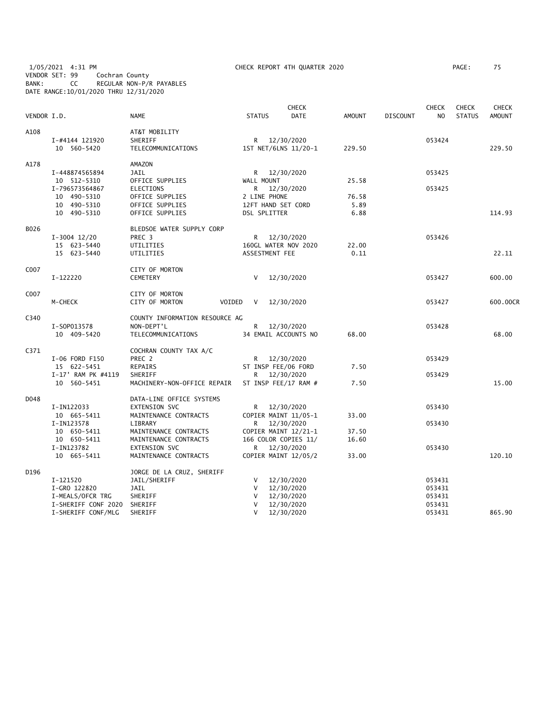1/05/2021 4:31 PM CHECK REPORT 4TH QUARTER 2020 PAGE: 75 VENDOR SET: 99 Cochran County BANK: CC REGULAR NON-P/R PAYABLES DATE RANGE:10/01/2020 THRU 12/31/2020

| VENDOR I.D. |                                                                     | <b>NAME</b>                                                                | <b>STATUS</b>                | <b>CHECK</b><br><b>DATE</b>                                              | <b>AMOUNT</b>         | <b>DISCOUNT</b> | <b>CHECK</b><br>N <sub>O</sub>       | <b>CHECK</b><br><b>STATUS</b> | <b>CHECK</b><br><b>AMOUNT</b> |
|-------------|---------------------------------------------------------------------|----------------------------------------------------------------------------|------------------------------|--------------------------------------------------------------------------|-----------------------|-----------------|--------------------------------------|-------------------------------|-------------------------------|
| A108        | I-#4144 121920<br>10 560-5420                                       | AT&T MOBILITY<br>SHERIFF<br>TELECOMMUNICATIONS                             |                              | R 12/30/2020<br>1ST NET/6LNS 11/20-1                                     | 229.50                |                 | 053424                               |                               | 229.50                        |
| A178        | I-448874565894<br>10 512-5310<br>I-796573564867                     | AMAZON<br>JAIL<br>OFFICE SUPPLIES<br>ELECTIONS                             | R.<br>WALL MOUNT<br>R        | 12/30/2020<br>12/30/2020                                                 | 25.58                 |                 | 053425<br>053425                     |                               |                               |
|             | 10 490-5310<br>10 490-5310<br>10 490-5310                           | OFFICE SUPPLIES<br>OFFICE SUPPLIES<br>OFFICE SUPPLIES                      | 2 LINE PHONE<br>DSL SPLITTER | 12FT HAND SET CORD                                                       | 76.58<br>5.89<br>6.88 |                 |                                      |                               | 114.93                        |
| B026        | $I-3004$ 12/20<br>15 623-5440<br>15 623-5440                        | BLEDSOE WATER SUPPLY CORP<br>PREC <sub>3</sub><br>UTILITIES<br>UTILITIES   | R<br>ASSESTMENT FEE          | 12/30/2020<br>160GL WATER NOV 2020                                       | 22.00<br>0.11         |                 | 053426                               |                               | 22.11                         |
| C007        | I-122220                                                            | CITY OF MORTON<br><b>CEMETERY</b>                                          | V                            | 12/30/2020                                                               |                       |                 | 053427                               |                               | 600.00                        |
| C007        | M-CHECK                                                             | CITY OF MORTON<br>CITY OF MORTON<br>VOIDED                                 | V                            | 12/30/2020                                                               |                       |                 | 053427                               |                               | 600.00CR                      |
| C340        | I-S0P013578<br>10 409-5420                                          | COUNTY INFORMATION RESOURCE AG<br>NON-DEPT'L<br>TELECOMMUNICATIONS         | R                            | 12/30/2020<br>34 EMAIL ACCOUNTS NO                                       | 68.00                 |                 | 053428                               |                               | 68.00                         |
| C371        | I-06 FORD F150<br>15 622-5451                                       | COCHRAN COUNTY TAX A/C<br>PREC 2<br>REPAIRS                                | R                            | 12/30/2020<br>ST INSP FEE/06 FORD                                        | 7.50                  |                 | 053429                               |                               |                               |
|             | I-17' RAM PK #4119<br>10 560-5451                                   | SHERIFF<br>MACHINERY-NON-OFFICE REPAIR                                     | R                            | 12/30/2020<br>ST INSP FEE/17 RAM #                                       | 7.50                  |                 | 053429                               |                               | 15.00                         |
| D048        | I-IN122033<br>10 665-5411                                           | DATA-LINE OFFICE SYSTEMS<br>EXTENSION SVC<br>MAINTENANCE CONTRACTS         | R.                           | 12/30/2020<br>COPIER MAINT 11/05-1                                       | 33.00                 |                 | 053430                               |                               |                               |
|             | I-IN123578<br>10 650-5411<br>10 650-5411<br>I-IN123782              | LIBRARY<br>MAINTENANCE CONTRACTS<br>MAINTENANCE CONTRACTS<br>EXTENSION SVC | R<br>R                       | 12/30/2020<br>COPIER MAINT 12/21-1<br>166 COLOR COPIES 11/<br>12/30/2020 | 37.50<br>16.60        |                 | 053430<br>053430                     |                               |                               |
|             | 10 665-5411                                                         | MAINTENANCE CONTRACTS                                                      |                              | COPIER MAINT 12/05/2                                                     | 33.00                 |                 |                                      |                               | 120.10                        |
| D196        | I-121520<br>I-GRO 122820<br>I-MEALS/OFCR TRG<br>I-SHERIFF CONF 2020 | JORGE DE LA CRUZ, SHERIFF<br>JAIL/SHERIFF<br>JAIL<br>SHERIFF<br>SHERIFF    | V<br>V<br>V<br>V             | 12/30/2020<br>12/30/2020<br>12/30/2020<br>12/30/2020                     |                       |                 | 053431<br>053431<br>053431<br>053431 |                               | 865.90                        |
|             | I-SHERIFF CONF/MLG                                                  | SHERIFF                                                                    | $\vee$                       | 12/30/2020                                                               |                       |                 | 053431                               |                               |                               |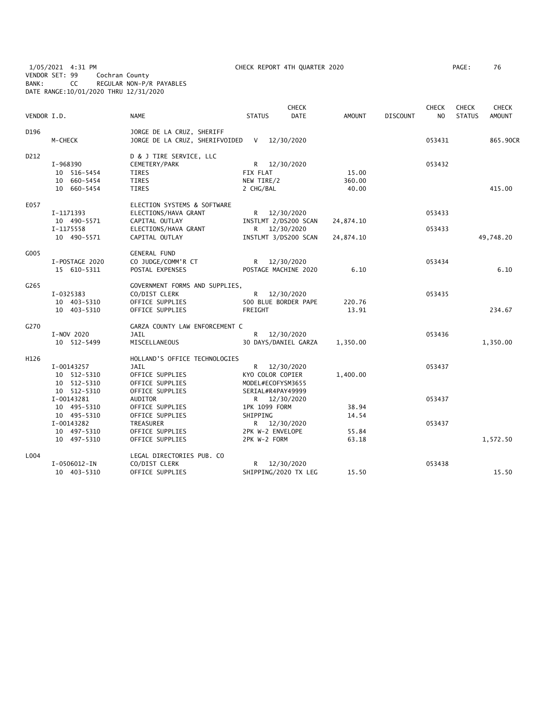1/05/2021 4:31 PM CHECK REPORT 4TH QUARTER 2020 PAGE: 76 VENDOR SET: 99 Cochran County BANK: CC REGULAR NON-P/R PAYABLES DATE RANGE:10/01/2020 THRU 12/31/2020

| VENDOR I.D. |                                                         | <b>NAME</b>                                                                                                     | <b>STATUS</b>                                              | <b>CHECK</b><br><b>DATE</b>                                                  | <b>AMOUNT</b>            | DISCOUNT | <b>CHECK</b><br>NO. | <b>CHECK</b><br><b>STATUS</b> | <b>CHECK</b><br><b>AMOUNT</b> |
|-------------|---------------------------------------------------------|-----------------------------------------------------------------------------------------------------------------|------------------------------------------------------------|------------------------------------------------------------------------------|--------------------------|----------|---------------------|-------------------------------|-------------------------------|
| D196        | M-CHECK                                                 | JORGE DE LA CRUZ, SHERIFF<br>JORGE DE LA CRUZ, SHERIFVOIDED                                                     | $\mathsf{V}$                                               | 12/30/2020                                                                   |                          |          | 053431              |                               | 865.90CR                      |
| D212        | I-968390<br>10 516-5454<br>10 660-5454<br>10 660-5454   | D & J TIRE SERVICE, LLC<br>CEMETERY/PARK<br>TIRES<br><b>TIRES</b><br><b>TIRES</b>                               | FIX FLAT<br>NEW TIRE/2<br>2 CHG/BAL                        | R 12/30/2020                                                                 | 15.00<br>360.00<br>40.00 |          | 053432              |                               | 415.00                        |
| E057        | I-1171393<br>10 490-5571<br>I-1175558<br>10 490-5571    | ELECTION SYSTEMS & SOFTWARE<br>ELECTIONS/HAVA GRANT<br>CAPITAL OUTLAY<br>ELECTIONS/HAVA GRANT<br>CAPITAL OUTLAY |                                                            | R 12/30/2020<br>INSTLMT 2/DS200 SCAN<br>R 12/30/2020<br>INSTLMT 3/DS200 SCAN | 24,874.10<br>24,874.10   |          | 053433<br>053433    |                               | 49,748.20                     |
| G005        | I-POSTAGE 2020<br>15 610-5311                           | <b>GENERAL FUND</b><br>CO JUDGE/COMM'R CT<br>POSTAL EXPENSES                                                    |                                                            | R 12/30/2020<br>POSTAGE MACHINE 2020                                         | 6.10                     |          | 053434              |                               | 6.10                          |
| G265        | I-0325383<br>10 403-5310<br>10 403-5310                 | GOVERNMENT FORMS AND SUPPLIES,<br>CO/DIST CLERK<br>OFFICE SUPPLIES<br>OFFICE SUPPLIES                           | FREIGHT                                                    | R 12/30/2020<br>500 BLUE BORDER PAPE                                         | 220.76<br>13.91          |          | 053435              |                               | 234.67                        |
| G270        | I-NOV 2020<br>10 512-5499                               | GARZA COUNTY LAW ENFORCEMENT C<br><b>JAIL</b><br>MISCELLANEOUS                                                  |                                                            | R 12/30/2020<br>30 DAYS/DANIEL GARZA                                         | 1,350.00                 |          | 053436              |                               | 1,350.00                      |
| H126        | I-00143257<br>10 512-5310<br>10 512-5310<br>10 512-5310 | HOLLAND'S OFFICE TECHNOLOGIES<br>JAIL<br>OFFICE SUPPLIES<br>OFFICE SUPPLIES<br>OFFICE SUPPLIES                  | KYO COLOR COPIER<br>MODEL#ECOFYSM3655<br>SERIAL#R4PAY49999 | R 12/30/2020                                                                 | 1,400.00                 |          | 053437              |                               |                               |
|             | I-00143281<br>10 495-5310<br>10 495-5310<br>I-00143282  | AUDITOR<br>OFFICE SUPPLIES<br>OFFICE SUPPLIES<br>TREASURER                                                      | 1PK 1099 FORM<br>SHIPPING                                  | R 12/30/2020<br>R 12/30/2020                                                 | 38.94<br>14.54           |          | 053437<br>053437    |                               |                               |
|             | 10 497-5310<br>10 497-5310                              | OFFICE SUPPLIES<br>OFFICE SUPPLIES                                                                              | 2PK W-2 ENVELOPE<br>2PK W-2 FORM                           |                                                                              | 55.84<br>63.18           |          |                     |                               | 1,572.50                      |
| L004        | I-0506012-IN<br>10 403-5310                             | LEGAL DIRECTORIES PUB. CO<br>CO/DIST CLERK<br>OFFICE SUPPLIES                                                   | R.                                                         | 12/30/2020<br>SHIPPING/2020 TX LEG                                           | 15.50                    |          | 053438              |                               | 15.50                         |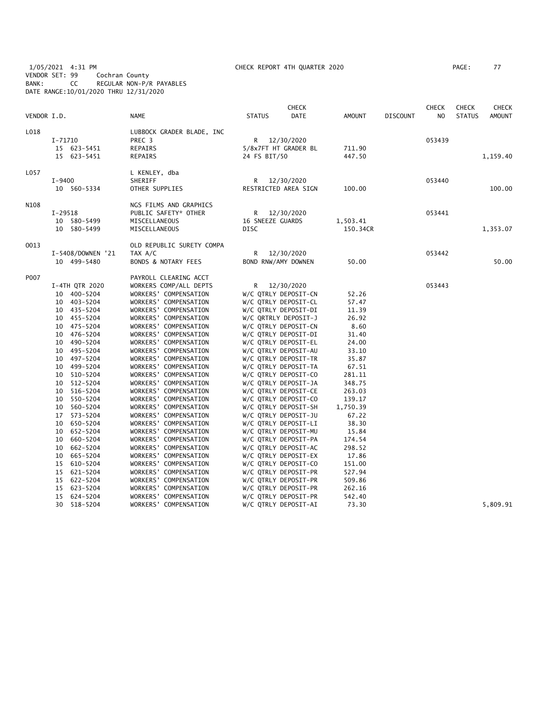1/05/2021 4:31 PM CHECK REPORT 4TH QUARTER 2020 PAGE: 77 VENDOR SET: 99 Cochran County BANK: CC REGULAR NON-P/R PAYABLES DATE RANGE:10/01/2020 THRU 12/31/2020

| PAGE : |  |  |
|--------|--|--|
|        |  |  |

| VENDOR I.D. |                   | <b>NAME</b>                    | <b>CHECK</b><br><b>DATE</b><br><b>STATUS</b> | <b>AMOUNT</b> | <b>DISCOUNT</b> | <b>CHECK</b><br>NO. | <b>CHECK</b><br><b>STATUS</b> | CHECK<br><b>AMOUNT</b> |
|-------------|-------------------|--------------------------------|----------------------------------------------|---------------|-----------------|---------------------|-------------------------------|------------------------|
| L018        |                   | LUBBOCK GRADER BLADE, INC      |                                              |               |                 |                     |                               |                        |
|             | $I - 71710$       | PREC <sub>3</sub>              | R 12/30/2020                                 |               |                 | 053439              |                               |                        |
|             | 15 623-5451       | REPAIRS                        | 5/8x7FT HT GRADER BL                         | 711.90        |                 |                     |                               |                        |
|             | 15 623-5451       | REPAIRS                        | 24 FS BIT/50                                 | 447.50        |                 |                     |                               | 1,159.40               |
| L057        |                   | L KENLEY, dba                  |                                              |               |                 |                     |                               |                        |
|             | $I - 9400$        | SHERIFF                        | R 12/30/2020                                 |               |                 | 053440              |                               |                        |
|             | 10 560-5334       | OTHER SUPPLIES                 | RESTRICTED AREA SIGN                         | 100.00        |                 |                     |                               | 100.00                 |
| N108        |                   | NGS FILMS AND GRAPHICS         |                                              |               |                 |                     |                               |                        |
|             | I-29518           | PUBLIC SAFETY* OTHER           | R 12/30/2020                                 |               |                 | 053441              |                               |                        |
|             | 10 580-5499       | MISCELLANEOUS                  | 16 SNEEZE GUARDS                             | 1,503.41      |                 |                     |                               |                        |
|             | 10 580-5499       | MISCELLANEOUS                  | DISC                                         | 150.34CR      |                 |                     |                               | 1,353.07               |
| 0013        |                   | OLD REPUBLIC SURETY COMPA      |                                              |               |                 |                     |                               |                        |
|             | I-5408/DOWNEN '21 | TAX A/C                        | R<br>12/30/2020                              |               |                 | 053442              |                               |                        |
|             | 10 499-5480       | <b>BONDS &amp; NOTARY FEES</b> | BOND RNW/AMY DOWNEN                          | 50.00         |                 |                     |                               | 50.00                  |
| P007        |                   | PAYROLL CLEARING ACCT          |                                              |               |                 |                     |                               |                        |
|             | I-4TH QTR 2020    | WORKERS COMP/ALL DEPTS         | R 12/30/2020                                 |               |                 | 053443              |                               |                        |
|             | 10 400-5204       | WORKERS' COMPENSATION          | W/C QTRLY DEPOSIT-CN                         | 52.26         |                 |                     |                               |                        |
|             | 10 403-5204       | WORKERS' COMPENSATION          | W/C QTRLY DEPOSIT-CL                         | 57.47         |                 |                     |                               |                        |
|             | 10 435-5204       | WORKERS' COMPENSATION          | W/C QTRLY DEPOSIT-DI                         | 11.39         |                 |                     |                               |                        |
|             | 10 455-5204       | WORKERS' COMPENSATION          | W/C QRTRLY DEPOSIT-J                         | 26.92         |                 |                     |                               |                        |
|             | 10 475-5204       | WORKERS' COMPENSATION          | W/C QTRLY DEPOSIT-CN                         | 8.60          |                 |                     |                               |                        |
|             | 10 476-5204       | WORKERS' COMPENSATION          | W/C QTRLY DEPOSIT-DI                         | 31.40         |                 |                     |                               |                        |
|             | 10 490-5204       | WORKERS' COMPENSATION          | W/C QTRLY DEPOSIT-EL                         | 24.00         |                 |                     |                               |                        |
|             | 10 495-5204       | WORKERS' COMPENSATION          | W/C QTRLY DEPOSIT-AU                         | 33.10         |                 |                     |                               |                        |
|             | 10 497-5204       | WORKERS' COMPENSATION          | W/C QTRLY DEPOSIT-TR                         | 35.87         |                 |                     |                               |                        |
|             | 10 499-5204       | WORKERS' COMPENSATION          | W/C QTRLY DEPOSIT-TA                         | 67.51         |                 |                     |                               |                        |
|             | 10 510-5204       | WORKERS' COMPENSATION          | W/C QTRLY DEPOSIT-CO                         | 281.11        |                 |                     |                               |                        |
|             | 512-5204<br>10    | WORKERS' COMPENSATION          | W/C QTRLY DEPOSIT-JA                         | 348.75        |                 |                     |                               |                        |
|             | 10 516-5204       | WORKERS' COMPENSATION          | W/C QTRLY DEPOSIT-CE                         | 263.03        |                 |                     |                               |                        |
|             | 550-5204<br>10    | WORKERS' COMPENSATION          | W/C QTRLY DEPOSIT-CO                         | 139.17        |                 |                     |                               |                        |
|             | 10 560-5204       | WORKERS' COMPENSATION          | W/C QTRLY DEPOSIT-SH                         | 1,750.39      |                 |                     |                               |                        |
|             | 573-5204<br>17    | WORKERS' COMPENSATION          | W/C QTRLY DEPOSIT-JU                         | 67.22         |                 |                     |                               |                        |
|             | 650-5204<br>10    | WORKERS' COMPENSATION          | W/C QTRLY DEPOSIT-LI                         | 38.30         |                 |                     |                               |                        |
|             | 10 652-5204       | WORKERS' COMPENSATION          | W/C QTRLY DEPOSIT-MU                         | 15.84         |                 |                     |                               |                        |
|             | 660-5204<br>10    | WORKERS' COMPENSATION          | W/C QTRLY DEPOSIT-PA                         | 174.54        |                 |                     |                               |                        |
|             | 10<br>662-5204    | WORKERS' COMPENSATION          | W/C QTRLY DEPOSIT-AC                         | 298.52        |                 |                     |                               |                        |
|             | 665–5204<br>10    | WORKERS' COMPENSATION          | W/C QTRLY DEPOSIT-EX                         | 17.86         |                 |                     |                               |                        |
|             | 15 610-5204       | WORKERS' COMPENSATION          | W/C QTRLY DEPOSIT-CO                         | 151.00        |                 |                     |                               |                        |
|             | 15 621-5204       | WORKERS' COMPENSATION          | W/C QTRLY DEPOSIT-PR                         | 527.94        |                 |                     |                               |                        |
|             | 15 622-5204       | WORKERS' COMPENSATION          | W/C QTRLY DEPOSIT-PR                         | 509.86        |                 |                     |                               |                        |
|             | 15 623-5204       | WORKERS' COMPENSATION          | W/C QTRLY DEPOSIT-PR                         | 262.16        |                 |                     |                               |                        |
|             | 15 624-5204       | WORKERS' COMPENSATION          | W/C QTRLY DEPOSIT-PR                         | 542.40        |                 |                     |                               |                        |
|             | 30 518-5204       | WORKERS' COMPENSATION          | W/C QTRLY DEPOSIT-AI                         | 73.30         |                 |                     |                               | 5,809.91               |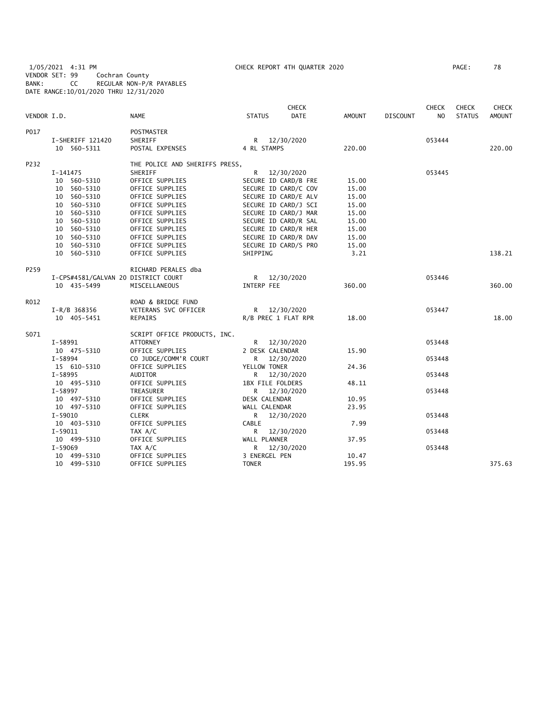1/05/2021 4:31 PM CHECK REPORT 4TH QUARTER 2020 PAGE: 78 VENDOR SET: 99 Cochran County BANK: CC REGULAR NON-P/R PAYABLES DATE RANGE:10/01/2020 THRU 12/31/2020

| VENDOR I.D. |                                     | <b>NAME</b>                    | <b>STATUS</b>        | <b>CHECK</b><br><b>DATE</b> | AMOUNT | <b>DISCOUNT</b> | <b>CHECK</b><br>N <sub>O</sub> | <b>CHECK</b><br><b>STATUS</b> | <b>CHECK</b><br><b>AMOUNT</b> |
|-------------|-------------------------------------|--------------------------------|----------------------|-----------------------------|--------|-----------------|--------------------------------|-------------------------------|-------------------------------|
| P017        |                                     | <b>POSTMASTER</b>              |                      |                             |        |                 |                                |                               |                               |
|             | I-SHERIFF 121420                    | SHERIFF                        | R 12/30/2020         |                             |        |                 | 053444                         |                               |                               |
|             | 10 560-5311                         | POSTAL EXPENSES                | 4 RL STAMPS          |                             | 220.00 |                 |                                |                               | 220.00                        |
| P232        |                                     | THE POLICE AND SHERIFFS PRESS, |                      |                             |        |                 |                                |                               |                               |
|             | I-141475                            | SHERIFF                        | R 12/30/2020         |                             |        |                 | 053445                         |                               |                               |
|             | 10 560-5310                         | OFFICE SUPPLIES                | SECURE ID CARD/B FRE |                             | 15.00  |                 |                                |                               |                               |
|             | 10 560-5310                         | OFFICE SUPPLIES                | SECURE ID CARD/C COV |                             | 15.00  |                 |                                |                               |                               |
|             | 10 560-5310                         | OFFICE SUPPLIES                | SECURE ID CARD/E ALV |                             | 15.00  |                 |                                |                               |                               |
|             | 10 560-5310                         | OFFICE SUPPLIES                | SECURE ID CARD/J SCI |                             | 15.00  |                 |                                |                               |                               |
|             | 10 560-5310                         | OFFICE SUPPLIES                | SECURE ID CARD/J MAR |                             | 15.00  |                 |                                |                               |                               |
|             | 10 560-5310                         | OFFICE SUPPLIES                | SECURE ID CARD/R SAL |                             | 15.00  |                 |                                |                               |                               |
|             | 10 560-5310                         | OFFICE SUPPLIES                | SECURE ID CARD/R HER |                             | 15.00  |                 |                                |                               |                               |
|             | 10 560-5310                         | OFFICE SUPPLIES                | SECURE ID CARD/R DAV |                             | 15.00  |                 |                                |                               |                               |
|             | 10 560-5310                         | OFFICE SUPPLIES                | SECURE ID CARD/S PRO |                             | 15.00  |                 |                                |                               |                               |
|             | 10 560-5310                         | OFFICE SUPPLIES                | SHIPPING             |                             | 3.21   |                 |                                |                               | 138.21                        |
| P259        |                                     | RICHARD PERALES dba            |                      |                             |        |                 |                                |                               |                               |
|             | I-CPS#4581/GALVAN 20 DISTRICT COURT |                                | R 12/30/2020         |                             |        |                 | 053446                         |                               |                               |
|             | 10 435-5499                         | MISCELLANEOUS                  | INTERP FEE           |                             | 360.00 |                 |                                |                               | 360.00                        |
| R012        |                                     | ROAD & BRIDGE FUND             |                      |                             |        |                 |                                |                               |                               |
|             | I-R/B 368356                        | VETERANS SVC OFFICER           | R 12/30/2020         |                             |        |                 | 053447                         |                               |                               |
|             | 10 405-5451                         | REPAIRS                        | R/B PREC 1 FLAT RPR  |                             | 18.00  |                 |                                |                               | 18.00                         |
| S071        |                                     | SCRIPT OFFICE PRODUCTS, INC.   |                      |                             |        |                 |                                |                               |                               |
|             | I-58991                             | <b>ATTORNEY</b>                | R 12/30/2020         |                             |        |                 | 053448                         |                               |                               |
|             | 10 475-5310                         | OFFICE SUPPLIES                | 2 DESK CALENDAR      |                             | 15.90  |                 |                                |                               |                               |
|             | I-58994                             | CO JUDGE/COMM'R COURT          | R 12/30/2020         |                             |        |                 | 053448                         |                               |                               |
|             | 15 610-5310                         | OFFICE SUPPLIES                | YELLOW TONER         |                             | 24.36  |                 |                                |                               |                               |
|             | I-58995                             | AUDITOR                        | R 12/30/2020         |                             |        |                 | 053448                         |                               |                               |
|             | 10 495-5310                         | OFFICE SUPPLIES                | 1BX FILE FOLDERS     |                             | 48.11  |                 |                                |                               |                               |
|             | I-58997                             | TREASURER                      | R <sub>a</sub>       | 12/30/2020                  |        |                 | 053448                         |                               |                               |
|             | 10 497-5310                         | OFFICE SUPPLIES                | DESK CALENDAR        |                             | 10.95  |                 |                                |                               |                               |
|             | 10 497-5310                         | OFFICE SUPPLIES                | WALL CALENDAR        |                             | 23.95  |                 |                                |                               |                               |
|             | I-59010                             | <b>CLERK</b>                   | R 12/30/2020         |                             |        |                 | 053448                         |                               |                               |
|             | 10 403-5310                         | OFFICE SUPPLIES                | CABLE                |                             | 7.99   |                 |                                |                               |                               |
|             | $I-59011$                           | TAX A/C                        | R —                  | 12/30/2020                  |        |                 | 053448                         |                               |                               |
|             | 10 499-5310                         | OFFICE SUPPLIES                | WALL PLANNER         |                             | 37.95  |                 |                                |                               |                               |
|             | $I-59069$                           | TAX A/C                        | R                    | 12/30/2020                  |        |                 | 053448                         |                               |                               |
|             | 10 499-5310                         | OFFICE SUPPLIES                | 3 ENERGEL PEN        |                             | 10.47  |                 |                                |                               |                               |
|             | 10 499-5310                         | OFFICE SUPPLIES                | <b>TONER</b>         |                             | 195.95 |                 |                                |                               | 375.63                        |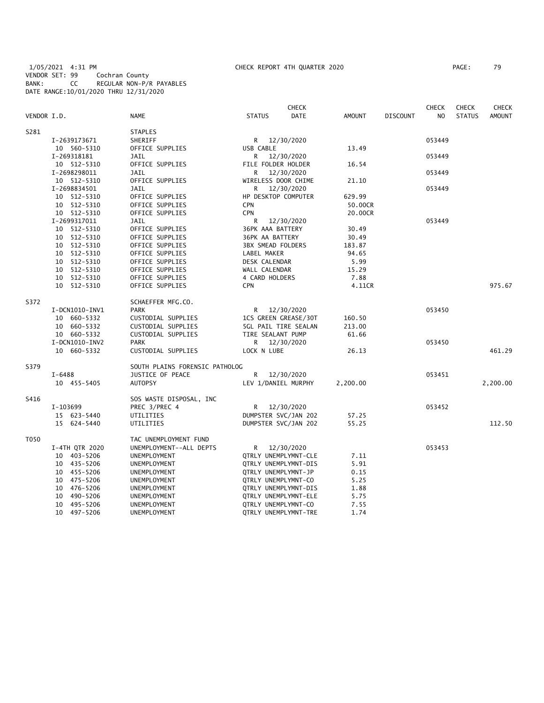1/05/2021 4:31 PM CHECK REPORT 4TH QUARTER 2020 PAGE: 79 VENDOR SET: 99 Cochran County BANK: CC REGULAR NON-P/R PAYABLES DATE RANGE:10/01/2020 THRU 12/31/2020

| PAGE : | 79 |
|--------|----|
|        |    |

|             |                |                                |                             | <b>CHECK</b>                |               |                 | <b>CHECK</b>   | <b>CHECK</b>  | <b>CHECK</b>  |
|-------------|----------------|--------------------------------|-----------------------------|-----------------------------|---------------|-----------------|----------------|---------------|---------------|
| VENDOR I.D. |                | <b>NAME</b>                    | <b>STATUS</b>               | DATE                        | <b>AMOUNT</b> | <b>DISCOUNT</b> | N <sub>O</sub> | <b>STATUS</b> | <b>AMOUNT</b> |
| S281        |                | <b>STAPLES</b>                 |                             |                             |               |                 |                |               |               |
|             | I-2639173671   | SHERIFF                        | R 12/30/2020                |                             |               |                 | 053449         |               |               |
|             | 10 560-5310    | OFFICE SUPPLIES                | USB CABLE                   |                             | 13.49         |                 |                |               |               |
|             | I-269318181    | JAIL                           | R                           | 12/30/2020                  |               |                 | 053449         |               |               |
|             | 10 512-5310    | OFFICE SUPPLIES                | FILE FOLDER HOLDER          |                             | 16.54         |                 |                |               |               |
|             | I-2698298011   | JAIL                           | R                           | 12/30/2020                  |               |                 | 053449         |               |               |
|             | 10 512-5310    | OFFICE SUPPLIES                | WIRELESS DOOR CHIME         |                             | 21.10         |                 |                |               |               |
|             | I-2698834501   | JAIL                           | R.                          | 12/30/2020                  |               |                 | 053449         |               |               |
|             | 10 512-5310    | OFFICE SUPPLIES                | HP DESKTOP COMPUTER         |                             | 629.99        |                 |                |               |               |
|             | 10 512-5310    | OFFICE SUPPLIES                | <b>CPN</b>                  |                             | 50.00CR       |                 |                |               |               |
|             | 10 512-5310    | OFFICE SUPPLIES                | CPN                         |                             | 20.00CR       |                 |                |               |               |
|             | I-2699317011   | JAIL                           | R                           | 12/30/2020                  |               |                 | 053449         |               |               |
|             | 10 512-5310    | OFFICE SUPPLIES                | 36PK AAA BATTERY            |                             | 30.49         |                 |                |               |               |
|             | 10 512-5310    | OFFICE SUPPLIES                | 36PK AA BATTERY             |                             | 30.49         |                 |                |               |               |
|             | 10 512-5310    | OFFICE SUPPLIES                | <b>3BX SMEAD FOLDERS</b>    |                             | 183.87        |                 |                |               |               |
|             | 10 512-5310    | OFFICE SUPPLIES                | LABEL MAKER                 |                             | 94.65         |                 |                |               |               |
|             | 10 512-5310    | OFFICE SUPPLIES                | DESK CALENDAR               |                             | 5.99          |                 |                |               |               |
|             | 10 512-5310    | OFFICE SUPPLIES                | WALL CALENDAR               |                             | 15.29         |                 |                |               |               |
|             | 10 512-5310    | OFFICE SUPPLIES                | 4 CARD HOLDERS              |                             | 7.88          |                 |                |               |               |
|             | 10 512-5310    | OFFICE SUPPLIES                | <b>CPN</b>                  |                             | 4.11CR        |                 |                |               | 975.67        |
| S372        |                | SCHAEFFER MFG.CO.              |                             |                             |               |                 |                |               |               |
|             | I-DCN1010-INV1 | <b>PARK</b>                    | R                           | 12/30/2020                  |               |                 | 053450         |               |               |
|             | 10 660-5332    | CUSTODIAL SUPPLIES             |                             | 1CS GREEN GREASE/30T        | 160.50        |                 |                |               |               |
|             | 10 660-5332    | CUSTODIAL SUPPLIES             |                             | <b>5GL PAIL TIRE SEALAN</b> | 213.00        |                 |                |               |               |
|             | 10 660-5332    | CUSTODIAL SUPPLIES             | TIRE SEALANT PUMP           |                             | 61.66         |                 |                |               |               |
|             | I-DCN1010-INV2 | <b>PARK</b>                    |                             | R 12/30/2020                |               |                 | 053450         |               |               |
|             | 10 660-5332    | CUSTODIAL SUPPLIES             | LOCK N LUBE                 |                             | 26.13         |                 |                |               | 461.29        |
| S379        |                | SOUTH PLAINS FORENSIC PATHOLOG |                             |                             |               |                 |                |               |               |
|             | $I - 6488$     | JUSTICE OF PEACE               | R                           | 12/30/2020                  |               |                 | 053451         |               |               |
|             | 10 455-5405    | <b>AUTOPSY</b>                 | LEV 1/DANIEL MURPHY         |                             | 2,200.00      |                 |                |               | 2,200.00      |
| S416        |                | SOS WASTE DISPOSAL, INC        |                             |                             |               |                 |                |               |               |
|             | I-103699       | PREC 3/PREC 4                  | R 12/30/2020                |                             |               |                 | 053452         |               |               |
|             | 15 623-5440    | UTILITIES                      | DUMPSTER SVC/JAN 202        |                             | 57.25         |                 |                |               |               |
|             | 15 624-5440    | UTILITIES                      | DUMPSTER SVC/JAN 202        |                             | 55.25         |                 |                |               | 112.50        |
| T050        |                | TAC UNEMPLOYMENT FUND          |                             |                             |               |                 |                |               |               |
|             | I-4TH QTR 2020 | UNEMPLOYMENT--ALL DEPTS        | R                           | 12/30/2020                  |               |                 | 053453         |               |               |
|             | 10 403-5206    | UNEMPLOYMENT                   | QTRLY UNEMPLYMNT-CLE        |                             | 7.11          |                 |                |               |               |
|             | 10 435-5206    | UNEMPLOYMENT                   | QTRLY UNEMPLYMNT-DIS        |                             | 5.91          |                 |                |               |               |
|             | 10 455-5206    | UNEMPLOYMENT                   | QTRLY UNEMPLYMNT-JP         |                             | 0.15          |                 |                |               |               |
|             | 10 475-5206    | UNEMPLOYMENT                   | QTRLY UNEMPLYMNT-CO         |                             | 5.25          |                 |                |               |               |
|             | 10 476-5206    | UNEMPLOYMENT                   |                             | QTRLY UNEMPLYMNT-DIS        | 1.88          |                 |                |               |               |
|             | 10 490-5206    | UNEMPLOYMENT                   | QTRLY UNEMPLYMNT-ELE        |                             | 5.75          |                 |                |               |               |
|             | 10 495-5206    | UNEMPLOYMENT                   | QTRLY UNEMPLYMNT-CO         |                             | 7.55          |                 |                |               |               |
|             | 10 497-5206    | UNEMPLOYMENT                   | <b>QTRLY UNEMPLYMNT-TRE</b> |                             | 1.74          |                 |                |               |               |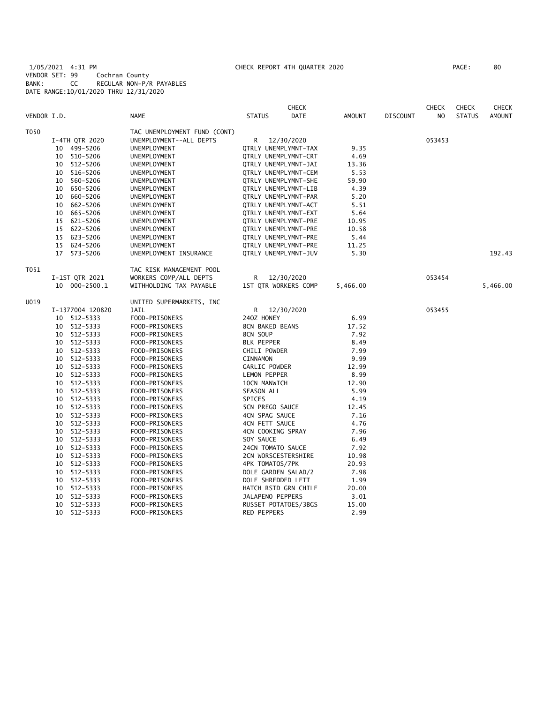1/05/2021 4:31 PM CHECK REPORT 4TH QUARTER 2020 PAGE: 80 VENDOR SET: 99 Cochran County BANK: CC REGULAR NON-P/R PAYABLES DATE RANGE:10/01/2020 THRU 12/31/2020

|             |    |                  |                              |                        | <b>CHECK</b>         |               |                 | <b>CHECK</b> | <b>CHECK</b>  | <b>CHECK</b>  |
|-------------|----|------------------|------------------------------|------------------------|----------------------|---------------|-----------------|--------------|---------------|---------------|
| VENDOR I.D. |    |                  | NAME                         | <b>STATUS</b>          | DATE                 | <b>AMOUNT</b> | <b>DISCOUNT</b> | NO           | <b>STATUS</b> | <b>AMOUNT</b> |
| T050        |    |                  | TAC UNEMPLOYMENT FUND (CONT) |                        |                      |               |                 |              |               |               |
|             |    | I-4TH QTR 2020   | UNEMPLOYMENT--ALL DEPTS      | R                      | 12/30/2020           |               |                 | 053453       |               |               |
|             |    | 10 499-5206      | UNEMPLOYMENT                 |                        | QTRLY UNEMPLYMNT-TAX | 9.35          |                 |              |               |               |
|             |    | 10 510-5206      | UNEMPLOYMENT                 |                        | QTRLY UNEMPLYMNT-CRT | 4.69          |                 |              |               |               |
|             |    | 10 512-5206      | UNEMPLOYMENT                 |                        | QTRLY UNEMPLYMNT-JAI | 13.36         |                 |              |               |               |
|             |    | 10 516-5206      | UNEMPLOYMENT                 |                        | QTRLY UNEMPLYMNT-CEM | 5.53          |                 |              |               |               |
|             |    | 10 560-5206      | UNEMPLOYMENT                 |                        | QTRLY UNEMPLYMNT-SHE | 59.90         |                 |              |               |               |
|             |    | 10 650-5206      | UNEMPLOYMENT                 |                        | QTRLY UNEMPLYMNT-LIB | 4.39          |                 |              |               |               |
|             |    | 10 660-5206      | UNEMPLOYMENT                 |                        | QTRLY UNEMPLYMNT-PAR | 5.20          |                 |              |               |               |
|             | 10 | 662-5206         | UNEMPLOYMENT                 |                        | QTRLY UNEMPLYMNT-ACT | 5.51          |                 |              |               |               |
|             | 10 | 665-5206         | UNEMPLOYMENT                 |                        | QTRLY UNEMPLYMNT-EXT | 5.64          |                 |              |               |               |
|             |    | 15 621-5206      | UNEMPLOYMENT                 |                        | QTRLY UNEMPLYMNT-PRE | 10.95         |                 |              |               |               |
|             |    | 15 622-5206      | UNEMPLOYMENT                 |                        | QTRLY UNEMPLYMNT-PRE | 10.58         |                 |              |               |               |
|             |    | 15 623-5206      | UNEMPLOYMENT                 |                        | QTRLY UNEMPLYMNT-PRE | 5.44          |                 |              |               |               |
|             |    | 15 624-5206      | UNEMPLOYMENT                 |                        | QTRLY UNEMPLYMNT-PRE | 11.25         |                 |              |               |               |
|             |    | 17 573-5206      | UNEMPLOYMENT INSURANCE       |                        | QTRLY UNEMPLYMNT-JUV | 5.30          |                 |              |               | 192.43        |
| T051        |    |                  | TAC RISK MANAGEMENT POOL     |                        |                      |               |                 |              |               |               |
|             |    | I-1ST QTR 2021   | WORKERS COMP/ALL DEPTS       |                        | R 12/30/2020         |               |                 | 053454       |               |               |
|             |    | 10 000-2500.1    | WITHHOLDING TAX PAYABLE      |                        | 1ST QTR WORKERS COMP | 5,466.00      |                 |              |               | 5,466.00      |
| U019        |    |                  | UNITED SUPERMARKETS, INC     |                        |                      |               |                 |              |               |               |
|             |    | I-1377004 120820 | JAIL                         |                        | R 12/30/2020         |               |                 | 053455       |               |               |
|             |    | 10 512-5333      | FOOD-PRISONERS               | 240Z HONEY             |                      | 6.99          |                 |              |               |               |
|             |    | 10 512-5333      | FOOD-PRISONERS               | 8CN BAKED BEANS        |                      | 17.52         |                 |              |               |               |
|             |    | 10 512-5333      | FOOD-PRISONERS               | 8CN SOUP               |                      | 7.92          |                 |              |               |               |
|             |    | 10 512-5333      | FOOD-PRISONERS               | <b>BLK PEPPER</b>      |                      | 8.49          |                 |              |               |               |
|             |    | 10 512-5333      | FOOD-PRISONERS               | CHILI POWDER           |                      | 7.99          |                 |              |               |               |
|             |    | 10 512-5333      | FOOD-PRISONERS               | <b>CINNAMON</b>        |                      | 9.99          |                 |              |               |               |
|             |    | 10 512-5333      | FOOD-PRISONERS               | GARLIC POWDER          |                      | 12.99         |                 |              |               |               |
|             |    | 10 512-5333      | FOOD-PRISONERS               | LEMON PEPPER           |                      | 8.99          |                 |              |               |               |
|             |    | 10 512-5333      | FOOD-PRISONERS               | 10CN MANWICH           |                      | 12.90         |                 |              |               |               |
|             |    | 10 512-5333      | FOOD-PRISONERS               | SEASON ALL             |                      | 5.99          |                 |              |               |               |
|             |    | 10 512-5333      | FOOD-PRISONERS               | SPICES                 |                      | 4.19          |                 |              |               |               |
|             |    | 10 512-5333      | FOOD-PRISONERS               | <b>5CN PREGO SAUCE</b> |                      | 12.45         |                 |              |               |               |
|             |    | 10 512-5333      | FOOD-PRISONERS               | 4CN SPAG SAUCE         |                      | 7.16          |                 |              |               |               |
|             | 10 | 512-5333         | FOOD-PRISONERS               | 4CN FETT SAUCE         |                      | 4.76          |                 |              |               |               |
|             | 10 | 512-5333         | FOOD-PRISONERS               | 4CN COOKING SPRAY      |                      | 7.96          |                 |              |               |               |
|             | 10 | 512-5333         | FOOD-PRISONERS               | SOY SAUCE              |                      | 6.49          |                 |              |               |               |
|             | 10 | 512-5333         | FOOD-PRISONERS               | 24CN TOMATO SAUCE      |                      | 7.92          |                 |              |               |               |
|             | 10 | 512-5333         | FOOD-PRISONERS               | 2CN WORSCESTERSHIRE    |                      | 10.98         |                 |              |               |               |
|             |    | 10 512-5333      | FOOD-PRISONERS               | 4PK TOMATOS/7PK        |                      | 20.93         |                 |              |               |               |
|             | 10 | 512-5333         | FOOD-PRISONERS               | DOLE GARDEN SALAD/2    |                      | 7.98          |                 |              |               |               |
|             |    | 10 512-5333      | FOOD-PRISONERS               | DOLE SHREDDED LETT     |                      | 1.99          |                 |              |               |               |
|             | 10 | 512-5333         | FOOD-PRISONERS               |                        | HATCH RSTD GRN CHILE | 20.00         |                 |              |               |               |
|             | 10 | 512-5333         | FOOD-PRISONERS               | JALAPENO PEPPERS       |                      | 3.01          |                 |              |               |               |
|             | 10 | 512-5333         | FOOD-PRISONERS               |                        | RUSSET POTATOES/3BGS | 15.00         |                 |              |               |               |
|             | 10 | 512-5333         | FOOD-PRISONERS               | <b>RED PEPPERS</b>     |                      | 2.99          |                 |              |               |               |
|             |    |                  |                              |                        |                      |               |                 |              |               |               |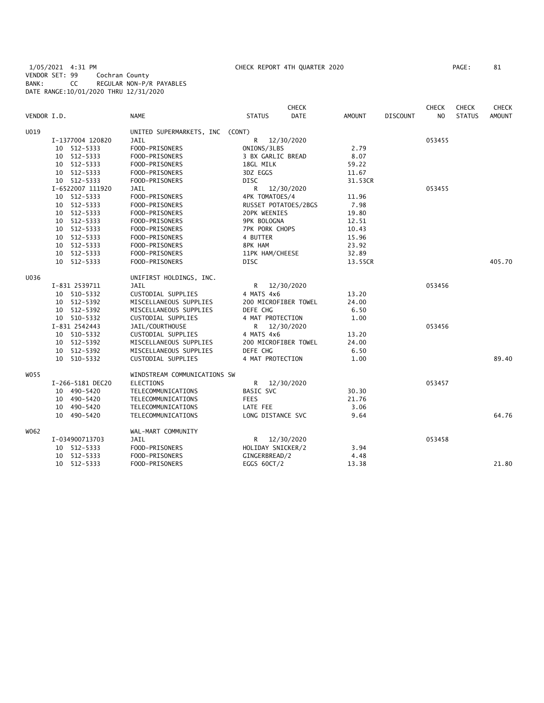1/05/2021 4:31 PM CHECK REPORT 4TH QUARTER 2020 PAGE: 81 VENDOR SET: 99 Cochran County BANK: CC REGULAR NON-P/R PAYABLES DATE RANGE:10/01/2020 THRU 12/31/2020

|             |                  |                                 |                       | <b>CHECK</b> |               |                 | <b>CHECK</b>   | <b>CHECK</b>  | <b>CHECK</b>  |
|-------------|------------------|---------------------------------|-----------------------|--------------|---------------|-----------------|----------------|---------------|---------------|
| VENDOR I.D. |                  | <b>NAME</b>                     | <b>STATUS</b>         | <b>DATE</b>  | <b>AMOUNT</b> | <b>DISCOUNT</b> | N <sub>O</sub> | <b>STATUS</b> | <b>AMOUNT</b> |
| U019        |                  | UNITED SUPERMARKETS, INC (CONT) |                       |              |               |                 |                |               |               |
|             | I-1377004 120820 | <b>JAIL</b>                     | R<br>12/30/2020       |              |               |                 | 053455         |               |               |
|             | 10 512-5333      | FOOD-PRISONERS                  | ONIONS/3LBS           |              | 2.79          |                 |                |               |               |
|             | 10 512-5333      | FOOD-PRISONERS                  | 3 BX GARLIC BREAD     |              | 8.07          |                 |                |               |               |
|             | 10 512-5333      | FOOD-PRISONERS                  | 18GL MILK             |              | 59.22         |                 |                |               |               |
|             | 10 512-5333      | FOOD-PRISONERS                  | 3DZ EGGS              |              | 11.67         |                 |                |               |               |
|             | 10 512-5333      | FOOD-PRISONERS                  | <b>DISC</b>           |              | 31.53CR       |                 |                |               |               |
|             | I-6522007 111920 | JAIL                            | R<br>12/30/2020       |              |               |                 | 053455         |               |               |
|             | 10 512-5333      | FOOD-PRISONERS                  | 4PK TOMATOES/4        |              | 11.96         |                 |                |               |               |
|             | 10 512-5333      | FOOD-PRISONERS                  | RUSSET POTATOES/2BGS  |              | 7.98          |                 |                |               |               |
|             | 10 512-5333      | FOOD-PRISONERS                  | 20PK WEENIES          |              | 19.80         |                 |                |               |               |
|             | 10 512-5333      | FOOD-PRISONERS                  | 9PK BOLOGNA           |              | 12.51         |                 |                |               |               |
|             | 10 512-5333      | FOOD-PRISONERS                  | <b>7PK PORK CHOPS</b> |              | 10.43         |                 |                |               |               |
|             | 10 512-5333      | FOOD-PRISONERS                  | 4 BUTTER              |              | 15.96         |                 |                |               |               |
|             | 10 512-5333      | FOOD-PRISONERS                  | 8PK HAM               |              | 23.92         |                 |                |               |               |
|             | 10 512-5333      | FOOD-PRISONERS                  | 11PK HAM/CHEESE       |              | 32.89         |                 |                |               |               |
|             | 10 512-5333      | FOOD-PRISONERS                  | DISC                  |              | 13.55CR       |                 |                |               | 405.70        |
| U036        |                  | UNIFIRST HOLDINGS, INC.         |                       |              |               |                 |                |               |               |
|             | I-831 2539711    | <b>JAIL</b>                     | R 12/30/2020          |              |               |                 | 053456         |               |               |
|             | 10 510-5332      | CUSTODIAL SUPPLIES              | 4 MATS 4x6            |              | 13.20         |                 |                |               |               |
|             | 10 512-5392      | MISCELLANEOUS SUPPLIES          | 200 MICROFIBER TOWEL  |              | 24.00         |                 |                |               |               |
|             | 10 512-5392      | MISCELLANEOUS SUPPLIES          | DEFE CHG              |              | 6.50          |                 |                |               |               |
|             | 10 510-5332      | CUSTODIAL SUPPLIES              | 4 MAT PROTECTION      |              | 1.00          |                 |                |               |               |
|             | I-831 2542443    | JAIL/COURTHOUSE                 | R 12/30/2020          |              |               |                 | 053456         |               |               |
|             | 10 510-5332      | CUSTODIAL SUPPLIES              | 4 MATS 4x6            |              | 13.20         |                 |                |               |               |
|             | 10 512-5392      | MISCELLANEOUS SUPPLIES          | 200 MICROFIBER TOWEL  |              | 24.00         |                 |                |               |               |
|             | 10 512-5392      | MISCELLANEOUS SUPPLIES          | DEFE CHG              |              | 6.50          |                 |                |               |               |
|             | 10 510-5332      | CUSTODIAL SUPPLIES              | 4 MAT PROTECTION      |              | 1.00          |                 |                |               | 89.40         |
| W055        |                  | WINDSTREAM COMMUNICATIONS SW    |                       |              |               |                 |                |               |               |
|             | I-266-5181 DEC20 | <b>ELECTIONS</b>                | R<br>12/30/2020       |              |               |                 | 053457         |               |               |
|             | 10 490-5420      | TELECOMMUNICATIONS              | <b>BASIC SVC</b>      |              | 30.30         |                 |                |               |               |
|             | 10 490-5420      | TELECOMMUNICATIONS              | <b>FEES</b>           |              | 21.76         |                 |                |               |               |
|             | 10 490-5420      | TELECOMMUNICATIONS              | LATE FEE              |              | 3.06          |                 |                |               |               |
|             | 10 490-5420      | TELECOMMUNICATIONS              | LONG DISTANCE SVC     |              | 9.64          |                 |                |               | 64.76         |
| W062        |                  | WAL-MART COMMUNITY              |                       |              |               |                 |                |               |               |
|             | I-034900713703   | JAIL                            | R 12/30/2020          |              |               |                 | 053458         |               |               |
|             | 10 512-5333      | FOOD-PRISONERS                  | HOLIDAY SNICKER/2     |              | 3.94          |                 |                |               |               |
|             | 10 512-5333      | FOOD-PRISONERS                  | GINGERBREAD/2         |              | 4.48          |                 |                |               |               |
|             | 10 512-5333      | FOOD-PRISONERS                  | EGGS 60CT/2           |              | 13.38         |                 |                |               | 21.80         |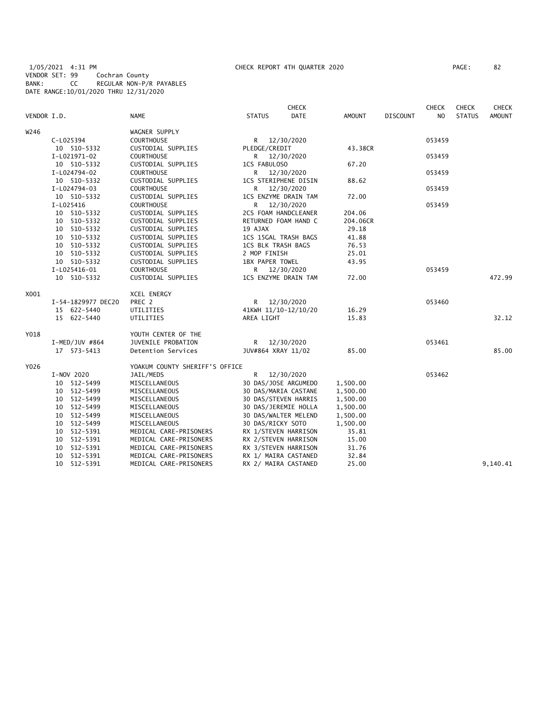1/05/2021 4:31 PM CHECK REPORT 4TH QUARTER 2020 PAGE: 82 VENDOR SET: 99 Cochran County BANK: CC REGULAR NON-P/R PAYABLES DATE RANGE:10/01/2020 THRU 12/31/2020

| VENDOR I.D. |                    | <b>NAME</b>                    | <b>STATUS</b>             | <b>CHECK</b><br><b>DATE</b> | <b>AMOUNT</b> | <b>DISCOUNT</b> | <b>CHECK</b><br>N <sub>O</sub> | <b>CHECK</b><br><b>STATUS</b> | <b>CHECK</b><br><b>AMOUNT</b> |
|-------------|--------------------|--------------------------------|---------------------------|-----------------------------|---------------|-----------------|--------------------------------|-------------------------------|-------------------------------|
| W246        |                    | WAGNER SUPPLY                  |                           |                             |               |                 |                                |                               |                               |
|             | C-L025394          | <b>COURTHOUSE</b>              | R 12/30/2020              |                             |               |                 | 053459                         |                               |                               |
|             | 10 510-5332        | CUSTODIAL SUPPLIES             | PLEDGE/CREDIT             |                             | 43.38CR       |                 |                                |                               |                               |
|             | I-L021971-02       | <b>COURTHOUSE</b>              | R 12/30/2020              |                             |               |                 | 053459                         |                               |                               |
|             | 10 510-5332        | CUSTODIAL SUPPLIES             | 1CS FABULOSO              |                             | 67.20         |                 |                                |                               |                               |
|             | I-L024794-02       | COURTHOUSE                     | R 12/30/2020              |                             |               |                 | 053459                         |                               |                               |
|             | 10 510-5332        | CUSTODIAL SUPPLIES             | 1CS STERIPHENE DISIN      |                             | 88.62         |                 |                                |                               |                               |
|             | I-L024794-03       | <b>COURTHOUSE</b>              | R                         | 12/30/2020                  |               |                 | 053459                         |                               |                               |
|             | 10 510-5332        | CUSTODIAL SUPPLIES             | 1CS ENZYME DRAIN TAM      |                             | 72.00         |                 |                                |                               |                               |
|             | I-L025416          | <b>COURTHOUSE</b>              | R                         | 12/30/2020                  |               |                 | 053459                         |                               |                               |
|             | 10 510-5332        | CUSTODIAL SUPPLIES             | 2CS FOAM HANDCLEANER      |                             | 204.06        |                 |                                |                               |                               |
|             | 10 510-5332        | CUSTODIAL SUPPLIES             | RETURNED FOAM HAND C      |                             | 204.06CR      |                 |                                |                               |                               |
|             | 10 510-5332        | CUSTODIAL SUPPLIES             | 19 AJAX                   |                             | 29.18         |                 |                                |                               |                               |
|             | 10 510-5332        | CUSTODIAL SUPPLIES             | 1CS 15GAL TRASH BAGS      |                             | 41.88         |                 |                                |                               |                               |
|             | 10 510-5332        | CUSTODIAL SUPPLIES             | <b>1CS BLK TRASH BAGS</b> |                             | 76.53         |                 |                                |                               |                               |
|             | 10 510-5332        | CUSTODIAL SUPPLIES             | 2 MOP FINISH              |                             | 25.01         |                 |                                |                               |                               |
|             | 10 510-5332        | CUSTODIAL SUPPLIES             | 1BX PAPER TOWEL           |                             | 43.95         |                 |                                |                               |                               |
|             | I-L025416-01       | <b>COURTHOUSE</b>              | R 12/30/2020              |                             |               |                 | 053459                         |                               |                               |
|             | 10 510-5332        | CUSTODIAL SUPPLIES             | 1CS ENZYME DRAIN TAM      |                             | 72.00         |                 |                                |                               | 472.99                        |
| X001        |                    | XCEL ENERGY                    |                           |                             |               |                 |                                |                               |                               |
|             | I-54-1829977 DEC20 | PREC 2                         | R 12/30/2020              |                             |               |                 | 053460                         |                               |                               |
|             | 15 622-5440        | UTILITIES                      | 41KWH 11/10-12/10/20      |                             | 16.29         |                 |                                |                               |                               |
|             | 15 622-5440        | UTILITIES                      | AREA LIGHT                |                             | 15.83         |                 |                                |                               | 32.12                         |
| Y018        |                    | YOUTH CENTER OF THE            |                           |                             |               |                 |                                |                               |                               |
|             | $I-MED/JUV$ #864   | JUVENILE PROBATION             | R 12/30/2020              |                             |               |                 | 053461                         |                               |                               |
|             | 17 573-5413        | Detention Services             | JUV#864 XRAY 11/02        |                             | 85.00         |                 |                                |                               | 85.00                         |
| Y026        |                    | YOAKUM COUNTY SHERIFF'S OFFICE |                           |                             |               |                 |                                |                               |                               |
|             | I-NOV 2020         | JAIL/MEDS                      | R.                        | 12/30/2020                  |               |                 | 053462                         |                               |                               |
|             | 10 512-5499        | MISCELLANEOUS                  | 30 DAS/JOSE ARGUMEDO      |                             | 1,500.00      |                 |                                |                               |                               |
|             | 10 512-5499        | MISCELLANEOUS                  | 30 DAS/MARIA CASTANE      |                             | 1,500.00      |                 |                                |                               |                               |
|             | 10 512-5499        | MISCELLANEOUS                  | 30 DAS/STEVEN HARRIS      |                             | 1,500.00      |                 |                                |                               |                               |
|             | 10 512-5499        | MISCELLANEOUS                  | 30 DAS/JEREMIE HOLLA      |                             | 1,500.00      |                 |                                |                               |                               |
|             | 10 512-5499        | MISCELLANEOUS                  | 30 DAS/WALTER MELEND      |                             | 1,500.00      |                 |                                |                               |                               |
|             | 10 512-5499        | MISCELLANEOUS                  | 30 DAS/RICKY SOTO         |                             | 1,500.00      |                 |                                |                               |                               |
|             | 10 512-5391        | MEDICAL CARE-PRISONERS         | RX 1/STEVEN HARRISON      |                             | 35.81         |                 |                                |                               |                               |
|             | 10 512-5391        | MEDICAL CARE-PRISONERS         | RX 2/STEVEN HARRISON      |                             | 15.00         |                 |                                |                               |                               |
|             | 10 512-5391        | MEDICAL CARE-PRISONERS         | RX 3/STEVEN HARRISON      |                             | 31.76         |                 |                                |                               |                               |
|             | 10 512-5391        | MEDICAL CARE-PRISONERS         | RX 1/ MAIRA CASTANED      |                             | 32.84         |                 |                                |                               |                               |
|             | 10 512-5391        | MEDICAL CARE-PRISONERS         | RX 2/ MAIRA CASTANED      |                             | 25.00         |                 |                                |                               | 9,140.41                      |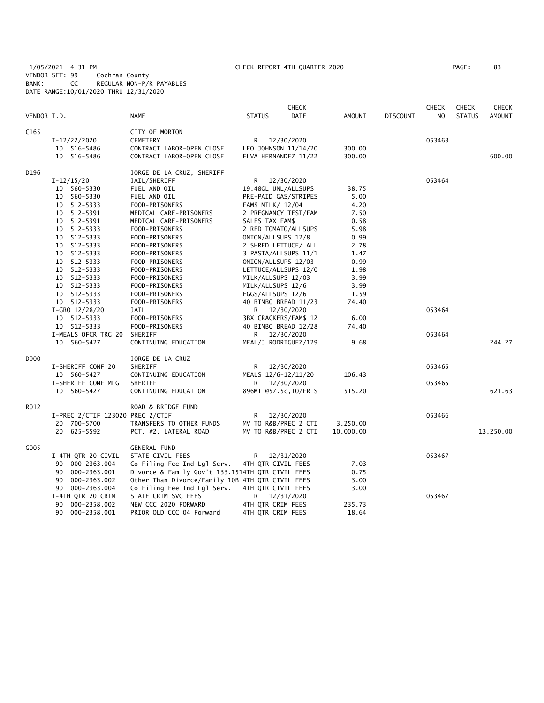1/05/2021 4:31 PM CHECK REPORT 4TH QUARTER 2020 PAGE: 83 VENDOR SET: 99 Cochran County BANK: CC REGULAR NON-P/R PAYABLES DATE RANGE:10/01/2020 THRU 12/31/2020

| VENDOR I.D. |                                  | <b>NAME</b>                                      | <b>STATUS</b>         | <b>CHECK</b><br><b>DATE</b> | <b>AMOUNT</b> | <b>DISCOUNT</b> | <b>CHECK</b><br>NO | <b>CHECK</b><br><b>STATUS</b> | <b>CHECK</b><br><b>AMOUNT</b> |
|-------------|----------------------------------|--------------------------------------------------|-----------------------|-----------------------------|---------------|-----------------|--------------------|-------------------------------|-------------------------------|
| C165        |                                  | CITY OF MORTON                                   |                       |                             |               |                 |                    |                               |                               |
|             | I-12/22/2020                     | <b>CEMETERY</b>                                  | R.                    | 12/30/2020                  |               |                 | 053463             |                               |                               |
|             | 10 516-5486                      | CONTRACT LABOR-OPEN CLOSE                        | LEO JOHNSON 11/14/20  |                             | 300.00        |                 |                    |                               |                               |
|             | 10 516-5486                      | CONTRACT LABOR-OPEN CLOSE                        | ELVA HERNANDEZ 11/22  |                             | 300.00        |                 |                    |                               | 600.00                        |
| D196        |                                  | JORGE DE LA CRUZ, SHERIFF                        |                       |                             |               |                 |                    |                               |                               |
|             | $I-12/15/20$                     | JAIL/SHERIFF                                     | R 12/30/2020          |                             |               |                 | 053464             |                               |                               |
|             | 10 560-5330                      | FUEL AND OIL                                     | 19.48GL UNL/ALLSUPS   |                             | 38.75         |                 |                    |                               |                               |
|             | 10 560-5330                      | FUEL AND OIL                                     | PRE-PAID GAS/STRIPES  |                             | 5.00          |                 |                    |                               |                               |
|             | 10 512-5333                      | FOOD-PRISONERS                                   | FAM\$ MILK/ 12/04     |                             | 4.20          |                 |                    |                               |                               |
|             | 10 512-5391                      | MEDICAL CARE-PRISONERS                           | 2 PREGNANCY TEST/FAM  |                             | 7.50          |                 |                    |                               |                               |
|             | 10 512-5391                      | MEDICAL CARE-PRISONERS                           | SALES TAX FAM\$       |                             | 0.58          |                 |                    |                               |                               |
|             | 10 512-5333                      | FOOD-PRISONERS                                   | 2 RED TOMATO/ALLSUPS  |                             | 5.98          |                 |                    |                               |                               |
|             | 10 512-5333                      | FOOD-PRISONERS                                   | ONION/ALLSUPS 12/8    |                             | 0.99          |                 |                    |                               |                               |
|             | 10 512-5333                      | FOOD-PRISONERS                                   | 2 SHRED LETTUCE/ ALL  |                             | 2.78          |                 |                    |                               |                               |
|             | 10 512-5333                      | FOOD-PRISONERS                                   | 3 PASTA/ALLSUPS 11/1  |                             | 1.47          |                 |                    |                               |                               |
|             | 10 512-5333                      | FOOD-PRISONERS                                   | ONION/ALLSUPS 12/03   |                             | 0.99          |                 |                    |                               |                               |
|             | 10 512-5333                      | FOOD-PRISONERS                                   | LETTUCE/ALLSUPS 12/0  |                             | 1.98          |                 |                    |                               |                               |
|             | 10 512-5333                      | FOOD-PRISONERS                                   | MILK/ALLSUPS 12/03    |                             | 3.99          |                 |                    |                               |                               |
|             | 10 512-5333                      | FOOD-PRISONERS                                   | MILK/ALLSUPS 12/6     |                             | 3.99          |                 |                    |                               |                               |
|             | 10 512-5333                      | FOOD-PRISONERS                                   | EGGS/ALLSUPS 12/6     |                             | 1.59          |                 |                    |                               |                               |
|             | 10 512-5333                      | FOOD-PRISONERS                                   | 40 BIMBO BREAD 11/23  |                             | 74.40         |                 |                    |                               |                               |
|             | I-GRO 12/28/20                   | JAIL                                             | R 12/30/2020          |                             |               |                 | 053464             |                               |                               |
|             | 10 512-5333                      | FOOD-PRISONERS                                   | 3BX CRACKERS/FAM\$ 12 |                             | 6.00          |                 |                    |                               |                               |
|             | 10 512-5333                      | FOOD-PRISONERS                                   | 40 BIMBO BREAD 12/28  |                             | 74.40         |                 |                    |                               |                               |
|             | I-MEALS OFCR TRG 20              | SHERIFF                                          | R                     | 12/30/2020                  |               |                 | 053464             |                               |                               |
|             | 10 560-5427                      | CONTINUING EDUCATION                             | MEAL/J RODRIGUEZ/129  |                             | 9.68          |                 |                    |                               | 244.27                        |
| D900        |                                  | JORGE DE LA CRUZ                                 |                       |                             |               |                 |                    |                               |                               |
|             | I-SHERIFF CONF 20                | SHERIFF                                          | R —                   | 12/30/2020                  |               |                 | 053465             |                               |                               |
|             | 10 560-5427                      | CONTINUING EDUCATION                             | MEALS 12/6-12/11/20   |                             | 106.43        |                 |                    |                               |                               |
|             | I-SHERIFF CONF MLG               | SHERIFF                                          | R.                    | 12/30/2020                  |               |                 | 053465             |                               |                               |
|             | 10 560-5427                      | CONTINUING EDUCATION                             | 896MI 057.5c, TO/FR S |                             | 515.20        |                 |                    |                               | 621.63                        |
| R012        |                                  | ROAD & BRIDGE FUND                               |                       |                             |               |                 |                    |                               |                               |
|             | I-PREC 2/CTIF 123020 PREC 2/CTIF |                                                  | R                     | 12/30/2020                  |               |                 | 053466             |                               |                               |
|             | 20 700-5700                      | TRANSFERS TO OTHER FUNDS                         | MV TO R&B/PREC 2 CTI  |                             | 3,250.00      |                 |                    |                               |                               |
|             | 20 625-5592                      | PCT. #2, LATERAL ROAD                            | MV TO R&B/PREC 2 CTI  |                             | 10,000.00     |                 |                    |                               | 13,250.00                     |
| G005        |                                  | <b>GENERAL FUND</b>                              |                       |                             |               |                 |                    |                               |                               |
|             | I-4TH QTR 20 CIVIL               | STATE CIVIL FEES                                 | R.                    | 12/31/2020                  |               |                 | 053467             |                               |                               |
|             | 90 000-2363.004                  | Co Filing Fee Ind Lgl Serv.                      | 4TH QTR CIVIL FEES    |                             | 7.03          |                 |                    |                               |                               |
|             | 90 000-2363.001                  | Divorce & Family Gov't 133.1514TH QTR CIVIL FEES |                       |                             | 0.75          |                 |                    |                               |                               |
|             | 90 000-2363.002                  | Other Than Divorce/Family 10B 4TH QTR CIVIL FEES |                       |                             | 3.00          |                 |                    |                               |                               |
|             | 90 000-2363.004                  | Co Filing Fee Ind Lgl Serv.                      | 4TH QTR CIVIL FEES    |                             | 3.00          |                 |                    |                               |                               |
|             | I-4TH QTR 20 CRIM                | STATE CRIM SVC FEES                              | R 12/31/2020          |                             |               |                 | 053467             |                               |                               |
|             | 000-2358.002<br>90               | NEW CCC 2020 FORWARD                             | 4TH QTR CRIM FEES     |                             | 235.73        |                 |                    |                               |                               |
|             | 90 000-2358.001                  | PRIOR OLD CCC 04 Forward                         | 4TH QTR CRIM FEES     |                             | 18.64         |                 |                    |                               |                               |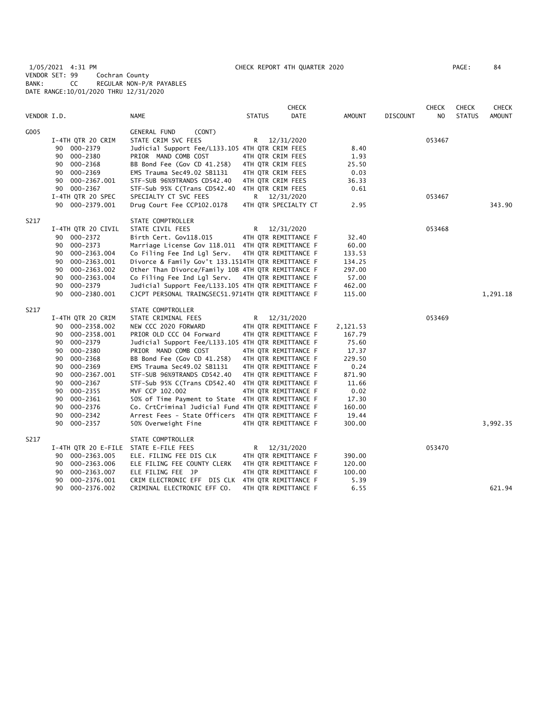1/05/2021 4:31 PM CHECK REPORT 4TH QUARTER 2020 PAGE: 84 VENDOR SET: 99 Cochran County BANK: CC REGULAR NON-P/R PAYABLES DATE RANGE:10/01/2020 THRU 12/31/2020

| VENDOR I.D. |                                                                                                                                                                                                                                                                       | <b>NAME</b>                                                                                                                                                                                                                                                                                                                                                                                                                                                                                                      | <b>STATUS</b>                                                                                              | <b>CHECK</b><br><b>DATE</b>                                                                                                                                                                                                        | <b>AMOUNT</b>                                                                                                           | <b>DISCOUNT</b> | <b>CHECK</b><br>NO | <b>CHECK</b><br><b>STATUS</b> | <b>CHECK</b><br><b>AMOUNT</b> |
|-------------|-----------------------------------------------------------------------------------------------------------------------------------------------------------------------------------------------------------------------------------------------------------------------|------------------------------------------------------------------------------------------------------------------------------------------------------------------------------------------------------------------------------------------------------------------------------------------------------------------------------------------------------------------------------------------------------------------------------------------------------------------------------------------------------------------|------------------------------------------------------------------------------------------------------------|------------------------------------------------------------------------------------------------------------------------------------------------------------------------------------------------------------------------------------|-------------------------------------------------------------------------------------------------------------------------|-----------------|--------------------|-------------------------------|-------------------------------|
| G005        | I-4TH QTR 20 CRIM<br>90 000-2379<br>000-2380<br>90<br>90 000-2368<br>000-2369<br>90<br>90 000-2367.001<br>90 000-2367<br>I-4TH QTR 20 SPEC<br>90 000-2379.001                                                                                                         | <b>GENERAL FUND</b><br>(CONT)<br>STATE CRIM SVC FEES<br>Judicial Support Fee/L133.105 4TH QTR CRIM FEES<br>PRIOR MAND COMB COST<br>BB Bond Fee (Gov CD 41.258)<br>EMS Trauma Sec49.02 SB1131<br>STF-SUB 96%9TRANDS CD542.40<br>STF-Sub 95% C(Trans CD542.40<br>SPECIALTY CT SVC FEES<br>Drug Court Fee CCP102.0178                                                                                                                                                                                               | R<br>4TH QTR CRIM FEES<br>4TH QTR CRIM FEES<br>4TH QTR CRIM FEES<br>4TH OTR CRIM FEES<br>4TH QTR CRIM FEES | 12/31/2020<br>R 12/31/2020<br>4TH QTR SPECIALTY CT                                                                                                                                                                                 | 8.40<br>1.93<br>25.50<br>0.03<br>36.33<br>0.61<br>2.95                                                                  |                 | 053467<br>053467   |                               | 343.90                        |
| S217        | I-4TH QTR 20 CIVIL<br>90 000-2372<br>90 000-2373<br>000-2363.004<br>90<br>000-2363.001<br>90<br>90<br>000-2363.002<br>90<br>000-2363.004<br>90 000-2379<br>000-2380.001<br>90                                                                                         | STATE COMPTROLLER<br>STATE CIVIL FEES<br>Birth Cert. Gov118.015<br>Marriage License Gov 118.011 4TH QTR REMITTANCE F<br>Co Filing Fee Ind Lgl Serv.<br>Divorce & Family Gov't 133.1514TH QTR REMITTANCE F<br>Other Than Divorce/Family 10B 4TH QTR REMITTANCE F<br>Co Filing Fee Ind Lgl Serv.<br>Judicial Support Fee/L133.105 4TH QTR REMITTANCE F<br>CJCPT PERSONAL TRAINGSEC51.9714TH QTR REMITTANCE F                                                                                                       | R                                                                                                          | 12/31/2020<br>4TH QTR REMITTANCE F<br>4TH QTR REMITTANCE F<br>4TH QTR REMITTANCE F                                                                                                                                                 | 32.40<br>60.00<br>133.53<br>134.25<br>297.00<br>57.00<br>462.00<br>115.00                                               |                 | 053468             |                               | 1,291.18                      |
| S217        | I-4TH QTR 20 CRIM<br>90 000-2358.002<br>000-2358.001<br>90<br>90 000-2379<br>90<br>000-2380<br>000-2368<br>90<br>000-2369<br>90<br>90<br>000-2367.001<br>90<br>000-2367<br>000-2355<br>90<br>000-2361<br>90<br>90<br>000-2376<br>90<br>$000 - 2342$<br>000-2357<br>90 | STATE COMPTROLLER<br>STATE CRIMINAL FEES<br>NEW CCC 2020 FORWARD<br>PRIOR OLD CCC 04 Forward<br>Judicial Support Fee/L133.105 4TH QTR REMITTANCE F<br>PRIOR MAND COMB COST<br>BB Bond Fee (Gov CD 41.258)<br>EMS Trauma Sec49.02 SB1131<br>STF-SUB 96%9TRANDS CD542.40<br>STF-Sub 95% C(Trans CD542.40<br>MVF CCP 102.002<br>50% of Time Payment to State 4TH QTR REMITTANCE F<br>Co. CrtCriminal Judicial Fund 4TH QTR REMITTANCE F<br>Arrest Fees - State Officers 4TH QTR REMITTANCE F<br>50% Overweight Fine | R.                                                                                                         | 12/31/2020<br>4TH QTR REMITTANCE F<br>4TH QTR REMITTANCE F<br>4TH QTR REMITTANCE F<br>4TH QTR REMITTANCE F<br>4TH QTR REMITTANCE F<br>4TH QTR REMITTANCE F<br>4TH QTR REMITTANCE F<br>4TH OTR REMITTANCE F<br>4TH QTR REMITTANCE F | 2,121.53<br>167.79<br>75.60<br>17.37<br>229.50<br>0.24<br>871.90<br>11.66<br>0.02<br>17.30<br>160.00<br>19.44<br>300.00 |                 | 053469             |                               | 3,992.35                      |
| S217        | I-4TH QTR 20 E-FILE<br>90 000-2363.005<br>000-2363.006<br>90<br>000-2363.007<br>90<br>90<br>000-2376.001<br>90<br>000-2376.002                                                                                                                                        | STATE COMPTROLLER<br>STATE E-FILE FEES<br>ELE. FILING FEE DIS CLK<br>ELE FILING FEE COUNTY CLERK<br>ELE FILING FEE JP<br>CRIM ELECTRONIC EFF DIS CLK<br>CRIMINAL ELECTRONIC EFF CO.                                                                                                                                                                                                                                                                                                                              | R                                                                                                          | 12/31/2020<br>4TH QTR REMITTANCE F<br>4TH QTR REMITTANCE F<br>4TH QTR REMITTANCE F<br>4TH QTR REMITTANCE F<br>4TH QTR REMITTANCE F                                                                                                 | 390.00<br>120.00<br>100.00<br>5.39<br>6.55                                                                              |                 | 053470             |                               | 621.94                        |
|             |                                                                                                                                                                                                                                                                       |                                                                                                                                                                                                                                                                                                                                                                                                                                                                                                                  |                                                                                                            |                                                                                                                                                                                                                                    |                                                                                                                         |                 |                    |                               |                               |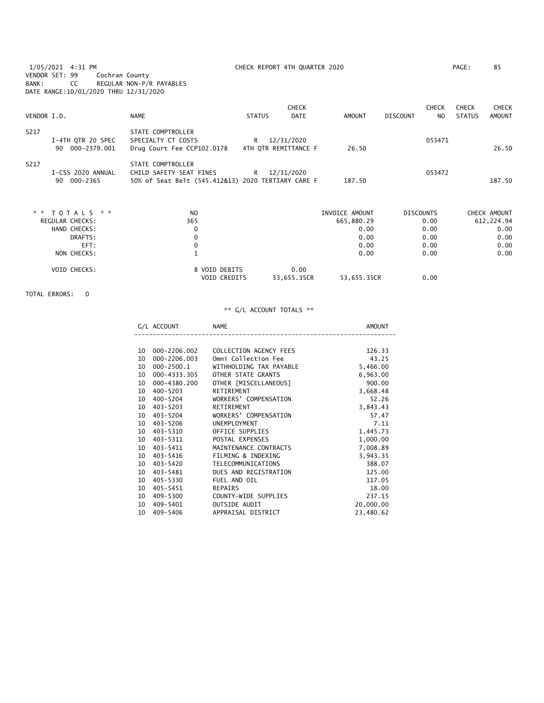1/05/2021 4:31 PM CHECK REPORT 4TH QUARTER 2020 PAGE: 85

DATE RANGE:10/01/2020 THRU 12/31/2020 CHECK CHECK CHECK CHECK NO STATUS AMOUNT S217 STATE COMPTROLLER I-4TH QTR 20 SPEC SPECIALTY CT COSTS R 12/31/2020<br>
90 000-2379.001 Drug Court Fee CCP102.0178 4TH QTR REMITTANCE F 26.50 Drug Court Fee CCP102.0178 4TH QTR REMITTANCE F 26.50 26.50 26.50 S217 STATE COMPTROLLER I-CSS 2020 ANNUAL CHILD SAFETY SEAT FINES R 12/31/2020 053472 90 000-2365 50% of Seat Belt (545.412&13) 2020 TERTIARY CARE F 187.50 187.50 \* \* T O T A L S \* \* NO INVOICE AMOUNT DISCOUNTS CHECK AMOUNT REGULAR CHECKS: HAND CHECKS: 0 0.00 0.00 0.00 DRAFTS: 0 0.00 0.00 0.00 EFT: 0 0.00 0.00 0.00

| NON CHECKS:         |                                      |                     | 0.00        | 0.00 | 0.00 |
|---------------------|--------------------------------------|---------------------|-------------|------|------|
| <b>VOID CHECKS:</b> | 8 VOID DEBITS<br><b>VOID CREDITS</b> | 0.00<br>53,655.35CR | 53,655.35CR | 0.00 |      |

TOTAL ERRORS: 0

VENDOR SET: 99 Cochran County

BANK: CC REGULAR NON-P/R PAYABLES

|    | G/L ACCOUNT  | <b>NAME</b>               | AMOUNT    |
|----|--------------|---------------------------|-----------|
|    |              |                           |           |
| 10 | 000-2206.002 | COLLECTION AGENCY FEES    | 126.33    |
| 10 | 000-2206.003 | Omni Collection Fee       | 43.25     |
| 10 | 000-2500.1   | WITHHOLDING TAX PAYABLE   | 5,466.00  |
| 10 | 000-4333.305 | OTHER STATE GRANTS        | 6,963.00  |
| 10 | 000-4380.200 | OTHER [MISCELLANEOUS]     | 900.00    |
| 10 | $400 - 5203$ | RETIREMENT                | 3,668.48  |
| 10 | 400-5204     | WORKERS' COMPENSATION     | 52.26     |
| 10 | 403-5203     | RETIREMENT                | 3,843.43  |
| 10 | 403–5204     | WORKERS' COMPENSATION     | 57.47     |
| 10 | 403-5206     | <b>UNEMPLOYMENT</b>       | 7.11      |
| 10 | 403-5310     | OFFICE SUPPLIES           | 1,445.73  |
| 10 | 403–5311     | POSTAL EXPENSES           | 1,000.00  |
| 10 | 403-5411     | MAINTENANCE CONTRACTS     | 7,008.89  |
| 10 | 403-5416     | FILMING & INDEXING        | 3,943.35  |
| 10 | 403-5420     | <b>TELECOMMUNICATIONS</b> | 388.07    |
| 10 | 403–5481     | DUES AND REGISTRATION     | 125.00    |
| 10 | 405-5330     | FUEL AND OIL              | 117.05    |
| 10 | 405-5451     | REPAIRS                   | 18.00     |
| 10 | 409-5300     | COUNTY-WIDE SUPPLIES      | 237.15    |
| 10 | 409-5401     | OUTSIDE AUDIT             | 20,000.00 |
| 10 | 409-5406     | APPRAISAL DISTRICT        | 23,480.62 |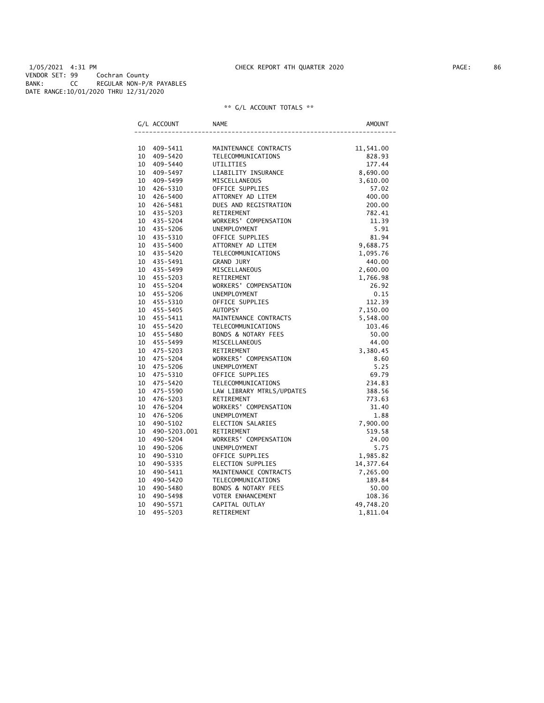1/05/2021 4:31 PM CHECK REPORT 4TH QUARTER 2020 PAGE: 86 VENDOR SET: 99 Cochran County BANK: CC REGULAR NON-P/R PAYABLES DATE RANGE:10/01/2020 THRU 12/31/2020

|    | G/L ACCOUNT  | <b>NAME</b>                    | <b>AMOUNT</b> |
|----|--------------|--------------------------------|---------------|
|    |              |                                |               |
|    | 10 409-5411  | MAINTENANCE CONTRACTS          | 11,541.00     |
|    | 10 409-5420  | TELECOMMUNICATIONS             | 828.93        |
|    | 10 409-5440  | UTILITIES                      | 177.44        |
|    | 10 409-5497  | LIABILITY INSURANCE            | 8,690.00      |
|    | 10 409-5499  | MISCELLANEOUS                  | 3,610.00      |
|    | 10 426-5310  | OFFICE SUPPLIES                | 57.02         |
|    | 10 426-5400  | ATTORNEY AD LITEM              | 400.00        |
|    | 10 426-5481  | DUES AND REGISTRATION          | 200.00        |
|    | 10 435-5203  | RETIREMENT                     | 782.41        |
|    | 10 435-5204  | WORKERS' COMPENSATION          | 11.39         |
|    | 10 435-5206  | <b>UNEMPLOYMENT</b>            | 5.91          |
|    | 10 435-5310  | OFFICE SUPPLIES                | 81.94         |
|    | 10 435-5400  | ATTORNEY AD LITEM              | 9,688.75      |
|    | 10 435-5420  | TELECOMMUNICATIONS             | 1,095.76      |
|    | 10 435-5491  | <b>GRAND JURY</b>              | 440.00        |
|    | 10 435-5499  | MISCELLANEOUS                  | 2,600.00      |
|    | 10 455-5203  | RETIREMENT                     | 1,766.98      |
|    | 10 455-5204  | WORKERS' COMPENSATION          | 26.92         |
|    | 10 455-5206  | <b>UNEMPLOYMENT</b>            | 0.15          |
|    | 10 455-5310  | OFFICE SUPPLIES                | 112.39        |
|    | 10 455-5405  | <b>AUTOPSY</b>                 | 7,150.00      |
|    | 10 455-5411  | MAINTENANCE CONTRACTS          | 5,548.00      |
|    | 10 455-5420  | TELECOMMUNICATIONS             | 103.46        |
|    | 10 455-5480  | BONDS & NOTARY FEES            | 50.00         |
|    | 10 455-5499  | MISCELLANEOUS                  | 44.00         |
|    | 10 475-5203  | RETIREMENT                     | 3,380.45      |
|    | 10 475-5204  | WORKERS' COMPENSATION          | 8.60          |
|    | 10 475-5206  | <b>UNEMPLOYMENT</b>            | 5.25          |
|    | 10 475-5310  | OFFICE SUPPLIES                | 69.79         |
|    | 10 475-5420  | TELECOMMUNICATIONS             | 234.83        |
|    | 10 475-5590  | LAW LIBRARY MTRLS/UPDATES      | 388.56        |
|    | 10 476-5203  | RETIREMENT                     | 773.63        |
|    | 10 476-5204  | WORKERS' COMPENSATION          | 31.40         |
|    | 10 476-5206  | <b>UNEMPLOYMENT</b>            | 1.88          |
| 10 | 490-5102     | ELECTION SALARIES              | 7,900.00      |
| 10 | 490-5203.001 | RETIREMENT                     | 519.58        |
| 10 | 490-5204     | WORKERS' COMPENSATION          | 24.00         |
| 10 | 490-5206     | UNEMPLOYMENT                   | 5.75          |
|    | 10 490-5310  | OFFICE SUPPLIES                | 1,985.82      |
| 10 | 490-5335     | ELECTION SUPPLIES              | 14, 377.64    |
| 10 | 490-5411     | MAINTENANCE CONTRACTS          | 7,265.00      |
| 10 | 490-5420     | <b>TELECOMMUNICATIONS</b>      | 189.84        |
| 10 | 490-5480     | <b>BONDS &amp; NOTARY FEES</b> | 50.00         |
| 10 | 490-5498     | VOTER ENHANCEMENT              | 108.36        |
| 10 | 490-5571     | CAPITAL OUTLAY                 | 49,748.20     |
| 10 | 495-5203     | RETIREMENT                     | 1,811.04      |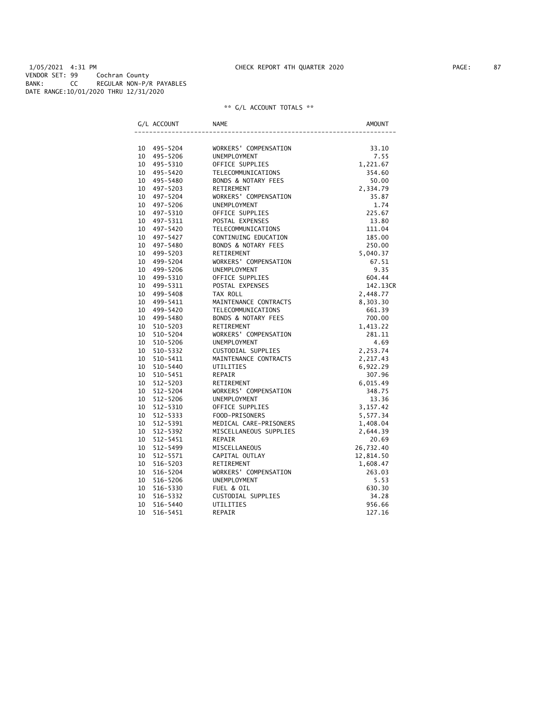|    | G/L ACCOUNT  | <b>NAME</b>                    | <b>AMOUNT</b> |
|----|--------------|--------------------------------|---------------|
|    |              |                                |               |
| 10 | 495–5204     | WORKERS' COMPENSATION          | 33.10         |
| 10 | 495-5206     | UNEMPLOYMENT                   | 7.55          |
|    | 10 495-5310  | OFFICE SUPPLIES                | 1,221.67      |
| 10 | 495–5420     | TELECOMMUNICATIONS             | 354.60        |
| 10 | 495-5480     | <b>BONDS &amp; NOTARY FEES</b> | 50.00         |
| 10 | 497-5203     | RETIREMENT                     | 2,334.79      |
| 10 | 497-5204     | WORKERS' COMPENSATION          | 35.87         |
| 10 | 497-5206     | <b>UNEMPLOYMENT</b>            | 1.74          |
| 10 | 497-5310     | OFFICE SUPPLIES                | 225.67        |
| 10 | 497-5311     | POSTAL EXPENSES                | 13.80         |
| 10 | 497-5420     | TELECOMMUNICATIONS             | 111.04        |
| 10 | 497-5427     | CONTINUING EDUCATION           | 185.00        |
| 10 | 497-5480     | <b>BONDS &amp; NOTARY FEES</b> | 250.00        |
| 10 | 499-5203     | RETIREMENT                     | 5,040.37      |
| 10 | 499-5204     | WORKERS' COMPENSATION          | 67.51         |
| 10 | 499-5206     | <b>UNEMPLOYMENT</b>            | 9.35          |
| 10 | 499-5310     | OFFICE SUPPLIES                | 604.44        |
| 10 | 499-5311     | POSTAL EXPENSES                | 142.13CR      |
| 10 | 499-5408     | TAX ROLL                       | 2,448.77      |
| 10 | 499-5411     | MAINTENANCE CONTRACTS          | 8,303.30      |
| 10 | 499-5420     | <b>TELECOMMUNICATIONS</b>      | 661.39        |
| 10 | 499-5480     | <b>BONDS &amp; NOTARY FEES</b> | 700.00        |
| 10 | 510-5203     | RETIREMENT                     | 1,413.22      |
| 10 | 510-5204     | WORKERS' COMPENSATION          | 281.11        |
| 10 | 510-5206     | UNEMPLOYMENT                   | 4.69          |
| 10 | 510-5332     | CUSTODIAL SUPPLIES             | 2,253.74      |
| 10 | 510-5411     | MAINTENANCE CONTRACTS          | 2,217.43      |
| 10 | 510-5440     | UTILITIES                      | 6,922.29      |
| 10 | 510-5451     | REPAIR                         | 307.96        |
| 10 | $512 - 5203$ | RETIREMENT                     | 6,015.49      |
| 10 | $512 - 5204$ | WORKERS' COMPENSATION          | 348.75        |
| 10 | $512 - 5206$ | UNEMPLOYMENT                   | 13.36         |
| 10 | 512-5310     | OFFICE SUPPLIES                | 3, 157.42     |
| 10 | 512-5333     | FOOD-PRISONERS                 | 5,577.34      |
| 10 | 512-5391     | MEDICAL CARE-PRISONERS         | 1,408.04      |
| 10 | 512-5392     | MISCELLANEOUS SUPPLIES         | 2,644.39      |
| 10 | 512-5451     | REPAIR                         | 20.69         |
| 10 | 512-5499     | MISCELLANEOUS                  | 26,732.40     |
| 10 | 512-5571     | CAPITAL OUTLAY                 | 12,814.50     |
| 10 | 516-5203     | RETIREMENT                     | 1,608.47      |
| 10 | 516-5204     | WORKERS' COMPENSATION          | 263.03        |
| 10 | 516-5206     | UNEMPLOYMENT                   | 5.53          |
| 10 | 516-5330     | FUEL & OIL                     | 630.30        |
| 10 | 516-5332     | CUSTODIAL SUPPLIES             | 34.28         |
| 10 | 516-5440     | UTILITIES                      | 956.66        |
| 10 | 516-5451     | <b>REPAIR</b>                  | 127.16        |
|    |              |                                |               |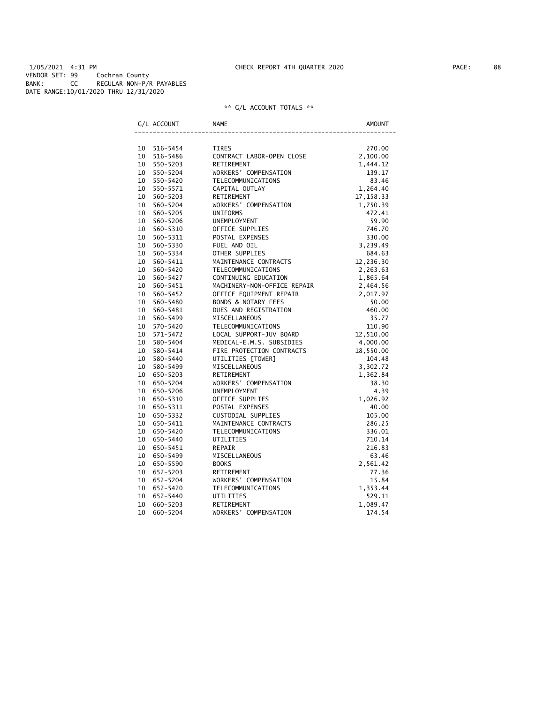1/05/2021 4:31 PM CHECK REPORT 4TH QUARTER 2020 PAGE: 88 VENDOR SET: 99 Cochran County BANK: CC REGULAR NON-P/R PAYABLES DATE RANGE:10/01/2020 THRU 12/31/2020

|    | G/L ACCOUNT | <b>NAME</b>                 | <b>AMOUNT</b> |
|----|-------------|-----------------------------|---------------|
| 10 | 516-5454    | <b>TIRES</b>                | 270.00        |
| 10 | 516-5486    | CONTRACT LABOR-OPEN CLOSE   | 2,100.00      |
| 10 | 550-5203    | RETIREMENT                  | 1,444.12      |
| 10 | 550-5204    | WORKERS' COMPENSATION       | 139.17        |
| 10 | 550-5420    | <b>TELECOMMUNICATIONS</b>   | 83.46         |
| 10 | 550-5571    | CAPITAL OUTLAY              | 1,264.40      |
| 10 | 560-5203    | RETIREMENT                  | 17, 158.33    |
| 10 | 560-5204    | WORKERS' COMPENSATION       | 1,750.39      |
| 10 | 560-5205    | UNIFORMS                    | 472.41        |
| 10 | 560-5206    | UNEMPLOYMENT                | 59.90         |
| 10 | 560-5310    | OFFICE SUPPLIES             | 746.70        |
| 10 | 560-5311    | POSTAL EXPENSES             | 330.00        |
| 10 | 560-5330    | FUEL AND OIL                | 3,239.49      |
| 10 | 560-5334    | OTHER SUPPLIES              | 684.63        |
| 10 | 560-5411    | MAINTENANCE CONTRACTS       | 12,236.30     |
| 10 | 560-5420    | TELECOMMUNICATIONS          | 2,263.63      |
| 10 | 560-5427    | CONTINUING EDUCATION        | 1,865.64      |
| 10 | 560-5451    | MACHINERY-NON-OFFICE REPAIR | 2,464.56      |
| 10 | 560-5452    | OFFICE EQUIPMENT REPAIR     | 2,017.97      |
| 10 | 560-5480    | BONDS & NOTARY FEES         | 50.00         |
| 10 | 560-5481    | DUES AND REGISTRATION       | 460.00        |
| 10 | 560-5499    | MISCELLANEOUS               | 35.77         |
| 10 | 570-5420    | TELECOMMUNICATIONS          | 110.90        |
| 10 | 571-5472    | LOCAL SUPPORT-JUV BOARD     | 12,510.00     |
| 10 | 580-5404    | MEDICAL-E.M.S. SUBSIDIES    | 4,000.00      |
| 10 | 580-5414    | FIRE PROTECTION CONTRACTS   | 18,550.00     |
| 10 | 580-5440    | UTILITIES [TOWER]           | 104.48        |
| 10 | 580-5499    | MISCELLANEOUS               | 3,302.72      |
| 10 | 650-5203    | RETIREMENT                  | 1,362.84      |
| 10 | 650-5204    | WORKERS' COMPENSATION       | 38.30         |
| 10 | 650-5206    | UNEMPLOYMENT                | 4.39          |
| 10 | 650-5310    | OFFICE SUPPLIES             | 1,026.92      |
| 10 | 650-5311    | POSTAL EXPENSES             | 40.00         |
| 10 | 650-5332    | CUSTODIAL SUPPLIES          | 105.00        |
| 10 | 650-5411    | MAINTENANCE CONTRACTS       | 286.25        |
| 10 | 650-5420    | TELECOMMUNICATIONS          | 336.01        |
| 10 | 650-5440    | UTILITIES                   | 710.14        |
| 10 | 650-5451    | REPAIR                      | 216.83        |
| 10 | 650-5499    | MISCELLANEOUS               | 63.46         |
| 10 | 650-5590    | <b>BOOKS</b>                | 2,561.42      |
| 10 | 652-5203    | RETIREMENT                  | 77.36         |
| 10 | 652-5204    | WORKERS' COMPENSATION       | 15.84         |
| 10 | 652-5420    | TELECOMMUNICATIONS          | 1,353.44      |
| 10 | 652-5440    | UTILITIES                   | 529.11        |
| 10 | 660-5203    | RETIREMENT                  | 1,089.47      |
| 10 | 660-5204    | WORKERS' COMPENSATION       | 174.54        |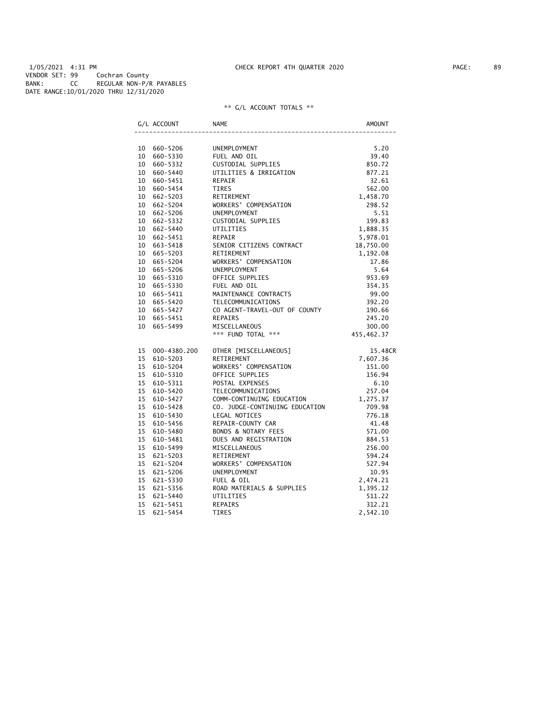1/05/2021 4:31 PM CHECK REPORT 4TH QUARTER 2020 PAGE: 89 VENDOR SET: 99 Cochran County BANK: CC REGULAR NON-P/R PAYABLES DATE RANGE:10/01/2020 THRU 12/31/2020

| G/L ACCOUNT                 | <b>NAME</b>                                                                     | AMOUNT     |
|-----------------------------|---------------------------------------------------------------------------------|------------|
|                             |                                                                                 |            |
| 10 660-5206                 | FUEL AND OIL<br>CUSTODIAL SUPPLIES<br>UTILITIES & IRRIGATION<br>REPAIR<br>TIPES | 5.20       |
| 10 660-5330                 |                                                                                 | 39.40      |
| 10 660-5332                 |                                                                                 | 850.72     |
| 10 660-5440                 |                                                                                 | 877.21     |
| 10 660-5451                 |                                                                                 | 32.61      |
| 10 660-5454                 | <b>TIRES</b>                                                                    | 562.00     |
| 10 662-5203                 | RETIREMENT                                                                      | 1,458.70   |
| 10 662-5204                 | WORKERS' COMPENSATION                                                           | 298.52     |
| 10 662-5206                 | UNEMPLOYMENT                                                                    | 5.51       |
| 10 662-5332                 | CUSTODIAL SUPPLIES                                                              | 199.83     |
| 10 662-5440                 | UTILITIES                                                                       | 1,888.35   |
| 10 662-5451                 | REPAIR                                                                          | 5,978.01   |
| 10 663-5418                 | SENIOR CITIZENS CONTRACT                                                        | 18,750.00  |
| 10 665-5203                 | RETIREMENT                                                                      | 1,192.08   |
| 10 665-5204                 | WORKERS' COMPENSATION                                                           | 17.86      |
| 10 665-5206                 | UNEMPLOYMENT                                                                    | 5.64       |
| 10 665-5310                 | OFFICE SUPPLIES                                                                 | 953.69     |
| 10 665-5330                 | FUEL AND OIL                                                                    | 354.35     |
| 10 665-5411                 | MAINTENANCE CONTRACTS                                                           | 99.00      |
| 10 665-5420                 | TELECOMMUNICATIONS                                                              | 392.20     |
| 10 665-5427                 | CO AGENT-TRAVEL-OUT OF COUNTY                                                   | 190.66     |
| 10 665-5451                 | REPAIRS                                                                         | 245.20     |
| 10 665-5499                 | MISCELLANEOUS                                                                   | 300.00     |
|                             | *** FUND TOTAL ***                                                              | 455,462.37 |
| 15 000-4380.200             | OTHER [MISCELLANEOUS]                                                           | 15.48CR    |
| 15 610-5203                 | RETIREMENT                                                                      | 7,607.36   |
| 15 610-5204                 | WORKERS' COMPENSATION                                                           | 151.00     |
| 15 610-5310                 | OFFICE SUPPLIES                                                                 | 156.94     |
| 15 610-5311                 | POSTAL EXPENSES                                                                 | 6.10       |
| 15 610-5420                 | TELECOMMUNICATIONS                                                              | 257.04     |
| 15 610-5427                 | COMM-CONTINUING EDUCATION                                                       | 1,275.37   |
| 15 610-5428                 | CO. JUDGE-CONTINUING EDUCATION                                                  | 709.98     |
| 15 610-5430                 | LEGAL NOTICES                                                                   | 776.18     |
| 15 610-5456                 | REPAIR-COUNTY CAR                                                               | 41.48      |
| 15<br>610-5480              | BONDS & NOTARY FEES                                                             | 571.00     |
| 15 <sup>7</sup><br>610-5481 | DUES AND REGISTRATION                                                           | 884.53     |
| 15<br>610-5499              | MISCELLANEOUS                                                                   | 256.00     |
| 15<br>621-5203              | RETIREMENT                                                                      | 594.24     |
| 15 621-5204                 | WORKERS' COMPENSATION                                                           | 527.94     |
| 15 621-5206                 | UNEMPLOYMENT                                                                    | 10.95      |
| 15 621-5330                 | FUEL & OIL                                                                      | 2,474.21   |
| 15 621-5356                 | ROAD MATERIALS & SUPPLIES                                                       | 1,395.12   |
| 15 621-5440                 | UTILITIES                                                                       | 511.22     |
| 15 621-5451                 | <b>REPAIRS</b>                                                                  | 312.21     |
| 15<br>621-5454              | TIRES                                                                           | 2,542.10   |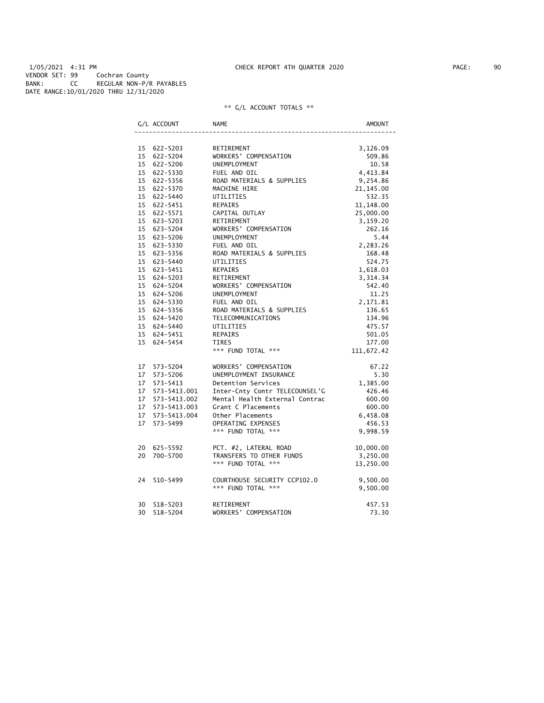1/05/2021 4:31 PM CHECK REPORT 4TH QUARTER 2020 PAGE: 90 VENDOR SET: 99 Cochran County BANK: CC REGULAR NON-P/R PAYABLES DATE RANGE:10/01/2020 THRU 12/31/2020

|    | G/L ACCOUNT                | <b>NAME</b>                                                                                                      | <b>AMOUNT</b>        |
|----|----------------------------|------------------------------------------------------------------------------------------------------------------|----------------------|
|    |                            |                                                                                                                  |                      |
|    | 15 622-5203                | RETIREMENT                                                                                                       | 3,126.09             |
|    | 15 622-5204                | WORKERS' COMPENSATION                                                                                            | 509.86               |
|    | 15 622-5206                | UNEMPLOYMENT                                                                                                     | 10.58                |
|    | 15 622-5330                | FUEL AND OIL                                                                                                     | 4,413.84             |
|    | 15 622-5356                | ROAD MATERIALS & SUPPLIES                                                                                        | 9,254.86             |
|    | 15 622-5370                | MACHINE HIRE                                                                                                     | 21, 145.00           |
|    | 15 622-5440                | UTILITIES                                                                                                        | 532.35               |
|    | 15 622-5451                | REPAIRS                                                                                                          | 11,148.00            |
|    | 15 622-5571                | CAPITAL OUTLAY                                                                                                   | 25,000.00            |
|    | 15 623-5203                | RETIREMENT                                                                                                       | 3,159.20             |
|    | 15 623-5204                | WORKERS' COMPENSATION                                                                                            | 262.16               |
|    | 15 623-5206                | UNEMPLOYMENT                                                                                                     | 5.44                 |
|    | 15 623-5330                | FUEL AND OIL                                                                                                     | 2,283.26             |
|    | 15 623-5356                | ROAD MATERIALS & SUPPLIES                                                                                        | 168.48               |
|    | 15 623-5440                | UTILITIES                                                                                                        | 524.75               |
|    | 15 623-5451                | REPAIRS                                                                                                          | 1,618.03             |
|    | 15 624-5203                | RETIREMENT                                                                                                       | 3,314.34             |
|    | 15 624-5204                | WORKERS' COMPENSATION                                                                                            | 542.40               |
|    | 15 624-5206                | UNEMPLOYMENT                                                                                                     | 11.25                |
|    | 15 624-5330                | FUEL AND OIL                                                                                                     | 2,171.81             |
|    | 15 624-5356                | ROAD MATERIALS & SUPPLIES<br>TELECOMMUNICATIONS                                                                  | 136.65               |
|    | 15 624-5420<br>15 624-5440 | UTILITIES                                                                                                        | 134.96<br>475.57     |
|    |                            |                                                                                                                  |                      |
|    | 15 624-5451<br>15 624-5454 | REPAIRS<br>TIRES                                                                                                 | 501.05               |
|    |                            | *** FUND TOTAL ***                                                                                               | 177.00<br>111,672.42 |
|    |                            |                                                                                                                  |                      |
|    | 17 573-5204                | WORKERS' COMPENSATION                                                                                            | 67.22                |
|    | 17 573-5206                |                                                                                                                  | 5.30                 |
|    | 17 573-5413                |                                                                                                                  | 1,385.00             |
|    | 17  573-5413.001           | UNEMPLOYMENT INSURANCE<br>Detention Services<br>Inter-Cnty Contr TELECOUNSEL'G<br>Mental Health External Contrac | 426.46               |
|    | 17 573-5413.002            |                                                                                                                  | 600.00               |
|    |                            | Grant C Placements                                                                                               | 600.00               |
|    | 17  573-5413.004           | Other Placements                                                                                                 | 6,458.08             |
|    | 17 573-5499                | OPERATING EXPENSES                                                                                               | 456.53               |
|    |                            | *** FUND TOTAL ***                                                                                               | 9,998.59             |
|    | 20 625-5592                | PCT. #2, LATERAL ROAD                                                                                            | 10,000.00            |
|    | 20 700-5700                | TRANSFERS TO OTHER FUNDS                                                                                         | 3,250.00             |
|    |                            | *** FUND TOTAL ***                                                                                               | 13,250.00            |
| 24 | 510-5499                   | COURTHOUSE SECURITY CCP102.0                                                                                     | 9,500.00             |
|    |                            | *** FUND TOTAL ***                                                                                               | 9,500.00             |
|    | 30 518-5203                | RETIREMENT                                                                                                       | 457.53               |
|    | 30 518-5204                | WORKERS' COMPENSATION                                                                                            | 73.30                |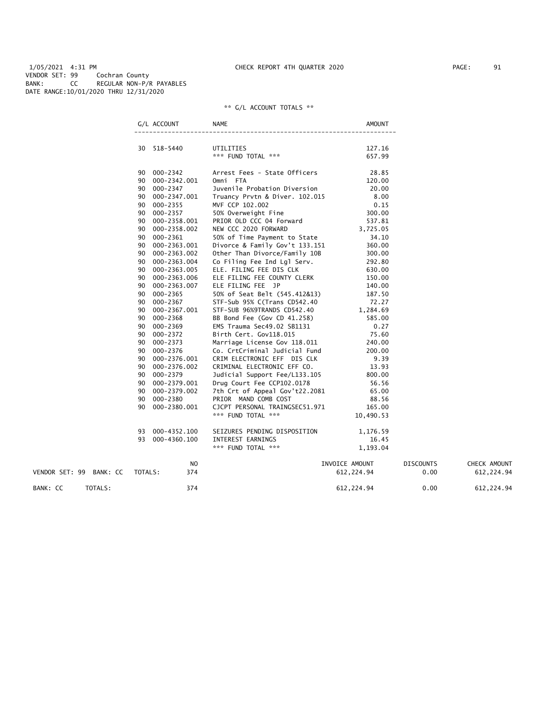1/05/2021 4:31 PM CHECK REPORT 4TH QUARTER 2020 PAGE: 91 VENDOR SET: 99 Cochran County BANK: CC REGULAR NON-P/R PAYABLES DATE RANGE:10/01/2020 THRU 12/31/2020

|                         |         | G/L ACCOUNT     | NAME                            | <b>AMOUNT</b>    |                  |              |
|-------------------------|---------|-----------------|---------------------------------|------------------|------------------|--------------|
|                         |         | 30 518-5440     | UTILITIES<br>*** FUND TOTAL *** | 127.16<br>657.99 |                  |              |
|                         |         | 90 000-2342     | Arrest Fees - State Officers    | 28.85            |                  |              |
|                         |         | 90 000-2342.001 | Omni FTA                        | 120.00           |                  |              |
|                         |         | 90 000-2347     | Juvenile Probation Diversion    | 20.00            |                  |              |
|                         |         | 90 000-2347.001 | Truancy Prvtn & Diver. 102.015  | 8.00             |                  |              |
|                         | 90      | 000-2355        | MVF CCP 102.002                 | 0.15             |                  |              |
|                         |         | 90 000-2357     | 50% Overweight Fine             | 300.00           |                  |              |
|                         |         | 90 000-2358.001 | PRIOR OLD CCC 04 Forward        | 537.81           |                  |              |
|                         |         | 90 000-2358.002 | NEW CCC 2020 FORWARD            | 3,725.05         |                  |              |
|                         |         | 90 000-2361     | 50% of Time Payment to State    | 34.10            |                  |              |
|                         |         | 90 000-2363.001 | Divorce & Family Gov't 133.151  | 360.00           |                  |              |
|                         |         | 90 000-2363.002 | Other Than Divorce/Family 10B   | 300.00           |                  |              |
|                         |         | 90 000-2363.004 | Co Filing Fee Ind Lgl Serv.     | 292.80           |                  |              |
|                         |         | 90 000-2363.005 | ELE. FILING FEE DIS CLK         | 630.00           |                  |              |
|                         |         | 90 000-2363.006 | ELE FILING FEE COUNTY CLERK     | 150.00           |                  |              |
|                         |         | 90 000-2363.007 | ELE FILING FEE JP               | 140.00           |                  |              |
|                         |         | 90 000-2365     | 50% of Seat Belt (545.412&13)   | 187.50           |                  |              |
|                         |         | 90 000-2367     | STF-Sub 95% C(Trans CD542.40    | 72.27            |                  |              |
|                         | 90      | 000-2367.001    | STF-SUB 96%9TRANDS CD542.40     | 1,284.69         |                  |              |
|                         |         | 90 000-2368     | BB Bond Fee (Gov CD 41.258)     | 585.00           |                  |              |
|                         |         | 90 000-2369     | EMS Trauma Sec49.02 SB1131      | 0.27             |                  |              |
|                         |         | 90 000-2372     | Birth Cert. Gov118.015          | 75.60            |                  |              |
|                         |         | 90 000-2373     | Marriage License Gov 118.011    | 240.00           |                  |              |
|                         |         | 90 000-2376     | Co. CrtCriminal Judicial Fund   | 200.00           |                  |              |
|                         | 90      | 000-2376.001    | CRIM ELECTRONIC EFF DIS CLK     | 9.39             |                  |              |
|                         | 90      | 000-2376.002    | CRIMINAL ELECTRONIC EFF CO.     | 13.93            |                  |              |
|                         |         | 90 000-2379     | Judicial Support Fee/L133.105   | 800.00           |                  |              |
|                         |         | 90 000-2379.001 | Drug Court Fee CCP102.0178      | 56.56            |                  |              |
|                         | 90      | 000-2379.002    | 7th Crt of Appeal Gov't22.2081  | 65.00            |                  |              |
|                         |         | 90 000-2380     | PRIOR MAND COMB COST            | 88.56            |                  |              |
|                         | 90      | 000-2380.001    | CJCPT PERSONAL TRAINGSEC51.971  | 165.00           |                  |              |
|                         |         |                 | *** FUND TOTAL ***              | 10,490.53        |                  |              |
|                         | 93      | 000-4352.100    | SEIZURES PENDING DISPOSITION    | 1,176.59         |                  |              |
|                         |         | 93 000-4360.100 | INTEREST EARNINGS               | 16.45            |                  |              |
|                         |         |                 | *** FUND TOTAL ***              | 1,193.04         |                  |              |
|                         |         | NO.             |                                 | INVOICE AMOUNT   | <b>DISCOUNTS</b> | CHECK AMOUNT |
| VENDOR SET: 99 BANK: CC | TOTALS: | 374             |                                 | 612,224.94       | 0.00             | 612, 224.94  |
| TOTALS:<br>BANK: CC     |         | 374             |                                 | 612, 224.94      | 0.00             | 612, 224.94  |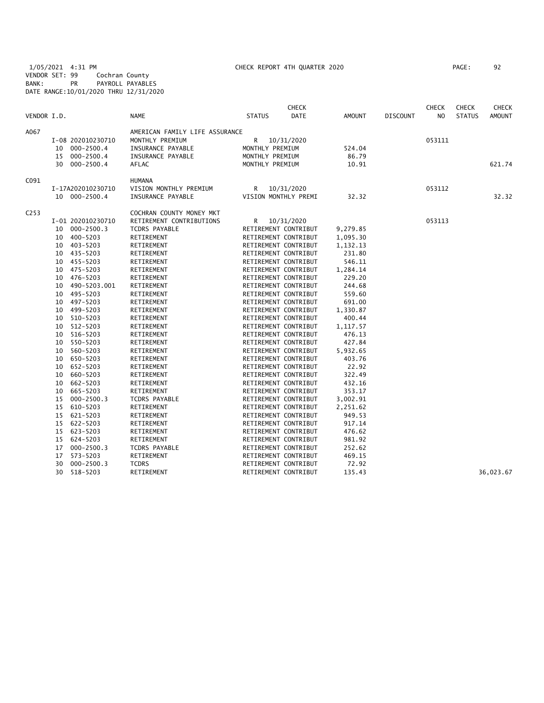1/05/2021 4:31 PM CHECK REPORT 4TH QUARTER 2020 PAGE: 92 VENDOR SET: 99 Cochran County BANK: PR PAYROLL PAYABLES DATE RANGE:10/01/2020 THRU 12/31/2020

| VENDOR I.D.      |    |                   | <b>NAME</b>                    | <b>STATUS</b>   | <b>CHECK</b><br><b>DATE</b> | AMOUNT   | <b>DISCOUNT</b> | <b>CHECK</b><br>N <sub>O</sub> | <b>CHECK</b><br><b>STATUS</b> | <b>CHECK</b><br><b>AMOUNT</b> |
|------------------|----|-------------------|--------------------------------|-----------------|-----------------------------|----------|-----------------|--------------------------------|-------------------------------|-------------------------------|
|                  |    |                   |                                |                 |                             |          |                 |                                |                               |                               |
| A067             |    |                   | AMERICAN FAMILY LIFE ASSURANCE |                 |                             |          |                 |                                |                               |                               |
|                  |    | I-08 202010230710 | MONTHLY PREMIUM                | R               | 10/31/2020                  |          |                 | 053111                         |                               |                               |
|                  |    | 10 000-2500.4     | INSURANCE PAYABLE              | MONTHLY PREMIUM |                             | 524.04   |                 |                                |                               |                               |
|                  |    | 15 000-2500.4     | INSURANCE PAYABLE              | MONTHLY PREMIUM |                             | 86.79    |                 |                                |                               |                               |
|                  | 30 | $000 - 2500.4$    | <b>AFLAC</b>                   | MONTHLY PREMIUM |                             | 10.91    |                 |                                |                               | 621.74                        |
| C091             |    |                   | <b>HUMANA</b>                  |                 |                             |          |                 |                                |                               |                               |
|                  |    | I-17A202010230710 | VISION MONTHLY PREMIUM         | R               | 10/31/2020                  |          |                 | 053112                         |                               |                               |
|                  |    | 10 000-2500.4     | INSURANCE PAYABLE              |                 | VISION MONTHLY PREMI        | 32.32    |                 |                                |                               | 32.32                         |
| C <sub>253</sub> |    |                   | COCHRAN COUNTY MONEY MKT       |                 |                             |          |                 |                                |                               |                               |
|                  |    | I-01 202010230710 | RETIREMENT CONTRIBUTIONS       | R.              | 10/31/2020                  |          |                 | 053113                         |                               |                               |
|                  | 10 | $000 - 2500.3$    | TCDRS PAYABLE                  |                 | RETIREMENT CONTRIBUT        | 9,279.85 |                 |                                |                               |                               |
|                  |    | 10 400-5203       | RETIREMENT                     |                 | RETIREMENT CONTRIBUT        | 1,095.30 |                 |                                |                               |                               |
|                  |    | 10 403-5203       | RETIREMENT                     |                 | RETIREMENT CONTRIBUT        | 1,132.13 |                 |                                |                               |                               |
|                  |    | 10 435-5203       | RETIREMENT                     |                 | RETIREMENT CONTRIBUT        | 231.80   |                 |                                |                               |                               |
|                  | 10 | 455-5203          | RETIREMENT                     |                 | RETIREMENT CONTRIBUT        | 546.11   |                 |                                |                               |                               |
|                  |    | 10 475-5203       | RETIREMENT                     |                 | RETIREMENT CONTRIBUT        | 1,284.14 |                 |                                |                               |                               |
|                  | 10 | 476–5203          | RETIREMENT                     |                 | RETIREMENT CONTRIBUT        | 229.20   |                 |                                |                               |                               |
|                  | 10 | 490-5203.001      | RETIREMENT                     |                 | RETIREMENT CONTRIBUT        | 244.68   |                 |                                |                               |                               |
|                  | 10 | 495-5203          | RETIREMENT                     |                 | RETIREMENT CONTRIBUT        | 559.60   |                 |                                |                               |                               |
|                  | 10 | 497-5203          | RETIREMENT                     |                 | RETIREMENT CONTRIBUT        | 691.00   |                 |                                |                               |                               |
|                  | 10 | 499-5203          | RETIREMENT                     |                 | RETIREMENT CONTRIBUT        | 1,330.87 |                 |                                |                               |                               |
|                  | 10 | 510-5203          | RETIREMENT                     |                 | RETIREMENT CONTRIBUT        | 400.44   |                 |                                |                               |                               |
|                  | 10 | 512-5203          | RETIREMENT                     |                 | RETIREMENT CONTRIBUT        | 1,117.57 |                 |                                |                               |                               |
|                  | 10 | 516-5203          | RETIREMENT                     |                 | RETIREMENT CONTRIBUT        | 476.13   |                 |                                |                               |                               |
|                  | 10 | 550-5203          | RETIREMENT                     |                 | RETIREMENT CONTRIBUT        | 427.84   |                 |                                |                               |                               |
|                  | 10 | 560-5203          | RETIREMENT                     |                 | RETIREMENT CONTRIBUT        | 5,932.65 |                 |                                |                               |                               |
|                  | 10 | 650-5203          | RETIREMENT                     |                 | RETIREMENT CONTRIBUT        | 403.76   |                 |                                |                               |                               |
|                  | 10 | 652-5203          | RETIREMENT                     |                 | RETIREMENT CONTRIBUT        | 22.92    |                 |                                |                               |                               |
|                  | 10 | 660-5203          | RETIREMENT                     |                 | RETIREMENT CONTRIBUT        | 322.49   |                 |                                |                               |                               |
|                  | 10 | 662-5203          | RETIREMENT                     |                 | RETIREMENT CONTRIBUT        | 432.16   |                 |                                |                               |                               |
|                  | 10 | 665-5203          | RETIREMENT                     |                 | RETIREMENT CONTRIBUT        | 353.17   |                 |                                |                               |                               |
|                  | 15 | $000 - 2500.3$    | TCDRS PAYABLE                  |                 | RETIREMENT CONTRIBUT        | 3,002.91 |                 |                                |                               |                               |
|                  | 15 | 610-5203          | RETIREMENT                     |                 | RETIREMENT CONTRIBUT        | 2,251.62 |                 |                                |                               |                               |
|                  | 15 | 621-5203          | RETIREMENT                     |                 | RETIREMENT CONTRIBUT        | 949.53   |                 |                                |                               |                               |
|                  | 15 | 622-5203          | RETIREMENT                     |                 | RETIREMENT CONTRIBUT        | 917.14   |                 |                                |                               |                               |
|                  | 15 | 623-5203          | RETIREMENT                     |                 | RETIREMENT CONTRIBUT        | 476.62   |                 |                                |                               |                               |
|                  | 15 | 624-5203          | RETIREMENT                     |                 | RETIREMENT CONTRIBUT        | 981.92   |                 |                                |                               |                               |
|                  | 17 | $000 - 2500.3$    | TCDRS PAYABLE                  |                 | RETIREMENT CONTRIBUT        | 252.62   |                 |                                |                               |                               |
|                  | 17 | 573-5203          | RETIREMENT                     |                 | RETIREMENT CONTRIBUT        | 469.15   |                 |                                |                               |                               |
|                  | 30 | $000 - 2500.3$    | <b>TCDRS</b>                   |                 | RETIREMENT CONTRIBUT        | 72.92    |                 |                                |                               |                               |
|                  | 30 | 518-5203          | RETIREMENT                     |                 | RETIREMENT CONTRIBUT        | 135.43   |                 |                                |                               | 36,023.67                     |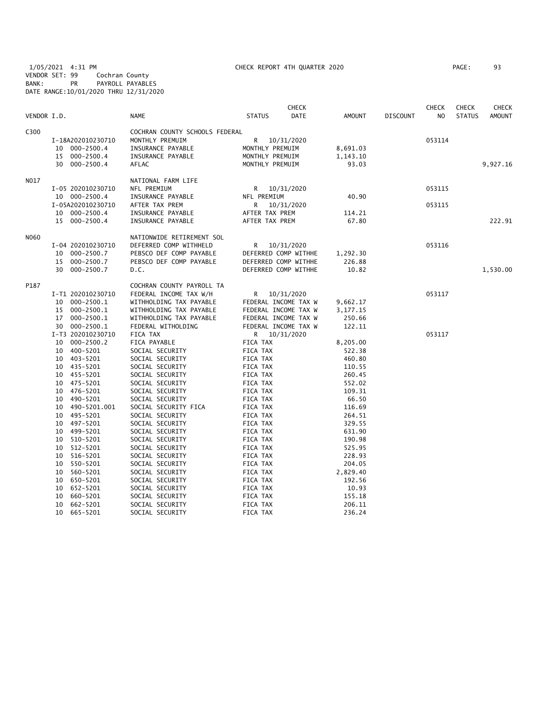1/05/2021 4:31 PM CHECK REPORT 4TH QUARTER 2020 PAGE: 93 VENDOR SET: 99 Cochran County BANK: PR PAYROLL PAYABLES DATE RANGE:10/01/2020 THRU 12/31/2020

| VENDOR I.D. |                            |                | <b>NAME</b>                        | <b>STATUS</b>        | <b>CHECK</b><br>DATE | <b>AMOUNT</b>    | <b>DISCOUNT</b> | <b>CHECK</b><br>N <sub>O</sub> | <b>CHECK</b><br><b>STATUS</b> | <b>CHECK</b><br><b>AMOUNT</b> |
|-------------|----------------------------|----------------|------------------------------------|----------------------|----------------------|------------------|-----------------|--------------------------------|-------------------------------|-------------------------------|
| C300        |                            |                | COCHRAN COUNTY SCHOOLS FEDERAL     |                      |                      |                  |                 |                                |                               |                               |
|             | I-18A202010230710          |                | MONTHLY PREMUIM                    | R                    | 10/31/2020           |                  |                 | 053114                         |                               |                               |
|             | 10                         | $000 - 2500.4$ | INSURANCE PAYABLE                  | MONTHLY PREMUIM      |                      | 8,691.03         |                 |                                |                               |                               |
|             | 15                         | $000 - 2500.4$ | INSURANCE PAYABLE                  | MONTHLY PREMUIM      |                      | 1,143.10         |                 |                                |                               |                               |
|             | 30                         | $000 - 2500.4$ | AFLAC                              | MONTHLY PREMUIM      |                      | 93.03            |                 |                                |                               | 9,927.16                      |
| N017        |                            |                | NATIONAL FARM LIFE                 |                      |                      |                  |                 |                                |                               |                               |
|             | I-05 202010230710          |                | NFL PREMIUM                        | R                    | 10/31/2020           |                  |                 | 053115                         |                               |                               |
|             | 10 000-2500.4              |                | INSURANCE PAYABLE                  | NFL PREMIUM          |                      | 40.90            |                 |                                |                               |                               |
|             | I-05A202010230710          |                | AFTER TAX PREM                     | R                    | 10/31/2020           |                  |                 | 053115                         |                               |                               |
|             | 10 000-2500.4              |                | INSURANCE PAYABLE                  | AFTER TAX PREM       |                      | 114.21           |                 |                                |                               |                               |
|             | 15 000-2500.4              |                | INSURANCE PAYABLE                  | AFTER TAX PREM       |                      | 67.80            |                 |                                |                               | 222.91                        |
| N060        |                            |                | NATIONWIDE RETIREMENT SOL          |                      |                      |                  |                 |                                |                               |                               |
|             | I-04 202010230710          |                | DEFERRED COMP WITHHELD             | R                    | 10/31/2020           |                  |                 | 053116                         |                               |                               |
|             | 10                         | $000 - 2500.7$ | PEBSCO DEF COMP PAYABLE            |                      | DEFERRED COMP WITHHE | 1,292.30         |                 |                                |                               |                               |
|             | 15                         | 000-2500.7     | PEBSCO DEF COMP PAYABLE            |                      | DEFERRED COMP WITHHE | 226.88           |                 |                                |                               |                               |
|             | 30 000-2500.7              |                | D.C.                               |                      | DEFERRED COMP WITHHE | 10.82            |                 |                                |                               | 1,530.00                      |
| P187        |                            |                | COCHRAN COUNTY PAYROLL TA          |                      |                      |                  |                 |                                |                               |                               |
|             | I-T1 202010230710          |                | FEDERAL INCOME TAX W/H             | R                    | 10/31/2020           |                  |                 | 053117                         |                               |                               |
|             | 10                         | 000-2500.1     | WITHHOLDING TAX PAYABLE            |                      | FEDERAL INCOME TAX W | 9,662.17         |                 |                                |                               |                               |
|             | 15                         | 000-2500.1     | WITHHOLDING TAX PAYABLE            |                      | FEDERAL INCOME TAX W | 3,177.15         |                 |                                |                               |                               |
|             | 17                         | $000 - 2500.1$ | WITHHOLDING TAX PAYABLE            |                      | FEDERAL INCOME TAX W | 250.66           |                 |                                |                               |                               |
|             | 30                         | 000-2500.1     | FEDERAL WITHOLDING                 |                      | FEDERAL INCOME TAX W | 122.11           |                 |                                |                               |                               |
|             | I-T3 202010230710          |                | FICA TAX                           | R                    | 10/31/2020           |                  |                 | 053117                         |                               |                               |
|             | 10                         | $000 - 2500.2$ | FICA PAYABLE                       | FICA TAX             |                      | 8,205.00         |                 |                                |                               |                               |
|             | 400-5201<br>10             |                | SOCIAL SECURITY                    | FICA TAX             |                      | 522.38           |                 |                                |                               |                               |
|             | 10 403-5201                |                | SOCIAL SECURITY                    | FICA TAX             |                      | 460.80           |                 |                                |                               |                               |
|             | 435-5201<br>10             |                | SOCIAL SECURITY                    | FICA TAX             |                      | 110.55           |                 |                                |                               |                               |
|             | 10 455-5201                |                | SOCIAL SECURITY                    | FICA TAX<br>FICA TAX |                      | 260.45<br>552.02 |                 |                                |                               |                               |
|             | 10 475-5201<br>10 476-5201 |                | SOCIAL SECURITY<br>SOCIAL SECURITY | FICA TAX             |                      | 109.31           |                 |                                |                               |                               |
|             | 10<br>490-5201             |                | SOCIAL SECURITY                    | FICA TAX             |                      | 66.50            |                 |                                |                               |                               |
|             | 10                         | 490-5201.001   | SOCIAL SECURITY FICA               | FICA TAX             |                      | 116.69           |                 |                                |                               |                               |
|             | 495-5201<br>10             |                | SOCIAL SECURITY                    | FICA TAX             |                      | 264.51           |                 |                                |                               |                               |
|             | 497-5201<br>10             |                | SOCIAL SECURITY                    | FICA TAX             |                      | 329.55           |                 |                                |                               |                               |
|             | 499-5201<br>10             |                | SOCIAL SECURITY                    | FICA TAX             |                      | 631.90           |                 |                                |                               |                               |
|             | 510-5201<br>10             |                | SOCIAL SECURITY                    | FICA TAX             |                      | 190.98           |                 |                                |                               |                               |
|             | 512-5201<br>10             |                | SOCIAL SECURITY                    | FICA TAX             |                      | 525.95           |                 |                                |                               |                               |
|             | 516-5201<br>10             |                | SOCIAL SECURITY                    | FICA TAX             |                      | 228.93           |                 |                                |                               |                               |
|             | 550-5201<br>10             |                | SOCIAL SECURITY                    | FICA TAX             |                      | 204.05           |                 |                                |                               |                               |
|             | 560-5201<br>10             |                | SOCIAL SECURITY                    | FICA TAX             |                      | 2,829.40         |                 |                                |                               |                               |
|             | 650-5201<br>10             |                | SOCIAL SECURITY                    | FICA TAX             |                      | 192.56           |                 |                                |                               |                               |
|             | 10<br>652-5201             |                | SOCIAL SECURITY                    | FICA TAX             |                      | 10.93            |                 |                                |                               |                               |
|             | 660-5201<br>10             |                | SOCIAL SECURITY                    | FICA TAX             |                      | 155.18           |                 |                                |                               |                               |
|             | 10<br>662-5201             |                | SOCIAL SECURITY                    | FICA TAX             |                      | 206.11           |                 |                                |                               |                               |
|             | 10<br>665-5201             |                | SOCIAL SECURITY                    | FICA TAX             |                      | 236.24           |                 |                                |                               |                               |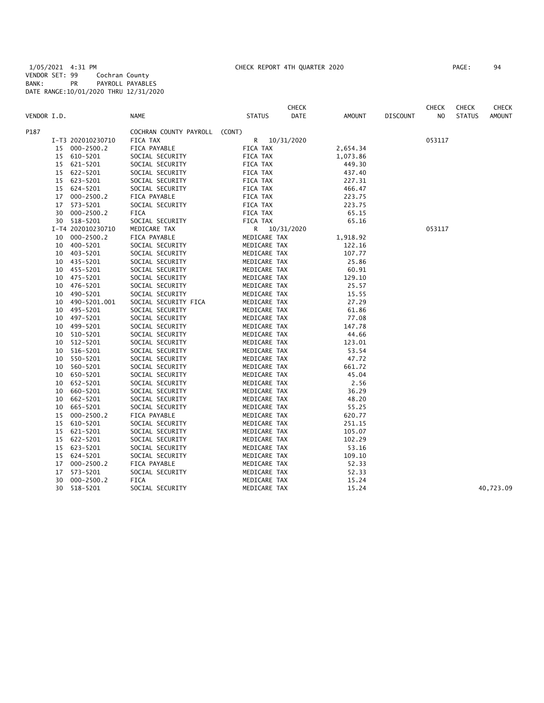1/05/2021 4:31 PM CHECK REPORT 4TH QUARTER 2020 PAGE: 94 VENDOR SET: 99 Cochran County BANK: PR PAYROLL PAYABLES DATE RANGE:10/01/2020 THRU 12/31/2020

| PAGE : | 94 |
|--------|----|
|        |    |

|             |    |                   |                        |               | CHECK      |          |                 | <b>CHECK</b> | <b>CHECK</b>  | CHECK         |
|-------------|----|-------------------|------------------------|---------------|------------|----------|-----------------|--------------|---------------|---------------|
| VENDOR I.D. |    |                   | <b>NAME</b>            | <b>STATUS</b> | DATE       | AMOUNT   | <b>DISCOUNT</b> | NO           | <b>STATUS</b> | <b>AMOUNT</b> |
| P187        |    |                   | COCHRAN COUNTY PAYROLL | (CONT)        |            |          |                 |              |               |               |
|             |    | I-T3 202010230710 | FICA TAX               | R             | 10/31/2020 |          |                 | 053117       |               |               |
|             | 15 | $000 - 2500.2$    | FICA PAYABLE           | FICA TAX      |            | 2,654.34 |                 |              |               |               |
|             | 15 | 610-5201          | SOCIAL SECURITY        | FICA TAX      |            | 1,073.86 |                 |              |               |               |
|             | 15 | 621-5201          | SOCIAL SECURITY        | FICA TAX      |            | 449.30   |                 |              |               |               |
|             | 15 | 622-5201          | SOCIAL SECURITY        | FICA TAX      |            | 437.40   |                 |              |               |               |
|             | 15 | 623-5201          | SOCIAL SECURITY        | FICA TAX      |            | 227.31   |                 |              |               |               |
|             | 15 | 624-5201          | SOCIAL SECURITY        | FICA TAX      |            | 466.47   |                 |              |               |               |
|             | 17 | $000 - 2500.2$    | FICA PAYABLE           | FICA TAX      |            | 223.75   |                 |              |               |               |
|             | 17 | 573-5201          | SOCIAL SECURITY        | FICA TAX      |            | 223.75   |                 |              |               |               |
|             | 30 | $000 - 2500.2$    | FICA                   | FICA TAX      |            | 65.15    |                 |              |               |               |
|             | 30 | 518-5201          | SOCIAL SECURITY        | FICA TAX      |            | 65.16    |                 |              |               |               |
|             |    | I-T4 202010230710 | MEDICARE TAX           | R             | 10/31/2020 |          |                 | 053117       |               |               |
|             | 10 | 000-2500.2        | FICA PAYABLE           | MEDICARE TAX  |            | 1,918.92 |                 |              |               |               |
|             | 10 | 400-5201          | SOCIAL SECURITY        | MEDICARE TAX  |            | 122.16   |                 |              |               |               |
|             | 10 | 403-5201          | SOCIAL SECURITY        | MEDICARE TAX  |            | 107.77   |                 |              |               |               |
|             | 10 | 435-5201          | SOCIAL SECURITY        | MEDICARE TAX  |            | 25.86    |                 |              |               |               |
|             | 10 | 455-5201          | SOCIAL SECURITY        | MEDICARE TAX  |            | 60.91    |                 |              |               |               |
|             | 10 | 475-5201          | SOCIAL SECURITY        | MEDICARE TAX  |            | 129.10   |                 |              |               |               |
|             | 10 | 476-5201          | SOCIAL SECURITY        | MEDICARE TAX  |            | 25.57    |                 |              |               |               |
|             | 10 | 490-5201          | SOCIAL SECURITY        | MEDICARE TAX  |            | 15.55    |                 |              |               |               |
|             | 10 | 490-5201.001      | SOCIAL SECURITY FICA   | MEDICARE TAX  |            | 27.29    |                 |              |               |               |
|             | 10 | 495-5201          | SOCIAL SECURITY        | MEDICARE TAX  |            | 61.86    |                 |              |               |               |
|             | 10 | 497-5201          | SOCIAL SECURITY        | MEDICARE TAX  |            | 77.08    |                 |              |               |               |
|             | 10 | 499-5201          | SOCIAL SECURITY        | MEDICARE TAX  |            | 147.78   |                 |              |               |               |
|             | 10 | 510-5201          | SOCIAL SECURITY        | MEDICARE TAX  |            | 44.66    |                 |              |               |               |
|             | 10 | 512-5201          | SOCIAL SECURITY        | MEDICARE TAX  |            | 123.01   |                 |              |               |               |
|             | 10 | 516-5201          | SOCIAL SECURITY        | MEDICARE TAX  |            | 53.54    |                 |              |               |               |
|             | 10 | 550-5201          | SOCIAL SECURITY        | MEDICARE TAX  |            | 47.72    |                 |              |               |               |
|             | 10 | 560-5201          | SOCIAL SECURITY        | MEDICARE TAX  |            | 661.72   |                 |              |               |               |
|             | 10 | 650-5201          | SOCIAL SECURITY        | MEDICARE TAX  |            | 45.04    |                 |              |               |               |
|             | 10 | 652-5201          | SOCIAL SECURITY        | MEDICARE TAX  |            | 2.56     |                 |              |               |               |
|             | 10 | 660-5201          | SOCIAL SECURITY        | MEDICARE TAX  |            | 36.29    |                 |              |               |               |
|             | 10 | 662-5201          | SOCIAL SECURITY        | MEDICARE TAX  |            | 48.20    |                 |              |               |               |
|             | 10 | 665-5201          | SOCIAL SECURITY        | MEDICARE TAX  |            | 55.25    |                 |              |               |               |
|             | 15 | $000 - 2500.2$    | FICA PAYABLE           | MEDICARE TAX  |            | 620.77   |                 |              |               |               |
|             | 15 | 610-5201          | SOCIAL SECURITY        | MEDICARE TAX  |            | 251.15   |                 |              |               |               |
|             | 15 | 621-5201          | SOCIAL SECURITY        | MEDICARE TAX  |            | 105.07   |                 |              |               |               |
|             | 15 | 622-5201          | SOCIAL SECURITY        | MEDICARE TAX  |            | 102.29   |                 |              |               |               |
|             | 15 | 623-5201          | SOCIAL SECURITY        | MEDICARE TAX  |            | 53.16    |                 |              |               |               |
|             | 15 | 624-5201          | SOCIAL SECURITY        | MEDICARE TAX  |            | 109.10   |                 |              |               |               |
|             | 17 | $000 - 2500.2$    | FICA PAYABLE           | MEDICARE TAX  |            | 52.33    |                 |              |               |               |
|             | 17 | 573-5201          | SOCIAL SECURITY        | MEDICARE TAX  |            | 52.33    |                 |              |               |               |
|             | 30 | $000 - 2500.2$    | FICA                   | MEDICARE TAX  |            | 15.24    |                 |              |               |               |
|             | 30 | 518-5201          | SOCIAL SECURITY        | MEDICARE TAX  |            | 15.24    |                 |              |               | 40,723.09     |
|             |    |                   |                        |               |            |          |                 |              |               |               |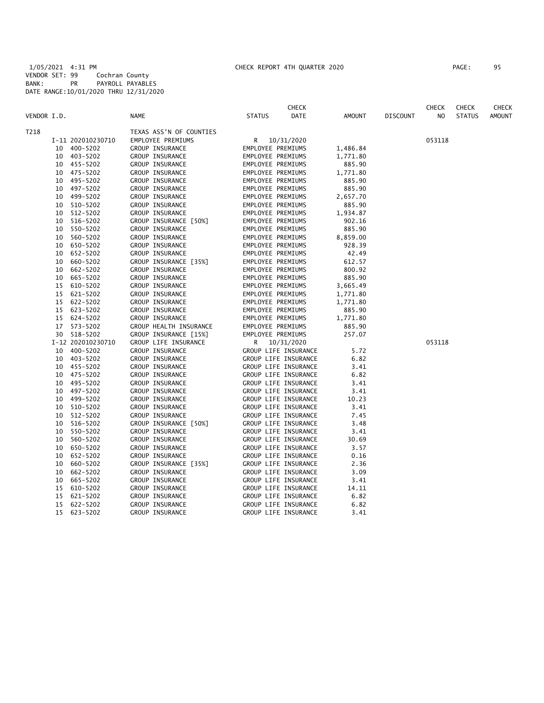1/05/2021 4:31 PM CHECK REPORT 4TH QUARTER 2020 PAGE: 95 VENDOR SET: 99 Cochran County BANK: PR PAYROLL PAYABLES DATE RANGE:10/01/2020 THRU 12/31/2020

|             |    |                   |                         | <b>CHECK</b>          |          |                 | <b>CHECK</b> | <b>CHECK</b>  | <b>CHECK</b>  |
|-------------|----|-------------------|-------------------------|-----------------------|----------|-----------------|--------------|---------------|---------------|
| VENDOR I.D. |    |                   | <b>NAME</b>             | <b>STATUS</b><br>DATE | AMOUNT   | <b>DISCOUNT</b> | NO           | <b>STATUS</b> | <b>AMOUNT</b> |
| T218        |    |                   | TEXAS ASS'N OF COUNTIES |                       |          |                 |              |               |               |
|             |    | I-11 202010230710 | EMPLOYEE PREMIUMS       | R 10/31/2020          |          |                 | 053118       |               |               |
|             | 10 | 400-5202          | GROUP INSURANCE         | EMPLOYEE PREMIUMS     | 1,486.84 |                 |              |               |               |
|             |    | 10 403-5202       | GROUP INSURANCE         | EMPLOYEE PREMIUMS     | 1,771.80 |                 |              |               |               |
|             |    | 10 455-5202       | GROUP INSURANCE         | EMPLOYEE PREMIUMS     | 885.90   |                 |              |               |               |
|             | 10 | 475-5202          | GROUP INSURANCE         | EMPLOYEE PREMIUMS     | 1,771.80 |                 |              |               |               |
|             | 10 | 495-5202          | GROUP INSURANCE         | EMPLOYEE PREMIUMS     | 885.90   |                 |              |               |               |
|             | 10 | 497-5202          | GROUP INSURANCE         | EMPLOYEE PREMIUMS     | 885.90   |                 |              |               |               |
|             | 10 | 499-5202          | GROUP INSURANCE         | EMPLOYEE PREMIUMS     | 2,657.70 |                 |              |               |               |
|             | 10 | 510-5202          | GROUP INSURANCE         | EMPLOYEE PREMIUMS     | 885.90   |                 |              |               |               |
|             | 10 | 512-5202          | GROUP INSURANCE         | EMPLOYEE PREMIUMS     | 1,934.87 |                 |              |               |               |
|             | 10 | 516-5202          | GROUP INSURANCE [50%]   | EMPLOYEE PREMIUMS     | 902.16   |                 |              |               |               |
|             | 10 | 550-5202          | GROUP INSURANCE         | EMPLOYEE PREMIUMS     | 885.90   |                 |              |               |               |
|             | 10 | 560-5202          | GROUP INSURANCE         | EMPLOYEE PREMIUMS     | 8,859.00 |                 |              |               |               |
|             | 10 | 650-5202          | GROUP INSURANCE         | EMPLOYEE PREMIUMS     | 928.39   |                 |              |               |               |
|             | 10 | 652-5202          | GROUP INSURANCE         | EMPLOYEE PREMIUMS     | 42.49    |                 |              |               |               |
|             | 10 | 660-5202          | GROUP INSURANCE [35%]   | EMPLOYEE PREMIUMS     | 612.57   |                 |              |               |               |
|             | 10 | 662-5202          | GROUP INSURANCE         | EMPLOYEE PREMIUMS     | 800.92   |                 |              |               |               |
|             | 10 | 665-5202          | GROUP INSURANCE         | EMPLOYEE PREMIUMS     | 885.90   |                 |              |               |               |
|             | 15 | 610-5202          | GROUP INSURANCE         | EMPLOYEE PREMIUMS     | 3,665.49 |                 |              |               |               |
|             |    | 15 621-5202       | GROUP INSURANCE         | EMPLOYEE PREMIUMS     | 1,771.80 |                 |              |               |               |
|             |    | 15 622-5202       | GROUP INSURANCE         | EMPLOYEE PREMIUMS     | 1,771.80 |                 |              |               |               |
|             |    | 15 623-5202       | GROUP INSURANCE         | EMPLOYEE PREMIUMS     | 885.90   |                 |              |               |               |
|             |    | 15 624-5202       | <b>GROUP INSURANCE</b>  | EMPLOYEE PREMIUMS     | 1,771.80 |                 |              |               |               |
|             | 17 | 573-5202          | GROUP HEALTH INSURANCE  | EMPLOYEE PREMIUMS     | 885.90   |                 |              |               |               |
|             | 30 | 518-5202          | GROUP INSURANCE [15%]   | EMPLOYEE PREMIUMS     | 257.07   |                 |              |               |               |
|             |    | I-12 202010230710 | GROUP LIFE INSURANCE    | R.<br>10/31/2020      |          |                 | 053118       |               |               |
|             | 10 | 400-5202          | <b>GROUP INSURANCE</b>  | GROUP LIFE INSURANCE  | 5.72     |                 |              |               |               |
|             | 10 | 403-5202          | <b>GROUP INSURANCE</b>  | GROUP LIFE INSURANCE  | 6.82     |                 |              |               |               |
|             | 10 | 455-5202          | GROUP INSURANCE         | GROUP LIFE INSURANCE  | 3.41     |                 |              |               |               |
|             | 10 | 475-5202          | GROUP INSURANCE         | GROUP LIFE INSURANCE  | 6.82     |                 |              |               |               |
|             | 10 | 495-5202          | GROUP INSURANCE         | GROUP LIFE INSURANCE  | 3.41     |                 |              |               |               |
|             | 10 | 497-5202          | <b>GROUP INSURANCE</b>  | GROUP LIFE INSURANCE  | 3.41     |                 |              |               |               |
|             | 10 | 499-5202          | GROUP INSURANCE         | GROUP LIFE INSURANCE  | 10.23    |                 |              |               |               |
|             | 10 | 510-5202          | GROUP INSURANCE         | GROUP LIFE INSURANCE  | 3.41     |                 |              |               |               |
|             | 10 | 512-5202          | GROUP INSURANCE         | GROUP LIFE INSURANCE  | 7.45     |                 |              |               |               |
|             | 10 | 516-5202          | GROUP INSURANCE [50%]   | GROUP LIFE INSURANCE  | 3.48     |                 |              |               |               |
|             | 10 | 550-5202          | GROUP INSURANCE         | GROUP LIFE INSURANCE  | 3.41     |                 |              |               |               |
|             | 10 | 560-5202          | GROUP INSURANCE         | GROUP LIFE INSURANCE  | 30.69    |                 |              |               |               |
|             | 10 | 650-5202          | GROUP INSURANCE         | GROUP LIFE INSURANCE  | 3.57     |                 |              |               |               |
|             | 10 | 652-5202          | GROUP INSURANCE         | GROUP LIFE INSURANCE  | 0.16     |                 |              |               |               |
|             | 10 | 660-5202          | GROUP INSURANCE [35%]   | GROUP LIFE INSURANCE  | 2.36     |                 |              |               |               |
|             | 10 | 662-5202          | GROUP INSURANCE         | GROUP LIFE INSURANCE  | 3.09     |                 |              |               |               |
|             | 10 | 665-5202          | GROUP INSURANCE         | GROUP LIFE INSURANCE  | 3.41     |                 |              |               |               |
|             | 15 | 610-5202          | GROUP INSURANCE         | GROUP LIFE INSURANCE  | 14.11    |                 |              |               |               |
|             | 15 | 621-5202          | GROUP INSURANCE         | GROUP LIFE INSURANCE  | 6.82     |                 |              |               |               |
|             | 15 | 622-5202          | GROUP INSURANCE         | GROUP LIFE INSURANCE  | 6.82     |                 |              |               |               |
|             | 15 | $623 - 5202$      | <b>GROUP INSURANCE</b>  | GROUP LIFE INSURANCE  | 3.41     |                 |              |               |               |
|             |    |                   |                         |                       |          |                 |              |               |               |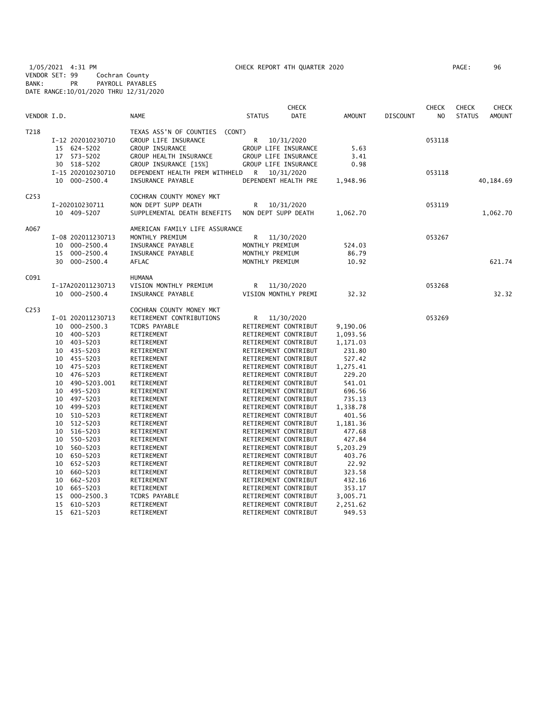1/05/2021 4:31 PM CHECK REPORT 4TH QUARTER 2020 PAGE: 96 VENDOR SET: 99 Cochran County BANK: PR PAYROLL PAYABLES DATE RANGE:10/01/2020 THRU 12/31/2020

| VENDOR I.D.      |                                                                                                                                                                                                                                                                                                                                                                                                                                      | <b>NAME</b>                                                                                                                                                                                                                                                                                                                                                                                  | <b>STATUS</b>                           | <b>CHECK</b><br><b>DATE</b>                                                                                                                                                                                                                                                                                                                                                                                                                                                                                                                                | <b>AMOUNT</b>                                                                                                                                                                                                                           | <b>DISCOUNT</b> | <b>CHECK</b><br>N <sub>O</sub> | <b>CHECK</b><br><b>STATUS</b> | <b>CHECK</b><br><b>AMOUNT</b> |
|------------------|--------------------------------------------------------------------------------------------------------------------------------------------------------------------------------------------------------------------------------------------------------------------------------------------------------------------------------------------------------------------------------------------------------------------------------------|----------------------------------------------------------------------------------------------------------------------------------------------------------------------------------------------------------------------------------------------------------------------------------------------------------------------------------------------------------------------------------------------|-----------------------------------------|------------------------------------------------------------------------------------------------------------------------------------------------------------------------------------------------------------------------------------------------------------------------------------------------------------------------------------------------------------------------------------------------------------------------------------------------------------------------------------------------------------------------------------------------------------|-----------------------------------------------------------------------------------------------------------------------------------------------------------------------------------------------------------------------------------------|-----------------|--------------------------------|-------------------------------|-------------------------------|
| T218             | I-12 202010230710<br>15 624-5202<br>573-5202<br>17<br>30 518-5202                                                                                                                                                                                                                                                                                                                                                                    | TEXAS ASS'N OF COUNTIES (CONT)<br>GROUP LIFE INSURANCE<br>GROUP INSURANCE<br>GROUP HEALTH INSURANCE<br>GROUP INSURANCE [15%]                                                                                                                                                                                                                                                                 | R                                       | 10/31/2020<br>GROUP LIFE INSURANCE<br>GROUP LIFE INSURANCE<br>GROUP LIFE INSURANCE                                                                                                                                                                                                                                                                                                                                                                                                                                                                         | 5.63<br>3.41<br>0.98                                                                                                                                                                                                                    |                 | 053118                         |                               |                               |
|                  | I-15 202010230710<br>10 000-2500.4                                                                                                                                                                                                                                                                                                                                                                                                   | DEPENDENT HEALTH PREM WITHHELD<br>INSURANCE PAYABLE                                                                                                                                                                                                                                                                                                                                          | R 10/31/2020                            | DEPENDENT HEALTH PRE                                                                                                                                                                                                                                                                                                                                                                                                                                                                                                                                       | 1,948.96                                                                                                                                                                                                                                |                 | 053118                         |                               | 40,184.69                     |
| C <sub>253</sub> | I-202010230711<br>10 409-5207                                                                                                                                                                                                                                                                                                                                                                                                        | COCHRAN COUNTY MONEY MKT<br>NON DEPT SUPP DEATH<br>SUPPLEMENTAL DEATH BENEFITS                                                                                                                                                                                                                                                                                                               | R<br>NON DEPT SUPP DEATH                | 10/31/2020                                                                                                                                                                                                                                                                                                                                                                                                                                                                                                                                                 | 1,062.70                                                                                                                                                                                                                                |                 | 053119                         |                               | 1,062.70                      |
| A067             | I-08 202011230713<br>$000 - 2500.4$<br>10<br>$000 - 2500.4$<br>15                                                                                                                                                                                                                                                                                                                                                                    | AMERICAN FAMILY LIFE ASSURANCE<br>MONTHLY PREMIUM<br>INSURANCE PAYABLE<br>INSURANCE PAYABLE                                                                                                                                                                                                                                                                                                  | R<br>MONTHLY PREMIUM<br>MONTHLY PREMIUM | 11/30/2020                                                                                                                                                                                                                                                                                                                                                                                                                                                                                                                                                 | 524.03<br>86.79                                                                                                                                                                                                                         |                 | 053267                         |                               |                               |
|                  | 30<br>$000 - 2500.4$                                                                                                                                                                                                                                                                                                                                                                                                                 | AFLAC                                                                                                                                                                                                                                                                                                                                                                                        | MONTHLY PREMIUM                         |                                                                                                                                                                                                                                                                                                                                                                                                                                                                                                                                                            | 10.92                                                                                                                                                                                                                                   |                 |                                |                               | 621.74                        |
| C091             | I-17A202011230713<br>10 000-2500.4                                                                                                                                                                                                                                                                                                                                                                                                   | <b>HUMANA</b><br>VISION MONTHLY PREMIUM<br>INSURANCE PAYABLE                                                                                                                                                                                                                                                                                                                                 | R                                       | 11/30/2020<br>VISION MONTHLY PREMI                                                                                                                                                                                                                                                                                                                                                                                                                                                                                                                         | 32.32                                                                                                                                                                                                                                   |                 | 053268                         |                               | 32.32                         |
| C <sub>253</sub> | I-01 202011230713<br>$000 - 2500.3$<br>10<br>400-5203<br>10<br>403-5203<br>10<br>435-5203<br>10<br>10 455-5203<br>10 475-5203<br>476–5203<br>10<br>490-5203.001<br>10<br>495-5203<br>10<br>497–5203<br>10<br>499–5203<br>10<br>510-5203<br>10<br>512-5203<br>10<br>516-5203<br>10<br>550-5203<br>10<br>10 560-5203<br>650-5203<br>10<br>10<br>652-5203<br>660-5203<br>10<br>662-5203<br>10<br>10<br>665-5203<br>15<br>$000 - 2500.3$ | COCHRAN COUNTY MONEY MKT<br>RETIREMENT CONTRIBUTIONS<br><b>TCDRS PAYABLE</b><br>RETIREMENT<br>RETIREMENT<br>RETIREMENT<br>RETIREMENT<br>RETIREMENT<br>RETIREMENT<br>RETIREMENT<br>RETIREMENT<br>RETIREMENT<br>RETIREMENT<br>RETIREMENT<br>RETIREMENT<br>RETIREMENT<br>RETIREMENT<br>RETIREMENT<br>RETIREMENT<br>RETIREMENT<br>RETIREMENT<br>RETIREMENT<br>RETIREMENT<br><b>TCDRS PAYABLE</b> | R                                       | 11/30/2020<br>RETIREMENT CONTRIBUT<br>RETIREMENT CONTRIBUT<br>RETIREMENT CONTRIBUT<br>RETIREMENT CONTRIBUT<br>RETIREMENT CONTRIBUT<br>RETIREMENT CONTRIBUT<br>RETIREMENT CONTRIBUT<br>RETIREMENT CONTRIBUT<br>RETIREMENT CONTRIBUT<br>RETIREMENT CONTRIBUT<br>RETIREMENT CONTRIBUT<br>RETIREMENT CONTRIBUT<br>RETIREMENT CONTRIBUT<br>RETIREMENT CONTRIBUT<br>RETIREMENT CONTRIBUT<br>RETIREMENT CONTRIBUT<br>RETIREMENT CONTRIBUT<br>RETIREMENT CONTRIBUT<br>RETIREMENT CONTRIBUT<br>RETIREMENT CONTRIBUT<br>RETIREMENT CONTRIBUT<br>RETIREMENT CONTRIBUT | 9,190.06<br>1,093.56<br>1,171.03<br>231.80<br>527.42<br>1,275.41<br>229.20<br>541.01<br>696.56<br>735.13<br>1,338.78<br>401.56<br>1,181.36<br>477.68<br>427.84<br>5,203.29<br>403.76<br>22.92<br>323.58<br>432.16<br>353.17<br>3,005.71 |                 | 053269                         |                               |                               |
|                  | 15<br>610-5203<br>15<br>621-5203                                                                                                                                                                                                                                                                                                                                                                                                     | RETIREMENT<br>RETIREMENT                                                                                                                                                                                                                                                                                                                                                                     |                                         | RETIREMENT CONTRIBUT<br>RETIREMENT CONTRIBUT                                                                                                                                                                                                                                                                                                                                                                                                                                                                                                               | 2,251.62<br>949.53                                                                                                                                                                                                                      |                 |                                |                               |                               |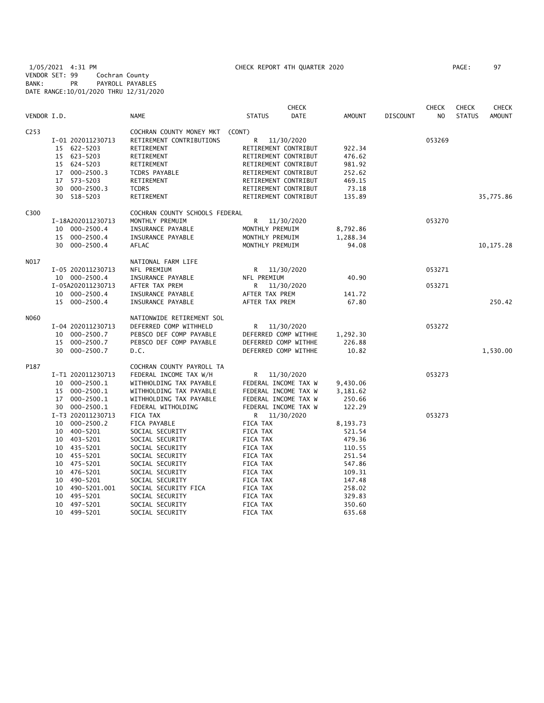1/05/2021 4:31 PM CHECK REPORT 4TH QUARTER 2020 PAGE: 97 VENDOR SET: 99 Cochran County BANK: PR PAYROLL PAYABLES DATE RANGE:10/01/2020 THRU 12/31/2020

|                  |                      |                                | <b>CHECK</b>                 |               |                 | <b>CHECK</b>   | <b>CHECK</b>  | CHECK         |
|------------------|----------------------|--------------------------------|------------------------------|---------------|-----------------|----------------|---------------|---------------|
| VENDOR I.D.      |                      | <b>NAME</b>                    | <b>STATUS</b><br><b>DATE</b> | <b>AMOUNT</b> | <b>DISCOUNT</b> | N <sub>O</sub> | <b>STATUS</b> | <b>AMOUNT</b> |
| C <sub>253</sub> |                      | COCHRAN COUNTY MONEY MKT       | (CONT)                       |               |                 |                |               |               |
|                  | I-01 202011230713    | RETIREMENT CONTRIBUTIONS       | R<br>11/30/2020              |               |                 | 053269         |               |               |
|                  | 15 622-5203          | RETIREMENT                     | RETIREMENT CONTRIBUT         | 922.34        |                 |                |               |               |
|                  | 15 623-5203          | RETIREMENT                     | RETIREMENT CONTRIBUT         | 476.62        |                 |                |               |               |
|                  | 624-5203<br>15       | RETIREMENT                     | RETIREMENT CONTRIBUT         | 981.92        |                 |                |               |               |
|                  | $000 - 2500.3$<br>17 | TCDRS PAYABLE                  | RETIREMENT CONTRIBUT         | 252.62        |                 |                |               |               |
|                  | 573-5203<br>17       | RETIREMENT                     | RETIREMENT CONTRIBUT         | 469.15        |                 |                |               |               |
|                  | $000 - 2500.3$<br>30 | <b>TCDRS</b>                   | RETIREMENT CONTRIBUT         | 73.18         |                 |                |               |               |
|                  | 30 518-5203          | RETIREMENT                     | RETIREMENT CONTRIBUT         | 135.89        |                 |                |               | 35,775.86     |
| C300             |                      | COCHRAN COUNTY SCHOOLS FEDERAL |                              |               |                 |                |               |               |
|                  | I-18A202011230713    | MONTHLY PREMUIM                | R<br>11/30/2020              |               |                 | 053270         |               |               |
|                  | 000-2500.4<br>10     | INSURANCE PAYABLE              | MONTHLY PREMUIM              | 8,792.86      |                 |                |               |               |
|                  | 15 000-2500.4        | INSURANCE PAYABLE              | MONTHLY PREMUIM              | 1,288.34      |                 |                |               |               |
|                  | 30 000-2500.4        | AFLAC                          | MONTHLY PREMUIM              | 94.08         |                 |                |               | 10, 175.28    |
| N017             |                      | NATIONAL FARM LIFE             |                              |               |                 |                |               |               |
|                  | I-05 202011230713    | NFL PREMIUM                    | R 11/30/2020                 |               |                 | 053271         |               |               |
|                  | 10 000-2500.4        | INSURANCE PAYABLE              | NFL PREMIUM                  | 40.90         |                 |                |               |               |
|                  | I-05A202011230713    | AFTER TAX PREM                 | R<br>11/30/2020              |               |                 | 053271         |               |               |
|                  | 10 000-2500.4        | INSURANCE PAYABLE              | AFTER TAX PREM               | 141.72        |                 |                |               |               |
|                  | 15 000-2500.4        | INSURANCE PAYABLE              | AFTER TAX PREM               | 67.80         |                 |                |               | 250.42        |
| N060             |                      | NATIONWIDE RETIREMENT SOL      |                              |               |                 |                |               |               |
|                  | I-04 202011230713    | DEFERRED COMP WITHHELD         | R<br>11/30/2020              |               |                 | 053272         |               |               |
|                  | 000-2500.7<br>10     | PEBSCO DEF COMP PAYABLE        | DEFERRED COMP WITHHE         | 1,292.30      |                 |                |               |               |
|                  | $000 - 2500.7$<br>15 | PEBSCO DEF COMP PAYABLE        | DEFERRED COMP WITHHE         | 226.88        |                 |                |               |               |
|                  | 30 000-2500.7        | D.C.                           | DEFERRED COMP WITHHE         | 10.82         |                 |                |               | 1,530.00      |
| P187             |                      | COCHRAN COUNTY PAYROLL TA      |                              |               |                 |                |               |               |
|                  | I-T1 202011230713    | FEDERAL INCOME TAX W/H         | R<br>11/30/2020              |               |                 | 053273         |               |               |
|                  | $000 - 2500.1$<br>10 | WITHHOLDING TAX PAYABLE        | FEDERAL INCOME TAX W         | 9,430.06      |                 |                |               |               |
|                  | 000-2500.1<br>15     | WITHHOLDING TAX PAYABLE        | FEDERAL INCOME TAX W         | 3,181.62      |                 |                |               |               |
|                  | 17 000-2500.1        | WITHHOLDING TAX PAYABLE        | FEDERAL INCOME TAX W         | 250.66        |                 |                |               |               |
|                  | 30 000-2500.1        | FEDERAL WITHOLDING             | FEDERAL INCOME TAX W         | 122.29        |                 |                |               |               |
|                  | I-T3 202011230713    | FICA TAX                       | R 11/30/2020                 |               |                 | 053273         |               |               |
|                  | 000-2500.2<br>10     | FICA PAYABLE                   | FICA TAX                     | 8,193.73      |                 |                |               |               |
|                  | 400-5201<br>10       | SOCIAL SECURITY                | FICA TAX                     | 521.54        |                 |                |               |               |
|                  | 10 403-5201          | SOCIAL SECURITY                | FICA TAX                     | 479.36        |                 |                |               |               |
|                  | 10 435-5201          | SOCIAL SECURITY                | FICA TAX                     | 110.55        |                 |                |               |               |
|                  | 10 455-5201          | SOCIAL SECURITY                | FICA TAX                     | 251.54        |                 |                |               |               |
|                  | 10 475-5201          | SOCIAL SECURITY                | FICA TAX                     | 547.86        |                 |                |               |               |
|                  | 10 476-5201          | SOCIAL SECURITY                | FICA TAX                     | 109.31        |                 |                |               |               |
|                  | 490-5201<br>10       | SOCIAL SECURITY                | FICA TAX                     | 147.48        |                 |                |               |               |
|                  | 10<br>490-5201.001   | SOCIAL SECURITY FICA           | FICA TAX                     | 258.02        |                 |                |               |               |
|                  | 495-5201<br>10       | SOCIAL SECURITY                | FICA TAX                     | 329.83        |                 |                |               |               |
|                  | 10 497-5201          | SOCIAL SECURITY                | FICA TAX                     | 350.60        |                 |                |               |               |
|                  | 10 499-5201          | SOCIAL SECURITY                | FICA TAX                     | 635.68        |                 |                |               |               |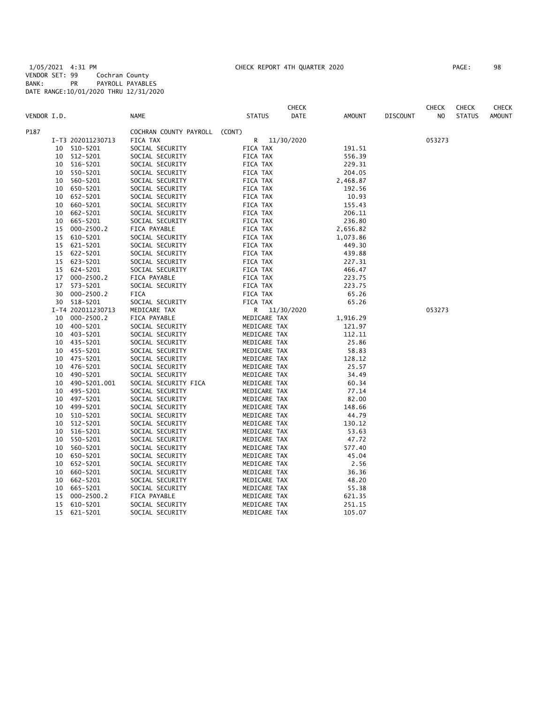1/05/2021 4:31 PM CHECK REPORT 4TH QUARTER 2020 PAGE: 98 VENDOR SET: 99 Cochran County BANK: PR PAYROLL PAYABLES DATE RANGE:10/01/2020 THRU 12/31/2020

| PAGE : | 98 |
|--------|----|
|        |    |

|             |    |                   |                        |               | <b>CHECK</b> |          |                 | <b>CHECK</b> | <b>CHECK</b>  | <b>CHECK</b>  |
|-------------|----|-------------------|------------------------|---------------|--------------|----------|-----------------|--------------|---------------|---------------|
| VENDOR I.D. |    |                   | <b>NAME</b>            | <b>STATUS</b> | DATE         | AMOUNT   | <b>DISCOUNT</b> | NO           | <b>STATUS</b> | <b>AMOUNT</b> |
| P187        |    |                   | COCHRAN COUNTY PAYROLL | (CONT)        |              |          |                 |              |               |               |
|             |    | I-T3 202011230713 | FICA TAX               | R             | 11/30/2020   |          |                 | 053273       |               |               |
|             |    | 10 510-5201       | SOCIAL SECURITY        | FICA TAX      |              | 191.51   |                 |              |               |               |
|             | 10 | 512-5201          | SOCIAL SECURITY        | FICA TAX      |              | 556.39   |                 |              |               |               |
|             |    | 10 516-5201       | SOCIAL SECURITY        | FICA TAX      |              | 229.31   |                 |              |               |               |
|             | 10 | 550-5201          | SOCIAL SECURITY        | FICA TAX      |              | 204.05   |                 |              |               |               |
|             | 10 | 560-5201          | SOCIAL SECURITY        | FICA TAX      |              | 2,468.87 |                 |              |               |               |
|             | 10 | 650-5201          | SOCIAL SECURITY        | FICA TAX      |              | 192.56   |                 |              |               |               |
|             | 10 | 652-5201          | SOCIAL SECURITY        | FICA TAX      |              | 10.93    |                 |              |               |               |
|             | 10 | 660-5201          | SOCIAL SECURITY        | FICA TAX      |              | 155.43   |                 |              |               |               |
|             | 10 | 662-5201          | SOCIAL SECURITY        | FICA TAX      |              | 206.11   |                 |              |               |               |
|             | 10 | 665-5201          | SOCIAL SECURITY        | FICA TAX      |              | 236.80   |                 |              |               |               |
|             | 15 | $000 - 2500.2$    | FICA PAYABLE           | FICA TAX      |              | 2,656.82 |                 |              |               |               |
|             | 15 | 610-5201          | SOCIAL SECURITY        | FICA TAX      |              | 1,073.86 |                 |              |               |               |
|             | 15 | 621-5201          | SOCIAL SECURITY        | FICA TAX      |              | 449.30   |                 |              |               |               |
|             | 15 | 622-5201          | SOCIAL SECURITY        | FICA TAX      |              | 439.88   |                 |              |               |               |
|             | 15 | 623-5201          | SOCIAL SECURITY        | FICA TAX      |              | 227.31   |                 |              |               |               |
|             | 15 | 624-5201          | SOCIAL SECURITY        | FICA TAX      |              | 466.47   |                 |              |               |               |
|             | 17 | $000 - 2500.2$    | FICA PAYABLE           | FICA TAX      |              | 223.75   |                 |              |               |               |
|             | 17 | 573-5201          | SOCIAL SECURITY        | FICA TAX      |              | 223.75   |                 |              |               |               |
|             | 30 | $000 - 2500.2$    | FICA                   | FICA TAX      |              | 65.26    |                 |              |               |               |
|             | 30 | 518-5201          | SOCIAL SECURITY        | FICA TAX      |              | 65.26    |                 |              |               |               |
|             |    | I-T4 202011230713 | MEDICARE TAX           | R             | 11/30/2020   |          |                 | 053273       |               |               |
|             | 10 | $000 - 2500.2$    | FICA PAYABLE           | MEDICARE TAX  |              | 1,916.29 |                 |              |               |               |
|             | 10 | 400-5201          | SOCIAL SECURITY        | MEDICARE TAX  |              | 121.97   |                 |              |               |               |
|             | 10 | 403-5201          | SOCIAL SECURITY        | MEDICARE TAX  |              | 112.11   |                 |              |               |               |
|             | 10 | 435-5201          | SOCIAL SECURITY        | MEDICARE TAX  |              | 25.86    |                 |              |               |               |
|             | 10 | 455-5201          | SOCIAL SECURITY        | MEDICARE TAX  |              | 58.83    |                 |              |               |               |
|             | 10 | 475-5201          | SOCIAL SECURITY        | MEDICARE TAX  |              | 128.12   |                 |              |               |               |
|             | 10 | 476-5201          | SOCIAL SECURITY        | MEDICARE TAX  |              | 25.57    |                 |              |               |               |
|             | 10 | 490-5201          | SOCIAL SECURITY        | MEDICARE TAX  |              | 34.49    |                 |              |               |               |
|             | 10 | 490-5201.001      | SOCIAL SECURITY FICA   | MEDICARE TAX  |              | 60.34    |                 |              |               |               |
|             | 10 | 495-5201          | SOCIAL SECURITY        | MEDICARE TAX  |              | 77.14    |                 |              |               |               |
|             | 10 | 497-5201          | SOCIAL SECURITY        | MEDICARE TAX  |              | 82.00    |                 |              |               |               |
|             | 10 | 499-5201          | SOCIAL SECURITY        | MEDICARE TAX  |              | 148.66   |                 |              |               |               |
|             | 10 | 510-5201          | SOCIAL SECURITY        | MEDICARE TAX  |              | 44.79    |                 |              |               |               |
|             | 10 | 512-5201          | SOCIAL SECURITY        | MEDICARE TAX  |              | 130.12   |                 |              |               |               |
|             | 10 | 516-5201          | SOCIAL SECURITY        | MEDICARE TAX  |              | 53.63    |                 |              |               |               |
|             | 10 | 550-5201          | SOCIAL SECURITY        | MEDICARE TAX  |              | 47.72    |                 |              |               |               |
|             | 10 | 560-5201          | SOCIAL SECURITY        | MEDICARE TAX  |              | 577.40   |                 |              |               |               |
|             | 10 | 650-5201          | SOCIAL SECURITY        | MEDICARE TAX  |              | 45.04    |                 |              |               |               |
|             | 10 | 652-5201          | SOCIAL SECURITY        | MEDICARE TAX  |              | 2.56     |                 |              |               |               |
|             | 10 | 660-5201          | SOCIAL SECURITY        | MEDICARE TAX  |              | 36.36    |                 |              |               |               |
|             | 10 | 662-5201          | SOCIAL SECURITY        | MEDICARE TAX  |              | 48.20    |                 |              |               |               |
|             | 10 | 665-5201          | SOCIAL SECURITY        | MEDICARE TAX  |              | 55.38    |                 |              |               |               |
|             | 15 | $000 - 2500.2$    | FICA PAYABLE           | MEDICARE TAX  |              | 621.35   |                 |              |               |               |
|             | 15 | 610-5201          | SOCIAL SECURITY        | MEDICARE TAX  |              | 251.15   |                 |              |               |               |
|             | 15 | 621-5201          | SOCIAL SECURITY        | MEDICARE TAX  |              | 105.07   |                 |              |               |               |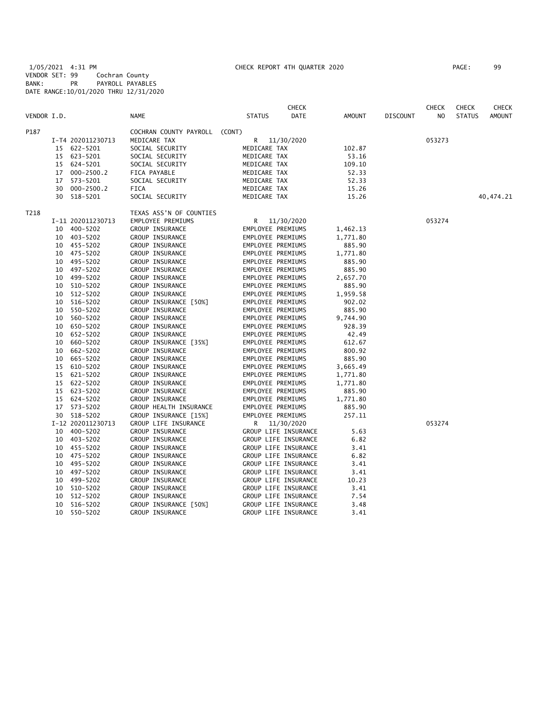1/05/2021 4:31 PM CHECK REPORT 4TH QUARTER 2020 PAGE: 99 VENDOR SET: 99 Cochran County BANK: PR PAYROLL PAYABLES DATE RANGE:10/01/2020 THRU 12/31/2020

|             |          |                   |                               |                   | <b>CHECK</b>                                 |               |                 | <b>CHECK</b>   | <b>CHECK</b>  | <b>CHECK</b>  |
|-------------|----------|-------------------|-------------------------------|-------------------|----------------------------------------------|---------------|-----------------|----------------|---------------|---------------|
| VENDOR I.D. |          |                   | <b>NAME</b>                   | <b>STATUS</b>     | <b>DATE</b>                                  | <b>AMOUNT</b> | <b>DISCOUNT</b> | N <sub>O</sub> | <b>STATUS</b> | <b>AMOUNT</b> |
| P187        |          |                   | COCHRAN COUNTY PAYROLL (CONT) |                   |                                              |               |                 |                |               |               |
|             |          | I-T4 202011230713 | MEDICARE TAX                  | R                 | 11/30/2020                                   |               |                 | 053273         |               |               |
|             | 15       | 622-5201          | SOCIAL SECURITY               | MEDICARE TAX      |                                              | 102.87        |                 |                |               |               |
|             | 15       | 623-5201          | SOCIAL SECURITY               | MEDICARE TAX      |                                              | 53.16         |                 |                |               |               |
|             | 15       | 624-5201          | SOCIAL SECURITY               | MEDICARE TAX      |                                              | 109.10        |                 |                |               |               |
|             | 17       | $000 - 2500.2$    | FICA PAYABLE                  | MEDICARE TAX      |                                              | 52.33         |                 |                |               |               |
|             | 17       | 573-5201          | SOCIAL SECURITY               | MEDICARE TAX      |                                              | 52.33         |                 |                |               |               |
|             | 30       | $000 - 2500.2$    | <b>FICA</b>                   | MEDICARE TAX      |                                              | 15.26         |                 |                |               |               |
|             | 30       | 518-5201          | SOCIAL SECURITY               | MEDICARE TAX      |                                              | 15.26         |                 |                |               | 40,474.21     |
| T218        |          |                   | TEXAS ASS'N OF COUNTIES       |                   |                                              |               |                 |                |               |               |
|             |          | I-11 202011230713 | EMPLOYEE PREMIUMS             | R                 | 11/30/2020                                   |               |                 | 053274         |               |               |
|             | 10       | $400 - 5202$      | GROUP INSURANCE               | EMPLOYEE PREMIUMS |                                              | 1,462.13      |                 |                |               |               |
|             | 10       | $403 - 5202$      | GROUP INSURANCE               | EMPLOYEE PREMIUMS |                                              | 1,771.80      |                 |                |               |               |
|             | 10       | 455-5202          | <b>GROUP INSURANCE</b>        | EMPLOYEE PREMIUMS |                                              | 885.90        |                 |                |               |               |
|             | 10       | 475-5202          | GROUP INSURANCE               | EMPLOYEE PREMIUMS |                                              | 1,771.80      |                 |                |               |               |
|             | 10       | 495-5202          | <b>GROUP INSURANCE</b>        | EMPLOYEE PREMIUMS |                                              | 885.90        |                 |                |               |               |
|             | 10       | 497-5202          | GROUP INSURANCE               | EMPLOYEE PREMIUMS |                                              | 885.90        |                 |                |               |               |
|             | 10       | 499-5202          | GROUP INSURANCE               | EMPLOYEE PREMIUMS |                                              | 2,657.70      |                 |                |               |               |
|             | 10       | 510-5202          | GROUP INSURANCE               | EMPLOYEE PREMIUMS |                                              | 885.90        |                 |                |               |               |
|             | 10       | 512-5202          | GROUP INSURANCE               | EMPLOYEE PREMIUMS |                                              | 1,959.58      |                 |                |               |               |
|             | 10       | 516-5202          | GROUP INSURANCE [50%]         | EMPLOYEE PREMIUMS |                                              | 902.02        |                 |                |               |               |
|             | 10       | 550-5202          | GROUP INSURANCE               | EMPLOYEE PREMIUMS |                                              | 885.90        |                 |                |               |               |
|             | 10       | 560-5202          | GROUP INSURANCE               | EMPLOYEE PREMIUMS |                                              | 9,744.90      |                 |                |               |               |
|             | 10       | 650-5202          | GROUP INSURANCE               | EMPLOYEE PREMIUMS |                                              | 928.39        |                 |                |               |               |
|             | 10       | 652-5202          | GROUP INSURANCE               | EMPLOYEE PREMIUMS |                                              | 42.49         |                 |                |               |               |
|             | 10       | 660-5202          | GROUP INSURANCE [35%]         | EMPLOYEE PREMIUMS |                                              | 612.67        |                 |                |               |               |
|             | 10       | 662-5202          | GROUP INSURANCE               | EMPLOYEE PREMIUMS |                                              | 800.92        |                 |                |               |               |
|             | 10       | 665-5202          | <b>GROUP INSURANCE</b>        | EMPLOYEE PREMIUMS |                                              | 885.90        |                 |                |               |               |
|             | 15       | 610-5202          | <b>GROUP INSURANCE</b>        | EMPLOYEE PREMIUMS |                                              | 3,665.49      |                 |                |               |               |
|             | 15       | 621-5202          | GROUP INSURANCE               | EMPLOYEE PREMIUMS |                                              | 1,771.80      |                 |                |               |               |
|             | 15       | 622-5202          | GROUP INSURANCE               | EMPLOYEE PREMIUMS |                                              | 1,771.80      |                 |                |               |               |
|             | 15       | 623-5202          | GROUP INSURANCE               | EMPLOYEE PREMIUMS |                                              | 885.90        |                 |                |               |               |
|             | 15       | 624-5202          | <b>GROUP INSURANCE</b>        | EMPLOYEE PREMIUMS |                                              | 1,771.80      |                 |                |               |               |
|             | 17       | 573-5202          | GROUP HEALTH INSURANCE        | EMPLOYEE PREMIUMS |                                              | 885.90        |                 |                |               |               |
|             | 30       | 518-5202          | GROUP INSURANCE [15%]         | EMPLOYEE PREMIUMS |                                              | 257.11        |                 |                |               |               |
|             |          | I-12 202011230713 | GROUP LIFE INSURANCE          | R                 | 11/30/2020                                   |               |                 | 053274         |               |               |
|             | 10       | 400-5202          | GROUP INSURANCE               |                   | GROUP LIFE INSURANCE                         | 5.63          |                 |                |               |               |
|             | 10       | 403-5202          | GROUP INSURANCE               |                   | GROUP LIFE INSURANCE                         | 6.82          |                 |                |               |               |
|             | 10       | 455-5202          | GROUP INSURANCE               |                   | GROUP LIFE INSURANCE                         | 3.41          |                 |                |               |               |
|             | 10       | 475-5202          | GROUP INSURANCE               |                   | GROUP LIFE INSURANCE                         | 6.82          |                 |                |               |               |
|             | 10       | 495-5202          | <b>GROUP INSURANCE</b>        |                   | GROUP LIFE INSURANCE                         | 3.41          |                 |                |               |               |
|             |          | 497-5202          | GROUP INSURANCE               |                   |                                              |               |                 |                |               |               |
|             | 10<br>10 | 499-5202          | GROUP INSURANCE               |                   | GROUP LIFE INSURANCE<br>GROUP LIFE INSURANCE | 3.41          |                 |                |               |               |
|             |          |                   |                               |                   |                                              | 10.23         |                 |                |               |               |
|             | 10       | 510-5202          | GROUP INSURANCE               |                   | GROUP LIFE INSURANCE                         | 3.41          |                 |                |               |               |
|             | 10       | 512-5202          | GROUP INSURANCE               |                   | GROUP LIFE INSURANCE                         | 7.54          |                 |                |               |               |
|             | 10       | 516-5202          | GROUP INSURANCE [50%]         |                   | GROUP LIFE INSURANCE                         | 3.48          |                 |                |               |               |
|             | 10       | 550-5202          | <b>GROUP INSURANCE</b>        |                   | GROUP LIFE INSURANCE                         | 3.41          |                 |                |               |               |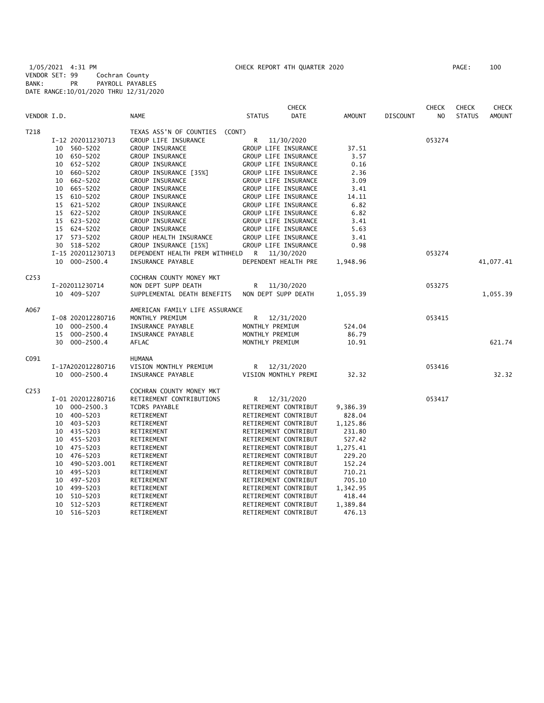1/05/2021 4:31 PM CHECK REPORT 4TH QUARTER 2020 PAGE: 100 VENDOR SET: 99 Cochran County BANK: PR PAYROLL PAYABLES DATE RANGE:10/01/2020 THRU 12/31/2020

|                  |                    |                                | <b>CHECK</b>                 |               |                 | <b>CHECK</b>   | <b>CHECK</b>  | <b>CHECK</b>  |
|------------------|--------------------|--------------------------------|------------------------------|---------------|-----------------|----------------|---------------|---------------|
| VENDOR I.D.      |                    | <b>NAME</b>                    | <b>STATUS</b><br><b>DATE</b> | <b>AMOUNT</b> | <b>DISCOUNT</b> | N <sub>O</sub> | <b>STATUS</b> | <b>AMOUNT</b> |
| T218             |                    | TEXAS ASS'N OF COUNTIES        | (CONT)                       |               |                 |                |               |               |
|                  | I-12 202011230713  | GROUP LIFE INSURANCE           | R<br>11/30/2020              |               |                 | 053274         |               |               |
|                  | 10 560-5202        | <b>GROUP INSURANCE</b>         | GROUP LIFE INSURANCE         | 37.51         |                 |                |               |               |
|                  | 10 650-5202        | GROUP INSURANCE                | GROUP LIFE INSURANCE         | 3.57          |                 |                |               |               |
|                  | 10 652-5202        | GROUP INSURANCE                | GROUP LIFE INSURANCE         | 0.16          |                 |                |               |               |
|                  | 660-5202<br>10     | GROUP INSURANCE [35%]          | GROUP LIFE INSURANCE         | 2.36          |                 |                |               |               |
|                  | 662-5202<br>10     | <b>GROUP INSURANCE</b>         | GROUP LIFE INSURANCE         | 3.09          |                 |                |               |               |
|                  | 665-5202<br>10     | <b>GROUP INSURANCE</b>         | GROUP LIFE INSURANCE         | 3.41          |                 |                |               |               |
|                  | 15 610-5202        | GROUP INSURANCE                | GROUP LIFE INSURANCE         | 14.11         |                 |                |               |               |
|                  | 15 621-5202        | GROUP INSURANCE                | GROUP LIFE INSURANCE         | 6.82          |                 |                |               |               |
|                  | 15 622-5202        | GROUP INSURANCE                | GROUP LIFE INSURANCE         | 6.82          |                 |                |               |               |
|                  | 15 623-5202        | GROUP INSURANCE                | GROUP LIFE INSURANCE         | 3.41          |                 |                |               |               |
|                  | 15 624-5202        | GROUP INSURANCE                | GROUP LIFE INSURANCE         | 5.63          |                 |                |               |               |
|                  | 17 573-5202        | GROUP HEALTH INSURANCE         | GROUP LIFE INSURANCE         | 3.41          |                 |                |               |               |
|                  | 30 518-5202        | GROUP INSURANCE [15%]          | GROUP LIFE INSURANCE         | 0.98          |                 |                |               |               |
|                  | I-15 202011230713  | DEPENDENT HEALTH PREM WITHHELD | R 11/30/2020                 |               |                 | 053274         |               |               |
|                  | 10 000-2500.4      | INSURANCE PAYABLE              | DEPENDENT HEALTH PRE         | 1,948.96      |                 |                |               | 41,077.41     |
| C <sub>253</sub> |                    | COCHRAN COUNTY MONEY MKT       |                              |               |                 |                |               |               |
|                  | I-202011230714     | NON DEPT SUPP DEATH            | 11/30/2020<br>R              |               |                 | 053275         |               |               |
|                  | 10 409-5207        | SUPPLEMENTAL DEATH BENEFITS    | NON DEPT SUPP DEATH          | 1,055.39      |                 |                |               | 1,055.39      |
| A067             |                    | AMERICAN FAMILY LIFE ASSURANCE |                              |               |                 |                |               |               |
|                  | I-08 202012280716  | MONTHLY PREMIUM                | R<br>12/31/2020              |               |                 | 053415         |               |               |
|                  | 10 000-2500.4      | INSURANCE PAYABLE              | MONTHLY PREMIUM              | 524.04        |                 |                |               |               |
|                  | 000-2500.4<br>15   | INSURANCE PAYABLE              | MONTHLY PREMIUM              | 86.79         |                 |                |               |               |
|                  | 30 000-2500.4      | AFLAC                          | MONTHLY PREMIUM              | 10.91         |                 |                |               | 621.74        |
| C091             |                    | HUMANA                         |                              |               |                 |                |               |               |
|                  | I-17A202012280716  | VISION MONTHLY PREMIUM         | R<br>12/31/2020              |               |                 | 053416         |               |               |
|                  | 10 000-2500.4      | INSURANCE PAYABLE              | VISION MONTHLY PREMI         | 32.32         |                 |                |               | 32.32         |
| C <sub>253</sub> |                    | COCHRAN COUNTY MONEY MKT       |                              |               |                 |                |               |               |
|                  | I-01 202012280716  | RETIREMENT CONTRIBUTIONS       | R<br>12/31/2020              |               |                 | 053417         |               |               |
|                  | 10 000-2500.3      | TCDRS PAYABLE                  | RETIREMENT CONTRIBUT         | 9,386.39      |                 |                |               |               |
|                  | 10 400-5203        | RETIREMENT                     | RETIREMENT CONTRIBUT         | 828.04        |                 |                |               |               |
|                  | 10 403-5203        | RETIREMENT                     | RETIREMENT CONTRIBUT         | 1,125.86      |                 |                |               |               |
|                  | 10 435-5203        | RETIREMENT                     | RETIREMENT CONTRIBUT         | 231.80        |                 |                |               |               |
|                  | 455-5203<br>10     | RETIREMENT                     | RETIREMENT CONTRIBUT         | 527.42        |                 |                |               |               |
|                  | 10 475-5203        | RETIREMENT                     | RETIREMENT CONTRIBUT         | 1,275.41      |                 |                |               |               |
|                  | 476-5203<br>10     | RETIREMENT                     | RETIREMENT CONTRIBUT         | 229.20        |                 |                |               |               |
|                  | 490-5203.001<br>10 | RETIREMENT                     | RETIREMENT CONTRIBUT         | 152.24        |                 |                |               |               |
|                  | 495–5203<br>10     | RETIREMENT                     | RETIREMENT CONTRIBUT         | 710.21        |                 |                |               |               |
|                  | 497-5203<br>10     | RETIREMENT                     | RETIREMENT CONTRIBUT         | 705.10        |                 |                |               |               |
|                  | 499-5203<br>10     | RETIREMENT                     | RETIREMENT CONTRIBUT         | 1,342.95      |                 |                |               |               |
|                  | 10<br>510-5203     | RETIREMENT                     | RETIREMENT CONTRIBUT         | 418.44        |                 |                |               |               |
|                  | 512-5203<br>10     | RETIREMENT                     | RETIREMENT CONTRIBUT         | 1,389.84      |                 |                |               |               |
|                  | 10<br>516-5203     | RETIREMENT                     | RETIREMENT CONTRIBUT         | 476.13        |                 |                |               |               |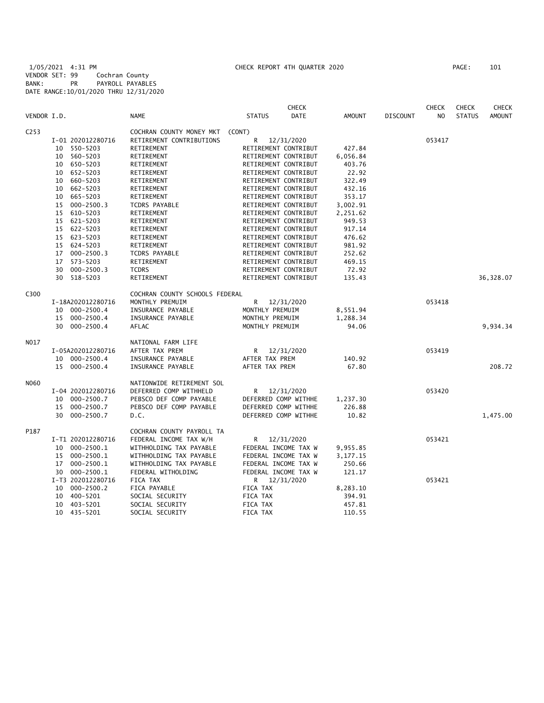1/05/2021 4:31 PM CHECK REPORT 4TH QUARTER 2020 PAGE: 101 VENDOR SET: 99 Cochran County BANK: PR PAYROLL PAYABLES DATE RANGE:10/01/2020 THRU 12/31/2020

|                  |    |                   |                                |                      | <b>CHECK</b> |               |                 | <b>CHECK</b> | <b>CHECK</b>  | <b>CHECK</b>  |
|------------------|----|-------------------|--------------------------------|----------------------|--------------|---------------|-----------------|--------------|---------------|---------------|
| VENDOR I.D.      |    |                   | <b>NAME</b>                    | <b>STATUS</b>        | DATE         | <b>AMOUNT</b> | <b>DISCOUNT</b> | NO           | <b>STATUS</b> | <b>AMOUNT</b> |
| C <sub>253</sub> |    |                   | COCHRAN COUNTY MONEY MKT       | (CONT)               |              |               |                 |              |               |               |
|                  |    | I-01 202012280716 | RETIREMENT CONTRIBUTIONS       | R                    | 12/31/2020   |               |                 | 053417       |               |               |
|                  | 10 | 550-5203          | RETIREMENT                     | RETIREMENT CONTRIBUT |              | 427.84        |                 |              |               |               |
|                  | 10 | 560-5203          | RETIREMENT                     | RETIREMENT CONTRIBUT |              | 6,056.84      |                 |              |               |               |
|                  |    | 10 650-5203       | RETIREMENT                     | RETIREMENT CONTRIBUT |              | 403.76        |                 |              |               |               |
|                  | 10 | 652-5203          | RETIREMENT                     | RETIREMENT CONTRIBUT |              | 22.92         |                 |              |               |               |
|                  |    | 10 660-5203       | RETIREMENT                     | RETIREMENT CONTRIBUT |              | 322.49        |                 |              |               |               |
|                  | 10 | 662-5203          | RETIREMENT                     | RETIREMENT CONTRIBUT |              | 432.16        |                 |              |               |               |
|                  |    | 10 665-5203       | RETIREMENT                     | RETIREMENT CONTRIBUT |              | 353.17        |                 |              |               |               |
|                  | 15 | $000 - 2500.3$    | TCDRS PAYABLE                  | RETIREMENT CONTRIBUT |              | 3,002.91      |                 |              |               |               |
|                  | 15 | 610-5203          | RETIREMENT                     | RETIREMENT CONTRIBUT |              | 2,251.62      |                 |              |               |               |
|                  | 15 | 621-5203          | RETIREMENT                     | RETIREMENT CONTRIBUT |              | 949.53        |                 |              |               |               |
|                  |    | 15 622-5203       | RETIREMENT                     | RETIREMENT CONTRIBUT |              | 917.14        |                 |              |               |               |
|                  | 15 | 623-5203          | RETIREMENT                     | RETIREMENT CONTRIBUT |              | 476.62        |                 |              |               |               |
|                  |    | 15 624-5203       | RETIREMENT                     | RETIREMENT CONTRIBUT |              | 981.92        |                 |              |               |               |
|                  |    | 17 000-2500.3     | TCDRS PAYABLE                  | RETIREMENT CONTRIBUT |              | 252.62        |                 |              |               |               |
|                  | 17 | 573-5203          | RETIREMENT                     | RETIREMENT CONTRIBUT |              | 469.15        |                 |              |               |               |
|                  | 30 | 000-2500.3        | <b>TCDRS</b>                   | RETIREMENT CONTRIBUT |              | 72.92         |                 |              |               |               |
|                  |    | 30 518-5203       | RETIREMENT                     | RETIREMENT CONTRIBUT |              | 135.43        |                 |              |               | 36,328.07     |
| C300             |    |                   | COCHRAN COUNTY SCHOOLS FEDERAL |                      |              |               |                 |              |               |               |
|                  |    | I-18A202012280716 | MONTHLY PREMUIM                | R                    | 12/31/2020   |               |                 | 053418       |               |               |
|                  |    | 10 000-2500.4     | INSURANCE PAYABLE              | MONTHLY PREMUIM      |              | 8,551.94      |                 |              |               |               |
|                  |    | 15 000-2500.4     | INSURANCE PAYABLE              | MONTHLY PREMUIM      |              | 1,288.34      |                 |              |               |               |
|                  |    | 30 000-2500.4     | AFLAC                          | MONTHLY PREMUIM      |              | 94.06         |                 |              |               | 9,934.34      |
|                  |    |                   |                                |                      |              |               |                 |              |               |               |
| N017             |    |                   | NATIONAL FARM LIFE             |                      |              |               |                 |              |               |               |
|                  |    | I-05A202012280716 | AFTER TAX PREM                 | R                    | 12/31/2020   |               |                 | 053419       |               |               |
|                  |    | 10 000-2500.4     | INSURANCE PAYABLE              | AFTER TAX PREM       |              | 140.92        |                 |              |               |               |
|                  |    | 15 000-2500.4     | INSURANCE PAYABLE              | AFTER TAX PREM       |              | 67.80         |                 |              |               | 208.72        |
| N060             |    |                   | NATIONWIDE RETIREMENT SOL      |                      |              |               |                 |              |               |               |
|                  |    | I-04 202012280716 | DEFERRED COMP WITHHELD         | R                    | 12/31/2020   |               |                 | 053420       |               |               |
|                  | 10 | 000-2500.7        | PEBSCO DEF COMP PAYABLE        | DEFERRED COMP WITHHE |              | 1,237.30      |                 |              |               |               |
|                  | 15 | 000-2500.7        | PEBSCO DEF COMP PAYABLE        | DEFERRED COMP WITHHE |              | 226.88        |                 |              |               |               |
|                  |    | 30 000-2500.7     | D.C.                           | DEFERRED COMP WITHHE |              | 10.82         |                 |              |               | 1,475.00      |
| P187             |    |                   | COCHRAN COUNTY PAYROLL TA      |                      |              |               |                 |              |               |               |
|                  |    | I-T1 202012280716 | FEDERAL INCOME TAX W/H         | R                    | 12/31/2020   |               |                 | 053421       |               |               |
|                  | 10 | 000-2500.1        | WITHHOLDING TAX PAYABLE        | FEDERAL INCOME TAX W |              | 9,955.85      |                 |              |               |               |
|                  |    | 15 000-2500.1     | WITHHOLDING TAX PAYABLE        | FEDERAL INCOME TAX W |              | 3,177.15      |                 |              |               |               |
|                  | 17 | 000-2500.1        | WITHHOLDING TAX PAYABLE        | FEDERAL INCOME TAX W |              | 250.66        |                 |              |               |               |
|                  | 30 | $000 - 2500.1$    | FEDERAL WITHOLDING             | FEDERAL INCOME TAX W |              | 121.17        |                 |              |               |               |
|                  |    | I-T3 202012280716 | FICA TAX                       | R 12/31/2020         |              |               |                 | 053421       |               |               |
|                  | 10 | $000 - 2500.2$    | FICA PAYABLE                   | FICA TAX             |              | 8,283.10      |                 |              |               |               |
|                  | 10 | 400-5201          | SOCIAL SECURITY                | FICA TAX             |              | 394.91        |                 |              |               |               |
|                  | 10 | 403-5201          | SOCIAL SECURITY                | FICA TAX             |              | 457.81        |                 |              |               |               |
|                  |    | 10 435-5201       | SOCIAL SECURITY                | FICA TAX             |              | 110.55        |                 |              |               |               |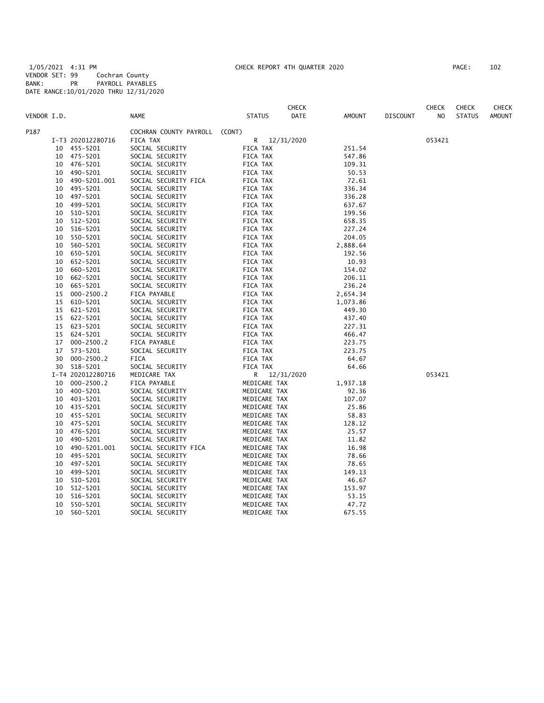1/05/2021 4:31 PM CHECK REPORT 4TH QUARTER 2020 PAGE: 102 VENDOR SET: 99 Cochran County BANK: PR PAYROLL PAYABLES DATE RANGE:10/01/2020 THRU 12/31/2020

| PAGE :<br>102 |  |
|---------------|--|
|---------------|--|

|             |    |                   |                        |               | <b>CHECK</b> |               |                 | <b>CHECK</b> | <b>CHECK</b>  | CHECK         |
|-------------|----|-------------------|------------------------|---------------|--------------|---------------|-----------------|--------------|---------------|---------------|
| VENDOR I.D. |    |                   | <b>NAME</b>            | <b>STATUS</b> | DATE         | <b>AMOUNT</b> | <b>DISCOUNT</b> | NO.          | <b>STATUS</b> | <b>AMOUNT</b> |
| P187        |    |                   | COCHRAN COUNTY PAYROLL | (CONT)        |              |               |                 |              |               |               |
|             |    | I-T3 202012280716 | FICA TAX               | R             | 12/31/2020   |               |                 | 053421       |               |               |
|             | 10 | 455-5201          | SOCIAL SECURITY        | FICA TAX      |              | 251.54        |                 |              |               |               |
|             | 10 | 475-5201          | SOCIAL SECURITY        | FICA TAX      |              | 547.86        |                 |              |               |               |
|             | 10 | 476–5201          | SOCIAL SECURITY        | FICA TAX      |              | 109.31        |                 |              |               |               |
|             | 10 | 490-5201          | SOCIAL SECURITY        | FICA TAX      |              | 50.53         |                 |              |               |               |
|             | 10 | 490-5201.001      | SOCIAL SECURITY FICA   | FICA TAX      |              | 72.61         |                 |              |               |               |
|             | 10 | 495-5201          | SOCIAL SECURITY        | FICA TAX      |              | 336.34        |                 |              |               |               |
|             | 10 | 497-5201          | SOCIAL SECURITY        | FICA TAX      |              | 336.28        |                 |              |               |               |
|             | 10 | 499-5201          | SOCIAL SECURITY        | FICA TAX      |              | 637.67        |                 |              |               |               |
|             | 10 | 510-5201          | SOCIAL SECURITY        | FICA TAX      |              | 199.56        |                 |              |               |               |
|             | 10 | 512-5201          | SOCIAL SECURITY        | FICA TAX      |              | 658.35        |                 |              |               |               |
|             | 10 | 516-5201          | SOCIAL SECURITY        | FICA TAX      |              | 227.24        |                 |              |               |               |
|             | 10 | 550-5201          | SOCIAL SECURITY        | FICA TAX      |              | 204.05        |                 |              |               |               |
|             | 10 | 560-5201          | SOCIAL SECURITY        | FICA TAX      |              | 2,888.64      |                 |              |               |               |
|             | 10 | 650-5201          | SOCIAL SECURITY        | FICA TAX      |              | 192.56        |                 |              |               |               |
|             | 10 | 652-5201          | SOCIAL SECURITY        | FICA TAX      |              | 10.93         |                 |              |               |               |
|             | 10 | 660-5201          | SOCIAL SECURITY        | FICA TAX      |              | 154.02        |                 |              |               |               |
|             | 10 | 662-5201          | SOCIAL SECURITY        | FICA TAX      |              | 206.11        |                 |              |               |               |
|             | 10 | 665-5201          | SOCIAL SECURITY        | FICA TAX      |              | 236.24        |                 |              |               |               |
|             | 15 | $000 - 2500.2$    | FICA PAYABLE           | FICA TAX      |              | 2,654.34      |                 |              |               |               |
|             | 15 | 610-5201          | SOCIAL SECURITY        | FICA TAX      |              | 1,073.86      |                 |              |               |               |
|             | 15 | 621-5201          | SOCIAL SECURITY        | FICA TAX      |              | 449.30        |                 |              |               |               |
|             | 15 | 622-5201          | SOCIAL SECURITY        | FICA TAX      |              | 437.40        |                 |              |               |               |
|             | 15 | 623-5201          | SOCIAL SECURITY        | FICA TAX      |              | 227.31        |                 |              |               |               |
|             | 15 | 624-5201          | SOCIAL SECURITY        | FICA TAX      |              | 466.47        |                 |              |               |               |
|             | 17 | $000 - 2500.2$    | FICA PAYABLE           | FICA TAX      |              | 223.75        |                 |              |               |               |
|             | 17 | 573-5201          | SOCIAL SECURITY        | FICA TAX      |              | 223.75        |                 |              |               |               |
|             | 30 | $000 - 2500.2$    | FICA                   | FICA TAX      |              | 64.67         |                 |              |               |               |
|             | 30 | 518-5201          | SOCIAL SECURITY        | FICA TAX      |              | 64.66         |                 |              |               |               |
|             |    | I-T4 202012280716 | MEDICARE TAX           | R             | 12/31/2020   |               |                 | 053421       |               |               |
|             | 10 | $000 - 2500.2$    | FICA PAYABLE           | MEDICARE TAX  |              | 1,937.18      |                 |              |               |               |
|             | 10 | 400-5201          | SOCIAL SECURITY        | MEDICARE TAX  |              | 92.36         |                 |              |               |               |
|             | 10 | 403-5201          | SOCIAL SECURITY        | MEDICARE TAX  |              | 107.07        |                 |              |               |               |
|             |    | 10 435-5201       | SOCIAL SECURITY        | MEDICARE TAX  |              | 25.86         |                 |              |               |               |
|             | 10 | 455-5201          | SOCIAL SECURITY        | MEDICARE TAX  |              | 58.83         |                 |              |               |               |
|             | 10 | 475-5201          | SOCIAL SECURITY        | MEDICARE TAX  |              | 128.12        |                 |              |               |               |
|             | 10 | 476-5201          | SOCIAL SECURITY        | MEDICARE TAX  |              | 25.57         |                 |              |               |               |
|             | 10 | 490-5201          | SOCIAL SECURITY        | MEDICARE TAX  |              | 11.82         |                 |              |               |               |
|             | 10 | 490-5201.001      | SOCIAL SECURITY FICA   | MEDICARE TAX  |              | 16.98         |                 |              |               |               |
|             | 10 | 495-5201          | SOCIAL SECURITY        | MEDICARE TAX  |              | 78.66         |                 |              |               |               |
|             | 10 | 497-5201          | SOCIAL SECURITY        | MEDICARE TAX  |              | 78.65         |                 |              |               |               |
|             | 10 | 499-5201          | SOCIAL SECURITY        | MEDICARE TAX  |              | 149.13        |                 |              |               |               |
|             | 10 | 510-5201          | SOCIAL SECURITY        | MEDICARE TAX  |              | 46.67         |                 |              |               |               |
|             | 10 | 512-5201          | SOCIAL SECURITY        | MEDICARE TAX  |              | 153.97        |                 |              |               |               |
|             | 10 | 516-5201          | SOCIAL SECURITY        | MEDICARE TAX  |              | 53.15         |                 |              |               |               |
|             | 10 | 550-5201          | SOCIAL SECURITY        | MEDICARE TAX  |              | 47.72         |                 |              |               |               |
|             | 10 | 560-5201          | SOCIAL SECURITY        | MEDICARE TAX  |              | 675.55        |                 |              |               |               |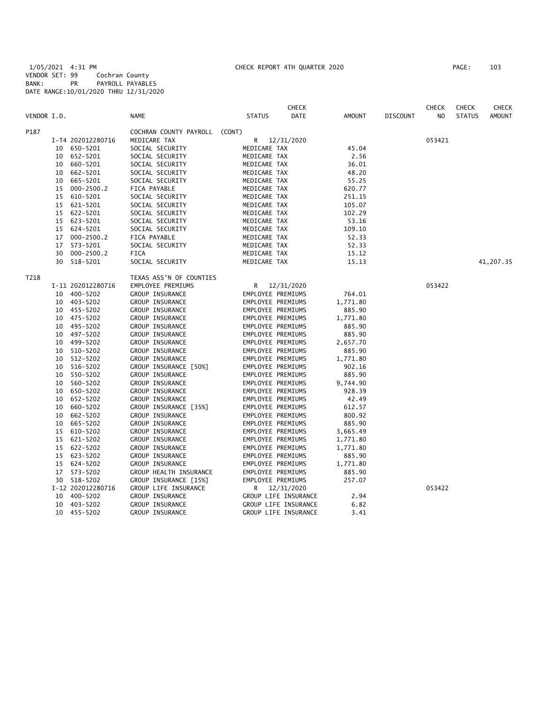1/05/2021 4:31 PM CHECK REPORT 4TH QUARTER 2020 PAGE: 103 VENDOR SET: 99 Cochran County BANK: PR PAYROLL PAYABLES DATE RANGE:10/01/2020 THRU 12/31/2020

|             |    |                   |                         |                   | <b>CHECK</b>                                 |               |                 | <b>CHECK</b>   | <b>CHECK</b>  | <b>CHECK</b>  |
|-------------|----|-------------------|-------------------------|-------------------|----------------------------------------------|---------------|-----------------|----------------|---------------|---------------|
| VENDOR I.D. |    |                   | <b>NAME</b>             | <b>STATUS</b>     | <b>DATE</b>                                  | <b>AMOUNT</b> | <b>DISCOUNT</b> | N <sub>O</sub> | <b>STATUS</b> | <b>AMOUNT</b> |
| P187        |    |                   | COCHRAN COUNTY PAYROLL  | (CONT)            |                                              |               |                 |                |               |               |
|             |    | I-T4 202012280716 | MEDICARE TAX            | R                 | 12/31/2020                                   |               |                 | 053421         |               |               |
|             |    | 10 650-5201       | SOCIAL SECURITY         | MEDICARE TAX      |                                              | 45.04         |                 |                |               |               |
|             |    | 10 652-5201       | SOCIAL SECURITY         | MEDICARE TAX      |                                              | 2.56          |                 |                |               |               |
|             |    | 10 660-5201       | SOCIAL SECURITY         | MEDICARE TAX      |                                              | 36.01         |                 |                |               |               |
|             | 10 | 662-5201          | SOCIAL SECURITY         | MEDICARE TAX      |                                              | 48.20         |                 |                |               |               |
|             | 10 | 665-5201          | SOCIAL SECURITY         | MEDICARE TAX      |                                              | 55.25         |                 |                |               |               |
|             | 15 | $000 - 2500.2$    | FICA PAYABLE            | MEDICARE TAX      |                                              | 620.77        |                 |                |               |               |
|             | 15 | 610-5201          | SOCIAL SECURITY         | MEDICARE TAX      |                                              | 251.15        |                 |                |               |               |
|             |    | 15 621-5201       | SOCIAL SECURITY         | MEDICARE TAX      |                                              | 105.07        |                 |                |               |               |
|             |    | 15 622-5201       | SOCIAL SECURITY         | MEDICARE TAX      |                                              | 102.29        |                 |                |               |               |
|             |    | 15 623-5201       | SOCIAL SECURITY         | MEDICARE TAX      |                                              | 53.16         |                 |                |               |               |
|             |    | 15 624-5201       | SOCIAL SECURITY         | MEDICARE TAX      |                                              | 109.10        |                 |                |               |               |
|             | 17 | $000 - 2500.2$    | FICA PAYABLE            | MEDICARE TAX      |                                              | 52.33         |                 |                |               |               |
|             | 17 | 573-5201          | SOCIAL SECURITY         | MEDICARE TAX      |                                              | 52.33         |                 |                |               |               |
|             | 30 | $000 - 2500.2$    | <b>FICA</b>             | MEDICARE TAX      |                                              | 15.12         |                 |                |               |               |
|             | 30 | 518-5201          | SOCIAL SECURITY         | MEDICARE TAX      |                                              | 15.13         |                 |                |               | 41,207.35     |
| T218        |    |                   | TEXAS ASS'N OF COUNTIES |                   |                                              |               |                 |                |               |               |
|             |    | I-11 202012280716 | EMPLOYEE PREMIUMS       |                   | R 12/31/2020                                 |               |                 | 053422         |               |               |
|             |    | 10 400-5202       | GROUP INSURANCE         | EMPLOYEE PREMIUMS |                                              | 764.01        |                 |                |               |               |
|             |    | 10 403-5202       | GROUP INSURANCE         | EMPLOYEE PREMIUMS |                                              | 1,771.80      |                 |                |               |               |
|             |    | 10 455-5202       | GROUP INSURANCE         | EMPLOYEE PREMIUMS |                                              | 885.90        |                 |                |               |               |
|             |    | 10 475-5202       | GROUP INSURANCE         | EMPLOYEE PREMIUMS |                                              | 1,771.80      |                 |                |               |               |
|             |    | 10 495-5202       | GROUP INSURANCE         | EMPLOYEE PREMIUMS |                                              | 885.90        |                 |                |               |               |
|             |    | 10 497-5202       | GROUP INSURANCE         | EMPLOYEE PREMIUMS |                                              | 885.90        |                 |                |               |               |
|             |    | 10 499-5202       | GROUP INSURANCE         | EMPLOYEE PREMIUMS |                                              | 2,657.70      |                 |                |               |               |
|             |    | 10 510-5202       | GROUP INSURANCE         | EMPLOYEE PREMIUMS |                                              | 885.90        |                 |                |               |               |
|             | 10 | 512-5202          | GROUP INSURANCE         | EMPLOYEE PREMIUMS |                                              | 1,771.80      |                 |                |               |               |
|             | 10 | 516-5202          | GROUP INSURANCE [50%]   | EMPLOYEE PREMIUMS |                                              | 902.16        |                 |                |               |               |
|             |    | 10 550-5202       | GROUP INSURANCE         | EMPLOYEE PREMIUMS |                                              | 885.90        |                 |                |               |               |
|             | 10 | 560-5202          | GROUP INSURANCE         | EMPLOYEE PREMIUMS |                                              | 9,744.90      |                 |                |               |               |
|             | 10 | 650-5202          | GROUP INSURANCE         | EMPLOYEE PREMIUMS |                                              | 928.39        |                 |                |               |               |
|             | 10 | 652-5202          | GROUP INSURANCE         | EMPLOYEE PREMIUMS |                                              | 42.49         |                 |                |               |               |
|             | 10 | 660-5202          | GROUP INSURANCE [35%]   | EMPLOYEE PREMIUMS |                                              | 612.57        |                 |                |               |               |
|             | 10 | 662-5202          | GROUP INSURANCE         | EMPLOYEE PREMIUMS |                                              | 800.92        |                 |                |               |               |
|             | 10 | 665-5202          | GROUP INSURANCE         | EMPLOYEE PREMIUMS |                                              | 885.90        |                 |                |               |               |
|             | 15 | 610-5202          | GROUP INSURANCE         | EMPLOYEE PREMIUMS |                                              | 3,665.49      |                 |                |               |               |
|             | 15 | 621-5202          | GROUP INSURANCE         | EMPLOYEE PREMIUMS |                                              | 1,771.80      |                 |                |               |               |
|             |    | 15 622-5202       | GROUP INSURANCE         | EMPLOYEE PREMIUMS |                                              | 1,771.80      |                 |                |               |               |
|             |    | 15 623-5202       | GROUP INSURANCE         | EMPLOYEE PREMIUMS |                                              | 885.90        |                 |                |               |               |
|             |    | 15 624-5202       | GROUP INSURANCE         | EMPLOYEE PREMIUMS |                                              | 1,771.80      |                 |                |               |               |
|             |    | 17 573-5202       | GROUP HEALTH INSURANCE  | EMPLOYEE PREMIUMS |                                              | 885.90        |                 |                |               |               |
|             |    | 30 518-5202       |                         |                   |                                              |               |                 |                |               |               |
|             |    |                   | GROUP INSURANCE [15%]   | EMPLOYEE PREMIUMS |                                              | 257.07        |                 | 053422         |               |               |
|             |    | I-12 202012280716 | GROUP LIFE INSURANCE    | R.                | 12/31/2020                                   | 2.94          |                 |                |               |               |
|             |    | 10 400-5202       | GROUP INSURANCE         |                   | GROUP LIFE INSURANCE<br>GROUP LIFE INSURANCE | 6.82          |                 |                |               |               |
|             | 10 | 403-5202          | GROUP INSURANCE         |                   |                                              |               |                 |                |               |               |
|             | 10 | 455-5202          | GROUP INSURANCE         |                   | GROUP LIFE INSURANCE                         | 3.41          |                 |                |               |               |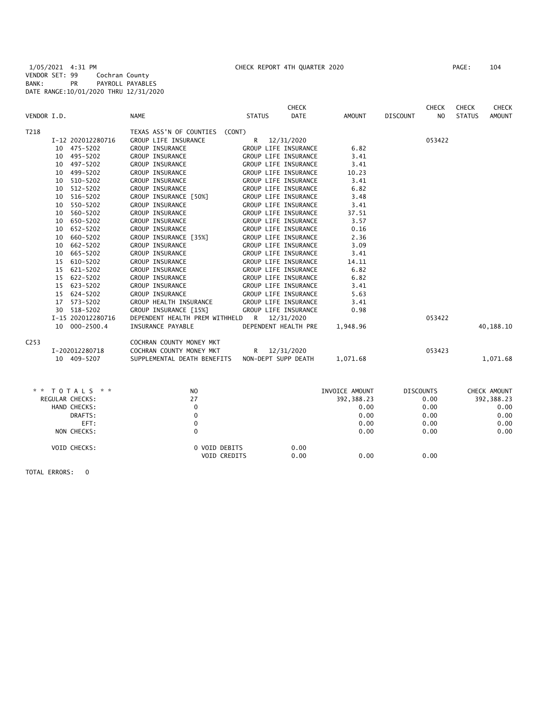1/05/2021 4:31 PM CHECK REPORT 4TH QUARTER 2020 PAGE: 104 VENDOR SET: 99 Cochran County BANK: PR PAYROLL PAYABLES DATE RANGE:10/01/2020 THRU 12/31/2020

|                  |    |                   |                                |               | <b>CHECK</b>         |                |                 | <b>CHECK</b>     | CHECK         | <b>CHECK</b>  |
|------------------|----|-------------------|--------------------------------|---------------|----------------------|----------------|-----------------|------------------|---------------|---------------|
| VENDOR I.D.      |    |                   | <b>NAME</b>                    | <b>STATUS</b> | <b>DATE</b>          | <b>AMOUNT</b>  | <b>DISCOUNT</b> | N <sub>O</sub>   | <b>STATUS</b> | <b>AMOUNT</b> |
| T218             |    |                   | TEXAS ASS'N OF COUNTIES (CONT) |               |                      |                |                 |                  |               |               |
|                  |    | I-12 202012280716 | GROUP LIFE INSURANCE           | R             | 12/31/2020           |                |                 | 053422           |               |               |
|                  |    | 10 475-5202       | GROUP INSURANCE                |               | GROUP LIFE INSURANCE | 6.82           |                 |                  |               |               |
|                  |    | 10 495-5202       | GROUP INSURANCE                |               | GROUP LIFE INSURANCE | 3.41           |                 |                  |               |               |
|                  |    | 10 497-5202       | GROUP INSURANCE                |               | GROUP LIFE INSURANCE | 3.41           |                 |                  |               |               |
|                  | 10 | 499-5202          | GROUP INSURANCE                |               | GROUP LIFE INSURANCE | 10.23          |                 |                  |               |               |
|                  | 10 | 510-5202          | <b>GROUP INSURANCE</b>         |               | GROUP LIFE INSURANCE | 3.41           |                 |                  |               |               |
|                  | 10 | 512-5202          | GROUP INSURANCE                |               | GROUP LIFE INSURANCE | 6.82           |                 |                  |               |               |
|                  | 10 | 516-5202          | GROUP INSURANCE [50%]          |               | GROUP LIFE INSURANCE | 3.48           |                 |                  |               |               |
|                  | 10 | 550-5202          | GROUP INSURANCE                |               | GROUP LIFE INSURANCE | 3.41           |                 |                  |               |               |
|                  |    | 10 560-5202       | GROUP INSURANCE                |               | GROUP LIFE INSURANCE | 37.51          |                 |                  |               |               |
|                  | 10 | 650-5202          | GROUP INSURANCE                |               | GROUP LIFE INSURANCE | 3.57           |                 |                  |               |               |
|                  | 10 | 652-5202          | GROUP INSURANCE                |               | GROUP LIFE INSURANCE | 0.16           |                 |                  |               |               |
|                  | 10 | 660-5202          | GROUP INSURANCE [35%]          |               | GROUP LIFE INSURANCE | 2.36           |                 |                  |               |               |
|                  | 10 | 662-5202          | GROUP INSURANCE                |               | GROUP LIFE INSURANCE | 3.09           |                 |                  |               |               |
|                  | 10 | 665-5202          | GROUP INSURANCE                |               | GROUP LIFE INSURANCE | 3.41           |                 |                  |               |               |
|                  |    | 15 610-5202       | <b>GROUP INSURANCE</b>         |               | GROUP LIFE INSURANCE | 14.11          |                 |                  |               |               |
|                  |    | 15 621-5202       | GROUP INSURANCE                |               | GROUP LIFE INSURANCE | 6.82           |                 |                  |               |               |
|                  |    | 15 622-5202       | GROUP INSURANCE                |               | GROUP LIFE INSURANCE | 6.82           |                 |                  |               |               |
|                  |    | 15 623-5202       | GROUP INSURANCE                |               | GROUP LIFE INSURANCE | 3.41           |                 |                  |               |               |
|                  |    | 15 624-5202       | GROUP INSURANCE                |               | GROUP LIFE INSURANCE | 5.63           |                 |                  |               |               |
|                  |    | 17 573-5202       | GROUP HEALTH INSURANCE         |               | GROUP LIFE INSURANCE | 3.41           |                 |                  |               |               |
|                  |    | 30 518-5202       | GROUP INSURANCE [15%]          |               | GROUP LIFE INSURANCE | 0.98           |                 |                  |               |               |
|                  |    | I-15 202012280716 | DEPENDENT HEALTH PREM WITHHELD | $\mathsf{R}$  | 12/31/2020           |                |                 | 053422           |               |               |
|                  |    | 10 000-2500.4     | INSURANCE PAYABLE              |               | DEPENDENT HEALTH PRE | 1,948.96       |                 |                  |               | 40,188.10     |
| C <sub>253</sub> |    |                   | COCHRAN COUNTY MONEY MKT       |               |                      |                |                 |                  |               |               |
|                  |    | I-202012280718    | COCHRAN COUNTY MONEY MKT       | R             | 12/31/2020           |                |                 | 053423           |               |               |
|                  |    | 10 409-5207       | SUPPLEMENTAL DEATH BENEFITS    |               | NON-DEPT SUPP DEATH  | 1,071.68       |                 |                  |               | 1,071.68      |
|                  |    |                   |                                |               |                      |                |                 |                  |               |               |
| * *              |    | TOTALS * *        | N <sub>O</sub><br>27           |               |                      | INVOICE AMOUNT |                 | <b>DISCOUNTS</b> |               | CHECK AMOUNT  |
|                  |    | REGULAR CHECKS:   |                                |               |                      | 392, 388.23    |                 | 0.00             |               | 392, 388.23   |
|                  |    | HAND CHECKS:      | $\mathbf 0$                    |               |                      | 0.00           |                 | 0.00             |               | 0.00          |
|                  |    | DRAFTS:           | 0                              |               |                      | 0.00           |                 | 0.00             |               | 0.00          |
|                  |    | EFT:              | 0                              |               |                      | 0.00           |                 | 0.00             |               | 0.00          |
|                  |    | NON CHECKS:       | $\mathbf 0$                    |               |                      | 0.00           |                 | 0.00             |               | 0.00          |
|                  |    | VOID CHECKS:      | 0 VOID DEBITS                  |               | 0.00                 |                |                 |                  |               |               |
|                  |    |                   | VOID CREDITS                   |               | 0.00                 | 0.00           |                 | 0.00             |               |               |
|                  |    |                   |                                |               |                      |                |                 |                  |               |               |

TOTAL ERRORS: 0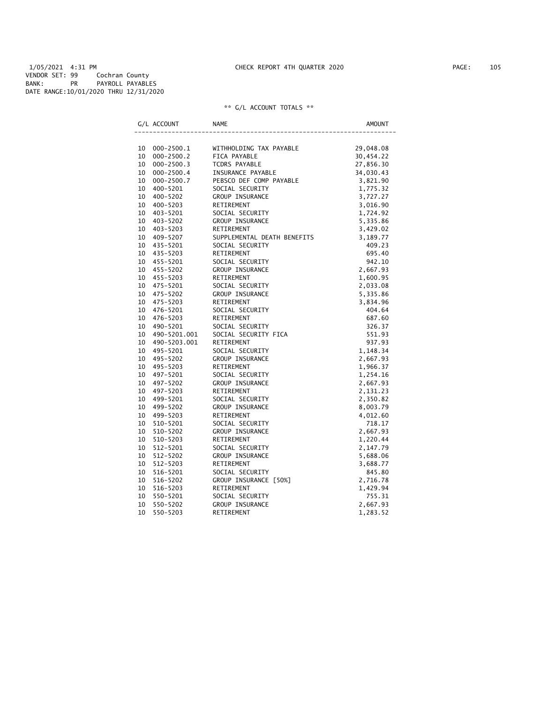1/05/2021 4:31 PM CHECK REPORT 4TH QUARTER 2020 PAGE: 105 VENDOR SET: 99 Cochran County BANK: PR PAYROLL PAYABLES DATE RANGE:10/01/2020 THRU 12/31/2020

|    | G/L ACCOUNT    | <b>NAME</b>                 | AMOUNT    |
|----|----------------|-----------------------------|-----------|
|    |                |                             |           |
| 10 | $000 - 2500.1$ | WITHHOLDING TAX PAYABLE     | 29,048.08 |
| 10 | $000 - 2500.2$ | FICA PAYABLE                | 30,454.22 |
| 10 | $000 - 2500.3$ | <b>TCDRS PAYABLE</b>        | 27,856.30 |
| 10 | $000 - 2500.4$ | INSURANCE PAYABLE           | 34,030.43 |
| 10 | $000 - 2500.7$ | PEBSCO DEF COMP PAYABLE     | 3,821.90  |
| 10 | 400-5201       | SOCIAL SECURITY             | 1,775.32  |
| 10 | 400-5202       | GROUP INSURANCE             | 3,727.27  |
| 10 | 400-5203       | RETIREMENT                  | 3,016.90  |
| 10 | 403-5201       | SOCIAL SECURITY             | 1,724.92  |
| 10 | 403-5202       | GROUP INSURANCE             | 5,335.86  |
| 10 | $403 - 5203$   | RETIREMENT                  | 3,429.02  |
| 10 | 409-5207       | SUPPLEMENTAL DEATH BENEFITS | 3,189.77  |
| 10 | 435-5201       | SOCIAL SECURITY             | 409.23    |
| 10 | 435-5203       | RETIREMENT                  | 695.40    |
| 10 | 455-5201       | SOCIAL SECURITY             | 942.10    |
| 10 | 455-5202       | <b>GROUP INSURANCE</b>      | 2,667.93  |
| 10 | 455-5203       | RETIREMENT                  | 1,600.95  |
| 10 | 475-5201       | SOCIAL SECURITY             | 2,033.08  |
| 10 | 475-5202       | <b>GROUP INSURANCE</b>      | 5,335.86  |
| 10 | 475-5203       | RETIREMENT                  | 3,834.96  |
| 10 | 476-5201       | SOCIAL SECURITY             | 404.64    |
| 10 | 476-5203       | RETIREMENT                  | 687.60    |
| 10 | 490-5201       | SOCIAL SECURITY             | 326.37    |
| 10 | 490-5201.001   | SOCIAL SECURITY FICA        | 551.93    |
| 10 | 490-5203.001   | RETIREMENT                  | 937.93    |
| 10 | 495-5201       | SOCIAL SECURITY             | 1,148.34  |
| 10 | 495-5202       | GROUP INSURANCE             | 2,667.93  |
| 10 | 495-5203       | RETIREMENT                  | 1,966.37  |
| 10 | 497-5201       | SOCIAL SECURITY             | 1,254.16  |
| 10 | 497-5202       | GROUP INSURANCE             | 2,667.93  |
| 10 | 497-5203       | RETIREMENT                  | 2,131.23  |
| 10 | 499-5201       | SOCIAL SECURITY             | 2,350.82  |
| 10 | 499-5202       | GROUP INSURANCE             | 8,003.79  |
| 10 | 499-5203       | RETIREMENT                  | 4,012.60  |
| 10 | 510-5201       | SOCIAL SECURITY             | 718.17    |
| 10 | 510-5202       | GROUP INSURANCE             | 2,667.93  |
| 10 | 510-5203       | RETIREMENT                  | 1,220.44  |
| 10 | 512-5201       | SOCIAL SECURITY             | 2,147.79  |
| 10 | 512-5202       | GROUP INSURANCE             | 5,688.06  |
| 10 | 512-5203       | RETIREMENT                  | 3,688.77  |
| 10 | 516-5201       | SOCIAL SECURITY             | 845.80    |
| 10 | 516-5202       | GROUP INSURANCE [50%]       | 2,716.78  |
| 10 | 516-5203       | RETIREMENT                  | 1,429.94  |
| 10 | 550-5201       | SOCIAL SECURITY             | 755.31    |
| 10 | 550-5202       | GROUP INSURANCE             | 2,667.93  |
| 10 | 550-5203       | RETIREMENT                  | 1,283.52  |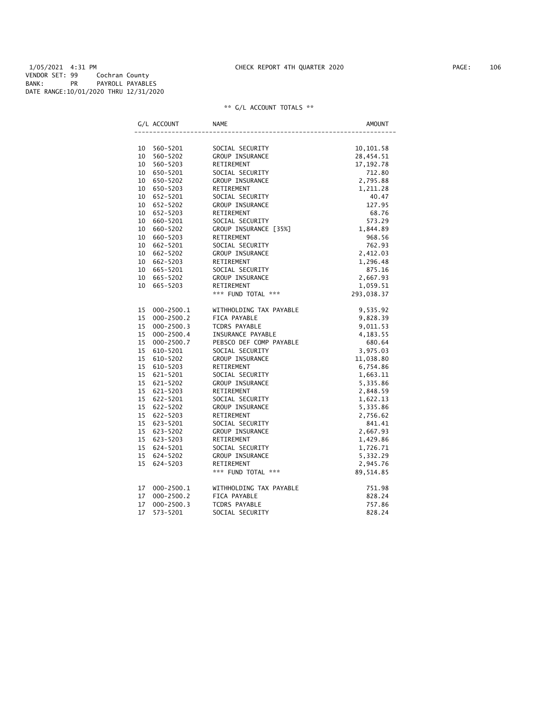1/05/2021 4:31 PM CHECK REPORT 4TH QUARTER 2020 PAGE: 106 VENDOR SET: 99 Cochran County BANK: PR PAYROLL PAYABLES DATE RANGE:10/01/2020 THRU 12/31/2020

|    | G/L ACCOUNT    | <b>NAME</b>             | AMOUNT      |
|----|----------------|-------------------------|-------------|
|    |                |                         |             |
|    | 10 560-5201    | SOCIAL SECURITY         | 10, 101.58  |
| 10 | 560-5202       | GROUP INSURANCE         | 28,454.51   |
| 10 | 560-5203       | RETIREMENT              | 17, 192. 78 |
|    | 10 650-5201    | SOCIAL SECURITY         | 712.80      |
|    | 10 650-5202    | GROUP INSURANCE         | 2,795.88    |
|    | 10 650-5203    | RETIREMENT              | 1,211.28    |
|    | 10 652-5201    | SOCIAL SECURITY         | 40.47       |
|    | 10 652-5202    | GROUP INSURANCE         | 127.95      |
|    | 10 652-5203    | RETIREMENT              | 68.76       |
|    | 10 660-5201    | SOCIAL SECURITY         | 573.29      |
| 10 | 660-5202       | GROUP INSURANCE [35%]   | 1,844.89    |
| 10 | 660-5203       | RETIREMENT              | 968.56      |
| 10 | 662-5201       | SOCIAL SECURITY         | 762.93      |
|    | 10 662-5202    | GROUP INSURANCE         | 2,412.03    |
|    | 10 662-5203    | RETIREMENT              | 1,296.48    |
|    | 10 665-5201    | SOCIAL SECURITY         | 875.16      |
|    | 10 665-5202    | GROUP INSURANCE         | 2,667.93    |
| 10 | 665-5203       | RETIREMENT              | 1,059.51    |
|    |                | *** FUND TOTAL ***      | 293,038.37  |
| 15 | 000-2500.1     | WITHHOLDING TAX PAYABLE | 9,535.92    |
| 15 | $000 - 2500.2$ | FICA PAYABLE            | 9,828.39    |
| 15 | $000 - 2500.3$ | TCDRS PAYABLE           | 9,011.53    |
| 15 | $000 - 2500.4$ | INSURANCE PAYABLE       | 4,183.55    |
| 15 | $000 - 2500.7$ | PEBSCO DEF COMP PAYABLE | 680.64      |
| 15 | 610-5201       | SOCIAL SECURITY         | 3,975.03    |
| 15 | 610-5202       | GROUP INSURANCE         | 11,038.80   |
| 15 | 610-5203       | RETIREMENT              | 6,754.86    |
| 15 | 621-5201       | SOCIAL SECURITY         | 1,663.11    |
| 15 | 621-5202       | GROUP INSURANCE         | 5,335.86    |
| 15 | 621-5203       | RETIREMENT              | 2,848.59    |
| 15 | 622-5201       | SOCIAL SECURITY         | 1,622.13    |
| 15 | 622-5202       | GROUP INSURANCE         | 5,335.86    |
|    | 15 622-5203    | RETIREMENT              | 2,756.62    |
| 15 | 623-5201       | SOCIAL SECURITY         | 841.41      |
|    | 15 623-5202    | GROUP INSURANCE         | 2,667.93    |
| 15 | 623-5203       | RETIREMENT              | 1,429.86    |
|    | 15 624-5201    | SOCIAL SECURITY         | 1,726.71    |
| 15 | 624-5202       | GROUP INSURANCE         | 5,332.29    |
| 15 | 624-5203       | RETIREMENT              | 2,945.76    |
|    |                | *** FUND TOTAL ***      | 89, 514.85  |
| 17 | $000 - 2500.1$ | WITHHOLDING TAX PAYABLE | 751.98      |
| 17 | $000 - 2500.2$ | FICA PAYABLE            | 828.24      |
| 17 | $000 - 2500.3$ | <b>TCDRS PAYABLE</b>    | 757.86      |
| 17 | 573-5201       | SOCIAL SECURITY         | 828.24      |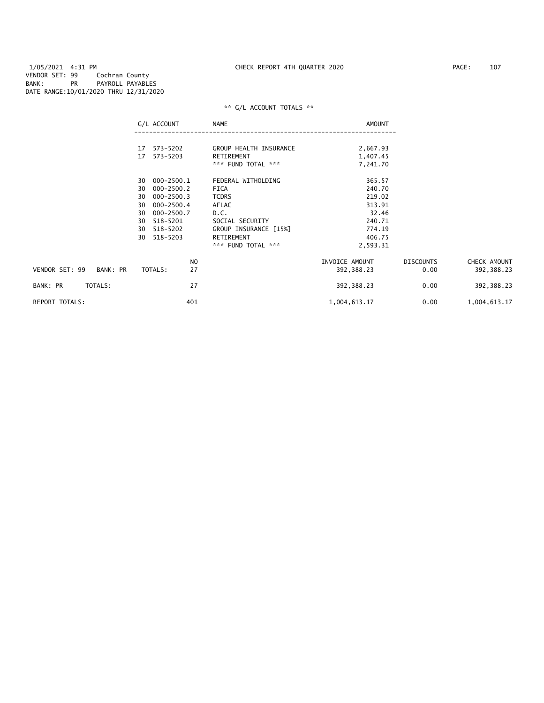1/05/2021 4:31 PM CHECK REPORT 4TH QUARTER 2020 PAGE: 107 VENDOR SET: 99 Cochran County BANK: PR PAYROLL PAYABLES DATE RANGE:10/01/2020 THRU 12/31/2020

| 573-5202<br>GROUP HEALTH INSURANCE<br>2,667.93<br>17<br>573-5203<br>RETIREMENT<br>1,407.45<br>17<br>*** FUND TOTAL ***<br>7,241.70<br>000-2500.1<br>FEDERAL WITHOLDING<br>365.57<br>30<br>000-2500.2<br>240.70<br>30<br>FICA<br>$000 - 2500.3$<br>219.02<br><b>TCDRS</b><br>30<br>313.91<br>$000 - 2500.4$<br>AFLAC<br>30<br>32.46<br>000-2500.7<br>D.C.<br>30<br>240.71<br>518-5201<br>SOCIAL SECURITY<br>30<br>GROUP INSURANCE [15%]<br>774.19<br>30<br>518-5202<br>RETIREMENT<br>406.75<br>518-5203<br>30<br>*** FUND TOTAL ***<br>2,593.31<br>N <sub>O</sub><br>INVOICE AMOUNT<br><b>DISCOUNTS</b><br>VENDOR SET: 99<br>BANK: PR<br>27<br>TOTALS:<br>0.00<br>392, 388.23<br>27<br>TOTALS:<br>BANK: PR<br>392,388.23<br>0.00<br><b>REPORT TOTALS:</b><br>401<br>1,004,613.17<br>0.00 | G/L ACCOUNT | NAME | AMOUNT |              |
|-----------------------------------------------------------------------------------------------------------------------------------------------------------------------------------------------------------------------------------------------------------------------------------------------------------------------------------------------------------------------------------------------------------------------------------------------------------------------------------------------------------------------------------------------------------------------------------------------------------------------------------------------------------------------------------------------------------------------------------------------------------------------------------------|-------------|------|--------|--------------|
|                                                                                                                                                                                                                                                                                                                                                                                                                                                                                                                                                                                                                                                                                                                                                                                         |             |      |        |              |
|                                                                                                                                                                                                                                                                                                                                                                                                                                                                                                                                                                                                                                                                                                                                                                                         |             |      |        |              |
|                                                                                                                                                                                                                                                                                                                                                                                                                                                                                                                                                                                                                                                                                                                                                                                         |             |      |        |              |
|                                                                                                                                                                                                                                                                                                                                                                                                                                                                                                                                                                                                                                                                                                                                                                                         |             |      |        |              |
|                                                                                                                                                                                                                                                                                                                                                                                                                                                                                                                                                                                                                                                                                                                                                                                         |             |      |        |              |
|                                                                                                                                                                                                                                                                                                                                                                                                                                                                                                                                                                                                                                                                                                                                                                                         |             |      |        |              |
|                                                                                                                                                                                                                                                                                                                                                                                                                                                                                                                                                                                                                                                                                                                                                                                         |             |      |        |              |
|                                                                                                                                                                                                                                                                                                                                                                                                                                                                                                                                                                                                                                                                                                                                                                                         |             |      |        |              |
|                                                                                                                                                                                                                                                                                                                                                                                                                                                                                                                                                                                                                                                                                                                                                                                         |             |      |        |              |
|                                                                                                                                                                                                                                                                                                                                                                                                                                                                                                                                                                                                                                                                                                                                                                                         |             |      |        |              |
|                                                                                                                                                                                                                                                                                                                                                                                                                                                                                                                                                                                                                                                                                                                                                                                         |             |      |        |              |
|                                                                                                                                                                                                                                                                                                                                                                                                                                                                                                                                                                                                                                                                                                                                                                                         |             |      |        |              |
|                                                                                                                                                                                                                                                                                                                                                                                                                                                                                                                                                                                                                                                                                                                                                                                         |             |      |        | CHECK AMOUNT |
|                                                                                                                                                                                                                                                                                                                                                                                                                                                                                                                                                                                                                                                                                                                                                                                         |             |      |        | 392, 388.23  |
|                                                                                                                                                                                                                                                                                                                                                                                                                                                                                                                                                                                                                                                                                                                                                                                         |             |      |        | 392, 388.23  |
|                                                                                                                                                                                                                                                                                                                                                                                                                                                                                                                                                                                                                                                                                                                                                                                         |             |      |        | 1,004,613.17 |